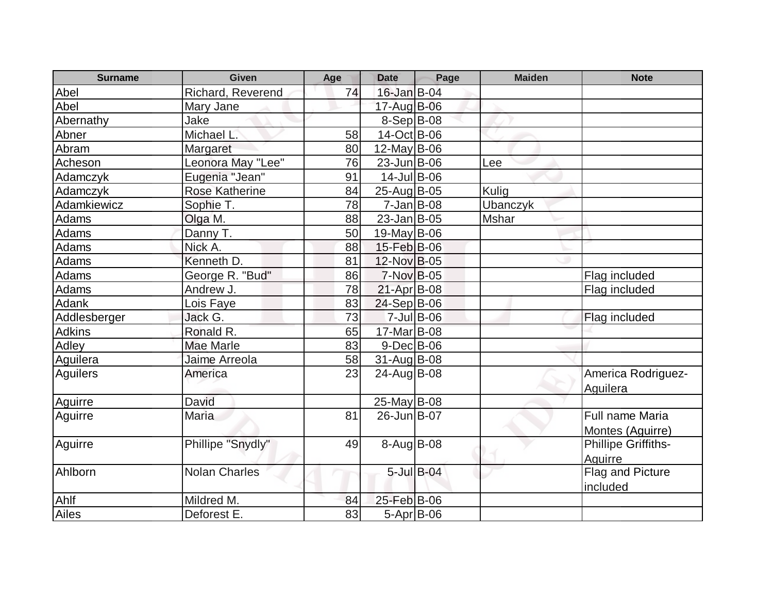| <b>Surname</b> | <b>Given</b>          | Age | <b>Date</b>        | Page             | <b>Maiden</b> | <b>Note</b>                           |
|----------------|-----------------------|-----|--------------------|------------------|---------------|---------------------------------------|
| Abel           | Richard, Reverend     | 74  | 16-Jan B-04        |                  |               |                                       |
| Abel           | Mary Jane             |     | 17-Aug B-06        |                  |               |                                       |
| Abernathy      | Jake                  |     | $8-Sep B-08$       |                  |               |                                       |
| Abner          | Michael L.            | 58  | 14-Oct B-06        |                  |               |                                       |
| Abram          | Margaret              | 80  | $12$ -May B-06     |                  |               |                                       |
| Acheson        | Leonora May "Lee"     | 76  | $23$ -Jun $B$ -06  |                  | Lee           |                                       |
| Adamczyk       | Eugenia "Jean"        | 91  | $14$ -Jul B-06     |                  |               |                                       |
| Adamczyk       | <b>Rose Katherine</b> | 84  | 25-Aug B-05        |                  | Kulig         |                                       |
| Adamkiewicz    | Sophie T.             | 78  | $7$ -Jan $ B-08 $  |                  | Ubanczyk      |                                       |
| Adams          | Olga M.               | 88  | $23$ -Jan $ B-05 $ |                  | Mshar         |                                       |
| Adams          | Danny T.              | 50  | 19-May B-06        |                  |               |                                       |
| Adams          | Nick A.               | 88  | 15-Feb B-06        |                  |               |                                       |
| Adams          | Kenneth D.            | 81  | 12-Nov B-05        |                  |               |                                       |
| Adams          | George R. "Bud"       | 86  | 7-Nov B-05         |                  |               | Flag included                         |
| <b>Adams</b>   | Andrew J.             | 78  | $21-Apr$ B-08      |                  |               | Flag included                         |
| Adank          | Lois Faye             | 83  | 24-Sep B-06        |                  |               |                                       |
| Addlesberger   | Jack G.               | 73  |                    | 7-Jul B-06       |               | Flag included                         |
| <b>Adkins</b>  | Ronald R.             | 65  | 17-Mar B-08        |                  |               |                                       |
| Adley          | <b>Mae Marle</b>      | 83  | $9$ -Dec $B$ -06   |                  |               |                                       |
| Aguilera       | Jaime Arreola         | 58  | $31$ -Aug B-08     |                  |               |                                       |
| Aguilers       | America               | 23  | 24-Aug B-08        |                  |               | America Rodriguez-<br>Aguilera        |
| Aguirre        | David                 |     | $25$ -May B-08     |                  |               |                                       |
| Aguirre        | Maria                 | 81  | 26-Jun B-07        |                  |               | Full name Maria<br>Montes (Aguirre)   |
| Aguirre        | Phillipe "Snydly"     | 49  | $8-Aug$ B-08       |                  |               | <b>Phillipe Griffiths-</b><br>Aguirre |
| Ahlborn        | <b>Nolan Charles</b>  |     |                    | $5$ -Jul $B$ -04 |               | Flag and Picture<br>included          |
| Ahlf           | Mildred M.            | 84  | 25-Feb B-06        |                  |               |                                       |
| Ailes          | Deforest E.           | 83  | $5-Apr$ B-06       |                  |               |                                       |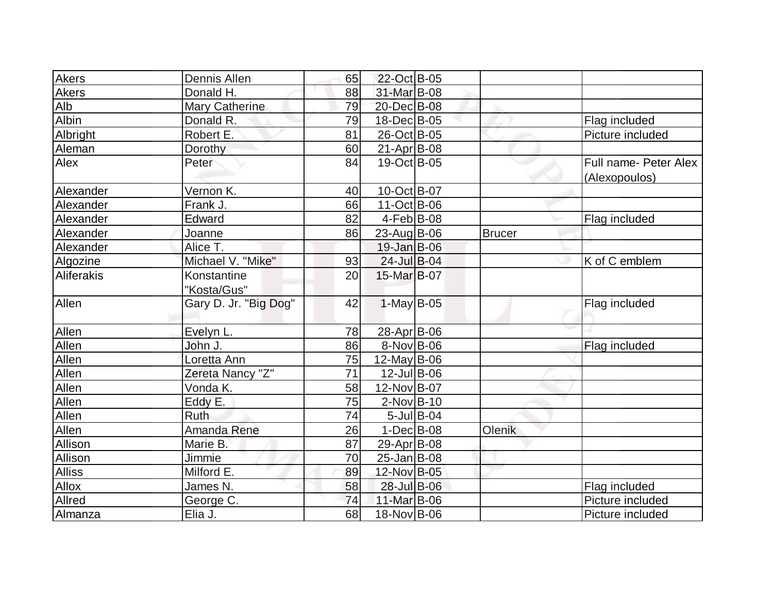| <b>Akers</b>  | <b>Dennis Allen</b>        | 65 | 22-Oct B-05        |               |                                        |
|---------------|----------------------------|----|--------------------|---------------|----------------------------------------|
| Akers         | Donald H.                  | 88 | 31-Mar B-08        |               |                                        |
| Alb           | Mary Catherine             | 79 | 20-Dec B-08        |               |                                        |
| Albin         | Donald R.                  | 79 | 18-Dec B-05        |               | Flag included                          |
| Albright      | Robert E.                  | 81 | 26-Oct B-05        |               | Picture included                       |
| Aleman        | Dorothy                    | 60 | $21-Apr$ B-08      |               |                                        |
| Alex          | Peter                      | 84 | 19-Oct B-05        |               | Full name- Peter Alex<br>(Alexopoulos) |
| Alexander     | Vernon K.                  | 40 | 10-Oct B-07        |               |                                        |
| Alexander     | Frank J.                   | 66 | 11-Oct B-06        |               |                                        |
| Alexander     | Edward                     | 82 | $4-Feb B-08$       |               | Flag included                          |
| Alexander     | Joanne                     | 86 | 23-Aug B-06        | <b>Brucer</b> |                                        |
| Alexander     | Alice T.                   |    | $19$ -Jan B-06     |               |                                        |
| Algozine      | Michael V. "Mike"          | 93 | 24-Jul B-04        |               | K of C emblem                          |
| Aliferakis    | Konstantine<br>"Kosta/Gus" | 20 | 15-Mar B-07        |               |                                        |
| Allen         | Gary D. Jr. "Big Dog"      | 42 | $1$ -May B-05      |               | Flag included                          |
| Allen         | Evelyn L.                  | 78 | 28-Apr B-06        |               |                                        |
| Allen         | John J.                    | 86 | 8-Nov B-06         |               | Flag included                          |
| Allen         | Loretta Ann                | 75 | $12$ -May B-06     |               |                                        |
| Allen         | Zereta Nancy "Z"           | 71 | 12-Jul B-06        |               |                                        |
| Allen         | Vonda K.                   | 58 | 12-Nov B-07        |               |                                        |
| Allen         | Eddy E.                    | 75 | $2$ -Nov $B-10$    |               |                                        |
| Allen         | Ruth                       | 74 | $5$ -Jul B-04      |               |                                        |
| Allen         | Amanda Rene                | 26 | $1-Dec$ B-08       | Olenik        |                                        |
| Allison       | Marie B.                   | 87 | 29-Apr B-08        |               |                                        |
| Allison       | Jimmie                     | 70 | $25$ -Jan $ B-08 $ |               |                                        |
| <b>Alliss</b> | Milford E.                 | 89 | 12-Nov B-05        |               |                                        |
| <b>Allox</b>  | James N.                   | 58 | 28-Jul B-06        |               | Flag included                          |
| Allred        | George C.                  | 74 | 11-Mar B-06        |               | Picture included                       |
| Almanza       | Elia J.                    | 68 | 18-Nov B-06        |               | Picture included                       |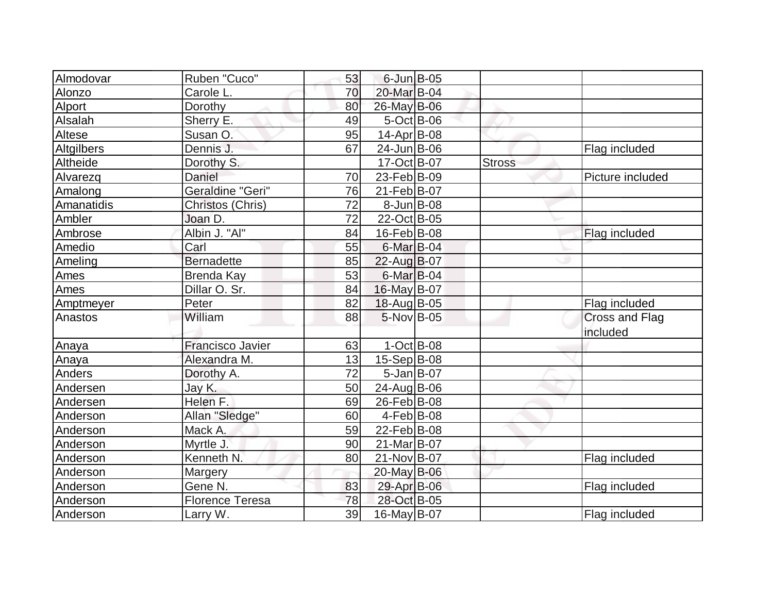| Almodovar   | Ruben "Cuco"<br>53            |                        | 6-Jun B-05       |               |                  |
|-------------|-------------------------------|------------------------|------------------|---------------|------------------|
| Alonzo      | Carole L.<br>70               | 20-Mar B-04            |                  |               |                  |
| Alport      | Dorothy<br>80                 | 26-May B-06            |                  |               |                  |
| Alsalah     | Sherry E.<br>49               |                        | $5-Oct$ B-06     |               |                  |
| Altese      | Susan O.<br>95                | $14$ -Apr $ B$ -08     |                  |               |                  |
| Altgilbers  | Dennis J.<br>67               | 24-Jun B-06            |                  |               | Flag included    |
| Altheide    | Dorothy S.                    | 17-Oct B-07            |                  | <b>Stross</b> |                  |
| Alvarezq    | Daniel<br>70                  | $23$ -Feb $ B-09$      |                  |               | Picture included |
| Amalong     | Geraldine "Geri"<br>76        | 21-Feb B-07            |                  |               |                  |
| Amanatidis  | 72<br>Christos (Chris)        |                        | $8$ -Jun $B$ -08 |               |                  |
| Ambler      | Joan D.<br>72                 | 22-Oct B-05            |                  |               |                  |
| Ambrose     | Albin J. "Al"<br>84           | 16-Feb B-08            |                  |               | Flag included    |
| Amedio      | Carl<br>55                    | $6$ -Mar $B$ -04       |                  |               |                  |
| Ameling     | <b>Bernadette</b><br>85       | 22-Aug B-07            |                  |               |                  |
| <b>Ames</b> | <b>Brenda Kay</b><br>53       | 6-Mar B-04             |                  |               |                  |
| Ames        | Dillar O. Sr.<br>84           | $16$ -May B-07         |                  |               |                  |
| Amptmeyer   | Peter<br>82                   | 18-Aug B-05            |                  |               | Flag included    |
| Anastos     | William<br>88                 | $5$ -Nov $ B$ -05      |                  |               | Cross and Flag   |
|             |                               |                        |                  |               | included         |
| Anaya       | <b>Francisco Javier</b><br>63 |                        | $1-Oct$ B-08     |               |                  |
| Anaya       | Alexandra M.<br>13            | $15-Sep B-08$          |                  |               |                  |
| Anders      | 72<br>Dorothy A.              |                        | $5 - Jan$ B-07   |               |                  |
| Andersen    | Jay K.<br>50                  | 24-Aug B-06            |                  |               |                  |
| Andersen    | Helen F.<br>69                | 26-Feb B-08            |                  |               |                  |
| Anderson    | Allan "Sledge"<br>60          | $4$ -Feb $ B-08$       |                  |               |                  |
| Anderson    | Mack A.<br>59                 | 22-Feb B-08            |                  |               |                  |
| Anderson    | Myrtle J.<br>90               | 21-Mar <sub>B-07</sub> |                  |               |                  |
| Anderson    | Kenneth N.<br>80              | 21-Nov B-07            |                  |               | Flag included    |
| Anderson    | Margery                       | 20-May B-06            |                  |               |                  |
| Anderson    | Gene N.<br>83                 | 29-Apr B-06            |                  |               | Flag included    |
| Anderson    | <b>Florence Teresa</b><br>78  | 28-Oct B-05            |                  |               |                  |
| Anderson    | 39<br>Larry W.                | 16-May B-07            |                  |               | Flag included    |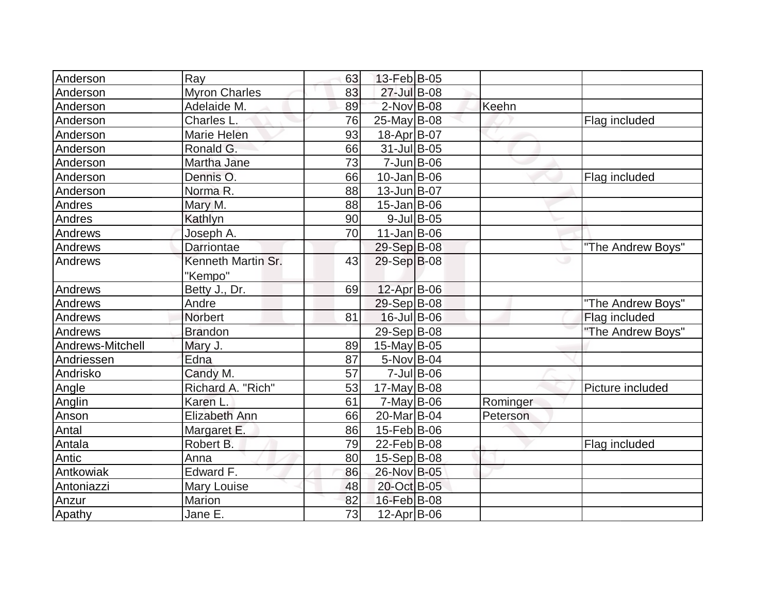| Anderson         | Ray                  | 63 | 13-Feb B-05        |               |          |                   |
|------------------|----------------------|----|--------------------|---------------|----------|-------------------|
| Anderson         | <b>Myron Charles</b> | 83 | 27-Jul B-08        |               |          |                   |
| Anderson         | Adelaide M.          | 89 | $2$ -Nov $B$ -08   |               | Keehn    |                   |
| Anderson         | Charles L.           | 76 | $25$ -May B-08     |               |          | Flag included     |
| Anderson         | Marie Helen          | 93 | 18-Apr B-07        |               |          |                   |
| Anderson         | Ronald G.            | 66 | 31-Jul B-05        |               |          |                   |
| Anderson         | Martha Jane          | 73 | $7$ -Jun $B$ -06   |               |          |                   |
| Anderson         | Dennis O.            | 66 | $10$ -Jan $ B-06$  |               |          | Flag included     |
| Anderson         | Norma <sub>R.</sub>  | 88 | $13$ -Jun $B$ -07  |               |          |                   |
| Andres           | Mary M.              | 88 | $15$ -Jan $ B$ -06 |               |          |                   |
| Andres           | Kathlyn              | 90 |                    | $9$ -Jul B-05 |          |                   |
| Andrews          | Joseph A.            | 70 | $11$ -Jan $B$ -06  |               |          |                   |
| Andrews          | Darriontae           |    | 29-Sep B-08        |               |          | "The Andrew Boys" |
| Andrews          | Kenneth Martin Sr.   | 43 | 29-Sep B-08        |               |          | ت                 |
|                  | "Kempo"              |    |                    |               |          |                   |
| Andrews          | Betty J., Dr.        | 69 | 12-Apr B-06        |               |          |                   |
| Andrews          | Andre                |    | 29-Sep B-08        |               |          | "The Andrew Boys" |
| Andrews          | <b>Norbert</b>       | 81 | 16-Jul B-06        |               |          | Flag included     |
| Andrews          | <b>Brandon</b>       |    | 29-Sep B-08        |               |          | "The Andrew Boys" |
| Andrews-Mitchell | Mary J.              | 89 | $15$ -May B-05     |               |          |                   |
| Andriessen       | Edna                 | 87 | $5-Nov$ B-04       |               |          |                   |
| Andrisko         | Candy M.             | 57 |                    | $7$ -Jul B-06 |          |                   |
| Angle            | Richard A. "Rich"    | 53 | 17-May $B$ -08     |               |          | Picture included  |
| Anglin           | Karen L.             | 61 | $7$ -May B-06      |               | Rominger |                   |
| Anson            | Elizabeth Ann        | 66 | 20-Mar B-04        |               | Peterson |                   |
| Antal            | Margaret E.          | 86 | 15-Feb B-06        |               |          |                   |
| Antala           | Robert B.            | 79 | 22-Feb B-08        |               |          | Flag included     |
| Antic            | Anna                 | 80 | $15-Sep B-08$      |               |          |                   |
| Antkowiak        | Edward F.            | 86 | 26-Nov B-05        |               |          |                   |
| Antoniazzi       | Mary Louise          | 48 | 20-Oct B-05        |               |          |                   |
| Anzur            | Marion               | 82 | 16-Feb B-08        |               |          |                   |
| Apathy           | Jane E.              | 73 | 12-Apr B-06        |               |          |                   |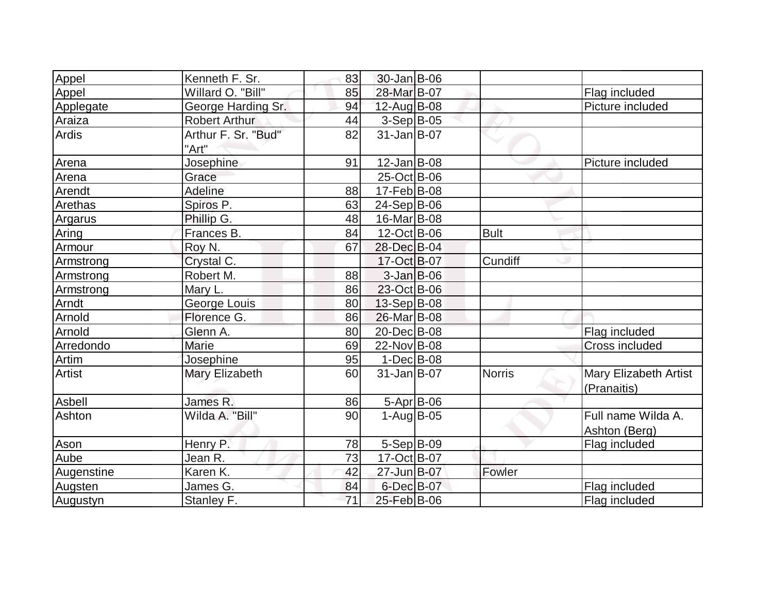| Appel         | Kenneth F. Sr.       | 83 | $30 - Jan$ $B - 06$ |               |                              |
|---------------|----------------------|----|---------------------|---------------|------------------------------|
| Appel         | Willard O. "Bill"    | 85 | 28-Mar B-07         |               | Flag included                |
| Applegate     | George Harding Sr.   | 94 | 12-Aug B-08         |               | Picture included             |
| Araiza        | <b>Robert Arthur</b> | 44 | $3-Sep B-05$        |               |                              |
| Ardis         | Arthur F. Sr. "Bud"  | 82 | $31$ -Jan $B$ -07   |               |                              |
|               | "Art"                |    |                     |               |                              |
| Arena         | Josephine            | 91 | $12$ -Jan B-08      |               | Picture included             |
| Arena         | Grace                |    | 25-Oct B-06         |               |                              |
| Arendt        | Adeline              | 88 | $17$ -Feb $ B$ -08  |               |                              |
| Arethas       | Spiros P.            | 63 | 24-Sep B-06         |               |                              |
| Argarus       | Phillip G.           | 48 | 16-Mar B-08         |               |                              |
| Aring         | Frances B.           | 84 | $12$ -Oct B-06      | <b>Bult</b>   |                              |
| Armour        | Roy N.               | 67 | 28-Dec B-04         |               |                              |
| Armstrong     | Crystal C.           |    | 17-Oct B-07         | Cundiff       |                              |
| Armstrong     | Robert M.            | 88 | $3$ -Jan B-06       |               |                              |
| Armstrong     | Mary L.              | 86 | 23-Oct B-06         |               |                              |
| Arndt         | George Louis         | 80 | $13-Sep B-08$       |               |                              |
| Arnold        | Florence G.          | 86 | 26-Mar B-08         |               |                              |
| Arnold        | Glenn A.             | 80 | 20-Dec B-08         |               | Flag included                |
| Arredondo     | <b>Marie</b>         | 69 | 22-Nov B-08         |               | <b>Cross included</b>        |
| Artim         | Josephine            | 95 | $1-Dec$ B-08        |               |                              |
| <b>Artist</b> | Mary Elizabeth       | 60 | $31$ -Jan $ B-07$   | <b>Norris</b> | <b>Mary Elizabeth Artist</b> |
|               |                      |    |                     |               | (Pranaitis)                  |
| Asbell        | James R.             | 86 | 5-Apr B-06          |               |                              |
| Ashton        | Wilda A. "Bill"      | 90 | $1-Auq$ B-05        |               | Full name Wilda A.           |
|               |                      |    |                     |               | Ashton (Berg)                |
| Ason          | Henry P.             | 78 | $5-Sep B-09$        |               | Flag included                |
| Aube          | Jean R.              | 73 | 17-Oct B-07         |               |                              |
| Augenstine    | Karen K.             | 42 | 27-Jun B-07         | Fowler        |                              |
| Augsten       | James G.             | 84 | 6-Dec B-07          |               | Flag included                |
| Augustyn      | Stanley F.           | 71 | 25-Feb B-06         |               | Flag included                |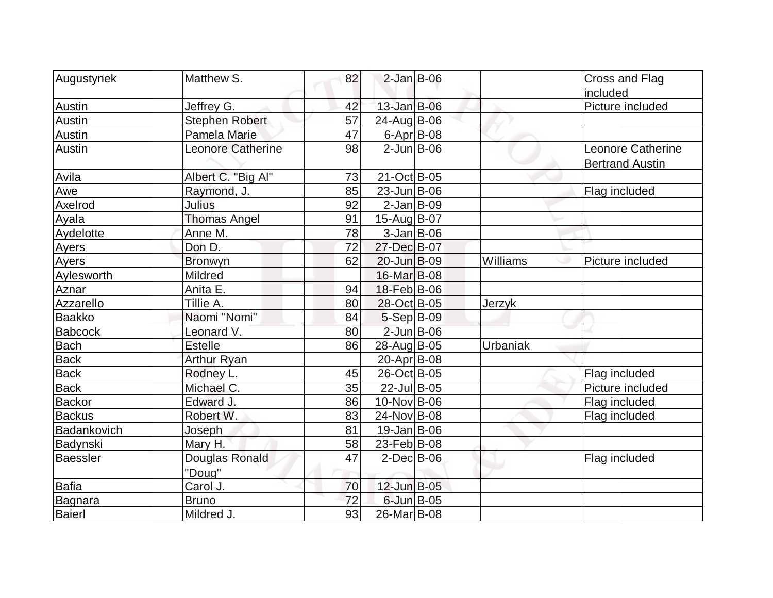| Augustynek      | Matthew S.               | 82 | $2$ -Jan B-06    |          | Cross and Flag                                     |
|-----------------|--------------------------|----|------------------|----------|----------------------------------------------------|
|                 |                          |    |                  |          | included                                           |
| Austin          | Jeffrey G.               | 42 | 13-Jan B-06      |          | Picture included                                   |
| Austin          | <b>Stephen Robert</b>    | 57 | 24-Aug B-06      |          |                                                    |
| <b>Austin</b>   | Pamela Marie             | 47 | $6$ -Apr $B$ -08 |          |                                                    |
| Austin          | <b>Leonore Catherine</b> | 98 | $2$ -Jun $B$ -06 |          | <b>Leonore Catherine</b><br><b>Bertrand Austin</b> |
| Avila           | Albert C. "Big Al"       | 73 | 21-Oct B-05      |          |                                                    |
| Awe             | Raymond, J.              | 85 | 23-Jun B-06      |          | Flag included                                      |
| Axelrod         | <b>Julius</b>            | 92 | $2$ -Jan B-09    |          |                                                    |
| Ayala           | <b>Thomas Angel</b>      | 91 | 15-Aug B-07      |          |                                                    |
| Aydelotte       | Anne M.                  | 78 | $3-Jan$ B-06     |          |                                                    |
| <b>Ayers</b>    | Don D.                   | 72 | 27-Dec B-07      |          |                                                    |
| Ayers           | <b>Bronwyn</b>           | 62 | 20-Jun B-09      | Williams | Picture included                                   |
| Aylesworth      | Mildred                  |    | 16-Mar B-08      |          |                                                    |
| Aznar           | Anita E.                 | 94 | 18-Feb B-06      |          |                                                    |
| Azzarello       | Tillie A.                | 80 | 28-Oct B-05      | Jerzyk   |                                                    |
| Baakko          | Naomi "Nomi"             | 84 | $5-Sep B-09$     |          |                                                    |
| <b>Babcock</b>  | Leonard V.               | 80 | $2$ -Jun $B$ -06 |          |                                                    |
| <b>Bach</b>     | <b>Estelle</b>           | 86 | 28-Aug B-05      | Urbaniak |                                                    |
| <b>Back</b>     | <b>Arthur Ryan</b>       |    | 20-Apr B-08      |          |                                                    |
| <b>Back</b>     | Rodney L.                | 45 | 26-Oct B-05      |          | Flag included                                      |
| <b>Back</b>     | Michael C.               | 35 | 22-Jul B-05      |          | Picture included                                   |
| <b>Backor</b>   | Edward J.                | 86 | 10-Nov B-06      |          | Flag included                                      |
| <b>Backus</b>   | Robert W.                | 83 | 24-Nov B-08      |          | Flag included                                      |
| Badankovich     | Joseph                   | 81 | $19$ -Jan B-06   |          |                                                    |
| Badynski        | Mary H.                  | 58 | 23-Feb B-08      |          |                                                    |
| <b>Baessler</b> | Douglas Ronald           | 47 | $2$ -Dec $B$ -06 |          | Flag included                                      |
|                 | "Doug"                   |    |                  |          |                                                    |
| <b>Bafia</b>    | Carol J.                 | 70 | 12-Jun B-05      |          |                                                    |
| Bagnara         | <b>Bruno</b>             | 72 | 6-Jun B-05       |          |                                                    |
| Baierl          | Mildred J.               | 93 | 26-Mar B-08      |          |                                                    |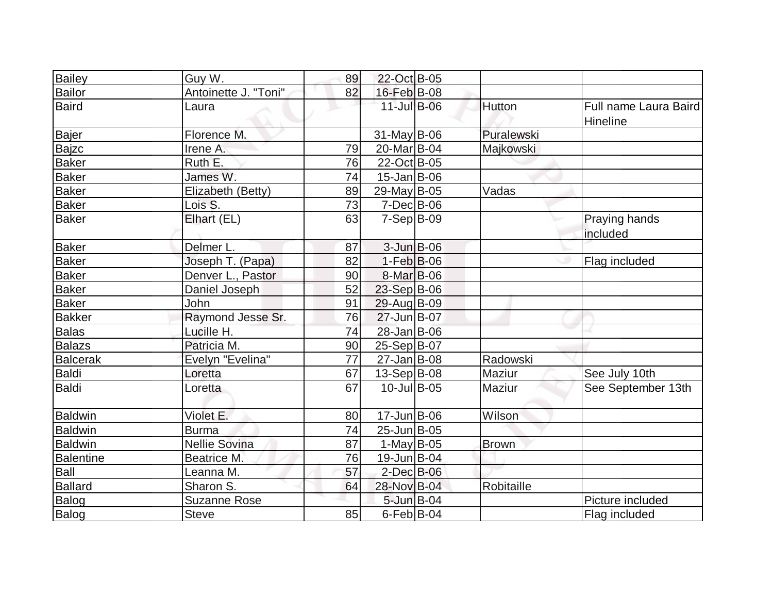| <b>Bailey</b>    | Guy W.               | 89 | 22-Oct B-05            |              |                                   |
|------------------|----------------------|----|------------------------|--------------|-----------------------------------|
| Bailor           | Antoinette J. "Toni" | 82 | 16-Feb B-08            |              |                                   |
| <b>Baird</b>     | Laura                |    | $11$ -Jul B-06         | Hutton       | Full name Laura Baird<br>Hineline |
| Bajer            | Florence M.          |    | $31$ -May B-06         | Puralewski   |                                   |
| <b>Bajzc</b>     | Irene A.             | 79 | 20-Mar <sub>B-04</sub> | Majkowski    |                                   |
| <b>Baker</b>     | Ruth E.              | 76 | 22-Oct B-05            |              |                                   |
| <b>Baker</b>     | James W.             | 74 | $15$ -Jan $ B$ -06     |              |                                   |
| <b>Baker</b>     | Elizabeth (Betty)    | 89 | 29-May B-05            | Vadas        |                                   |
| <b>Baker</b>     | Lois S.              | 73 | $7-Dec$ B-06           |              |                                   |
| <b>Baker</b>     | Elhart (EL)          | 63 | $7-Sep$ B-09           |              | Praying hands<br>included         |
| <b>Baker</b>     | Delmer L.            | 87 | $3$ -Jun $B$ -06       |              |                                   |
| <b>Baker</b>     | Joseph T. (Papa)     | 82 | $1-Feb$ $B-06$         |              | Flag included                     |
| <b>Baker</b>     | Denver L., Pastor    | 90 | 8-Mar B-06             |              |                                   |
| <b>Baker</b>     | Daniel Joseph        | 52 | 23-Sep B-06            |              |                                   |
| <b>Baker</b>     | John                 | 91 | 29-Aug B-09            |              |                                   |
| <b>Bakker</b>    | Raymond Jesse Sr.    | 76 | 27-Jun B-07            |              |                                   |
| Balas            | Lucille H.           | 74 | 28-Jan B-06            |              |                                   |
| <b>Balazs</b>    | Patricia M.          | 90 | 25-Sep B-07            |              |                                   |
| <b>Balcerak</b>  | Evelyn "Evelina"     | 77 | $27 - Jan$ B-08        | Radowski     |                                   |
| Baldi            | Loretta              | 67 | $13-Sep B-08$          | Maziur       | See July 10th                     |
| <b>Baldi</b>     | Loretta              | 67 | $10$ -Jul B-05         | Maziur       | See September 13th                |
| <b>Baldwin</b>   | Violet E.            | 80 | $17 - Jun$ $B-06$      | Wilson       |                                   |
| <b>Baldwin</b>   | <b>Burma</b>         | 74 | $25$ -Jun $B$ -05      |              |                                   |
| <b>Baldwin</b>   | <b>Nellie Sovina</b> | 87 | $1$ -May B-05          | <b>Brown</b> |                                   |
| <b>Balentine</b> | Beatrice M.          | 76 | 19-Jun B-04            |              |                                   |
| Ball             | Leanna M.            | 57 | $2$ -Dec $B$ -06       |              |                                   |
| <b>Ballard</b>   | Sharon S.            | 64 | 28-Nov B-04            | Robitaille   |                                   |
| Balog            | <b>Suzanne Rose</b>  |    | $5$ -Jun $B$ -04       |              | Picture included                  |
| <b>Balog</b>     | <b>Steve</b>         | 85 | $6$ -Feb $B$ -04       |              | Flag included                     |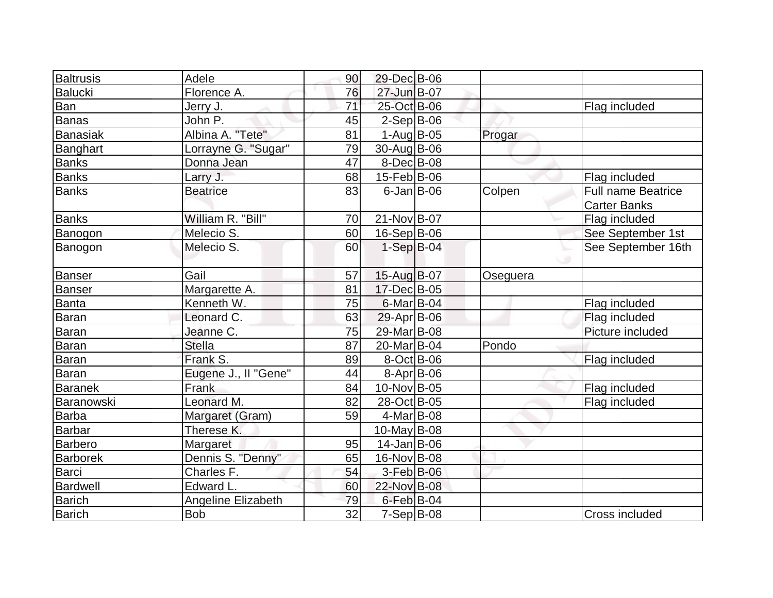| <b>Baltrusis</b> | Adele                | 90 | 29-Dec B-06        |          |                           |
|------------------|----------------------|----|--------------------|----------|---------------------------|
| Balucki          | Florence A.          | 76 | 27-Jun B-07        |          |                           |
| Ban              | Jerry J.             | 71 | 25-Oct B-06        |          | Flag included             |
| Banas            | John P.              | 45 | $2-Sep B-06$       |          |                           |
| Banasiak         | Albina A. "Tete"     | 81 | $1-Auq$ B-05       | Progar   |                           |
| Banghart         | Lorrayne G. "Sugar"  | 79 | 30-Aug B-06        |          |                           |
| <b>Banks</b>     | Donna Jean           | 47 | $8$ -Dec $B$ -08   |          |                           |
| <b>Banks</b>     | Larry J.             | 68 | $15$ -Feb $ B$ -06 |          | Flag included             |
| <b>Banks</b>     | <b>Beatrice</b>      | 83 | $6$ -Jan B-06      | Colpen   | <b>Full name Beatrice</b> |
|                  |                      |    |                    |          | <b>Carter Banks</b>       |
| <b>Banks</b>     | William R. "Bill"    | 70 | 21-Nov B-07        |          | Flag included             |
| Banogon          | Melecio S.           | 60 | 16-Sep B-06        |          | See September 1st         |
| Banogon          | Melecio S.           | 60 | $1-SepB-04$        |          | See September 16th        |
|                  |                      |    |                    |          |                           |
| <b>Banser</b>    | Gail                 | 57 | 15-Aug B-07        | Oseguera |                           |
| Banser           | Margarette A.        | 81 | 17-Dec B-05        |          |                           |
| Banta            | Kenneth W.           | 75 | $6$ -Mar $ B$ -04  |          | Flag included             |
| Baran            | Leonard C.           | 63 | $29$ -Apr $B$ -06  |          | Flag included             |
| Baran            | Jeanne C.            | 75 | 29-Mar B-08        |          | Picture included          |
| Baran            | <b>Stella</b>        | 87 | 20-Mar B-04        | Pondo    |                           |
| Baran            | Frank S.             | 89 | $8-Oct$ B-06       |          | Flag included             |
| Baran            | Eugene J., II "Gene" | 44 | $8 - Apr$ B-06     |          |                           |
| <b>Baranek</b>   | Frank                | 84 | 10-Nov B-05        |          | Flag included             |
| Baranowski       | Leonard M.           | 82 | 28-Oct B-05        |          | Flag included             |
| <b>Barba</b>     | Margaret (Gram)      | 59 | 4-Mar B-08         |          |                           |
| Barbar           | Therese K.           |    | $10$ -May B-08     |          |                           |
| <b>Barbero</b>   | Margaret             | 95 | $14$ -Jan $ B-06$  |          |                           |
| <b>Barborek</b>  | Dennis S. "Denny"    | 65 | 16-Nov B-08        |          |                           |
| Barci            | Charles F.           | 54 | $3-Feb$ B-06       |          |                           |
| Bardwell         | Edward L.            | 60 | 22-Nov B-08        |          |                           |
| <b>Barich</b>    | Angeline Elizabeth   | 79 | $6$ -Feb $B$ -04   |          |                           |
| <b>Barich</b>    | <b>Bob</b>           | 32 | $7-Sep$ B-08       |          | Cross included            |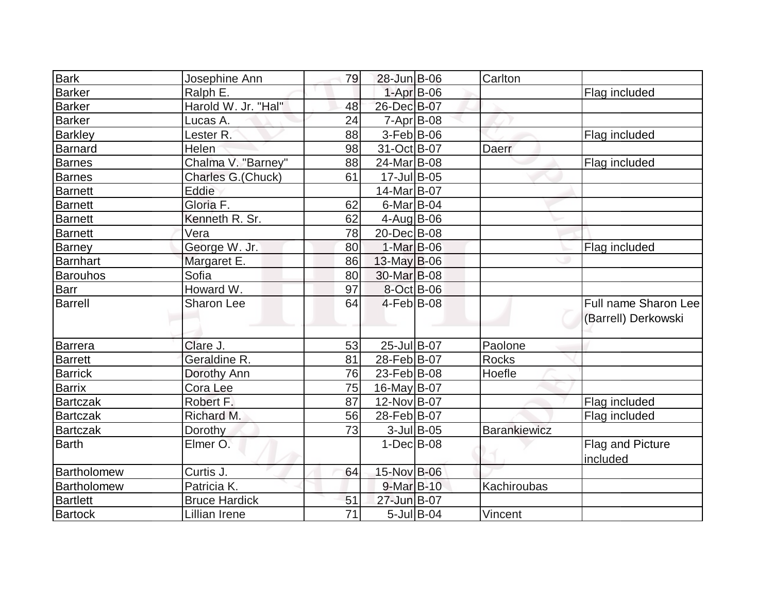| <b>Bark</b>     | Josephine Ann        | 79              | 28-Jun B-06       |                  | Carlton             |                                             |
|-----------------|----------------------|-----------------|-------------------|------------------|---------------------|---------------------------------------------|
| Barker          | Ralph E.             |                 | $1-Apr$ B-06      |                  |                     | Flag included                               |
| <b>Barker</b>   | Harold W. Jr. "Hal"  | 48              | 26-Dec B-07       |                  |                     |                                             |
| <b>Barker</b>   | Lucas A.             | 24              | $7 - Apr$ B-08    |                  |                     |                                             |
| <b>Barkley</b>  | Lester <sub>R.</sub> | 88              | $3-Feb B-06$      |                  |                     | Flag included                               |
| Barnard         | Helen                | 98              | 31-Oct B-07       |                  | Daerr               |                                             |
| <b>Barnes</b>   | Chalma V. "Barney"   | 88              | 24-Mar B-08       |                  |                     | Flag included                               |
| <b>Barnes</b>   | Charles G.(Chuck)    | 61              | 17-Jul B-05       |                  |                     |                                             |
| <b>Barnett</b>  | Eddie                |                 | 14-Mar B-07       |                  |                     |                                             |
| <b>Barnett</b>  | Gloria F.            | 62              | $6$ -Mar $ B$ -04 |                  |                     |                                             |
| <b>Barnett</b>  | Kenneth R. Sr.       | 62              | $4$ -Aug B-06     |                  |                     |                                             |
| Barnett         | Vera                 | 78              | 20-Dec B-08       |                  |                     |                                             |
| Barney          | George W. Jr.        | 80              | 1-Mar B-06        |                  |                     | Flag included                               |
| Barnhart        | Margaret E.          | 86              | $13$ -May B-06    |                  |                     |                                             |
| Barouhos        | Sofia                | 80              | 30-Mar B-08       |                  |                     |                                             |
| <b>Barr</b>     | Howard W.            | 97              | 8-Oct B-06        |                  |                     |                                             |
| <b>Barrell</b>  | <b>Sharon Lee</b>    | 64              | $4-Feb B-08$      |                  |                     | Full name Sharon Lee<br>(Barrell) Derkowski |
| Barrera         | Clare J.             | 53              | 25-Jul B-07       |                  | Paolone             |                                             |
| <b>Barrett</b>  | Geraldine R.         | 81              | 28-Feb B-07       |                  | <b>Rocks</b>        |                                             |
| <b>Barrick</b>  | Dorothy Ann          | 76              | 23-Feb B-08       |                  | Hoefle              |                                             |
| <b>Barrix</b>   | Cora Lee             | 75              | 16-May B-07       |                  |                     |                                             |
| <b>Bartczak</b> | Robert F.            | 87              | 12-Nov B-07       |                  |                     | Flag included                               |
| <b>Bartczak</b> | Richard M.           | 56              | 28-Feb B-07       |                  |                     | Flag included                               |
| <b>Bartczak</b> | Dorothy              | 73              |                   | $3$ -Jul B-05    | <b>Barankiewicz</b> |                                             |
| <b>Barth</b>    | Elmer O.             |                 | $1-DecIB-08$      |                  |                     | Flag and Picture<br>included                |
| Bartholomew     | Curtis J.            | 64              | 15-Nov B-06       |                  |                     |                                             |
| Bartholomew     | Patricia K.          |                 | 9-Mar B-10        |                  | Kachiroubas         |                                             |
| <b>Bartlett</b> | <b>Bruce Hardick</b> | 51              | 27-Jun B-07       |                  |                     |                                             |
| <b>Bartock</b>  | <b>Lillian Irene</b> | $\overline{71}$ |                   | $5$ -Jul $B$ -04 | Vincent             |                                             |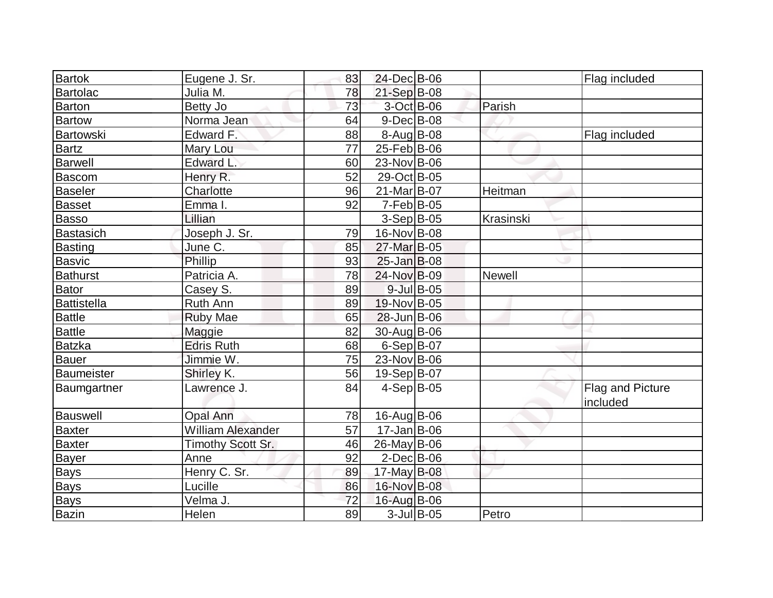| <b>Bartok</b>   | Eugene J. Sr.            | 83 | 24-Dec B-06        |               |               | Flag included                |
|-----------------|--------------------------|----|--------------------|---------------|---------------|------------------------------|
| Bartolac        | Julia M.                 | 78 | $21-Sep$ B-08      |               |               |                              |
| <b>Barton</b>   | Betty Jo                 | 73 | 3-Oct B-06         |               | Parish        |                              |
| <b>Bartow</b>   | Norma Jean               | 64 | $9$ -Dec $B$ -08   |               |               |                              |
| Bartowski       | Edward F.                | 88 | $8-Aug B-08$       |               |               | Flag included                |
| <b>Bartz</b>    | Mary Lou                 | 77 | $25$ -Feb $ B$ -06 |               |               |                              |
| <b>Barwell</b>  | <b>Edward L</b>          | 60 | 23-Nov B-06        |               |               |                              |
| Bascom          | Henry R.                 | 52 | 29-Oct B-05        |               |               |                              |
| <b>Baseler</b>  | Charlotte                | 96 | 21-Mar B-07        |               | Heitman       |                              |
| <b>Basset</b>   | Emma I.                  | 92 | $7-Feb B-05$       |               |               |                              |
| <b>Basso</b>    | Lillian                  |    | $3-Sep B-05$       |               | Krasinski     |                              |
| Bastasich       | Joseph J. Sr.            | 79 | 16-Nov B-08        |               |               |                              |
| <b>Basting</b>  | June C.                  | 85 | 27-Mar B-05        |               |               |                              |
| <b>Basvic</b>   | Phillip                  | 93 | $25$ -Jan B-08     |               |               |                              |
| <b>Bathurst</b> | Patricia A.              | 78 | 24-Nov B-09        |               | <b>Newell</b> |                              |
| Bator           | Casey S.                 | 89 |                    | 9-Jul B-05    |               |                              |
| Battistella     | Ruth Ann                 | 89 | 19-Nov B-05        |               |               |                              |
| <b>Battle</b>   | <b>Ruby Mae</b>          | 65 | $28$ -Jun $B$ -06  |               |               |                              |
| <b>Battle</b>   | Maggie                   | 82 | 30-Aug B-06        |               |               |                              |
| <b>Batzka</b>   | <b>Edris Ruth</b>        | 68 | $6-Sep B-07$       |               |               |                              |
| <b>Bauer</b>    | Jimmie W.                | 75 | 23-Nov B-06        |               |               |                              |
| Baumeister      | Shirley K.               | 56 | $19-Sep B-07$      |               |               |                              |
| Baumgartner     | Lawrence J.              | 84 | $4-Sep B-05$       |               |               | Flag and Picture<br>included |
| Bauswell        | Opal Ann                 | 78 | $16$ -Aug $B$ -06  |               |               |                              |
| <b>Baxter</b>   | <b>William Alexander</b> | 57 | 17-Jan B-06        |               |               |                              |
| <b>Baxter</b>   | Timothy Scott Sr.        | 46 | $26$ -May B-06     |               |               |                              |
| <b>Bayer</b>    | Anne                     | 92 | $2$ -Dec $B$ -06   |               |               |                              |
| <b>Bays</b>     | Henry C. Sr.             | 89 | 17-May $B-08$      |               |               |                              |
| <b>Bays</b>     | Lucille                  | 86 | 16-Nov B-08        |               |               |                              |
| <b>Bays</b>     | Velma J.                 | 72 | 16-Aug B-06        |               |               |                              |
| Bazin           | Helen                    | 89 |                    | $3$ -Jul B-05 | Petro         |                              |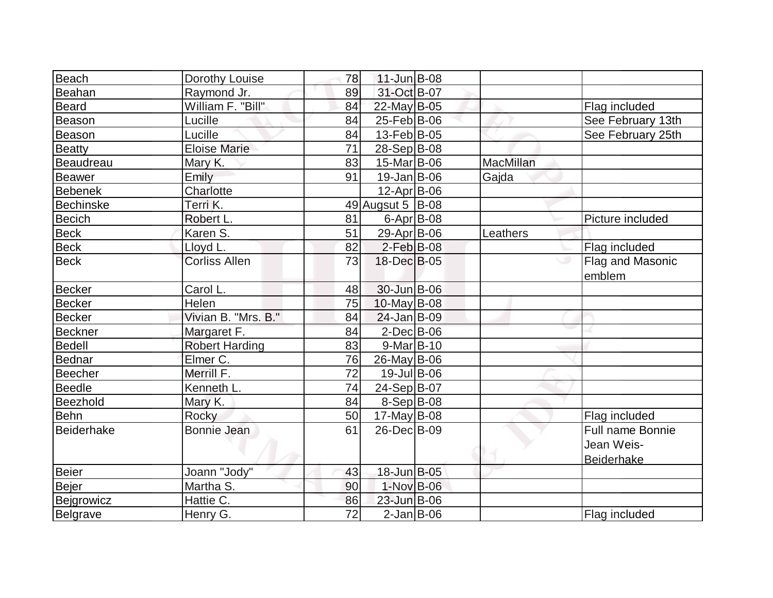| Beach             | Dorothy Louise        | 78 | $11$ -Jun $B$ -08  |                  |                                                     |
|-------------------|-----------------------|----|--------------------|------------------|-----------------------------------------------------|
| Beahan            | Raymond Jr.           | 89 | 31-Oct B-07        |                  |                                                     |
| <b>Beard</b>      | William F. "Bill"     | 84 | 22-May B-05        |                  | Flag included                                       |
| Beason            | Lucille               | 84 | 25-Feb B-06        |                  | See February 13th                                   |
| Beason            | Lucille               | 84 | $13$ -Feb $ B-05 $ |                  | See February 25th                                   |
| Beatty            | <b>Eloise Marie</b>   | 71 | 28-Sep B-08        |                  |                                                     |
| <b>Beaudreau</b>  | Mary K.               | 83 | 15-Mar B-06        | <b>MacMillan</b> |                                                     |
| <b>Beawer</b>     | Emily                 | 91 | $19$ -Jan B-06     | Gajda            |                                                     |
| <b>Bebenek</b>    | Charlotte             |    | $12$ -Apr $ B-06$  |                  |                                                     |
| <b>Bechinske</b>  | Terri K.              |    | 49 Augsut 5 B-08   |                  |                                                     |
| <b>Becich</b>     | Robert L.             | 81 | $6 - Apr$ B-08     |                  | Picture included                                    |
| <b>Beck</b>       | Karen S.              | 51 | 29-Apr B-06        | Leathers         |                                                     |
| <b>Beck</b>       | Lloyd L.              | 82 | $2$ -Feb $B$ -08   |                  | Flag included                                       |
| <b>Beck</b>       | <b>Corliss Allen</b>  | 73 | 18-Dec B-05        |                  | Flag and Masonic<br>emblem                          |
| <b>Becker</b>     | Carol L.              | 48 | $30 - Jun$ $B-06$  |                  |                                                     |
| <b>Becker</b>     | Helen                 | 75 | $10$ -May B-08     |                  |                                                     |
| <b>Becker</b>     | Vivian B. "Mrs. B."   | 84 | $24$ -Jan B-09     |                  |                                                     |
| <b>Beckner</b>    | Margaret F.           | 84 | $2$ -Dec $B$ -06   |                  |                                                     |
| <b>Bedell</b>     | <b>Robert Harding</b> | 83 | $9-Mar$ B-10       |                  |                                                     |
| Bednar            | Elmer C.              | 76 | 26-May B-06        |                  |                                                     |
| <b>Beecher</b>    | Merrill F.            | 72 | 19-Jul B-06        |                  |                                                     |
| <b>Beedle</b>     | Kenneth L.            | 74 | 24-Sep B-07        |                  |                                                     |
| Beezhold          | Mary K.               | 84 | $8-Sep B-08$       |                  |                                                     |
| <b>Behn</b>       | Rocky                 | 50 | $17$ -May B-08     |                  | Flag included                                       |
| <b>Beiderhake</b> | Bonnie Jean           | 61 | 26-Dec B-09        |                  | Full name Bonnie<br>Jean Weis-<br><b>Beiderhake</b> |
| Beier             | Joann "Jody"          | 43 | 18-Jun B-05        |                  |                                                     |
| Bejer             | Martha S.             | 90 | 1-Nov B-06         |                  |                                                     |
| Bejgrowicz        | Hattie C.             | 86 | 23-Jun B-06        |                  |                                                     |
| Belgrave          | Henry G.              | 72 | $2$ -Jan B-06      |                  | Flag included                                       |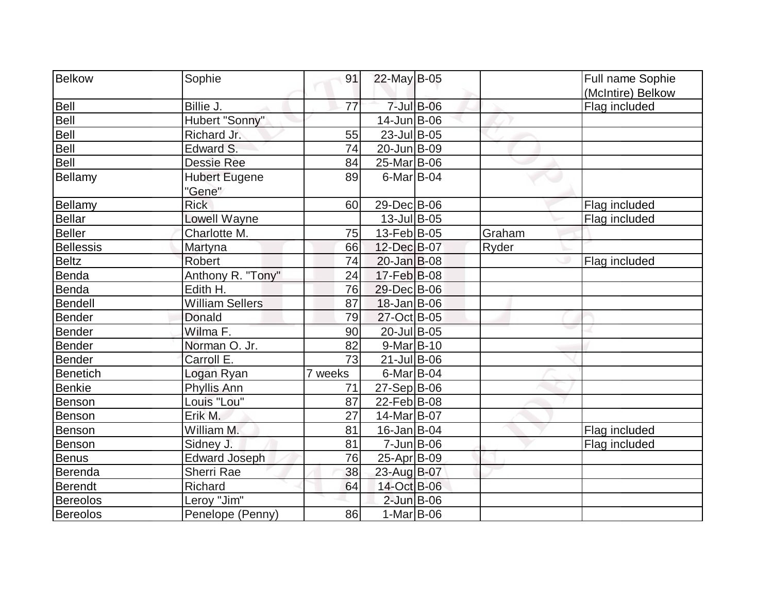| Belkow           | Sophie                 | 91      | $22$ -May B-05     |            |        | Full name Sophie  |
|------------------|------------------------|---------|--------------------|------------|--------|-------------------|
|                  |                        |         |                    |            |        | (McIntire) Belkow |
| Bell             | Billie J.              | 77      |                    | 7-Jul B-06 |        | Flag included     |
| Bell             | Hubert "Sonny"         |         | $14$ -Jun $B$ -06  |            |        |                   |
| Bell             | Richard Jr.            | 55      | 23-Jul B-05        |            |        |                   |
| Bell             | Edward S.              | 74      | 20-JunB-09         |            |        |                   |
| Bell             | Dessie Ree             | 84      | 25-Mar B-06        |            |        |                   |
| Bellamy          | <b>Hubert Eugene</b>   | 89      | $6$ -Mar $ B$ -04  |            |        |                   |
|                  | "Gene"                 |         |                    |            |        |                   |
| Bellamy          | <b>Rick</b>            | 60      | 29-Dec B-06        |            |        | Flag included     |
| <b>Bellar</b>    | Lowell Wayne           |         | $13$ -Jul B-05     |            |        | Flag included     |
| <b>Beller</b>    | Charlotte M.           | 75      | 13-Feb B-05        |            | Graham |                   |
| <b>Bellessis</b> | Martyna                | 66      | 12-Dec B-07        |            | Ryder  |                   |
| <b>Beltz</b>     | <b>Robert</b>          | 74      | $20$ -Jan $B$ -08  |            |        | Flag included     |
| Benda            | Anthony R. "Tony"      | 24      | 17-Feb B-08        |            |        |                   |
| <b>Benda</b>     | Edith H.               | 76      | 29-Dec B-06        |            |        |                   |
| <b>Bendell</b>   | <b>William Sellers</b> | 87      | $18$ -Jan $ B$ -06 |            |        |                   |
| <b>Bender</b>    | <b>Donald</b>          | 79      | 27-Oct B-05        |            |        |                   |
| <b>Bender</b>    | Wilma F.               | 90      | 20-Jul B-05        |            |        |                   |
| <b>Bender</b>    | Norman O. Jr.          | 82      | $9-Mar$ B-10       |            |        |                   |
| <b>Bender</b>    | Carroll E.             | 73      | $21$ -Jul B-06     |            |        |                   |
| <b>Benetich</b>  | Logan Ryan             | 7 weeks | $6$ -Mar $ B$ -04  |            |        |                   |
| <b>Benkie</b>    | Phyllis Ann            | 71      | $27-Sep B-06$      |            |        |                   |
| Benson           | Louis "Lou"            | 87      | 22-Feb B-08        |            |        |                   |
| Benson           | Erik M.                | 27      | 14-Mar B-07        |            |        |                   |
| Benson           | William M.             | 81      | $16$ -Jan $ B$ -04 |            |        | Flag included     |
| <b>Benson</b>    | Sidney J.              | 81      | $7$ -Jun $ B$ -06  |            |        | Flag included     |
| <b>Benus</b>     | Edward Joseph          | 76      | 25-Apr B-09        |            |        |                   |
| Berenda          | Sherri Rae             | 38      | 23-Aug B-07        |            |        |                   |
| Berendt          | Richard                | 64      | 14-Oct B-06        |            |        |                   |
| <b>Bereolos</b>  | Leroy "Jim"            |         | $2$ -Jun $B$ -06   |            |        |                   |
| <b>Bereolos</b>  | Penelope (Penny)       | 86      | $1-Mar$ B-06       |            |        |                   |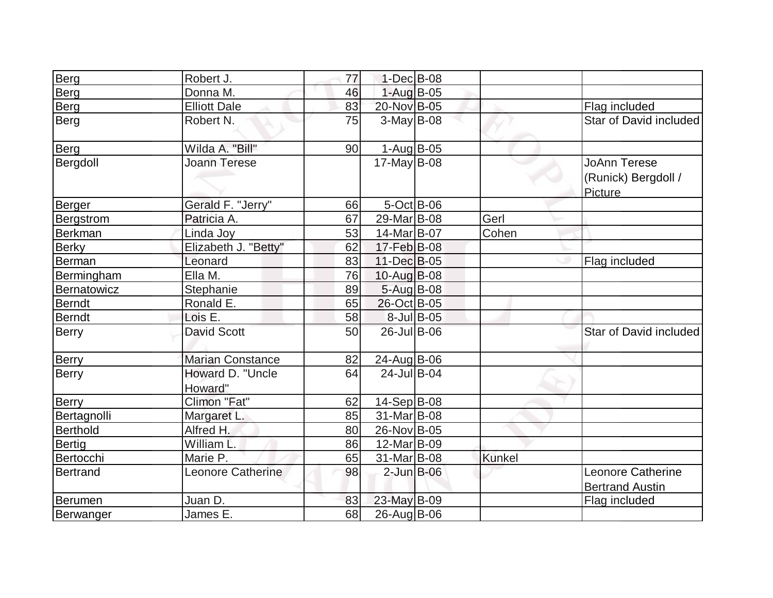| Berg             | Robert J.                   | 77 | 1-Dec B-08       |            |        |                                                       |
|------------------|-----------------------------|----|------------------|------------|--------|-------------------------------------------------------|
| <b>Berg</b>      | Donna M.                    | 46 | $1-Aug$ B-05     |            |        |                                                       |
| Berg             | <b>Elliott Dale</b>         | 83 | 20-Nov B-05      |            |        | Flag included                                         |
| Berg             | Robert N.                   | 75 | $3-May B-08$     |            |        | Star of David included                                |
| Berg             | Wilda A. "Bill"             | 90 | $1-Aug$ B-05     |            |        |                                                       |
| Bergdoll         | <b>Joann Terese</b>         |    | $17$ -May B-08   |            |        | <b>JoAnn Terese</b><br>(Runick) Bergdoll /<br>Picture |
| Berger           | Gerald F. "Jerry"           | 66 | $5$ -Oct B-06    |            |        |                                                       |
| <b>Bergstrom</b> | Patricia A.                 | 67 | 29-Mar B-08      |            | Gerl   |                                                       |
| Berkman          | Linda Joy                   | 53 | 14-Mar B-07      |            | Cohen  |                                                       |
| <b>Berky</b>     | Elizabeth J. "Betty"        | 62 | 17-Feb B-08      |            |        |                                                       |
| Berman           | Leonard                     | 83 | 11-Dec B-05      |            |        | Flag included                                         |
| Bermingham       | Ella M.                     | 76 | 10-Aug B-08      |            |        |                                                       |
| Bernatowicz      | Stephanie                   | 89 | $5 - Aug$ B-08   |            |        |                                                       |
| Berndt           | Ronald E.                   | 65 | 26-Oct B-05      |            |        |                                                       |
| Berndt           | Lois E.                     | 58 |                  | 8-Jul B-05 |        |                                                       |
| <b>Berry</b>     | <b>David Scott</b>          | 50 | 26-Jul B-06      |            |        | Star of David included                                |
| <b>Berry</b>     | <b>Marian Constance</b>     | 82 | 24-Aug B-06      |            |        |                                                       |
| Berry            | Howard D. "Uncle<br>Howard" | 64 | $24$ -Jul B-04   |            |        |                                                       |
| <b>Berry</b>     | Climon "Fat"                | 62 | 14-Sep B-08      |            |        |                                                       |
| Bertagnolli      | Margaret L.                 | 85 | 31-Mar B-08      |            |        |                                                       |
| Berthold         | Alfred H.                   | 80 | 26-Nov B-05      |            |        |                                                       |
| Bertig           | William L.                  | 86 | 12-Mar B-09      |            |        |                                                       |
| Bertocchi        | Marie P.                    | 65 | 31-Mar B-08      |            | Kunkel |                                                       |
| Bertrand         | <b>Leonore Catherine</b>    | 98 | $2$ -Jun $B$ -06 |            |        | <b>Leonore Catherine</b><br><b>Bertrand Austin</b>    |
| Berumen          | Juan D.                     | 83 | 23-May B-09      |            |        | Flag included                                         |
| Berwanger        | James E.                    | 68 | 26-Aug B-06      |            |        |                                                       |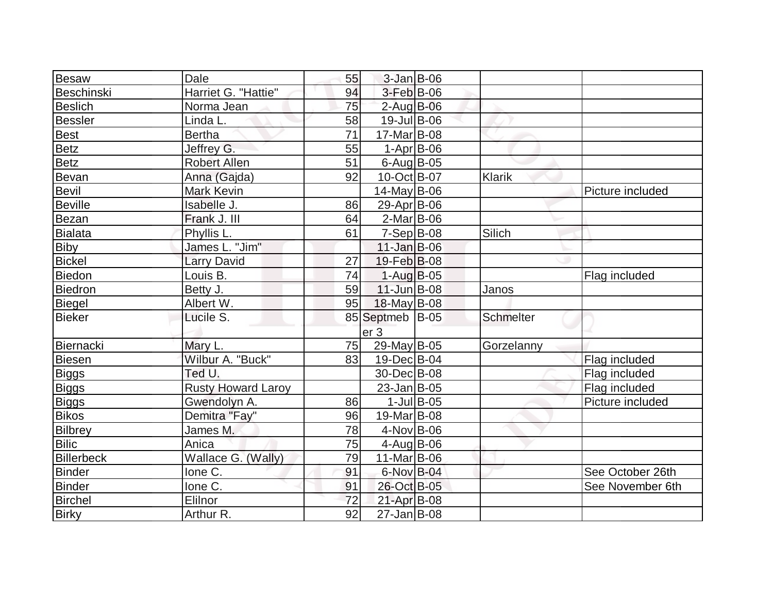| Besaw          | Dale                      | 55 | 3-Jan B-06                |               |               |                  |
|----------------|---------------------------|----|---------------------------|---------------|---------------|------------------|
| Beschinski     | Harriet G. "Hattie"       | 94 | $3-Feb$ B-06              |               |               |                  |
| <b>Beslich</b> | Norma Jean                | 75 | $2$ -Aug B-06             |               |               |                  |
| Bessler        | Linda L.                  | 58 | $19$ -Jul B-06            |               |               |                  |
| Best           | <b>Bertha</b>             | 71 | 17-Mar B-08               |               |               |                  |
| <b>Betz</b>    | Jeffrey G.                | 55 | $1-Apr$ B-06              |               |               |                  |
| Betz           | <b>Robert Allen</b>       | 51 | $6$ -Aug B-05             |               |               |                  |
| Bevan          | Anna (Gajda)              | 92 | $10$ -Oct B-07            |               | <b>Klarik</b> |                  |
| Bevil          | <b>Mark Kevin</b>         |    | $14$ -May B-06            |               |               | Picture included |
| <b>Beville</b> | Isabelle J.               | 86 | 29-Apr $ B-06 $           |               |               |                  |
| Bezan          | Frank J. III              | 64 | $2$ -Mar $ B-06$          |               |               |                  |
| Bialata        | Phyllis L.                | 61 | $7-Sep$ B-08              |               | Silich        |                  |
| Biby           | James L. "Jim"            |    | $11$ -Jan $B$ -06         |               |               |                  |
| <b>Bickel</b>  | <b>Larry David</b>        | 27 | $19$ -Feb $ B$ -08        |               |               |                  |
| Biedon         | Louis B.                  | 74 | $1-Auq$ B-05              |               |               | Flag included    |
| Biedron        | Betty J.                  | 59 | $11$ -Jun $B$ -08         |               | Janos         |                  |
| <b>Biegel</b>  | Albert W.                 | 95 | 18-May B-08               |               |               |                  |
| Bieker         | Lucile S.                 |    | 85 Septmeb B-05           |               | Schmelter     |                  |
|                |                           |    | er <sub>3</sub>           |               |               |                  |
| Biernacki      | Mary L.                   | 75 | $29$ -May B-05            |               | Gorzelanny    |                  |
| Biesen         | Wilbur A. "Buck"          | 83 | 19-Dec B-04               |               |               | Flag included    |
| Biggs          | Ted U.                    |    | 30-Dec B-08               |               |               | Flag included    |
| Biggs          | <b>Rusty Howard Laroy</b> |    | $23$ -Jan $ B-05$         |               |               | Flag included    |
| <b>Biggs</b>   | Gwendolyn A.              | 86 |                           | $1$ -Jul B-05 |               | Picture included |
| <b>Bikos</b>   | Demitra "Fay"             | 96 | 19-Mar B-08               |               |               |                  |
| Bilbrey        | James M.                  | 78 | $4$ -Nov B-06             |               |               |                  |
| <b>Bilic</b>   | Anica                     | 75 | $4$ -Aug $B$ -06          |               |               |                  |
| Billerbeck     | Wallace G. (Wally)        | 79 | $11$ -Mar $ B-06 $        |               |               |                  |
| Binder         | Ione C.                   | 91 | 6-Nov B-04                |               |               | See October 26th |
| <b>Binder</b>  | Ione C.                   | 91 | 26-Oct B-05               |               |               | See November 6th |
| <b>Birchel</b> | Elilnor                   | 72 | 21-Apr B-08               |               |               |                  |
| <b>Birky</b>   | Arthur R.                 | 92 | $\overline{27}$ -Jan B-08 |               |               |                  |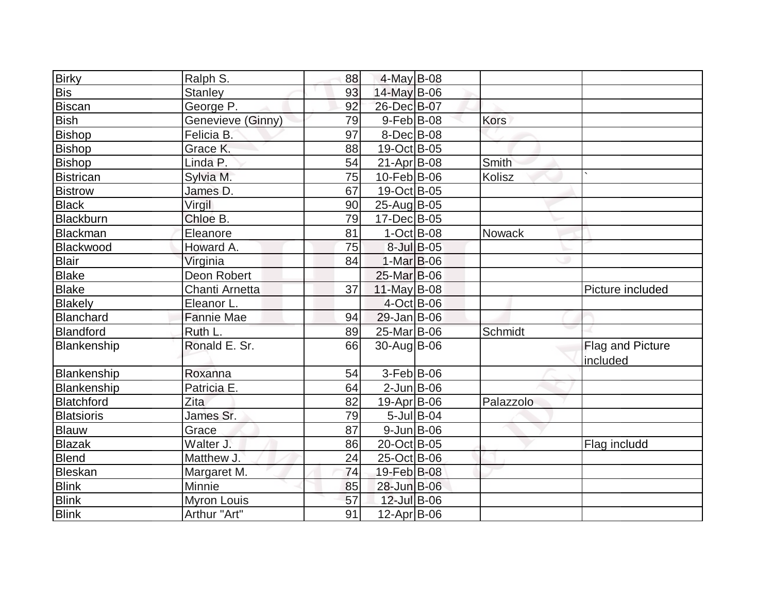| <b>Birky</b>      | Ralph S.           | 88 | 4-May B-08        |               |               |                                     |
|-------------------|--------------------|----|-------------------|---------------|---------------|-------------------------------------|
| <b>Bis</b>        | <b>Stanley</b>     | 93 | $14$ -May B-06    |               |               |                                     |
| Biscan            | George P.          | 92 | 26-Dec B-07       |               |               |                                     |
| <b>Bish</b>       | Genevieve (Ginny)  | 79 | $9$ -Feb $ B$ -08 |               | <b>Kors</b>   |                                     |
| Bishop            | Felicia B.         | 97 | $8$ -Dec $B$ -08  |               |               |                                     |
| <b>Bishop</b>     | Grace K.           | 88 | 19-Oct B-05       |               |               |                                     |
| Bishop            | Linda P.           | 54 | $21-Apr B-08$     |               | Smith         |                                     |
| Bistrican         | Sylvia M.          | 75 | $10$ -Feb $ B-06$ |               | Kolisz        |                                     |
| <b>Bistrow</b>    | James D.           | 67 | 19-Oct B-05       |               |               |                                     |
| <b>Black</b>      | Virgil             | 90 | 25-Aug B-05       |               |               |                                     |
| Blackburn         | Chloe B.           | 79 | 17-Dec B-05       |               |               |                                     |
| <b>Blackman</b>   | Eleanore           | 81 | $1-Oct$ B-08      |               | <b>Nowack</b> |                                     |
| Blackwood         | Howard A.          | 75 |                   | 8-Jul B-05    |               |                                     |
| Blair             | Virginia           | 84 | $1-Mar$ B-06      |               |               |                                     |
| <b>Blake</b>      | Deon Robert        |    | 25-Mar B-06       |               |               |                                     |
| <b>Blake</b>      | Chanti Arnetta     | 37 | 11-May $B-08$     |               |               | Picture included                    |
| Blakely           | Eleanor L.         |    | 4-Oct B-06        |               |               |                                     |
| Blanchard         | <b>Fannie Mae</b>  | 94 | $29$ -Jan B-06    |               |               |                                     |
| Blandford         | Ruth L.            | 89 | 25-Mar B-06       |               | Schmidt       |                                     |
| Blankenship       | Ronald E. Sr.      | 66 | 30-Aug B-06       |               |               | <b>Flag and Picture</b><br>included |
| Blankenship       | Roxanna            | 54 | 3-Feb B-06        |               |               |                                     |
| Blankenship       | Patricia E.        | 64 | $2$ -Jun $ B-06$  |               |               |                                     |
| Blatchford        | <b>Zita</b>        | 82 | 19-Apr B-06       |               | Palazzolo     |                                     |
| <b>Blatsioris</b> | James Sr.          | 79 |                   | $5$ -Jul B-04 |               |                                     |
| Blauw             | Grace              | 87 | $9$ -Jun $B$ -06  |               |               |                                     |
| Blazak            | Walter J.          | 86 | 20-Oct B-05       |               |               | Flag includd                        |
| <b>Blend</b>      | Matthew J.         | 24 | 25-Oct B-06       |               |               |                                     |
| Bleskan           | Margaret M.        | 74 | 19-Feb B-08       |               |               |                                     |
| <b>Blink</b>      | Minnie             | 85 | 28-Jun B-06       |               |               |                                     |
| <b>Blink</b>      | <b>Myron Louis</b> | 57 | 12-Jul B-06       |               |               |                                     |
| <b>Blink</b>      | Arthur "Art"       | 91 | $12-Apr$ B-06     |               |               |                                     |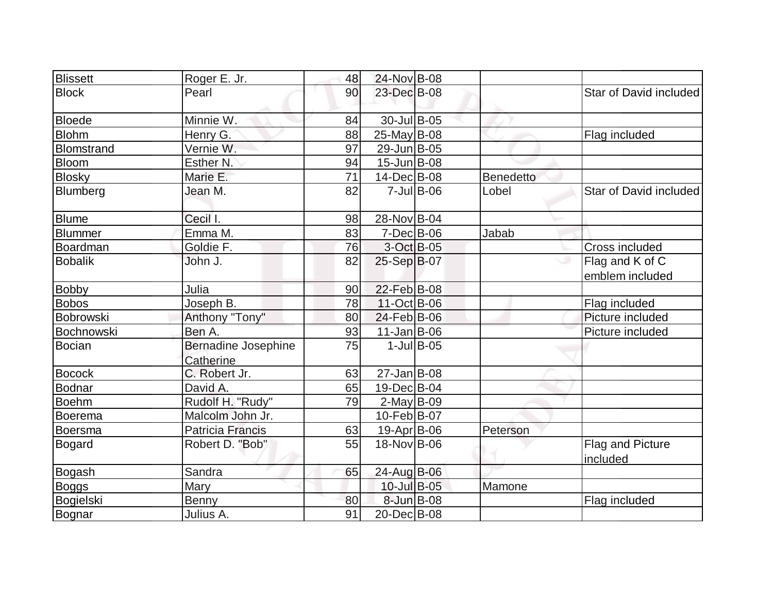| <b>Blissett</b>   | Roger E. Jr.        | 48 | 24-Nov B-08        |                  |                  |                              |
|-------------------|---------------------|----|--------------------|------------------|------------------|------------------------------|
| <b>Block</b>      | Pearl               | 90 | 23-Dec B-08        |                  |                  | Star of David included       |
| Bloede            | Minnie W.           | 84 | 30-Jul B-05        |                  |                  |                              |
| <b>Blohm</b>      | Henry G.            | 88 | 25-May B-08        |                  |                  | Flag included                |
| <b>Blomstrand</b> | Vernie W.           | 97 | 29-Jun B-05        |                  |                  |                              |
| Bloom             | Esther N.           | 94 | $15$ -Jun $B$ -08  |                  |                  |                              |
| Blosky            | Marie E.            | 71 | 14-Dec B-08        |                  | <b>Benedetto</b> |                              |
| Blumberg          | Jean M.             | 82 |                    | $7$ -Jul B-06    | Lobel            | Star of David included       |
| <b>Blume</b>      | Cecil I.            | 98 | 28-Nov B-04        |                  |                  |                              |
| <b>Blummer</b>    | Emma M.             | 83 | $7 - Dec$ B-06     |                  | Jabab            |                              |
| Boardman          | Goldie F.           | 76 |                    | $3-Oct$ $B-05$   |                  | <b>Cross included</b>        |
| <b>Bobalik</b>    | John J.             | 82 | 25-Sep B-07        |                  |                  | Flag and K of C              |
|                   |                     |    |                    |                  |                  | emblem included              |
| <b>Bobby</b>      | Julia               | 90 | 22-Feb B-08        |                  |                  |                              |
| Bobos             | Joseph B.           | 78 | $11-Oct$ B-06      |                  |                  | Flag included                |
| Bobrowski         | Anthony "Tony"      | 80 | $24$ -Feb $ B-06 $ |                  |                  | Picture included             |
| Bochnowski        | Ben A.              | 93 | $11$ -Jan $B$ -06  |                  |                  | Picture included             |
| Bocian            | Bernadine Josephine | 75 |                    | $1$ -Jul $B$ -05 |                  |                              |
|                   | Catherine           |    |                    |                  |                  |                              |
| <b>Bocock</b>     | C. Robert Jr.       | 63 | $27$ -Jan $ B-08 $ |                  |                  |                              |
| Bodnar            | David A.            | 65 | 19-Dec B-04        |                  |                  |                              |
| <b>Boehm</b>      | Rudolf H. "Rudy"    | 79 | $2$ -May B-09      |                  |                  |                              |
| Boerema           | Malcolm John Jr.    |    | $10$ -Feb $ B-07$  |                  |                  |                              |
| Boersma           | Patricia Francis    | 63 | $19-Apr$ B-06      |                  | Peterson         |                              |
| Bogard            | Robert D. "Bob"     | 55 | 18-Nov B-06        |                  |                  | Flag and Picture<br>included |
| <b>Bogash</b>     | Sandra              | 65 | 24-Aug B-06        |                  |                  |                              |
| <b>Boggs</b>      | Mary                |    | 10-Jul B-05        |                  | Mamone           |                              |
| Bogielski         | Benny               | 80 | 8-Jun B-08         |                  |                  | Flag included                |
| Bognar            | Julius A.           | 91 | 20-Dec B-08        |                  |                  |                              |
|                   |                     |    |                    |                  |                  |                              |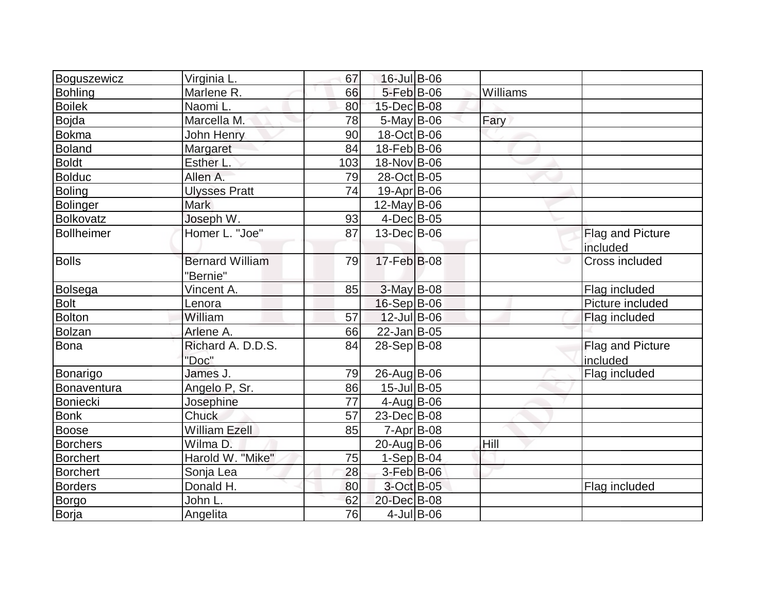| Boguszewicz       | Virginia L.                        | 67  | 16-Jul B-06        |               |          |                                     |
|-------------------|------------------------------------|-----|--------------------|---------------|----------|-------------------------------------|
| <b>Bohling</b>    | Marlene R.                         | 66  | 5-Feb B-06         |               | Williams |                                     |
| <b>Boilek</b>     | Naomi L.                           | 80  | 15-Dec B-08        |               |          |                                     |
| <b>Bojda</b>      | Marcella M.                        | 78  | $5$ -May B-06      |               | Fary     |                                     |
| <b>Bokma</b>      | John Henry                         | 90  | 18-Oct B-06        |               |          |                                     |
| <b>Boland</b>     | Margaret                           | 84  | 18-Feb B-06        |               |          |                                     |
| <b>Boldt</b>      | Esther L.                          | 103 | 18-Nov B-06        |               |          |                                     |
| <b>Bolduc</b>     | Allen A.                           | 79  | 28-Oct B-05        |               |          |                                     |
| <b>Boling</b>     | <b>Ulysses Pratt</b>               | 74  | 19-Apr B-06        |               |          |                                     |
| <b>Bolinger</b>   | Mark                               |     | $12$ -May B-06     |               |          |                                     |
| Bolkovatz         | Joseph W.                          | 93  | $4$ -Dec $B$ -05   |               |          |                                     |
| <b>Bollheimer</b> | Homer L. "Joe"                     | 87  | 13-Dec B-06        |               |          | Flag and Picture<br>included        |
| <b>Bolls</b>      | <b>Bernard William</b><br>"Bernie" | 79  | $17$ -Feb $ B$ -08 |               |          | Cross included                      |
| <b>Bolsega</b>    | Vincent A.                         | 85  | 3-May B-08         |               |          | Flag included                       |
| <b>Bolt</b>       | Lenora                             |     | 16-Sep B-06        |               |          | Picture included                    |
| <b>Bolton</b>     | William                            | 57  | 12-Jul B-06        |               |          | Flag included                       |
| Bolzan            | Arlene A.                          | 66  | $22$ -Jan B-05     |               |          |                                     |
| Bona              | Richard A. D.D.S.<br>"Doc"         | 84  | 28-Sep B-08        |               |          | <b>Flag and Picture</b><br>included |
| Bonarigo          | James J.                           | 79  | 26-Aug B-06        |               |          | Flag included                       |
| Bonaventura       | Angelo P, Sr.                      | 86  | $15$ -Jul B-05     |               |          |                                     |
| <b>Boniecki</b>   | Josephine                          | 77  | $4$ -Aug B-06      |               |          |                                     |
| Bonk              | Chuck                              | 57  | 23-Dec B-08        |               |          |                                     |
| <b>Boose</b>      | <b>William Ezell</b>               | 85  | 7-Apr B-08         |               |          |                                     |
| <b>Borchers</b>   | Wilma D.                           |     | 20-Aug B-06        |               | Hill     |                                     |
| <b>Borchert</b>   | Harold W. "Mike"                   | 75  | $1-Sep$ B-04       |               |          |                                     |
| <b>Borchert</b>   | Sonja Lea                          | 28  | 3-Feb B-06         |               |          |                                     |
| Borders           | Donald H.                          | 80  | 3-Oct B-05         |               |          | Flag included                       |
| Borgo             | John L.                            | 62  | 20-Dec B-08        |               |          |                                     |
| Borja             | Angelita                           | 76  |                    | $4$ -Jul B-06 |          |                                     |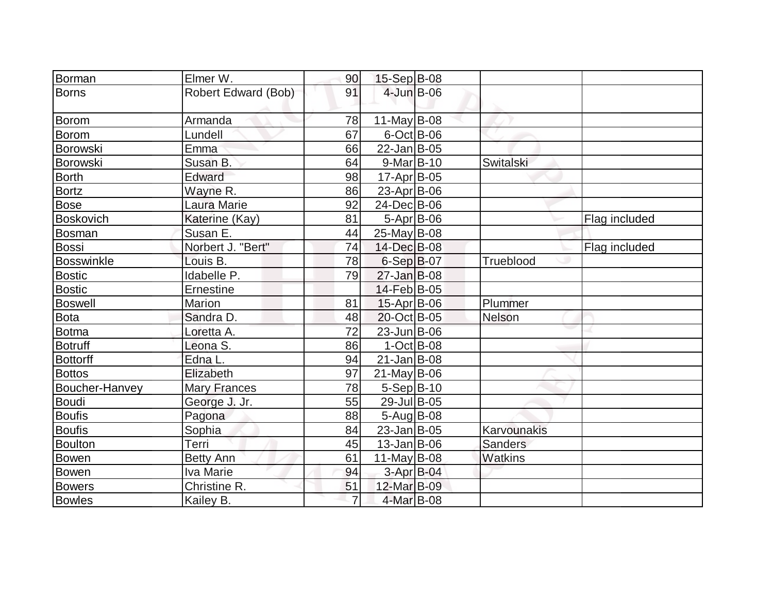| Borman           | Elmer W.            | 90             | $15-Sep$ B-08      |                |               |
|------------------|---------------------|----------------|--------------------|----------------|---------------|
| Borns            | Robert Edward (Bob) | 91             | $4$ -Jun $B$ -06   |                |               |
| Borom            | Armanda             | 78             | 11-May $B$ -08     |                |               |
| Borom            | Lundell             | 67             | $6$ -Oct $B$ -06   |                |               |
| Borowski         | Emma <sup>®</sup>   | 66             | $22$ -Jan B-05     |                |               |
| Borowski         | Susan B.            | 64             | $9$ -Mar $B$ -10   | Switalski      |               |
| <b>Borth</b>     | Edward              | 98             | $17$ -Apr $ B-05 $ |                |               |
| <b>Bortz</b>     | Wayne R.            | 86             | $23$ -Apr $ B-06$  |                |               |
| <b>Bose</b>      | Laura Marie         | 92             | 24-Dec B-06        |                |               |
| <b>Boskovich</b> | Katerine (Kay)      | 81             | $5-Apr$ B-06       |                | Flag included |
| Bosman           | Susan E.            | 44             | $25$ -May B-08     |                |               |
| Bossi            | Norbert J. "Bert"   | 74             | 14-Dec B-08        |                | Flag included |
| Bosswinkle       | Louis B.            | 78             | $6-Sep B-07$       | Trueblood      |               |
| <b>Bostic</b>    | Idabelle P.         | 79             | $27$ -Jan B-08     |                |               |
| <b>Bostic</b>    | Ernestine           |                | 14-Feb B-05        |                |               |
| Boswell          | <b>Marion</b>       | 81             | $15-Apr$ B-06      | Plummer        |               |
| Bota             | Sandra D.           | 48             | 20-Oct B-05        | Nelson         |               |
| Botma            | Loretta A.          | 72             | 23-Jun B-06        |                |               |
| <b>Botruff</b>   | Leona S.            | 86             | $1-Oct$ B-08       |                |               |
| <b>Bottorff</b>  | Edna L.             | 94             | $21$ -Jan $ B-08 $ |                |               |
| <b>Bottos</b>    | Elizabeth           | 97             | $21$ -May B-06     |                |               |
| Boucher-Hanvey   | <b>Mary Frances</b> | 78             | $5-Sep B-10$       |                |               |
| Boudi            | George J. Jr.       | 55             | 29-Jul B-05        |                |               |
| <b>Boufis</b>    | Pagona              | 88             | $5 - Aug$ B-08     |                |               |
| <b>Boufis</b>    | Sophia              | 84             | $23$ -Jan $ B-05 $ | Karvounakis    |               |
| Boulton          | Terri               | 45             | $13$ -Jan $ B$ -06 | <b>Sanders</b> |               |
| <b>Bowen</b>     | <b>Betty Ann</b>    | 61             | 11-May $B$ -08     | Watkins        |               |
| Bowen            | Iva Marie           | 94             | 3-Apr B-04         |                |               |
| <b>Bowers</b>    | Christine R.        | 51             | 12-Mar B-09        |                |               |
| <b>Bowles</b>    | Kailey B.           | $\overline{7}$ | 4-Mar B-08         |                |               |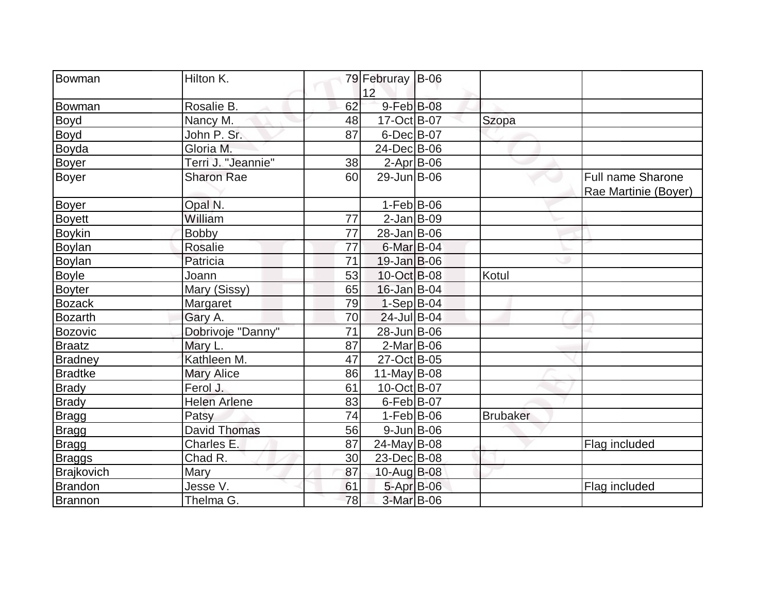| Bowman            | Hilton K.           |    | 79 Februray B-06   |                 |                          |
|-------------------|---------------------|----|--------------------|-----------------|--------------------------|
|                   |                     |    | 12                 |                 |                          |
| Bowman            | Rosalie B.          | 62 | $9$ -Feb $ B$ -08  |                 |                          |
| Boyd              | Nancy M.            | 48 | $17-Oct$ B-07      | Szopa           |                          |
| Boyd              | John P. Sr.         | 87 | $6$ -Dec $B$ -07   |                 |                          |
| Boyda             | Gloria M.           |    | 24-Dec B-06        |                 |                          |
| <b>Boyer</b>      | Terri J. "Jeannie"  | 38 | $2$ -Apr $B$ -06   |                 |                          |
| Boyer             | <b>Sharon Rae</b>   | 60 | 29-Jun B-06        |                 | <b>Full name Sharone</b> |
|                   |                     |    |                    |                 | Rae Martinie (Boyer)     |
| <b>Boyer</b>      | Opal N.             |    | $1-Feb B-06$       |                 |                          |
| <b>Boyett</b>     | William             | 77 | $2-Jan$ $B-09$     |                 |                          |
| <b>Boykin</b>     | <b>Bobby</b>        | 77 | 28-Jan B-06        |                 |                          |
| Boylan            | <b>Rosalie</b>      | 77 | $6$ -Mar $ B$ -04  |                 |                          |
| Boylan            | Patricia            | 71 | $19$ -Jan B-06     |                 |                          |
| <b>Boyle</b>      | Joann               | 53 | $10$ -Oct B-08     | Kotul           |                          |
| <b>Boyter</b>     | Mary (Sissy)        | 65 | $16$ -Jan $ B$ -04 |                 |                          |
| <b>Bozack</b>     | Margaret            | 79 | $1-Sep$ B-04       |                 |                          |
| <b>Bozarth</b>    | Gary A.             | 70 | 24-Jul B-04        |                 |                          |
| <b>Bozovic</b>    | Dobrivoje "Danny"   | 71 | 28-Jun B-06        |                 |                          |
| <b>Braatz</b>     | Mary L.             | 87 | $2$ -Mar $B$ -06   |                 |                          |
| <b>Bradney</b>    | Kathleen M.         | 47 | 27-Oct B-05        |                 |                          |
| <b>Bradtke</b>    | <b>Mary Alice</b>   | 86 | $11$ -May B-08     |                 |                          |
| <b>Brady</b>      | Ferol J.            | 61 | 10-Oct B-07        |                 |                          |
| <b>Brady</b>      | <b>Helen Arlene</b> | 83 | $6$ -Feb $B$ -07   |                 |                          |
| <b>Bragg</b>      | Patsy               | 74 | $1-Feb B-06$       | <b>Brubaker</b> |                          |
| Bragg             | <b>David Thomas</b> | 56 | $9$ -Jun $B$ -06   |                 |                          |
| Bragg             | Charles E.          | 87 | $24$ -May B-08     |                 | Flag included            |
| <b>Braggs</b>     | Chad R.             | 30 | 23-Dec B-08        |                 |                          |
| <b>Brajkovich</b> | Mary                | 87 | 10-Aug B-08        |                 |                          |
| <b>Brandon</b>    | Jesse V.            | 61 | 5-Apr B-06         |                 | Flag included            |
| <b>Brannon</b>    | Thelma G.           | 78 | 3-Mar B-06         |                 |                          |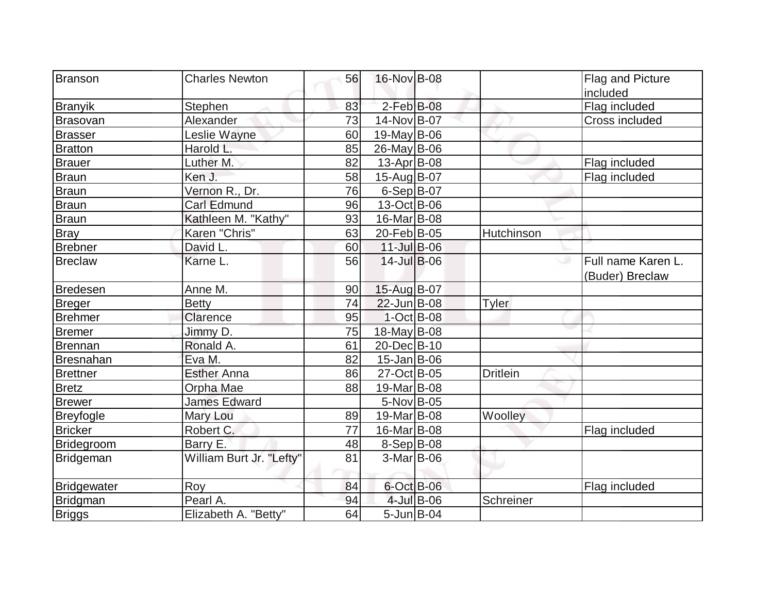| Branson          | <b>Charles Newton</b>    | 56 | 16-Nov B-08               |            |                 | Flag and Picture   |
|------------------|--------------------------|----|---------------------------|------------|-----------------|--------------------|
|                  |                          |    |                           |            |                 | included           |
| Branyik          | Stephen                  | 83 | $2$ -Feb $B$ -08          |            |                 | Flag included      |
| Brasovan         | Alexander                | 73 | 14-Nov B-07               |            |                 | Cross included     |
| <b>Brasser</b>   | Leslie Wayne             | 60 | $19$ -May B-06            |            |                 |                    |
| <b>Bratton</b>   | Harold L.                | 85 | $26$ -May B-06            |            |                 |                    |
| Brauer           | Luther M.                | 82 | $13$ -Apr $ B$ -08        |            |                 | Flag included      |
| Braun            | Ken J.                   | 58 | 15-Aug B-07               |            |                 | Flag included      |
| <b>Braun</b>     | Vernon R., Dr.           | 76 | $6-Sep B-07$              |            |                 |                    |
| Braun            | Carl Edmund              | 96 | 13-Oct B-06               |            |                 |                    |
| <b>Braun</b>     | Kathleen M. "Kathy"      | 93 | 16-Mar B-08               |            |                 |                    |
| <b>Bray</b>      | Karen "Chris"            | 63 | 20-Feb B-05               |            | Hutchinson      |                    |
| <b>Brebner</b>   | David L.                 | 60 | $11$ -JulB-06             |            |                 |                    |
| <b>Breclaw</b>   | Karne L.                 | 56 | $14$ -Jul B-06            |            |                 | Full name Karen L. |
|                  |                          |    |                           |            |                 | (Buder) Breclaw    |
| Bredesen         | Anne M.                  | 90 | 15-Aug B-07               |            |                 |                    |
| <b>Breger</b>    | <b>Betty</b>             | 74 | 22-Jun B-08               |            | <b>Tyler</b>    |                    |
| Brehmer          | Clarence                 | 95 | $1$ -Oct B-08             |            |                 |                    |
| Bremer           | Jimmy D.                 | 75 | 18-May B-08               |            |                 |                    |
| Brennan          | Ronald A.                | 61 | 20-Dec B-10               |            |                 |                    |
| Bresnahan        | Eva M.                   | 82 | $15$ -Jan $ B$ -06        |            |                 |                    |
| <b>Brettner</b>  | <b>Esther Anna</b>       | 86 | $\overline{2}$ 7-Oct B-05 |            | <b>Dritlein</b> |                    |
| <b>Bretz</b>     | Orpha Mae                | 88 | 19-Mar B-08               |            |                 |                    |
| <b>Brewer</b>    | <b>James Edward</b>      |    | 5-Nov B-05                |            |                 |                    |
| <b>Breyfogle</b> | <b>Mary Lou</b>          | 89 | 19-Mar B-08               |            | Woolley         |                    |
| <b>Bricker</b>   | Robert C.                | 77 | 16-Mar B-08               |            |                 | Flag included      |
| Bridegroom       | Barry E.                 | 48 | $8-Sep B-08$              |            |                 |                    |
| <b>Bridgeman</b> | William Burt Jr. "Lefty" | 81 | $3-Mar$ B-06              |            |                 |                    |
|                  |                          |    |                           |            |                 |                    |
| Bridgewater      | Roy                      | 84 | $6$ -Oct B-06             |            |                 | Flag included      |
| Bridgman         | Pearl A.                 | 94 |                           | 4-Jul B-06 | Schreiner       |                    |
| <b>Briggs</b>    | Elizabeth A. "Betty"     | 64 | $5 - Jun$ $B - 04$        |            |                 |                    |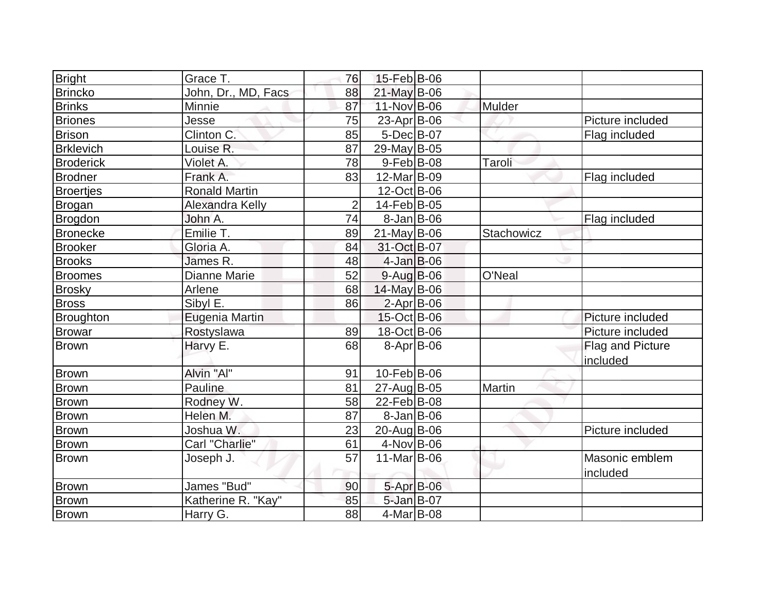| Bright           | Grace T.             | 76             | 15-Feb B-06        |            |                  |
|------------------|----------------------|----------------|--------------------|------------|------------------|
| <b>Brincko</b>   | John, Dr., MD, Facs  | 88             | 21-May B-06        |            |                  |
| <b>Brinks</b>    | Minnie               | 87             | 11-Nov B-06        | Mulder     |                  |
| <b>Briones</b>   | Jesse                | 75             | 23-Apr B-06        |            | Picture included |
| <b>Brison</b>    | Clinton C.           | 85             | 5-Dec B-07         |            | Flag included    |
| <b>Brklevich</b> | Louise R.            | 87             | 29-May B-05        |            |                  |
| <b>Broderick</b> | Violet A.            | 78             | $9$ -Feb $ B$ -08  | Taroli     |                  |
| <b>Brodner</b>   | Frank A.             | 83             | $12$ -Mar $ B-09 $ |            | Flag included    |
| <b>Broertjes</b> | <b>Ronald Martin</b> |                | 12-Oct B-06        |            |                  |
| <b>Brogan</b>    | Alexandra Kelly      | $\overline{2}$ | 14-Feb B-05        |            |                  |
| <b>Brogdon</b>   | John A.              | 74             | $8-Jan$ $B-06$     |            | Flag included    |
| <b>Bronecke</b>  | Emilie T.            | 89             | $21$ -May B-06     | Stachowicz |                  |
| <b>Brooker</b>   | Gloria A.            | 84             | 31-Oct B-07        |            |                  |
| <b>Brooks</b>    | James R.             | 48             | $4$ -Jan $B$ -06   |            |                  |
| <b>Broomes</b>   | <b>Dianne Marie</b>  | 52             | 9-Aug B-06         | O'Neal     |                  |
| <b>Brosky</b>    | Arlene               | 68             | 14-May B-06        |            |                  |
| <b>Bross</b>     | Sibyl E.             | 86             | $2$ -Apr $B$ -06   |            |                  |
| Broughton        | Eugenia Martin       |                | 15-Oct B-06        |            | Picture included |
| <b>Browar</b>    | Rostyslawa           | 89             | 18-Oct B-06        |            | Picture included |
| <b>Brown</b>     | Harvy E.             | 68             | $8 - Apr$ B-06     |            | Flag and Picture |
|                  |                      |                |                    |            | included         |
| <b>Brown</b>     | Alvin "Al"           | 91             | 10-Feb B-06        |            |                  |
| <b>Brown</b>     | Pauline              | 81             | 27-Aug B-05        | Martin     |                  |
| <b>Brown</b>     | Rodney W.            | 58             | 22-Feb B-08        |            |                  |
| Brown            | Helen M.             | 87             | $8$ -Jan B-06      |            |                  |
| <b>Brown</b>     | Joshua W.            | 23             | 20-Aug B-06        |            | Picture included |
| <b>Brown</b>     | Carl "Charlie"       | 61             | $4$ -Nov $B$ -06   |            |                  |
| Brown            | Joseph J.            | 57             | 11-Mar $ B-06$     |            | Masonic emblem   |
|                  |                      |                |                    |            | included         |
| <b>Brown</b>     | James "Bud"          | 90             | 5-Apr B-06         |            |                  |
| <b>Brown</b>     | Katherine R. "Kay"   | 85             | $5$ -Jan B-07      |            |                  |
| Brown            | Harry G.             | 88             | $4$ -Mar $ B-08$   |            |                  |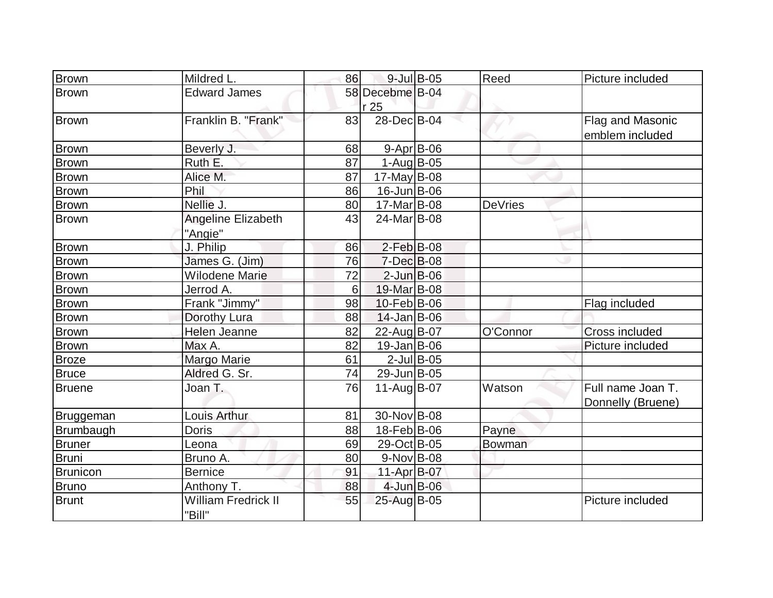| <b>Brown</b>    | Mildred L.                           | 86 | $9$ -Jul $B$ -05        | Reed           | Picture included  |
|-----------------|--------------------------------------|----|-------------------------|----------------|-------------------|
| <b>Brown</b>    | <b>Edward James</b>                  |    | 58 Decebme B-04         |                |                   |
|                 |                                      |    | r 25                    |                |                   |
| Brown           | Franklin B. "Frank"                  | 83 | 28-Dec B-04             |                | Flag and Masonic  |
|                 |                                      |    |                         |                | emblem included   |
| <b>Brown</b>    | Beverly J.                           | 68 | $9 - Apr$ B-06          |                |                   |
| <b>Brown</b>    | Ruth E.                              | 87 | $1-Auq$ B-05            |                |                   |
| <b>Brown</b>    | Alice M.                             | 87 | $17$ -May B-08          |                |                   |
| <b>Brown</b>    | Phil                                 | 86 | $16$ -Jun $B$ -06       |                |                   |
| <b>Brown</b>    | Nellie J.                            | 80 | 17-Mar B-08             | <b>DeVries</b> |                   |
| <b>Brown</b>    | Angeline Elizabeth                   | 43 | 24-Mar <sub>B</sub> -08 |                |                   |
|                 | "Angie"                              |    |                         |                |                   |
| <b>Brown</b>    | J. Philip                            | 86 | $2$ -Feb $B$ -08        |                |                   |
| <b>Brown</b>    | James G. (Jim)                       | 76 | $7$ -Dec $B$ -08        |                |                   |
| <b>Brown</b>    | <b>Wilodene Marie</b>                | 72 | $2$ -Jun $B$ -06        |                |                   |
| <b>Brown</b>    | Jerrod A.                            | 6  | 19-Mar B-08             |                |                   |
| Brown           | Frank "Jimmy"                        | 98 | 10-Feb B-06             |                | Flag included     |
| <b>Brown</b>    | Dorothy Lura                         | 88 | $14$ -Jan $ B-06 $      |                |                   |
| <b>Brown</b>    | Helen Jeanne                         | 82 | 22-Aug B-07             | O'Connor       | Cross included    |
| <b>Brown</b>    | Max A.                               | 82 | $19$ -Jan $ B$ -06      |                | Picture included  |
| <b>Broze</b>    | <b>Margo Marie</b>                   | 61 | $2$ -Jul B-05           |                |                   |
| Bruce           | Aldred G. Sr.                        | 74 | 29-Jun B-05             |                |                   |
| <b>Bruene</b>   | Joan T.                              | 76 | 11-Aug B-07             | Watson         | Full name Joan T. |
|                 |                                      |    |                         |                | Donnelly (Bruene) |
| Bruggeman       | Louis Arthur                         | 81 | 30-Nov B-08             |                |                   |
| Brumbaugh       | <b>Doris</b>                         | 88 | 18-Feb B-06             | Payne          |                   |
| Bruner          | Leona                                | 69 | 29-Oct B-05             | Bowman         |                   |
| <b>Bruni</b>    | Bruno A.                             | 80 | $9-Nov$ B-08            |                |                   |
| <b>Brunicon</b> | <b>Bernice</b>                       | 91 | 11-Apr B-07             |                |                   |
| <b>Bruno</b>    | Anthony T.                           | 88 | 4-Jun B-06              |                |                   |
| <b>Brunt</b>    | <b>William Fredrick II</b><br>"Bill" | 55 | 25-Aug B-05             |                | Picture included  |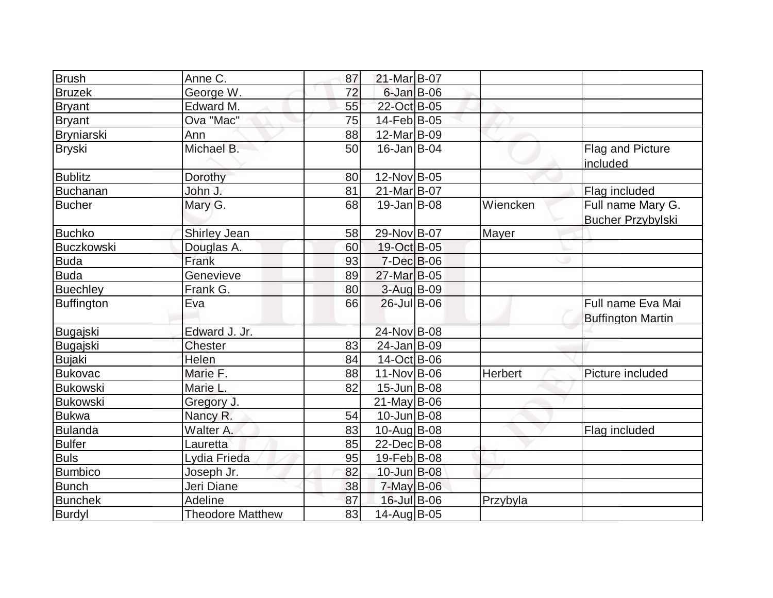| <b>Brush</b>      | Anne C.                 | 87 | 21-Mar B-07        |          |                                               |
|-------------------|-------------------------|----|--------------------|----------|-----------------------------------------------|
| <b>Bruzek</b>     | George W.               | 72 | $6$ -Jan B-06      |          |                                               |
| <b>Bryant</b>     | Edward M.               | 55 | 22-Oct B-05        |          |                                               |
| <b>Bryant</b>     | Ova "Mac"               | 75 | 14-Feb B-05        |          |                                               |
| Bryniarski        | Ann                     | 88 | 12-Mar B-09        |          |                                               |
| <b>Bryski</b>     | Michael B.              | 50 | $16$ -Jan $ B$ -04 |          | Flag and Picture<br>included                  |
| <b>Bublitz</b>    | Dorothy                 | 80 | 12-Nov B-05        |          |                                               |
| <b>Buchanan</b>   | John J.                 | 81 | 21-Mar B-07        |          | Flag included                                 |
| <b>Bucher</b>     | Mary G.                 | 68 | $19$ -Jan $ B$ -08 | Wiencken | Full name Mary G.<br><b>Bucher Przybylski</b> |
| <b>Buchko</b>     | Shirley Jean            | 58 | 29-Nov B-07        | Mayer    |                                               |
| <b>Buczkowski</b> | Douglas A.              | 60 | 19-Oct B-05        |          |                                               |
| <b>Buda</b>       | Frank                   | 93 | $7$ -Dec $B$ -06   |          |                                               |
| <b>Buda</b>       | Genevieve               | 89 | 27-Mar B-05        |          |                                               |
| <b>Buechley</b>   | Frank G.                | 80 | $3-Auq$ B-09       |          |                                               |
| <b>Buffington</b> | Eva                     | 66 | $26$ -Jul B-06     |          | Full name Eva Mai<br><b>Buffington Martin</b> |
| Bugajski          | Edward J. Jr.           |    | 24-Nov B-08        |          |                                               |
| <b>Bugajski</b>   | Chester                 | 83 | $24$ -Jan B-09     |          |                                               |
| <b>Bujaki</b>     | Helen                   | 84 | 14-Oct B-06        |          |                                               |
| <b>Bukovac</b>    | Marie F.                | 88 | $11-Nov B-06$      | Herbert  | Picture included                              |
| <b>Bukowski</b>   | Marie L.                | 82 | $15$ -Jun $ B$ -08 |          |                                               |
| <b>Bukowski</b>   | Gregory J.              |    | $21$ -May B-06     |          |                                               |
| <b>Bukwa</b>      | Nancy R.                | 54 | $10$ -Jun $B$ -08  |          |                                               |
| <b>Bulanda</b>    | Walter A.               | 83 | 10-Aug B-08        |          | Flag included                                 |
| <b>Bulfer</b>     | Lauretta                | 85 | 22-Dec B-08        |          |                                               |
| <b>Buls</b>       | Lydia Frieda            | 95 | 19-Feb B-08        |          |                                               |
| <b>Bumbico</b>    | Joseph Jr.              | 82 | $10$ -Jun $B$ -08  |          |                                               |
| <b>Bunch</b>      | Jeri Diane              | 38 | $7$ -May B-06      |          |                                               |
| <b>Bunchek</b>    | Adeline                 | 87 | 16-Jul B-06        | Przybyla |                                               |
| <b>Burdyl</b>     | <b>Theodore Matthew</b> | 83 | 14-Aug B-05        |          |                                               |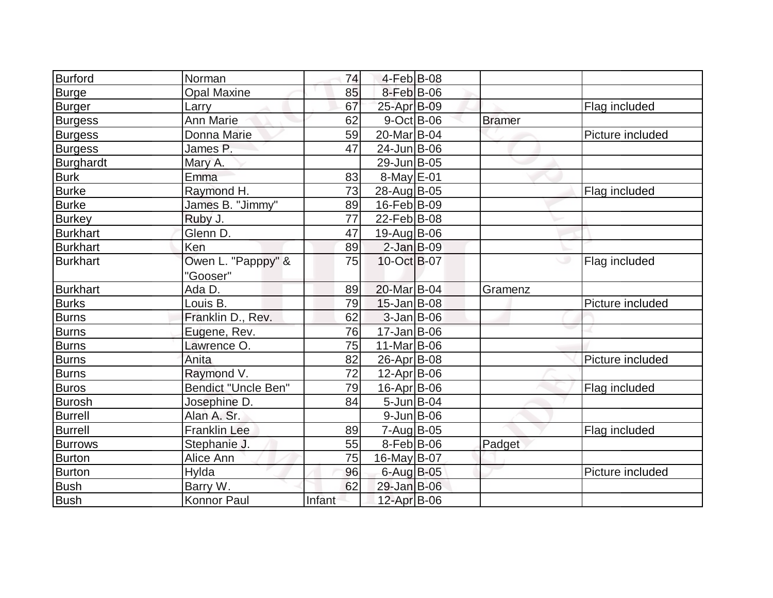| Burford         | Norman                         | 74     | 4-Feb B-08         |               |                    |
|-----------------|--------------------------------|--------|--------------------|---------------|--------------------|
| <b>Burge</b>    | <b>Opal Maxine</b>             | 85     | $8$ -Feb $B$ -06   |               |                    |
| Burger          | Larry                          | 67     | 25-Apr B-09        |               | Flag included      |
| <b>Burgess</b>  | Ann Marie                      | 62     | $9-Oct$ B-06       | <b>Bramer</b> |                    |
| <b>Burgess</b>  | Donna Marie                    | 59     | 20-Mar B-04        |               | Picture included   |
| <b>Burgess</b>  | James P.                       | 47     | 24-Jun B-06        |               |                    |
| Burghardt       | Mary A.                        |        | 29-Jun B-05        |               |                    |
| Burk            | Emma                           | 83     | $8$ -May $E$ -01   |               |                    |
| <b>Burke</b>    | Raymond H.                     | 73     | 28-Aug B-05        |               | Flag included      |
| <b>Burke</b>    | James B. "Jimmy"               | 89     | $16$ -Feb $ B$ -09 |               |                    |
| <b>Burkey</b>   | Ruby J.                        | 77     | 22-Feb B-08        |               |                    |
| <b>Burkhart</b> | Glenn D.                       | 47     | 19-Aug B-06        |               |                    |
| <b>Burkhart</b> | Ken                            | 89     | $2$ -Jan B-09      |               |                    |
| Burkhart        | Owen L. "Papppy" &<br>"Gooser" | 75     | 10-Oct B-07        |               | ی<br>Flag included |
| <b>Burkhart</b> | Ada D.                         | 89     | 20-Mar B-04        | Gramenz       |                    |
| <b>Burks</b>    | Louis B.                       | 79     | $15$ -Jan $ B$ -08 |               | Picture included   |
| <b>Burns</b>    | Franklin D., Rev.              | 62     | $3-Jan$ $B-06$     |               |                    |
| <b>Burns</b>    | Eugene, Rev.                   | 76     | $17 - Jan$ B-06    |               |                    |
| <b>Burns</b>    | Lawrence O.                    | 75     | $11$ -Mar $ B-06$  |               |                    |
| <b>Burns</b>    | Anita                          | 82     | $26$ -Apr $ B-08 $ |               | Picture included   |
| <b>Burns</b>    | Raymond V.                     | 72     | $12$ -Apr $ B-06 $ |               |                    |
| <b>Buros</b>    | <b>Bendict "Uncle Ben"</b>     | 79     | $16$ -Apr $ B$ -06 |               | Flag included      |
| <b>Burosh</b>   | Josephine D.                   | 84     | 5-Jun $B$ -04      |               |                    |
| <b>Burrell</b>  | Alan A. Sr.                    |        | $9$ -Jun $B$ -06   |               |                    |
| <b>Burrell</b>  | <b>Franklin Lee</b>            | 89     | $7 - Aug$ B-05     |               | Flag included      |
| <b>Burrows</b>  | Stephanie J.                   | 55     | $8-Feb B-06$       | Padget        |                    |
| Burton          | Alice Ann                      | 75     | 16-May B-07        |               |                    |
| <b>Burton</b>   | Hylda                          | 96     | 6-Aug B-05         |               | Picture included   |
| Bush            | Barry W.                       | 62     | 29-Jan B-06        |               |                    |
| Bush            | <b>Konnor Paul</b>             | Infant | 12-Apr B-06        |               |                    |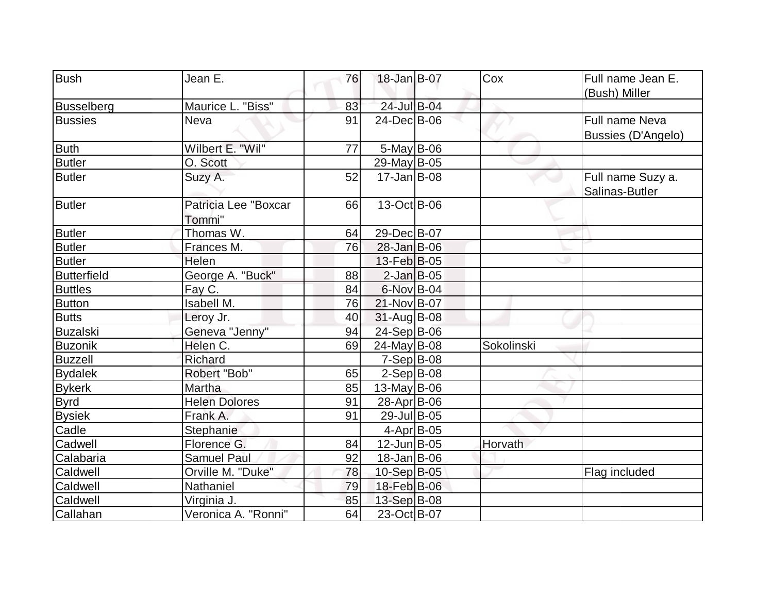| Bush            | Jean E.              | 76 | 18-Jan B-07        | Cox        | Full name Jean E.         |
|-----------------|----------------------|----|--------------------|------------|---------------------------|
|                 |                      |    |                    |            | (Bush) Miller             |
| Busselberg      | Maurice L. "Biss"    | 83 | 24-Jul B-04        |            |                           |
| <b>Bussies</b>  | <b>Neva</b>          | 91 | 24-Dec B-06        |            | Full name Neva            |
|                 |                      |    |                    |            | <b>Bussies (D'Angelo)</b> |
| <b>Buth</b>     | Wilbert E. "Wil"     | 77 | $5$ -May B-06      |            |                           |
| <b>Butler</b>   | O. Scott             |    | 29-May B-05        |            |                           |
| <b>Butler</b>   | Suzy A.              | 52 | $17$ -Jan $ B-08$  |            | Full name Suzy a.         |
|                 |                      |    |                    |            | Salinas-Butler            |
| <b>Butler</b>   | Patricia Lee "Boxcar | 66 | 13-Oct B-06        |            |                           |
|                 | Tommi"               |    |                    |            |                           |
| <b>Butler</b>   | Thomas W.            | 64 | 29-Dec B-07        |            |                           |
| <b>Butler</b>   | Frances M.           | 76 | $28 - Jan$ B-06    |            |                           |
| <b>Butler</b>   | Helen                |    | 13-Feb B-05        |            |                           |
| Butterfield     | George A. "Buck"     | 88 | $2$ -Jan B-05      |            |                           |
| <b>Buttles</b>  | Fay C.               | 84 | 6-Nov B-04         |            |                           |
| <b>Button</b>   | <b>Isabell M.</b>    | 76 | $21-Nov B-07$      |            |                           |
| <b>Butts</b>    | Leroy Jr.            | 40 | $31$ -Aug B-08     |            |                           |
| <b>Buzalski</b> | Geneva "Jenny"       | 94 | 24-Sep B-06        |            |                           |
| Buzonik         | Helen C.             | 69 | $24$ -May B-08     | Sokolinski |                           |
| <b>Buzzell</b>  | Richard              |    | $7-Sep B-08$       |            |                           |
| <b>Bydalek</b>  | Robert "Bob"         | 65 | $2-Sep B-08$       |            |                           |
| <b>Bykerk</b>   | Martha               | 85 | 13-May $B$ -06     |            |                           |
| <b>Byrd</b>     | <b>Helen Dolores</b> | 91 | 28-Apr B-06        |            |                           |
| <b>Bysiek</b>   | Frank A.             | 91 | 29-Jul B-05        |            |                           |
| Cadle           | Stephanie            |    | 4-Apr B-05         |            |                           |
| Cadwell         | Florence G.          | 84 | 12-Jun B-05        | Horvath    |                           |
| Calabaria       | <b>Samuel Paul</b>   | 92 | $18$ -Jan $ B$ -06 |            |                           |
| Caldwell        | Orville M. "Duke"    | 78 | 10-Sep B-05        |            | Flag included             |
| Caldwell        | Nathaniel            | 79 | 18-Feb B-06        |            |                           |
| Caldwell        | Virginia J.          | 85 | 13-Sep B-08        |            |                           |
| Callahan        | Veronica A. "Ronni"  | 64 | 23-Oct B-07        |            |                           |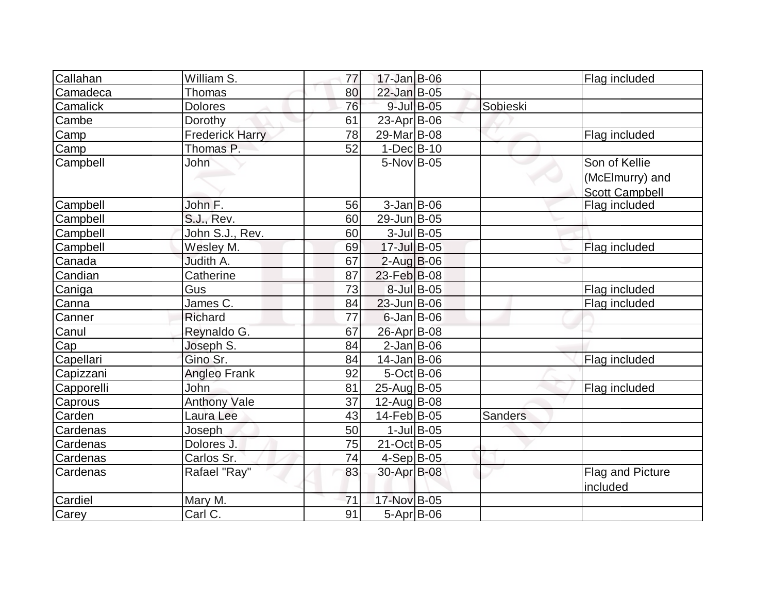| Callahan        | William S.             | 77 | $17 - Jan$ B-06   |                  |                | Flag included                                             |
|-----------------|------------------------|----|-------------------|------------------|----------------|-----------------------------------------------------------|
| Camadeca        | <b>Thomas</b>          | 80 | 22-Jan B-05       |                  |                |                                                           |
| <b>Camalick</b> | <b>Dolores</b>         | 76 | 9-Jul B-05        |                  | Sobieski       |                                                           |
| Cambe           | Dorothy                | 61 | 23-Apr B-06       |                  |                |                                                           |
| Camp            | <b>Frederick Harry</b> | 78 | 29-Mar B-08       |                  |                | Flag included                                             |
| Camp            | Thomas P.              | 52 | $1-Dec$ B-10      |                  |                |                                                           |
| Campbell        | John                   |    | 5-Nov B-05        |                  |                | Son of Kellie<br>(McElmurry) and<br><b>Scott Campbell</b> |
| Campbell        | John F.                | 56 | $3$ -Jan B-06     |                  |                | Flag included                                             |
| Campbell        | S.J., Rev.             | 60 | 29-Jun B-05       |                  |                |                                                           |
| Campbell        | John S.J., Rev.        | 60 |                   | $3$ -Jul B-05    |                |                                                           |
| Campbell        | Wesley M.              | 69 | 17-Jul B-05       |                  |                | Flag included                                             |
| Canada          | Judith A.              | 67 | $2$ -Aug B-06     |                  |                |                                                           |
| Candian         | Catherine              | 87 | 23-Feb B-08       |                  |                |                                                           |
| Caniga          | Gus                    | 73 | 8-Jul B-05        |                  |                | Flag included                                             |
| Canna           | James C.               | 84 | $23$ -Jun $B$ -06 |                  |                | Flag included                                             |
| Canner          | Richard                | 77 | $6$ -Jan B-06     |                  |                |                                                           |
| Canul           | Reynaldo G.            | 67 | 26-Apr B-08       |                  |                |                                                           |
| Cap             | Joseph S.              | 84 | $2$ -Jan B-06     |                  |                |                                                           |
| Capellari       | Gino Sr.               | 84 | $14$ -Jan $ B-06$ |                  |                | Flag included                                             |
| Capizzani       | <b>Angleo Frank</b>    | 92 | $5-Oct$ B-06      |                  |                |                                                           |
| Capporelli      | John                   | 81 | 25-Aug B-05       |                  |                | Flag included                                             |
| Caprous         | <b>Anthony Vale</b>    | 37 | 12-Aug B-08       |                  |                |                                                           |
| Carden          | Laura Lee              | 43 | 14-Feb B-05       |                  | <b>Sanders</b> |                                                           |
| Cardenas        | Joseph                 | 50 |                   | $1$ -Jul $B$ -05 |                |                                                           |
| Cardenas        | Dolores J.             | 75 | 21-Oct B-05       |                  |                |                                                           |
| Cardenas        | Carlos Sr.             | 74 | $4-Sep$ B-05      |                  |                |                                                           |
| Cardenas        | Rafael "Ray"           | 83 | 30-Apr B-08       |                  |                | Flag and Picture<br>included                              |
| Cardiel         | Mary M.                | 71 | 17-Nov B-05       |                  |                |                                                           |
| Carey           | Carl C.                | 91 | $5-Apr$ B-06      |                  |                |                                                           |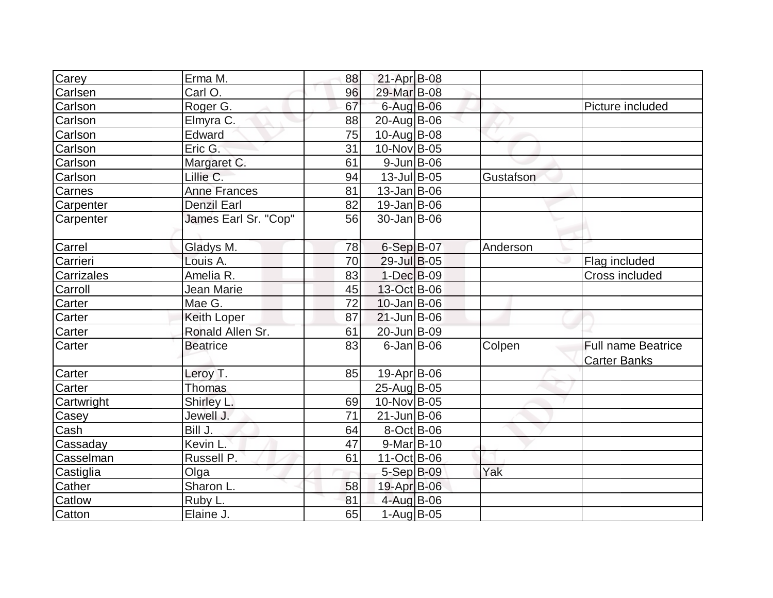| Carey      | Erma M.              | 88 | $21-Apr$ B-08      |           |                                                  |
|------------|----------------------|----|--------------------|-----------|--------------------------------------------------|
| Carlsen    | Carl O.              | 96 | 29-Mar B-08        |           |                                                  |
| Carlson    | Roger <sub>G.</sub>  | 67 | 6-Aug B-06         |           | Picture included                                 |
| Carlson    | Elmyra C.            | 88 | $20$ -Aug B-06     |           |                                                  |
| Carlson    | Edward               | 75 | $10$ -Aug $B$ -08  |           |                                                  |
| Carlson    | Eric G.              | 31 | 10-Nov B-05        |           |                                                  |
| Carlson    | Margaret C.          | 61 | $9$ -Jun $B$ -06   |           |                                                  |
| Carlson    | Lillie C.            | 94 | $13$ -Jul B-05     | Gustafson |                                                  |
| Carnes     | <b>Anne Frances</b>  | 81 | $13$ -Jan $ B$ -06 |           |                                                  |
| Carpenter  | <b>Denzil Earl</b>   | 82 | $19$ -Jan $ B$ -06 |           |                                                  |
| Carpenter  | James Earl Sr. "Cop" | 56 | 30-Jan B-06        |           |                                                  |
| Carrel     | Gladys M.            | 78 | 6-Sep B-07         | Anderson  |                                                  |
| Carrieri   | Louis A.             | 70 | 29-Jul B-05        |           | Flag included                                    |
| Carrizales | Amelia R.            | 83 | 1-Dec B-09         |           | Cross included                                   |
| Carroll    | Jean Marie           | 45 | 13-Oct B-06        |           |                                                  |
| Carter     | Mae G.               | 72 | $10$ -Jan $ B-06$  |           |                                                  |
| Carter     | Keith Loper          | 87 | $21$ -Jun $B$ -06  |           |                                                  |
| Carter     | Ronald Allen Sr.     | 61 | 20-Jun B-09        |           |                                                  |
| Carter     | <b>Beatrice</b>      | 83 | $6$ -Jan $B$ -06   | Colpen    | <b>Full name Beatrice</b><br><b>Carter Banks</b> |
| Carter     | Leroy T.             | 85 | 19-Apr B-06        |           |                                                  |
| Carter     | <b>Thomas</b>        |    | 25-Aug B-05        |           |                                                  |
| Cartwright | Shirley L.           | 69 | 10-Nov B-05        |           |                                                  |
| Casey      | Jewell J.            | 71 | $21$ -Jun $B$ -06  |           |                                                  |
| Cash       | Bill J.              | 64 | 8-Oct B-06         |           |                                                  |
| Cassaday   | Kevin L.             | 47 | $9-Mar$ B-10       |           |                                                  |
| Casselman  | Russell P.           | 61 | $11-Oct$ B-06      |           |                                                  |
| Castiglia  | Olga                 |    | $5-Sep$ B-09       | Yak       |                                                  |
| Cather     | Sharon L.            | 58 | 19-Apr B-06        |           |                                                  |
| Catlow     | Ruby L.              | 81 | 4-Aug B-06         |           |                                                  |
| Catton     | Elaine J.            | 65 | $1-Aug$ B-05       |           |                                                  |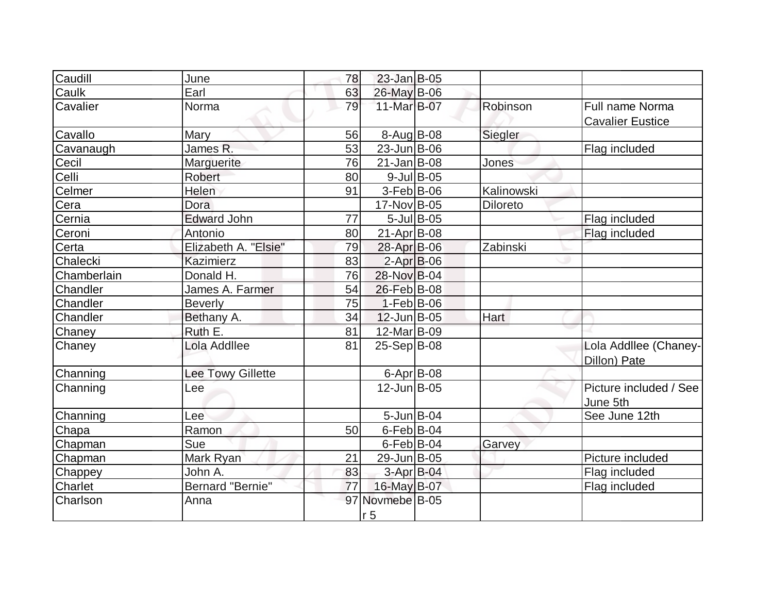| Caudill     | June                     | 78 | $23$ -Jan B-05          |               |            |                         |
|-------------|--------------------------|----|-------------------------|---------------|------------|-------------------------|
| Caulk       | Earl                     | 63 | 26-May B-06             |               |            |                         |
| Cavalier    | Norma                    | 79 | 11-Mar B-07             |               | Robinson   | Full name Norma         |
|             |                          |    |                         |               |            | <b>Cavalier Eustice</b> |
| Cavallo     | Mary                     | 56 | $8-Aug$ B-08            |               | Siegler    |                         |
| Cavanaugh   | James R.                 | 53 | $23$ -Jun $ B-06$       |               |            | Flag included           |
| Cecil       | Marguerite               | 76 | $21$ -Jan $ B-08$       |               | Jones      |                         |
| Celli       | Robert                   | 80 |                         | $9$ -Jul B-05 |            |                         |
| Celmer      | Helen                    | 91 | $3-Feb B-06$            |               | Kalinowski |                         |
| Cera        | <b>Dora</b>              |    | 17-Nov B-05             |               | Diloreto   |                         |
| Cernia      | <b>Edward John</b>       | 77 |                         | $5$ -Jul B-05 |            | Flag included           |
| Ceroni      | Antonio                  | 80 | $21-Apr$ B-08           |               |            | Flag included           |
| Certa       | Elizabeth A. "Elsie"     | 79 | 28-Apr B-06             |               | Zabinski   |                         |
| Chalecki    | <b>Kazimierz</b>         | 83 | $2$ -Apr $B$ -06        |               |            |                         |
| Chamberlain | Donald H.                | 76 | 28-Nov B-04             |               |            |                         |
| Chandler    | James A. Farmer          | 54 | 26-Feb B-08             |               |            |                         |
| Chandler    | <b>Beverly</b>           | 75 | $1-Feb B-06$            |               |            |                         |
| Chandler    | Bethany A.               | 34 | $12$ -Jun $B$ -05       |               | Hart       |                         |
| Chaney      | Ruth E.                  | 81 | 12-Mar B-09             |               |            |                         |
| Chaney      | Lola Addllee             | 81 | $25-Sep B-08$           |               |            | Lola Addllee (Chaney-   |
|             |                          |    |                         |               |            | Dillon) Pate            |
| Channing    | <b>Lee Towy Gillette</b> |    | $6$ -Apr $B$ -08        |               |            |                         |
| Channing    | Lee                      |    | $12$ -Jun $B$ -05       |               |            | Picture included / See  |
|             |                          |    |                         |               |            | June 5th                |
| Channing    | Lee                      |    | $5$ -Jun $B$ -04        |               |            | See June 12th           |
| Chapa       | Ramon                    | 50 | $6$ -Feb $ B$ -04       |               |            |                         |
| Chapman     | Sue                      |    | $6$ -Feb $ B$ -04       |               | Garvey     |                         |
| Chapman     | Mark Ryan                | 21 | 29-Jun B-05             |               |            | Picture included        |
| Chappey     | John A.                  | 83 | 3-Apr B-04              |               |            | Flag included           |
| Charlet     | Bernard "Bernie"         | 77 | 16-May B-07             |               |            | Flag included           |
| Charlson    | Anna                     | 97 | Novmebe <sup>B-05</sup> |               |            |                         |
|             |                          |    | r <sub>5</sub>          |               |            |                         |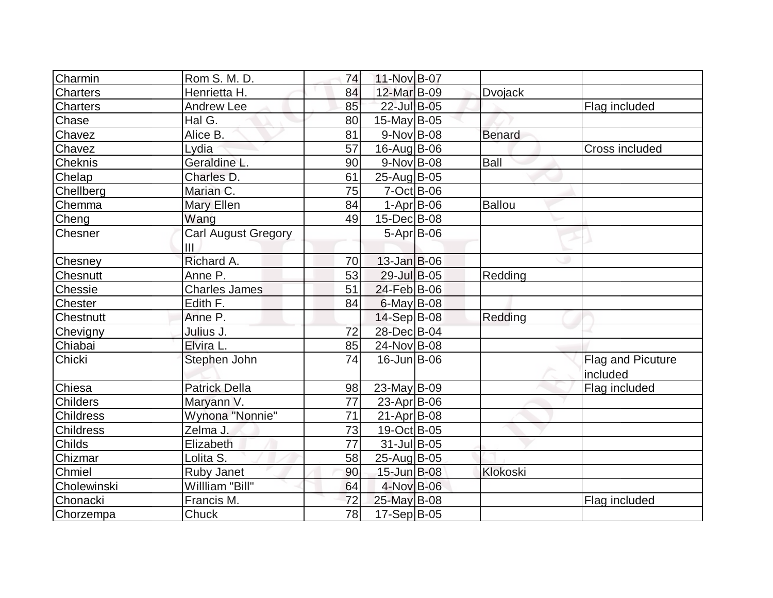| Charmin          | Rom S. M. D.                      | 74              | 11-Nov B-07       |                |                               |
|------------------|-----------------------------------|-----------------|-------------------|----------------|-------------------------------|
| Charters         | Henrietta H.                      | 84              | 12-Mar B-09       | <b>Dvojack</b> |                               |
| <b>Charters</b>  | Andrew Lee                        | 85              | 22-Jul B-05       |                | Flag included                 |
| Chase            | Hal G.                            | 80              | 15-May B-05       |                |                               |
| Chavez           | Alice B.                          | 81              | $9-Nov$ B-08      | <b>Benard</b>  |                               |
| Chavez           | Lydia                             | 57              | $16$ -Aug $B$ -06 |                | Cross included                |
| Cheknis          | Geraldine L.                      | 90              | $9-Nov$ B-08      | <b>Ball</b>    |                               |
| Chelap           | Charles D.                        | 61              | 25-Aug B-05       |                |                               |
| Chellberg        | Marian C.                         | 75              | 7-Oct B-06        |                |                               |
| Chemma           | Mary Ellen                        | 84              | $1-Apr$ B-06      | <b>Ballou</b>  |                               |
| Cheng            | Wang                              | 49              | 15-Dec B-08       |                |                               |
| Chesner          | <b>Carl August Gregory</b><br>III |                 | $5-Apr$ B-06      |                |                               |
| Chesney          | Richard A.                        | 70              | $13$ -Jan $B$ -06 |                |                               |
| <b>Chesnutt</b>  | Anne P.                           | 53              | 29-Jul B-05       | Redding        |                               |
| Chessie          | <b>Charles James</b>              | 51              | 24-Feb B-06       |                |                               |
| <b>Chester</b>   | Edith F.                          | 84              | 6-May B-08        |                |                               |
| <b>Chestnutt</b> | Anne P.                           |                 | $14-Sep B-08$     | Redding        |                               |
| Chevigny         | Julius J.                         | 72              | 28-Dec B-04       |                |                               |
| Chiabai          | Elvira L.                         | 85              | 24-Nov B-08       |                |                               |
| Chicki           | Stephen John                      | 74              | $16$ -Jun $B$ -06 |                | Flag and Picuture<br>included |
| Chiesa           | <b>Patrick Della</b>              | 98              | $23$ -May B-09    |                | Flag included                 |
| <b>Childers</b>  | Maryann V.                        | 77              | $23$ -Apr $ B-06$ |                |                               |
| <b>Childress</b> | Wynona "Nonnie"                   | 71              | $21-Apr$ B-08     |                |                               |
| Childress        | Zelma J.                          | 73              | 19-Oct B-05       |                |                               |
| <b>Childs</b>    | Elizabeth                         | $\overline{77}$ | $31$ -Jul B-05    |                |                               |
| Chizmar          | Lolita S.                         | 58              | 25-Aug B-05       |                |                               |
| Chmiel           | <b>Ruby Janet</b>                 | 90              | 15-Jun B-08       | Klokoski       |                               |
| Cholewinski      | Willliam "Bill"                   | 64              | 4-Nov B-06        |                |                               |
| Chonacki         | Francis M.                        | 72              | 25-May B-08       |                | Flag included                 |
| Chorzempa        | Chuck                             | 78              | 17-Sep B-05       |                |                               |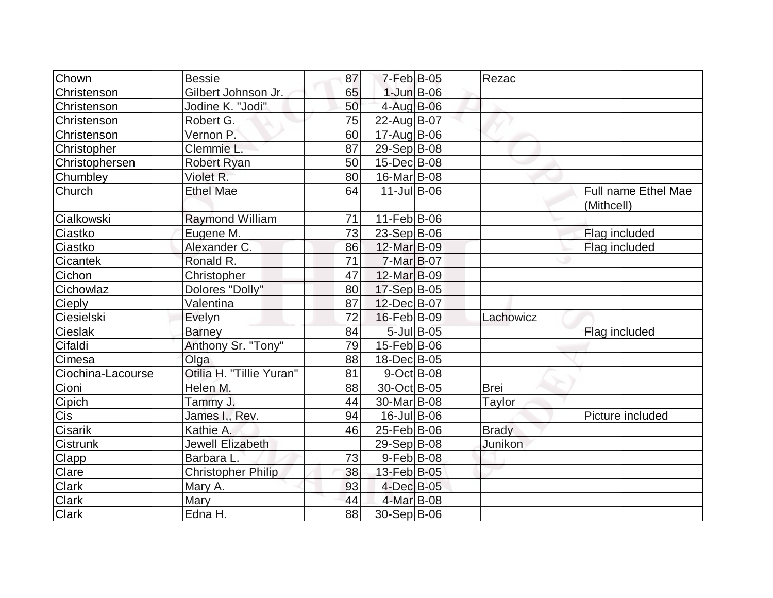| Chown             | <b>Bessie</b>             | 87 | $7-Feb$ B-05            |            | Rezac        |                                   |
|-------------------|---------------------------|----|-------------------------|------------|--------------|-----------------------------------|
| Christenson       | Gilbert Johnson Jr.       | 65 | $1$ -Jun $B$ -06        |            |              |                                   |
| Christenson       | Jodine K. "Jodi"          | 50 | $4$ -Aug B-06           |            |              |                                   |
| Christenson       | Robert G.                 | 75 | 22-Aug B-07             |            |              |                                   |
| Christenson       | Vernon P.                 | 60 | 17-Aug B-06             |            |              |                                   |
| Christopher       | Clemmie L.                | 87 | 29-Sep B-08             |            |              |                                   |
| Christophersen    | <b>Robert Ryan</b>        | 50 | 15-Dec B-08             |            |              |                                   |
| Chumbley          | Violet R.                 | 80 | 16-Mar B-08             |            |              |                                   |
| Church            | <b>Ethel Mae</b>          | 64 | $11$ -Jul B-06          |            |              | Full name Ethel Mae<br>(Mithcell) |
| Cialkowski        | Raymond William           | 71 | 11-Feb B-06             |            |              |                                   |
| Ciastko           | Eugene M.                 | 73 | $23-Sep B-06$           |            |              | Flag included                     |
| Ciastko           | Alexander C.              | 86 | 12-Mar B-09             |            |              | Flag included                     |
| Cicantek          | Ronald R.                 | 71 | $7-Mar$ B-07            |            |              |                                   |
| Cichon            | Christopher               | 47 | 12-Mar B-09             |            |              |                                   |
| Cichowlaz         | Dolores "Dolly"           | 80 | 17-Sep B-05             |            |              |                                   |
| Cieply            | Valentina                 | 87 | 12-Dec B-07             |            |              |                                   |
| Ciesielski        | Evelyn                    | 72 | 16-Feb B-09             |            | Lachowicz    |                                   |
| Cieslak           | <b>Barney</b>             | 84 |                         | 5-Jul B-05 |              | Flag included                     |
| Cifaldi           | Anthony Sr. "Tony"        | 79 | 15-Feb B-06             |            |              |                                   |
| Cimesa            | Olga                      | 88 | 18-Dec B-05             |            |              |                                   |
| Ciochina-Lacourse | Otilia H. "Tillie Yuran"  | 81 | $9$ -Oct B-08           |            |              |                                   |
| Cioni             | Helen M.                  | 88 | 30-Oct B-05             |            | <b>Brei</b>  |                                   |
| Cipich            | Tammy J.                  | 44 | 30-Mar <sub>B</sub> -08 |            | Taylor       |                                   |
| Cis               | James I., Rev.            | 94 | 16-Jul B-06             |            |              | Picture included                  |
| Cisarik           | Kathie A.                 | 46 | 25-Feb B-06             |            | <b>Brady</b> |                                   |
| Cistrunk          | Jewell Elizabeth          |    | $29-Sep B-08$           |            | Junikon      |                                   |
| Clapp             | Barbara L.                | 73 | $9$ -Feb $ B$ -08       |            |              |                                   |
| Clare             | <b>Christopher Philip</b> | 38 | 13-Feb B-05             |            |              |                                   |
| Clark             | Mary A.                   | 93 | 4-Dec B-05              |            |              |                                   |
| Clark             | Mary                      | 44 | 4-Mar B-08              |            |              |                                   |
| <b>Clark</b>      | Edna H.                   | 88 | 30-Sep B-06             |            |              |                                   |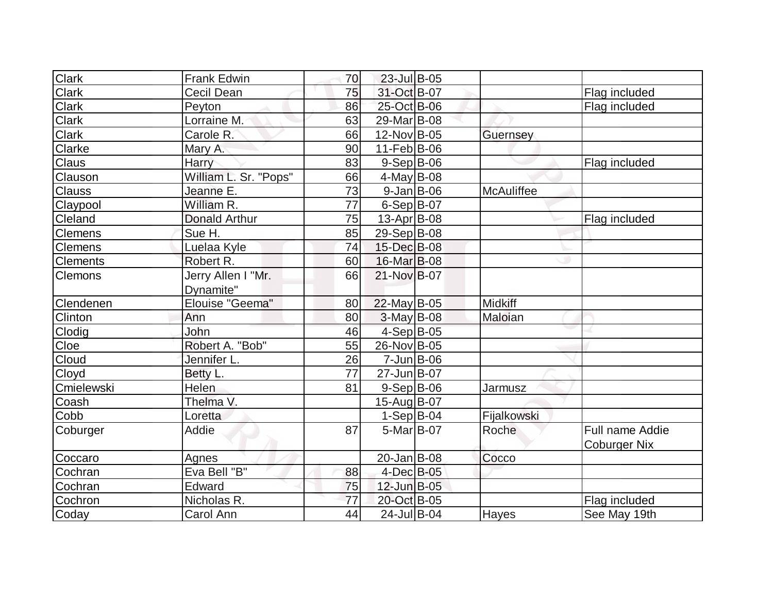| <b>Clark</b>    | <b>Frank Edwin</b>    | 70 | 23-Jul B-05             |                |                     |
|-----------------|-----------------------|----|-------------------------|----------------|---------------------|
| <b>Clark</b>    | Cecil Dean            | 75 | 31-Oct B-07             |                | Flag included       |
| Clark           | Peyton                | 86 | 25-Oct B-06             |                | Flag included       |
| <b>Clark</b>    | Lorraine M.           | 63 | 29-Mar <sub>B</sub> -08 |                |                     |
| <b>Clark</b>    | Carole R.             | 66 | 12-Nov B-05             | Guernsey       |                     |
| Clarke          | Mary A.               | 90 | $11$ -Feb $ B-06$       |                |                     |
| <b>Claus</b>    | Harry                 | 83 | $9-Sep B-06$            |                | Flag included       |
| Clauson         | William L. Sr. "Pops" | 66 | $4$ -May B-08           |                |                     |
| <b>Clauss</b>   | Jeanne E.             | 73 | $9$ -Jan B-06           | McAuliffee     |                     |
| Claypool        | William R.            | 77 | $6-Sep B-07$            |                |                     |
| Cleland         | <b>Donald Arthur</b>  | 75 | 13-Apr B-08             |                | Flag included       |
| <b>Clemens</b>  | Sue H.                | 85 | 29-Sep B-08             |                |                     |
| <b>Clemens</b>  | Luelaa Kyle           | 74 | 15-Dec B-08             |                |                     |
| <b>Clements</b> | Robert R.             | 60 | 16-Mar B-08             |                |                     |
| <b>Clemons</b>  | Jerry Allen I "Mr.    | 66 | 21-Nov B-07             |                |                     |
|                 | Dynamite"             |    |                         |                |                     |
| Clendenen       | Elouise "Geema"       | 80 | $22$ -May B-05          | <b>Midkiff</b> |                     |
| Clinton         | Ann                   | 80 | 3-May B-08              | Maloian        |                     |
| Clodig          | John                  | 46 | $4-Sep B-05$            |                |                     |
| Cloe            | Robert A. "Bob"       | 55 | 26-Nov B-05             |                |                     |
| Cloud           | Jennifer L.           | 26 | $7$ -Jun $ B$ -06       |                |                     |
| Cloyd           | Betty L.              | 77 | 27-Jun B-07             |                |                     |
| Cmielewski      | <b>Helen</b>          | 81 | $9-Sep B-06$            | <b>Jarmusz</b> |                     |
| Coash           | Thelma V.             |    | 15-Aug B-07             |                |                     |
| Cobb            |                       |    | $1-Sep B-04$            |                |                     |
|                 | Loretta               |    |                         | Fijalkowski    |                     |
| Coburger        | Addie                 | 87 | $5-Mar$ B-07            | Roche          | Full name Addie     |
|                 |                       |    |                         |                | <b>Coburger Nix</b> |
| Coccaro         | Agnes                 |    | 20-Jan B-08             | Cocco          |                     |
| Cochran         | Eva Bell "B"          | 88 | 4-Dec B-05              |                |                     |
| Cochran         | Edward                | 75 | 12-Jun B-05             |                |                     |
| Cochron         | Nicholas R.           | 77 | 20-Oct B-05             |                | Flag included       |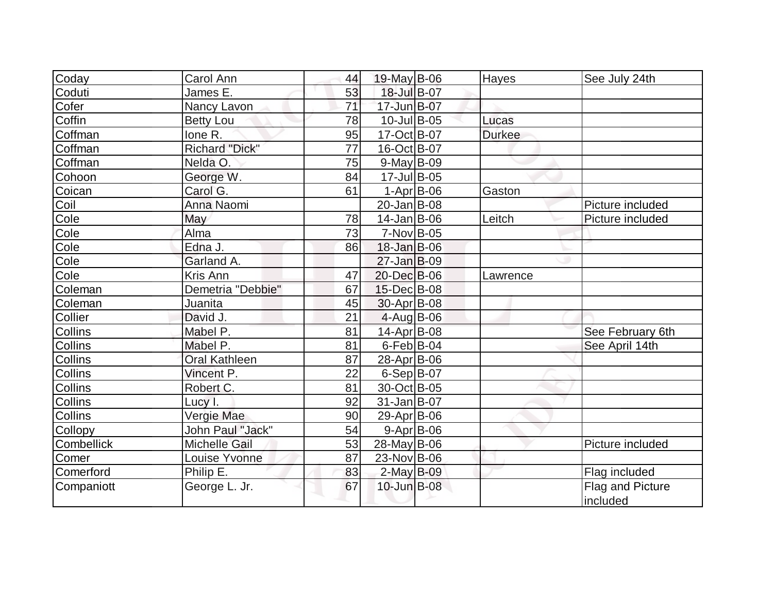| Coday                    | Carol Ann               | 44 | $19$ -May B-06     | Hayes         | See July 24th    |
|--------------------------|-------------------------|----|--------------------|---------------|------------------|
| Coduti                   | James E.                | 53 | 18-Jul B-07        |               |                  |
| Cofer                    | Nancy Lavon             | 71 | 17-Jun B-07        |               |                  |
| Coffin                   | <b>Betty Lou</b>        | 78 | $10$ -Jul B-05     | Lucas         |                  |
| Coffman                  | lone R.                 | 95 | $17-Oct$ B-07      | <b>Durkee</b> |                  |
| Coffman                  | <b>Richard "Dick"</b>   | 77 | 16-Oct B-07        |               |                  |
| Coffman                  | Nelda O.                | 75 | $9$ -May B-09      |               |                  |
| Cohoon                   | George W.               | 84 | 17-Jul B-05        |               |                  |
| Coican                   | Carol G.                | 61 | $1-Apr$ B-06       | Gaston        |                  |
| Coil                     | Anna Naomi              |    | 20-Jan B-08        |               | Picture included |
| Cole                     | May                     | 78 | $14$ -Jan $ B-06$  | Leitch        | Picture included |
| Cole                     | Alma                    | 73 | $7-Nov$ B-05       |               |                  |
| Cole                     | Edna J.                 | 86 | $18 - Jan$ B-06    |               |                  |
| Cole                     | Garland A.              |    | $27 - Jan$ B-09    |               |                  |
| $\overline{\text{Cole}}$ | Kris Ann                | 47 | 20-Dec B-06        | Lawrence      |                  |
| Coleman                  | Demetria "Debbie"       | 67 | 15-Dec B-08        |               |                  |
| Coleman                  | Juanita                 | 45 | $30$ -Apr $ B-08 $ |               |                  |
| Collier                  | David J.                | 21 | $4$ -Aug B-06      |               |                  |
| Collins                  | Mabel P.                | 81 | $14$ -Apr $ B-08$  |               | See February 6th |
| <b>Collins</b>           | Mabel P.                | 81 | $6$ -Feb $ B$ -04  |               | See April 14th   |
| <b>Collins</b>           | <b>Oral Kathleen</b>    | 87 | 28-Apr B-06        |               |                  |
| Collins                  | Vincent P.              | 22 | $6-Sep B-07$       |               |                  |
| <b>Collins</b>           | Robert C.               | 81 | 30-Oct B-05        |               |                  |
| <b>Collins</b>           | Lucy I.                 | 92 | $31$ -Jan $ B-07$  |               |                  |
| <b>Collins</b>           | Vergie Mae              | 90 | 29-Apr B-06        |               |                  |
| Collopy                  | <b>John Paul "Jack"</b> | 54 | $9 - Apr$ B-06     |               |                  |
| <b>Combellick</b>        | <b>Michelle Gail</b>    | 53 | 28-May B-06        |               | Picture included |
| Comer                    | Louise Yvonne           | 87 | 23-Nov B-06        |               |                  |
| Comerford                | Philip E.               | 83 | 2-May B-09         |               | Flag included    |
| Companiott               | George L. Jr.           | 67 | 10-Jun B-08        |               | Flag and Picture |
|                          |                         |    |                    |               | included         |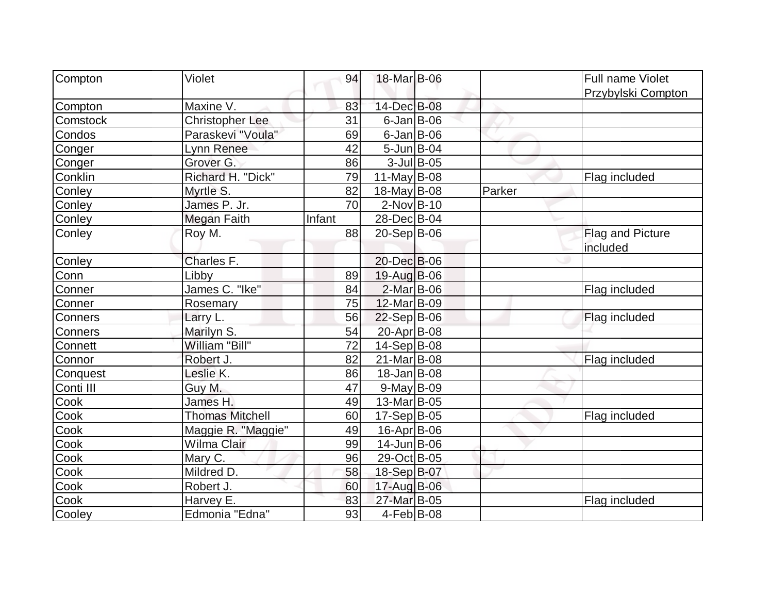| Compton   | Violet                 | 94     | 18-Mar B-06        |               |        | <b>Full name Violet</b> |
|-----------|------------------------|--------|--------------------|---------------|--------|-------------------------|
|           |                        |        |                    |               |        | Przybylski Compton      |
| Compton   | Maxine V.              | 83     | 14-Dec B-08        |               |        |                         |
| Comstock  | <b>Christopher Lee</b> | 31     | $6$ -Jan B-06      |               |        |                         |
| Condos    | Paraskevi "Voula"      | 69     | $6$ -Jan $ B$ -06  |               |        |                         |
| Conger    | Lynn Renee             | 42     | $5 - Jun$ $B - 04$ |               |        |                         |
| Conger    | Grover G.              | 86     |                    | $3$ -Jul B-05 |        |                         |
| Conklin   | Richard H. "Dick"      | 79     | 11-May $B$ -08     |               |        | Flag included           |
| Conley    | Myrtle S.              | 82     | 18-May B-08        |               | Parker |                         |
| Conley    | James P. Jr.           | 70     | $2$ -Nov $ B-10$   |               |        |                         |
| Conley    | Megan Faith            | Infant | 28-Dec B-04        |               |        |                         |
| Conley    | Roy M.                 | 88     | $20-Sep B-06$      |               |        | Flag and Picture        |
|           |                        |        |                    |               |        | included                |
| Conley    | Charles F.             |        | 20-Dec B-06        |               |        |                         |
| Conn      | Libby                  | 89     | 19-Aug B-06        |               |        |                         |
| Conner    | James C. "Ike"         | 84     | $2$ -Mar $ B-06$   |               |        | Flag included           |
| Conner    | Rosemary               | 75     | 12-Mar B-09        |               |        |                         |
| Conners   | Larry L.               | 56     | $22-Sep B-06$      |               |        | Flag included           |
| Conners   | Marilyn S.             | 54     | 20-Apr B-08        |               |        |                         |
| Connett   | William "Bill"         | 72     | $14-Sep B-08$      |               |        |                         |
| Connor    | Robert J.              | 82     | 21-Mar B-08        |               |        | Flag included           |
| Conquest  | Leslie K.              | 86     | 18-Jan B-08        |               |        |                         |
| Conti III | Guy M.                 | 47     | $9$ -May $B$ -09   |               |        |                         |
| Cook      | James H.               | 49     | 13-Mar B-05        |               |        |                         |
| Cook      | <b>Thomas Mitchell</b> | 60     | $17-Sep B-05$      |               |        | Flag included           |
| Cook      | Maggie R. "Maggie"     | 49     | 16-Apr B-06        |               |        |                         |
| Cook      | Wilma Clair            | 99     | $14$ -Jun $B$ -06  |               |        |                         |
| Cook      | Mary C.                | 96     | 29-Oct B-05        |               |        |                         |
| Cook      | Mildred D.             | 58     | 18-Sep B-07        |               |        |                         |
| Cook      | Robert J.              | 60     | 17-Aug B-06        |               |        |                         |
| Cook      | Harvey E.              | 83     | 27-Mar B-05        |               |        | Flag included           |
| Cooley    | Edmonia "Edna"         | 93     | $4-Feb$ B-08       |               |        |                         |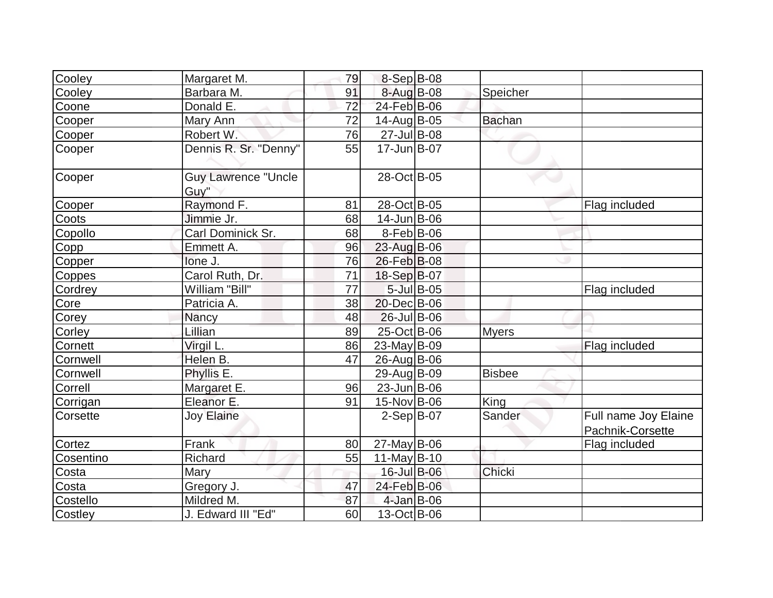| Cooley    | Margaret M.                        | 79 | 8-Sep B-08        |            |               |                                          |
|-----------|------------------------------------|----|-------------------|------------|---------------|------------------------------------------|
| Cooley    | Barbara M.                         | 91 | 8-Aug B-08        |            | Speicher      |                                          |
| Coone     | Donald E.                          | 72 | 24-Feb B-06       |            |               |                                          |
| Cooper    | Mary Ann                           | 72 | 14-Aug B-05       |            | <b>Bachan</b> |                                          |
| Cooper    | Robert W.                          | 76 | 27-Jul B-08       |            |               |                                          |
| Cooper    | Dennis R. Sr. "Denny"              | 55 | $17 - Jun$ $B-07$ |            |               |                                          |
| Cooper    | <b>Guy Lawrence "Uncle</b><br>Guy" |    | 28-Oct B-05       |            |               |                                          |
| Cooper    | Raymond F.                         | 81 | 28-Oct B-05       |            |               | Flag included                            |
| Coots     | Jimmie Jr.                         | 68 | $14$ -Jun $B$ -06 |            |               |                                          |
| Copollo   | Carl Dominick Sr.                  | 68 | $8-Feb B-06$      |            |               |                                          |
| Copp      | Emmett A.                          | 96 | $23$ -Aug B-06    |            |               |                                          |
| Copper    | lone J.                            | 76 | 26-Feb B-08       |            |               |                                          |
| Coppes    | Carol Ruth, Dr.                    | 71 | 18-Sep B-07       |            |               |                                          |
| Cordrey   | William "Bill"                     | 77 |                   | 5-Jul B-05 |               | Flag included                            |
| Core      | Patricia A.                        | 38 | 20-Dec B-06       |            |               |                                          |
| Corey     | <b>Nancy</b>                       | 48 | 26-Jul B-06       |            |               |                                          |
| Corley    | Lillian                            | 89 | 25-Oct B-06       |            | <b>Myers</b>  |                                          |
| Cornett   | Virgil L.                          | 86 | $23$ -May B-09    |            |               | Flag included                            |
| Cornwell  | Helen B.                           | 47 | 26-Aug B-06       |            |               |                                          |
| Cornwell  | Phyllis E.                         |    | 29-Aug B-09       |            | <b>Bisbee</b> |                                          |
| Correll   | Margaret E.                        | 96 | $23$ -Jun $ B-06$ |            |               |                                          |
| Corrigan  | Eleanor E.                         | 91 | 15-Nov B-06       |            | King          |                                          |
| Corsette  | <b>Joy Elaine</b>                  |    | $2-Sep B-07$      |            | Sander        | Full name Joy Elaine<br>Pachnik-Corsette |
| Cortez    | Frank                              | 80 | $27$ -May B-06    |            |               | Flag included                            |
| Cosentino | Richard                            | 55 | $11$ -May B-10    |            |               |                                          |
| Costa     | Mary                               |    | 16-Jul B-06       |            | Chicki        |                                          |
| Costa     | Gregory J.                         | 47 | 24-Feb B-06       |            |               |                                          |
| Costello  | Mildred M.                         | 87 | 4-Jan B-06        |            |               |                                          |
| Costley   | J. Edward III "Ed"                 | 60 | 13-Oct B-06       |            |               |                                          |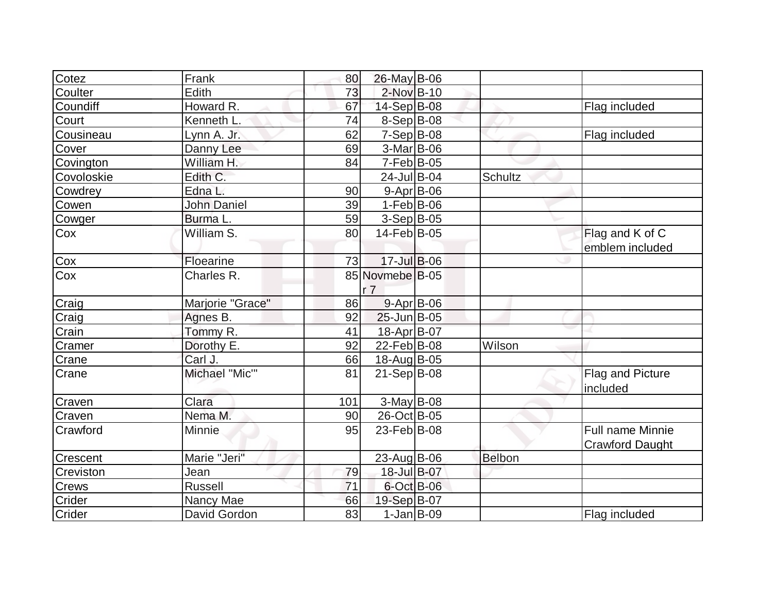| Cotez           | Frank                | 80  | $26$ -May B-06    |                |                        |
|-----------------|----------------------|-----|-------------------|----------------|------------------------|
| Coulter         | Edith                | 73  | 2-Nov B-10        |                |                        |
| Coundiff        | Howard R.            | 67  | 14-Sep B-08       |                | Flag included          |
| Court           | Kenneth L.           | 74  | $8-Sep B-08$      |                |                        |
| Cousineau       | Lynn A. Jr.          | 62  | $7-Sep$ B-08      |                | Flag included          |
| Cover           | Danny Lee            | 69  | 3-Mar B-06        |                |                        |
| Covington       | William H.           | 84  | $7-Feb B-05$      |                |                        |
| Covoloskie      | Edith C.             |     | 24-Jul B-04       | <b>Schultz</b> |                        |
| Cowdrey         | Edna L.              | 90  | 9-Apr B-06        |                |                        |
| Cowen           | <b>John Daniel</b>   | 39  | $1-Feb B-06$      |                |                        |
| Cowger          | Burma L.             | 59  | $3-Sep B-05$      |                |                        |
| Cox             | William S.           | 80  | 14-Feb B-05       |                | Flag and K of C        |
|                 |                      |     |                   |                | emblem included        |
| Cox             | Floearine            | 73  | 17-Jul B-06       |                |                        |
| Cox             | Charles R.           |     | 85 Novmebe B-05   |                |                        |
|                 |                      |     | r <sub>7</sub>    |                |                        |
| Craig           | Marjorie "Grace"     | 86  | $9 - Apr$ B-06    |                |                        |
| Craig           | Agnes B.             | 92  | $25$ -Jun $B$ -05 |                |                        |
| Crain           | Tommy R.             | 41  | 18-Apr B-07       |                |                        |
| Cramer          | Dorothy E.           | 92  | 22-Feb B-08       | <b>Wilson</b>  |                        |
| Crane           | Carl J.              | 66  | 18-Aug B-05       |                |                        |
| Crane           | <b>Michael "Mic"</b> | 81  | $21-Sep B-08$     |                | Flag and Picture       |
|                 |                      |     |                   |                | included               |
| Craven          | Clara                | 101 | $3-May$ B-08      |                |                        |
| Craven          | Nema M.              | 90  | 26-Oct B-05       |                |                        |
| Crawford        | Minnie               | 95  | 23-Feb B-08       |                | Full name Minnie       |
|                 |                      |     |                   |                | <b>Crawford Daught</b> |
| <b>Crescent</b> | Marie "Jeri"         |     | $23$ -Aug $B$ -06 | Belbon         |                        |
| Creviston       | Jean                 | 79  | 18-Jul B-07       |                |                        |
| Crews           | <b>Russell</b>       | 71  | $6$ -Oct B-06     |                |                        |
| Crider          | Nancy Mae            | 66  | 19-Sep B-07       |                |                        |
| Crider          | David Gordon         | 83  | $1-Jan$ $B-09$    |                | Flag included          |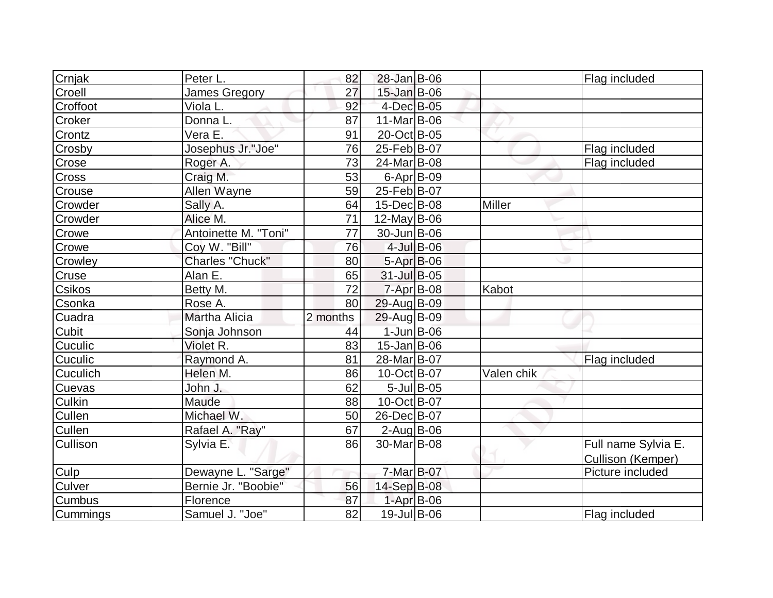| Crnjak          | Peter L.             | 82       | 28-Jan B-06             |               |               | Flag included       |
|-----------------|----------------------|----------|-------------------------|---------------|---------------|---------------------|
| Croell          | James Gregory        | 27       | $15$ -Jan $B$ -06       |               |               |                     |
| Croffoot        | Viola L.             | 92       | 4-Dec B-05              |               |               |                     |
| Croker          | Donna L.             | 87       | $11-Mar$ B-06           |               |               |                     |
| Crontz          | Vera E.              | 91       | 20-Oct B-05             |               |               |                     |
| Crosby          | Josephus Jr."Joe"    | 76       | 25-Feb B-07             |               |               | Flag included       |
| Crose           | Roger A.             | 73       | 24-Mar B-08             |               |               | Flag included       |
| <b>Cross</b>    | Craig M.             | 53       | $6 - Apr$ B-09          |               |               |                     |
| Crouse          | Allen Wayne          | 59       | 25-Feb B-07             |               |               |                     |
| Crowder         | Sally A.             | 64       | 15-Dec B-08             |               | <b>Miller</b> |                     |
| Crowder         | Alice M.             | 71       | $12$ -May B-06          |               |               |                     |
| Crowe           | Antoinette M. "Toni" | 77       | 30-Jun B-06             |               |               |                     |
| Crowe           | Coy W. "Bill"        | 76       |                         | 4-Jul B-06    |               |                     |
| Crowley         | Charles "Chuck"      | 80       | $5-Apr$ B-06            |               |               |                     |
| Cruse           | Alan E.              | 65       | 31-Jul B-05             |               |               |                     |
| Csikos          | Betty M.             | 72       | $7$ -Apr $B$ -08        |               | Kabot         |                     |
| Csonka          | Rose A.              | 80       | 29-Aug B-09             |               |               |                     |
| Cuadra          | Martha Alicia        | 2 months | 29-Aug B-09             |               |               |                     |
| <b>Cubit</b>    | Sonja Johnson        | 44       | $1$ -Jun $B$ -06        |               |               |                     |
| Cuculic         | Violet R.            | 83       | $15$ -Jan $ B$ -06      |               |               |                     |
| <b>Cuculic</b>  | Raymond A.           | 81       | 28-Mar B-07             |               |               | Flag included       |
| Cuculich        | Helen M.             | 86       | 10-Oct B-07             |               | Valen chik    |                     |
| Cuevas          | John J.              | 62       |                         | $5$ -Jul B-05 |               |                     |
| <b>Culkin</b>   | Maude                | 88       | 10-Oct B-07             |               |               |                     |
| Cullen          | Michael W.           | 50       | 26-Dec B-07             |               |               |                     |
| Cullen          | Rafael A. "Ray"      | 67       | $2$ -Aug B-06           |               |               |                     |
| <b>Cullison</b> | Sylvia E.            | 86       | 30-Mar <sub>B</sub> -08 |               |               | Full name Sylvia E. |
|                 |                      |          |                         |               |               | Cullison (Kemper)   |
| Culp            | Dewayne L. "Sarge"   |          | 7-Mar B-07              |               |               | Picture included    |
| Culver          | Bernie Jr. "Boobie"  | 56       | 14-Sep B-08             |               |               |                     |
| <b>Cumbus</b>   | Florence             | 87       | 1-Apr B-06              |               |               |                     |
| Cummings        | Samuel J. "Joe"      | 82       | 19-Jul B-06             |               |               | Flag included       |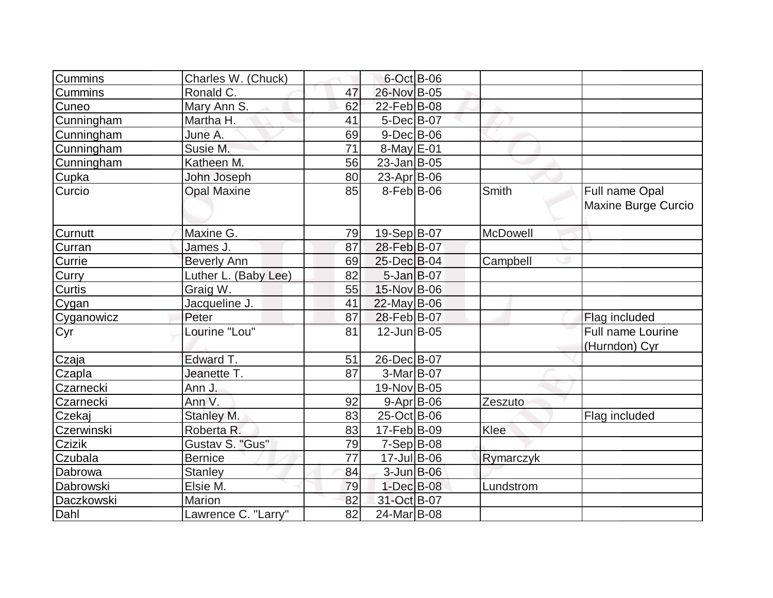| Cummins       | Charles W. (Chuck)   |    | $6$ -Oct B-06      |           |                                           |
|---------------|----------------------|----|--------------------|-----------|-------------------------------------------|
| Cummins       | Ronald C.            | 47 | 26-Nov B-05        |           |                                           |
| Cuneo         | Mary Ann S.          | 62 | 22-Feb B-08        |           |                                           |
| Cunningham    | Martha H.            | 41 | $5$ -Dec $B$ -07   |           |                                           |
| Cunningham    | June A.              | 69 | $9$ -Dec $B$ -06   |           |                                           |
| Cunningham    | Susie M.             | 71 | 8-May E-01         |           |                                           |
| Cunningham    | Katheen M.           | 56 | $23$ -Jan $ B-05$  |           |                                           |
| Cupka         | John Joseph          | 80 | $23$ -Apr $ B-06 $ |           |                                           |
| Curcio        | <b>Opal Maxine</b>   | 85 | $8-Feb B-06$       | Smith     | Full name Opal<br>Maxine Burge Curcio     |
| Curnutt       | Maxine G.            | 79 | 19-Sep B-07        | McDowell  |                                           |
| Curran        | James J.             | 87 | 28-Feb B-07        |           |                                           |
| Currie        | <b>Beverly Ann</b>   | 69 | 25-Dec B-04        | Campbell  |                                           |
| Curry         | Luther L. (Baby Lee) | 82 | $5$ -Jan B-07      |           |                                           |
| Curtis        | Graig W.             | 55 | 15-Nov B-06        |           |                                           |
| Cygan         | Jacqueline J.        | 41 | $22$ -May B-06     |           |                                           |
| Cyganowicz    | Peter                | 87 | 28-Feb B-07        |           | Flag included                             |
| Cyr           | Lourine "Lou"        | 81 | $12$ -Jun $B$ -05  |           | <b>Full name Lourine</b><br>(Hurndon) Cyr |
| Czaja         | Edward T.            | 51 | 26-Dec B-07        |           |                                           |
| Czapla        | Jeanette T.          | 87 | $3-Mar$ B-07       |           |                                           |
| Czarnecki     | Ann J.               |    | 19-Nov B-05        |           |                                           |
| Czarnecki     | Ann V.               | 92 | $9 - Apr$ B-06     | Zeszuto   |                                           |
| Czekaj        | Stanley M.           | 83 | $25$ -Oct B-06     |           | Flag included                             |
| Czerwinski    | Roberta R.           | 83 | $17-Feb B-09$      | Klee      |                                           |
| <b>Czizik</b> | Gustav S. "Gus"      | 79 | $7-Sep$ B-08       |           |                                           |
| Czubala       | Bernice              | 77 | $17$ -Jul B-06     | Rymarczyk |                                           |
| Dabrowa       | <b>Stanley</b>       | 84 | $3$ -Jun $B$ -06   |           |                                           |
| Dabrowski     | Elsie M.             | 79 | 1-Dec B-08         | Lundstrom |                                           |
| Daczkowski    | Marion               | 82 | 31-Oct B-07        |           |                                           |
| Dahl          | Lawrence C. "Larry"  | 82 | 24-Mar B-08        |           |                                           |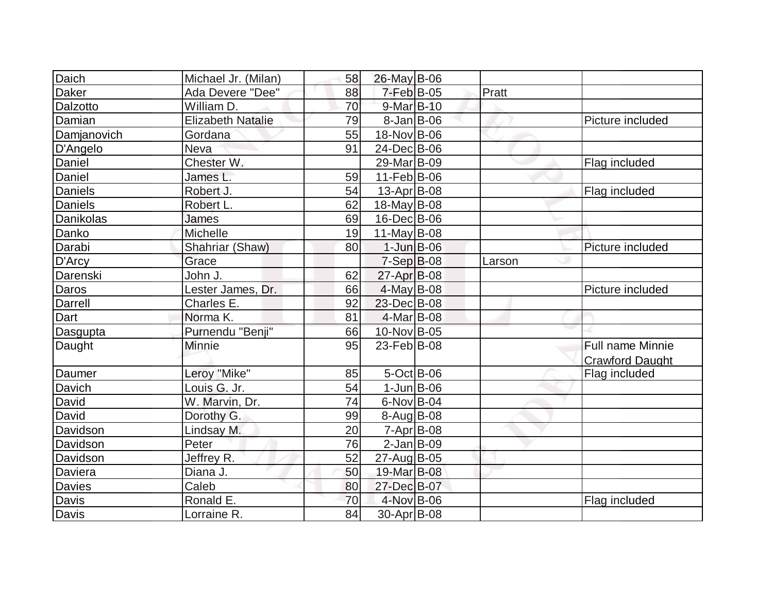| Daich        | Michael Jr. (Milan)      | 58 | 26-May B-06       |        |                         |
|--------------|--------------------------|----|-------------------|--------|-------------------------|
| Daker        | Ada Devere "Dee"         | 88 | $7$ -Feb $ B-05$  | Pratt  |                         |
| Dalzotto     | William D.               | 70 | 9-Mar B-10        |        |                         |
| Damian       | <b>Elizabeth Natalie</b> | 79 | $8$ -Jan B-06     |        | Picture included        |
| Damjanovich  | Gordana                  | 55 | 18-Nov B-06       |        |                         |
| D'Angelo     | <b>Neva</b>              | 91 | 24-Dec B-06       |        |                         |
| Daniel       | Chester W.               |    | 29-Mar B-09       |        | Flag included           |
| Daniel       | James L.                 | 59 | $11-Feb B-06$     |        |                         |
| Daniels      | Robert J.                | 54 | 13-Apr B-08       |        | Flag included           |
| Daniels      | Robert L.                | 62 | $18$ -May B-08    |        |                         |
| Danikolas    | James                    | 69 | 16-Dec B-06       |        |                         |
| Danko        | Michelle                 | 19 | $11$ -May B-08    |        |                         |
| Darabi       | Shahriar (Shaw)          | 80 | $1$ -Jun $B$ -06  |        | Picture included        |
| D'Arcy       | Grace                    |    | $7-Sep B-08$      | Larson |                         |
| Darenski     | John J.                  | 62 | 27-Apr B-08       |        |                         |
| Daros        | Lester James, Dr.        | 66 | 4-May B-08        |        | Picture included        |
| Darrell      | Charles E.               | 92 | 23-Dec B-08       |        |                         |
| Dart         | Norma K.                 | 81 | 4-Mar B-08        |        |                         |
| Dasgupta     | Purnendu "Benji"         | 66 | 10-Nov B-05       |        |                         |
| Daught       | <b>Minnie</b>            | 95 | $23$ -Feb $ B-08$ |        | <b>Full name Minnie</b> |
|              |                          |    |                   |        | <b>Crawford Daught</b>  |
| Daumer       | Leroy "Mike"             | 85 | $5$ -Oct B-06     |        | Flag included           |
| Davich       | Louis G. Jr.             | 54 | $1$ -Jun $B$ -06  |        |                         |
| David        | W. Marvin, Dr.           | 74 | $6$ -Nov $ B$ -04 |        |                         |
| David        | Dorothy G.               | 99 | $8-Aug$ B-08      |        |                         |
| Davidson     | Lindsay M.               | 20 | $7 - Apr$ B-08    |        |                         |
| Davidson     | Peter                    | 76 | $2$ -Jan $ B-09 $ |        |                         |
| Davidson     | Jeffrey R.               | 52 | 27-Aug B-05       |        |                         |
| Daviera      | Diana J.                 | 50 | 19-Mar B-08       |        |                         |
| Davies       | Caleb                    | 80 | 27-Dec B-07       |        |                         |
| Davis        | Ronald E.                | 70 | 4-Nov B-06        |        | Flag included           |
| <b>Davis</b> | Lorraine R.              | 84 | 30-Apr B-08       |        |                         |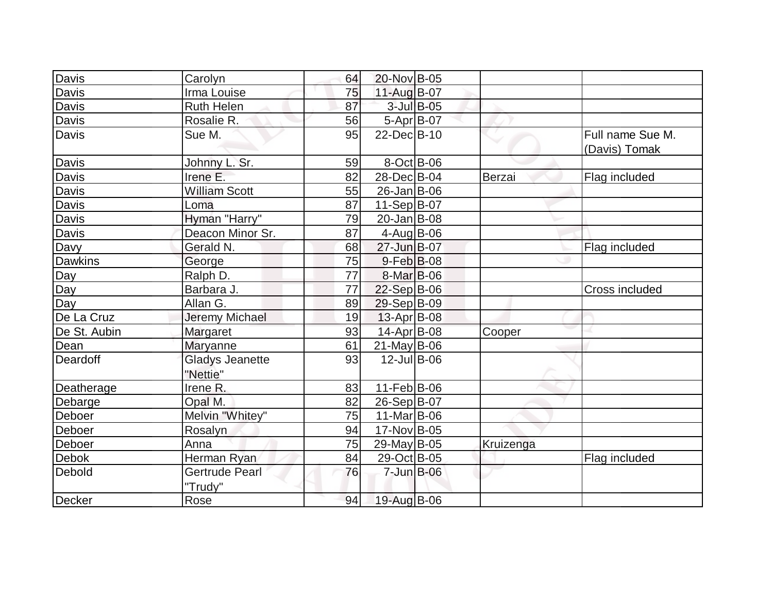| <b>Davis</b>   | Carolyn                            | 64 | 20-Nov B-05        |           |                                   |
|----------------|------------------------------------|----|--------------------|-----------|-----------------------------------|
| Davis          | Irma Louise                        | 75 | 11-Aug B-07        |           |                                   |
| Davis          | <b>Ruth Helen</b>                  | 87 | $3$ -Jul $B$ -05   |           |                                   |
| Davis          | Rosalie R.                         | 56 | 5-Apr B-07         |           |                                   |
| Davis          | Sue M.                             | 95 | 22-Dec B-10        |           | Full name Sue M.<br>(Davis) Tomak |
| Davis          | Johnny L. Sr.                      | 59 | $8-Oct$ B-06       |           |                                   |
| Davis          | Irene E.                           | 82 | 28-Dec B-04        | Berzai    | Flag included                     |
| <b>Davis</b>   | <b>William Scott</b>               | 55 | $26$ -Jan B-06     |           |                                   |
| Davis          | Loma                               | 87 | $11-Sep B-07$      |           |                                   |
| Davis          | Hyman "Harry"                      | 79 | $20$ -Jan $ B-08 $ |           |                                   |
| Davis          | Deacon Minor Sr.                   | 87 | $4$ -Aug $B$ -06   |           |                                   |
| Davy           | Gerald N.                          | 68 | 27-Jun B-07        |           | Flag included                     |
| <b>Dawkins</b> | George                             | 75 | $9-Feb$ B-08       |           |                                   |
| Day            | Ralph D.                           | 77 | 8-Mar B-06         |           |                                   |
| Day            | Barbara J.                         | 77 | $22-Sep B-06$      |           | Cross included                    |
| Day            | Allan G.                           | 89 | 29-Sep B-09        |           |                                   |
| De La Cruz     | <b>Jeremy Michael</b>              | 19 | $13$ -Apr $ B$ -08 |           |                                   |
| De St. Aubin   | Margaret                           | 93 | 14-Apr $B-08$      | Cooper    |                                   |
| Dean           | Maryanne                           | 61 | $21$ -May B-06     |           |                                   |
| Deardoff       | <b>Gladys Jeanette</b><br>"Nettie" | 93 | $12$ -Jul B-06     |           |                                   |
| Deatherage     | Irene R.                           | 83 | $11-Feb B-06$      |           |                                   |
| Debarge        | Opal M.                            | 82 | 26-Sep B-07        |           |                                   |
| Deboer         | Melvin "Whitey"                    | 75 | $11$ -Mar $ B-06$  |           |                                   |
| Deboer         | Rosalyn                            | 94 | 17-Nov B-05        |           |                                   |
| Deboer         | Anna                               | 75 | $29$ -May B-05     | Kruizenga |                                   |
| Debok          | Herman Ryan                        | 84 | 29-Oct B-05        |           | Flag included                     |
| Debold         | Gertrude Pearl<br>"Trudy"          | 76 | 7-Jun B-06         |           |                                   |
| Decker         | Rose                               | 94 | 19-Aug B-06        |           |                                   |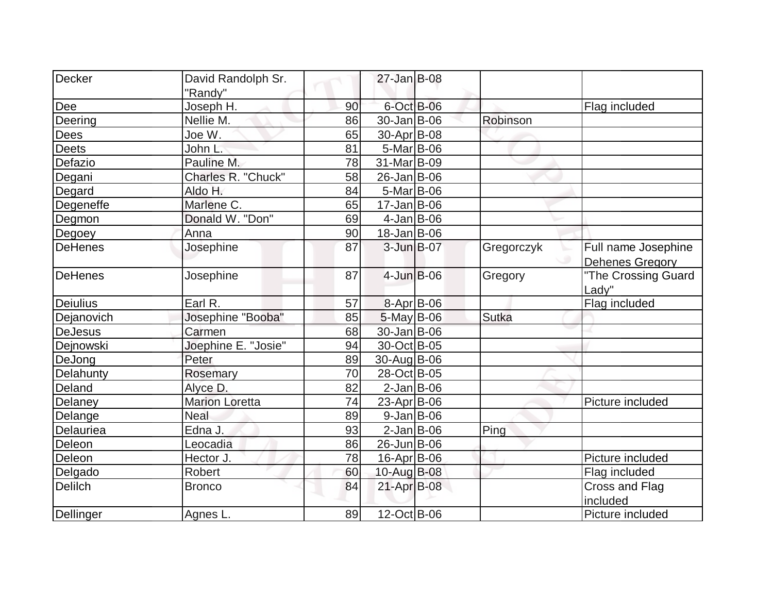| Decker          | David Randolph Sr.    |    | $27 - Jan$ B-08    |            |                        |
|-----------------|-----------------------|----|--------------------|------------|------------------------|
|                 | "Randy"               |    |                    |            |                        |
| Dee             | Joseph H.             | 90 | $6$ -Oct $B$ -06   |            | Flag included          |
| Deering         | Nellie M.             | 86 | 30-Jan B-06        | Robinson   |                        |
| <b>Dees</b>     | Joe W.                | 65 | 30-Apr B-08        |            |                        |
| <b>Deets</b>    | John L.               | 81 | $5-Mar$ B-06       |            |                        |
| Defazio         | Pauline M.            | 78 | 31-Mar B-09        |            |                        |
| Degani          | Charles R. "Chuck"    | 58 | $26$ -Jan $ B-06$  |            |                        |
| Degard          | Aldo H.               | 84 | $5-Mar$ B-06       |            |                        |
| Degeneffe       | Marlene C.            | 65 | $17 - Jan$ B-06    |            |                        |
| Degmon          | Donald W. "Don"       | 69 | $4$ -Jan B-06      |            |                        |
| Degoey          | Anna                  | 90 | $18 - Jan$ B-06    |            |                        |
| <b>DeHenes</b>  | Josephine             | 87 | 3-Jun B-07         | Gregorczyk | Full name Josephine    |
|                 |                       |    |                    |            | <b>Dehenes Gregory</b> |
| <b>DeHenes</b>  | Josephine             | 87 | $4$ -Jun $B$ -06   | Gregory    | "The Crossing Guard    |
|                 |                       |    |                    |            | Lady"                  |
| <b>Deiulius</b> | Earl R.               | 57 | $8 - Apr$ B-06     |            | Flag included          |
| Dejanovich      | Josephine "Booba"     | 85 | $5$ -May B-06      | Sutka      |                        |
| <b>DeJesus</b>  | Carmen                | 68 | 30-Jan B-06        |            |                        |
| Dejnowski       | Joephine E. "Josie"   | 94 | 30-Oct B-05        |            |                        |
| DeJong          | Peter                 | 89 | 30-Aug B-06        |            |                        |
| Delahunty       | Rosemary              | 70 | 28-Oct B-05        |            |                        |
| Deland          | Alyce D.              | 82 | $2$ -Jan B-06      |            |                        |
| Delaney         | <b>Marion Loretta</b> | 74 | 23-Apr B-06        |            | Picture included       |
| Delange         | <b>Neal</b>           | 89 | $9$ -Jan B-06      |            |                        |
| Delauriea       | Edna J.               | 93 | $2$ -Jan B-06      | Ping       |                        |
| Deleon          | Leocadia              | 86 | 26-Jun B-06        |            |                        |
| Deleon          | Hector J.             | 78 | $16$ -Apr $ B$ -06 |            | Picture included       |
| Delgado         | Robert                | 60 | 10-Aug B-08        |            | Flag included          |
| <b>Delilch</b>  | <b>Bronco</b>         | 84 | 21-Apr B-08        |            | <b>Cross and Flag</b>  |
|                 |                       |    |                    |            | included               |
| Dellinger       | Agnes L.              | 89 | 12-Oct B-06        |            | Picture included       |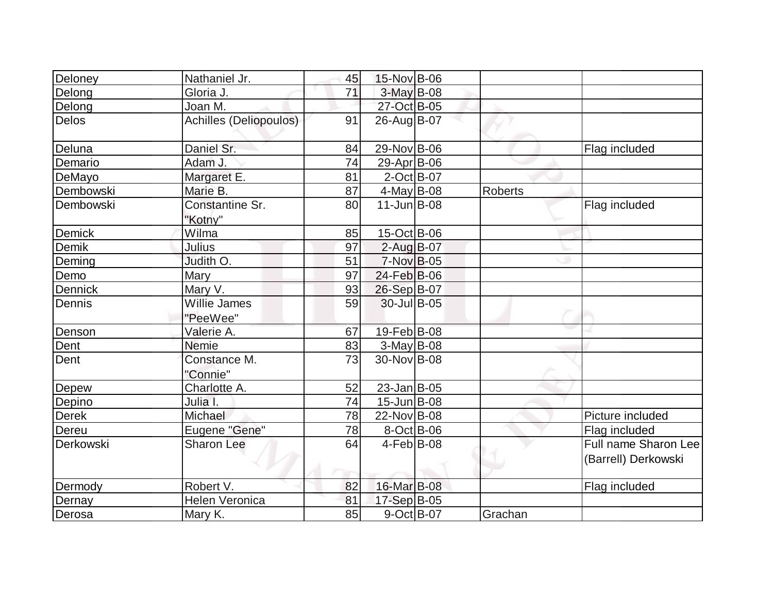| Deloney      | Nathaniel Jr.              | 45 | 15-Nov B-06       |                |                                             |
|--------------|----------------------------|----|-------------------|----------------|---------------------------------------------|
| Delong       | Gloria J.                  | 71 | $3$ -May B-08     |                |                                             |
| Delong       | Joan M.                    |    | 27-Oct B-05       |                |                                             |
| Delos        | Achilles (Deliopoulos)     | 91 | 26-Aug B-07       |                |                                             |
| Deluna       | Daniel Sr.                 | 84 | 29-Nov B-06       |                | Flag included                               |
| Demario      | Adam J.                    | 74 | 29-Apr B-06       |                |                                             |
| DeMayo       | Margaret E.                | 81 | $2$ -Oct B-07     |                |                                             |
| Dembowski    | Marie B.                   | 87 | 4-May B-08        | <b>Roberts</b> |                                             |
| Dembowski    | Constantine Sr.<br>"Kotny" | 80 | $11$ -Jun $B$ -08 |                | Flag included                               |
| Demick       | Wilma                      | 85 | 15-Oct B-06       |                |                                             |
| Demik        | Julius                     | 97 | 2-Aug B-07        |                |                                             |
| Deming       | Judith O.                  | 51 | 7-Nov B-05        |                |                                             |
| Demo         | Mary                       | 97 | 24-Feb B-06       |                |                                             |
| Dennick      | Mary V.                    | 93 | 26-Sep B-07       |                |                                             |
| Dennis       | Willie James<br>"PeeWee"   | 59 | 30-Jul B-05       |                |                                             |
| Denson       | Valerie A.                 | 67 | 19-Feb B-08       |                |                                             |
| Dent         | <b>Nemie</b>               | 83 | $3-May$ B-08      |                |                                             |
| Dent         | Constance M.<br>"Connie"   | 73 | 30-Nov B-08       |                |                                             |
| Depew        | Charlotte A.               | 52 | $23$ -Jan B-05    |                |                                             |
| Depino       | Julia I.                   | 74 | $15$ -Jun $B$ -08 |                |                                             |
| <b>Derek</b> | Michael                    | 78 | 22-Nov B-08       |                | Picture included                            |
| Dereu        | Eugene "Gene"              | 78 | $8-Oct$ B-06      |                | Flag included                               |
| Derkowski    | <b>Sharon Lee</b>          | 64 | $4$ -Feb $ B-08$  |                | Full name Sharon Lee<br>(Barrell) Derkowski |
| Dermody      | Robert V.                  | 82 | 16-Mar B-08       |                | Flag included                               |
| Dernay       | <b>Helen Veronica</b>      | 81 | 17-Sep B-05       |                |                                             |
| Derosa       | Mary K.                    | 85 | $9-Oct$ B-07      | Grachan        |                                             |
|              |                            |    |                   |                |                                             |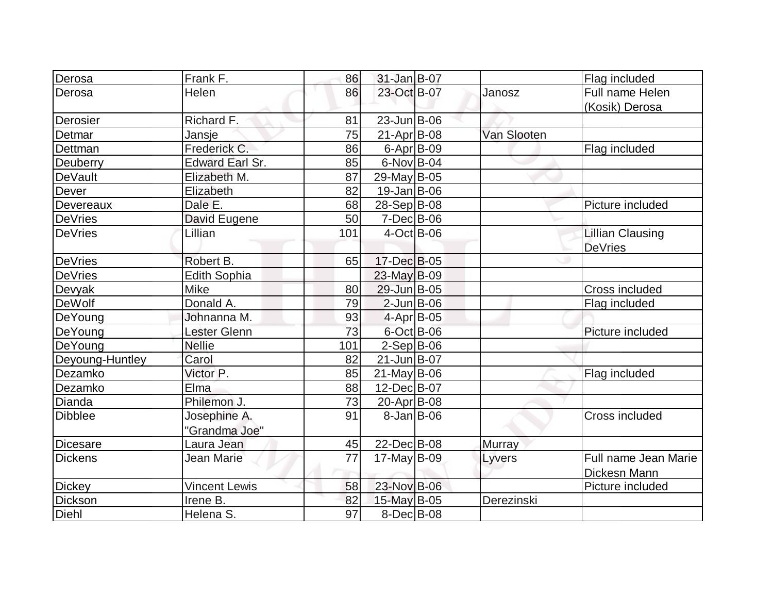| Derosa          | Frank F.               | 86  | $31$ -Jan B-07     |               | Flag included           |
|-----------------|------------------------|-----|--------------------|---------------|-------------------------|
| Derosa          | Helen                  | 86  | 23-Oct B-07        | Janosz        | Full name Helen         |
|                 |                        |     |                    |               | (Kosik) Derosa          |
| Derosier        | Richard F.             | 81  | 23-Jun B-06        |               |                         |
| Detmar          | Jansje                 | 75  | $21-Apr$ B-08      | Van Slooten   |                         |
| Dettman         | Frederick C.           | 86  | $6 - Apr$ B-09     |               | Flag included           |
| Deuberry        | <b>Edward Earl Sr.</b> | 85  | $6$ -Nov B-04      |               |                         |
| <b>DeVault</b>  | Elizabeth M.           | 87  | 29-May B-05        |               |                         |
| Dever           | Elizabeth              | 82  | $19$ -Jan $ B$ -06 |               |                         |
| Devereaux       | Dale E.                | 68  | 28-Sep B-08        |               | Picture included        |
| <b>DeVries</b>  | David Eugene           | 50  | $7$ -Dec $B$ -06   |               |                         |
| <b>DeVries</b>  | Lillian                | 101 | $4$ -Oct B-06      |               | <b>Lillian Clausing</b> |
|                 |                        |     |                    |               | <b>DeVries</b>          |
| DeVries         | Robert B.              | 65  | 17-Dec B-05        |               |                         |
| <b>DeVries</b>  | <b>Edith Sophia</b>    |     | 23-May B-09        |               |                         |
| Devyak          | Mike                   | 80  | 29-Jun B-05        |               | Cross included          |
| DeWolf          | Donald A.              | 79  | $2$ -Jun $B$ -06   |               | Flag included           |
| DeYoung         | Johnanna M.            | 93  | $4$ -Apr $ B$ -05  |               |                         |
| DeYoung         | Lester Glenn           | 73  | $6$ -Oct B-06      |               | Picture included        |
| DeYoung         | <b>Nellie</b>          | 101 | $2-Sep B-06$       |               |                         |
| Deyoung-Huntley | Carol                  | 82  | $21$ -Jun $B$ -07  |               |                         |
| Dezamko         | Victor P.              | 85  | $21$ -May B-06     |               | Flag included           |
| Dezamko         | Elma                   | 88  | 12-Dec B-07        |               |                         |
| Dianda          | Philemon J.            | 73  | 20-Apr B-08        |               |                         |
| <b>Dibblee</b>  | Josephine A.           | 91  | $8 - Jan$ B $-06$  |               | Cross included          |
|                 | "Grandma Joe"          |     |                    |               |                         |
| <b>Dicesare</b> | Laura Jean             | 45  | 22-Dec B-08        | <b>Murray</b> |                         |
| <b>Dickens</b>  | Jean Marie             | 77  | $17$ -May B-09     | Lyvers        | Full name Jean Marie    |
|                 |                        |     |                    |               | Dickesn Mann            |
| <b>Dickey</b>   | <b>Vincent Lewis</b>   | 58  | 23-Nov B-06        |               | Picture included        |
| Dickson         | Irene B.               | 82  | 15-May B-05        | Derezinski    |                         |
| Diehl           | Helena S.              | 97  | $8$ -Dec $B$ -08   |               |                         |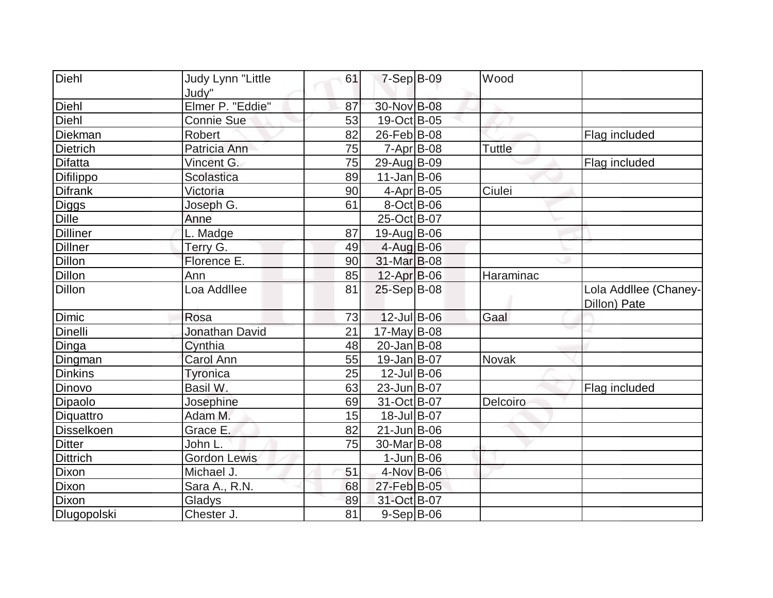| Diehl           | Judy Lynn "Little         | 61 | $7-Sep$ B-09            | Wood          |                                       |
|-----------------|---------------------------|----|-------------------------|---------------|---------------------------------------|
| Diehl           | Judy"<br>Elmer P. "Eddie" | 87 | 30-Nov B-08             |               |                                       |
|                 |                           |    |                         |               |                                       |
| Diehl           | Connie Sue                | 53 | 19-Oct B-05             |               |                                       |
| Diekman         | Robert                    | 82 | $26$ -Feb $ B-08$       |               | Flag included                         |
| <b>Dietrich</b> | Patricia Ann              | 75 | $7 - Apr$ B-08          | <b>Tuttle</b> |                                       |
| <b>Difatta</b>  | Vincent G.                | 75 | 29-Aug B-09             |               | Flag included                         |
| Difilippo       | Scolastica                | 89 | $11$ -Jan $ B-06$       |               |                                       |
| <b>Difrank</b>  | Victoria                  | 90 | 4-Apr B-05              | Ciulei        |                                       |
| Diggs           | Joseph G.                 | 61 | $8-Oct$ B-06            |               |                                       |
| <b>Dille</b>    | Anne                      |    | 25-Oct B-07             |               |                                       |
| <b>Dilliner</b> | L. Madge                  | 87 | 19-Aug B-06             |               |                                       |
| <b>Dillner</b>  | Terry G.                  | 49 | 4-Aug B-06              |               |                                       |
| <b>Dillon</b>   | Florence E.               | 90 | 31-Mar B-08             |               |                                       |
| <b>Dillon</b>   | Ann                       | 85 | $12-Apr$ B-06           | Haraminac     |                                       |
| <b>Dillon</b>   | Loa Addllee               | 81 | $25-Sep B-08$           |               | Lola Addllee (Chaney-<br>Dillon) Pate |
| Dimic           | Rosa                      | 73 | $12$ -Jul B-06          | Gaal          |                                       |
| Dinelli         | <b>Jonathan David</b>     | 21 | $17$ -May B-08          |               |                                       |
| Dinga           | Cynthia                   | 48 | $20$ -Jan $ B-08$       |               |                                       |
| Dingman         | <b>Carol Ann</b>          | 55 | $19$ -Jan $ B-07$       | <b>Novak</b>  |                                       |
| <b>Dinkins</b>  | Tyronica                  | 25 | $12$ -Jul B-06          |               |                                       |
| Dinovo          | Basil W.                  | 63 | 23-Jun B-07             |               | Flag included                         |
| Dipaolo         | Josephine                 | 69 | 31-Oct B-07             | Delcoiro      |                                       |
| Diquattro       | Adam M.                   | 15 | 18-Jul B-07             |               |                                       |
| Disselkoen      | Grace E.                  | 82 | $21$ -Jun $B$ -06       |               |                                       |
| <b>Ditter</b>   | John L.                   | 75 | 30-Mar <sub>B</sub> -08 |               |                                       |
| <b>Dittrich</b> | <b>Gordon Lewis</b>       |    | $1$ -Jun $B$ -06        |               |                                       |
| Dixon           | Michael J.                | 51 | 4-Nov B-06              |               |                                       |
| Dixon           | Sara A., R.N.             | 68 | 27-Feb B-05             |               |                                       |
| <b>Dixon</b>    | Gladys                    | 89 | 31-Oct B-07             |               |                                       |
| Dlugopolski     | Chester J.                | 81 | 9-Sep B-06              |               |                                       |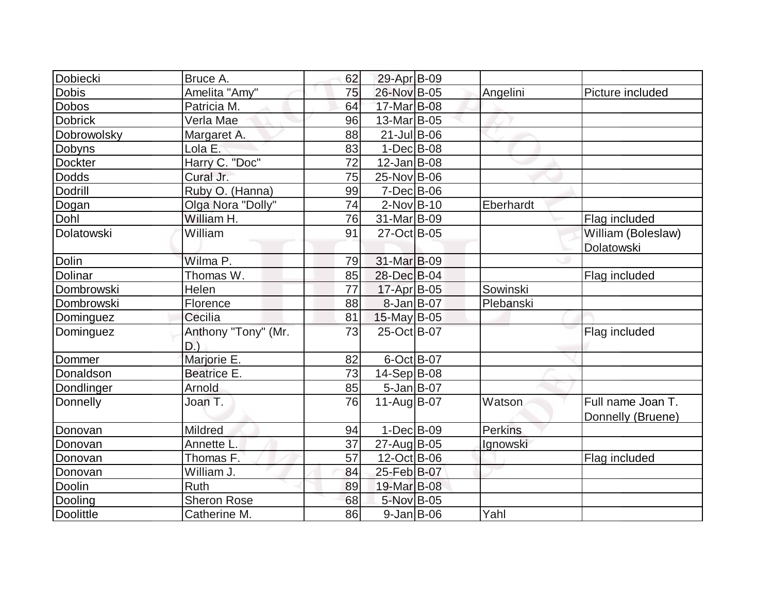| Dobiecki         | Bruce A.                      | 62 | 29-Apr B-09       |                |                                        |
|------------------|-------------------------------|----|-------------------|----------------|----------------------------------------|
| <b>Dobis</b>     | Amelita "Amy"                 | 75 | 26-Nov B-05       | Angelini       | Picture included                       |
| <b>Dobos</b>     | Patricia M.                   | 64 | 17-Mar B-08       |                |                                        |
| <b>Dobrick</b>   | Verla Mae                     | 96 | 13-Mar B-05       |                |                                        |
| Dobrowolsky      | Margaret A.                   | 88 | $21$ -Jul B-06    |                |                                        |
| Dobyns           | Lola E.                       | 83 | $1-Dec$ B-08      |                |                                        |
| <b>Dockter</b>   | Harry C. "Doc"                | 72 | $12$ -Jan $ B-08$ |                |                                        |
| <b>Dodds</b>     | Cural Jr.                     | 75 | 25-Nov B-06       |                |                                        |
| Dodrill          | Ruby O. (Hanna)               | 99 | $7$ -Dec $B$ -06  |                |                                        |
| Dogan            | Olga Nora "Dolly"             | 74 | $2$ -Nov $B$ -10  | Eberhardt      |                                        |
| Dohl             | William H.                    | 76 | 31-Mar B-09       |                | Flag included                          |
| Dolatowski       | William                       | 91 | 27-Oct B-05       |                | William (Boleslaw)                     |
|                  |                               |    |                   |                | Dolatowski                             |
| <b>Dolin</b>     | Wilma P.                      | 79 | 31-Mar B-09       |                |                                        |
| Dolinar          | Thomas W.                     | 85 | 28-Dec B-04       |                | Flag included                          |
| Dombrowski       | Helen                         | 77 | 17-Apr B-05       | Sowinski       |                                        |
| Dombrowski       | Florence                      | 88 | $8$ -Jan B-07     | Plebanski      |                                        |
| Dominguez        | Cecilia                       | 81 | $15$ -May B-05    |                |                                        |
| Dominguez        | Anthony "Tony" (Mr.<br>$D.$ ) | 73 | 25-Oct B-07       |                | Flag included                          |
| Dommer           | Marjorie E.                   | 82 | 6-Oct B-07        |                |                                        |
| Donaldson        | <b>Beatrice E.</b>            | 73 | $14-Sep B-08$     |                |                                        |
| Dondlinger       | Arnold                        | 85 | $5$ -Jan B-07     |                |                                        |
| Donnelly         | Joan T.                       | 76 | $11-Auq$ B-07     | Watson         | Full name Joan T.<br>Donnelly (Bruene) |
| Donovan          | <b>Mildred</b>                | 94 | $1-Dec$ B-09      | <b>Perkins</b> |                                        |
| Donovan          | Annette L                     | 37 | 27-Aug B-05       | Ignowski       |                                        |
| Donovan          | Thomas F.                     | 57 | 12-Oct B-06       |                | Flag included                          |
| Donovan          | William J.                    | 84 | 25-Feb B-07       |                |                                        |
| Doolin           | <b>Ruth</b>                   | 89 | 19-Mar B-08       |                |                                        |
| Dooling          | <b>Sheron Rose</b>            | 68 | 5-Nov B-05        |                |                                        |
| <b>Doolittle</b> | Catherine M.                  | 86 | $9$ -Jan B-06     | Yahl           |                                        |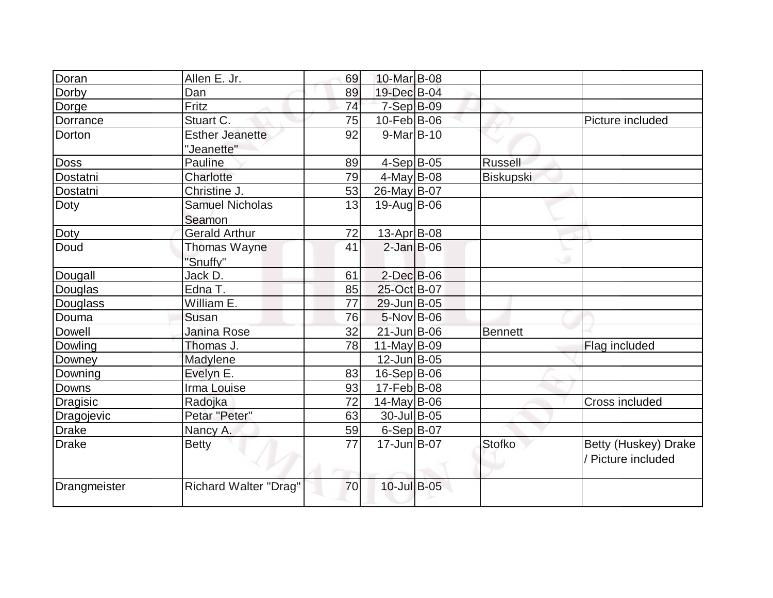| Doran           | Allen E. Jr.                 | 69 | 10-Mar B-08        |                |                      |
|-----------------|------------------------------|----|--------------------|----------------|----------------------|
| Dorby           | Dan                          | 89 | 19-Dec B-04        |                |                      |
| Dorge           | Fritz                        | 74 | 7-Sep B-09         |                |                      |
| Dorrance        | Stuart C.                    | 75 | 10-Feb B-06        |                | Picture included     |
| Dorton          | <b>Esther Jeanette</b>       | 92 | $9-Mar$ B-10       |                |                      |
|                 | "Jeanette"                   |    |                    |                |                      |
| <b>Doss</b>     | Pauline                      | 89 | $4-Sep B-05$       | <b>Russell</b> |                      |
| Dostatni        | Charlotte                    | 79 | 4-May $B-08$       | Biskupski      |                      |
| Dostatni        | Christine J.                 | 53 | 26-May B-07        |                |                      |
| Doty            | <b>Samuel Nicholas</b>       | 13 | 19-Aug B-06        |                |                      |
|                 | Seamon                       |    |                    |                |                      |
| Doty            | <b>Gerald Arthur</b>         | 72 | 13-Apr B-08        |                |                      |
| Doud            | Thomas Wayne                 | 41 | $2$ -Jan B-06      |                |                      |
|                 | "Snuffy"                     |    |                    |                |                      |
| Dougall         | Jack D.                      | 61 | $2$ -Dec $B$ -06   |                |                      |
| Douglas         | Edna T.                      | 85 | 25-Oct B-07        |                |                      |
| Douglass        | William E.                   | 77 | 29-Jun B-05        |                |                      |
| Douma           | Susan                        | 76 | 5-Nov B-06         |                |                      |
| <b>Dowell</b>   | Janina Rose                  | 32 | $21$ -Jun $B$ -06  | <b>Bennett</b> |                      |
| Dowling         | Thomas J.                    | 78 | 11-May $B-09$      |                | Flag included        |
| Downey          | Madylene                     |    | $12$ -Jun $B$ -05  |                |                      |
| Downing         | Evelyn E.                    | 83 | $16-Sep B-06$      |                |                      |
| Downs           | Irma Louise                  | 93 | $17$ -Feb $ B$ -08 |                |                      |
| <b>Dragisic</b> | Radojka                      | 72 | $14$ -May B-06     |                | Cross included       |
| Dragojevic      | Petar "Peter"                | 63 | 30-Jul B-05        |                |                      |
| <b>Drake</b>    | Nancy A.                     | 59 | $6-Sep$ B-07       |                |                      |
| <b>Drake</b>    | <b>Betty</b>                 | 77 | $17 - Jun$ B-07    | <b>Stofko</b>  | Betty (Huskey) Drake |
|                 |                              |    |                    |                | / Picture included   |
|                 |                              |    |                    |                |                      |
| Drangmeister    | <b>Richard Walter "Drag"</b> | 70 | 10-Jul B-05        |                |                      |
|                 |                              |    |                    |                |                      |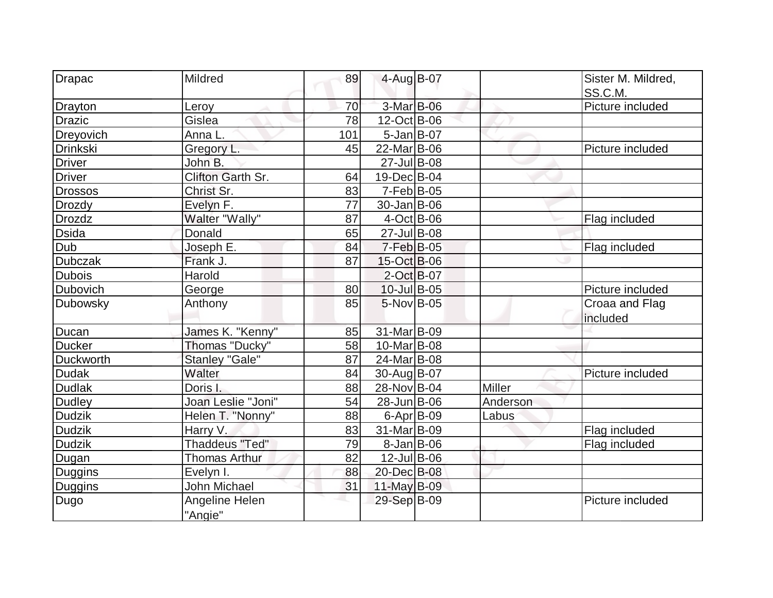| Drapac          | Mildred               | 89  | 4-Aug B-07              |               | Sister M. Mildred, |
|-----------------|-----------------------|-----|-------------------------|---------------|--------------------|
|                 |                       |     |                         |               | SS.C.M.            |
| Drayton         | Leroy                 | 70  | 3-Mar B-06              |               | Picture included   |
| <b>Drazic</b>   | Gislea                | 78  | 12-Oct B-06             |               |                    |
| Dreyovich       | Anna L.               | 101 | $5$ -Jan B-07           |               |                    |
| <b>Drinkski</b> | Gregory L.            | 45  | 22-Mar B-06             |               | Picture included   |
| <b>Driver</b>   | John B.               |     | $27$ -Jul B-08          |               |                    |
| <b>Driver</b>   | Clifton Garth Sr.     | 64  | 19-Dec B-04             |               |                    |
| <b>Drossos</b>  | Christ Sr.            | 83  | $7-Feb B-05$            |               |                    |
| <b>Drozdy</b>   | Evelyn F.             | 77  | $30 - Jan$ B-06         |               |                    |
| <b>Drozdz</b>   | Walter "Wally"        | 87  | $4$ -Oct B-06           |               | Flag included      |
| <b>Dsida</b>    | Donald                | 65  | $27 -$ Jul B-08         |               |                    |
| Dub             | Joseph E.             | 84  | $7-Feb B-05$            |               | Flag included      |
| <b>Dubczak</b>  | Frank J.              | 87  | 15-Oct B-06             |               |                    |
| <b>Dubois</b>   | Harold                |     | 2-Oct B-07              |               |                    |
| Dubovich        | George                | 80  | $10 -$ Jul B-05         |               | Picture included   |
| Dubowsky        | Anthony               | 85  | 5-Nov B-05              |               | Croaa and Flag     |
|                 |                       |     |                         |               | included           |
| Ducan           | James K. "Kenny"      | 85  | 31-Mar B-09             |               |                    |
| <b>Ducker</b>   | Thomas "Ducky"        | 58  | 10-Mar <sub>B</sub> -08 |               |                    |
| Duckworth       | <b>Stanley "Gale"</b> | 87  | 24-Mar B-08             |               |                    |
| <b>Dudak</b>    | Walter                | 84  | 30-Aug B-07             |               | Picture included   |
| <b>Dudlak</b>   | Doris I.              | 88  | 28-Nov B-04             | <b>Miller</b> |                    |
| <b>Dudley</b>   | Joan Leslie "Joni"    | 54  | 28-Jun B-06             | Anderson      |                    |
| <b>Dudzik</b>   | Helen T. "Nonny"      | 88  | $6 - Apr$ B-09          | Labus         |                    |
| <b>Dudzik</b>   | Harry V.              | 83  | 31-Mar B-09             |               | Flag included      |
| <b>Dudzik</b>   | <b>Thaddeus "Ted"</b> | 79  | $8$ -Jan $ B$ -06       |               | Flag included      |
| Dugan           | <b>Thomas Arthur</b>  | 82  | $12$ -Jul B-06          |               |                    |
| Duggins         | Evelyn I.             | 88  | 20-Dec B-08             |               |                    |
| Duggins         | John Michael          | 31  | $11$ -May B-09          |               |                    |
| Dugo            | Angeline Helen        |     | 29-Sep B-09             |               | Picture included   |
|                 | "Angie"               |     |                         |               |                    |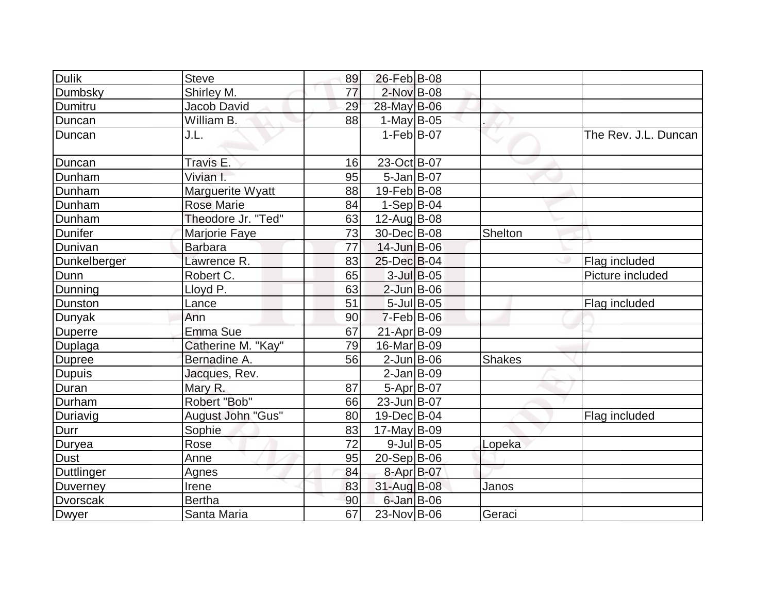| <b>Dulik</b>      | <b>Steve</b>       | 89 | 26-Feb B-08       |                |                      |
|-------------------|--------------------|----|-------------------|----------------|----------------------|
| Dumbsky           | Shirley M.         | 77 | 2-Nov B-08        |                |                      |
| Dumitru           | Jacob David        | 29 | 28-May B-06       |                |                      |
| Duncan            | William B.         | 88 | 1-May $B-05$      |                |                      |
| Duncan            | J.L.               |    | $1-Feb B-07$      |                | The Rev. J.L. Duncan |
| Duncan            | Travis E.          | 16 | 23-Oct B-07       |                |                      |
| Dunham            | Vivian I.          | 95 | $5$ -Jan $ B$ -07 |                |                      |
| Dunham            | Marguerite Wyatt   | 88 | 19-Feb B-08       |                |                      |
| Dunham            | <b>Rose Marie</b>  | 84 | $1-Sep B-04$      |                |                      |
| Dunham            | Theodore Jr. "Ted" | 63 | 12-Aug B-08       |                |                      |
| <b>Dunifer</b>    | Marjorie Faye      | 73 | 30-Dec B-08       | <b>Shelton</b> |                      |
| Dunivan           | <b>Barbara</b>     | 77 | 14-Jun B-06       |                |                      |
| Dunkelberger      | Lawrence R.        | 83 | 25-Dec B-04       |                | Flag included        |
| Dunn              | Robert C.          | 65 | $3$ -Jul B-05     |                | Picture included     |
| Dunning           | Lloyd P.           | 63 | $2$ -Jun B-06     |                |                      |
| Dunston           | Lance              | 51 | $5$ -Jul B-05     |                | Flag included        |
| Dunyak            | Ann                | 90 | $7-Feb$ B-06      |                |                      |
| <b>Duperre</b>    | Emma Sue           | 67 | 21-Apr B-09       |                |                      |
| Duplaga           | Catherine M. "Kay" | 79 | 16-Mar B-09       |                |                      |
| <b>Dupree</b>     | Bernadine A.       | 56 | $2$ -Jun $B$ -06  | <b>Shakes</b>  |                      |
| Dupuis            | Jacques, Rev.      |    | $2-Jan$ $B-09$    |                |                      |
| Duran             | Mary R.            | 87 | $5-Apr$ B-07      |                |                      |
| Durham            | Robert "Bob"       | 66 | 23-Jun B-07       |                |                      |
| Duriavig          | August John "Gus"  | 80 | 19-Dec B-04       |                | Flag included        |
| Durr              | Sophie             | 83 | $17$ -May B-09    |                |                      |
| Duryea            | Rose               | 72 | $9$ -Jul B-05     | Lopeka         |                      |
| <b>Dust</b>       | Anne               | 95 | $20-Sep B-06$     |                |                      |
| <b>Duttlinger</b> | Agnes              | 84 | 8-Apr B-07        |                |                      |
| <b>Duverney</b>   | Irene              | 83 | 31-Aug B-08       | Janos          |                      |
| <b>Dvorscak</b>   | <b>Bertha</b>      | 90 | $6$ -Jan $B$ -06  |                |                      |
| Dwyer             | Santa Maria        | 67 | 23-Nov B-06       | Geraci         |                      |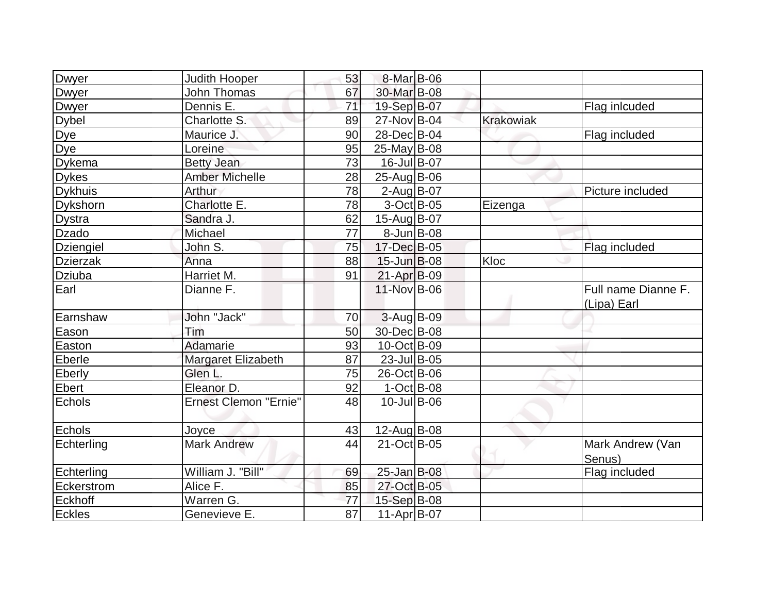| Dwyer            | <b>Judith Hooper</b>         | 53              | 8-Mar B-06        |                  |                                    |
|------------------|------------------------------|-----------------|-------------------|------------------|------------------------------------|
| Dwyer            | John Thomas                  | 67              | 30-Mar B-08       |                  |                                    |
| <b>Dwyer</b>     | Dennis E.                    | 71              | 19-Sep B-07       |                  | Flag inlcuded                      |
| <b>Dybel</b>     | Charlotte S.                 | 89              | 27-Nov B-04       | <b>Krakowiak</b> |                                    |
| Dye              | Maurice J.                   | 90              | 28-Dec B-04       |                  | Flag included                      |
| Dye              | Loreine                      | 95              | $25$ -May B-08    |                  |                                    |
| Dykema           | <b>Betty Jean</b>            | 73              | 16-Jul B-07       |                  |                                    |
| <b>Dykes</b>     | <b>Amber Michelle</b>        | 28              | 25-Aug B-06       |                  |                                    |
| <b>Dykhuis</b>   | Arthur                       | 78              | $2$ -Aug B-07     |                  | Picture included                   |
| Dykshorn         | Charlotte E.                 | 78              | $3-Oct$ B-05      | Eizenga          |                                    |
| <b>Dystra</b>    | Sandra J.                    | 62              | 15-Aug B-07       |                  |                                    |
| Dzado            | Michael                      | 77              | $8$ -Jun $B$ -08  |                  |                                    |
| <b>Dziengiel</b> | John S.                      | 75              | 17-Dec B-05       |                  | Flag included                      |
| <b>Dzierzak</b>  | Anna                         | 88              | $15$ -Jun $B$ -08 | Kloc             |                                    |
| Dziuba           | Harriet M.                   | 91              | $21-Apr$ B-09     |                  |                                    |
| Earl             | Dianne F.                    |                 | 11-Nov B-06       |                  | Full name Dianne F.<br>(Lipa) Earl |
| Earnshaw         | John "Jack"                  | 70              | 3-Aug B-09        |                  |                                    |
| Eason            | Tim                          | 50              | 30-Dec B-08       |                  |                                    |
| Easton           | Adamarie                     | 93              | $10$ -Oct B-09    |                  |                                    |
| Eberle           | Margaret Elizabeth           | 87              | $23$ -Jul B-05    |                  |                                    |
| Eberly           | Glen L.                      | 75              | 26-Oct B-06       |                  |                                    |
| Ebert            | Eleanor D.                   | 92              | $1-Oct$ B-08      |                  |                                    |
| Echols           | <b>Ernest Clemon "Ernie"</b> | 48              | $10$ -Jul B-06    |                  |                                    |
| Echols           | Joyce                        | 43              | 12-Aug B-08       |                  |                                    |
| Echterling       | <b>Mark Andrew</b>           | 44              | 21-Oct B-05       |                  | Mark Andrew (Van<br>Senus)         |
| Echterling       | William J. "Bill"            | 69              | $25 - Jan$ $B-08$ |                  | Flag included                      |
| Eckerstrom       | Alice F.                     | 85              | 27-Oct B-05       |                  |                                    |
| Eckhoff          | Warren G.                    | 77              | 15-Sep B-08       |                  |                                    |
| <b>Eckles</b>    | Genevieve E.                 | $\overline{87}$ | 11-Apr B-07       |                  |                                    |
|                  |                              |                 |                   |                  |                                    |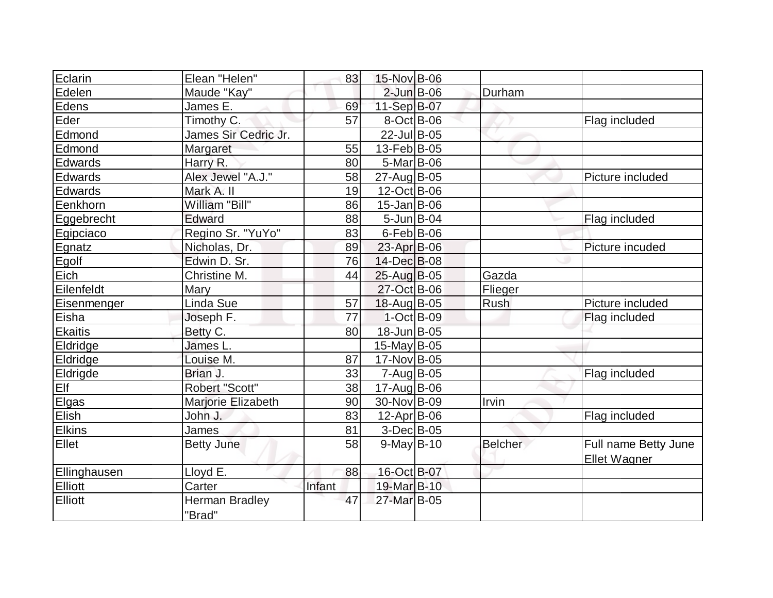| Eclarin        | Elean "Helen"                   | 83     | 15-Nov B-06        |                |                                      |
|----------------|---------------------------------|--------|--------------------|----------------|--------------------------------------|
| Edelen         | Maude "Kay"                     |        | $2$ -Jun $B$ -06   | Durham         |                                      |
| Edens          | James E.                        | 69     | 11-Sep B-07        |                |                                      |
| Eder           | Timothy C.                      | 57     | $8-Oct$ B-06       |                | Flag included                        |
| Edmond         | James Sir Cedric Jr.            |        | 22-Jul B-05        |                |                                      |
| Edmond         | Margaret                        | 55     | 13-Feb B-05        |                |                                      |
| Edwards        | Harry R.                        | 80     | $5-Mar$ B-06       |                |                                      |
| Edwards        | Alex Jewel "A.J."               | 58     | 27-Aug B-05        |                | Picture included                     |
| Edwards        | Mark A. II                      | 19     | 12-Oct B-06        |                |                                      |
| Eenkhorn       | William "Bill"                  | 86     | $15$ -Jan $ B$ -06 |                |                                      |
| Eggebrecht     | Edward                          | 88     | $5 - Jun$ $B - 04$ |                | Flag included                        |
| Egipciaco      | Regino Sr. "YuYo"               | 83     | $6$ -Feb $ B$ -06  |                |                                      |
| Egnatz         | Nicholas, Dr.                   | 89     | $23$ -Apr $B$ -06  |                | Picture incuded                      |
| Egolf          | Edwin D. Sr.                    | 76     | 14-Dec B-08        |                |                                      |
| Eich           | Christine M.                    | 44     | 25-Aug B-05        | Gazda          |                                      |
| Eilenfeldt     | Mary                            |        | 27-Oct B-06        | Flieger        |                                      |
| Eisenmenger    | Linda Sue                       | 57     | 18-Aug B-05        | Rush           | Picture included                     |
| Eisha          | Joseph F.                       | 77     | $1-Oct$ B-09       |                | Flag included                        |
| Ekaitis        | Betty C.                        | 80     | 18-Jun B-05        |                |                                      |
| Eldridge       | James L.                        |        | $15$ -May B-05     |                |                                      |
| Eldridge       | Louise M.                       | 87     | 17-Nov B-05        |                |                                      |
| Eldrigde       | Brian J.                        | 33     | $7 - Aug$ B-05     |                | Flag included                        |
| Elf            | Robert "Scott"                  | 38     | 17-Aug B-06        |                |                                      |
| Elgas          | Marjorie Elizabeth              | 90     | 30-Nov B-09        | Irvin          |                                      |
| Elish          | John J.                         | 83     | $12$ -Apr $ B$ -06 |                | Flag included                        |
| <b>Elkins</b>  | James                           | 81     | $3-Dec$ B-05       |                |                                      |
| Ellet          | <b>Betty June</b>               | 58     | $9$ -May B-10      | <b>Belcher</b> | Full name Betty June<br>Ellet Wagner |
| Ellinghausen   | Lloyd E.                        | 88     | 16-Oct B-07        |                |                                      |
| Elliott        | Carter                          | Infant | 19-Mar B-10        |                |                                      |
| <b>Elliott</b> | <b>Herman Bradley</b><br>"Brad" | 47     | 27-Mar B-05        |                |                                      |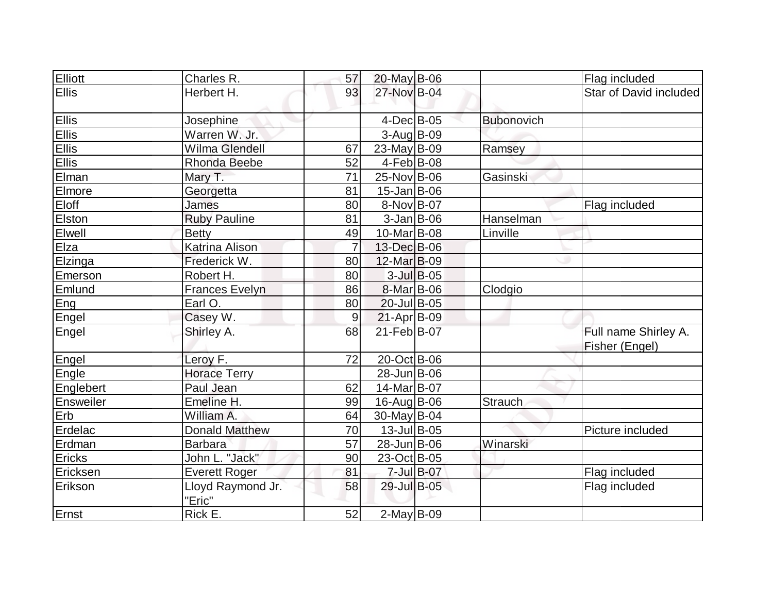| Elliott       | Charles R.                  | 57             | $20$ -May B-06   |               |                   | Flag included                          |
|---------------|-----------------------------|----------------|------------------|---------------|-------------------|----------------------------------------|
| <b>Ellis</b>  | Herbert H.                  | 93             | 27-Nov B-04      |               |                   | Star of David included                 |
| Ellis         | Josephine                   |                | $4$ -Dec $B$ -05 |               | <b>Bubonovich</b> |                                        |
| Ellis         | Warren W. Jr.               |                | $3-Aug B-09$     |               |                   |                                        |
| Ellis         | Wilma Glendell              | 67             | $23$ -May B-09   |               | Ramsey            |                                        |
| Ellis         | Rhonda Beebe                | 52             | $4-Feb B-08$     |               |                   |                                        |
| Elman         | Mary T.                     | 71             | 25-Nov B-06      |               | Gasinski          |                                        |
| Elmore        | Georgetta                   | 81             | $15$ -Jan B-06   |               |                   |                                        |
| Eloff         | James                       | 80             | 8-Nov B-07       |               |                   | Flag included                          |
| <b>Elston</b> | <b>Ruby Pauline</b>         | 81             | $3$ -Jan B-06    |               | Hanselman         |                                        |
| Elwell        | <b>Betty</b>                | 49             | 10-Mar B-08      |               | Linville          |                                        |
| Elza          | <b>Katrina Alison</b>       | $\overline{7}$ | 13-Dec B-06      |               |                   |                                        |
| Elzinga       | Frederick W.                | 80             | 12-Mar B-09      |               |                   |                                        |
| Emerson       | Robert H.                   | 80             |                  | $3$ -Jul B-05 |                   |                                        |
| Emlund        | <b>Frances Evelyn</b>       | 86             | 8-Mar B-06       |               | Clodgio           |                                        |
| Eng           | Earl O.                     | 80             | 20-Jul B-05      |               |                   |                                        |
| Engel         | Casey W.                    | 9              | $21-Apr$ B-09    |               |                   |                                        |
| Engel         | Shirley A.                  | 68             | 21-Feb B-07      |               |                   | Full name Shirley A.<br>Fisher (Engel) |
| Engel         | Leroy F.                    | 72             | $20$ -Oct B-06   |               |                   |                                        |
| Engle         | <b>Horace Terry</b>         |                | 28-Jun B-06      |               |                   |                                        |
| Englebert     | Paul Jean                   | 62             | 14-Mar B-07      |               |                   |                                        |
| Ensweiler     | Emeline H.                  | 99             | 16-Aug B-06      |               | Strauch           |                                        |
| Erb           | William A.                  | 64             | $30$ -May B-04   |               |                   |                                        |
| Erdelac       | <b>Donald Matthew</b>       | 70             | $13$ -Jul B-05   |               |                   | Picture included                       |
| Erdman        | <b>Barbara</b>              | 57             | 28-Jun B-06      |               | Winarski          |                                        |
| <b>Ericks</b> | John L. "Jack"              | 90             | 23-Oct B-05      |               |                   |                                        |
| Ericksen      | <b>Everett Roger</b>        | 81             |                  | 7-Jul B-07    |                   | Flag included                          |
| Erikson       | Lloyd Raymond Jr.<br>"Eric" | 58             | 29-Jul B-05      |               |                   | Flag included                          |
| Ernst         | Rick E.                     | 52             | $2$ -May B-09    |               |                   |                                        |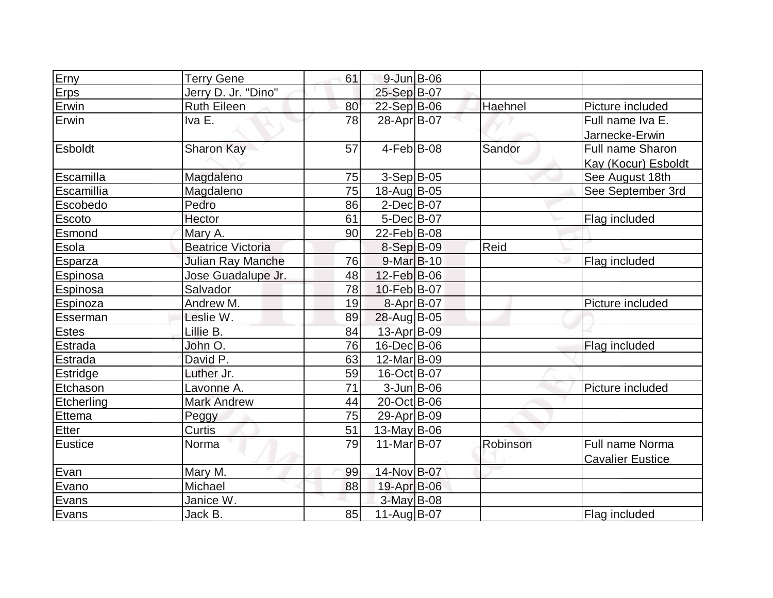| Erny           | <b>Terry Gene</b>        | 61 | $9$ -Jun $B$ -06   |          |                         |
|----------------|--------------------------|----|--------------------|----------|-------------------------|
| Erps           | Jerry D. Jr. "Dino"      |    | 25-Sep B-07        |          |                         |
| Erwin          | <b>Ruth Eileen</b>       | 80 | 22-Sep B-06        | Haehnel  | Picture included        |
| Erwin          | Iva E.                   | 78 | 28-Apr B-07        |          | Full name Iva E.        |
|                |                          |    |                    |          | Jarnecke-Erwin          |
| <b>Esboldt</b> | Sharon Kay               | 57 | $4-Feb B-08$       | Sandor   | <b>Full name Sharon</b> |
|                |                          |    |                    |          | Kay (Kocur) Esboldt     |
| Escamilla      | Magdaleno                | 75 | $3-Sep B-05$       |          | See August 18th         |
| Escamillia     | Magdaleno                | 75 | 18-Aug B-05        |          | See September 3rd       |
| Escobedo       | Pedro                    | 86 | $2$ -Dec $B$ -07   |          |                         |
| Escoto         | Hector                   | 61 | $5$ -Dec $B$ -07   |          | Flag included           |
| Esmond         | Mary A.                  | 90 | 22-Feb B-08        |          |                         |
| Esola          | <b>Beatrice Victoria</b> |    | $8-Sep B-09$       | Reid     |                         |
| Esparza        | Julian Ray Manche        | 76 | $9$ -Mar $B$ -10   |          | Flag included           |
| Espinosa       | Jose Guadalupe Jr.       | 48 | $12$ -Feb $ B-06 $ |          |                         |
| Espinosa       | Salvador                 | 78 | 10-Feb B-07        |          |                         |
| Espinoza       | Andrew M.                | 19 | 8-Apr B-07         |          | Picture included        |
| Esserman       | Leslie W.                | 89 | 28-Aug B-05        |          |                         |
| <b>Estes</b>   | Lillie B.                | 84 | $13$ -Apr $ B-09 $ |          |                         |
| Estrada        | John O.                  | 76 | $16$ -Dec $ B$ -06 |          | Flag included           |
| Estrada        | David P.                 | 63 | 12-Mar B-09        |          |                         |
| Estridge       | Luther Jr.               | 59 | 16-Oct B-07        |          |                         |
| Etchason       | Lavonne A.               | 71 | $3$ -Jun $B$ -06   |          | Picture included        |
| Etcherling     | <b>Mark Andrew</b>       | 44 | 20-Oct B-06        |          |                         |
| Ettema         | Peggy                    | 75 | 29-Apr B-09        |          |                         |
| Etter          | Curtis                   | 51 | $13$ -May B-06     |          |                         |
| <b>Eustice</b> | Norma                    | 79 | 11-Mar B-07        | Robinson | Full name Norma         |
|                |                          |    |                    |          | <b>Cavalier Eustice</b> |
| Evan           | Mary M.                  | 99 | 14-Nov B-07        |          |                         |
| Evano          | Michael                  | 88 | 19-Apr B-06        |          |                         |
| Evans          | Janice W.                |    | $3-May$ B-08       |          |                         |
| Evans          | Jack B.                  | 85 | $11-Auq$ B-07      |          | Flag included           |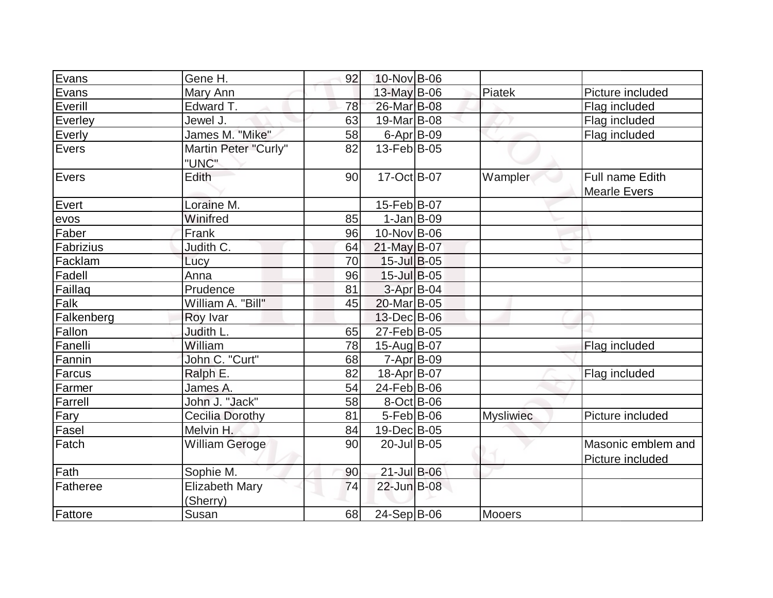| Evans      | Gene H.                           | 92 | 10-Nov B-06             |                  |                                        |
|------------|-----------------------------------|----|-------------------------|------------------|----------------------------------------|
| Evans      | Mary Ann                          |    | 13-May B-06             | Piatek           | Picture included                       |
| Everill    | Edward T.                         | 78 | 26-Mar B-08             |                  | Flag included                          |
| Everley    | Jewel J.                          | 63 | 19-Mar <sub>B</sub> -08 |                  | Flag included                          |
| Everly     | James M. "Mike"                   | 58 | $6 - Apr$ B-09          |                  | Flag included                          |
| Evers      | Martin Peter "Curly"<br>"UNC"     | 82 | $13$ -Feb $ B-05 $      |                  |                                        |
| Evers      | Edith                             | 90 | $17-Oct$ B-07           | Wampler          | Full name Edith<br><b>Mearle Evers</b> |
| Evert      | Loraine M.                        |    | 15-Feb B-07             |                  |                                        |
| evos       | Winifred                          | 85 | $1-Jan B-09$            |                  |                                        |
| Faber      | Frank                             | 96 | $10$ -Nov B-06          |                  |                                        |
| Fabrizius  | Judith C.                         | 64 | 21-May B-07             |                  |                                        |
| Facklam    | Lucy                              | 70 | $15$ -Jul B-05          |                  |                                        |
| Fadell     | Anna                              | 96 | $15$ -Jul B-05          |                  |                                        |
| Faillaq    | Prudence                          | 81 | 3-Apr B-04              |                  |                                        |
| Falk       | William A. "Bill"                 | 45 | 20-Mar B-05             |                  |                                        |
| Falkenberg | Roy Ivar                          |    | 13-Dec B-06             |                  |                                        |
| Fallon     | Judith L.                         | 65 | 27-Feb B-05             |                  |                                        |
| Fanelli    | William                           | 78 | 15-Aug B-07             |                  | Flag included                          |
| Fannin     | John C. "Curt"                    | 68 | 7-Apr B-09              |                  |                                        |
| Farcus     | Ralph E.                          | 82 | 18-Apr B-07             |                  | Flag included                          |
| Farmer     | James A.                          | 54 | 24-Feb B-06             |                  |                                        |
| Farrell    | John J. "Jack"                    | 58 | $8-Oct$ B-06            |                  |                                        |
| Fary       | <b>Cecilia Dorothy</b>            | 81 | $5-Feb B-06$            | <b>Mysliwiec</b> | Picture included                       |
| Fasel      | Melvin H.                         | 84 | 19-Dec B-05             |                  |                                        |
| Fatch      | <b>William Geroge</b>             | 90 | 20-Jul B-05             |                  | Masonic emblem and<br>Picture included |
| Fath       | Sophie M.                         | 90 | 21-Jul B-06             |                  |                                        |
| Fatheree   | <b>Elizabeth Mary</b><br>(Sherry) | 74 | 22-Jun B-08             |                  |                                        |
| Fattore    | Susan                             | 68 | $24-Sep B-06$           | Mooers           |                                        |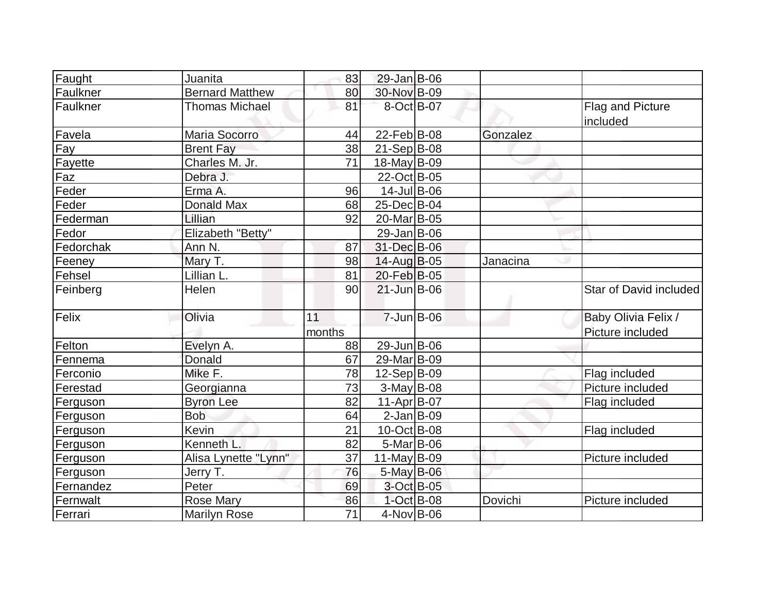| Faught    | Juanita                | 83              | $29$ -Jan B-06     |               |          |                        |
|-----------|------------------------|-----------------|--------------------|---------------|----------|------------------------|
| Faulkner  | <b>Bernard Matthew</b> | 80              | 30-Nov B-09        |               |          |                        |
| Faulkner  | <b>Thomas Michael</b>  | 81              | 8-Oct B-07         |               |          | Flag and Picture       |
|           |                        |                 |                    |               |          | included               |
| Favela    | Maria Socorro          | 44              | $22$ -Feb $ B-08 $ |               | Gonzalez |                        |
| Fay       | <b>Brent Fay</b>       | 38              | $21-Sep B-08$      |               |          |                        |
| Fayette   | Charles M. Jr.         | 71              | $18$ -May B-09     |               |          |                        |
| Faz       | Debra J.               |                 | 22-Oct B-05        |               |          |                        |
| Feder     | Erma A.                | 96              | 14-Jul B-06        |               |          |                        |
| Feder     | <b>Donald Max</b>      | 68              | 25-Dec B-04        |               |          |                        |
| Federman  | Lillian                | 92              | 20-Mar B-05        |               |          |                        |
| Fedor     | Elizabeth "Betty"      |                 | $29$ -Jan $ B-06$  |               |          |                        |
| Fedorchak | Ann N.                 | 87              | 31-Dec B-06        |               |          |                        |
| Feeney    | Mary T.                | 98              | $14$ -Aug B-05     |               | Janacina |                        |
| Fehsel    | Lillian L.             | 81              | 20-Feb B-05        |               |          |                        |
| Feinberg  | Helen                  | 90              | $21$ -Jun $B$ -06  |               |          | Star of David included |
| Felix     | Olivia                 | 11              | 7-Jun B-06         |               |          | Baby Olivia Felix /    |
|           |                        | months          |                    |               |          | Picture included       |
| Felton    | Evelyn A.              | 88              | 29-Jun B-06        |               |          |                        |
| Fennema   | Donald                 | 67              | 29-Mar B-09        |               |          |                        |
| Ferconio  | Mike F.                | 78              | $12-Sep B-09$      |               |          | Flag included          |
| Ferestad  | Georgianna             | 73              | $3$ -May B-08      |               |          | Picture included       |
| Ferguson  | <b>Byron Lee</b>       | 82              | $11-Apr$ B-07      |               |          | Flag included          |
| Ferguson  | <b>Bob</b>             | 64              | $2$ -Jan B-09      |               |          |                        |
| Ferguson  | Kevin                  | 21              | $10$ -Oct B-08     |               |          | Flag included          |
| Ferguson  | Kenneth L.             | 82              | $5-Mar$ B-06       |               |          |                        |
| Ferguson  | Alisa Lynette "Lynn"   | 37              | 11-May $B-09$      |               |          | Picture included       |
| Ferguson  | Jerry T.               | 76              | 5-May B-06         |               |          |                        |
| Fernandez | Peter                  | 69              | 3-Oct B-05         |               |          |                        |
| Fernwalt  | <b>Rose Mary</b>       | 86              |                    | $1$ -Oct B-08 | Dovichi  | Picture included       |
| Ferrari   | Marilyn Rose           | $\overline{71}$ | $4$ -Nov B-06      |               |          |                        |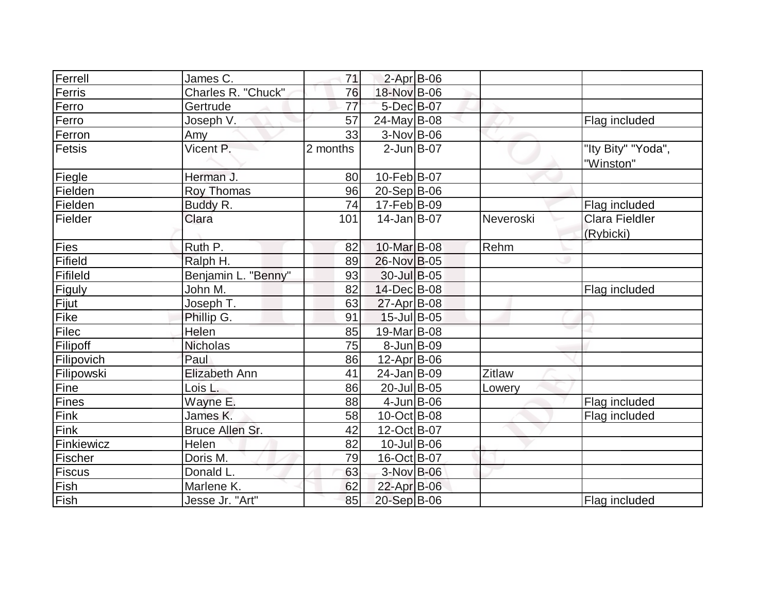| Ferrell    | James C.             | 71       | $2$ -Apr $B$ -06   |           |                                    |
|------------|----------------------|----------|--------------------|-----------|------------------------------------|
| Ferris     | Charles R. "Chuck"   | 76       | 18-Nov B-06        |           |                                    |
| Ferro      | Gertrude             | 77       | 5-Dec B-07         |           |                                    |
| Ferro      | Joseph V.            | 57       | $24$ -May B-08     |           | Flag included                      |
| Ferron     | Amy                  | 33       | $3-Nov$ B-06       |           |                                    |
| Fetsis     | Vicent P.            | 2 months | $2$ -Jun $B$ -07   |           | "Ity Bity" "Yoda",<br>"Winston"    |
| Fiegle     | Herman J.            | 80       | $10$ -Feb $ B-07 $ |           |                                    |
| Fielden    | Roy Thomas           | 96       | $20-Sep B-06$      |           |                                    |
| Fielden    | Buddy R.             | 74       | 17-Feb B-09        |           | Flag included                      |
| Fielder    | Clara                | 101      | $14$ -Jan B-07     | Neveroski | <b>Clara Fieldler</b><br>(Rybicki) |
| Fies       | Ruth P.              | 82       | 10-Mar B-08        | Rehm      |                                    |
| Fifield    | Ralph H.             | 89       | 26-Nov B-05        |           |                                    |
| Fifileld   | Benjamin L. "Benny"  | 93       | 30-Jul B-05        |           |                                    |
| Figuly     | John M.              | 82       | 14-Dec B-08        |           | Flag included                      |
| Fijut      | Joseph T.            | 63       | $27$ -Apr $ B-08 $ |           |                                    |
| Fike       | Phillip G.           | 91       | 15-Jul B-05        |           |                                    |
| Filec      | Helen                | 85       | 19-Mar B-08        |           |                                    |
| Filipoff   | Nicholas             | 75       | $8$ -Jun $B$ -09   |           |                                    |
| Filipovich | Paul                 | 86       | $12$ -Apr $ B-06$  |           |                                    |
| Filipowski | <b>Elizabeth Ann</b> | 41       | $24$ -Jan $ B-09 $ | Zitlaw    |                                    |
| Fine       | Lois L.              | 86       | 20-Jul B-05        | Lowery    |                                    |
| Fines      | Wayne E.             | 88       | $4$ -Jun $B$ -06   |           | Flag included                      |
| Fink       | James K.             | 58       | 10-Oct B-08        |           | Flag included                      |
| Fink       | Bruce Allen Sr.      | 42       | 12-Oct B-07        |           |                                    |
| Finkiewicz | Helen                | 82       | $10$ -Jul B-06     |           |                                    |
| Fischer    | Doris M.             | 79       | 16-Oct B-07        |           |                                    |
| Fiscus     | Donald L.            | 63       | 3-Nov B-06         |           |                                    |
| Fish       | Marlene K.           | 62       | 22-Apr B-06        |           |                                    |
| Fish       | Jesse Jr. "Art"      | 85       | 20-Sep B-06        |           | Flag included                      |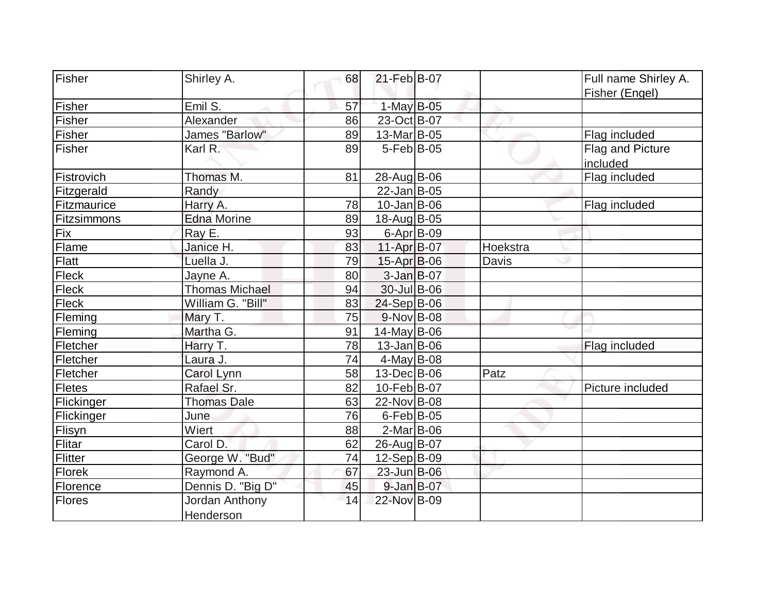| Fisher        | Shirley A.                         | 68 | 21-Feb B-07        |          | Full name Shirley A.         |
|---------------|------------------------------------|----|--------------------|----------|------------------------------|
|               |                                    |    |                    |          | Fisher (Engel)               |
| Fisher        | Emil S.                            | 57 | 1-May B-05         |          |                              |
| Fisher        | Alexander                          | 86 | 23-Oct B-07        |          |                              |
| Fisher        | James "Barlow"                     | 89 | 13-Mar B-05        |          | Flag included                |
| Fisher        | Karl R.                            | 89 | 5-Feb B-05         |          | Flag and Picture<br>included |
| Fistrovich    | Thomas M.                          | 81 | 28-Aug B-06        |          | Flag included                |
| Fitzgerald    | Randy                              |    | 22-Jan B-05        |          |                              |
| Fitzmaurice   | Harry A.                           | 78 | $10$ -Jan $ B-06$  |          | Flag included                |
| Fitzsimmons   | <b>Edna Morine</b>                 | 89 | 18-Aug B-05        |          |                              |
| Fix           | Ray E.                             | 93 | 6-Apr $B-09$       |          |                              |
| Flame         | Janice H.                          | 83 | 11-Apr B-07        | Hoekstra |                              |
| Flatt         | Luella J.                          | 79 | $15$ -Apr $B$ -06  | Davis    |                              |
| Fleck         | Jayne A.                           | 80 | 3-Jan B-07         |          |                              |
| Fleck         | <b>Thomas Michael</b>              | 94 | $30 -$ Jul B-06    |          |                              |
| Fleck         | William G. "Bill"                  | 83 | 24-Sep B-06        |          |                              |
| Fleming       | Mary T.                            | 75 | 9-Nov B-08         |          |                              |
| Fleming       | Martha G.                          | 91 | 14-May B-06        |          |                              |
| Fletcher      | Harry T.                           | 78 | $13$ -Jan $ B-06$  |          | Flag included                |
| Fletcher      | Laura J.                           | 74 | $4$ -May B-08      |          |                              |
| Fletcher      | Carol Lynn                         | 58 | $13$ -Dec $ B$ -06 | Patz     |                              |
| <b>Fletes</b> | Rafael Sr.                         | 82 | 10-Feb B-07        |          | Picture included             |
| Flickinger    | <b>Thomas Dale</b>                 | 63 | 22-Nov B-08        |          |                              |
| Flickinger    | June                               | 76 | $6$ -Feb $ B$ -05  |          |                              |
| Flisyn        | Wiert                              | 88 | $2$ -Mar $ B$ -06  |          |                              |
| Flitar        | Carol D.                           | 62 | 26-Aug B-07        |          |                              |
| Flitter       | George W. "Bud"                    | 74 | $12-Sep B-09$      |          |                              |
| <b>Florek</b> | Raymond A.                         | 67 | 23-Jun B-06        |          |                              |
| Florence      | Dennis D. "Big D"                  | 45 | 9-Jan B-07         |          |                              |
| Flores        | Jordan Anthony<br><b>Henderson</b> | 14 | 22-Nov B-09        |          |                              |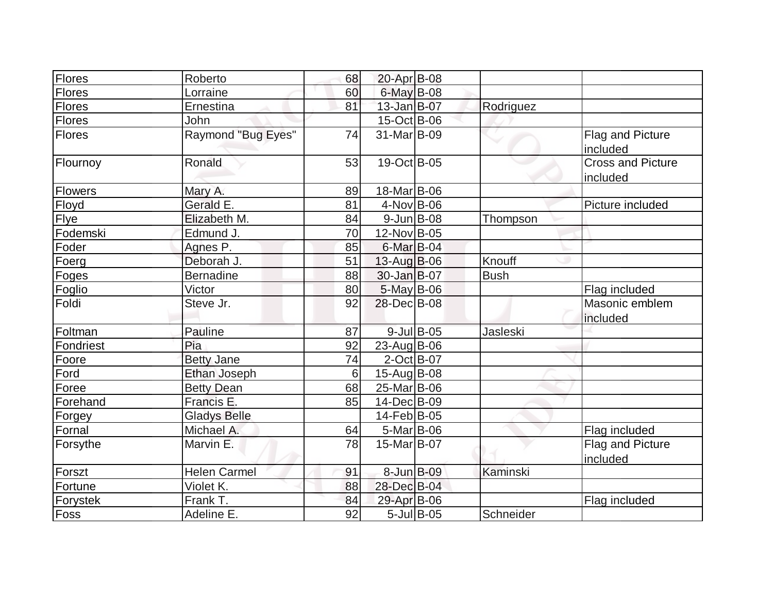| Flores         | Roberto             | 68 | 20-Apr B-08             |                  |             |                                      |
|----------------|---------------------|----|-------------------------|------------------|-------------|--------------------------------------|
| Flores         | Lorraine            | 60 | $6$ -May B-08           |                  |             |                                      |
| Flores         | Ernestina           | 81 | $13$ -Jan $B$ -07       |                  | Rodriguez   |                                      |
| <b>Flores</b>  | John                |    | 15-Oct B-06             |                  |             |                                      |
| Flores         | Raymond "Bug Eyes"  | 74 | 31-Mar <sub>B</sub> -09 |                  |             | Flag and Picture<br>included         |
| Flournoy       | Ronald              | 53 | 19-Oct B-05             |                  |             | <b>Cross and Picture</b><br>included |
| <b>Flowers</b> | Mary A.             | 89 | 18-Mar B-06             |                  |             |                                      |
| Floyd          | Gerald E.           | 81 | $4$ -Nov $B$ -06        |                  |             | Picture included                     |
| Flye           | Elizabeth M.        | 84 | $9$ -Jun $B$ -08        |                  | Thompson    |                                      |
| Fodemski       | Edmund J.           | 70 | 12-Nov B-05             |                  |             |                                      |
| Foder          | Agnes P.            | 85 | 6-Mar B-04              |                  |             |                                      |
| Foerg          | Deborah J.          | 51 | $13$ -Aug B-06          |                  | Knouff      |                                      |
| Foges          | <b>Bernadine</b>    | 88 | $30 - Jan$ $B-07$       |                  | <b>Bush</b> |                                      |
| Foglio         | Victor              | 80 | 5-May B-06              |                  |             | Flag included                        |
| Foldi          | Steve Jr.           | 92 | 28-Dec B-08             |                  |             | Masonic emblem<br>included           |
| Foltman        | Pauline             | 87 |                         | $9$ -Jul $B$ -05 | Jasleski    |                                      |
| Fondriest      | Pia                 | 92 | $23$ -Aug $B$ -06       |                  |             |                                      |
| Foore          | <b>Betty Jane</b>   | 74 | $2$ -Oct B-07           |                  |             |                                      |
| Ford           | Ethan Joseph        | 6  | 15-Aug B-08             |                  |             |                                      |
| Foree          | <b>Betty Dean</b>   | 68 | 25-Mar B-06             |                  |             |                                      |
| Forehand       | Francis E.          | 85 | 14-Dec B-09             |                  |             |                                      |
| Forgey         | <b>Gladys Belle</b> |    | $14$ -Feb $ B-05 $      |                  |             |                                      |
| Fornal         | Michael A.          | 64 | $5-Mar$ B-06            |                  |             | Flag included                        |
| Forsythe       | Marvin E.           | 78 | 15-Mar <sub>B-07</sub>  |                  |             | Flag and Picture<br>included         |
| Forszt         | <b>Helen Carmel</b> | 91 | 8-Jun B-09              |                  | Kaminski    |                                      |
| Fortune        | Violet K.           | 88 | 28-Dec B-04             |                  |             |                                      |
| Forystek       | Frank T.            | 84 | 29-Apr B-06             |                  |             | Flag included                        |
| Foss           | Adeline E.          | 92 |                         | $5$ -Jul B-05    | Schneider   |                                      |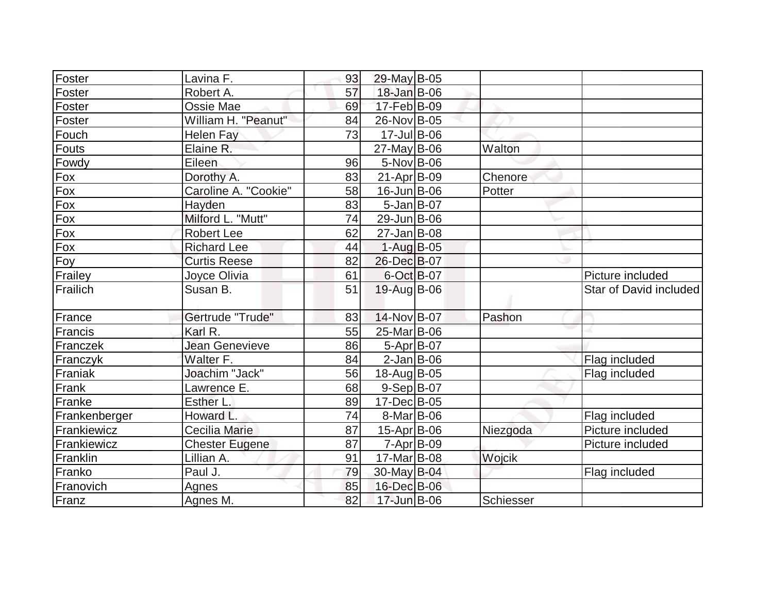| Foster        | Lavina F.             | 93 | 29-May B-05       |           |                        |
|---------------|-----------------------|----|-------------------|-----------|------------------------|
| Foster        | Robert A.             | 57 | $18$ -Jan B-06    |           |                        |
| Foster        | Ossie Mae             | 69 | 17-Feb B-09       |           |                        |
| Foster        | William H. "Peanut"   | 84 | 26-Nov B-05       |           |                        |
| Fouch         | <b>Helen Fay</b>      | 73 | 17-Jul B-06       |           |                        |
| Fouts         | Elaine R.             |    | $27$ -May B-06    | Walton    |                        |
| Fowdy         | Eileen                | 96 | $5-Nov$ B-06      |           |                        |
| $F_{OX}$      | Dorothy A.            | 83 | $21-Apr B-09$     | Chenore   |                        |
| $F_{OX}$      | Caroline A. "Cookie"  | 58 | $16$ -Jun $B$ -06 | Potter    |                        |
| Fox           | Hayden                | 83 | $5$ -Jan B-07     |           |                        |
| Fox           | Milford L. "Mutt"     | 74 | 29-Jun B-06       |           |                        |
| Fox           | <b>Robert Lee</b>     | 62 | $27$ -Jan B-08    |           |                        |
| Fox           | <b>Richard Lee</b>    | 44 | $1-Aug$ B-05      |           |                        |
| Foy           | <b>Curtis Reese</b>   | 82 | 26-Dec B-07       |           |                        |
| Frailey       | Joyce Olivia          | 61 | $6-Oct$ B-07      |           | Picture included       |
| Frailich      | Susan B.              | 51 | 19-Aug B-06       |           | Star of David included |
| France        | Gertrude "Trude"      | 83 | 14-Nov B-07       | Pashon    |                        |
| Francis       | Karl R.               | 55 | 25-Mar B-06       |           |                        |
| Franczek      | <b>Jean Genevieve</b> | 86 | $5-Apr B-07$      |           |                        |
| Franczyk      | Walter F.             | 84 | $2$ -Jan B-06     |           | Flag included          |
| Franiak       | Joachim "Jack"        | 56 | 18-Aug B-05       |           | Flag included          |
| Frank         | Lawrence E.           | 68 | $9-Sep B-07$      |           |                        |
| Franke        | Esther L.             | 89 | 17-Dec B-05       |           |                        |
| Frankenberger | Howard L.             | 74 | $8$ -Mar $ B$ -06 |           | Flag included          |
| Frankiewicz   | Cecilia Marie         | 87 | 15-Apr B-06       | Niezgoda  | Picture included       |
| Frankiewicz   | <b>Chester Eugene</b> | 87 | $7 - Apr$ $B-09$  |           | Picture included       |
| Franklin      | Lillian A.            | 91 | 17-Mar B-08       | Wojcik    |                        |
| Franko        | Paul J.               | 79 | 30-May B-04       |           | Flag included          |
| Franovich     | Agnes                 | 85 | 16-Dec B-06       |           |                        |
| Franz         | Agnes M.              | 82 | 17-Jun B-06       | Schiesser |                        |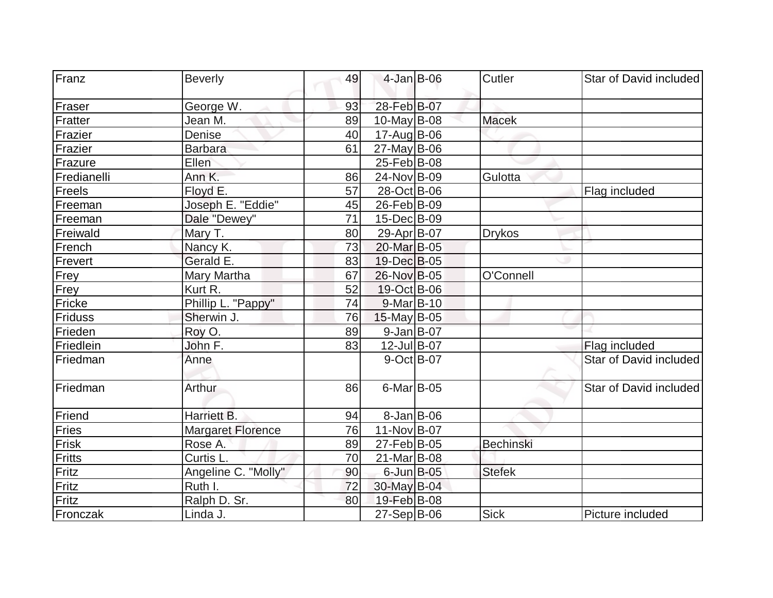| Franz       | <b>Beverly</b>           | 49 | $4$ -Jan B-06     | Cutler           | Star of David included |
|-------------|--------------------------|----|-------------------|------------------|------------------------|
| Fraser      | George W.                | 93 | 28-Feb B-07       |                  |                        |
| Fratter     | Jean M.                  | 89 | $10$ -May B-08    | <b>Macek</b>     |                        |
| Frazier     | Denise                   | 40 | 17-Aug B-06       |                  |                        |
| Frazier     | <b>Barbara</b>           | 61 | $27$ -May B-06    |                  |                        |
| Frazure     | Ellen                    |    | 25-Feb B-08       |                  |                        |
| Fredianelli | Ann K.                   | 86 | 24-Nov B-09       | Gulotta          |                        |
| Freels      | Floyd E.                 | 57 | 28-Oct B-06       |                  | Flag included          |
| Freeman     | Joseph E. "Eddie"        | 45 | 26-Feb B-09       |                  |                        |
| Freeman     | Dale "Dewey"             | 71 | 15-Dec B-09       |                  |                        |
| Freiwald    | Mary T.                  | 80 | 29-Apr B-07       | <b>Drykos</b>    |                        |
| French      | Nancy K.                 | 73 | 20-Mar B-05       |                  |                        |
| Frevert     | Gerald E.                | 83 | 19-Dec B-05       |                  |                        |
| <b>Frey</b> | Mary Martha              | 67 | 26-Nov B-05       | O'Connell        |                        |
| Frey        | Kurt R.                  | 52 | 19-Oct B-06       |                  |                        |
| Fricke      | Phillip L. "Pappy"       | 74 | $9$ -Mar $ B-10$  |                  |                        |
| Friduss     | Sherwin J.               | 76 | $15$ -May B-05    |                  |                        |
| Frieden     | Roy O.                   | 89 | 9-Jan B-07        |                  |                        |
| Friedlein   | John F.                  | 83 | 12-Jul B-07       |                  | Flag included          |
| Friedman    | Anne                     |    | 9-Oct B-07        |                  | Star of David included |
| Friedman    | Arthur                   | 86 | $6$ -Mar $B$ -05  |                  | Star of David included |
| Friend      | Harriett B.              | 94 | $8$ -Jan B-06     |                  |                        |
| Fries       | <b>Margaret Florence</b> | 76 | 11-Nov B-07       |                  |                        |
| Frisk       | Rose A.                  | 89 | 27-Feb B-05       | <b>Bechinski</b> |                        |
| Fritts      | Curtis L.                | 70 | $21$ -Mar $ B-08$ |                  |                        |
| Fritz       | Angeline C. "Molly"      | 90 | $6$ -Jun $B$ -05  | <b>Stefek</b>    |                        |
| Fritz       | Ruth I.                  | 72 | 30-May B-04       |                  |                        |
| Fritz       | Ralph D. Sr.             | 80 | 19-Feb B-08       |                  |                        |
| Fronczak    | Linda J.                 |    | $27-Sep B-06$     | <b>Sick</b>      | Picture included       |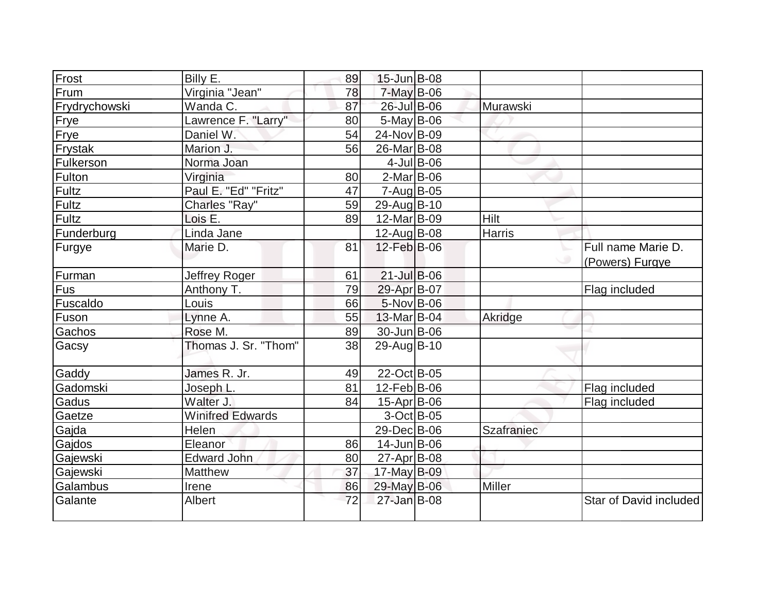| Frost         | Billy E.                | 89 | 15-Jun B-08        |               |                   |                        |
|---------------|-------------------------|----|--------------------|---------------|-------------------|------------------------|
| Frum          | Virginia "Jean"         | 78 | $7$ -May B-06      |               |                   |                        |
| Frydrychowski | Wanda C.                | 87 | 26-Jul B-06        |               | Murawski          |                        |
| Frye          | Lawrence F. "Larry"     | 80 | $5$ -May B-06      |               |                   |                        |
| Frye          | Daniel W.               | 54 | 24-Nov B-09        |               |                   |                        |
| Frystak       | Marion J.               | 56 | 26-Mar B-08        |               |                   |                        |
| Fulkerson     | Norma Joan              |    |                    | $4$ -Jul B-06 |                   |                        |
| Fulton        | Virginia                | 80 | $2$ -Mar $ B-06$   |               |                   |                        |
| Fultz         | Paul E. "Ed" "Fritz"    | 47 | $7 - Aug$ B-05     |               |                   |                        |
| Fultz         | Charles "Ray"           | 59 | 29-Aug B-10        |               |                   |                        |
| Fultz         | Lois E.                 | 89 | 12-Mar B-09        |               | Hilt              |                        |
| Funderburg    | Linda Jane              |    | $12$ -Aug $B$ -08  |               | Harris            |                        |
| Furgye        | Marie D.                | 81 | 12-Feb B-06        |               |                   | Full name Marie D.     |
|               |                         |    |                    |               |                   | (Powers) Furgye        |
| Furman        | Jeffrey Roger           | 61 | 21-Jul B-06        |               |                   |                        |
| Fus           | Anthony T.              | 79 | 29-Apr B-07        |               |                   | Flag included          |
| Fuscaldo      | Louis                   | 66 | $5-Nov$ B-06       |               |                   |                        |
| Fuson         | Lynne A.                | 55 | 13-Mar B-04        |               | Akridge           |                        |
| Gachos        | Rose M.                 | 89 | 30-Jun B-06        |               |                   |                        |
| Gacsy         | Thomas J. Sr. "Thom"    | 38 | 29-Aug B-10        |               |                   |                        |
| Gaddy         | James R. Jr.            | 49 | 22-Oct B-05        |               |                   |                        |
| Gadomski      | Joseph L.               | 81 | $12$ -Feb $ B-06$  |               |                   | Flag included          |
| Gadus         | Walter J.               | 84 | $15-Apr$ B-06      |               |                   | Flag included          |
| Gaetze        | <b>Winifred Edwards</b> |    | $3-Oct$ B-05       |               |                   |                        |
| Gajda         | Helen                   |    | 29-Dec B-06        |               | <b>Szafraniec</b> |                        |
| Gajdos        | Eleanor                 | 86 | $14$ -Jun $ B-06$  |               |                   |                        |
| Gajewski      | <b>Edward John</b>      | 80 | $27$ -Apr $ B$ -08 |               |                   |                        |
| Gajewski      | Matthew                 | 37 | 17-May B-09        |               |                   |                        |
| Galambus      | Irene                   | 86 | 29-May B-06        |               | <b>Miller</b>     |                        |
| Galante       | Albert                  | 72 | 27-Jan B-08        |               |                   | Star of David included |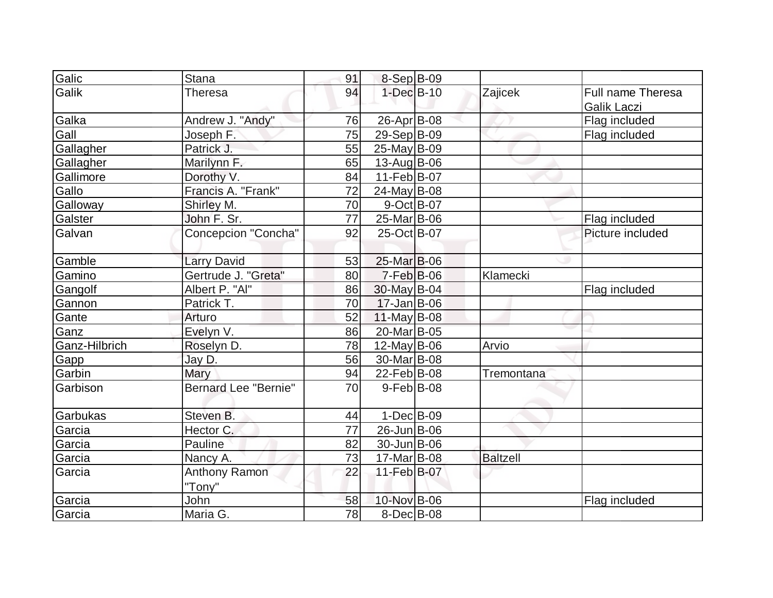| Galic         | <b>Stana</b>                | 91 | 8-Sep B-09        |                 |                   |
|---------------|-----------------------------|----|-------------------|-----------------|-------------------|
| Galik         | Theresa                     | 94 | $1-Dec$ B-10      | Zajicek         | Full name Theresa |
|               |                             |    |                   |                 | Galik Laczi       |
| Galka         | Andrew J. "Andy"            | 76 | 26-Apr B-08       |                 | Flag included     |
| Gall          | Joseph F.                   | 75 | 29-Sep B-09       |                 | Flag included     |
| Gallagher     | Patrick J.                  | 55 | $25$ -May B-09    |                 |                   |
| Gallagher     | Marilynn F.                 | 65 | $13$ -Aug B-06    |                 |                   |
| Gallimore     | Dorothy V.                  | 84 | $11-Feb B-07$     |                 |                   |
| Gallo         | Francis A. "Frank"          | 72 | $24$ -May B-08    |                 |                   |
| Galloway      | Shirley M.                  | 70 | 9-Oct B-07        |                 |                   |
| Galster       | John F. Sr.                 | 77 | 25-Mar B-06       |                 | Flag included     |
| Galvan        | <b>Concepcion "Concha"</b>  | 92 | 25-Oct B-07       |                 | Picture included  |
|               |                             |    |                   |                 |                   |
| Gamble        | <b>Larry David</b>          | 53 | 25-Mar B-06       |                 |                   |
| Gamino        | Gertrude J. "Greta"         | 80 | $7-Feb$ B-06      | Klamecki        |                   |
| Gangolf       | Albert P. "Al"              | 86 | $30$ -May B-04    |                 | Flag included     |
| Gannon        | Patrick T.                  | 70 | $17 - Jan$ B-06   |                 |                   |
| Gante         | Arturo                      | 52 | $11$ -May B-08    |                 |                   |
| Ganz          | Evelyn V.                   | 86 | 20-Mar B-05       |                 |                   |
| Ganz-Hilbrich | Roselyn D.                  | 78 | $12$ -May B-06    | Arvio           |                   |
| Gapp          | Jay D.                      | 56 | 30-Mar B-08       |                 |                   |
| Garbin        | Mary                        | 94 | 22-Feb B-08       | Tremontana      |                   |
| Garbison      | <b>Bernard Lee "Bernie"</b> | 70 | $9$ -Feb $ B$ -08 |                 |                   |
|               |                             |    |                   |                 |                   |
| Garbukas      | Steven B.                   | 44 | $1-Dec$ B-09      |                 |                   |
| Garcia        | Hector C.                   | 77 | 26-Jun B-06       |                 |                   |
| Garcia        | Pauline                     | 82 | $30 - Jun$ B-06   |                 |                   |
| Garcia        | Nancy A.                    | 73 | $17-Mar$ B-08     | <b>Baltzell</b> |                   |
| Garcia        | Anthony Ramon               | 22 | 11-Feb B-07       |                 |                   |
|               | "Tony"                      |    |                   |                 |                   |
| Garcia        | John                        | 58 | 10-Nov B-06       |                 | Flag included     |
| Garcia        | Maria G.                    | 78 | $8$ -Dec $B$ -08  |                 |                   |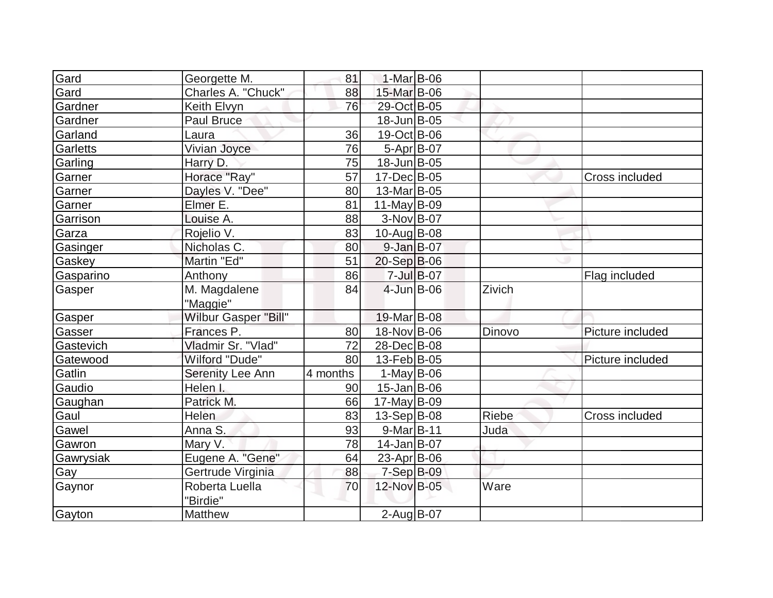| Gard            | Georgette M.                | 81       | $1-Mar$ B-06            |                |        |                  |
|-----------------|-----------------------------|----------|-------------------------|----------------|--------|------------------|
| Gard            | Charles A. "Chuck"          | 88       | 15-Mar B-06             |                |        |                  |
| Gardner         | Keith Elvyn                 | 76       | 29-Oct B-05             |                |        |                  |
| Gardner         | Paul Bruce                  |          | $18$ -Jun $B$ -05       |                |        |                  |
| Garland         | Laura                       | 36       | $19-Oct$ B-06           |                |        |                  |
| <b>Garletts</b> | Vivian Joyce                | 76       | $5-Apr$ B-07            |                |        |                  |
| Garling         | Harry D.                    | 75       | $18$ -Jun $B$ -05       |                |        |                  |
| Garner          | Horace "Ray"                | 57       | 17-Dec B-05             |                |        | Cross included   |
| Garner          | Dayles V. "Dee"             | 80       | 13-Mar <sub>B</sub> -05 |                |        |                  |
| Garner          | Elmer E.                    | 81       | 11-May $B-09$           |                |        |                  |
| Garrison        | Louise A.                   | 88       | $3-Nov B-07$            |                |        |                  |
| Garza           | Rojelio V.                  | 83       | $10$ -Aug $B$ -08       |                |        |                  |
| Gasinger        | Nicholas C.                 | 80       | $9$ -Jan $B$ -07        |                |        |                  |
| Gaskey          | Martin "Ed"                 | 51       | $20-Sep B-06$           |                |        |                  |
| Gasparino       | Anthony                     | 86       |                         | $7 -$ Jul B-07 |        | Flag included    |
| Gasper          | M. Magdalene<br>"Maggie"    | 84       | $4$ -Jun $B$ -06        |                | Zivich |                  |
| Gasper          | <b>Wilbur Gasper "Bill"</b> |          | 19-Mar B-08             |                |        |                  |
| Gasser          | Frances P.                  | 80       | 18-Nov B-06             |                | Dinovo | Picture included |
| Gastevich       | Vladmir Sr. "Vlad"          | 72       | 28-Dec B-08             |                |        |                  |
| Gatewood        | Wilford "Dude"              | 80       | $13$ -Feb $ B-05 $      |                |        | Picture included |
| Gatlin          | Serenity Lee Ann            | 4 months | $1-May$ B-06            |                |        |                  |
| Gaudio          | Helen I.                    | 90       | $15 - Jan$ B-06         |                |        |                  |
| Gaughan         | Patrick M.                  | 66       | $17$ -May B-09          |                |        |                  |
| Gaul            | <b>Helen</b>                | 83       | $13-Sep B-08$           |                | Riebe  | Cross included   |
| Gawel           | Anna S.                     | 93       | $9-Mar$ B-11            |                | Juda   |                  |
| Gawron          | Mary V.                     | 78       | $14$ -Jan $B$ -07       |                |        |                  |
| Gawrysiak       | Eugene A. "Gene"            | 64       | 23-Apr $ B-06 $         |                |        |                  |
| Gay             | Gertrude Virginia           | 88       | $7-Sep B-09$            |                |        |                  |
| Gaynor          | Roberta Luella<br>"Birdie"  | 70       | 12-Nov B-05             |                | Ware   |                  |
| Gayton          | <b>Matthew</b>              |          | $2$ -Aug B-07           |                |        |                  |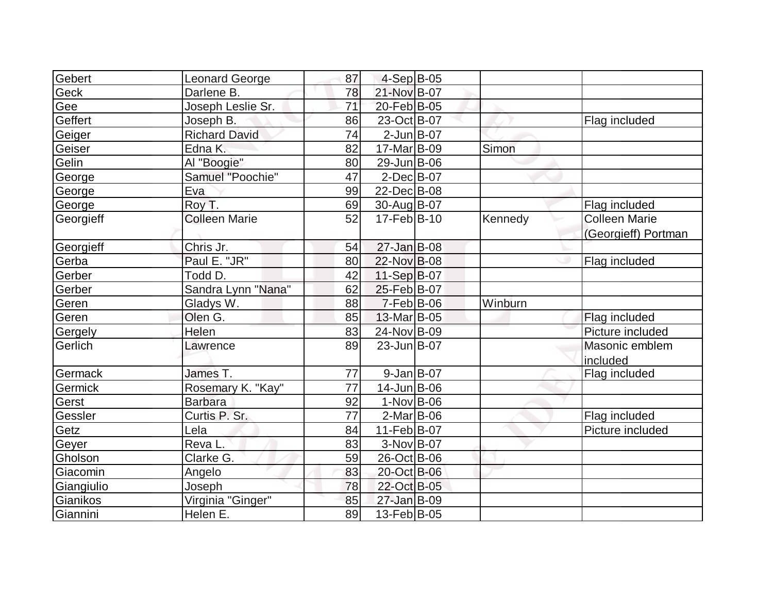| Gebert     | Leonard George       | 87 | $4-Sep B-05$      |         |                      |
|------------|----------------------|----|-------------------|---------|----------------------|
| Geck       | Darlene B.           | 78 | 21-Nov B-07       |         |                      |
| Gee        | Joseph Leslie Sr.    | 71 | 20-Feb B-05       |         |                      |
| Geffert    | Joseph B.            | 86 | 23-Oct B-07       |         | Flag included        |
|            | <b>Richard David</b> | 74 | $2$ -Jun $B$ -07  |         |                      |
| Geiger     | Edna K.              |    | 17-Mar B-09       | Simon   |                      |
| Geiser     |                      | 82 |                   |         |                      |
| Gelin      | Al "Boogie"          | 80 | 29-Jun B-06       |         |                      |
| George     | Samuel "Poochie"     | 47 | $2$ -Dec $B$ -07  |         |                      |
| George     | Eva                  | 99 | 22-Dec B-08       |         |                      |
| George     | Roy T.               | 69 | 30-Aug B-07       |         | Flag included        |
| Georgieff  | <b>Colleen Marie</b> | 52 | $17$ -Feb $ B-10$ | Kennedy | <b>Colleen Marie</b> |
|            |                      |    |                   |         | (Georgieff) Portman  |
| Georgieff  | Chris Jr.            | 54 | $27 - Jan$ B-08   |         |                      |
| Gerba      | Paul E. "JR"         | 80 | 22-Nov B-08       |         | Flag included        |
| Gerber     | Todd D.              | 42 | 11-Sep B-07       |         |                      |
| Gerber     | Sandra Lynn "Nana"   | 62 | 25-Feb B-07       |         |                      |
| Geren      | Gladys W.            | 88 | $7-Feb B-06$      | Winburn |                      |
| Geren      | Olen G.              | 85 | 13-Mar B-05       |         | Flag included        |
| Gergely    | Helen                | 83 | 24-Nov B-09       |         | Picture included     |
| Gerlich    | Lawrence             | 89 | 23-JunB-07        |         | Masonic emblem       |
|            |                      |    |                   |         | included             |
| Germack    | James T.             | 77 | $9$ -Jan $B$ -07  |         | Flag included        |
| Germick    | Rosemary K. "Kay"    | 77 | 14-Jun B-06       |         |                      |
| Gerst      | <b>Barbara</b>       | 92 | $1-Nov$ B-06      |         |                      |
| Gessler    | Curtis P. Sr.        | 77 | $2$ -Mar $ B-06$  |         | Flag included        |
| Getz       | Lela                 | 84 | 11-Feb B-07       |         | Picture included     |
| Geyer      | Reva L.              | 83 | $3-Nov B-07$      |         |                      |
| Gholson    | Clarke G.            | 59 | 26-Oct B-06       |         |                      |
| Giacomin   | Angelo               | 83 | 20-Oct B-06       |         |                      |
| Giangiulio | Joseph               | 78 | 22-Oct B-05       |         |                      |
| Gianikos   | Virginia "Ginger"    | 85 | 27-Jan B-09       |         |                      |
| Giannini   | Helen E.             | 89 | 13-Feb B-05       |         |                      |
|            |                      |    |                   |         |                      |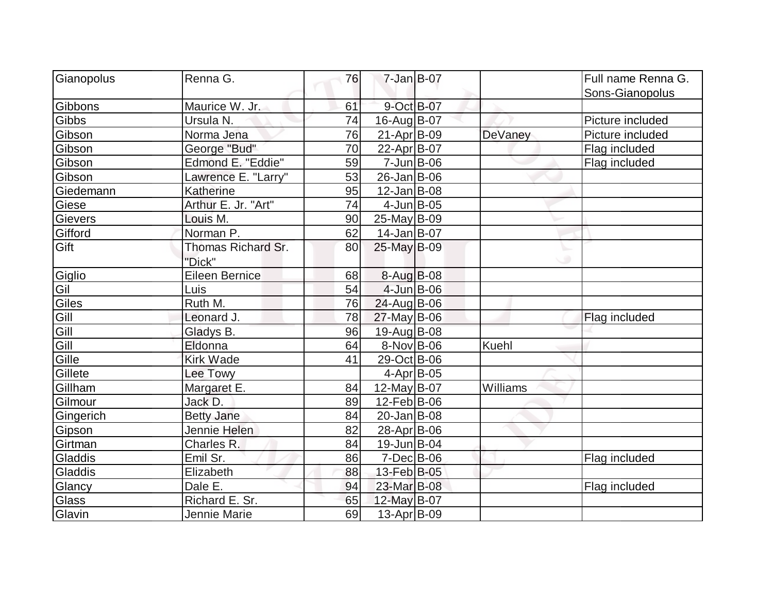| Gianopolus   | Renna G.            | 76 | 7-Jan B-07         |                | Full name Renna G. |
|--------------|---------------------|----|--------------------|----------------|--------------------|
|              |                     |    |                    |                | Sons-Gianopolus    |
| Gibbons      | Maurice W. Jr.      | 61 | 9-Oct B-07         |                |                    |
| Gibbs        | Ursula N.           | 74 | 16-Aug B-07        |                | Picture included   |
| Gibson       | Norma Jena          | 76 | $21-Apr$ B-09      | <b>DeVaney</b> | Picture included   |
| Gibson       | George "Bud"        | 70 | 22-Apr B-07        |                | Flag included      |
| Gibson       | Edmond E. "Eddie"   | 59 | $7$ -Jun $ B$ -06  |                | Flag included      |
| Gibson       | Lawrence E. "Larry" | 53 | $26$ -Jan $ B-06 $ |                |                    |
| Giedemann    | Katherine           | 95 | $12$ -Jan $ B-08$  |                |                    |
| Giese        | Arthur E. Jr. "Art" | 74 | $4$ -Jun $B$ -05   |                |                    |
| Gievers      | Louis M.            | 90 | $25$ -May B-09     |                |                    |
| Gifford      | Norman P.           | 62 | $14$ -Jan $B$ -07  |                |                    |
| Gift         | Thomas Richard Sr.  | 80 | 25-May B-09        |                |                    |
|              | "Dick"              |    |                    |                |                    |
| Giglio       | Eileen Bernice      | 68 | 8-Aug B-08         |                |                    |
| Gil          | Luis                | 54 | 4-Jun B-06         |                |                    |
| Giles        | Ruth M.             | 76 | 24-Aug B-06        |                |                    |
| Gill         | Leonard J.          | 78 | $27$ -May B-06     |                | Flag included      |
| Gill<br>Gill | Gladys B.           | 96 | 19-Aug B-08        |                |                    |
|              | Eldonna             | 64 | 8-Nov B-06         | Kuehl          |                    |
| Gille        | <b>Kirk Wade</b>    | 41 | 29-Oct B-06        |                |                    |
| Gillete      | Lee Towy            |    | $4$ -Apr $ B$ -05  |                |                    |
| Gillham      | Margaret E.         | 84 | $12$ -May B-07     | Williams       |                    |
| Gilmour      | Jack D.             | 89 | $12$ -Feb $ B-06$  |                |                    |
| Gingerich    | <b>Betty Jane</b>   | 84 | $20$ -Jan $B$ -08  |                |                    |
| Gipson       | Jennie Helen        | 82 | 28-Apr B-06        |                |                    |
| Girtman      | Charles R.          | 84 | $19$ -Jun $ B$ -04 |                |                    |
| Gladdis      | Emil Sr.            | 86 | $7$ -Dec $B$ -06   |                | Flag included      |
| Gladdis      | Elizabeth           | 88 | 13-Feb B-05        |                |                    |
| Glancy       | Dale E.             | 94 | 23-Mar B-08        |                | Flag included      |
| Glass        | Richard E. Sr.      | 65 | 12-May B-07        |                |                    |
| Glavin       | Jennie Marie        | 69 | $13$ -Apr $ B-09$  |                |                    |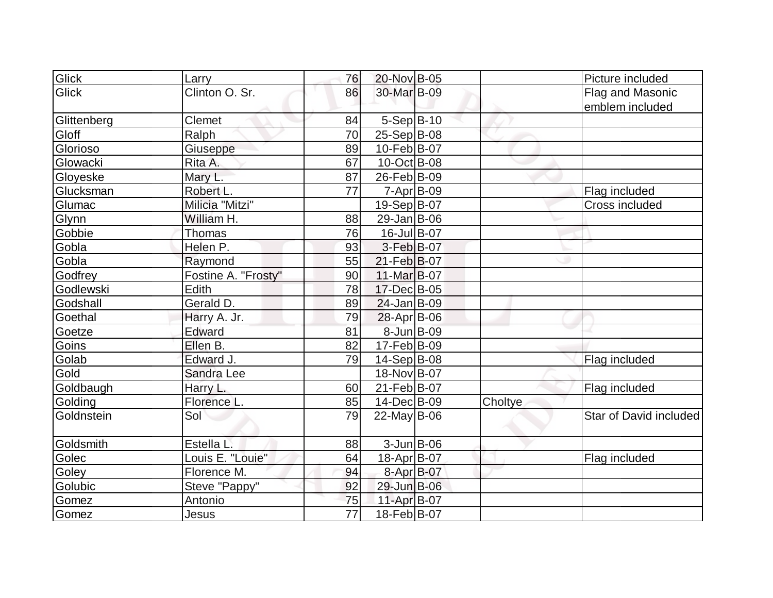| Glick       | Larry               | 76              | 20-Nov B-05        |         | Picture included       |
|-------------|---------------------|-----------------|--------------------|---------|------------------------|
| Glick       | Clinton O. Sr.      | 86              | 30-Mar B-09        |         | Flag and Masonic       |
|             |                     |                 |                    |         | emblem included        |
| Glittenberg | Clemet              | 84              | $5-Sep$ B-10       |         |                        |
| Gloff       | Ralph               | 70              | $25-Sep B-08$      |         |                        |
| Glorioso    | Giuseppe            | 89              | 10-Feb B-07        |         |                        |
| Glowacki    | Rita A.             | 67              | 10-Oct B-08        |         |                        |
| Gloyeske    | Mary L.             | 87              | 26-Feb B-09        |         |                        |
| Glucksman   | Robert L.           | 77              | 7-Apr B-09         |         | Flag included          |
| Glumac      | Milicia "Mitzi"     |                 | 19-Sep B-07        |         | Cross included         |
| Glynn       | William H.          | 88              | $29$ -Jan B-06     |         |                        |
| Gobbie      | Thomas              | 76              | 16-Jul B-07        |         |                        |
| Gobla       | Helen P.            | 93              | $3-Feb B-07$       |         |                        |
| Gobla       | Raymond             | 55              | 21-Feb B-07        |         |                        |
| Godfrey     | Fostine A. "Frosty" | 90              | $11-Mar$ B-07      |         |                        |
| Godlewski   | Edith               | 78              | 17-Dec B-05        |         |                        |
| Godshall    | Gerald D.           | 89              | $24$ -Jan B-09     |         |                        |
| Goethal     | Harry A. Jr.        | 79              | $28$ -Apr $ B$ -06 |         |                        |
| Goetze      | Edward              | 81              | 8-Jun B-09         |         |                        |
| Goins       | Ellen B.            | 82              | $17-Feb B-09$      |         |                        |
| Golab       | Edward J.           | 79              | $14-Sep B-08$      |         | Flag included          |
| Gold        | Sandra Lee          |                 | 18-Nov B-07        |         |                        |
| Goldbaugh   | Harry L.            | 60              | 21-Feb B-07        |         | Flag included          |
| Golding     | <b>Florence L</b>   | 85              | 14-Dec B-09        | Choltye |                        |
| Goldnstein  | Sol                 | 79              | $22$ -May B-06     |         | Star of David included |
|             |                     |                 |                    |         |                        |
| Goldsmith   | Estella L.          | 88              | $3$ -Jun $B$ -06   |         |                        |
| Golec       | Louis E. "Louie"    | 64              | 18-Apr B-07        |         | Flag included          |
| Goley       | Florence M.         | 94              | 8-Apr B-07         |         |                        |
| Golubic     | Steve "Pappy"       | 92              | 29-Jun B-06        |         |                        |
| Gomez       | Antonio             | 75              | 11-Apr B-07        |         |                        |
| Gomez       | Jesus               | $\overline{77}$ | 18-Feb B-07        |         |                        |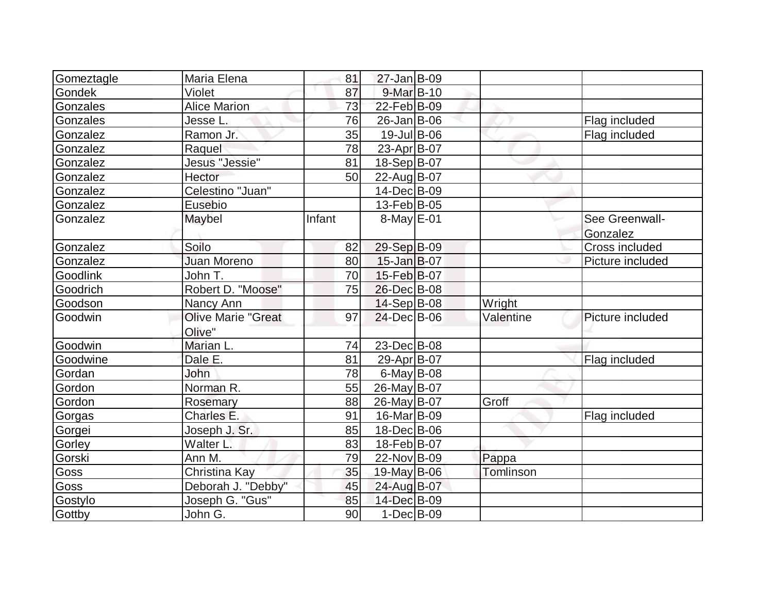| Gomeztagle    | Maria Elena               | 81     | $27 - Jan$ B-09   |           |                  |
|---------------|---------------------------|--------|-------------------|-----------|------------------|
| <b>Gondek</b> | Violet                    | 87     | $9$ -Mar $ B-10$  |           |                  |
| Gonzales      | <b>Alice Marion</b>       | 73     | 22-Feb B-09       |           |                  |
| Gonzales      | Jesse L.                  | 76     | $26$ -Jan $ B-06$ |           | Flag included    |
| Gonzalez      | Ramon Jr.                 | 35     | 19-Jul B-06       |           | Flag included    |
| Gonzalez      | Raquel                    | 78     | 23-Apr B-07       |           |                  |
| Gonzalez      | Jesus "Jessie"            | 81     | 18-Sep B-07       |           |                  |
| Gonzalez      | Hector                    | 50     | 22-Aug B-07       |           |                  |
| Gonzalez      | Celestino "Juan"          |        | 14-Dec B-09       |           |                  |
| Gonzalez      | Eusebio                   |        | 13-Feb B-05       |           |                  |
| Gonzalez      | Maybel                    | Infant | $8$ -May $E$ -01  |           | See Greenwall-   |
|               |                           |        |                   |           | Gonzalez         |
| Gonzalez      | Soilo                     | 82     | 29-Sep B-09       |           | Cross included   |
| Gonzalez      | <b>Juan Moreno</b>        | 80     | $15$ -Jan $B$ -07 |           | Picture included |
| Goodlink      | John T.                   | 70     | 15-Feb B-07       |           |                  |
| Goodrich      | Robert D. "Moose"         | 75     | 26-Dec B-08       |           |                  |
| Goodson       | Nancy Ann                 |        | $14-Sep B-08$     | Wright    |                  |
| Goodwin       | <b>Olive Marie "Great</b> | 97     | 24-Dec B-06       | Valentine | Picture included |
|               | Olive"                    |        |                   |           |                  |
| Goodwin       | Marian L.                 | 74     | 23-Dec B-08       |           |                  |
| Goodwine      | Dale E.                   | 81     | 29-Apr B-07       |           | Flag included    |
| Gordan        | John                      | 78     | $6$ -May B-08     |           |                  |
| Gordon        | Norman R.                 | 55     | 26-May B-07       |           |                  |
| Gordon        | Rosemary                  | 88     | 26-May B-07       | Groff     |                  |
| Gorgas        | Charles E.                | 91     | 16-Mar B-09       |           | Flag included    |
| Gorgei        | Joseph J. Sr.             | 85     | 18-Dec B-06       |           |                  |
| Gorley        | Walter L.                 | 83     | 18-Feb B-07       |           |                  |
| Gorski        | Ann M.                    | 79     | 22-Nov B-09       | Pappa     |                  |
| Goss          | Christina Kay             | 35     | 19-May B-06       | Tomlinson |                  |
| Goss          | Deborah J. "Debby"        | 45     | 24-Aug B-07       |           |                  |
| Gostylo       | Joseph G. "Gus"           | 85     | 14-Dec B-09       |           |                  |
| Gottby        | John G.                   | 90     | $1-Dec$ B-09      |           |                  |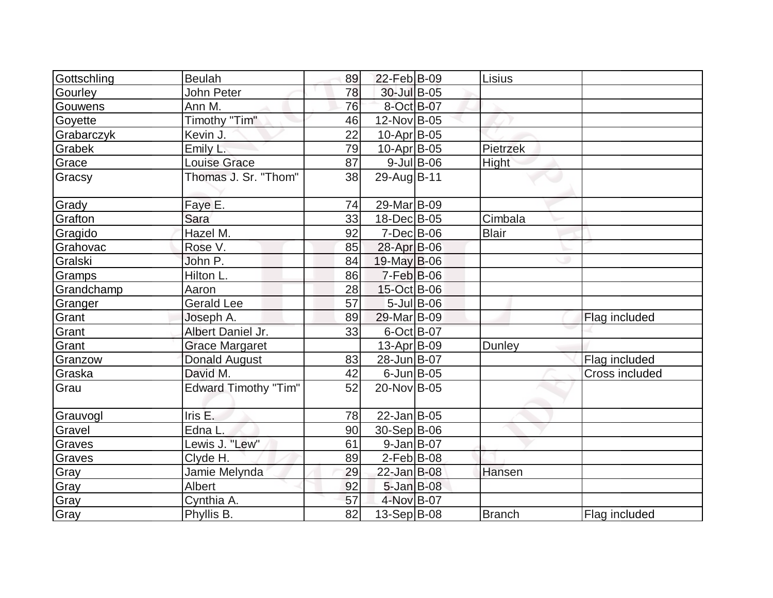| Gottschling | <b>Beulah</b>               | 89              | 22-Feb B-09        |                  | Lisius        |                |
|-------------|-----------------------------|-----------------|--------------------|------------------|---------------|----------------|
| Gourley     | John Peter                  | 78              | 30-Jul B-05        |                  |               |                |
| Gouwens     | Ann M.                      | 76              | 8-Oct B-07         |                  |               |                |
| Goyette     | Timothy "Tim"               | 46              | 12-Nov B-05        |                  |               |                |
| Grabarczyk  | Kevin J.                    | 22              | $10$ -Apr $ B-05 $ |                  |               |                |
| Grabek      | Emily <sub>L.</sub>         | 79              | 10-Apr B-05        |                  | Pietrzek      |                |
| Grace       | <b>Louise Grace</b>         | 87              |                    | $9$ -Jul B-06    | <b>Hight</b>  |                |
| Gracsy      | Thomas J. Sr. "Thom"        | 38              | 29-Aug B-11        |                  |               |                |
| Grady       | Faye E.                     | 74              | 29-Mar B-09        |                  |               |                |
| Grafton     | Sara                        | 33              | 18-Dec B-05        |                  | Cimbala       |                |
| Gragido     | Hazel M.                    | 92              | 7-Dec B-06         |                  | <b>Blair</b>  |                |
| Grahovac    | Rose V.                     | 85              | 28-Apr B-06        |                  |               |                |
| Gralski     | John P.                     | 84              | $19$ -May B-06     |                  |               |                |
| Gramps      | Hilton L.                   | 86              | $7-Feb$ B-06       |                  |               |                |
| Grandchamp  | Aaron                       | 28              | 15-Oct B-06        |                  |               |                |
| Granger     | <b>Gerald Lee</b>           | 57              |                    | $5$ -Jul $B$ -06 |               |                |
| Grant       | Joseph A.                   | 89              | 29-Mar B-09        |                  |               | Flag included  |
| Grant       | Albert Daniel Jr.           | 33              | 6-Oct B-07         |                  |               |                |
| Grant       | <b>Grace Margaret</b>       |                 | 13-Apr B-09        |                  | Dunley        |                |
| Granzow     | <b>Donald August</b>        | 83              | 28-Jun B-07        |                  |               | Flag included  |
| Graska      | David M.                    | 42              | $6$ -Jun $B$ -05   |                  |               | Cross included |
| Grau        | <b>Edward Timothy "Tim"</b> | 52              | 20-Nov B-05        |                  |               |                |
| Grauvogl    | Iris E.                     | 78              | $22$ -Jan B-05     |                  |               |                |
| Gravel      | Edna L.                     | 90              | 30-Sep B-06        |                  |               |                |
| Graves      | Lewis J. "Lew"              | 61              | $9$ -Jan B-07      |                  |               |                |
| Graves      | Clyde H.                    | 89              | $2$ -Feb $ B-08 $  |                  |               |                |
| Gray        | Jamie Melynda               | 29              | 22-Jan B-08        |                  | Hansen        |                |
| Gray        | Albert                      | 92              | $5 - Jan$ B-08     |                  |               |                |
| Gray        | Cynthia A.                  | 57              | 4-Nov B-07         |                  |               |                |
| Gray        | Phyllis B.                  | $\overline{82}$ | 13-Sep B-08        |                  | <b>Branch</b> | Flag included  |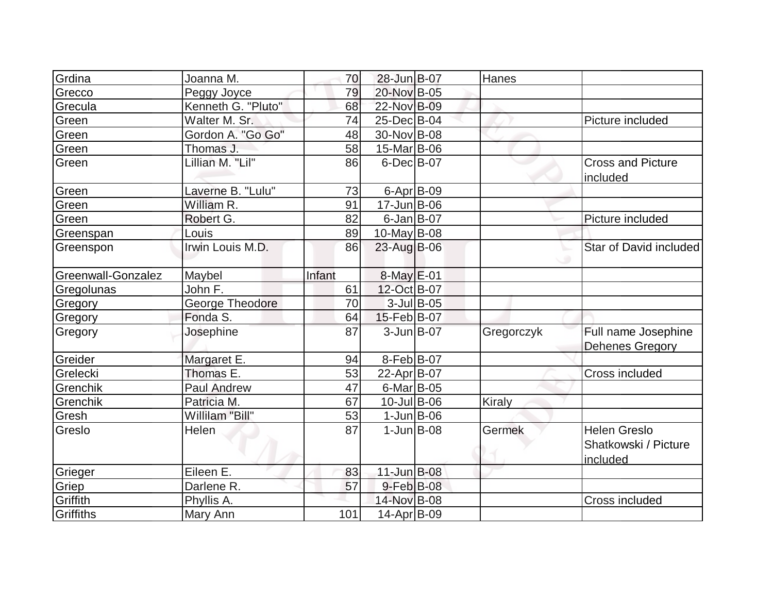| Grdina             | Joanna M.          | 70     | 28-Jun B-07        | Hanes         |                                                         |
|--------------------|--------------------|--------|--------------------|---------------|---------------------------------------------------------|
| Grecco             | Peggy Joyce        | 79     | 20-Nov B-05        |               |                                                         |
| Grecula            | Kenneth G. "Pluto" | 68     | 22-Nov B-09        |               |                                                         |
| Green              | Walter M. Sr.      | 74     | 25-Dec B-04        |               | Picture included                                        |
| Green              | Gordon A. "Go Go"  | 48     | 30-Nov B-08        |               |                                                         |
| Green              | Thomas J.          | 58     | 15-Mar B-06        |               |                                                         |
| Green              | Lillian M. "Lil"   | 86     | $6$ -Dec $B$ -07   |               | <b>Cross and Picture</b><br>included                    |
| Green              | Laverne B. "Lulu"  | 73     | 6-Apr B-09         |               |                                                         |
| Green              | William R.         | 91     | $17 - Jun$ B-06    |               |                                                         |
| Green              | Robert G.          | 82     | $6$ -Jan B-07      |               | Picture included                                        |
| Greenspan          | Louis              | 89     | $10$ -May B-08     |               |                                                         |
| Greenspon          | Irwin Louis M.D.   | 86     | 23-Aug B-06        |               | Star of David included                                  |
| Greenwall-Gonzalez | Maybel             | Infant | 8-May E-01         |               |                                                         |
| Gregolunas         | John F.            | 61     | 12-Oct B-07        |               |                                                         |
| Gregory            | George Theodore    | 70     | $3$ -Jul B-05      |               |                                                         |
| Gregory            | Fonda S.           | 64     | 15-Feb B-07        |               |                                                         |
| Gregory            | Josephine          | 87     | 3-Jun B-07         | Gregorczyk    | Full name Josephine<br><b>Dehenes Gregory</b>           |
| Greider            | Margaret E.        | 94     | $8-Feb B-07$       |               |                                                         |
| Grelecki           | Thomas E.          | 53     | 22-Apr B-07        |               | Cross included                                          |
| Grenchik           | <b>Paul Andrew</b> | 47     | $6$ -Mar $B$ -05   |               |                                                         |
| Grenchik           | Patricia M.        | 67     | $10$ -Jul B-06     | <b>Kiraly</b> |                                                         |
| Gresh              | Willilam "Bill"    | 53     | $1$ -Jun $B$ -06   |               |                                                         |
| Greslo             | Helen              | 87     | $1$ -Jun $ B-08$   | Germek        | <b>Helen Greslo</b><br>Shatkowski / Picture<br>included |
| Grieger            | Eileen E.          | 83     | $11$ -Jun $B$ -08  |               |                                                         |
| Griep              | Darlene R.         | 57     | $9$ -Feb $B$ -08   |               |                                                         |
| Griffith           | Phyllis A.         |        | 14-Nov B-08        |               | Cross included                                          |
| Griffiths          | Mary Ann           | 101    | $14$ -Apr $ B-09 $ |               |                                                         |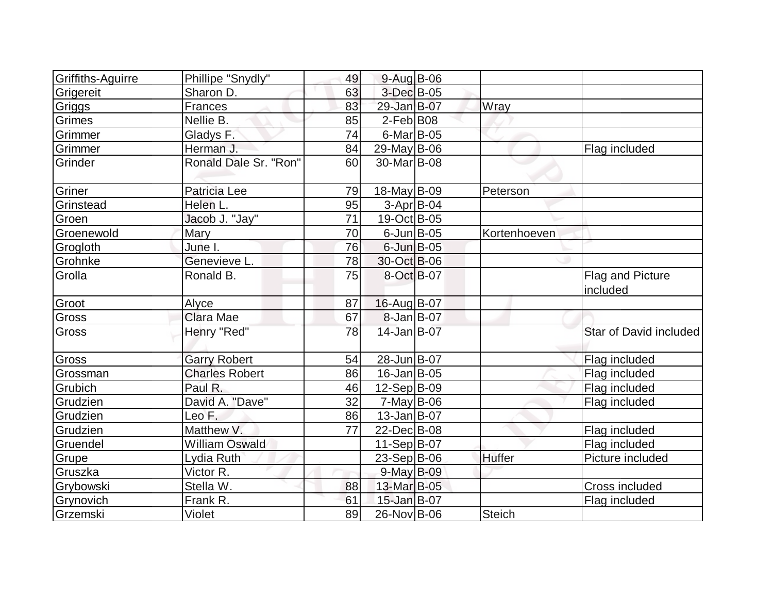| Griffiths-Aguirre | Phillipe "Snydly"     | 49 | $9-Auq$ B-06       |               |                              |
|-------------------|-----------------------|----|--------------------|---------------|------------------------------|
| Grigereit         | Sharon D.             | 63 | 3-Dec B-05         |               |                              |
| Griggs            | Frances               | 83 | 29-Jan B-07        | Wray          |                              |
| Grimes            | Nellie B.             | 85 | $2$ -Feb $ B08$    |               |                              |
| Grimmer           | Gladys F.             | 74 | $6$ -Mar $ B$ -05  |               |                              |
| Grimmer           | Herman J.             | 84 | $29$ -May B-06     |               | Flag included                |
| Grinder           | Ronald Dale Sr. "Ron" | 60 | 30-Mar B-08        |               |                              |
| Griner            | Patricia Lee          | 79 | $18$ -May B-09     | Peterson      |                              |
| Grinstead         | Helen L.              | 95 | $3-Apr B-04$       |               |                              |
| Groen             | Jacob J. "Jay"        | 71 | 19-Oct B-05        |               |                              |
| Groenewold        | Mary                  | 70 | $6$ -Jun $B$ -05   | Kortenhoeven  |                              |
| Grogloth          | June I.               | 76 | $6$ -Jun $B$ -05   |               |                              |
| Grohnke           | Genevieve L.          | 78 | 30-Oct B-06        |               |                              |
| Grolla            | Ronald B.             | 75 | 8-Oct B-07         |               | Flag and Picture<br>included |
| Groot             | Alyce                 | 87 | 16-Aug B-07        |               |                              |
| Gross             | <b>Clara Mae</b>      | 67 | 8-Jan B-07         |               |                              |
| Gross             | Henry "Red"           | 78 | $14$ -Jan B-07     |               | Star of David included       |
| Gross             | <b>Garry Robert</b>   | 54 | 28-Jun B-07        |               | Flag included                |
| Grossman          | <b>Charles Robert</b> | 86 | $16$ -Jan $ B-05$  |               | Flag included                |
| Grubich           | Paul R.               | 46 | 12-Sep B-09        |               | Flag included                |
| Grudzien          | David A. "Dave"       | 32 | $7$ -May B-06      |               | Flag included                |
| Grudzien          | Leo F.                | 86 | $13$ -Jan $ B-07 $ |               |                              |
| Grudzien          | Matthew V.            | 77 | 22-Dec B-08        |               | Flag included                |
| Gruendel          | <b>William Oswald</b> |    | $11-Sep B-07$      |               | Flag included                |
| Grupe             | Lydia Ruth            |    | $23-Sep B-06$      | <b>Huffer</b> | Picture included             |
| Gruszka           | Victor R.             |    | 9-May B-09         |               |                              |
| Grybowski         | Stella W.             | 88 | 13-Mar B-05        |               | <b>Cross included</b>        |
| Grynovich         | Frank R.              | 61 | 15-Jan B-07        |               | Flag included                |
| Grzemski          | Violet                | 89 | 26-Nov B-06        | Steich        |                              |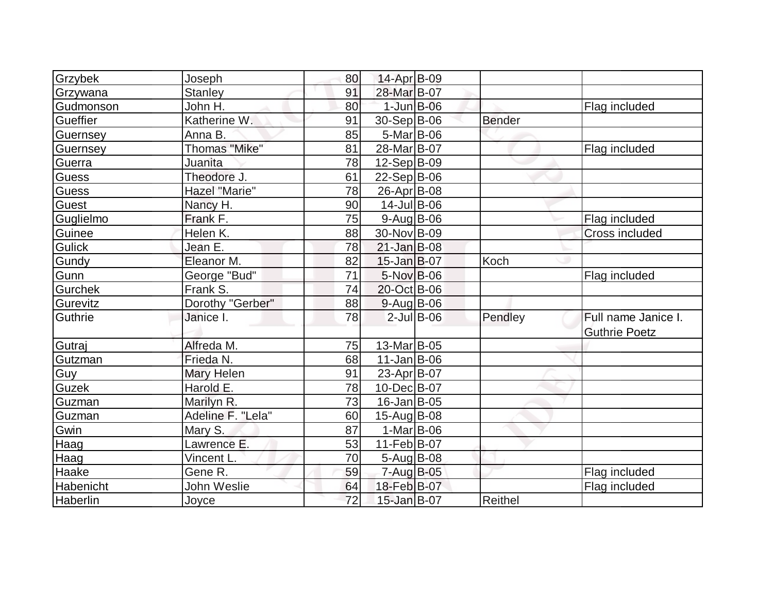| Grzybek        | Joseph               | 80 | 14-Apr B-09        |               |                       |
|----------------|----------------------|----|--------------------|---------------|-----------------------|
| Grzywana       | <b>Stanley</b>       | 91 | 28-Mar B-07        |               |                       |
| Gudmonson      | John H.              | 80 | $1$ -Jun $B$ -06   |               | Flag included         |
| Gueffier       | Katherine W.         | 91 | 30-Sep B-06        | <b>Bender</b> |                       |
| Guernsey       | Anna B.              | 85 | 5-Mar B-06         |               |                       |
| Guernsey       | <b>Thomas "Mike"</b> | 81 | 28-Mar B-07        |               | Flag included         |
| Guerra         | Juanita              | 78 | $12-Sep B-09$      |               |                       |
| Guess          | Theodore J.          | 61 | $22-Sep B-06$      |               |                       |
| <b>Guess</b>   | Hazel "Marie"        | 78 | 26-Apr B-08        |               |                       |
| Guest          | Nancy H.             | 90 | 14-Jul B-06        |               |                       |
| Guglielmo      | Frank F.             | 75 | $9$ -Aug B-06      |               | Flag included         |
| Guinee         | Helen K.             | 88 | 30-Nov B-09        |               | <b>Cross included</b> |
| <b>Gulick</b>  | Jean E.              | 78 | $21$ -Jan B-08     |               |                       |
| Gundy          | Eleanor M.           | 82 | $15$ -Jan $B$ -07  | Koch          |                       |
| Gunn           | George "Bud"         | 71 | 5-Nov B-06         |               | Flag included         |
| <b>Gurchek</b> | Frank S.             | 74 | 20-Oct B-06        |               |                       |
| Gurevitz       | Dorothy "Gerber"     | 88 | $9$ -Aug B-06      |               |                       |
| Guthrie        | Janice I.            | 78 | $2$ -Jul B-06      | Pendley       | Full name Janice I.   |
|                |                      |    |                    |               | <b>Guthrie Poetz</b>  |
| Gutraj         | Alfreda M.           | 75 | 13-Mar B-05        |               |                       |
| Gutzman        | Frieda N.            | 68 | $11$ -Jan $ B-06$  |               |                       |
| Guy            | Mary Helen           | 91 | 23-Apr B-07        |               |                       |
| Guzek          | Harold E.            | 78 | 10-Dec B-07        |               |                       |
| Guzman         | Marilyn R.           | 73 | $16$ -Jan $ B$ -05 |               |                       |
| Guzman         | Adeline F. "Lela"    | 60 | 15-Aug B-08        |               |                       |
| Gwin           | Mary S.              | 87 | $1-Mar$ B-06       |               |                       |
| Haag           | Lawrence E.          | 53 | 11-Feb B-07        |               |                       |
| Haag           | Vincent L.           | 70 | $5 - Aug$ B-08     |               |                       |
| Haake          | Gene R.              | 59 | 7-Aug B-05         |               | Flag included         |
| Habenicht      | John Weslie          | 64 | 18-Feb B-07        |               | Flag included         |
| Haberlin       | Joyce                | 72 | 15-Jan B-07        | Reithel       |                       |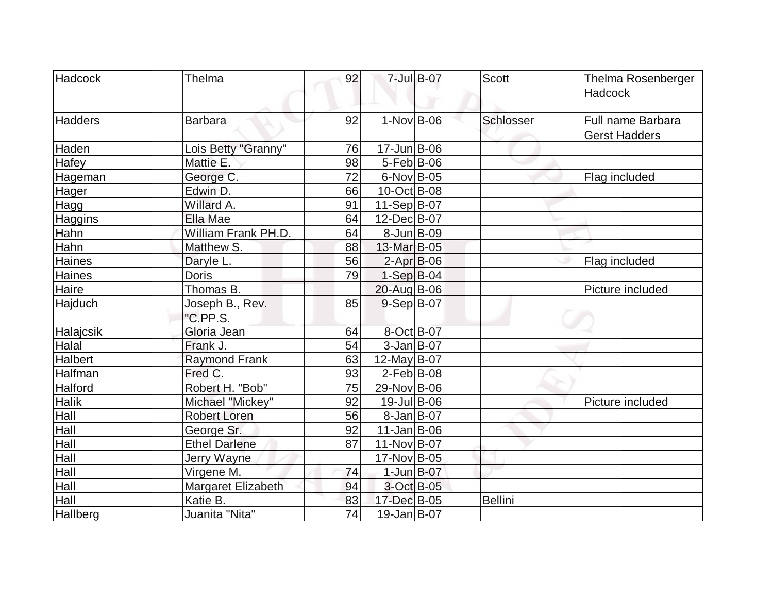| Hadcock         | Thelma               | 92 |                   | 7-Jul B-07 | <b>Scott</b>   | Thelma Rosenberger   |
|-----------------|----------------------|----|-------------------|------------|----------------|----------------------|
|                 |                      |    |                   |            |                | Hadcock              |
| <b>Hadders</b>  | <b>Barbara</b>       | 92 | $1-Nov$ B-06      |            | Schlosser      | Full name Barbara    |
|                 |                      |    |                   |            |                | <b>Gerst Hadders</b> |
| Haden           | Lois Betty "Granny"  | 76 | $17 - Jun$ B-06   |            |                |                      |
| Hafey           | Mattie E.            | 98 | $5-Feb$ B-06      |            |                |                      |
| Hageman         | George C.            | 72 | $6$ -Nov $B$ -05  |            |                | Flag included        |
| Hager           | Edwin D.             | 66 | $10$ -Oct B-08    |            |                |                      |
| Hagg            | Willard A.           | 91 | $11-Sep B-07$     |            |                |                      |
| Haggins         | Ella Mae             | 64 | 12-Dec B-07       |            |                |                      |
| Hahn            | William Frank PH.D.  | 64 | $8$ -Jun $B$ -09  |            |                |                      |
| Hahn            | Matthew S.           | 88 | 13-Mar B-05       |            |                |                      |
| Haines          | Daryle L.            | 56 | $2-Apr$ B-06      |            |                | Flag included        |
| Haines          | <b>Doris</b>         | 79 | $1-Sep$ B-04      |            |                |                      |
| Haire           | Thomas B.            |    | 20-Aug B-06       |            |                | Picture included     |
| Hajduch         | Joseph B., Rev.      | 85 | $9-Sep B-07$      |            |                |                      |
|                 | "C.PP.S.             |    |                   |            |                |                      |
| Halajcsik       | Gloria Jean          | 64 | 8-Oct B-07        |            |                |                      |
| Halal           | Frank J.             | 54 | $3 - Jan$ B-07    |            |                |                      |
| <b>Halbert</b>  | <b>Raymond Frank</b> | 63 | 12-May $B-07$     |            |                |                      |
| Halfman         | Fred C.              | 93 | $2$ -Feb $ B-08 $ |            |                |                      |
| Halford         | Robert H. "Bob"      | 75 | 29-Nov B-06       |            |                |                      |
| <b>Halik</b>    | Michael "Mickey"     | 92 | 19-Jul B-06       |            |                | Picture included     |
| Hall            | <b>Robert Loren</b>  | 56 | $8$ -Jan B-07     |            |                |                      |
| Hall            | George Sr.           | 92 | 11-Jan B-06       |            |                |                      |
| Hall            | <b>Ethel Darlene</b> | 87 | 11-Nov B-07       |            |                |                      |
| Hall            | Jerry Wayne          |    | 17-Nov B-05       |            |                |                      |
| Hall            | Virgene M.           | 74 | $1$ -Jun $B$ -07  |            |                |                      |
| Hall            | Margaret Elizabeth   | 94 | 3-Oct B-05        |            |                |                      |
| Hall            | Katie B.             | 83 | 17-Dec B-05       |            | <b>Bellini</b> |                      |
| <b>Hallberg</b> | Juanita "Nita"       | 74 | $19$ -Jan B-07    |            |                |                      |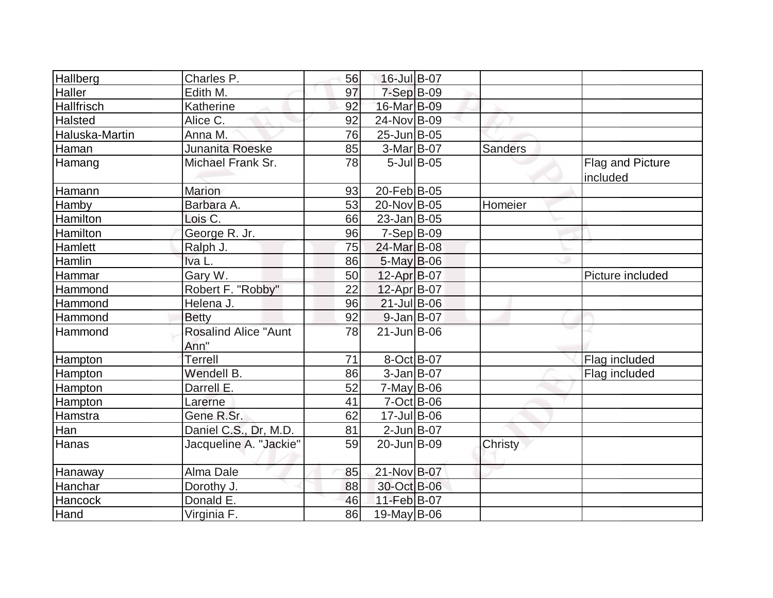| <b>Hallberg</b> | Charles P.                          | 56 | 16-Jul B-07       |               |                |                              |
|-----------------|-------------------------------------|----|-------------------|---------------|----------------|------------------------------|
| <b>Haller</b>   | Edith M.                            | 97 | $7-Sep$ B-09      |               |                |                              |
| Hallfrisch      | Katherine                           | 92 | 16-Mar B-09       |               |                |                              |
| Halsted         | Alice C.                            | 92 | 24-Nov B-09       |               |                |                              |
| Haluska-Martin  | Anna M.                             | 76 | 25-Jun B-05       |               |                |                              |
| Haman           | Junanita Roeske                     | 85 | 3-Mar B-07        |               | <b>Sanders</b> |                              |
| Hamang          | Michael Frank Sr.                   | 78 |                   | $5$ -Jul B-05 |                | Flag and Picture<br>included |
| Hamann          | <b>Marion</b>                       | 93 | 20-Feb B-05       |               |                |                              |
| <b>Hamby</b>    | Barbara A.                          | 53 | 20-Nov B-05       |               | Homeier        |                              |
| Hamilton        | Lois C.                             | 66 | $23$ -Jan B-05    |               |                |                              |
| Hamilton        | George R. Jr.                       | 96 | $7-Sep B-09$      |               |                |                              |
| Hamlett         | Ralph J.                            | 75 | 24-Mar B-08       |               |                |                              |
| Hamlin          | Iva L.                              | 86 | $5$ -May B-06     |               |                |                              |
| Hammar          | Gary W.                             | 50 | 12-Apr B-07       |               |                | Picture included             |
| Hammond         | Robert F. "Robby"                   | 22 | 12-Apr B-07       |               |                |                              |
| Hammond         | Helena J.                           | 96 | $21$ -Jul B-06    |               |                |                              |
| Hammond         | <b>Betty</b>                        | 92 | $9$ -Jan $B$ -07  |               |                |                              |
| Hammond         | <b>Rosalind Alice "Aunt</b><br>Ann" | 78 | $21$ -Jun $B$ -06 |               |                |                              |
| <b>Hampton</b>  | <b>Terrell</b>                      | 71 | 8-Oct B-07        |               |                | Flag included                |
| <b>Hampton</b>  | Wendell B.                          | 86 | $3$ -Jan B-07     |               |                | Flag included                |
| Hampton         | Darrell E.                          | 52 | $7$ -May B-06     |               |                |                              |
| Hampton         | Larerne                             | 41 | $7-Oct$ B-06      |               |                |                              |
| Hamstra         | Gene R.Sr.                          | 62 | 17-Jul B-06       |               |                |                              |
| Han             | Daniel C.S., Dr, M.D.               | 81 | $2$ -Jun $B$ -07  |               |                |                              |
| Hanas           | Jacqueline A. "Jackie"              | 59 | 20-Jun B-09       |               | Christy        |                              |
| Hanaway         | Alma Dale                           | 85 | 21-Nov B-07       |               |                |                              |
| Hanchar         | Dorothy J.                          | 88 | 30-Oct B-06       |               |                |                              |
| <b>Hancock</b>  | Donald E.                           | 46 | 11-Feb B-07       |               |                |                              |
| Hand            | Virginia F.                         | 86 | $19$ -May B-06    |               |                |                              |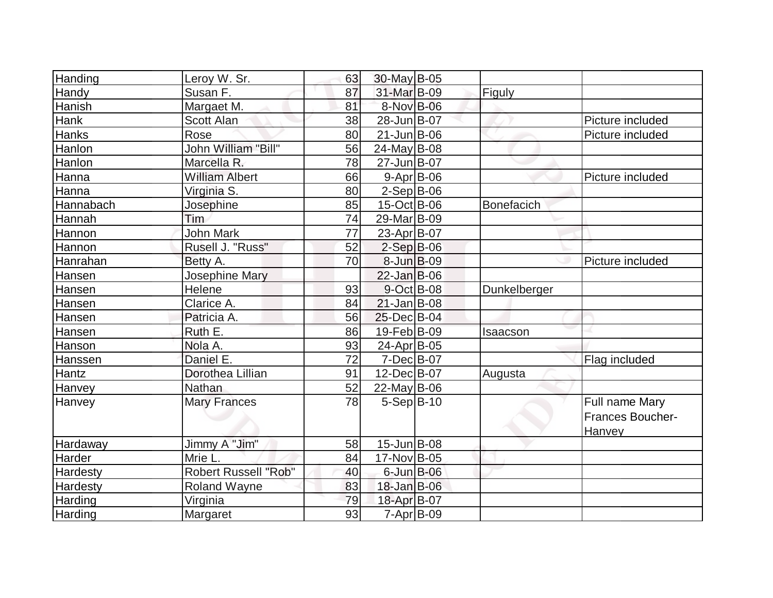| Handing   | Leroy W. Sr.               | 63 | 30-May B-05        |                   |                         |
|-----------|----------------------------|----|--------------------|-------------------|-------------------------|
| Handy     | Susan F.                   | 87 | 31-Mar B-09        | Figuly            |                         |
| Hanish    | Margaet M.                 | 81 | 8-Nov B-06         |                   |                         |
| Hank      | Scott Alan                 | 38 | 28-Jun B-07        |                   | Picture included        |
| Hanks     | Rose                       | 80 | $21$ -Jun $B$ -06  |                   | Picture included        |
| Hanlon    | <b>John William "Bill"</b> | 56 | $24$ -May B-08     |                   |                         |
| Hanlon    | Marcella R.                | 78 | 27-Jun B-07        |                   |                         |
| Hanna     | <b>William Albert</b>      | 66 | $9 - Apr$ B-06     |                   | Picture included        |
| Hanna     | Virginia S.                | 80 | $2-Sep$ B-06       |                   |                         |
| Hannabach | Josephine                  | 85 | 15-Oct B-06        | <b>Bonefacich</b> |                         |
| Hannah    | Tim                        | 74 | 29-Mar B-09        |                   |                         |
| Hannon    | John Mark                  | 77 | 23-Apr B-07        |                   |                         |
| Hannon    | Rusell J. "Russ"           | 52 | $2-Sep$ B-06       |                   |                         |
| Hanrahan  | Betty A.                   | 70 | 8-Jun B-09         |                   | Picture included        |
| Hansen    | Josephine Mary             |    | $22$ -Jan B-06     |                   |                         |
| Hansen    | Helene                     | 93 | 9-Oct B-08         | Dunkelberger      |                         |
| Hansen    | Clarice A.                 | 84 | $21$ -Jan $ B-08$  |                   |                         |
| Hansen    | Patricia A.                | 56 | 25-Dec B-04        |                   |                         |
| Hansen    | Ruth E.                    | 86 | 19-Feb B-09        | <b>Isaacson</b>   |                         |
| Hanson    | Nola A.                    | 93 | 24-Apr B-05        |                   |                         |
| Hanssen   | Daniel E.                  | 72 | $7 - Dec$ B-07     |                   | Flag included           |
| Hantz     | Dorothea Lillian           | 91 | $12$ -Dec $ B-07 $ | Augusta           |                         |
| Hanvey    | Nathan                     | 52 | $22$ -May B-06     |                   |                         |
| Hanvey    | <b>Mary Frances</b>        | 78 | $5-Sep B-10$       |                   | Full name Mary          |
|           |                            |    |                    |                   | <b>Frances Boucher-</b> |
|           |                            |    |                    |                   | Hanvey                  |
| Hardaway  | Jimmy A "Jim"              | 58 | $15$ -Jun $B$ -08  |                   |                         |
| Harder    | Mrie L.                    | 84 | 17-Nov B-05        |                   |                         |
| Hardesty  | Robert Russell "Rob"       | 40 | $6$ -Jun $B$ -06   |                   |                         |
| Hardesty  | <b>Roland Wayne</b>        | 83 | 18-Jan B-06        |                   |                         |
| Harding   | Virginia                   | 79 | 18-Apr B-07        |                   |                         |
| Harding   | Margaret                   | 93 | 7-Apr B-09         |                   |                         |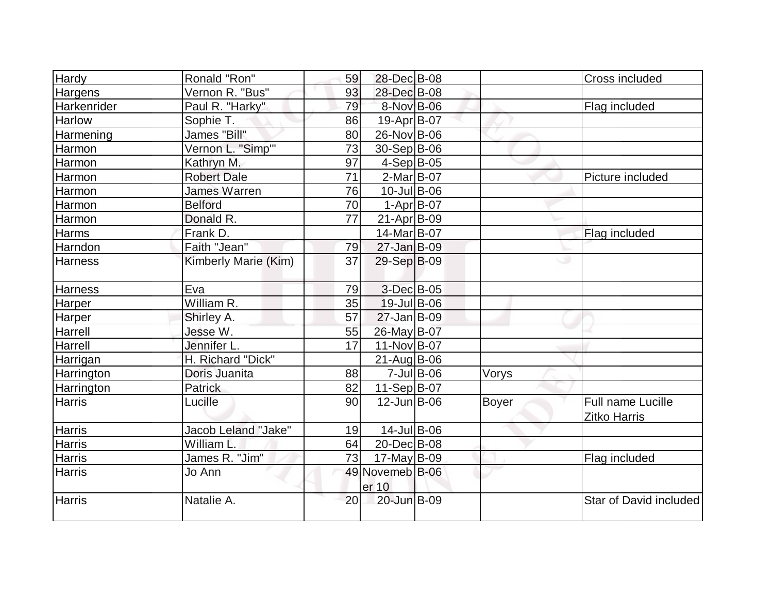| Hardy             | Ronald "Ron"         | 59 | 28-Dec B-08              |               |       | Cross included         |
|-------------------|----------------------|----|--------------------------|---------------|-------|------------------------|
| Hargens           | Vernon R. "Bus"      | 93 | 28-Dec B-08              |               |       |                        |
| Harkenrider       | Paul R. "Harky"      | 79 | 8-Nov B-06               |               |       | Flag included          |
| Harlow            | Sophie T.            | 86 | 19-Apr B-07              |               |       |                        |
| Harmening         | James "Bill"         | 80 | 26-Nov B-06              |               |       |                        |
| Harmon            | Vernon L. "Simp"     | 73 | 30-Sep B-06              |               |       |                        |
| Harmon            | Kathryn M.           | 97 | $4-Sep B-05$             |               |       |                        |
| Harmon            | <b>Robert Dale</b>   | 71 | $2-Mar$ B-07             |               |       | Picture included       |
| Harmon            | James Warren         | 76 | 10-Jul B-06              |               |       |                        |
| Harmon            | <b>Belford</b>       | 70 | $1-Apr$ $B-07$           |               |       |                        |
| Harmon            | Donald R.            | 77 | $21-Apr$ B-09            |               |       |                        |
| Harms             | Frank D.             |    | 14-Mar B-07              |               |       | Flag included          |
| Harndon           | Faith "Jean"         | 79 | $27 - Jan$ B-09          |               |       |                        |
| <b>Harness</b>    | Kimberly Marie (Kim) | 37 | 29-Sep B-09              |               |       | ت                      |
| <b>Harness</b>    | Eva                  | 79 | $3$ -Dec $B$ -05         |               |       |                        |
| Harper            | William R.           | 35 | 19-Jul B-06              |               |       |                        |
| Harper            | Shirley A.           | 57 | $27 - Jan$ B-09          |               |       |                        |
| Harrell           | Jesse W.             | 55 | 26-May B-07              |               |       |                        |
| Harrell           | Jennifer L.          | 17 | 11-Nov B-07              |               |       |                        |
| Harrigan          | H. Richard "Dick"    |    | $21$ -Aug B-06           |               |       |                        |
| Harrington        | Doris Juanita        | 88 |                          | $7$ -Jul B-06 | Vorys |                        |
| <b>Harrington</b> | <b>Patrick</b>       | 82 | $11-Sep B-07$            |               |       |                        |
| <b>Harris</b>     | Lucille              | 90 | $12$ -Jun $B$ -06        |               | Boyer | Full name Lucille      |
|                   |                      |    |                          |               |       | <b>Zitko Harris</b>    |
| <b>Harris</b>     | Jacob Leland "Jake"  | 19 | $14$ -Jul B-06           |               |       |                        |
| Harris            | William L            | 64 | 20-Dec B-08              |               |       |                        |
| <b>Harris</b>     | James R. "Jim"       | 73 | 17-May B-09              |               |       | Flag included          |
| <b>Harris</b>     | Jo Ann               |    | 49 Novemeb B-06<br>er 10 |               |       |                        |
| <b>Harris</b>     | Natalie A.           | 20 | 20-Jun B-09              |               |       | Star of David included |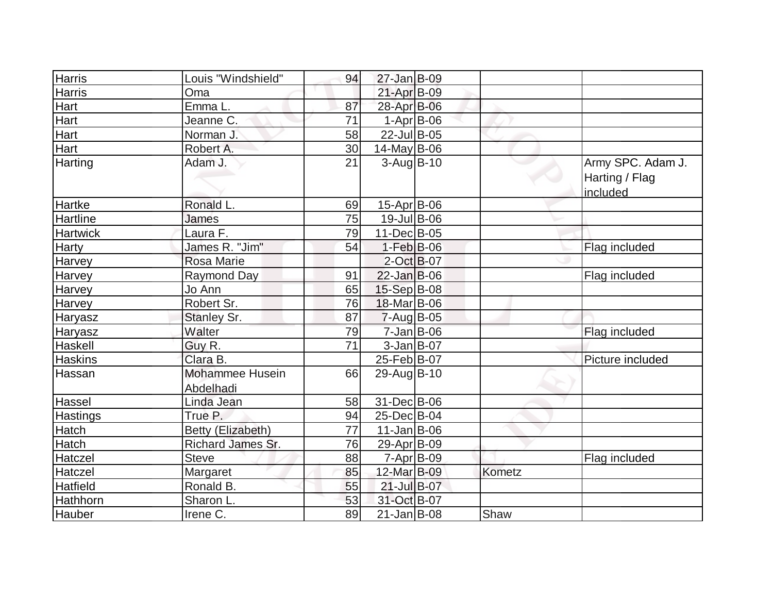| Harris          | Louis "Windshield"                  | 94              | 27-Jan B-09       |        |                                                 |
|-----------------|-------------------------------------|-----------------|-------------------|--------|-------------------------------------------------|
| Harris          | Oma                                 |                 | 21-Apr B-09       |        |                                                 |
| Hart            | Emma L.                             | 87              | 28-Apr B-06       |        |                                                 |
| Hart            | Jeanne C.                           | 71              | $1-Apr$ B-06      |        |                                                 |
| Hart            | Norman J.                           | 58              | 22-Jul B-05       |        |                                                 |
| Hart            | Robert A.                           | 30              | 14-May B-06       |        |                                                 |
| Harting         | Adam J.                             | 21              | $3$ -Aug B-10     |        | Army SPC. Adam J.<br>Harting / Flag<br>included |
| <b>Hartke</b>   | Ronald L.                           | 69              | 15-Apr B-06       |        |                                                 |
| <b>Hartline</b> | James                               | 75              | 19-Jul B-06       |        |                                                 |
| <b>Hartwick</b> | Laura F.                            | 79              | 11-Dec B-05       |        |                                                 |
| <b>Harty</b>    | James R. "Jim"                      | 54              | $1-Feb$ B-06      |        | Flag included                                   |
| Harvey          | <b>Rosa Marie</b>                   |                 | 2-Oct B-07        |        |                                                 |
| <b>Harvey</b>   | <b>Raymond Day</b>                  | 91              | 22-Jan B-06       |        | Flag included                                   |
| Harvey          | Jo Ann                              | 65              | 15-Sep B-08       |        |                                                 |
| <b>Harvey</b>   | Robert Sr.                          | 76              | 18-Mar B-06       |        |                                                 |
| Haryasz         | Stanley Sr.                         | 87              | $7 - Aug$ B-05    |        |                                                 |
| Haryasz         | Walter                              | 79              | 7-Jan B-06        |        | Flag included                                   |
| Haskell         | Guy R.                              | $\overline{71}$ | $3$ -Jan B-07     |        |                                                 |
| <b>Haskins</b>  | Clara B.                            |                 | 25-Feb B-07       |        | Picture included                                |
| Hassan          | <b>Mohammee Husein</b><br>Abdelhadi | 66              | 29-Aug B-10       |        |                                                 |
| Hassel          | Linda Jean                          | 58              | 31-Dec B-06       |        |                                                 |
| <b>Hastings</b> | True P.                             | 94              | 25-Dec B-04       |        |                                                 |
| Hatch           | Betty (Elizabeth)                   | 77              | $11$ -Jan $B$ -06 |        |                                                 |
| Hatch           | Richard James Sr.                   | 76              | 29-Apr B-09       |        |                                                 |
| Hatczel         | <b>Steve</b>                        | 88              | $7 - Apr$ $B-09$  |        | Flag included                                   |
| Hatczel         | Margaret                            | 85              | 12-Mar B-09       | Kometz |                                                 |
| <b>Hatfield</b> | Ronald B.                           | 55              | 21-Jul B-07       |        |                                                 |
| Hathhorn        | Sharon L.                           | 53              | 31-Oct B-07       |        |                                                 |
| Hauber          | Irene C.                            | 89              | $21$ -Jan $ B-08$ | Shaw   |                                                 |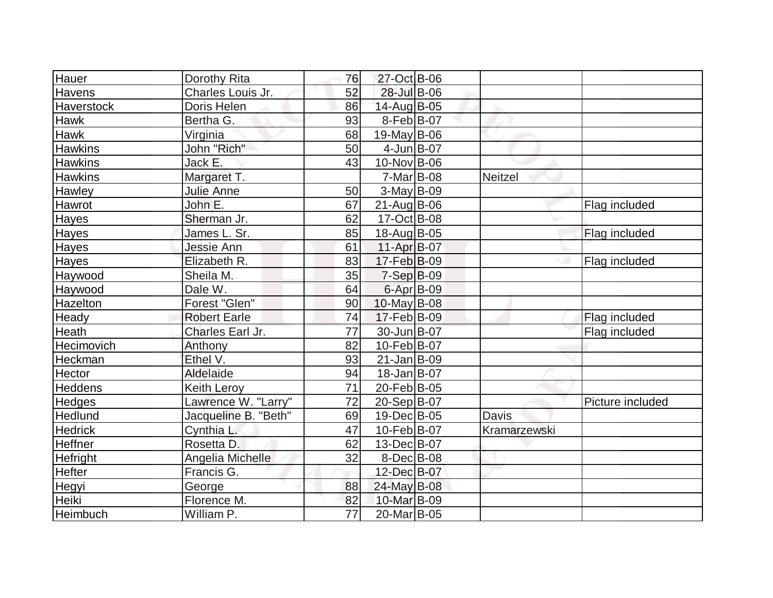| Hauer          | Dorothy Rita         | 76 | 27-Oct B-06            |                |                  |
|----------------|----------------------|----|------------------------|----------------|------------------|
| <b>Havens</b>  | Charles Louis Jr.    | 52 | 28-Jul B-06            |                |                  |
| Haverstock     | Doris Helen          | 86 | 14-Aug B-05            |                |                  |
| <b>Hawk</b>    | Bertha G.            | 93 | $8$ -Feb $ B-07 $      |                |                  |
| Hawk           | Virginia             | 68 | $19$ -May B-06         |                |                  |
| <b>Hawkins</b> | John "Rich"          | 50 | $4$ -Jun $B$ -07       |                |                  |
| <b>Hawkins</b> | Jack E.              | 43 | $10$ -Nov B-06         |                |                  |
| <b>Hawkins</b> | Margaret T.          |    | $7-Mar$ B-08           | <b>Neitzel</b> |                  |
| Hawley         | <b>Julie Anne</b>    | 50 | $3-May B-09$           |                |                  |
| Hawrot         | John E.              | 67 | $21$ -Aug $B$ -06      |                | Flag included    |
| Hayes          | Sherman Jr.          | 62 | 17-Oct B-08            |                |                  |
| Hayes          | James L. Sr.         | 85 | 18-Aug B-05            |                | Flag included    |
| Hayes          | <b>Jessie Ann</b>    | 61 | 11-Apr $B-07$          |                |                  |
| Hayes          | Elizabeth R.         | 83 | $17$ -Feb $ B-09 $     |                | Flag included    |
| Haywood        | Sheila M.            | 35 | $7-Sep$ B-09           |                |                  |
| Haywood        | Dale W.              | 64 | 6-Apr B-09             |                |                  |
| Hazelton       | Forest "Glen"        | 90 | $10$ -May B-08         |                |                  |
| Heady          | <b>Robert Earle</b>  | 74 | 17-Feb B-09            |                | Flag included    |
| Heath          | Charles Earl Jr.     | 77 | 30-Jun B-07            |                | Flag included    |
| Hecimovich     | Anthony              | 82 | $10-Feb B-07$          |                |                  |
| Heckman        | Ethel V.             | 93 | $21$ -Jan $B-09$       |                |                  |
| Hector         | Aldelaide            | 94 | $18$ -Jan $ B-07 $     |                |                  |
| <b>Heddens</b> | <b>Keith Lerov</b>   | 71 | 20-Feb B-05            |                |                  |
| Hedges         | Lawrence W. "Larry"  | 72 | 20-Sep B-07            |                | Picture included |
| Hedlund        | Jacqueline B. "Beth" | 69 | $19$ -Dec $ B$ -05     | Davis          |                  |
| <b>Hedrick</b> | Cynthia L.           | 47 | 10-Feb B-07            | Kramarzewski   |                  |
| Heffner        | Rosetta D.           | 62 | $13$ -Dec $ B-07 $     |                |                  |
| Hefright       | Angelia Michelle     | 32 | 8-Dec B-08             |                |                  |
| Hefter         | Francis G.           |    | 12-Dec B-07            |                |                  |
| Hegyi          | George               | 88 | 24-May B-08            |                |                  |
| <b>Heiki</b>   | Florence M.          | 82 | 10-Mar B-09            |                |                  |
| Heimbuch       | William P.           | 77 | 20-Mar <sub>B-05</sub> |                |                  |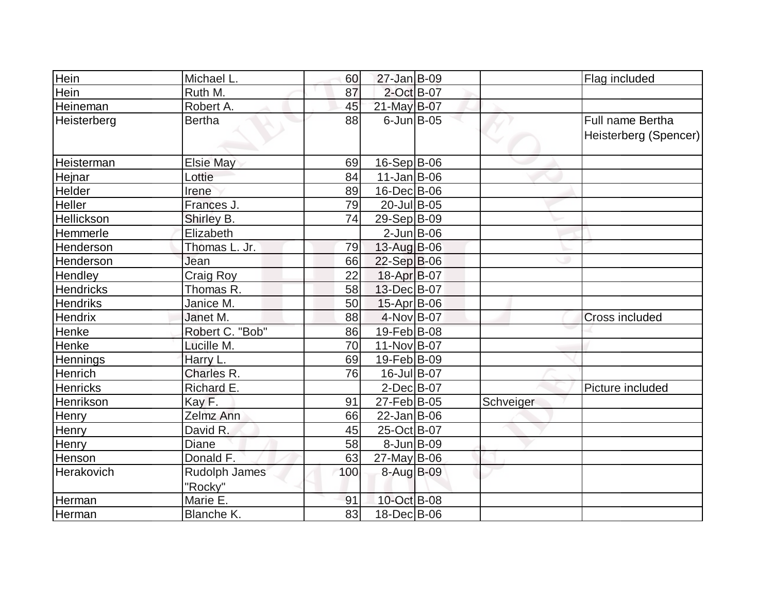| Hein               | Michael L.       | 60  | $27$ -Jan B-09    |           | Flag included           |
|--------------------|------------------|-----|-------------------|-----------|-------------------------|
| Hein               | Ruth M.          | 87  | 2-Oct B-07        |           |                         |
| Heineman           | Robert A.        | 45  | 21-May B-07       |           |                         |
| <b>Heisterberg</b> | <b>Bertha</b>    | 88  | $6$ -Jun $B$ -05  |           | <b>Full name Bertha</b> |
|                    |                  |     |                   |           | Heisterberg (Spencer)   |
|                    |                  |     |                   |           |                         |
| Heisterman         | <b>Elsie May</b> | 69  | $16-Sep B-06$     |           |                         |
| Hejnar             | Lottie           | 84  | $11$ -Jan $ B-06$ |           |                         |
| <b>Helder</b>      | Irene            | 89  | 16-Dec B-06       |           |                         |
| <b>Heller</b>      | Frances J.       | 79  | 20-Jul B-05       |           |                         |
| Hellickson         | Shirley B.       | 74  | 29-Sep B-09       |           |                         |
| Hemmerle           | Elizabeth        |     | $2$ -Jun $B$ -06  |           |                         |
| <b>Henderson</b>   | Thomas L. Jr.    | 79  | $13$ -Aug B-06    |           |                         |
| Henderson          | Jean             | 66  | $22-Sep B-06$     |           |                         |
| Hendley            | Craig Roy        | 22  | 18-Apr B-07       |           |                         |
| <b>Hendricks</b>   | Thomas R.        | 58  | 13-Dec B-07       |           |                         |
| <b>Hendriks</b>    | Janice M.        | 50  | 15-Apr B-06       |           |                         |
| <b>Hendrix</b>     | Janet M.         | 88  | 4-Nov B-07        |           | Cross included          |
| Henke              | Robert C. "Bob"  | 86  | 19-Feb B-08       |           |                         |
| Henke              | Lucille M.       | 70  | 11-Nov B-07       |           |                         |
| Hennings           | Harry L.         | 69  | 19-Feb B-09       |           |                         |
| <b>Henrich</b>     | Charles R.       | 76  | 16-Jul B-07       |           |                         |
| <b>Henricks</b>    | Richard E.       |     | $2$ -Dec $B$ -07  |           | Picture included        |
| Henrikson          | Kay F.           | 91  | 27-Feb B-05       | Schveiger |                         |
| Henry              | Zelmz Ann        | 66  | $22$ -Jan B-06    |           |                         |
| Henry              | David R.         | 45  | 25-Oct B-07       |           |                         |
| Henry              | <b>Diane</b>     | 58  | $8$ -Jun $B$ -09  |           |                         |
| Henson             | Donald F.        | 63  | $27$ -May B-06    |           |                         |
| <b>Herakovich</b>  | Rudolph James    | 100 | 8-Aug B-09        |           |                         |
|                    | "Rocky"          |     |                   |           |                         |
| Herman             | Marie E.         | 91  | 10-Oct B-08       |           |                         |
| Herman             | Blanche K.       | 83  | 18-Dec B-06       |           |                         |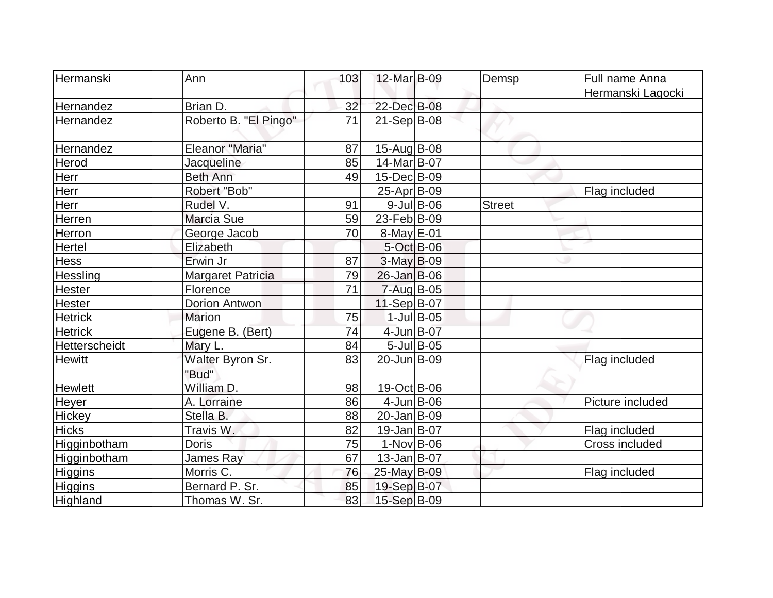| Hermanski      | Ann                       | 103 | 12-Mar B-09        |               | Demsp         | Full name Anna    |
|----------------|---------------------------|-----|--------------------|---------------|---------------|-------------------|
|                |                           |     |                    |               |               | Hermanski Lagocki |
| Hernandez      | Brian D.                  | 32  | 22-Dec B-08        |               |               |                   |
| Hernandez      | Roberto B. "El Pingo"     | 71  | 21-Sep B-08        |               |               |                   |
| Hernandez      | <b>Eleanor "Maria"</b>    | 87  | $15-Aug B-08$      |               |               |                   |
| Herod          | Jacqueline                | 85  | 14-Mar B-07        |               |               |                   |
| Herr           | <b>Beth Ann</b>           | 49  | 15-Dec B-09        |               |               |                   |
| Herr           | Robert "Bob"              |     | $25$ -Apr $ B-09 $ |               |               | Flag included     |
| Herr           | Rudel V.                  | 91  |                    | $9$ -Jul B-06 | <b>Street</b> |                   |
| Herren         | Marcia Sue                | 59  | 23-Feb B-09        |               |               |                   |
| Herron         | George Jacob              | 70  | 8-May E-01         |               |               |                   |
| Hertel         | Elizabeth                 |     | 5-Oct B-06         |               |               |                   |
| <b>Hess</b>    | Erwin Jr                  | 87  | $3-May B-09$       |               |               |                   |
| Hessling       | <b>Margaret Patricia</b>  | 79  | $26$ -Jan B-06     |               |               |                   |
| Hester         | Florence                  | 71  | 7-Aug B-05         |               |               |                   |
| Hester         | <b>Dorion Antwon</b>      |     | 11-Sep B-07        |               |               |                   |
| <b>Hetrick</b> | <b>Marion</b>             | 75  |                    | $1$ -Jul B-05 |               |                   |
| <b>Hetrick</b> | Eugene B. (Bert)          | 74  | 4-Jun B-07         |               |               |                   |
| Hetterscheidt  | Mary L.                   | 84  |                    | $5$ -Jul B-05 |               |                   |
| <b>Hewitt</b>  | Walter Byron Sr.<br>"Bud" | 83  | 20-Jun B-09        |               |               | Flag included     |
| <b>Hewlett</b> | William D.                | 98  | $19-Oct$ B-06      |               |               |                   |
| Heyer          | A. Lorraine               | 86  | $4$ -Jun $B$ -06   |               |               | Picture included  |
| Hickey         | Stella B.                 | 88  | 20-Jan B-09        |               |               |                   |
| <b>Hicks</b>   | Travis W.                 | 82  | $19$ -Jan $ B$ -07 |               |               | Flag included     |
| Higginbotham   | <b>Doris</b>              | 75  | $1-Nov$ B-06       |               |               | Cross included    |
| Higginbotham   | <b>James Ray</b>          | 67  | $13$ -Jan $ B-07 $ |               |               |                   |
| Higgins        | Morris C.                 | 76  | 25-May B-09        |               |               | Flag included     |
| <b>Higgins</b> | Bernard P. Sr.            | 85  | 19-Sep B-07        |               |               |                   |
| Highland       | Thomas W. Sr.             | 83  | 15-Sep B-09        |               |               |                   |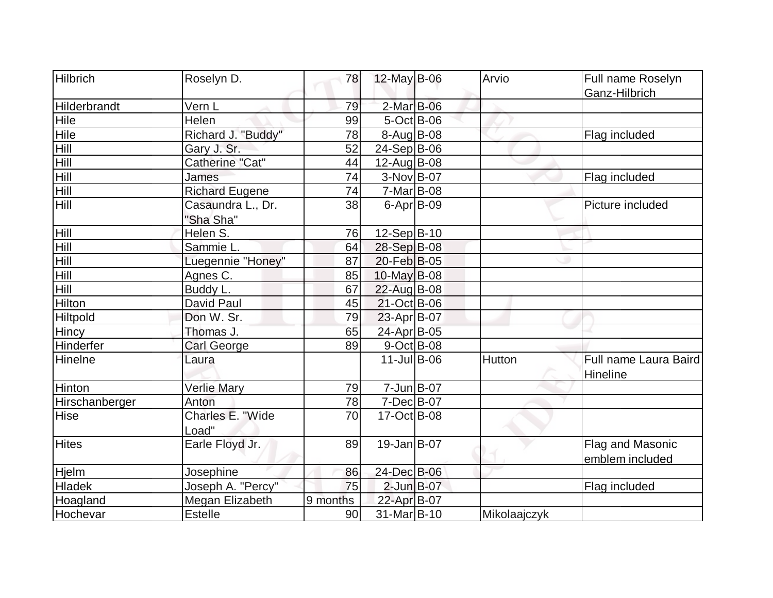| Hilbrich       | Roselyn D.                     | 78              | $12$ -May B-06     | Arvio        | Full name Roselyn                   |
|----------------|--------------------------------|-----------------|--------------------|--------------|-------------------------------------|
|                |                                |                 |                    |              | Ganz-Hilbrich                       |
| Hilderbrandt   | Vern L                         | 79              | 2-Mar B-06         |              |                                     |
| Hile           | Helen                          | 99              | $5-Oct$ B-06       |              |                                     |
| Hile           | Richard J. "Buddy"             | 78              | $8-Aug B-08$       |              | Flag included                       |
| Hill           | Gary J. Sr.                    | 52              | $24-Sep B-06$      |              |                                     |
| Hill           | Catherine "Cat"                | 44              | 12-Aug B-08        |              |                                     |
| Hill           | James                          | $\overline{74}$ | $3-Nov B-07$       |              | Flag included                       |
| Hill           | <b>Richard Eugene</b>          | 74              | 7-Mar B-08         |              |                                     |
| Hill           | Casaundra L., Dr.<br>"Sha Sha" | 38              | $6 - Apr$ B-09     |              | Picture included                    |
| Hill           | Helen S.                       | 76              | 12-Sep B-10        |              |                                     |
| Hill           | Sammie L.                      | 64              | 28-Sep B-08        |              |                                     |
| Hill           | Luegennie "Honey"              | 87              | 20-Feb B-05        |              |                                     |
| Hill           | Agnes C.                       | 85              | $10$ -May B-08     |              |                                     |
| Hill           | Buddy L.                       | 67              | 22-Aug B-08        |              |                                     |
| Hilton         | David Paul                     | 45              | 21-Oct B-06        |              |                                     |
| Hiltpold       | Don W. Sr.                     | 79              | 23-Apr B-07        |              |                                     |
| Hincy          | Thomas J.                      | 65              | 24-Apr B-05        |              |                                     |
| Hinderfer      | Carl George                    | 89              | $9$ -Oct B-08      |              |                                     |
| Hinelne        | Laura                          |                 | $11$ -Jul B-06     | Hutton       | Full name Laura Baird<br>Hineline   |
| Hinton         | <b>Verlie Mary</b>             | 79              | $7 - Jun$ $B - 07$ |              |                                     |
| Hirschanberger | Anton                          | 78              | $7 - Dec$ B-07     |              |                                     |
| <b>Hise</b>    | Charles E. "Wide<br>Load"      | 70              | 17-Oct B-08        |              |                                     |
| <b>Hites</b>   | Earle Floyd Jr.                | 89              | 19-Jan B-07        |              | Flag and Masonic<br>emblem included |
| Hjelm          | Josephine                      | 86              | 24-Dec B-06        |              |                                     |
| <b>Hladek</b>  | Joseph A. "Percy"              | 75              | $2$ -Jun $B$ -07   |              | Flag included                       |
| Hoagland       | Megan Elizabeth                | 9 months        | 22-Apr B-07        |              |                                     |
| Hochevar       | Estelle                        | 90              | 31-Mar B-10        | Mikolaajczyk |                                     |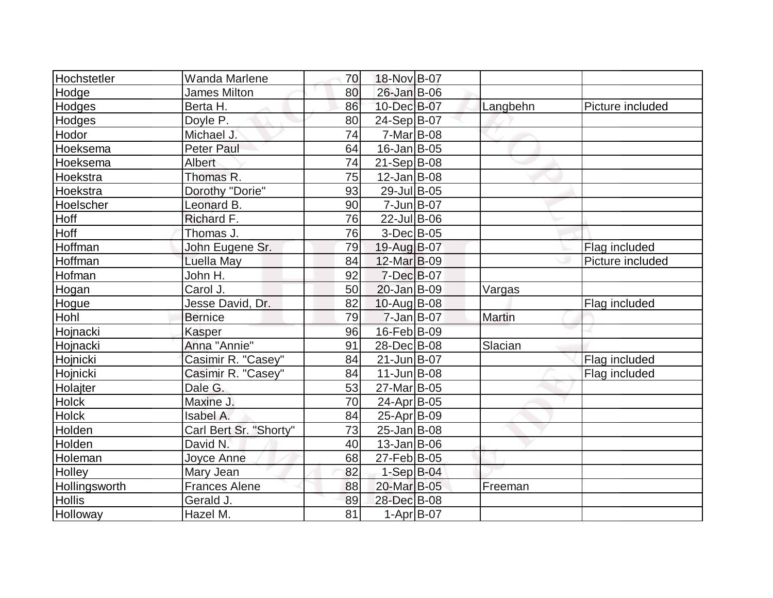| Hochstetler   | <b>Wanda Marlene</b>   | 70 | 18-Nov B-07        |               |                  |
|---------------|------------------------|----|--------------------|---------------|------------------|
| Hodge         | <b>James Milton</b>    | 80 | 26-Jan B-06        |               |                  |
| Hodges        | Berta H.               | 86 | 10-Dec B-07        | Langbehn      | Picture included |
| Hodges        | Doyle P.               | 80 | $24-Sep B-07$      |               |                  |
| Hodor         | Michael J.             | 74 | $7-Mar$ B-08       |               |                  |
| Hoeksema      | <b>Peter Paul</b>      | 64 | $16$ -Jan $ B$ -05 |               |                  |
| Hoeksema      | Albert                 | 74 | $21-Sep B-08$      |               |                  |
| Hoekstra      | Thomas R.              | 75 | $12$ -Jan $ B-08$  |               |                  |
| Hoekstra      | Dorothy "Dorie"        | 93 | 29-Jul B-05        |               |                  |
| Hoelscher     | Leonard B.             | 90 | $7 - Jun$ $B - 07$ |               |                  |
| <b>Hoff</b>   | Richard F.             | 76 | $22$ -Jul B-06     |               |                  |
| Hoff          | Thomas J.              | 76 | $3-Dec B-05$       |               |                  |
| Hoffman       | John Eugene Sr.        | 79 | 19-Aug B-07        |               | Flag included    |
| Hoffman       | Luella May             | 84 | 12-Mar B-09        |               | Picture included |
| Hofman        | John H.                | 92 | 7-Dec B-07         |               |                  |
| Hogan         | Carol J.               | 50 | 20-Jan B-09        | Vargas        |                  |
| Hogue         | Jesse David, Dr.       | 82 | 10-Aug B-08        |               | Flag included    |
| Hohl          | <b>Bernice</b>         | 79 | $7 - Jan$ B-07     | <b>Martin</b> |                  |
| Hojnacki      | Kasper                 | 96 | 16-Feb B-09        |               |                  |
| Hojnacki      | Anna "Annie"           | 91 | 28-Dec B-08        | Slacian       |                  |
| Hojnicki      | Casimir R. "Casey"     | 84 | $21$ -Jun $B$ -07  |               | Flag included    |
| Hojnicki      | Casimir R. "Casey"     | 84 | $11$ -Jun $B$ -08  |               | Flag included    |
| Holajter      | Dale G.                | 53 | 27-Mar B-05        |               |                  |
| <b>Holck</b>  | Maxine J.              | 70 | 24-Apr B-05        |               |                  |
| <b>Holck</b>  | Isabel A.              | 84 | 25-Apr B-09        |               |                  |
| Holden        | Carl Bert Sr. "Shorty" | 73 | $25 - Jan$ B-08    |               |                  |
| Holden        | David N.               | 40 | $13$ -Jan $ B-06$  |               |                  |
| Holeman       | Joyce Anne             | 68 | 27-Feb B-05        |               |                  |
| Holley        | Mary Jean              | 82 | $1-Sep$ B-04       |               |                  |
| Hollingsworth | <b>Frances Alene</b>   | 88 | 20-Mar B-05        | Freeman       |                  |
| <b>Hollis</b> | Gerald J.              | 89 | 28-Dec B-08        |               |                  |
| Holloway      | Hazel M.               | 81 | $1-Apr$ B-07       |               |                  |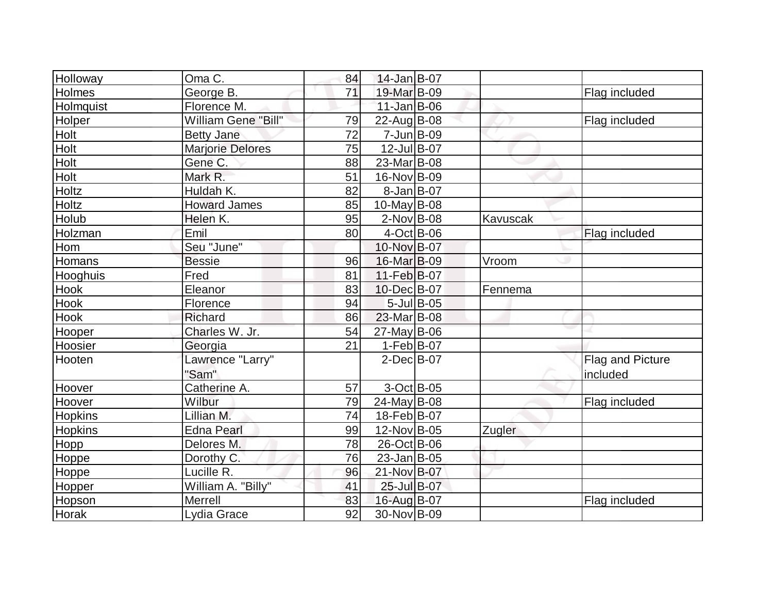| Holloway       | Oma C.                  | 84 | 14-Jan B-07        |          |                  |
|----------------|-------------------------|----|--------------------|----------|------------------|
| Holmes         | George B.               | 71 | 19-Mar B-09        |          | Flag included    |
| Holmquist      | Florence M.             |    | $11$ -Jan $B$ -06  |          |                  |
| Holper         | William Gene "Bill"     | 79 | $22$ -Aug B-08     |          | Flag included    |
| Holt           | <b>Betty Jane</b>       | 72 | $7$ -Jun $ B-09$   |          |                  |
| Holt           | <b>Marjorie Delores</b> | 75 | 12-Jul B-07        |          |                  |
| Holt           | Gene C.                 | 88 | 23-Mar B-08        |          |                  |
| Holt           | Mark R.                 | 51 | 16-Nov B-09        |          |                  |
| Holtz          | Huldah K.               | 82 | $8$ -Jan B-07      |          |                  |
| Holtz          | <b>Howard James</b>     | 85 | $10$ -May B-08     |          |                  |
| Holub          | Helen K.                | 95 | $2$ -Nov $B$ -08   | Kavuscak |                  |
| Holzman        | Emil                    | 80 | $4$ -Oct B-06      |          | Flag included    |
| Hom            | Seu "June"              |    | 10-Nov B-07        |          |                  |
| Homans         | <b>Bessie</b>           | 96 | 16-Mar B-09        | Vroom    |                  |
| Hooghuis       | Fred                    | 81 | 11-Feb B-07        |          |                  |
| Hook           | Eleanor                 | 83 | 10-Dec B-07        | Fennema  |                  |
| <b>Hook</b>    | Florence                | 94 | $5$ -Jul B-05      |          |                  |
| Hook           | Richard                 | 86 | 23-Mar B-08        |          |                  |
| Hooper         | Charles W. Jr.          | 54 | $27$ -May B-06     |          |                  |
| Hoosier        | Georgia                 | 21 | $1-Feb$ B-07       |          |                  |
| Hooten         | Lawrence "Larry"        |    | $2$ -Dec $B$ -07   |          | Flag and Picture |
|                | "Sam"                   |    |                    |          | included         |
| Hoover         | Catherine A.            | 57 | $3-Oct$ B-05       |          |                  |
| Hoover         | Wilbur                  | 79 | $24$ -May B-08     |          | Flag included    |
| <b>Hopkins</b> | Lillian M.              | 74 | 18-Feb B-07        |          |                  |
| Hopkins        | <b>Edna Pearl</b>       | 99 | 12-Nov B-05        | Zugler   |                  |
| Hopp           | Delores M.              | 78 | 26-Oct B-06        |          |                  |
| Hoppe          | Dorothy C.              | 76 | $23$ -Jan $ B-05 $ |          |                  |
| Hoppe          | Lucille R.              | 96 | 21-Nov B-07        |          |                  |
| Hopper         | William A. "Billy"      | 41 | 25-Jul B-07        |          |                  |
| Hopson         | Merrell                 | 83 | 16-Aug B-07        |          | Flag included    |
| Horak          | Lydia Grace             | 92 | 30-Nov B-09        |          |                  |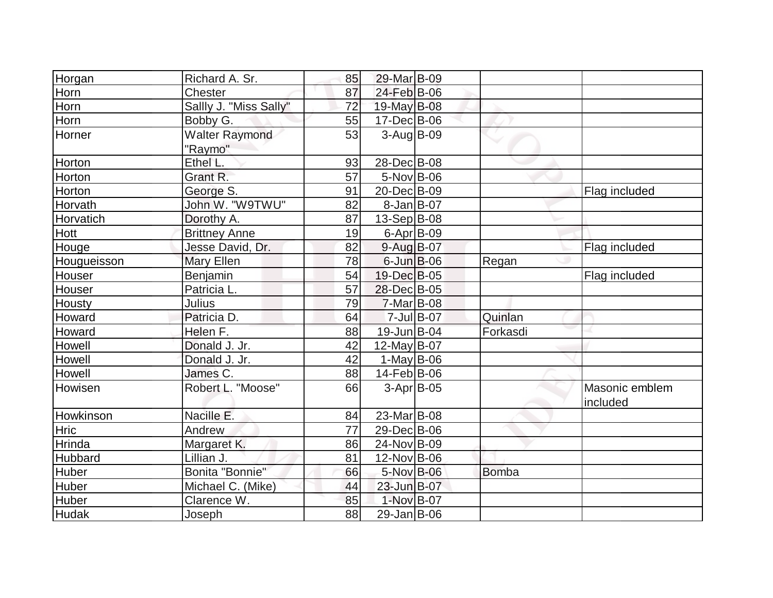| Horgan       | Richard A. Sr.         | 85 | 29-Mar B-09      |            |              |                |
|--------------|------------------------|----|------------------|------------|--------------|----------------|
| Horn         | Chester                | 87 | 24-Feb B-06      |            |              |                |
| Horn         | Sallly J. "Miss Sally" | 72 | 19-May B-08      |            |              |                |
|              |                        |    |                  |            |              |                |
| Horn         | Bobby G.               | 55 | 17-Dec B-06      |            |              |                |
| Horner       | <b>Walter Raymond</b>  | 53 | $3$ -Aug B-09    |            |              |                |
|              | "Raymo"                |    |                  |            |              |                |
| Horton       | Ethel L.               | 93 | 28-Dec B-08      |            |              |                |
| Horton       | Grant R.               | 57 | $5-Nov$ B-06     |            |              |                |
| Horton       | George S.              | 91 | 20-Dec B-09      |            |              | Flag included  |
| Horvath      | John W. "W9TWU"        | 82 | $8$ -Jan B-07    |            |              |                |
| Horvatich    | Dorothy A.             | 87 | $13-Sep B-08$    |            |              |                |
| Hott         | <b>Brittney Anne</b>   | 19 | $6$ -Apr $B$ -09 |            |              |                |
| Houge        | Jesse David, Dr.       | 82 | 9-Aug B-07       |            |              | Flag included  |
| Hougueisson  | Mary Ellen             | 78 | $6$ -Jun $B$ -06 |            | Regan        |                |
| Houser       | Benjamin               | 54 | 19-Dec B-05      |            |              | Flag included  |
| Houser       | Patricia L.            | 57 | 28-Dec B-05      |            |              |                |
| Housty       | Julius                 | 79 | $7-Mar$ B-08     |            |              |                |
| Howard       | Patricia D.            | 64 |                  | 7-Jul B-07 | Quinlan      |                |
| Howard       | Helen F.               | 88 | 19-Jun B-04      |            | Forkasdi     |                |
| Howell       | Donald J. Jr.          | 42 | 12-May $B-07$    |            |              |                |
| Howell       | Donald J. Jr.          | 42 | $1-May B-06$     |            |              |                |
| Howell       | James C.               | 88 | 14-Feb B-06      |            |              |                |
| Howisen      | Robert L. "Moose"      | 66 | $3-Apr$ B-05     |            |              | Masonic emblem |
|              |                        |    |                  |            |              | included       |
| Howkinson    | Nacille E.             | 84 | 23-Mar B-08      |            |              |                |
| Hric         | Andrew                 | 77 | 29-Dec B-06      |            |              |                |
| Hrinda       | Margaret K.            | 86 | 24-Nov B-09      |            |              |                |
| Hubbard      | Lillian J.             | 81 | 12-Nov B-06      |            |              |                |
| <b>Huber</b> | Bonita "Bonnie"        | 66 | 5-Nov B-06       |            | <b>Bomba</b> |                |
| Huber        | Michael C. (Mike)      | 44 | 23-Jun B-07      |            |              |                |
| <b>Huber</b> | Clarence W.            | 85 | 1-Nov B-07       |            |              |                |
| <b>Hudak</b> | Joseph                 | 88 | $29$ -Jan B-06   |            |              |                |
|              |                        |    |                  |            |              |                |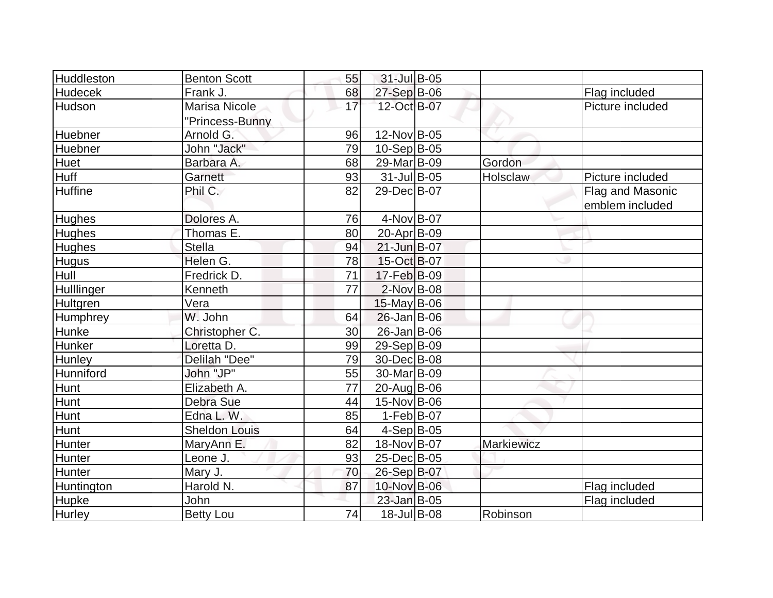| <b>Huddleston</b> | <b>Benton Scott</b>  | 55              | 31-Jul B-05                  |                   |                                   |
|-------------------|----------------------|-----------------|------------------------------|-------------------|-----------------------------------|
| <b>Hudecek</b>    | Frank J.             | 68              |                              |                   |                                   |
| Hudson            | <b>Marisa Nicole</b> | 17              | $27-Sep B-06$<br>12-Oct B-07 |                   | Flag included<br>Picture included |
|                   |                      |                 |                              |                   |                                   |
|                   | "Princess-Bunny      |                 |                              |                   |                                   |
| Huebner           | Arnold G.            | 96              | 12-Nov B-05                  |                   |                                   |
| Huebner           | John "Jack"          | 79              | $10-Sep B-05$                |                   |                                   |
| Huet              | Barbara A.           | 68              | 29-Mar B-09                  | Gordon            |                                   |
| Huff              | Garnett              | 93              | $31$ -Jul B-05               | Holsclaw          | Picture included                  |
| <b>Huffine</b>    | Phil C.              | 82              | 29-Dec B-07                  |                   | Flag and Masonic                  |
|                   |                      |                 |                              |                   | emblem included                   |
| Hughes            | Dolores A.           | 76              | 4-Nov B-07                   |                   |                                   |
| <b>Hughes</b>     | Thomas E.            | 80              | 20-Apr B-09                  |                   |                                   |
| <b>Hughes</b>     | <b>Stella</b>        | 94              | $21$ -Jun $B-07$             |                   |                                   |
| <b>Hugus</b>      | Helen G.             | 78              | 15-Oct B-07                  |                   |                                   |
| Hull              | Fredrick D.          | $\overline{71}$ | 17-Feb B-09                  |                   |                                   |
| Hulllinger        | Kenneth              | 77              | $2$ -Nov $ B-08$             |                   |                                   |
| Hultgren          | Vera                 |                 | $15$ -May B-06               |                   |                                   |
| <b>Humphrey</b>   | W. John              | 64              | 26-Jan B-06                  |                   |                                   |
| Hunke             | Christopher C.       | 30              | 26-Jan B-06                  |                   |                                   |
| Hunker            | Loretta D.           | 99              | 29-Sep B-09                  |                   |                                   |
| <b>Hunley</b>     | Delilah "Dee"        | 79              | 30-Dec B-08                  |                   |                                   |
| Hunniford         | John "JP"            | 55              | 30-Mar B-09                  |                   |                                   |
| Hunt              | Elizabeth A.         | 77              | 20-Aug B-06                  |                   |                                   |
| Hunt              | Debra Sue            | 44              | 15-Nov B-06                  |                   |                                   |
| Hunt              | Edna L. W.           | 85              | $1-Feb B-07$                 |                   |                                   |
| Hunt              | <b>Sheldon Louis</b> | 64              | $4-Sep$ B-05                 |                   |                                   |
| Hunter            | MaryAnn E.           | 82              | 18-Nov B-07                  | <b>Markiewicz</b> |                                   |
| <b>Hunter</b>     | Leone J.             | 93              | 25-Dec B-05                  |                   |                                   |
| Hunter            | Mary J.              | 70              | 26-Sep B-07                  |                   |                                   |
| Huntington        | Harold N.            | 87              | 10-Nov B-06                  |                   | Flag included                     |
| <b>Hupke</b>      | <b>John</b>          |                 | 23-Jan B-05                  |                   | Flag included                     |
| Hurley            | <b>Betty Lou</b>     | 74              | 18-Jul B-08                  | Robinson          |                                   |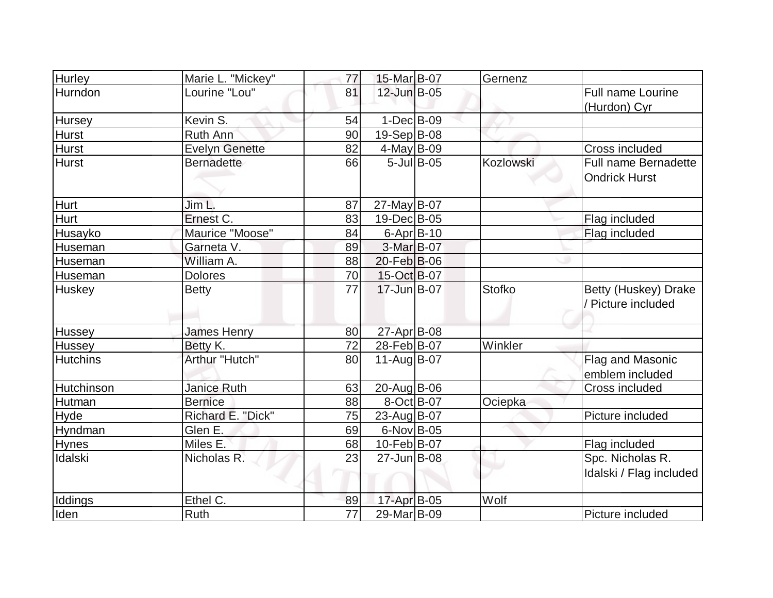| <b>Hurley</b>   | Marie L. "Mickey"     | 77              | 15-Mar B-07       |               | Gernenz       |                         |
|-----------------|-----------------------|-----------------|-------------------|---------------|---------------|-------------------------|
| Hurndon         | Lourine "Lou"         | 81              | 12-Jun B-05       |               |               | Full name Lourine       |
|                 |                       |                 |                   |               |               | (Hurdon) Cyr            |
| Hursey          | Kevin S.              | 54              | $1-Dec$ B-09      |               |               |                         |
| <b>Hurst</b>    | Ruth Ann              | 90              | 19-Sep B-08       |               |               |                         |
| <b>Hurst</b>    | <b>Evelyn Genette</b> | 82              | $4$ -May B-09     |               |               | <b>Cross included</b>   |
| <b>Hurst</b>    | <b>Bernadette</b>     | 66              |                   | $5$ -Jul B-05 | Kozlowski     | Full name Bernadette    |
|                 |                       |                 |                   |               |               | <b>Ondrick Hurst</b>    |
|                 |                       |                 |                   |               |               |                         |
| Hurt            | Jim L.                | 87              | 27-May B-07       |               |               |                         |
| Hurt            | Ernest C.             | 83              | 19-Dec B-05       |               |               | Flag included           |
| Husayko         | Maurice "Moose"       | 84              | $6 - Apr$ B-10    |               |               | Flag included           |
| Huseman         | Garneta V.            | 89              | $3-Mar$ B-07      |               |               |                         |
| Huseman         | William A.            | 88              | 20-Feb B-06       |               |               |                         |
| Huseman         | <b>Dolores</b>        | 70              | 15-Oct B-07       |               |               |                         |
| Huskey          | <b>Betty</b>          | 77              | 17-Jun B-07       |               | <b>Stofko</b> | Betty (Huskey) Drake    |
|                 |                       |                 |                   |               |               | / Picture included      |
| Hussey          | <b>James Henry</b>    | 80              | 27-Apr B-08       |               |               |                         |
| Hussey          | Betty K.              | 72              | 28-Feb B-07       |               | Winkler       |                         |
| <b>Hutchins</b> | Arthur "Hutch"        | 80              | 11-Aug B-07       |               |               | Flag and Masonic        |
|                 |                       |                 |                   |               |               | emblem included         |
| Hutchinson      | <b>Janice Ruth</b>    | 63              | $20$ -Aug $ B-06$ |               |               | Cross included          |
| Hutman          | <b>Bernice</b>        | 88              | 8-Oct B-07        |               | Ociepka       |                         |
| Hyde            | Richard E. "Dick"     | 75              | 23-Aug B-07       |               |               | Picture included        |
| Hyndman         | Glen E.               | 69              | $6$ -Nov $ B$ -05 |               |               |                         |
| <b>Hynes</b>    | Miles E.              | 68              | 10-Feb B-07       |               |               | Flag included           |
| Idalski         | Nicholas R.           | 23              | 27-Jun B-08       |               |               | Spc. Nicholas R.        |
|                 |                       |                 |                   |               |               | Idalski / Flag included |
|                 |                       |                 |                   |               |               |                         |
| <b>Iddings</b>  | Ethel C.              | 89              | 17-Apr B-05       |               | Wolf          |                         |
| Iden            | Ruth                  | $\overline{77}$ | 29-Mar B-09       |               |               | Picture included        |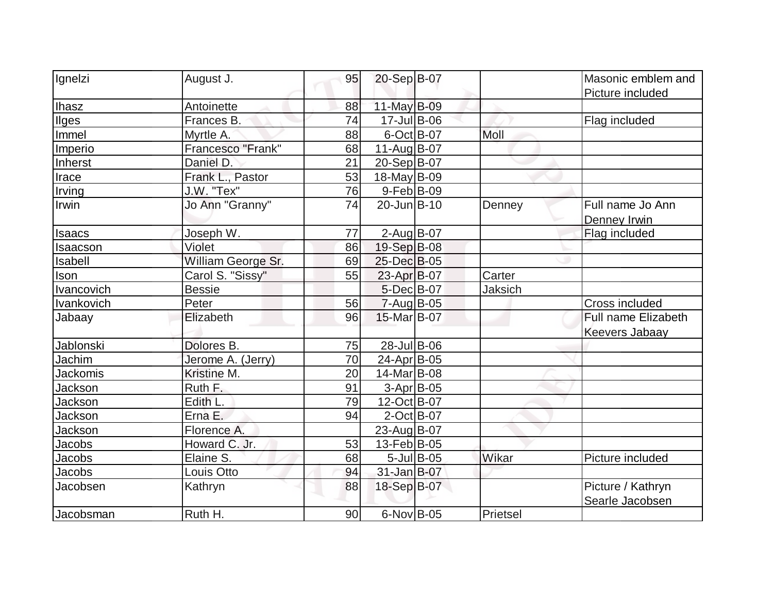| Ignelzi         | August J.          | 95 | 20-Sep B-07       |               |          | Masonic emblem and<br>Picture included |
|-----------------|--------------------|----|-------------------|---------------|----------|----------------------------------------|
| <b>Ihasz</b>    | Antoinette         | 88 | 11-May $B-09$     |               |          |                                        |
| <b>Ilges</b>    | Frances B.         | 74 | 17-Jul B-06       |               |          | Flag included                          |
| Immel           | Myrtle A.          | 88 | $6$ -Oct B-07     |               | Moll     |                                        |
| Imperio         | Francesco "Frank"  | 68 | $11-Auq$ B-07     |               |          |                                        |
| Inherst         | Daniel D.          | 21 | 20-Sep B-07       |               |          |                                        |
| Irace           | Frank L., Pastor   | 53 | 18-May B-09       |               |          |                                        |
| Irving          | J.W. "Tex"         | 76 | 9-Feb B-09        |               |          |                                        |
| Irwin           | Jo Ann "Granny"    | 74 | 20-Jun B-10       |               | Denney   | Full name Jo Ann<br>Denney Irwin       |
| <b>Isaacs</b>   | Joseph W.          | 77 | $2$ -Aug B-07     |               |          | Flag included                          |
| Isaacson        | Violet             | 86 | 19-Sep B-08       |               |          |                                        |
| Isabell         | William George Sr. | 69 | 25-Dec B-05       |               |          |                                        |
| Ison            | Carol S. "Sissy"   | 55 | 23-Apr B-07       |               | Carter   |                                        |
| Ivancovich      | <b>Bessie</b>      |    | 5-Dec B-07        |               | Jaksich  |                                        |
| Ivankovich      | Peter              | 56 | $7 - Aug$ B-05    |               |          | <b>Cross included</b>                  |
| Jabaay          | Elizabeth          | 96 | 15-Mar B-07       |               |          | Full name Elizabeth                    |
|                 |                    |    |                   |               |          | <b>Keevers Jabaay</b>                  |
| Jablonski       | Dolores B.         | 75 | 28-Jul B-06       |               |          |                                        |
| Jachim          | Jerome A. (Jerry)  | 70 | 24-Apr B-05       |               |          |                                        |
| <b>Jackomis</b> | Kristine M.        | 20 | 14-Mar B-08       |               |          |                                        |
| Jackson         | Ruth F.            | 91 | 3-Apr B-05        |               |          |                                        |
| Jackson         | Edith L.           | 79 | 12-Oct B-07       |               |          |                                        |
| <b>Jackson</b>  | Erna E.            | 94 | $2$ -Oct B-07     |               |          |                                        |
| Jackson         | Florence A.        |    | 23-Aug B-07       |               |          |                                        |
| Jacobs          | Howard C. Jr.      | 53 | 13-Feb B-05       |               |          |                                        |
| Jacobs          | Elaine S.          | 68 |                   | $5$ -Jul B-05 | Wikar    | Picture included                       |
| Jacobs          | Louis Otto         | 94 | 31-Jan B-07       |               |          |                                        |
| Jacobsen        | Kathryn            | 88 | 18-Sep B-07       |               |          | Picture / Kathryn<br>Searle Jacobsen   |
| Jacobsman       | Ruth H.            | 90 | $6$ -Nov $ B$ -05 |               | Prietsel |                                        |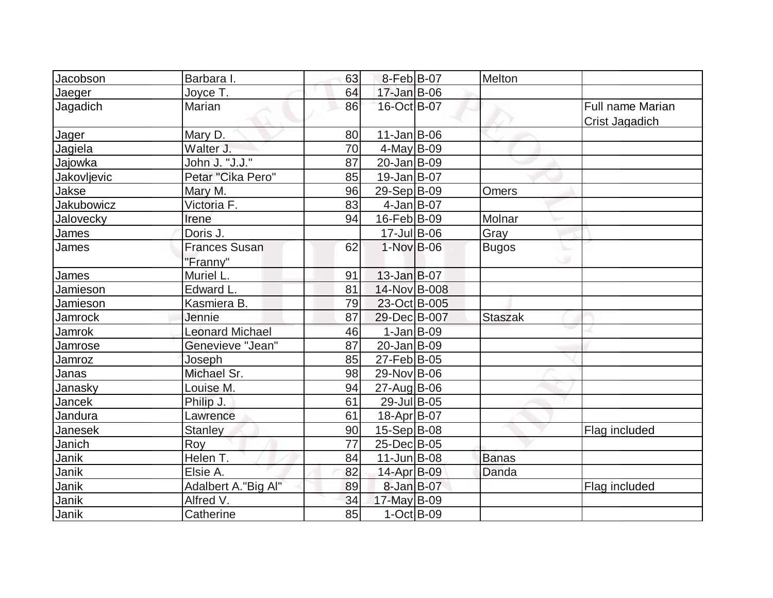| Jacobson          | Barbara I.             | 63 | $8-Feb B-07$      | Melton         |                  |
|-------------------|------------------------|----|-------------------|----------------|------------------|
|                   |                        |    |                   |                |                  |
| Jaeger            | Joyce T.               | 64 | $17$ -Jan $B$ -06 |                |                  |
| Jagadich          | Marian                 | 86 | 16-Oct B-07       |                | Full name Marian |
|                   |                        |    |                   |                | Crist Jagadich   |
| Jager             | Mary D.                | 80 | $11$ -Jan $ B-06$ |                |                  |
| Jagiela           | Walter J.              | 70 | $4$ -May B-09     |                |                  |
| Jajowka           | John J. "J.J."         | 87 | 20-Jan B-09       |                |                  |
| Jakovljevic       | Petar "Cika Pero"      | 85 | $19$ -Jan $ B-07$ |                |                  |
| Jakse             | Mary M.                | 96 | 29-Sep B-09       | Omers          |                  |
| <b>Jakubowicz</b> | Victoria F.            | 83 | $4$ -Jan B-07     |                |                  |
| Jalovecky         | Irene                  | 94 | $16$ -Feb $ B-09$ | Molnar         |                  |
| James             | Doris J.               |    | $17$ -Jul B-06    | Gray           |                  |
| James             | <b>Frances Susan</b>   | 62 | $1-Nov$ B-06      | <b>Bugos</b>   |                  |
|                   | "Franny"               |    |                   |                | ی                |
| James             | Muriel L.              | 91 | $13$ -Jan $B$ -07 |                |                  |
| Jamieson          | Edward L.              | 81 | 14-Nov B-008      |                |                  |
| Jamieson          | Kasmiera B.            | 79 | 23-Oct B-005      |                |                  |
| <b>Jamrock</b>    | Jennie                 | 87 | 29-Dec B-007      | <b>Staszak</b> |                  |
| Jamrok            | <b>Leonard Michael</b> | 46 | $1-Jan$ B-09      |                |                  |
| Jamrose           | Genevieve "Jean"       | 87 | 20-Jan B-09       |                |                  |
| Jamroz            | Joseph                 | 85 | 27-Feb B-05       |                |                  |
| Janas             | Michael Sr.            | 98 | 29-Nov B-06       |                |                  |
| Janasky           | Louise M.              | 94 | 27-Aug B-06       |                |                  |
| Jancek            | Philip J.              | 61 | 29-Jul B-05       |                |                  |
| Jandura           | Lawrence               | 61 | 18-Apr B-07       |                |                  |
| Janesek           | <b>Stanley</b>         | 90 | 15-Sep B-08       |                | Flag included    |
| Janich            | Roy                    | 77 | 25-Dec B-05       |                |                  |
| Janik             | Helen T.               | 84 | $11$ -Jun $B$ -08 | Banas          |                  |
| Janik             | Elsie A.               | 82 | 14-Apr B-09       | Danda          |                  |
| Janik             | Adalbert A."Big Al"    | 89 | 8-Jan B-07        |                | Flag included    |
| Janik             | Alfred V.              | 34 | 17-May B-09       |                |                  |
| Janik             | Catherine              | 85 | $1-Cct$ B-09      |                |                  |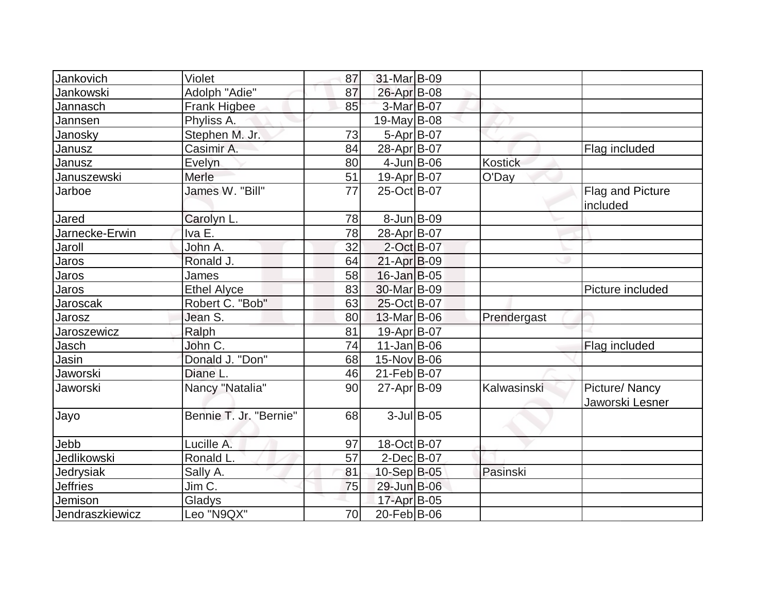| Jankovich       | Violet                 | 87 | 31-Mar B-09       |               |             |                                     |
|-----------------|------------------------|----|-------------------|---------------|-------------|-------------------------------------|
| Jankowski       | Adolph "Adie"          | 87 | 26-Apr B-08       |               |             |                                     |
| Jannasch        | Frank Higbee           | 85 | 3-Mar B-07        |               |             |                                     |
| Jannsen         | Phyliss A.             |    | $19$ -May B-08    |               |             |                                     |
| Janosky         | Stephen M. Jr.         | 73 | $5-Apr$ B-07      |               |             |                                     |
| Janusz          | Casimir A.             | 84 | 28-Apr B-07       |               |             | Flag included                       |
| Janusz          | Evelyn                 | 80 | $4$ -Jun $B$ -06  |               | Kostick     |                                     |
| Januszewski     | Merle                  | 51 | $19-Apr B-07$     |               | O'Day       |                                     |
| Jarboe          | James W. "Bill"        | 77 | 25-Oct B-07       |               |             | <b>Flag and Picture</b><br>included |
| Jared           | Carolyn L.             | 78 | $8$ -Jun $B$ -09  |               |             |                                     |
| Jarnecke-Erwin  | Iva E.                 | 78 | 28-Apr B-07       |               |             |                                     |
| Jaroll          | John A.                | 32 | 2-Oct B-07        |               |             |                                     |
| Jaros           | Ronald J.              | 64 | $21-Apr$ B-09     |               |             |                                     |
| Jaros           | James                  | 58 | $16$ -Jan $B$ -05 |               |             |                                     |
| Jaros           | <b>Ethel Alyce</b>     | 83 | 30-Mar B-09       |               |             | Picture included                    |
| Jaroscak        | Robert C. "Bob"        | 63 | 25-Oct B-07       |               |             |                                     |
| Jarosz          | Jean S.                | 80 | 13-Mar B-06       |               | Prendergast |                                     |
| Jaroszewicz     | Ralph                  | 81 | 19-Apr B-07       |               |             |                                     |
| Jasch           | John C.                | 74 | $11$ -Jan $ B-06$ |               |             | Flag included                       |
| Jasin           | Donald J. "Don"        | 68 | 15-Nov B-06       |               |             |                                     |
| Jaworski        | Diane L.               | 46 | 21-Feb B-07       |               |             |                                     |
| Jaworski        | Nancy "Natalia"        | 90 | 27-Apr B-09       |               | Kalwasinski | Picture/Nancy<br>Jaworski Lesner    |
| Jayo            | Bennie T. Jr. "Bernie" | 68 |                   | $3$ -Jul B-05 |             |                                     |
| Jebb            | Lucille A.             | 97 | 18-Oct B-07       |               |             |                                     |
| Jedlikowski     | Ronald L.              | 57 | $2$ -Dec $B$ -07  |               |             |                                     |
| Jedrysiak       | Sally A.               | 81 | 10-Sep B-05       |               | Pasinski    |                                     |
| <b>Jeffries</b> | Jim C.                 | 75 | 29-Jun B-06       |               |             |                                     |
| Jemison         | Gladys                 |    | 17-Apr B-05       |               |             |                                     |
| Jendraszkiewicz | Leo "N9QX"             | 70 | 20-Feb B-06       |               |             |                                     |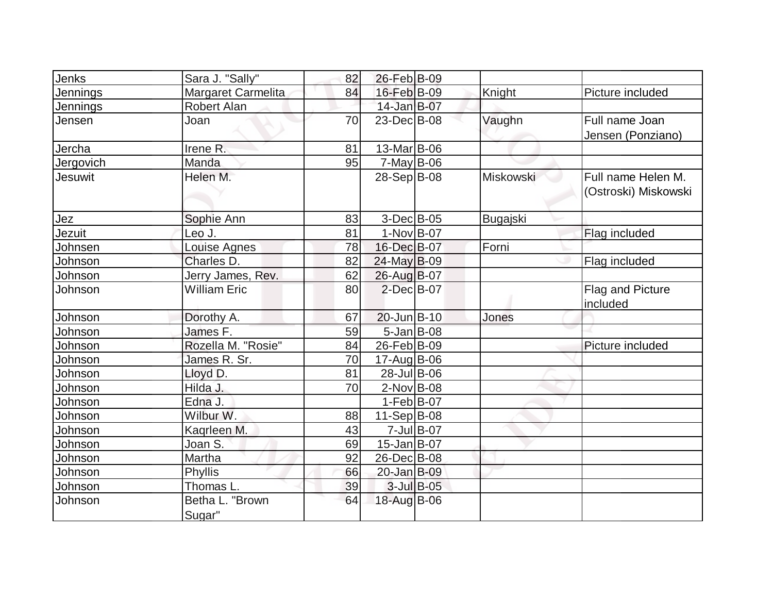| Jenks          | Sara J. "Sally"           | 82 | 26-Feb B-09       |            |           |                                            |
|----------------|---------------------------|----|-------------------|------------|-----------|--------------------------------------------|
| Jennings       | <b>Margaret Carmelita</b> | 84 | 16-Feb B-09       |            | Knight    | Picture included                           |
| Jennings       | <b>Robert Alan</b>        |    | 14-Jan B-07       |            |           |                                            |
| Jensen         | Joan                      | 70 | 23-Dec B-08       |            | Vaughn    | Full name Joan<br>Jensen (Ponziano)        |
| Jercha         | Irene R.                  | 81 | 13-Mar B-06       |            |           |                                            |
| Jergovich      | Manda                     | 95 | $7$ -May B-06     |            |           |                                            |
| <b>Jesuwit</b> | Helen M.                  |    | 28-Sep B-08       |            | Miskowski | Full name Helen M.<br>(Ostroski) Miskowski |
| Jez            | Sophie Ann                | 83 | $3-Dec$ B-05      |            | Bugajski  |                                            |
| Jezuit         | Leo J.                    | 81 | $1-Nov$ B-07      |            |           | Flag included                              |
| Johnsen        | Louise Agnes              | 78 | 16-Dec B-07       |            | Forni     |                                            |
| Johnson        | Charles D.                | 82 | $24$ -May B-09    |            |           | Flag included                              |
| Johnson        | Jerry James, Rev.         | 62 | 26-Aug B-07       |            |           |                                            |
| Johnson        | <b>William Eric</b>       | 80 | $2$ -Dec $B$ -07  |            |           | <b>Flag and Picture</b><br>included        |
| Johnson        | Dorothy A.                | 67 | $20$ -Jun $B-10$  |            | Jones     |                                            |
| Johnson        | James F.                  | 59 | $5$ -Jan B-08     |            |           |                                            |
| Johnson        | Rozella M. "Rosie"        | 84 | 26-Feb B-09       |            |           | Picture included                           |
| Johnson        | James R. Sr.              | 70 | $17$ -Aug B-06    |            |           |                                            |
| Johnson        | Lloyd D.                  | 81 | 28-Jul B-06       |            |           |                                            |
| Johnson        | Hilda J.                  | 70 | $2$ -Nov $ B-08$  |            |           |                                            |
| Johnson        | Edna J.                   |    | $1-Feb B-07$      |            |           |                                            |
| Johnson        | Wilbur W.                 | 88 | $11-Sep B-08$     |            |           |                                            |
| Johnson        | Kaqrleen M.               | 43 |                   | 7-Jul B-07 |           |                                            |
| Johnson        | Joan S.                   | 69 | $15$ -Jan $ B-07$ |            |           |                                            |
| Johnson        | Martha                    | 92 | 26-Dec B-08       |            |           |                                            |
| Johnson        | <b>Phyllis</b>            | 66 | 20-Jan B-09       |            |           |                                            |
| Johnson        | Thomas L.                 | 39 |                   | 3-Jul B-05 |           |                                            |
| Johnson        | Betha L. "Brown<br>Sugar" | 64 | 18-Aug B-06       |            |           |                                            |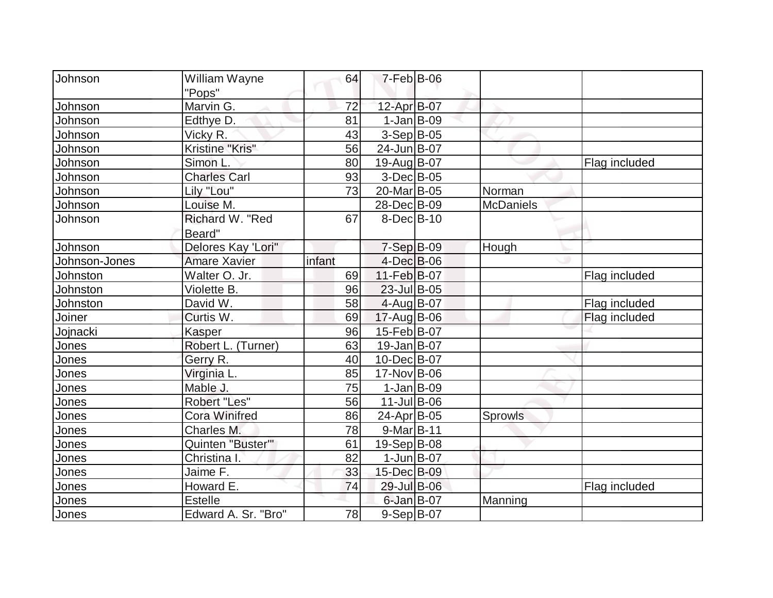| Johnson       | William Wayne        | 64     | $7-Feb$ B-06     |                  |               |
|---------------|----------------------|--------|------------------|------------------|---------------|
|               | "Pops"               |        |                  |                  |               |
| Johnson       | Marvin G.            | 72     | 12-Apr B-07      |                  |               |
| Johnson       | Edthye D.            | 81     | $1-Jan$ B-09     |                  |               |
| Johnson       | Vicky R.             | 43     | $3-Sep B-05$     |                  |               |
| Johnson       | Kristine "Kris"      | 56     | 24-Jun B-07      |                  |               |
| Johnson       | Simon L              | 80     | 19-Aug B-07      |                  | Flag included |
| Johnson       | <b>Charles Carl</b>  | 93     | $3-Dec B-05$     |                  |               |
| Johnson       | Lily "Lou"           | 73     | 20-Mar B-05      | Norman           |               |
| Johnson       | Louise M.            |        | 28-Dec B-09      | <b>McDaniels</b> |               |
| Johnson       | Richard W. "Red      | 67     | $8$ -Dec $B$ -10 |                  |               |
|               | Beard"               |        |                  |                  |               |
| Johnson       | Delores Kay 'Lori"   |        | $7-Sep$ B-09     | Hough            |               |
| Johnson-Jones | <b>Amare Xavier</b>  | infant | 4-Dec B-06       |                  |               |
| Johnston      | Walter O. Jr.        | 69     | 11-Feb B-07      |                  | Flag included |
| Johnston      | Violette B.          | 96     | $23$ -Jul B-05   |                  |               |
| Johnston      | David W.             | 58     | $4$ -Aug B-07    |                  | Flag included |
| Joiner        | Curtis W.            | 69     | 17-Aug B-06      |                  | Flag included |
| Jojnacki      | Kasper               | 96     | 15-Feb B-07      |                  |               |
| Jones         | Robert L. (Turner)   | 63     | 19-Jan B-07      |                  |               |
| Jones         | Gerry R.             | 40     | 10-Dec B-07      |                  |               |
| Jones         | Virginia L.          | 85     | 17-Nov B-06      |                  |               |
| Jones         | Mable J.             | 75     | $1-Jan$ B-09     |                  |               |
| Jones         | Robert "Les"         | 56     | $11$ -Jul B-06   |                  |               |
| Jones         | <b>Cora Winifred</b> | 86     | 24-Apr B-05      | Sprowls          |               |
| Jones         | Charles M.           | 78     | $9-Mar$ B-11     |                  |               |
| Jones         | Quinten "Buster"     | 61     | 19-Sep B-08      |                  |               |
| Jones         | Christina I.         | 82     | $1$ -Jun $B$ -07 |                  |               |
| Jones         | Jaime F.             | 33     | 15-Dec B-09      |                  |               |
| Jones         | Howard E.            | 74     | 29-Jul B-06      |                  | Flag included |
| Jones         | <b>Estelle</b>       |        | 6-Jan B-07       | Manning          |               |
| Jones         | Edward A. Sr. "Bro"  | 78     | 9-Sep B-07       |                  |               |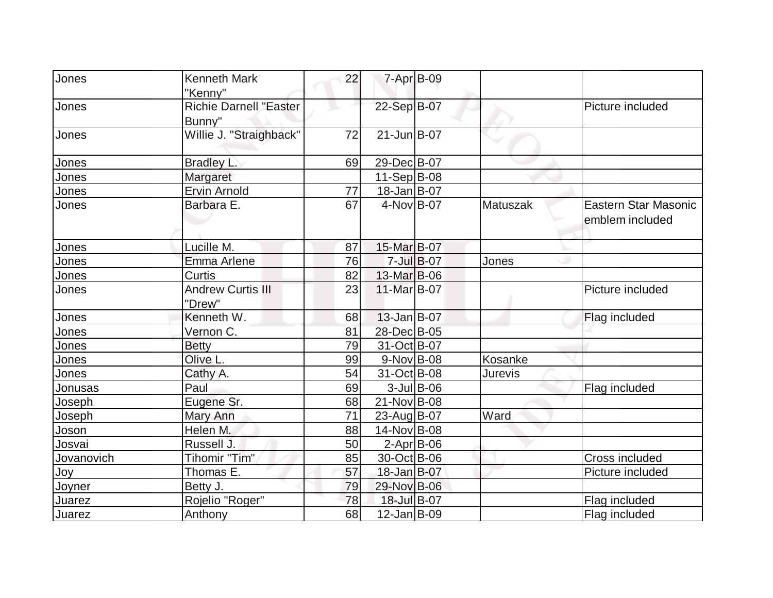| Jones      | <b>Kenneth Mark</b>           | 22 |                   | $7 - Apr$ $B-09$   |                |                      |
|------------|-------------------------------|----|-------------------|--------------------|----------------|----------------------|
|            | "Kenny"                       |    |                   |                    |                |                      |
| Jones      | <b>Richie Darnell "Easter</b> |    | 22-Sep B-07       |                    |                | Picture included     |
|            | Bunny"                        |    |                   |                    |                |                      |
| Jones      | Willie J. "Straighback"       | 72 | $21$ -Jun $B$ -07 |                    |                |                      |
| Jones      | Bradley L.                    | 69 | 29-Dec B-07       |                    |                |                      |
| Jones      | Margaret                      |    | $11-Sep B-08$     |                    |                |                      |
| Jones      | <b>Ervin Arnold</b>           | 77 | 18-Jan B-07       |                    |                |                      |
| Jones      | Barbara E.                    | 67 | 4-Nov B-07        |                    | Matuszak       | Eastern Star Masonic |
|            |                               |    |                   |                    |                | emblem included      |
|            |                               |    |                   |                    |                |                      |
| Jones      | Lucille M.                    | 87 | 15-Mar B-07       |                    |                |                      |
| Jones      | Emma Arlene                   | 76 |                   | $7 -$ Jul $B - 07$ | Jones          |                      |
| Jones      | Curtis                        | 82 | 13-Mar B-06       |                    |                |                      |
| Jones      | <b>Andrew Curtis III</b>      | 23 | 11-Mar B-07       |                    |                | Picture included     |
|            | "Drew"                        |    |                   |                    |                |                      |
| Jones      | Kenneth W.                    | 68 | 13-Jan B-07       |                    |                | Flag included        |
| Jones      | Vernon C.                     | 81 | 28-Dec B-05       |                    |                |                      |
| Jones      | <b>Betty</b>                  | 79 | 31-Oct B-07       |                    |                |                      |
| Jones      | Olive L.                      | 99 | $9-Nov$ B-08      |                    | Kosanke        |                      |
| Jones      | Cathy A.                      | 54 | 31-Oct B-08       |                    | <b>Jurevis</b> |                      |
| Jonusas    | Paul                          | 69 |                   | $3$ -Jul B-06      |                | Flag included        |
| Joseph     | Eugene Sr.                    | 68 | 21-Nov B-08       |                    |                |                      |
| Joseph     | Mary Ann                      | 71 | 23-Aug B-07       |                    | Ward           |                      |
| Joson      | Helen M.                      | 88 | 14-Nov B-08       |                    |                |                      |
| Josvai     | Russell J.                    | 50 | $2-Apr$ B-06      |                    |                |                      |
| Jovanovich | Tihomir "Tim"                 | 85 | 30-Oct B-06       |                    |                | Cross included       |
| Joy        | Thomas E.                     | 57 | 18-Jan B-07       |                    |                | Picture included     |
| Joyner     | Betty J.                      | 79 | 29-Nov B-06       |                    |                |                      |
| Juarez     | Rojelio "Roger"               | 78 | 18-Jul B-07       |                    |                | Flag included        |
| Juarez     | Anthony                       | 68 | 12-Jan B-09       |                    |                | Flag included        |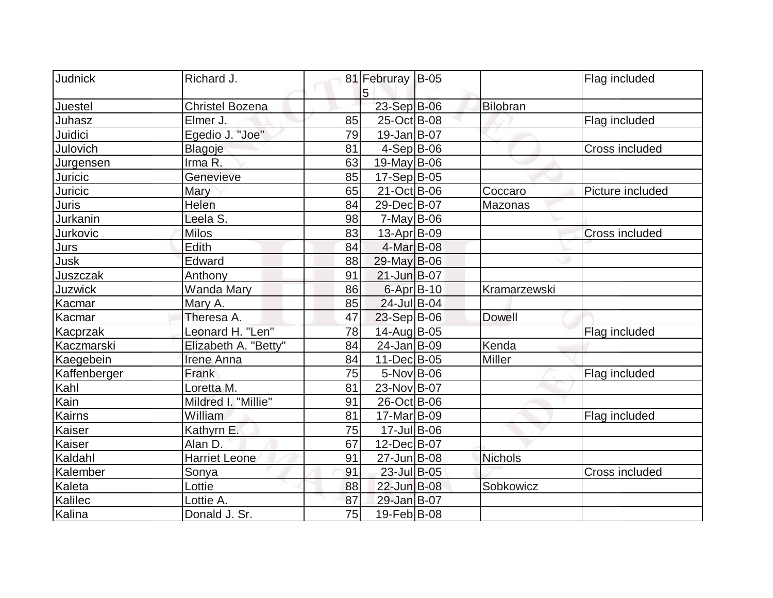| Judnick        |                      |    |                       |               |                       |
|----------------|----------------------|----|-----------------------|---------------|-----------------------|
|                | Richard J.           |    | 81 Februray B-05<br>5 |               | Flag included         |
| Juestel        | Christel Bozena      |    | 23-Sep B-06           | Bilobran      |                       |
| Juhasz         | Elmer J.             | 85 | 25-Oct B-08           |               | Flag included         |
| Juidici        | Egedio J. "Joe"      | 79 | $19$ -Jan $ B-07$     |               |                       |
| Julovich       | Blagoje              | 81 | $4-Sep B-06$          |               | Cross included        |
| Jurgensen      | Irma R.              | 63 | $19$ -May B-06        |               |                       |
| Juricic        | Genevieve            | 85 | $17-Sep B-05$         |               |                       |
| Juricic        | Mary                 | 65 | 21-Oct B-06           | Coccaro       | Picture included      |
| Juris          | Helen                | 84 | 29-Dec B-07           | Mazonas       |                       |
| Jurkanin       | Leela S.             | 98 | $7$ -May B-06         |               |                       |
| Jurkovic       | <b>Milos</b>         | 83 | $13$ -Apr $ B-09 $    |               | <b>Cross included</b> |
| Jurs           | Edith                | 84 | 4-Mar B-08            |               |                       |
| Jusk           | Edward               | 88 | $29$ -May B-06        |               |                       |
| Juszczak       | Anthony              | 91 | $21$ -Jun $B$ -07     |               |                       |
| <b>Juzwick</b> | <b>Wanda Mary</b>    | 86 | 6-Apr B-10            | Kramarzewski  |                       |
| Kacmar         | Mary A.              | 85 | 24-Jul B-04           |               |                       |
| Kacmar         | Theresa A.           | 47 | $23-Sep B-06$         | <b>Dowell</b> |                       |
| Kacprzak       | Leonard H. "Len"     | 78 | 14-Aug B-05           |               | Flag included         |
| Kaczmarski     | Elizabeth A. "Betty" | 84 | 24-Jan B-09           | Kenda         |                       |
| Kaegebein      | Irene Anna           | 84 | 11-Dec B-05           | Miller        |                       |
| Kaffenberger   | Frank                | 75 | $5-Nov$ B-06          |               | Flag included         |
| Kahl           | Loretta M.           | 81 | 23-Nov B-07           |               |                       |
| Kain           | Mildred I. "Millie"  | 91 | 26-Oct B-06           |               |                       |
| Kairns         | William              | 81 | 17-Mar B-09           |               | Flag included         |
| Kaiser         | Kathyrn E.           | 75 | 17-Jul B-06           |               |                       |
| Kaiser         | Alan D.              | 67 | 12-Dec B-07           |               |                       |
| Kaldahl        | <b>Harriet Leone</b> | 91 | 27-Jun B-08           | Nichols       |                       |
| Kalember       | Sonya                | 91 | 23-Jul B-05           |               | Cross included        |
| Kaleta         | Lottie               | 88 | 22-Jun B-08           | Sobkowicz     |                       |
| Kalilec        | Lottie A.            | 87 | 29-Jan B-07           |               |                       |
| Kalina         | Donald J. Sr.        | 75 | 19-Feb B-08           |               |                       |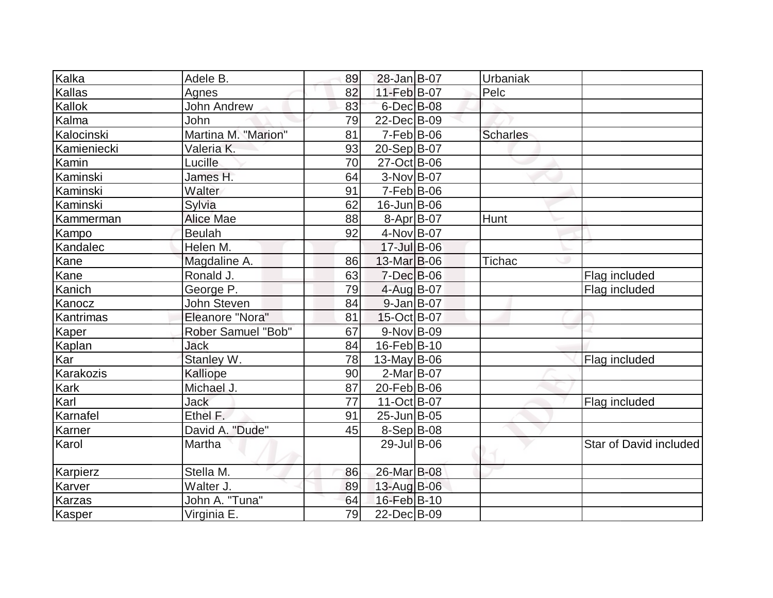| Kalka         | Adele B.                  | 89 | 28-Jan B-07       | Urbaniak        |                        |
|---------------|---------------------------|----|-------------------|-----------------|------------------------|
| Kallas        | Agnes                     | 82 | 11-Feb B-07       | Pelc            |                        |
| Kallok        | <b>John Andrew</b>        | 83 | 6-Dec B-08        |                 |                        |
| Kalma         | John                      | 79 | 22-Dec B-09       |                 |                        |
| Kalocinski    | Martina M. "Marion"       | 81 | $7-Feb B-06$      | <b>Scharles</b> |                        |
| Kamieniecki   | Valeria K.                | 93 | 20-Sep B-07       |                 |                        |
| Kamin         | Lucille                   | 70 | 27-Oct B-06       |                 |                        |
| Kaminski      | James H.                  | 64 | 3-Nov B-07        |                 |                        |
| Kaminski      | Walter                    | 91 | $7-Feb B-06$      |                 |                        |
| Kaminski      | Sylvia                    | 62 | $16$ -Jun $B$ -06 |                 |                        |
| Kammerman     | <b>Alice Mae</b>          | 88 | $8-Apr B-07$      | Hunt            |                        |
| Kampo         | <b>Beulah</b>             | 92 | 4-Nov B-07        |                 |                        |
| Kandalec      | Helen M.                  |    | $17 -$ JulB-06    |                 |                        |
| Kane          | Magdaline A.              | 86 | 13-Mar B-06       | <b>Tichac</b>   |                        |
| Kane          | Ronald J.                 | 63 | $7$ -Dec $B$ -06  |                 | Flag included          |
| Kanich        | George P.                 | 79 | $4$ -Aug B-07     |                 | Flag included          |
| Kanocz        | John Steven               | 84 | $9$ -Jan B-07     |                 |                        |
| Kantrimas     | Eleanore "Nora"           | 81 | 15-Oct B-07       |                 |                        |
| Kaper         | <b>Rober Samuel "Bob"</b> | 67 | 9-Nov B-09        |                 |                        |
| Kaplan        | <b>Jack</b>               | 84 | 16-Feb B-10       |                 |                        |
| Kar           | Stanley W.                | 78 | $13$ -May B-06    |                 | Flag included          |
| Karakozis     | Kalliope                  | 90 | $2-Mar$ B-07      |                 |                        |
| Kark          | Michael J.                | 87 | 20-Feb B-06       |                 |                        |
| Karl          | <b>Jack</b>               | 77 | 11-Oct B-07       |                 | Flag included          |
| Karnafel      | Ethel F.                  | 91 | 25-Jun B-05       |                 |                        |
| Karner        | David A. "Dude"           | 45 | $8-Sep B-08$      |                 |                        |
| Karol         | Martha                    |    | 29-Jul B-06       |                 | Star of David included |
| Karpierz      | Stella M.                 | 86 | 26-Mar B-08       |                 |                        |
| Karver        | Walter J.                 | 89 | 13-Aug B-06       |                 |                        |
| <b>Karzas</b> | John A. "Tuna"            | 64 | 16-Feb B-10       |                 |                        |
| Kasper        | Virginia E.               | 79 | 22-Dec B-09       |                 |                        |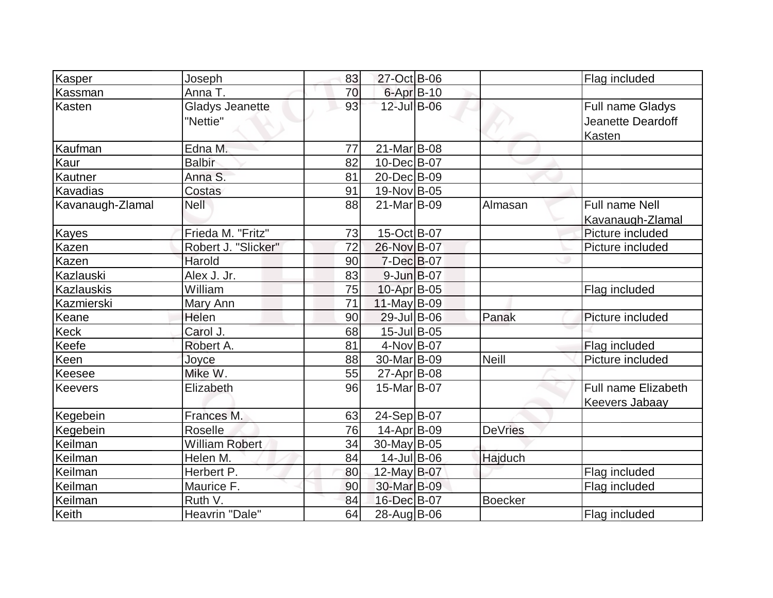| Kasper           | Joseph                 | 83 | 27-Oct B-06        |                | Flag included         |
|------------------|------------------------|----|--------------------|----------------|-----------------------|
| Kassman          | Anna T.                | 70 | 6-Apr B-10         |                |                       |
| Kasten           | <b>Gladys Jeanette</b> | 93 | 12-Jul B-06        |                | Full name Gladys      |
|                  | "Nettie"               |    |                    |                | Jeanette Deardoff     |
|                  |                        |    |                    |                | <b>Kasten</b>         |
| Kaufman          | Edna M.                | 77 | 21-Mar B-08        |                |                       |
| Kaur             | <b>Balbir</b>          | 82 | 10-Dec B-07        |                |                       |
| Kautner          | Anna S.                | 81 | 20-Dec B-09        |                |                       |
| Kavadias         | Costas                 | 91 | 19-Nov B-05        |                |                       |
| Kavanaugh-Zlamal | <b>Nell</b>            | 88 | 21-Mar B-09        | Almasan        | <b>Full name Nell</b> |
|                  |                        |    |                    |                | Kavanaugh-Zlamal      |
| Kayes            | Frieda M. "Fritz"      | 73 | $15$ -Oct B-07     |                | Picture included      |
| Kazen            | Robert J. "Slicker"    | 72 | 26-Nov B-07        |                | Picture included      |
| Kazen            | Harold                 | 90 | 7-Dec B-07         |                |                       |
| Kazlauski        | Alex J. Jr.            | 83 | 9-Jun B-07         |                |                       |
| Kazlauskis       | William                | 75 | $10$ -Apr $ B$ -05 |                | Flag included         |
| Kazmierski       | Mary Ann               | 71 | $11$ -May B-09     |                |                       |
| Keane            | Helen                  | 90 | 29-Jul B-06        | Panak          | Picture included      |
| Keck             | Carol J.               | 68 | 15-Jul B-05        |                |                       |
| Keefe            | Robert A.              | 81 | 4-Nov B-07         |                | Flag included         |
| Keen             | Joyce                  | 88 | 30-Mar B-09        | <b>Neill</b>   | Picture included      |
| Keesee           | Mike W.                | 55 | $27$ -Apr $B$ -08  |                |                       |
| <b>Keevers</b>   | Elizabeth              | 96 | 15-Mar B-07        |                | Full name Elizabeth   |
|                  |                        |    |                    |                | Keevers Jabaay        |
| Kegebein         | Frances M.             | 63 | 24-Sep B-07        |                |                       |
| Kegebein         | Roselle                | 76 | 14-Apr B-09        | <b>DeVries</b> |                       |
| Keilman          | <b>William Robert</b>  | 34 | 30-May B-05        |                |                       |
| Keilman          | Helen M.               | 84 | $14$ -Jul B-06     | Hajduch        |                       |
| Keilman          | Herbert P.             | 80 | 12-May B-07        |                | Flag included         |
| Keilman          | Maurice F.             | 90 | 30-Mar B-09        |                | Flag included         |
| Keilman          | Ruth V.                | 84 | 16-Dec B-07        | <b>Boecker</b> |                       |
| Keith            | Heavrin "Dale"         | 64 | 28-Aug B-06        |                | Flag included         |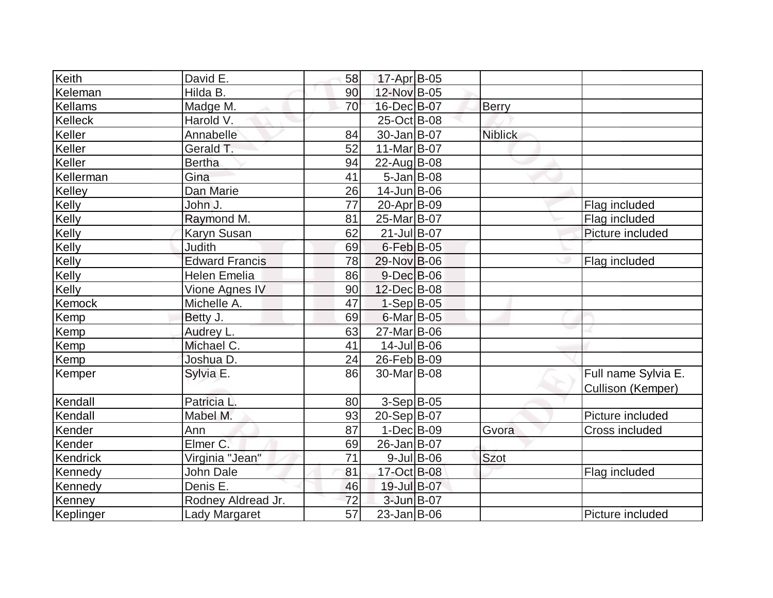| Keith         | David E.              | 58 | $17$ -Apr $B$ -05       |               |                |                       |
|---------------|-----------------------|----|-------------------------|---------------|----------------|-----------------------|
| Keleman       | Hilda B.              | 90 | 12-Nov B-05             |               |                |                       |
| Kellams       | Madge M.              | 70 | 16-Dec B-07             |               | Berry          |                       |
| Kelleck       | Harold V.             |    | 25-Oct B-08             |               |                |                       |
| Keller        | Annabelle             | 84 | 30-Jan B-07             |               | <b>Niblick</b> |                       |
| Keller        | Gerald T.             | 52 | 11-Mar B-07             |               |                |                       |
| Keller        | <b>Bertha</b>         | 94 | 22-Aug B-08             |               |                |                       |
| Kellerman     | Gina                  | 41 | $5$ -Jan B-08           |               |                |                       |
| Kelley        | Dan Marie             | 26 | $14$ -Jun $B$ -06       |               |                |                       |
| Kelly         | John J.               | 77 | 20-Apr B-09             |               |                | Flag included         |
| Kelly         | Raymond M.            | 81 | 25-Mar B-07             |               |                | Flag included         |
| Kelly         | Karyn Susan           | 62 | 21-Jul B-07             |               |                | Picture included      |
| Kelly         | Judith                | 69 | $6$ -Feb $ B$ -05       |               |                |                       |
| Kelly         | <b>Edward Francis</b> | 78 | 29-Nov B-06             |               |                | Flag included         |
| Kelly         | <b>Helen Emelia</b>   | 86 | 9-Dec B-06              |               |                |                       |
| Kelly         | Vione Agnes IV        | 90 | 12-Dec B-08             |               |                |                       |
| Kemock        | Michelle A.           | 47 | $1-Sep B-05$            |               |                |                       |
| Kemp          | Betty J.              | 69 | $6$ -Mar $ B$ -05       |               |                |                       |
| Kemp          | Audrey L.             | 63 | 27-Mar B-06             |               |                |                       |
| Kemp          | Michael C.            | 41 | $14$ -Jul B-06          |               |                |                       |
| Kemp          | Joshua D.             | 24 | 26-Feb B-09             |               |                |                       |
| Kemper        | Sylvia E.             | 86 | 30-Mar <sub>B</sub> -08 |               |                | Full name Sylvia E.   |
|               |                       |    |                         |               |                | Cullison (Kemper)     |
| Kendall       | Patricia L.           | 80 | $3-Sep$ B-05            |               |                |                       |
| Kendall       | Mabel M.              | 93 | 20-Sep B-07             |               |                | Picture included      |
| Kender        | Ann                   | 87 | $1-Dec$ B-09            |               | Gvora          | <b>Cross included</b> |
| Kender        | Elmer C.              | 69 | 26-Jan B-07             |               |                |                       |
| Kendrick      | Virginia "Jean"       | 71 |                         | $9$ -Jul B-06 | <b>Szot</b>    |                       |
| Kennedy       | John Dale             | 81 | 17-Oct B-08             |               |                | Flag included         |
| Kennedy       | Denis E.              | 46 | 19-Jul B-07             |               |                |                       |
| <b>Kenney</b> | Rodney Aldread Jr.    | 72 | 3-Jun B-07              |               |                |                       |
| Keplinger     | Lady Margaret         | 57 | $23$ -Jan $ B-06$       |               |                | Picture included      |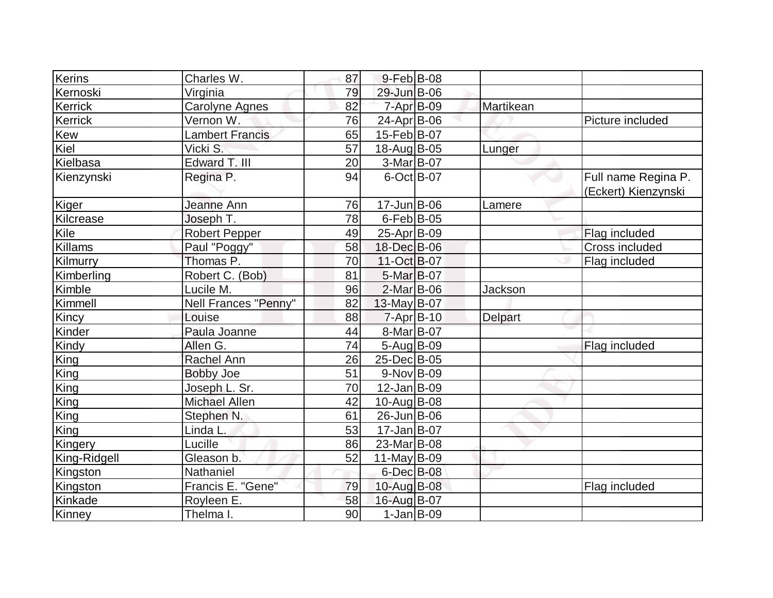| Kerins         | Charles W.                  | 87 | 9-Feb B-08         |                |                     |
|----------------|-----------------------------|----|--------------------|----------------|---------------------|
| Kernoski       | Virginia                    | 79 | 29-Jun B-06        |                |                     |
| Kerrick        | <b>Carolyne Agnes</b>       | 82 | $7 - Apr$ $B-09$   | Martikean      |                     |
| Kerrick        | Vernon W.                   | 76 | 24-Apr B-06        |                | Picture included    |
| Kew            | Lambert Francis             | 65 | 15-Feb B-07        |                |                     |
| Kiel           | Vicki S.                    | 57 | 18-Aug B-05        | Lunger         |                     |
| Kielbasa       | Edward T. III               | 20 | $3-Mar$ B-07       |                |                     |
| Kienzynski     | Regina P.                   | 94 | $6$ -Oct B-07      |                | Full name Regina P. |
|                |                             |    |                    |                | (Eckert) Kienzynski |
| Kiger          | Jeanne Ann                  | 76 | $17 - Jun$ $B-06$  | Lamere         |                     |
| Kilcrease      | Joseph T.                   | 78 | $6$ -Feb $ B$ -05  |                |                     |
| Kile           | <b>Robert Pepper</b>        | 49 | 25-Apr B-09        |                | Flag included       |
| <b>Killams</b> | Paul "Poggy"                | 58 | 18-Dec B-06        |                | Cross included      |
| Kilmurry       | Thomas P.                   | 70 | 11-Oct B-07        |                | Flag included       |
| Kimberling     | Robert C. (Bob)             | 81 | $5-Mar$ B-07       |                |                     |
| Kimble         | Lucile M.                   | 96 | $2$ -Mar $ B-06$   | Jackson        |                     |
| Kimmell        | <b>Nell Frances "Penny"</b> | 82 | $13$ -May B-07     |                |                     |
| Kincy          | Louise                      | 88 | $7 - Apr$ B-10     | <b>Delpart</b> |                     |
| Kinder         | Paula Joanne                | 44 | 8-Mar B-07         |                |                     |
| Kindy          | Allen G.                    | 74 | $5 - Aug$ B-09     |                | Flag included       |
| King           | Rachel Ann                  | 26 | 25-Dec B-05        |                |                     |
| King           | <b>Bobby Joe</b>            | 51 | $9-Nov$ B-09       |                |                     |
| King           | Joseph L. Sr.               | 70 | $12$ -Jan $ B-09 $ |                |                     |
| King           | <b>Michael Allen</b>        | 42 | 10-Aug B-08        |                |                     |
| King           | Stephen N.                  | 61 | 26-Jun B-06        |                |                     |
| King           | Linda L.                    | 53 | 17-Jan B-07        |                |                     |
| Kingery        | Lucille                     | 86 | 23-Mar B-08        |                |                     |
| King-Ridgell   | Gleason b.                  | 52 | $11$ -May B-09     |                |                     |
| Kingston       | Nathaniel                   |    | 6-Dec B-08         |                |                     |
| Kingston       | Francis E. "Gene"           | 79 | 10-Aug B-08        |                | Flag included       |
| Kinkade        | Royleen E.                  | 58 | 16-Aug B-07        |                |                     |
| Kinney         | Thelma I.                   | 90 | $1-Jan$ B-09       |                |                     |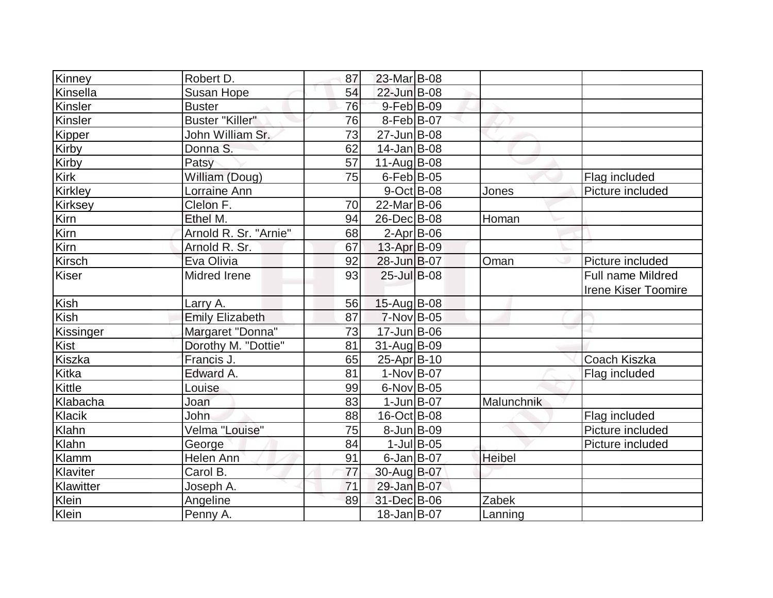| Kinney         | Robert D.              | 87              | 23-Mar B-08             |            |                                                        |
|----------------|------------------------|-----------------|-------------------------|------------|--------------------------------------------------------|
| Kinsella       | <b>Susan Hope</b>      | 54              | 22-Jun B-08             |            |                                                        |
| Kinsler        | <b>Buster</b>          | 76              | 9-Feb B-09              |            |                                                        |
| Kinsler        | <b>Buster "Killer"</b> | 76              | $8-Feb B-07$            |            |                                                        |
| Kipper         | John William Sr.       | 73              | 27-Jun B-08             |            |                                                        |
| Kirby          | Donna S.               | 62              | $14$ -Jan $ B-08$       |            |                                                        |
| Kirby          | Patsy                  | 57              | $11-Auq$ B-08           |            |                                                        |
| <b>Kirk</b>    | William (Doug)         | $\overline{75}$ | $6$ -Feb $B$ -05        |            | Flag included                                          |
| <b>Kirkley</b> | Lorraine Ann           |                 | $9$ -Oct B-08           | Jones      | Picture included                                       |
| <b>Kirksey</b> | Clelon F.              | 70              | 22-Mar <sub>B</sub> -06 |            |                                                        |
| Kirn           | Ethel M.               | 94              | 26-Dec B-08             | Homan      |                                                        |
| Kirn           | Arnold R. Sr. "Arnie"  | 68              | $2$ -Apr $B$ -06        |            |                                                        |
| Kirn           | Arnold R. Sr.          | 67              | 13-Apr B-09             |            |                                                        |
| Kirsch         | Eva Olivia             | 92              | 28-Jun B-07             | Oman       | Picture included                                       |
| <b>Kiser</b>   | <b>Midred Irene</b>    | 93              | $25$ -Jul B-08          |            | <b>Full name Mildred</b><br><b>Irene Kiser Toomire</b> |
| Kish           | Larry A.               | 56              | 15-Aug B-08             |            |                                                        |
| Kish           | <b>Emily Elizabeth</b> | 87              | $7-Nov$ B-05            |            |                                                        |
| Kissinger      | Margaret "Donna"       | 73              | 17-Jun B-06             |            |                                                        |
| Kist           | Dorothy M. "Dottie"    | 81              | $31-Aug B-09$           |            |                                                        |
| Kiszka         | Francis J.             | 65              | 25-Apr B-10             |            | Coach Kiszka                                           |
| Kitka          | Edward A.              | 81              | $1-Nov$ B-07            |            | Flag included                                          |
| Kittle         | Louise                 | 99              | $6$ -Nov $ B$ -05       |            |                                                        |
| Klabacha       | Joan                   | 83              | $1$ -Jun $B$ -07        | Malunchnik |                                                        |
| Klacik         | <b>John</b>            | 88              | 16-Oct B-08             |            | Flag included                                          |
| Klahn          | Velma "Louise"         | 75              | $8$ -Jun $B$ -09        |            | Picture included                                       |
| Klahn          | George                 | 84              | $1$ -Jul B-05           |            | Picture included                                       |
| Klamm          | Helen Ann              | 91              | $6$ -Jan $B$ -07        | Heibel     |                                                        |
| Klaviter       | Carol B.               | 77              | 30-Aug B-07             |            |                                                        |
| Klawitter      | Joseph A.              | 71              | 29-Jan B-07             |            |                                                        |
| Klein          | Angeline               | 89              | 31-Dec B-06             | Zabek      |                                                        |
| Klein          | Penny A.               |                 | 18-Jan B-07             | Lanning    |                                                        |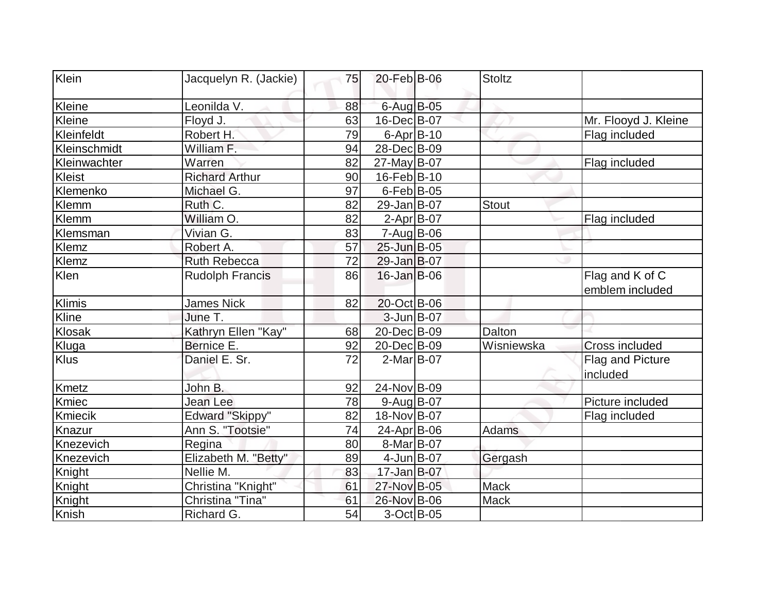| Klein        | Jacquelyn R. (Jackie)  | 75 | 20-Feb B-06            | <b>Stoltz</b> |                                    |
|--------------|------------------------|----|------------------------|---------------|------------------------------------|
| Kleine       | Leonilda V.            | 88 | 6-Aug B-05             |               |                                    |
| Kleine       | Floyd J.               | 63 | 16-Dec B-07            |               | Mr. Flooyd J. Kleine               |
| Kleinfeldt   | Robert H.              | 79 | $6 - Apr$ B-10         |               | Flag included                      |
| Kleinschmidt | William F.             | 94 | 28-Dec B-09            |               |                                    |
| Kleinwachter | Warren                 | 82 | 27-May B-07            |               | Flag included                      |
| Kleist       | <b>Richard Arthur</b>  | 90 | 16-Feb B-10            |               |                                    |
| Klemenko     | Michael G.             | 97 | $6$ -Feb $ B$ -05      |               |                                    |
| Klemm        | Ruth C.                | 82 | 29-Jan B-07            | <b>Stout</b>  |                                    |
| Klemm        | William O.             | 82 | $2-Apr$ B-07           |               | Flag included                      |
| Klemsman     | Vivian G.              | 83 | $7 - Aug$ B-06         |               |                                    |
| Klemz        | Robert A.              | 57 | 25-Jun B-05            |               |                                    |
| Klemz        | <b>Ruth Rebecca</b>    | 72 | 29-Jan B-07            |               |                                    |
| Klen         | <b>Rudolph Francis</b> | 86 | $16$ -Jan $B$ -06      |               | Flag and K of C<br>emblem included |
| Klimis       | <b>James Nick</b>      | 82 | 20-Oct B-06            |               |                                    |
| Kline        | June T.                |    | $3$ -Jun $B$ -07       |               |                                    |
| Klosak       | Kathryn Ellen "Kay"    | 68 | 20-Dec B-09            | Dalton        |                                    |
| Kluga        | Bernice E.             | 92 | 20-Dec B-09            | Wisniewska    | Cross included                     |
| Klus         | Daniel E. Sr.          | 72 | $2$ -Mar $ B-07$       |               | Flag and Picture<br>included       |
| <b>Kmetz</b> | John B.                | 92 | 24-Nov B-09            |               |                                    |
| Kmiec        | Jean Lee               | 78 | $9$ -Aug B-07          |               | Picture included                   |
| Kmiecik      | <b>Edward "Skippy"</b> | 82 | 18-Nov B-07            |               | Flag included                      |
| Knazur       | Ann S. "Tootsie"       | 74 | 24-Apr B-06            | Adams         |                                    |
| Knezevich    | Regina                 | 80 | 8-Mar <sub>B</sub> -07 |               |                                    |
| Knezevich    | Elizabeth M. "Betty"   | 89 | $4$ -Jun $B$ -07       | Gergash       |                                    |
| Knight       | Nellie M.              | 83 | $17 - Jan$ $B-07$      |               |                                    |
| Knight       | Christina "Knight"     | 61 | 27-Nov B-05            | <b>Mack</b>   |                                    |
| Knight       | Christina "Tina"       | 61 | 26-Nov B-06            | Mack          |                                    |
| Knish        | Richard G.             | 54 | $3-Oct$ B-05           |               |                                    |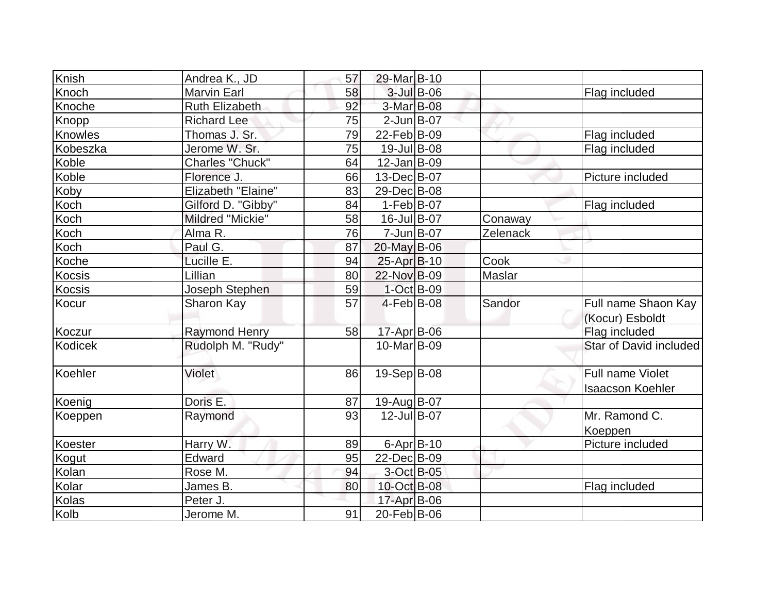| Knish          | Andrea K., JD         | 57 | 29-Mar B-10            |            |          |                                             |
|----------------|-----------------------|----|------------------------|------------|----------|---------------------------------------------|
| Knoch          | <b>Marvin Earl</b>    | 58 |                        | 3-Jul B-06 |          | Flag included                               |
| Knoche         | <b>Ruth Elizabeth</b> | 92 | 3-Mar B-08             |            |          |                                             |
| Knopp          | <b>Richard Lee</b>    | 75 | $2$ -Jun $B$ -07       |            |          |                                             |
| Knowles        | Thomas J. Sr.         | 79 | $22$ -Feb $ B-09 $     |            |          | Flag included                               |
| Kobeszka       | Jerome W. Sr.         | 75 | 19-Jul B-08            |            |          | Flag included                               |
| Koble          | Charles "Chuck"       | 64 | $12$ -Jan $ B-09 $     |            |          |                                             |
| Koble          | Florence J.           | 66 | 13-Dec B-07            |            |          | Picture included                            |
| Koby           | Elizabeth "Elaine"    | 83 | 29-Dec B-08            |            |          |                                             |
| Koch           | Gilford D. "Gibby"    | 84 | $1-Feb B-07$           |            |          | Flag included                               |
| Koch           | Mildred "Mickie"      | 58 | 16-Jul B-07            |            | Conaway  |                                             |
| Koch           | Alma R.               | 76 | $7 - Jun$ $B-07$       |            | Zelenack |                                             |
| Koch           | Paul G.               | 87 | $20$ -May B-06         |            |          |                                             |
| Koche          | Lucille E.            | 94 | 25-Apr B-10            |            | Cook     |                                             |
| Kocsis         | Lillian               | 80 | 22-Nov B-09            |            | Maslar   |                                             |
| Kocsis         | Joseph Stephen        | 59 | 1-Oct B-09             |            |          |                                             |
| Kocur          | <b>Sharon Kay</b>     | 57 | $4-Feb B-08$           |            | Sandor   | Full name Shaon Kay<br>(Kocur) Esboldt      |
| Koczur         | <b>Raymond Henry</b>  | 58 | 17-Apr B-06            |            |          | Flag included                               |
| <b>Kodicek</b> | Rudolph M. "Rudy"     |    | 10-Mar <sub>B-09</sub> |            |          | Star of David included                      |
| Koehler        | Violet                | 86 | 19-Sep B-08            |            |          | Full name Violet<br><b>Isaacson Koehler</b> |
| Koenig         | Doris E.              | 87 | 19-Aug B-07            |            |          |                                             |
| Koeppen        | Raymond               | 93 | 12-Jul B-07            |            |          | Mr. Ramond C.<br>Koeppen                    |
| Koester        | Harry W.              | 89 | $6 - Apr$ B-10         |            |          | Picture included                            |
| Kogut          | Edward                | 95 | 22-Dec B-09            |            |          |                                             |
| Kolan          | Rose M.               | 94 | 3-Oct B-05             |            |          |                                             |
| Kolar          | James B.              | 80 | 10-Oct B-08            |            |          | Flag included                               |
| Kolas          | Peter J.              |    | 17-Apr B-06            |            |          |                                             |
| Kolb           | Jerome M.             | 91 | 20-Feb B-06            |            |          |                                             |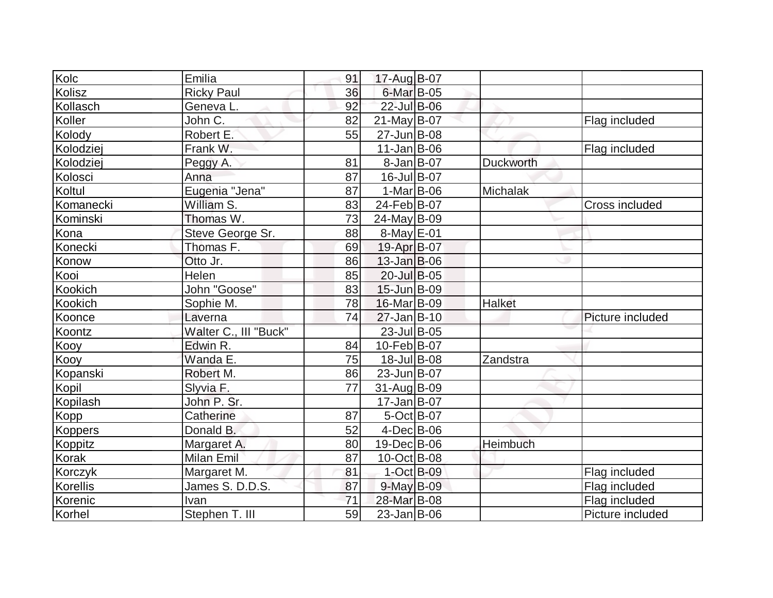| Kolc         | Emilia                | 91 | 17-Aug B-07       |                  |                       |
|--------------|-----------------------|----|-------------------|------------------|-----------------------|
| Kolisz       | <b>Ricky Paul</b>     | 36 | 6-Mar B-05        |                  |                       |
| Kollasch     | Geneva L.             | 92 | 22-Jul B-06       |                  |                       |
| Koller       | John C.               | 82 | $21$ -May B-07    |                  | Flag included         |
| Kolody       | Robert E.             | 55 | 27-Jun B-08       |                  |                       |
| Kolodziej    | Frank W.              |    | $11$ -Jan $ B-06$ |                  | Flag included         |
| Kolodziej    | Peggy A.              | 81 | $8 - Jan$ B-07    | <b>Duckworth</b> |                       |
| Kolosci      | Anna                  | 87 | 16-Jul B-07       |                  |                       |
| Koltul       | Eugenia "Jena"        | 87 | $1-Mar$ B-06      | Michalak         |                       |
| Komanecki    | William S.            | 83 | 24-Feb B-07       |                  | <b>Cross included</b> |
| Kominski     | Thomas W.             | 73 | 24-May B-09       |                  |                       |
| Kona         | Steve George Sr.      | 88 | $8$ -May $E$ -01  |                  |                       |
| Konecki      | Thomas F.             | 69 | 19-Apr B-07       |                  |                       |
| Konow        | Otto Jr.              | 86 | $13$ -Jan $B$ -06 |                  |                       |
| Kooi         | Helen                 | 85 | 20-Jul B-05       |                  |                       |
| Kookich      | John "Goose"          | 83 | 15-Jun B-09       |                  |                       |
| Kookich      | Sophie M.             | 78 | 16-Mar B-09       | Halket           |                       |
| Koonce       | Laverna               | 74 | $27$ -Jan $B-10$  |                  | Picture included      |
| Koontz       | Walter C., III "Buck" |    | 23-Jul B-05       |                  |                       |
| Kooy         | Edwin R.              | 84 | 10-Feb B-07       |                  |                       |
| Kooy         | Wanda E.              | 75 | 18-Jul B-08       | Zandstra         |                       |
| Kopanski     | Robert M.             | 86 | 23-Jun B-07       |                  |                       |
| Kopil        | Slyvia F.             | 77 | 31-Aug B-09       |                  |                       |
| Kopilash     | John P. Sr.           |    | $17 - Jan$ B-07   |                  |                       |
| Kopp         | Catherine             | 87 | 5-Oct B-07        |                  |                       |
| Koppers      | Donald B.             | 52 | $4$ -Dec $B$ -06  |                  |                       |
| Koppitz      | Margaret A.           | 80 | 19-Dec B-06       | Heimbuch         |                       |
| <b>Korak</b> | <b>Milan Emil</b>     | 87 | 10-Oct B-08       |                  |                       |
| Korczyk      | Margaret M.           | 81 | $1$ -Oct B-09     |                  | Flag included         |
| Korellis     | James S. D.D.S.       | 87 | 9-May B-09        |                  | Flag included         |
| Korenic      | Ivan                  | 71 | 28-Mar B-08       |                  | Flag included         |
| Korhel       | Stephen T. III        | 59 | $23$ -Jan B-06    |                  | Picture included      |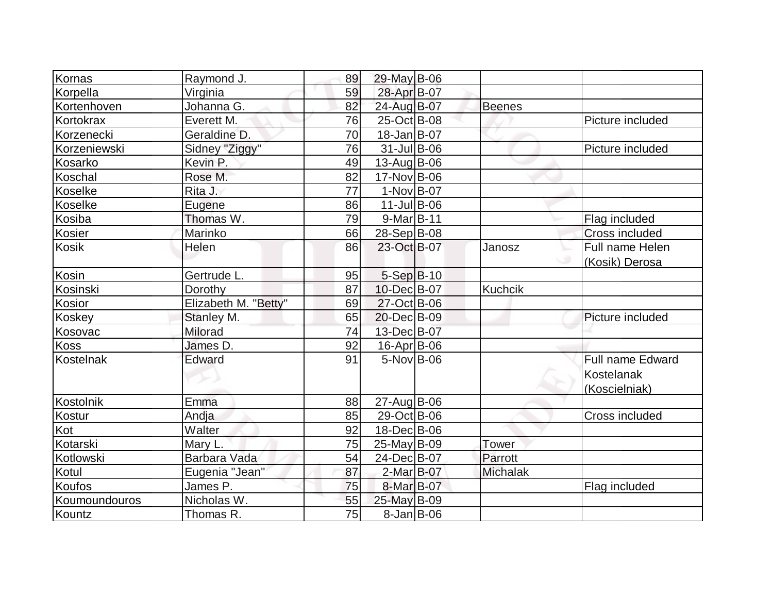| Kornas        | Raymond J.           | 89 | 29-May B-06        |                 |                         |
|---------------|----------------------|----|--------------------|-----------------|-------------------------|
| Korpella      | Virginia             | 59 | 28-Apr B-07        |                 |                         |
| Kortenhoven   | Johanna G.           | 82 | 24-Aug B-07        | <b>Beenes</b>   |                         |
| Kortokrax     | Everett M.           | 76 | 25-Oct B-08        |                 | Picture included        |
| Korzenecki    | Geraldine D.         | 70 | $18$ -Jan $ B-07$  |                 |                         |
| Korzeniewski  | Sidney "Ziggy"       | 76 | $31$ -Jul B-06     |                 | Picture included        |
| Kosarko       | Kevin P.             | 49 | 13-Aug B-06        |                 |                         |
| Koschal       | Rose M.              | 82 | 17-Nov B-06        |                 |                         |
| Koselke       | Rita J.              | 77 | $1-Nov B-07$       |                 |                         |
| Koselke       | Eugene               | 86 | $11$ -Jul B-06     |                 |                         |
| Kosiba        | Thomas W.            | 79 | 9-Mar B-11         |                 | Flag included           |
| <b>Kosier</b> | Marinko              | 66 | 28-Sep B-08        |                 | <b>Cross included</b>   |
| <b>Kosik</b>  | Helen                | 86 | 23-Oct B-07        | Janosz          | Full name Helen         |
|               |                      |    |                    |                 | (Kosik) Derosa          |
| Kosin         | Gertrude L.          | 95 | $5-Sep$ B-10       |                 |                         |
| Kosinski      | Dorothy              | 87 | 10-Dec B-07        | <b>Kuchcik</b>  |                         |
| Kosior        | Elizabeth M. "Betty" | 69 | 27-Oct B-06        |                 |                         |
| Koskey        | Stanley M.           | 65 | 20-Dec B-09        |                 | Picture included        |
| Kosovac       | Milorad              | 74 | 13-Dec B-07        |                 |                         |
| <b>Koss</b>   | James D.             | 92 | $16$ -Apr $ B$ -06 |                 |                         |
| Kostelnak     | Edward               | 91 | $5-Nov$ B-06       |                 | <b>Full name Edward</b> |
|               |                      |    |                    |                 | Kostelanak              |
|               |                      |    |                    |                 | (Koscielniak)           |
| Kostolnik     | Emma                 | 88 | $27$ -Aug $B$ -06  |                 |                         |
| Kostur        | Andja                | 85 | 29-Oct B-06        |                 | Cross included          |
| Kot           | Walter               | 92 | 18-Dec B-06        |                 |                         |
| Kotarski      | Mary L.              | 75 | 25-May B-09        | <b>Tower</b>    |                         |
| Kotlowski     | Barbara Vada         | 54 | 24-Dec B-07        | Parrott         |                         |
| Kotul         | Eugenia "Jean"       | 87 | 2-Mar B-07         | <b>Michalak</b> |                         |
| <b>Koufos</b> | James P.             | 75 | 8-Mar B-07         |                 | Flag included           |
| Koumoundouros | Nicholas W.          | 55 | 25-May B-09        |                 |                         |
| Kountz        | Thomas R.            | 75 | $8$ -Jan B-06      |                 |                         |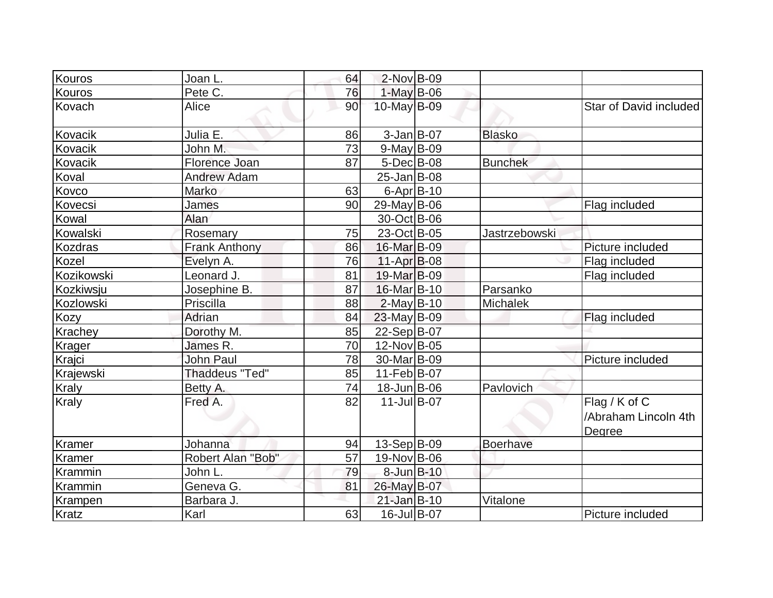| Kouros            | Joan L.               | 64 | $2$ -Nov B-09    |                      |                                                 |
|-------------------|-----------------------|----|------------------|----------------------|-------------------------------------------------|
| Kouros            | Pete C.               | 76 | $1-May$ B-06     |                      |                                                 |
| Kovach            | Alice                 | 90 | 10-May B-09      |                      | Star of David included                          |
| Kovacik           | Julia E.              | 86 | $3$ -Jan B-07    | <b>Blasko</b>        |                                                 |
| Kovacik           | John M.               | 73 | $9$ -May B-09    |                      |                                                 |
| Kovacik           | Florence Joan         | 87 | $5$ -Dec $B$ -08 | <b>Bunchek</b>       |                                                 |
| Koval             | <b>Andrew Adam</b>    |    | $25 - Jan$ B-08  |                      |                                                 |
| Kovco             | Marko                 | 63 | $6$ -Apr $B$ -10 |                      |                                                 |
| Kovecsi           | James                 | 90 | 29-May B-06      |                      | Flag included                                   |
| Kowal             | Alan                  |    | 30-Oct B-06      |                      |                                                 |
| Kowalski          | Rosemary              | 75 | 23-Oct B-05      | <b>Jastrzebowski</b> |                                                 |
| <b>Kozdras</b>    | <b>Frank Anthony</b>  | 86 | 16-Mar B-09      |                      | Picture included                                |
| Kozel             | Evelyn A.             | 76 | $11-Apr$ B-08    |                      | <b>Flag included</b>                            |
| <b>Kozikowski</b> | Leonard J.            | 81 | 19-Mar B-09      |                      | Flag included                                   |
| Kozkiwsju         | Josephine B.          | 87 | 16-Mar B-10      | Parsanko             |                                                 |
| Kozlowski         | Priscilla             | 88 | $2$ -May B-10    | <b>Michalek</b>      |                                                 |
| <b>Kozy</b>       | Adrian                | 84 | $23$ -May B-09   |                      | Flag included                                   |
| Krachey           | Dorothy M.            | 85 | 22-Sep B-07      |                      |                                                 |
| Krager            | James R.              | 70 | 12-Nov B-05      |                      |                                                 |
| Krajci            | <b>John Paul</b>      | 78 | 30-Mar B-09      |                      | Picture included                                |
| Krajewski         | <b>Thaddeus "Ted"</b> | 85 | $11-Feb B-07$    |                      |                                                 |
| <b>Kraly</b>      | Betty A.              | 74 | 18-Jun B-06      | Pavlovich            |                                                 |
| <b>Kraly</b>      | Fred A.               | 82 | $11$ -Jul B-07   |                      | Flag / K of C<br>/Abraham Lincoln 4th<br>Degree |
| Kramer            | Johanna               | 94 | $13-Sep B-09$    | <b>Boerhave</b>      |                                                 |
| Kramer            | Robert Alan "Bob"     | 57 | 19-Nov B-06      |                      |                                                 |
| Krammin           | John L.               | 79 | 8-Jun B-10       |                      |                                                 |
| Krammin           | Geneva G.             | 81 | 26-May B-07      |                      |                                                 |
| Krampen           | Barbara J.            |    | 21-Jan B-10      | Vitalone             |                                                 |
| Kratz             | Karl                  | 63 | 16-Jul B-07      |                      | Picture included                                |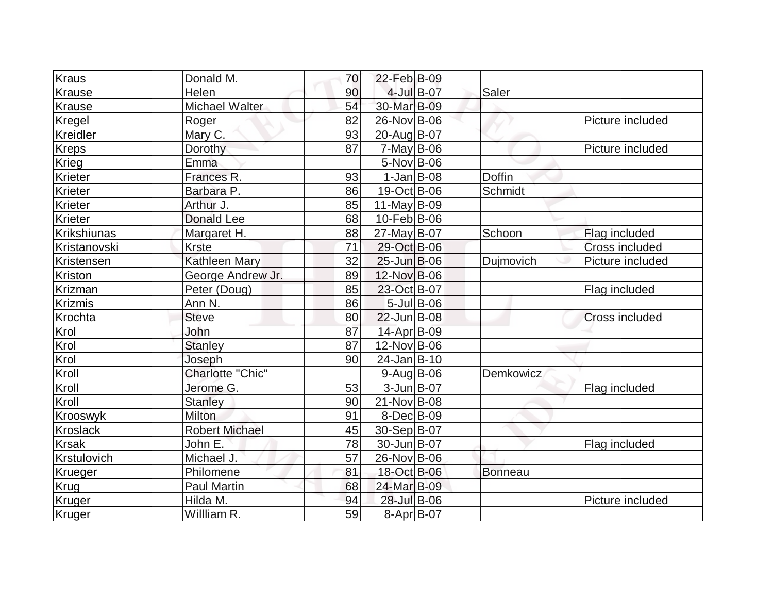| Kraus           | Donald M.               | 70 | 22-Feb B-09      |                  |               |                       |
|-----------------|-------------------------|----|------------------|------------------|---------------|-----------------------|
| Krause          | Helen                   | 90 |                  | 4-Jul B-07       | Saler         |                       |
| Krause          | Michael Walter          | 54 | 30-Mar B-09      |                  |               |                       |
| Kregel          | Roger                   | 82 | 26-Nov B-06      |                  |               | Picture included      |
| Kreidler        | Mary C.                 | 93 | 20-Aug B-07      |                  |               |                       |
| <b>Kreps</b>    | Dorothy                 | 87 | $7$ -May B-06    |                  |               | Picture included      |
| Krieg           | Emma                    |    | 5-Nov B-06       |                  |               |                       |
| Krieter         | Frances R.              | 93 | $1-Jan$ B-08     |                  | <b>Doffin</b> |                       |
| Krieter         | Barbara P.              | 86 | 19-Oct B-06      |                  | Schmidt       |                       |
| Krieter         | Arthur J.               | 85 | 11-May $B-09$    |                  |               |                       |
| Krieter         | <b>Donald Lee</b>       | 68 | 10-Feb B-06      |                  |               |                       |
| Krikshiunas     | Margaret H.             | 88 | 27-May B-07      |                  | Schoon        | Flag included         |
| Kristanovski    | <b>Krste</b>            | 71 | 29-Oct B-06      |                  |               | Cross included        |
| Kristensen      | <b>Kathleen Mary</b>    | 32 | 25-Jun B-06      |                  | Dujmovich     | Picture included      |
| Kriston         | George Andrew Jr.       | 89 | 12-Nov B-06      |                  |               |                       |
| Krizman         | Peter (Doug)            | 85 | 23-Oct B-07      |                  |               | Flag included         |
| <b>Krizmis</b>  | Ann N.                  | 86 |                  | $5$ -Jul $B$ -06 |               |                       |
| Krochta         | <b>Steve</b>            | 80 | 22-Jun B-08      |                  |               | <b>Cross included</b> |
| Krol            | John                    | 87 | 14-Apr B-09      |                  |               |                       |
| Krol            | <b>Stanley</b>          | 87 | 12-Nov B-06      |                  |               |                       |
| Krol            | Joseph                  | 90 | 24-Jan B-10      |                  |               |                       |
| Kroll           | <b>Charlotte "Chic"</b> |    | $9$ -Aug B-06    |                  | Demkowicz     |                       |
| Kroll           | Jerome G.               | 53 | $3$ -Jun $B$ -07 |                  |               | Flag included         |
| Kroll           | <b>Stanley</b>          | 90 | 21-Nov B-08      |                  |               |                       |
| Krooswyk        | Milton                  | 91 | $8$ -Dec $B$ -09 |                  |               |                       |
| <b>Kroslack</b> | <b>Robert Michael</b>   | 45 | 30-Sep B-07      |                  |               |                       |
| <b>Krsak</b>    | John E.                 | 78 | 30-Jun B-07      |                  |               | Flag included         |
| Krstulovich     | Michael J.              | 57 | 26-Nov B-06      |                  |               |                       |
| Krueger         | Philomene               | 81 | 18-Oct B-06      |                  | Bonneau       |                       |
| Krug            | <b>Paul Martin</b>      | 68 | 24-Mar B-09      |                  |               |                       |
| Kruger          | Hilda M.                | 94 | 28-Jul B-06      |                  |               | Picture included      |
| Kruger          | Willliam R.             | 59 | $8-Apr$ B-07     |                  |               |                       |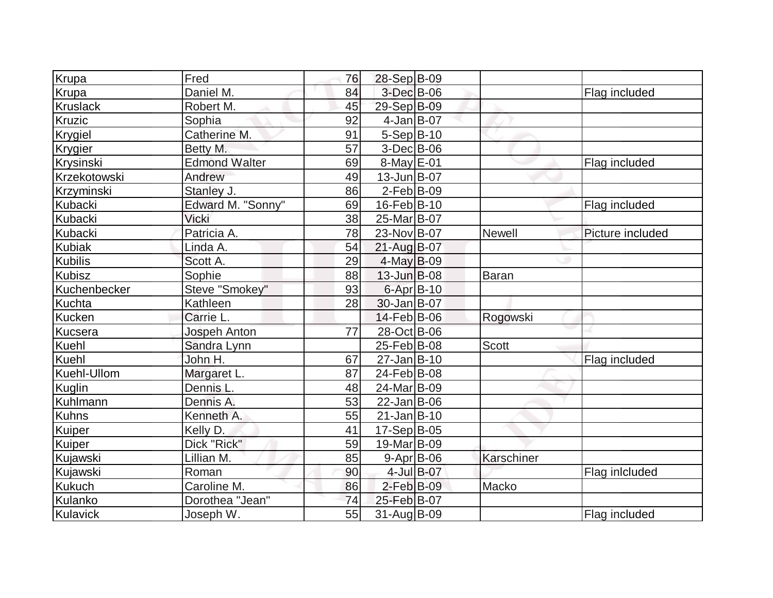| Krupa           | Fred                 | 76 | 28-Sep B-09       |               |                  |
|-----------------|----------------------|----|-------------------|---------------|------------------|
| Krupa           | Daniel M.            | 84 | 3-Dec B-06        |               | Flag included    |
| <b>Kruslack</b> | Robert M.            | 45 | 29-Sep B-09       |               |                  |
| Kruzic          | Sophia               | 92 | $4-Jan$ B-07      |               |                  |
| Krygiel         | Catherine M.         | 91 | $5-Sep B-10$      |               |                  |
| Krygier         | Betty M.             | 57 | $3-Dec B-06$      |               |                  |
| Krysinski       | <b>Edmond Walter</b> | 69 | 8-May E-01        |               | Flag included    |
| Krzekotowski    | Andrew               | 49 | $13$ -Jun $B$ -07 |               |                  |
| Krzyminski      | Stanley J.           | 86 | $2$ -Feb $ B-09 $ |               |                  |
| Kubacki         | Edward M. "Sonny"    | 69 | 16-Feb B-10       |               | Flag included    |
| Kubacki         | Vicki                | 38 | 25-Mar B-07       |               |                  |
| <b>Kubacki</b>  | Patricia A.          | 78 | 23-Nov B-07       | <b>Newell</b> | Picture included |
| <b>Kubiak</b>   | Linda A.             | 54 | 21-Aug B-07       |               |                  |
| <b>Kubilis</b>  | Scott A.             | 29 | $4$ -May B-09     |               |                  |
| <b>Kubisz</b>   | Sophie               | 88 | $13$ -Jun $B$ -08 | Baran         |                  |
| Kuchenbecker    | Steve "Smokey"       | 93 | 6-Apr B-10        |               |                  |
| <b>Kuchta</b>   | Kathleen             | 28 | 30-Jan B-07       |               |                  |
| <b>Kucken</b>   | Carrie L.            |    | 14-Feb B-06       | Rogowski      |                  |
| Kucsera         | Jospeh Anton         | 77 | 28-Oct B-06       |               |                  |
| Kuehl           | Sandra Lynn          |    | 25-Feb B-08       | <b>Scott</b>  |                  |
| <b>Kuehl</b>    | John H.              | 67 | $27 - Jan$ B-10   |               | Flag included    |
| Kuehl-Ullom     | Margaret L.          | 87 | 24-Feb B-08       |               |                  |
| Kuglin          | Dennis L.            | 48 | 24-Mar B-09       |               |                  |
| Kuhlmann        | Dennis A.            | 53 | $22$ -Jan $ B-06$ |               |                  |
| <b>Kuhns</b>    | Kenneth A.           | 55 | $21$ -Jan $B-10$  |               |                  |
| Kuiper          | Kelly D.             | 41 | 17-Sep B-05       |               |                  |
| Kuiper          | Dick "Rick"          | 59 | 19-Mar B-09       |               |                  |
| Kujawski        | Lillian M.           | 85 | $9 - Apr$ B-06    | Karschiner    |                  |
| Kujawski        | Roman                | 90 | 4-Jul B-07        |               | Flag inlcluded   |
| <b>Kukuch</b>   | Caroline M.          | 86 | $2$ -Feb $B$ -09  | Macko         |                  |
| Kulanko         | Dorothea "Jean"      | 74 | 25-Feb B-07       |               |                  |
| Kulavick        | Joseph W.            | 55 | 31-Aug B-09       |               | Flag included    |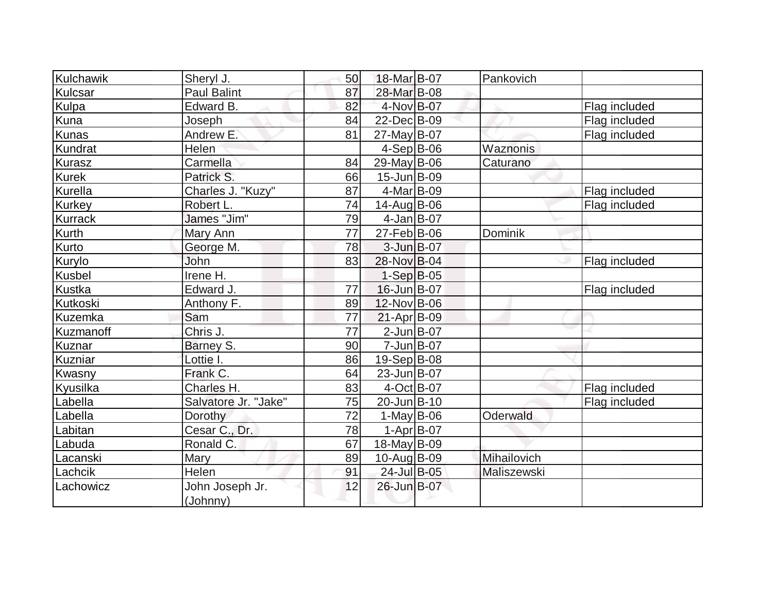| Kulchawik      |                      | 50              | 18-Mar B-07        | Pankovich   |               |
|----------------|----------------------|-----------------|--------------------|-------------|---------------|
|                | Sheryl J.            |                 |                    |             |               |
| Kulcsar        | <b>Paul Balint</b>   | 87              | 28-Mar B-08        |             |               |
| Kulpa          | Edward B.            | 82              | 4-Nov B-07         |             | Flag included |
| Kuna           | Joseph               | 84              | 22-Dec B-09        |             | Flag included |
| Kunas          | Andrew E.            | 81              | 27-May B-07        |             | Flag included |
| Kundrat        | Helen                |                 | $4-Sep B-06$       | Waznonis    |               |
| Kurasz         | Carmella             | 84              | $29$ -May B-06     | Caturano    |               |
| Kurek          | Patrick S.           | 66              | $15$ -Jun $B$ -09  |             |               |
| Kurella        | Charles J. "Kuzy"    | 87              | $4$ -Mar $B$ -09   |             | Flag included |
| <b>Kurkey</b>  | Robert L.            | 74              | 14-Aug B-06        |             | Flag included |
| <b>Kurrack</b> | James "Jim"          | 79              | $4$ -Jan $ B-07$   |             |               |
| Kurth          | Mary Ann             | 77              | $27$ -Feb $ B$ -06 | Dominik     |               |
| Kurto          | George M.            | 78              | $3$ -Jun $B$ -07   |             |               |
| Kurylo         | John                 | 83              | 28-Nov B-04        |             | Flag included |
| <b>Kusbel</b>  | Irene H.             |                 | $1-Sep B-05$       |             |               |
| Kustka         | Edward J.            | 77              | $16$ -Jun $B$ -07  |             | Flag included |
| Kutkoski       | Anthony F.           | 89              | 12-Nov B-06        |             |               |
| <b>Kuzemka</b> | Sam                  | 77              | $21-Apr$ B-09      |             |               |
| Kuzmanoff      | Chris J.             | $\overline{77}$ | $2$ -Jun B-07      |             |               |
| <b>Kuznar</b>  | Barney S.            | 90              | $7 - Jun$ $B - 07$ |             |               |
| Kuzniar        | Lottie I.            | 86              | $19-Sep B-08$      |             |               |
| Kwasny         | Frank C.             | 64              | 23-Jun B-07        |             |               |
| Kyusilka       | Charles H.           | 83              | $4-Oct$ B-07       |             | Flag included |
| Labella        | Salvatore Jr. "Jake" | 75              | 20-Jun B-10        |             | Flag included |
| Labella        | Dorothy              | 72              | $1-May$ B-06       | Oderwald    |               |
| Labitan        | Cesar C., Dr.        | 78              | $1-Apr$ B-07       |             |               |
| Labuda         | Ronald C.            | 67              | 18-May B-09        |             |               |
| Lacanski       | <b>Mary</b>          | 89              | 10-Aug B-09        | Mihailovich |               |
| Lachcik        | Helen                | 91              | 24-Jul B-05        | Maliszewski |               |
| Lachowicz      | John Joseph Jr.      | 12              | 26-Jun B-07        |             |               |
|                | (Johnny)             |                 |                    |             |               |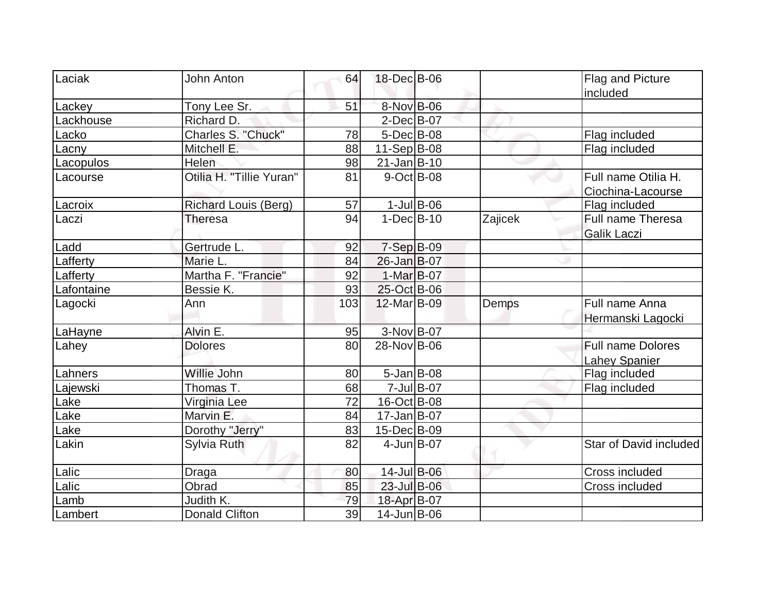| Laciak     | John Anton                  | 64  | 18-Dec B-06       |               |         | Flag and Picture         |
|------------|-----------------------------|-----|-------------------|---------------|---------|--------------------------|
|            |                             |     |                   |               |         | included                 |
| Lackey     | Tony Lee Sr.                | 51  | 8-Nov B-06        |               |         |                          |
| Lackhouse  | Richard D.                  |     | $2$ -Dec $B$ -07  |               |         |                          |
| Lacko      | Charles S. "Chuck"          | 78  | $5$ -Dec $B$ -08  |               |         | Flag included            |
| Lacny      | Mitchell E.                 | 88  | $11-Sep B-08$     |               |         | Flag included            |
| Lacopulos  | Helen                       | 98  | $21$ -Jan $B-10$  |               |         |                          |
| Lacourse   | Otilia H. "Tillie Yuran"    | 81  | $9-Oct$ B-08      |               |         | Full name Otilia H.      |
|            |                             |     |                   |               |         | Ciochina-Lacourse        |
| Lacroix    | <b>Richard Louis (Berg)</b> | 57  |                   | $1$ -Jul B-06 |         | Flag included            |
| Laczi      | <b>Theresa</b>              | 94  | $1-Dec$ B-10      |               | Zajicek | Full name Theresa        |
|            |                             |     |                   |               |         | <b>Galik Laczi</b>       |
| Ladd       | Gertrude L.                 | 92  | $7-Sep$ B-09      |               |         |                          |
| Lafferty   | Marie L.                    | 84  | 26-Jan B-07       |               |         |                          |
| Lafferty   | Martha F. "Francie"         | 92  | 1-Mar B-07        |               |         |                          |
| Lafontaine | Bessie K.                   | 93  | 25-Oct B-06       |               |         |                          |
| Lagocki    | Ann                         | 103 | 12-Mar B-09       |               | Demps   | Full name Anna           |
|            |                             |     |                   |               |         | Hermanski Lagocki        |
| LaHayne    | Alvin E.                    | 95  | 3-Nov B-07        |               |         |                          |
| Lahey      | <b>Dolores</b>              | 80  | 28-Nov B-06       |               |         | <b>Full name Dolores</b> |
|            |                             |     |                   |               |         | <b>Lahey Spanier</b>     |
| Lahners    | Willie John                 | 80  | $5 - Jan$ B-08    |               |         | Flag included            |
| Lajewski   | Thomas T.                   | 68  |                   | 7-Jul B-07    |         | Flag included            |
| Lake       | Virginia Lee                | 72  | 16-Oct B-08       |               |         |                          |
| Lake       | Marvin E.                   | 84  | $17 - Jan$ B-07   |               |         |                          |
| Lake       | Dorothy "Jerry"             | 83  | 15-Dec B-09       |               |         |                          |
| Lakin      | Sylvia Ruth                 | 82  | $4$ -Jun $B$ -07  |               |         | Star of David included   |
| Lalic      | Draga                       | 80  | 14-Jul B-06       |               |         | Cross included           |
| Lalic      | Obrad                       | 85  | 23-Jul B-06       |               |         | Cross included           |
| Lamb       | Judith K.                   | 79  | 18-Apr B-07       |               |         |                          |
| Lambert    | <b>Donald Clifton</b>       | 39  | $14$ -Jun $B$ -06 |               |         |                          |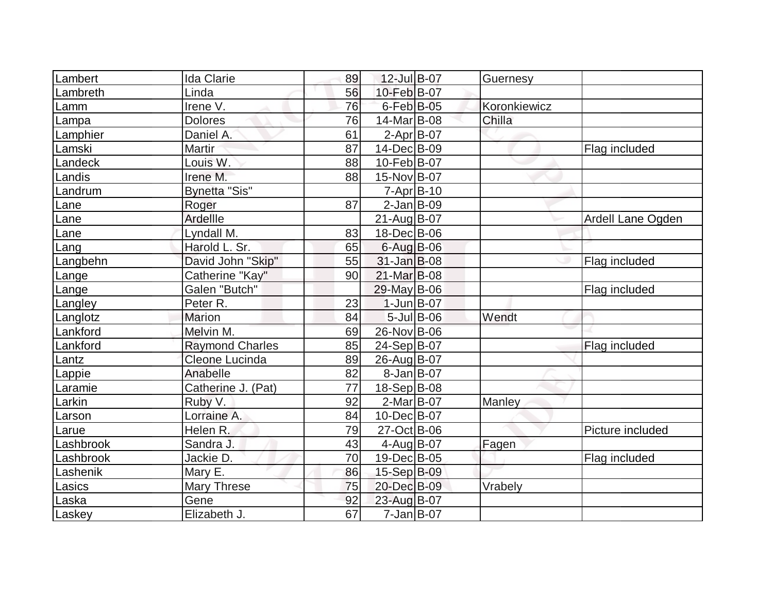| Lambert   | <b>Ida Clarie</b>      | 89 | 12-Jul B-07       | Guernesy     |                   |
|-----------|------------------------|----|-------------------|--------------|-------------------|
| Lambreth  | Linda                  | 56 | 10-Feb B-07       |              |                   |
| Lamm      | Irene V.               | 76 | $6$ -Feb $B$ -05  | Koronkiewicz |                   |
| Lampa     | <b>Dolores</b>         | 76 | 14-Mar B-08       | Chilla       |                   |
| Lamphier  | Daniel A.              | 61 | $2-Apr B-07$      |              |                   |
| Lamski    | Martir                 | 87 | 14-Dec B-09       |              | Flag included     |
| Landeck   | Louis W.               | 88 | 10-Feb B-07       |              |                   |
| Landis    | Irene M.               | 88 | 15-Nov B-07       |              |                   |
| Landrum   | <b>Bynetta "Sis"</b>   |    | $7 - Apr$ B-10    |              |                   |
| Lane      | Roger                  | 87 | $2$ -Jan B-09     |              |                   |
| Lane      | Ardellle               |    | $21$ -Aug $ B-07$ |              | Ardell Lane Ogden |
| Lane      | Lyndall M.             | 83 | 18-Dec B-06       |              |                   |
| Lang      | Harold L. Sr.          | 65 | 6-Aug B-06        |              |                   |
| Langbehn  | David John "Skip"      | 55 | $31$ -Jan $B$ -08 |              | Flag included     |
| Lange     | Catherine "Kay"        | 90 | 21-Mar B-08       |              |                   |
| Lange     | Galen "Butch"          |    | 29-May B-06       |              | Flag included     |
| Langley   | Peter R.               | 23 | $1$ -Jun $B$ -07  |              |                   |
| Langlotz  | <b>Marion</b>          | 84 | $5$ -Jul B-06     | Wendt        |                   |
| Lankford  | Melvin M.              | 69 | 26-Nov B-06       |              |                   |
| Lankford  | <b>Raymond Charles</b> | 85 | 24-Sep B-07       |              | Flag included     |
| Lantz     | Cleone Lucinda         | 89 | 26-Aug B-07       |              |                   |
| Lappie    | Anabelle               | 82 | $8 - Jan$ B-07    |              |                   |
| Laramie   | Catherine J. (Pat)     | 77 | 18-Sep B-08       |              |                   |
| Larkin    | Ruby V.                | 92 | $2-Mar$ B-07      | Manley       |                   |
| Larson    | Lorraine A.            | 84 | 10-Dec B-07       |              |                   |
| Larue     | Helen R.               | 79 | 27-Oct B-06       |              | Picture included  |
| Lashbrook | Sandra J.              | 43 | $4$ -Aug B-07     | Fagen        |                   |
| Lashbrook | Jackie D.              | 70 | 19-Dec B-05       |              | Flag included     |
| Lashenik  | Mary E.                | 86 | 15-Sep B-09       |              |                   |
| Lasics    | Mary Threse            | 75 | 20-Dec B-09       | Vrabely      |                   |
| Laska     | Gene                   | 92 | 23-Aug B-07       |              |                   |
| Laskey    | Elizabeth J.           | 67 | $7 - Jan$ B-07    |              |                   |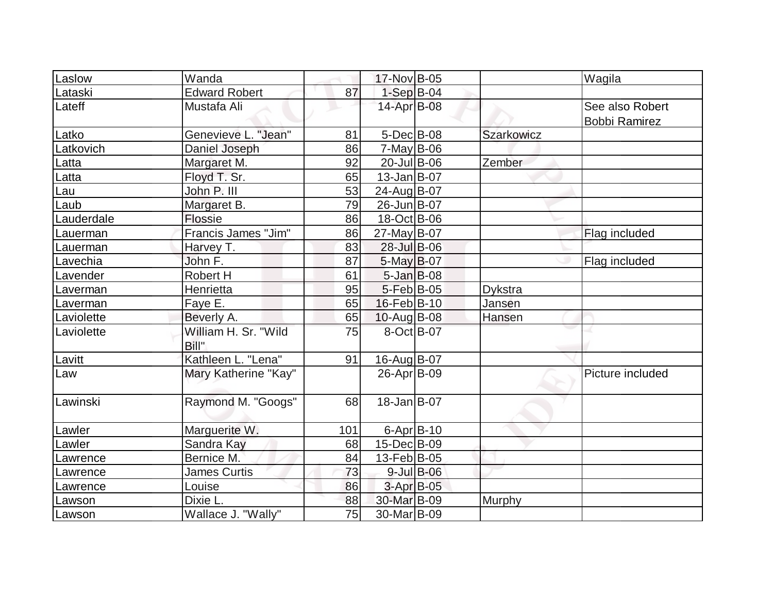| Laslow     | Wanda                         |     | 17-Nov B-05             |                  |            | Wagila                                  |
|------------|-------------------------------|-----|-------------------------|------------------|------------|-----------------------------------------|
| Lataski    | <b>Edward Robert</b>          | 87  | $1-Sep$ B-04            |                  |            |                                         |
| Lateff     | Mustafa Ali                   |     | 14-Apr B-08             |                  |            | See also Robert<br><b>Bobbi Ramirez</b> |
| Latko      | Genevieve L. "Jean"           | 81  | $5$ -Dec $B$ -08        |                  | Szarkowicz |                                         |
| Latkovich  | Daniel Joseph                 | 86  | $7$ -May B-06           |                  |            |                                         |
| Latta      | Margaret M.                   | 92  | $20$ -Jul B-06          |                  | Zember     |                                         |
| Latta      | Floyd T. Sr.                  | 65  | $13$ -Jan $ B-07 $      |                  |            |                                         |
| Lau        | John P. III                   | 53  | 24-Aug B-07             |                  |            |                                         |
| Laub       | Margaret B.                   | 79  | 26-Jun B-07             |                  |            |                                         |
| Lauderdale | Flossie                       | 86  | 18-Oct B-06             |                  |            |                                         |
| Lauerman   | Francis James "Jim"           | 86  | 27-May B-07             |                  |            | Flag included                           |
| Lauerman   | Harvey T.                     | 83  | 28-Jul B-06             |                  |            |                                         |
| Lavechia   | John F.                       | 87  | $5$ -May B-07           |                  |            | Flag included                           |
| Lavender   | Robert H                      | 61  | $5 - Jan$ $B - 08$      |                  |            |                                         |
| Laverman   | Henrietta                     | 95  | $5-Feb B-05$            |                  | Dykstra    |                                         |
| Laverman   | Faye E.                       | 65  | 16-Feb B-10             |                  | Jansen     |                                         |
| Laviolette | Beverly A.                    | 65  | $10$ -Aug B-08          |                  | Hansen     |                                         |
| Laviolette | William H. Sr. "Wild<br>Bill" | 75  | 8-Oct B-07              |                  |            |                                         |
| Lavitt     | Kathleen L. "Lena"            | 91  | 16-Aug B-07             |                  |            |                                         |
| Law        | Mary Katherine "Kay"          |     | 26-Apr B-09             |                  |            | Picture included                        |
| Lawinski   | Raymond M. "Googs"            | 68  | $18 - Jan$ B-07         |                  |            |                                         |
| Lawler     | Marguerite W.                 | 101 | $6 - Apr$ B-10          |                  |            |                                         |
| Lawler     | Sandra Kay                    | 68  | 15-Dec B-09             |                  |            |                                         |
| Lawrence   | Bernice M.                    | 84  | 13-Feb B-05             |                  |            |                                         |
| Lawrence   | <b>James Curtis</b>           | 73  |                         | $9$ -Jul $B$ -06 |            |                                         |
| Lawrence   | Louise                        | 86  | $3-Apr$ B-05            |                  |            |                                         |
| Lawson     | Dixie L.                      | 88  | 30-Mar B-09             |                  | Murphy     |                                         |
| Lawson     | Wallace J. "Wally"            | 75  | 30-Mar <sub>B</sub> -09 |                  |            |                                         |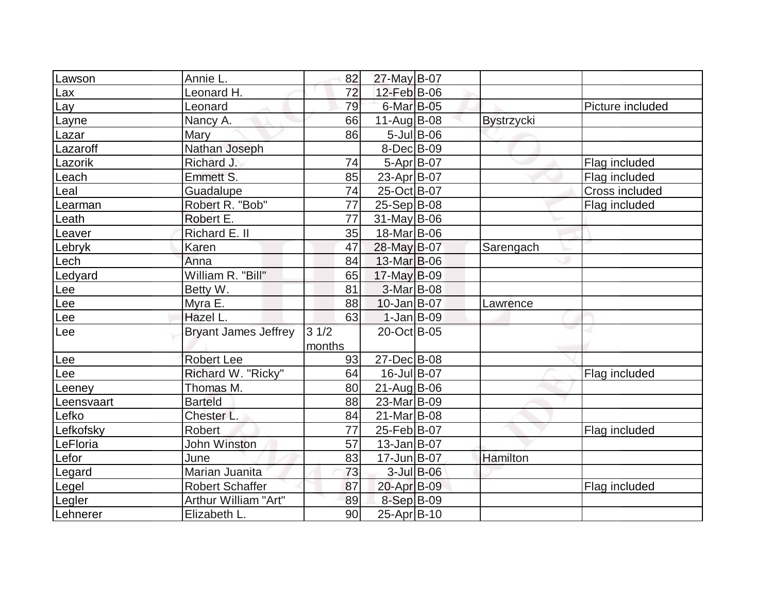|            | Annie L.                    | 82     | 27-May B-07             |                   |                   |                  |
|------------|-----------------------------|--------|-------------------------|-------------------|-------------------|------------------|
| Lawson     | Leonard H.                  | 72     | 12-Feb B-06             |                   |                   |                  |
| Lax        |                             | 79     | 6-Mar B-05              |                   |                   |                  |
| Lay        | Leonard                     |        |                         |                   |                   | Picture included |
| Layne      | Nancy A.                    | 66     | $11-Auq$ B-08           |                   | <b>Bystrzycki</b> |                  |
| Lazar      | <b>Mary</b>                 | 86     |                         | $5$ -Jul $ B$ -06 |                   |                  |
| Lazaroff   | Nathan Joseph               |        | 8-Dec B-09              |                   |                   |                  |
| Lazorik    | Richard J.                  | 74     | $5-Apr$ B-07            |                   |                   | Flag included    |
| Leach      | Emmett S.                   | 85     | 23-Apr B-07             |                   |                   | Flag included    |
| Leal       | Guadalupe                   | 74     | 25-Oct B-07             |                   |                   | Cross included   |
| Learman    | Robert R. "Bob"             | 77     | $25-Sep B-08$           |                   |                   | Flag included    |
| Leath      | Robert E.                   | 77     | $31$ -May B-06          |                   |                   |                  |
| Leaver     | Richard E. II               | 35     | 18-Mar <sub>B</sub> -06 |                   |                   |                  |
| Lebryk     | Karen                       | 47     | 28-May B-07             |                   | Sarengach         |                  |
| Lech       | Anna                        | 84     | 13-Mar B-06             |                   |                   |                  |
| Ledyard    | William R. "Bill"           | 65     | $17$ -May B-09          |                   |                   |                  |
| -ee        | Betty W.                    | 81     | $3-Mar$ B-08            |                   |                   |                  |
| Lee        | Myra E.                     | 88     | $10$ -Jan $B$ -07       |                   | Lawrence          |                  |
| ee_        | Hazel L.                    | 63     | $1-Jan$ B-09            |                   |                   |                  |
| Lee        | <b>Bryant James Jeffrey</b> | 31/2   | 20-Oct B-05             |                   |                   |                  |
|            |                             | months |                         |                   |                   |                  |
| Lee        | <b>Robert Lee</b>           | 93     | 27-Dec B-08             |                   |                   |                  |
| Lee        | Richard W. "Ricky"          | 64     | 16-Jul B-07             |                   |                   | Flag included    |
| _eeney     | Thomas M.                   | 80     | $21$ -AugB-06           |                   |                   |                  |
| Leensvaart | <b>Barteld</b>              | 88     | 23-Mar B-09             |                   |                   |                  |
| Lefko      | Chester L.                  | 84     | $21$ -Mar $ B-08$       |                   |                   |                  |
| Lefkofsky  | <b>Robert</b>               | 77     | 25-Feb B-07             |                   |                   | Flag included    |
| LeFloria   | <b>John Winston</b>         | 57     | $13$ -Jan $ B-07$       |                   |                   |                  |
| Lefor      | June                        | 83     | 17-Jun B-07             |                   | Hamilton          |                  |
| Legard     | Marian Juanita              | 73     |                         | $3$ -Jul $B$ -06  |                   |                  |
| Legel      | <b>Robert Schaffer</b>      | 87     | 20-Apr B-09             |                   |                   | Flag included    |
| Legler     | Arthur William "Art"        | 89     | 8-Sep B-09              |                   |                   |                  |
| Lehnerer   | Elizabeth L.                | 90     | $25$ -Apr $ B-10$       |                   |                   |                  |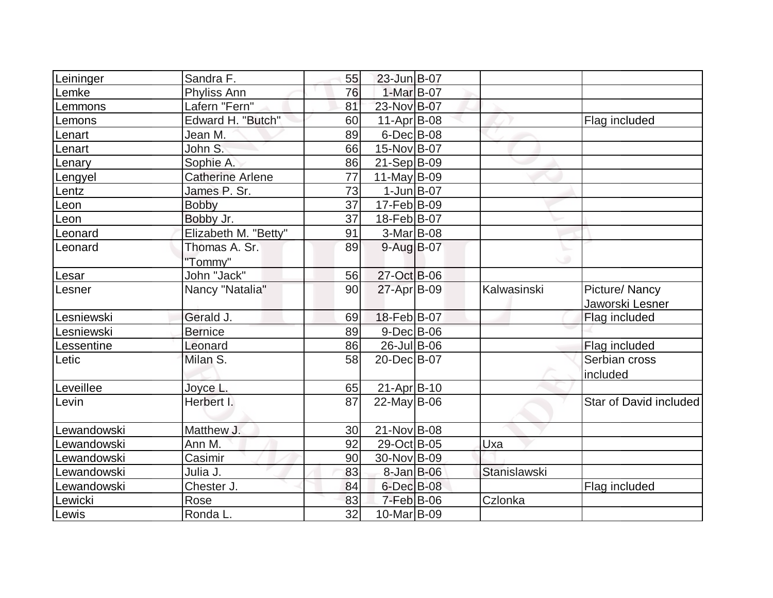|                         |                                                                        |                                         |                                                                                                                                                                                                                                                                                                                                                                                                                                                             | Flag included          |
|-------------------------|------------------------------------------------------------------------|-----------------------------------------|-------------------------------------------------------------------------------------------------------------------------------------------------------------------------------------------------------------------------------------------------------------------------------------------------------------------------------------------------------------------------------------------------------------------------------------------------------------|------------------------|
| Jean M.                 | 89                                                                     |                                         |                                                                                                                                                                                                                                                                                                                                                                                                                                                             |                        |
| John S.                 | 66                                                                     |                                         |                                                                                                                                                                                                                                                                                                                                                                                                                                                             |                        |
| Sophie A.               | 86                                                                     |                                         |                                                                                                                                                                                                                                                                                                                                                                                                                                                             |                        |
| <b>Catherine Arlene</b> |                                                                        |                                         |                                                                                                                                                                                                                                                                                                                                                                                                                                                             |                        |
| James P. Sr.            | 73                                                                     |                                         |                                                                                                                                                                                                                                                                                                                                                                                                                                                             |                        |
| <b>Bobby</b>            | 37                                                                     |                                         |                                                                                                                                                                                                                                                                                                                                                                                                                                                             |                        |
| Bobby Jr.               | 37                                                                     |                                         |                                                                                                                                                                                                                                                                                                                                                                                                                                                             |                        |
| Elizabeth M. "Betty"    | 91                                                                     |                                         |                                                                                                                                                                                                                                                                                                                                                                                                                                                             |                        |
| Thomas A. Sr.           | 89                                                                     |                                         |                                                                                                                                                                                                                                                                                                                                                                                                                                                             |                        |
| "Tommy"                 |                                                                        |                                         |                                                                                                                                                                                                                                                                                                                                                                                                                                                             |                        |
| John "Jack"             | 56                                                                     |                                         |                                                                                                                                                                                                                                                                                                                                                                                                                                                             |                        |
| Nancy "Natalia"         | 90                                                                     |                                         | Kalwasinski                                                                                                                                                                                                                                                                                                                                                                                                                                                 | Picture/ Nancy         |
|                         |                                                                        |                                         |                                                                                                                                                                                                                                                                                                                                                                                                                                                             | Jaworski Lesner        |
| Gerald J.               | 69                                                                     |                                         |                                                                                                                                                                                                                                                                                                                                                                                                                                                             | Flag included          |
| <b>Bernice</b>          | 89                                                                     |                                         |                                                                                                                                                                                                                                                                                                                                                                                                                                                             |                        |
| Leonard                 | 86                                                                     |                                         |                                                                                                                                                                                                                                                                                                                                                                                                                                                             | Flag included          |
| Milan S.                | 58                                                                     |                                         |                                                                                                                                                                                                                                                                                                                                                                                                                                                             | Serbian cross          |
|                         |                                                                        |                                         |                                                                                                                                                                                                                                                                                                                                                                                                                                                             | included               |
| Joyce L.                | 65                                                                     |                                         |                                                                                                                                                                                                                                                                                                                                                                                                                                                             |                        |
| Herbert I.              | 87                                                                     |                                         |                                                                                                                                                                                                                                                                                                                                                                                                                                                             | Star of David included |
|                         |                                                                        |                                         |                                                                                                                                                                                                                                                                                                                                                                                                                                                             |                        |
| Matthew J.              | 30                                                                     |                                         |                                                                                                                                                                                                                                                                                                                                                                                                                                                             |                        |
| Ann M.                  | 92                                                                     |                                         | Uxa                                                                                                                                                                                                                                                                                                                                                                                                                                                         |                        |
| Casimir                 | 90                                                                     |                                         |                                                                                                                                                                                                                                                                                                                                                                                                                                                             |                        |
| Julia J.                | 83                                                                     |                                         | Stanislawski                                                                                                                                                                                                                                                                                                                                                                                                                                                |                        |
| Chester J.              | 84                                                                     |                                         |                                                                                                                                                                                                                                                                                                                                                                                                                                                             | Flag included          |
|                         | 83                                                                     |                                         | Czlonka                                                                                                                                                                                                                                                                                                                                                                                                                                                     |                        |
| Ronda L.                | 32                                                                     |                                         |                                                                                                                                                                                                                                                                                                                                                                                                                                                             |                        |
|                         | Sandra F.<br>Phyliss Ann<br>Lafern "Fern"<br>Edward H. "Butch"<br>Rose | 55<br>76<br>81<br>60<br>$\overline{77}$ | 23-Jun B-07<br>1-Mar B-07<br>23-Nov B-07<br>$11-Apr$ B-08<br>$6$ -Dec $B$ -08<br>15-Nov B-07<br>$21-Sep B-09$<br>$11$ -May B-09<br>$1$ -Jun $B$ -07<br>17-Feb B-09<br>18-Feb B-07<br>3-Mar B-08<br>9-Aug B-07<br>27-Oct B-06<br>27-Apr B-09<br>18-Feb B-07<br>9-Dec B-06<br>$26$ -Jul B-06<br>20-Dec B-07<br>21-Apr B-10<br>$22$ -May B-06<br>21-Nov B-08<br>29-Oct B-05<br>30-Nov B-09<br>$8$ -Jan B-06<br>$6$ -Dec $B$ -08<br>$7-Feb$ B-06<br>10-Mar B-09 | w                      |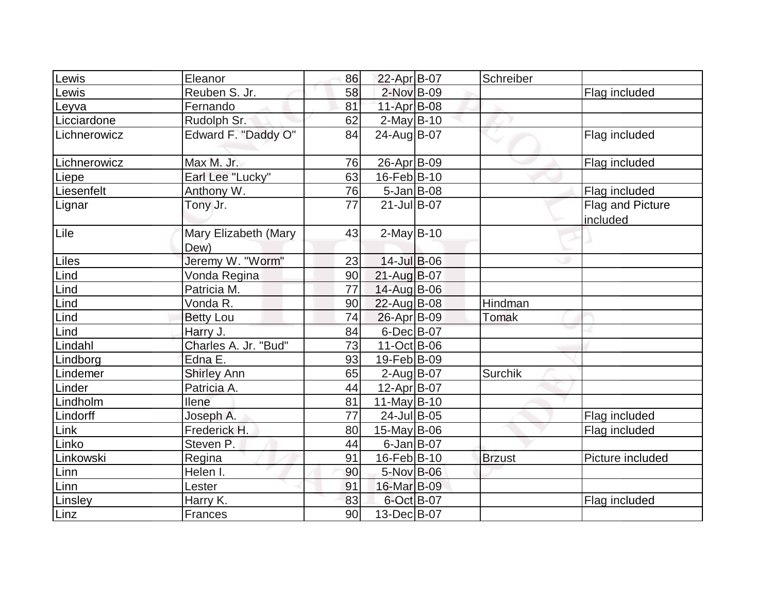| Lewis        | Eleanor                      | 86 | 22-Apr B-07       | Schreiber     |                              |
|--------------|------------------------------|----|-------------------|---------------|------------------------------|
| Lewis        | Reuben S. Jr.                | 58 | 2-Nov B-09        |               | Flag included                |
| Leyva        | Fernando                     | 81 | 11-Apr B-08       |               |                              |
| Licciardone  | Rudolph Sr.                  | 62 | $2$ -May B-10     |               |                              |
| Lichnerowicz | Edward F. "Daddy O"          | 84 | 24-Aug B-07       |               | Flag included                |
| Lichnerowicz | Max M. Jr.                   | 76 | 26-Apr B-09       |               | Flag included                |
| Liepe        | Earl Lee "Lucky"             | 63 | 16-Feb B-10       |               |                              |
| Liesenfelt   | Anthony W.                   | 76 | 5-Jan B-08        |               | Flag included                |
| Lignar       | Tony Jr.                     | 77 | $21$ -Jul B-07    |               | Flag and Picture<br>included |
| Lile         | Mary Elizabeth (Mary<br>Dew) | 43 | $2$ -May B-10     |               |                              |
| Liles        | Jeremy W. "Worm"             | 23 | 14-Jul B-06       |               |                              |
| Lind         | Vonda Regina                 | 90 | $21$ -Aug $B$ -07 |               |                              |
| Lind         | Patricia M.                  | 77 | 14-Aug B-06       |               |                              |
| Lind         | Vonda R.                     | 90 | 22-Aug B-08       | Hindman       |                              |
| Lind         | <b>Betty Lou</b>             | 74 | 26-Apr B-09       | <b>Tomak</b>  |                              |
| Lind         | Harry J.                     | 84 | 6-Dec B-07        |               |                              |
| Lindahl      | Charles A. Jr. "Bud"         | 73 | $11-Oct$ B-06     |               |                              |
| Lindborg     | Edna E.                      | 93 | 19-Feb B-09       |               |                              |
| Lindemer     | <b>Shirley Ann</b>           | 65 | $2$ -Aug $B$ -07  | Surchik       |                              |
| Linder       | Patricia A.                  | 44 | 12-Apr B-07       |               |                              |
| Lindholm     | <b>Ilene</b>                 | 81 | $11$ -May B-10    |               |                              |
| Lindorff     | Joseph A.                    | 77 | 24-Jul B-05       |               | Flag included                |
| Link         | Frederick H.                 | 80 | 15-May B-06       |               | Flag included                |
| Linko        | Steven P.                    | 44 | $6$ -Jan $ B$ -07 |               |                              |
| Linkowski    | Regina                       | 91 | $16$ -Feb $ B-10$ | <b>Brzust</b> | Picture included             |
| Linn         | Helen I.                     | 90 | 5-Nov B-06        |               |                              |
| Linn         | Lester                       | 91 | 16-Mar B-09       |               |                              |
| Linsley      | Harry K.                     | 83 | 6-Oct B-07        |               | Flag included                |
| Linz         | Frances                      | 90 | 13-Dec B-07       |               |                              |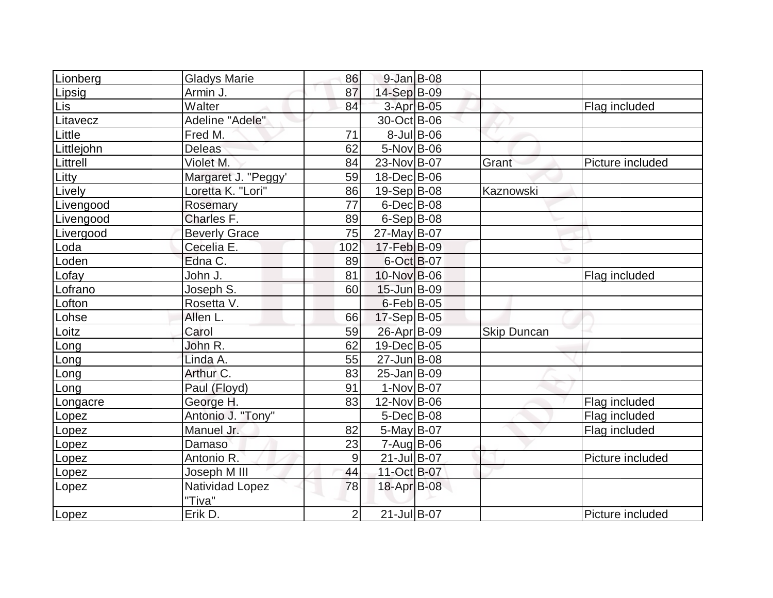| <i>ionberg</i>  | <b>Gladys Marie</b>  | 86             | $9$ -Jan B-08     |                    |                  |
|-----------------|----------------------|----------------|-------------------|--------------------|------------------|
| .ipsig          | Armin J.             | 87             | 14-Sep B-09       |                    |                  |
| Lis.            | Walter               | 84             | 3-Apr B-05        |                    | Flag included    |
| Litavecz        | Adeline "Adele"      |                | 30-Oct B-06       |                    |                  |
| _ittle          | Fred M.              | 71             | $8$ -JulB-06      |                    |                  |
| ittlejohn       | <b>Deleas</b>        | 62             | $5-Nov$ B-06      |                    |                  |
| <b>Littrell</b> | Violet M.            | 84             | 23-Nov B-07       | Grant              | Picture included |
| .itty           | Margaret J. "Peggy'  | 59             | 18-Dec B-06       |                    |                  |
| <i>ively</i>    | Loretta K. "Lori"    | 86             | $19-Sep B-08$     | Kaznowski          |                  |
| _ivengood       | Rosemary             | 77             | $6$ -Dec $B$ -08  |                    |                  |
| _ivengood       | Charles F.           | 89             | $6-Sep B-08$      |                    |                  |
| ivergood        | <b>Beverly Grace</b> | 75             | $27$ -May B-07    |                    |                  |
| .oda            | Cecelia E.           | 102            | 17-Feb B-09       |                    |                  |
| .oden           | Edna C.              | 89             | 6-Oct B-07        |                    |                  |
| .ofay           | John J.              | 81             | 10-Nov B-06       |                    | Flag included    |
| .ofrano         | Joseph S.            | 60             | 15-Jun B-09       |                    |                  |
| .ofton          | Rosetta V.           |                | $6$ -Feb $ B$ -05 |                    |                  |
| .ohse           | Allen L.             | 66             | $17-Sep B-05$     |                    |                  |
| .oitz           | Carol                | 59             | 26-Apr B-09       | <b>Skip Duncan</b> |                  |
| ong.            | John R.              | 62             | 19-Dec B-05       |                    |                  |
| ong.            | Linda A.             | 55             | $27$ -Jun $B$ -08 |                    |                  |
| .ong            | Arthur C.            | 83             | 25-Jan B-09       |                    |                  |
| .ong            | Paul (Floyd)         | 91             | $1-Nov$ B-07      |                    |                  |
| ongacre         | George H.            | 83             | 12-Nov B-06       |                    | Flag included    |
| .opez           | Antonio J. "Tony"    |                | $5$ -Dec $B$ -08  |                    | Flag included    |
| .opez           | Manuel Jr.           | 82             | $5$ -May B-07     |                    | Flag included    |
| .opez           | Damaso               | 23             | $7 - Aug$ B-06    |                    |                  |
| .opez           | Antonio R.           | $9$            | 21-Jul B-07       |                    | Picture included |
| .opez           | Joseph M III         | 44             | 11-Oct B-07       |                    |                  |
| Lopez           | Natividad Lopez      | 78             | 18-Apr B-08       |                    |                  |
|                 | "Tiva"               |                |                   |                    |                  |
| _opez           | Erik D.              | $\overline{2}$ | 21-Jul B-07       |                    | Picture included |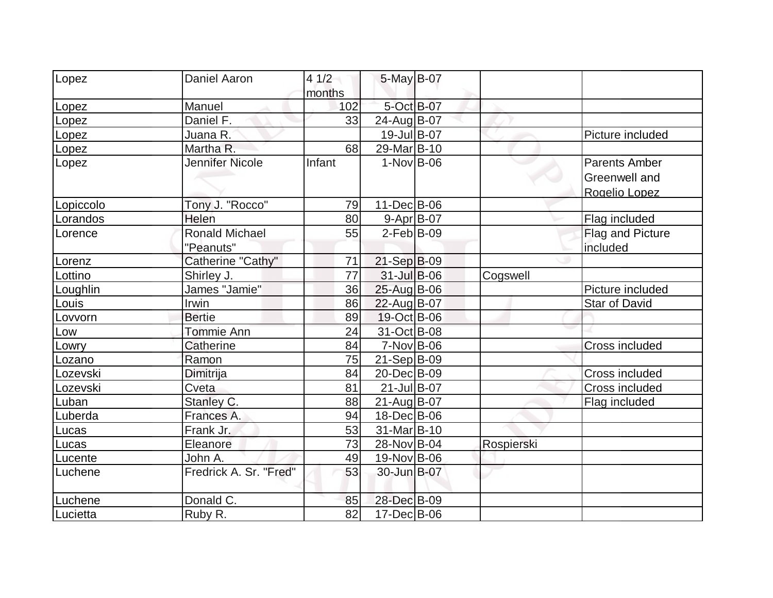| Lopez     | Daniel Aaron           | 41/2   | 5-May B-07         |            |                       |
|-----------|------------------------|--------|--------------------|------------|-----------------------|
|           |                        | months |                    |            |                       |
| Lopez     | Manuel                 | 102    | 5-Oct B-07         |            |                       |
| Lopez     | Daniel F.              | 33     | 24-Aug B-07        |            |                       |
| Lopez     | Juana R.               |        | 19-Jul B-07        |            | Picture included      |
| Lopez     | Martha R.              | 68     | 29-Mar B-10        |            |                       |
| Lopez     | Jennifer Nicole        | Infant | $1-Nov B-06$       |            | Parents Amber         |
|           |                        |        |                    |            | Greenwell and         |
|           |                        |        |                    |            | Rogelio Lopez         |
| Lopiccolo | Tony J. "Rocco"        | 79     | $11$ -Dec $ B$ -06 |            |                       |
| Lorandos  | Helen                  | 80     | $9 - Apr$ B-07     |            | Flag included         |
| Lorence   | <b>Ronald Michael</b>  | 55     | $2$ -Feb $ B-09 $  |            | Flag and Picture      |
|           | "Peanuts"              |        |                    |            | included              |
| Lorenz    | Catherine "Cathy"      | 71     | $21-Sep B-09$      |            |                       |
| Lottino   | Shirley J.             | 77     | $31$ -Jul B-06     | Cogswell   |                       |
| Loughlin  | James "Jamie"          | 36     | 25-Aug B-06        |            | Picture included      |
| Louis     | Irwin                  | 86     | 22-Aug B-07        |            | Star of David         |
| Lovvorn   | <b>Bertie</b>          | 89     | 19-Oct B-06        |            |                       |
| Low       | Tommie Ann             | 24     | 31-Oct B-08        |            |                       |
| Lowry     | <b>Catherine</b>       | 84     | $7-Nov B-06$       |            | <b>Cross included</b> |
| Lozano    | Ramon                  | 75     | $21-Sep B-09$      |            |                       |
| Lozevski  | Dimitrija              | 84     | 20-Dec B-09        |            | Cross included        |
| Lozevski  | Cveta                  | 81     | $21$ -Jul B-07     |            | Cross included        |
| Luban     | Stanley C.             | 88     | $21$ -Aug $ B-07$  |            | Flag included         |
| Luberda   | Frances A.             | 94     | 18-Dec B-06        |            |                       |
| Lucas     | Frank Jr.              | 53     | 31-Mar B-10        |            |                       |
| Lucas     | Eleanore               | 73     | 28-Nov B-04        | Rospierski |                       |
| Lucente   | John A.                | 49     | 19-Nov B-06        |            |                       |
| Luchene   | Fredrick A. Sr. "Fred" | 53     | 30-Jun B-07        |            |                       |
| Luchene   | Donald C.              | 85     | 28-Dec B-09        |            |                       |
| Lucietta  | Ruby R.                | 82     | $17 - Dec$ B-06    |            |                       |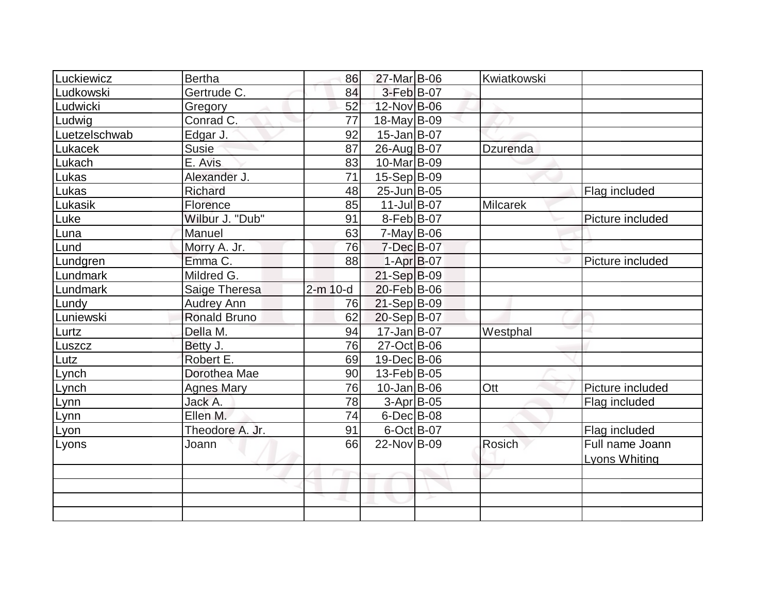| Luckiewicz    | <b>Bertha</b>       | 86       | 27-Mar B-06       | Kwiatkowski     |                  |
|---------------|---------------------|----------|-------------------|-----------------|------------------|
| Ludkowski     | Gertrude C.         | 84       | 3-Feb B-07        |                 |                  |
| Ludwicki      | Gregory             | 52       | 12-Nov B-06       |                 |                  |
| Ludwig        | Conrad C.           | 77       | $18$ -May B-09    |                 |                  |
| Luetzelschwab | Edgar J.            | 92       | $15$ -Jan $ B-07$ |                 |                  |
| Lukacek       | <b>Susie</b>        | 87       | 26-Aug B-07       | Dzurenda        |                  |
| Lukach        | E. Avis             | 83       | 10-Mar B-09       |                 |                  |
| Lukas         | Alexander J.        | 71       | $15-Sep B-09$     |                 |                  |
| Lukas         | Richard             | 48       | 25-Jun B-05       |                 | Flag included    |
| Lukasik       | Florence            | 85       | $11$ -Jul B-07    | <b>Milcarek</b> |                  |
| Luke          | Wilbur J. "Dub"     | 91       | $8-Feb B-07$      |                 | Picture included |
| Luna          | Manuel              | 63       | $7$ -May B-06     |                 |                  |
| Lund          | Morry A. Jr.        | 76       | 7-Dec B-07        |                 |                  |
| Lundgren      | Emma C.             | 88       | $1-Apr$ B-07      |                 | Picture included |
| Lundmark      | Mildred G.          |          | 21-Sep B-09       |                 |                  |
| Lundmark      | Saige Theresa       | 2-m 10-d | 20-Feb B-06       |                 |                  |
| Lundy         | <b>Audrey Ann</b>   | 76       | $21-Sep B-09$     |                 |                  |
| Luniewski     | <b>Ronald Bruno</b> | 62       | 20-Sep B-07       |                 |                  |
| Lurtz         | Della M.            | 94       | 17-Jan B-07       | Westphal        |                  |
| Luszcz        | Betty J.            | 76       | 27-Oct B-06       |                 |                  |
| Lutz          | Robert E.           | 69       | 19-Dec B-06       |                 |                  |
| Lynch         | Dorothea Mae        | 90       | 13-Feb B-05       |                 |                  |
| Lynch         | <b>Agnes Mary</b>   | 76       | $10$ -Jan $ B-06$ | Ott             | Picture included |
| Lynn          | Jack A.             | 78       | $3-Apr$ B-05      |                 | Flag included    |
| Lynn          | Ellen M.            | 74       | $6$ -Dec $B$ -08  |                 |                  |
| Lyon          | Theodore A. Jr.     | 91       | $6$ -Oct B-07     |                 | Flag included    |
| Lyons         | Joann               | 66       | 22-Nov B-09       | <b>Rosich</b>   | Full name Joann  |
|               |                     |          |                   |                 | Lyons Whiting    |
|               |                     |          |                   |                 |                  |
|               |                     |          |                   |                 |                  |
|               |                     |          |                   |                 |                  |
|               |                     |          |                   |                 |                  |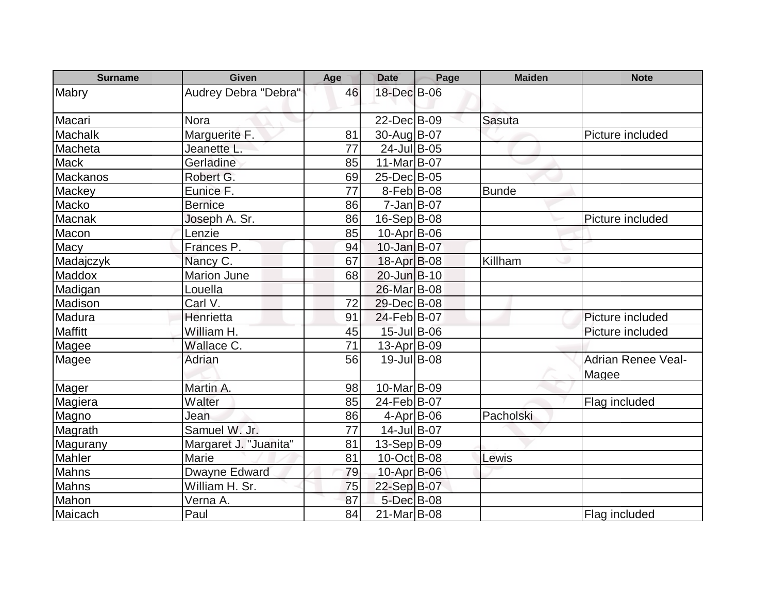| <b>Surname</b>  | <b>Given</b>          | Age | <b>Date</b>       | Page | <b>Maiden</b> | <b>Note</b>               |
|-----------------|-----------------------|-----|-------------------|------|---------------|---------------------------|
| Mabry           | Audrey Debra "Debra"  | 46  | 18-Dec B-06       |      |               |                           |
|                 |                       |     |                   |      |               |                           |
| Macari          | <b>Nora</b>           |     | 22-Dec B-09       |      | <b>Sasuta</b> |                           |
| Machalk         | Marguerite F.         | 81  | 30-Aug B-07       |      |               | Picture included          |
| Macheta         | Jeanette L.           | 77  | $24$ -Jul B-05    |      |               |                           |
| <b>Mack</b>     | Gerladine             | 85  | 11-Mar B-07       |      |               |                           |
| <b>Mackanos</b> | Robert G.             | 69  | 25-Dec B-05       |      |               |                           |
| Mackey          | Eunice F.             | 77  | $8-Feb B-08$      |      | <b>Bunde</b>  |                           |
| Macko           | <b>Bernice</b>        | 86  | $7 - Jan$ B-07    |      |               |                           |
| Macnak          | Joseph A. Sr.         | 86  | $16-Sep B-08$     |      |               | Picture included          |
| Macon           | Lenzie                | 85  | 10-Apr B-06       |      |               |                           |
| Macy            | Frances P.            | 94  | $10$ -Jan $B$ -07 |      |               |                           |
| Madajczyk       | Nancy C.              | 67  | 18-Apr B-08       |      | Killham       |                           |
| Maddox          | <b>Marion June</b>    | 68  | 20-Jun B-10       |      |               |                           |
| Madigan         | Louella               |     | 26-Mar B-08       |      |               |                           |
| Madison         | Carl V.               | 72  | 29-Dec B-08       |      |               |                           |
| Madura          | Henrietta             | 91  | 24-Feb B-07       |      |               | Picture included          |
| <b>Maffitt</b>  | William H.            | 45  | 15-Jul B-06       |      |               | Picture included          |
| Magee           | Wallace C.            | 71  | $13-Apr$ B-09     |      |               |                           |
| Magee           | Adrian                | 56  | $19$ -Jul B-08    |      |               | <b>Adrian Renee Veal-</b> |
|                 |                       |     |                   |      |               | Magee                     |
| Mager           | Martin A.             | 98  | 10-Mar B-09       |      |               |                           |
| Magiera         | Walter                | 85  | 24-Feb B-07       |      |               | Flag included             |
| Magno           | Jean                  | 86  | $4$ -Apr $ B$ -06 |      | Pacholski     |                           |
| Magrath         | Samuel W. Jr.         | 77  | 14-Jul B-07       |      |               |                           |
| Magurany        | Margaret J. "Juanita" | 81  | $13-Sep B-09$     |      |               |                           |
| Mahler          | Marie                 | 81  | $10$ -Oct B-08    |      | Lewis         |                           |
| Mahns           | Dwayne Edward         | 79  | 10-Apr B-06       |      |               |                           |
| <b>Mahns</b>    | William H. Sr.        | 75  | 22-Sep B-07       |      |               |                           |
| Mahon           | Verna A.              | 87  | 5-Dec B-08        |      |               |                           |
| Maicach         | Paul                  | 84  | 21-Mar B-08       |      |               | Flag included             |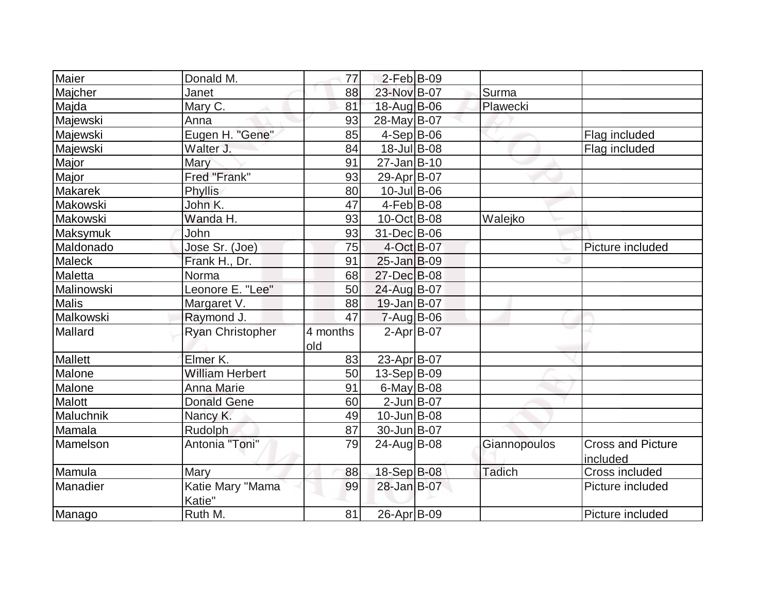| Maier          | Donald M.                  | 77              | $2$ -Feb $B$ -09  |              |                                      |
|----------------|----------------------------|-----------------|-------------------|--------------|--------------------------------------|
| Majcher        | Janet                      | 88              | 23-Nov B-07       | Surma        |                                      |
| Majda          | Mary C.                    | 81              | 18-Aug B-06       | Plawecki     |                                      |
| Majewski       | Anna                       | 93              | 28-May B-07       |              |                                      |
| Majewski       | Eugen H. "Gene"            | 85              | $4-Sep B-06$      |              | Flag included                        |
| Majewski       | Walter J.                  | 84              | 18-Jul B-08       |              | Flag included                        |
| Major          | Mary                       | 91              | $27$ -Jan $B$ -10 |              |                                      |
| Major          | Fred "Frank"               | 93              | 29-Apr B-07       |              |                                      |
| <b>Makarek</b> | Phyllis                    | 80              | 10-Jul B-06       |              |                                      |
| Makowski       | John K.                    | 47              | $4-Feb B-08$      |              |                                      |
| Makowski       | Wanda H.                   | 93              | 10-Oct B-08       | Walejko      |                                      |
| Maksymuk       | John                       | 93              | 31-Dec B-06       |              |                                      |
| Maldonado      | Jose Sr. (Joe)             | 75              | 4-Oct B-07        |              | Picture included                     |
| Maleck         | Frank H., Dr.              | 91              | $25$ -Jan $B$ -09 |              |                                      |
| Maletta        | Norma                      | 68              | 27-Dec B-08       |              |                                      |
| Malinowski     | Leonore E. "Lee"           | 50              | 24-Aug B-07       |              |                                      |
| Malis          | Margaret V.                | 88              | $19$ -Jan $ B-07$ |              |                                      |
| Malkowski      | Raymond J.                 | 47              | $7 - Aug$ B-06    |              |                                      |
| Mallard        | <b>Ryan Christopher</b>    | 4 months<br>old | $2$ -Apr $B$ -07  |              |                                      |
| Mallett        | Elmer K.                   | 83              | 23-Apr B-07       |              |                                      |
| Malone         | <b>William Herbert</b>     | 50              | 13-Sep B-09       |              |                                      |
| Malone         | <b>Anna Marie</b>          | 91              | 6-May $B-08$      |              |                                      |
| Malott         | <b>Donald Gene</b>         | 60              | $2$ -Jun $B$ -07  |              |                                      |
| Maluchnik      | Nancy K.                   | 49              | $10$ -Jun $ B-08$ |              |                                      |
| Mamala         | Rudolph                    | 87              | 30-Jun B-07       |              |                                      |
| Mamelson       | Antonia "Toni"             | 79              | 24-Aug B-08       | Giannopoulos | <b>Cross and Picture</b><br>included |
| Mamula         | Mary                       | 88              | 18-Sep B-08       | Tadich       | Cross included                       |
| Manadier       | Katie Mary "Mama<br>Katie" | 99              | 28-Jan B-07       |              | Picture included                     |
| Manago         | Ruth M.                    | 81              | 26-Apr B-09       |              | Picture included                     |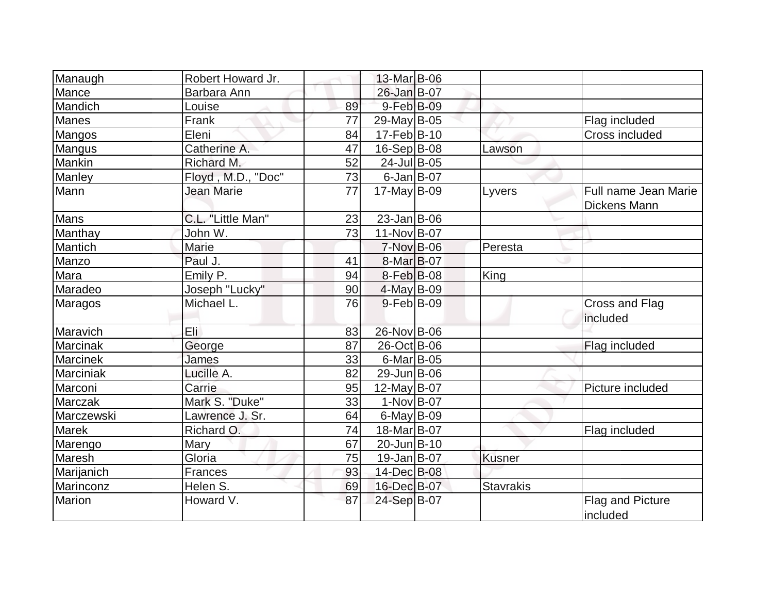| Manaugh      | Robert Howard Jr.  |    | 13-Mar B-06            |                  |                                      |
|--------------|--------------------|----|------------------------|------------------|--------------------------------------|
| Mance        | Barbara Ann        |    | 26-Jan B-07            |                  |                                      |
| Mandich      | Louise             | 89 | 9-Feb B-09             |                  |                                      |
| <b>Manes</b> | Frank              | 77 | 29-May B-05            |                  | Flag included                        |
| Mangos       | Eleni              | 84 | 17-Feb B-10            |                  | Cross included                       |
| Mangus       | Catherine A.       | 47 | $16-Sep B-08$          | Lawson           |                                      |
| Mankin       | Richard M.         | 52 | 24-Jul B-05            |                  |                                      |
| Manley       | Floyd, M.D., "Doc" | 73 | $6$ -Jan $B$ -07       |                  |                                      |
| Mann         | Jean Marie         | 77 | $17$ -May B-09         | Lyvers           | Full name Jean Marie<br>Dickens Mann |
| Mans         | C.L. "Little Man"  | 23 | $23$ -Jan B-06         |                  |                                      |
| Manthay      | John W.            | 73 | 11-Nov B-07            |                  |                                      |
| Mantich      | Marie              |    | $7-Nov$ B-06           | Peresta          |                                      |
| Manzo        | Paul J.            | 41 | 8-Mar <sub>B</sub> -07 |                  |                                      |
| Mara         | Emily P.           | 94 | 8-Feb B-08             | King             |                                      |
| Maradeo      | Joseph "Lucky"     | 90 | 4-May B-09             |                  |                                      |
| Maragos      | Michael L.         | 76 | $9$ -Feb $ B$ -09      |                  | Cross and Flag<br>included           |
| Maravich     | Eli                | 83 | 26-Nov B-06            |                  |                                      |
| Marcinak     | George             | 87 | 26-Oct B-06            |                  | Flag included                        |
| Marcinek     | James              | 33 | $6$ -Mar $ B$ -05      |                  |                                      |
| Marciniak    | Lucille A.         | 82 | 29-Jun B-06            |                  |                                      |
| Marconi      | Carrie             | 95 | $12$ -May B-07         |                  | Picture included                     |
| Marczak      | Mark S. "Duke"     | 33 | $1-Nov$ B-07           |                  |                                      |
| Marczewski   | Lawrence J. Sr.    | 64 | $6$ -May $B$ -09       |                  |                                      |
| Marek        | Richard O.         | 74 | 18-Mar B-07            |                  | Flag included                        |
| Marengo      | Mary               | 67 | 20-Jun B-10            |                  |                                      |
| Maresh       | Gloria             | 75 | $19$ -Jan $ B-07 $     | Kusner           |                                      |
| Marijanich   | Frances            | 93 | 14-Dec B-08            |                  |                                      |
| Marinconz    | Helen S.           | 69 | 16-Dec B-07            | <b>Stavrakis</b> |                                      |
| Marion       | Howard V.          | 87 | 24-Sep B-07            |                  | <b>Flag and Picture</b><br>included  |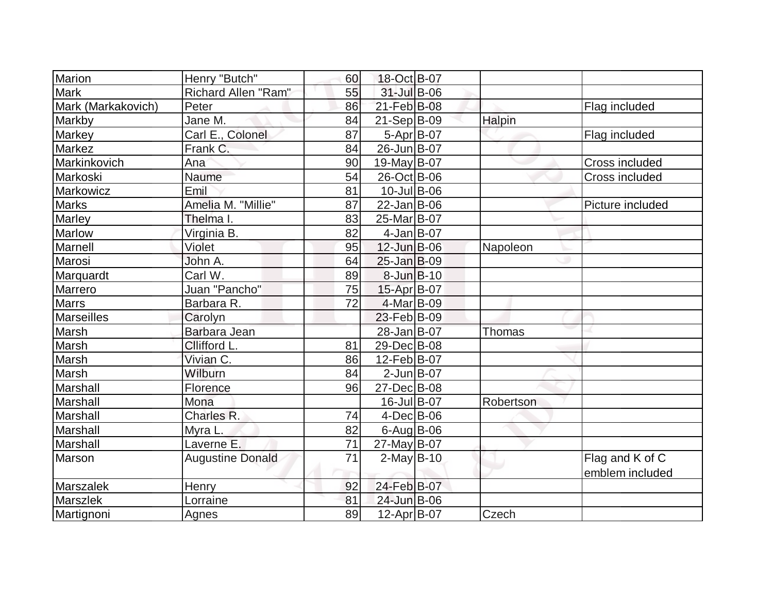| Marion<br>Henry "Butch"            | 60 | 18-Oct B-07        |               |                  |
|------------------------------------|----|--------------------|---------------|------------------|
| <b>Mark</b><br>Richard Allen "Ram" | 55 | 31-Jul B-06        |               |                  |
| Mark (Markakovich)<br>Peter        | 86 | 21-Feb B-08        |               | Flag included    |
| Jane M.<br>Markby                  | 84 | $21-Sep B-09$      | Halpin        |                  |
| Carl E., Colonel<br>Markey         | 87 | $5-Apr$ B-07       |               | Flag included    |
| <b>Markez</b><br>Frank C.          | 84 | 26-Jun B-07        |               |                  |
| Markinkovich<br>Ana                | 90 | 19-May B-07        |               | Cross included   |
| Markoski<br>Naume                  | 54 | 26-Oct B-06        |               | Cross included   |
| Emil<br>Markowicz                  | 81 | $10$ -Jul $B$ -06  |               |                  |
| <b>Marks</b><br>Amelia M. "Millie" | 87 | $22$ -Jan $ B-06$  |               | Picture included |
| Marley<br>Thelma I.                | 83 | 25-Mar B-07        |               |                  |
| Virginia B.<br><b>Marlow</b>       | 82 | $4$ -Jan B-07      |               |                  |
| Marnell<br>Violet                  | 95 | $12$ -Jun $B$ -06  | Napoleon      |                  |
| Marosi<br>John A.                  | 64 | $25$ -Jan $B$ -09  |               |                  |
| Carl W.<br>Marquardt               | 89 | $8$ -Jun $B$ -10   |               |                  |
| Juan "Pancho"<br>Marrero           | 75 | 15-Apr B-07        |               |                  |
| Marrs<br>Barbara R.                | 72 | 4-Mar B-09         |               |                  |
| <b>Marseilles</b><br>Carolyn       |    | 23-Feb B-09        |               |                  |
| Barbara Jean<br>Marsh              |    | 28-Jan B-07        | <b>Thomas</b> |                  |
| Marsh<br>Cllifford L.              | 81 | 29-Dec B-08        |               |                  |
| Vivian C.<br>Marsh                 | 86 | 12-Feb B-07        |               |                  |
| Marsh<br>Wilburn                   | 84 | $2$ -Jun $B$ -07   |               |                  |
| Marshall<br>Florence               | 96 | 27-Dec B-08        |               |                  |
| Marshall<br>Mona                   |    | 16-Jul B-07        | Robertson     |                  |
| Charles R.<br>Marshall             | 74 | $4$ -Dec $B$ -06   |               |                  |
| Marshall<br>Myra L.                | 82 | $6$ -Aug B-06      |               |                  |
| Laverne E.<br>Marshall             | 71 | 27-May B-07        |               |                  |
| <b>Augustine Donald</b><br>Marson  | 71 | $2$ -May B-10      |               | Flag and K of C  |
|                                    |    |                    |               | emblem included  |
| Marszalek<br><b>Henry</b>          | 92 | 24-Feb B-07        |               |                  |
| Marszlek<br>Lorraine               | 81 | 24-Jun B-06        |               |                  |
| Martignoni<br>Agnes                | 89 | $12$ -Apr $ B-07 $ | Czech         |                  |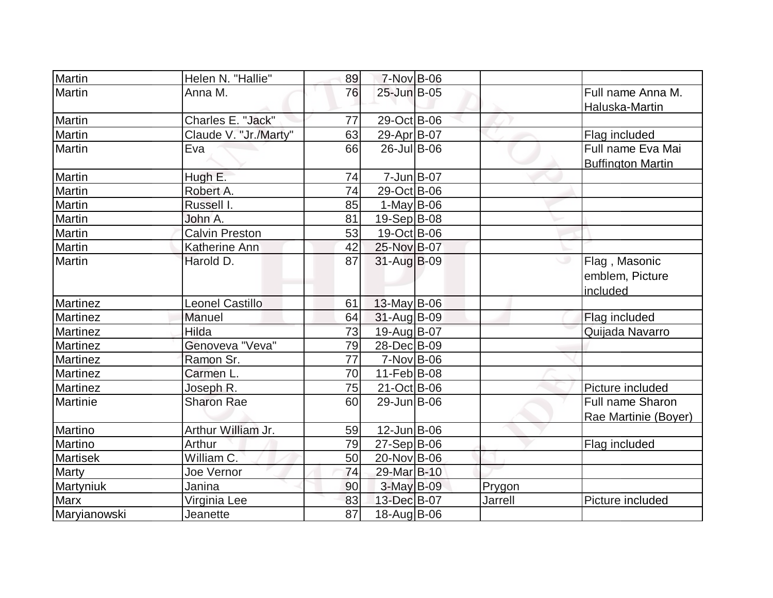| Martin          | Helen N. "Hallie"      | 89 | $7-Nov$ B-06       |         |                                               |
|-----------------|------------------------|----|--------------------|---------|-----------------------------------------------|
| Martin          | Anna M.                | 76 | 25-Jun B-05        |         | Full name Anna M.<br>Haluska-Martin           |
| Martin          | Charles E. "Jack"      | 77 | 29-Oct B-06        |         |                                               |
| Martin          | Claude V. "Jr./Marty"  | 63 | 29-Apr B-07        |         | Flag included                                 |
| Martin          | Eva                    | 66 | 26-Jul B-06        |         | Full name Eva Mai<br><b>Buffington Martin</b> |
| Martin          | Hugh E.                | 74 | $7 - Jun$ $B - 07$ |         |                                               |
| Martin          | Robert A.              | 74 | 29-Oct B-06        |         |                                               |
| Martin          | Russell I.             | 85 | $1-May B-06$       |         |                                               |
| Martin          | John A.                | 81 | 19-Sep B-08        |         |                                               |
| Martin          | <b>Calvin Preston</b>  | 53 | 19-Oct B-06        |         |                                               |
| Martin          | Katherine Ann          | 42 | 25-Nov B-07        |         |                                               |
| Martin          | Harold D.              | 87 | $31$ -Aug $ B-09 $ |         | Flag, Masonic<br>emblem, Picture<br>included  |
| <b>Martinez</b> | <b>Leonel Castillo</b> | 61 | $13$ -May B-06     |         |                                               |
| <b>Martinez</b> | Manuel                 | 64 | 31-Aug B-09        |         | Flag included                                 |
| Martinez        | Hilda                  | 73 | 19-Aug B-07        |         | Quijada Navarro                               |
| <b>Martinez</b> | Genoveva "Veva"        | 79 | 28-Dec B-09        |         |                                               |
| <b>Martinez</b> | Ramon Sr.              | 77 | $7-Nov$ B-06       |         |                                               |
| Martinez        | Carmen L.              | 70 | 11-Feb B-08        |         |                                               |
| <b>Martinez</b> | Joseph R.              | 75 | 21-Oct B-06        |         | Picture included                              |
| Martinie        | <b>Sharon Rae</b>      | 60 | 29-Jun B-06        |         | Full name Sharon<br>Rae Martinie (Boyer)      |
| Martino         | Arthur William Jr.     | 59 | $12$ -Jun $ B-06$  |         |                                               |
| Martino         | Arthur                 | 79 | $27-Sep B-06$      |         | Flag included                                 |
| <b>Martisek</b> | William C.             | 50 | 20-Nov B-06        |         |                                               |
| Marty           | Joe Vernor             | 74 | 29-Mar B-10        |         |                                               |
| Martyniuk       | Janina                 | 90 | $3-May$ B-09       | Prygon  |                                               |
| Marx            | Virginia Lee           | 83 | 13-Dec B-07        | Jarrell | Picture included                              |
| Maryianowski    | Jeanette               | 87 | 18-Aug B-06        |         |                                               |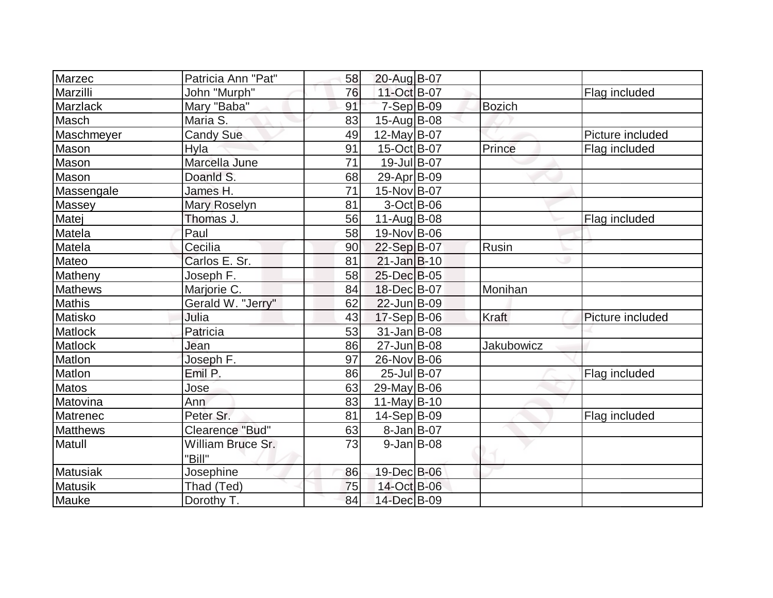| Marzec          | Patricia Ann "Pat"          | 58 | 20-Aug B-07       |               |                  |
|-----------------|-----------------------------|----|-------------------|---------------|------------------|
| Marzilli        | John "Murph"                | 76 | 11-Oct B-07       |               | Flag included    |
| Marzlack        | Mary "Baba"                 | 91 | $7-Sep$ B-09      | <b>Bozich</b> |                  |
| Masch           | Maria S.                    | 83 | $15$ -Aug $B$ -08 |               |                  |
| Maschmeyer      | <b>Candy Sue</b>            | 49 | 12-May B-07       |               | Picture included |
| Mason           | Hyla                        | 91 | 15-Oct B-07       | Prince        | Flag included    |
| Mason           | Marcella June               | 71 | 19-Jul B-07       |               |                  |
| Mason           | Doanld S.                   | 68 | 29-Apr B-09       |               |                  |
| Massengale      | James H.                    | 71 | 15-Nov B-07       |               |                  |
| Massey          | Mary Roselyn                | 81 | $3-Oct$ B-06      |               |                  |
| Matej           | Thomas J.                   | 56 | $11$ -Aug B-08    |               | Flag included    |
| Matela          | Paul                        | 58 | 19-Nov B-06       |               |                  |
| Matela          | Cecilia                     | 90 | 22-Sep B-07       | Rusin         |                  |
| Mateo           | Carlos E. Sr.               | 81 | $21$ -Jan $B-10$  |               |                  |
| Matheny         | Joseph F.                   | 58 | 25-Dec B-05       |               |                  |
| <b>Mathews</b>  | Marjorie C.                 | 84 | 18-Dec B-07       | Monihan       |                  |
| <b>Mathis</b>   | Gerald W. "Jerry"           | 62 | 22-Jun B-09       |               |                  |
| Matisko         | Julia                       | 43 | $17-Sep B-06$     | Kraft         | Picture included |
| Matlock         | Patricia                    | 53 | 31-Jan B-08       |               |                  |
| Matlock         | Jean                        | 86 | 27-Jun B-08       | Jakubowicz    |                  |
| Matlon          | Joseph F.                   | 97 | 26-Nov B-06       |               |                  |
| Matlon          | Emil P.                     | 86 | 25-Jul B-07       |               | Flag included    |
| <b>Matos</b>    | Jose                        | 63 | 29-May B-06       |               |                  |
| Matovina        | Ann                         | 83 | $11$ -May B-10    |               |                  |
| Matrenec        | Peter Sr.                   | 81 | $14-Sep B-09$     |               | Flag included    |
| <b>Matthews</b> | Clearence "Bud"             | 63 | $8$ -Jan B-07     |               |                  |
| Matull          | William Bruce Sr.<br>"Bill" | 73 | $9$ -Jan B-08     |               |                  |
| Matusiak        | Josephine                   | 86 | 19-Dec B-06       |               |                  |
| <b>Matusik</b>  | Thad (Ted)                  | 75 | 14-Oct B-06       |               |                  |
| Mauke           | Dorothy T.                  | 84 | 14-Dec B-09       |               |                  |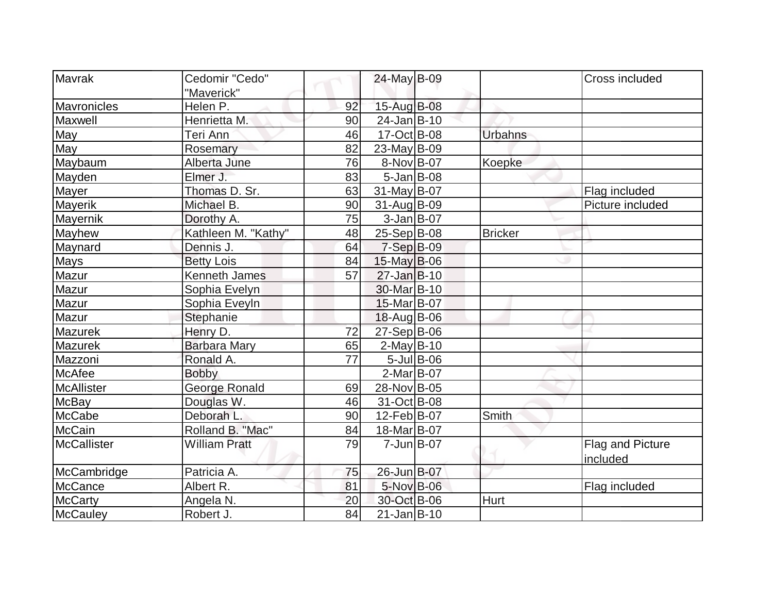| Mavrak             | Cedomir "Cedo"       |    | 24-May B-09             |                | Cross included   |
|--------------------|----------------------|----|-------------------------|----------------|------------------|
|                    | "Maverick"           |    |                         |                |                  |
| Mavronicles        | Helen P.             | 92 | 15-Aug B-08             |                |                  |
| Maxwell            | Henrietta M.         | 90 | $24$ -Jan $B-10$        |                |                  |
| May                | Teri Ann             | 46 | 17-Oct B-08             | <b>Urbahns</b> |                  |
| May                | Rosemary             | 82 | $23$ -May B-09          |                |                  |
| Maybaum            | Alberta June         | 76 | 8-Nov B-07              | Koepke         |                  |
| Mayden             | Elmer J.             | 83 | $5 - Jan$ B-08          |                |                  |
| Mayer              | Thomas D. Sr.        | 63 | $31$ -May B-07          |                | Flag included    |
| Mayerik            | Michael B.           | 90 | $31$ -Aug B-09          |                | Picture included |
| Mayernik           | Dorothy A.           | 75 | $3-Jan$ $B-07$          |                |                  |
| Mayhew             | Kathleen M. "Kathy"  | 48 | $25-Sep B-08$           | <b>Bricker</b> |                  |
| Maynard            | Dennis J.            | 64 | $7-Sep$ B-09            |                |                  |
| <b>Mays</b>        | <b>Betty Lois</b>    | 84 | 15-May B-06             |                |                  |
| Mazur              | <b>Kenneth James</b> | 57 | $27$ -Jan B-10          |                |                  |
| Mazur              | Sophia Evelyn        |    | 30-Mar <sub>B</sub> -10 |                |                  |
| Mazur              | Sophia Eveyln        |    | 15-Mar B-07             |                |                  |
| Mazur              | Stephanie            |    | $18$ -Aug B-06          |                |                  |
| <b>Mazurek</b>     | Henry D.             | 72 | $27-Sep B-06$           |                |                  |
| <b>Mazurek</b>     | <b>Barbara Mary</b>  | 65 | $2$ -May B-10           |                |                  |
| Mazzoni            | Ronald A.            | 77 | $5$ -Jul $B$ -06        |                |                  |
| McAfee             | <b>Bobby</b>         |    | $2-MarB-07$             |                |                  |
| <b>McAllister</b>  | George Ronald        | 69 | 28-Nov B-05             |                |                  |
| <b>McBay</b>       | Douglas W.           | 46 | 31-Oct B-08             |                |                  |
| McCabe             | Deborah L.           | 90 | 12-Feb B-07             | Smith          |                  |
| <b>McCain</b>      | Rolland B. "Mac"     | 84 | 18-Mar B-07             |                |                  |
| <b>McCallister</b> | <b>William Pratt</b> | 79 | $7 - Jun$ $B-07$        |                | Flag and Picture |
|                    |                      |    |                         |                | included         |
| McCambridge        | Patricia A.          | 75 | 26-Jun B-07             |                |                  |
| <b>McCance</b>     | Albert R.            | 81 | 5-Nov B-06              |                | Flag included    |
| <b>McCarty</b>     | Angela N.            | 20 | 30-Oct B-06             | Hurt           |                  |
| McCauley           | Robert J.            | 84 | $21$ -Jan $B-10$        |                |                  |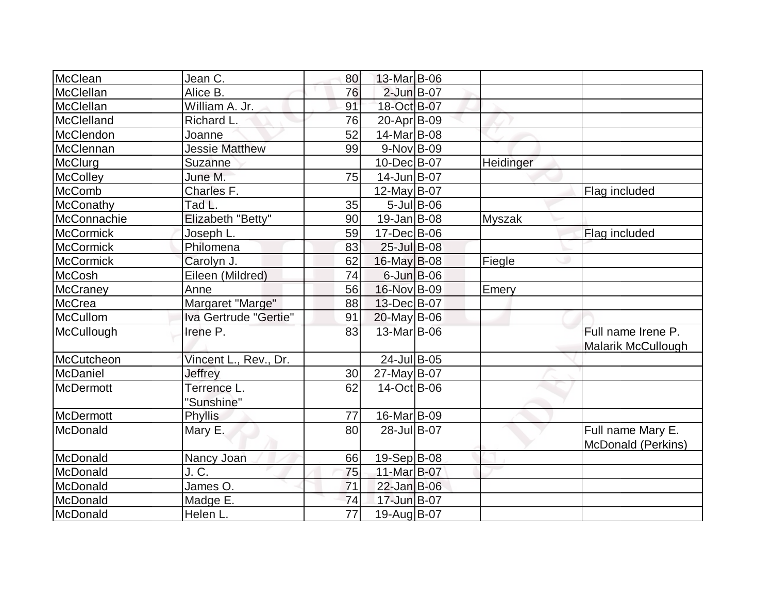| McClean          | Jean C.                   | 80              | 13-Mar B-06        |               |           |                                                 |
|------------------|---------------------------|-----------------|--------------------|---------------|-----------|-------------------------------------------------|
| McClellan        | Alice B.                  | 76              | $2$ -Jun $B$ -07   |               |           |                                                 |
| McClellan        | William A. Jr.            | 91              | 18-Oct B-07        |               |           |                                                 |
| McClelland       | Richard L.                | 76              | 20-Apr B-09        |               |           |                                                 |
| McClendon        | Joanne                    | 52              | 14-Mar B-08        |               |           |                                                 |
| McClennan        | <b>Jessie Matthew</b>     | 99              | $9-Nov B-09$       |               |           |                                                 |
| McClurg          | Suzanne                   |                 | 10-Dec B-07        |               | Heidinger |                                                 |
| <b>McColley</b>  | June M.                   | 75              | $14$ -Jun $B$ -07  |               |           |                                                 |
| <b>McComb</b>    | Charles F.                |                 | $12$ -May B-07     |               |           | Flag included                                   |
| McConathy        | Tad L.                    | 35              |                    | $5$ -Jul B-06 |           |                                                 |
| McConnachie      | Elizabeth "Betty"         | 90              | $19$ -Jan $ B$ -08 |               | Myszak    |                                                 |
| McCormick        | Joseph L.                 | 59              | 17-Dec B-06        |               |           | Flag included                                   |
| <b>McCormick</b> | Philomena                 | 83              | $25$ -Jul B-08     |               |           |                                                 |
| <b>McCormick</b> | Carolyn J.                | 62              | $16$ -May B-08     |               | Fiegle    |                                                 |
| McCosh           | Eileen (Mildred)          | 74              | $6$ -Jun $B$ -06   |               |           |                                                 |
| <b>McCraney</b>  | Anne                      | 56              | 16-Nov B-09        |               | Emery     |                                                 |
| McCrea           | Margaret "Marge"          | 88              | 13-Dec B-07        |               |           |                                                 |
| <b>McCullom</b>  | Iva Gertrude "Gertie"     | 91              | $20$ -May B-06     |               |           |                                                 |
| McCullough       | Irene P.                  | 83              | 13-Mar B-06        |               |           | Full name Irene P.<br><b>Malarik McCullough</b> |
| McCutcheon       | Vincent L., Rev., Dr.     |                 | 24-Jul B-05        |               |           |                                                 |
| McDaniel         | Jeffrey                   | 30              | $27$ -May B-07     |               |           |                                                 |
| McDermott        | Terrence L.<br>"Sunshine" | 62              | 14-Oct B-06        |               |           |                                                 |
| McDermott        | Phyllis                   | 77              | 16-Mar B-09        |               |           |                                                 |
| McDonald         | Mary E.                   | 80              | 28-Jul B-07        |               |           | Full name Mary E.<br>McDonald (Perkins)         |
| McDonald         | Nancy Joan                | 66              | $19-Sep B-08$      |               |           |                                                 |
| McDonald         | J.C.                      | 75              | 11-Mar B-07        |               |           |                                                 |
| McDonald         | James O.                  | 71              | 22-Jan B-06        |               |           |                                                 |
| McDonald         | Madge E.                  | 74              | 17-Jun B-07        |               |           |                                                 |
| McDonald         | Helen L.                  | $\overline{77}$ | 19-Aug B-07        |               |           |                                                 |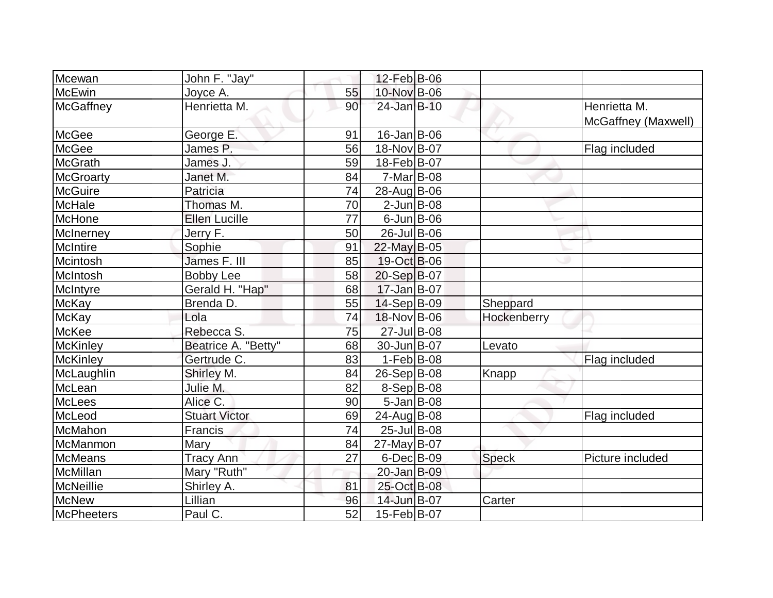| Mcewan            | John F. "Jay"        |    | $12$ -Feb $ B-06$  |              |                                     |
|-------------------|----------------------|----|--------------------|--------------|-------------------------------------|
| McEwin            | Joyce A.             | 55 | 10-Nov B-06        |              |                                     |
| McGaffney         | Henrietta M.         | 90 | $24$ -Jan $B-10$   |              | Henrietta M.<br>McGaffney (Maxwell) |
| McGee             | George E.            | 91 | $16$ -Jan B-06     |              |                                     |
| <b>McGee</b>      | James P.             | 56 | 18-Nov B-07        |              | Flag included                       |
| <b>McGrath</b>    | James J.             | 59 | 18-Feb B-07        |              |                                     |
| McGroarty         | Janet M.             | 84 | $7-Mar$ B-08       |              |                                     |
| McGuire           | Patricia             | 74 | 28-Aug B-06        |              |                                     |
| McHale            | Thomas M.            | 70 | $2$ -Jun $B$ -08   |              |                                     |
| McHone            | <b>Ellen Lucille</b> | 77 | $6$ -Jun $B$ -06   |              |                                     |
| McInerney         | Jerry F.             | 50 | 26-Jul B-06        |              |                                     |
| <b>McIntire</b>   | Sophie               | 91 | 22-May B-05        |              |                                     |
| Mcintosh          | James F. III         | 85 | 19-Oct B-06        |              |                                     |
| McIntosh          | <b>Bobby Lee</b>     | 58 | 20-Sep B-07        |              |                                     |
| McIntyre          | Gerald H. "Hap"      | 68 | $17 - Jan$ B-07    |              |                                     |
| McKay             | Brenda D.            | 55 | $14-Sep B-09$      | Sheppard     |                                     |
| <b>McKay</b>      | Lola                 | 74 | 18-Nov B-06        | Hockenberry  |                                     |
| McKee             | Rebecca S.           | 75 | 27-Jul B-08        |              |                                     |
| <b>McKinley</b>   | Beatrice A. "Betty"  | 68 | 30-Jun B-07        | Levato       |                                     |
| <b>McKinley</b>   | Gertrude C.          | 83 | $1-Feb B-08$       |              | Flag included                       |
| McLaughlin        | Shirley M.           | 84 | 26-Sep B-08        | Knapp        |                                     |
| McLean            | Julie M.             | 82 | 8-Sep B-08         |              |                                     |
| <b>McLees</b>     | Alice C.             | 90 | $5 - Jan$ $B - 08$ |              |                                     |
| McLeod            | <b>Stuart Victor</b> | 69 | 24-Aug B-08        |              | Flag included                       |
| McMahon           | <b>Francis</b>       | 74 | 25-Jul B-08        |              |                                     |
| McManmon          | Mary                 | 84 | 27-May B-07        |              |                                     |
| McMeans           | <b>Tracy Ann</b>     | 27 | $6$ -Dec $B$ -09   | <b>Speck</b> | Picture included                    |
| McMillan          | Mary "Ruth"          |    | 20-Jan B-09        |              |                                     |
| McNeillie         | Shirley A.           | 81 | 25-Oct B-08        |              |                                     |
| <b>McNew</b>      | Lillian              | 96 | 14-Jun B-07        | Carter       |                                     |
| <b>McPheeters</b> | Paul C.              | 52 | 15-Feb B-07        |              |                                     |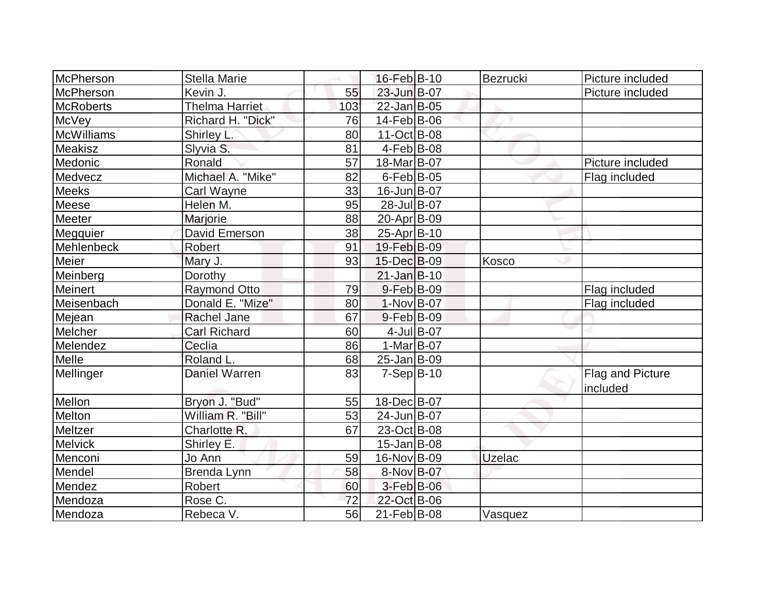| McPherson         | <b>Stella Marie</b>   |     | $16$ -Feb $ B-10$  | Bezrucki      | Picture included             |
|-------------------|-----------------------|-----|--------------------|---------------|------------------------------|
| McPherson         | Kevin J.              | 55  | 23-Jun B-07        |               | Picture included             |
| <b>McRoberts</b>  | <b>Thelma Harriet</b> | 103 | 22-Jan B-05        |               |                              |
| McVey             | Richard H. "Dick"     | 76  | 14-Feb B-06        |               |                              |
| <b>McWilliams</b> | Shirley L.            | 80  | $11-Oct$ B-08      |               |                              |
| <b>Meakisz</b>    | Slyvia S.             | 81  | $4$ -Feb $ B-08$   |               |                              |
| Medonic           | Ronald                | 57  | 18-Mar B-07        |               | Picture included             |
| Medvecz           | Michael A. "Mike"     | 82  | $6$ -Feb $ B$ -05  |               | Flag included                |
| <b>Meeks</b>      | Carl Wayne            | 33  | 16-Jun B-07        |               |                              |
| Meese             | Helen M.              | 95  | 28-Jul B-07        |               |                              |
| Meeter            | Marjorie              | 88  | 20-Apr B-09        |               |                              |
| Megquier          | David Emerson         | 38  | 25-Apr B-10        |               |                              |
| Mehlenbeck        | Robert                | 91  | 19-Feb B-09        |               |                              |
| Meier             | Mary J.               | 93  | 15-Dec B-09        | Kosco         |                              |
| Meinberg          | Dorothy               |     | $21$ -Jan $B-10$   |               |                              |
| Meinert           | <b>Raymond Otto</b>   | 79  | $9-Feb B-09$       |               | Flag included                |
| Meisenbach        | Donald E. "Mize"      | 80  | $1-Nov B-07$       |               | Flag included                |
| Mejean            | <b>Rachel Jane</b>    | 67  | $9$ -Feb $ B$ -09  |               |                              |
| Melcher           | <b>Carl Richard</b>   | 60  | 4-Jul B-07         |               |                              |
| Melendez          | Ceclia                | 86  | $1-Mar$ B-07       |               |                              |
| Melle             | Roland L.             | 68  | 25-Jan B-09        |               |                              |
| Mellinger         | <b>Daniel Warren</b>  | 83  | $7-Sep B-10$       |               | Flag and Picture<br>included |
| Mellon            | Bryon J. "Bud"        | 55  | 18-Dec B-07        |               |                              |
| Melton            | William R. "Bill"     | 53  | 24-Jun B-07        |               |                              |
| Meltzer           | Charlotte R.          | 67  | 23-Oct B-08        |               |                              |
| Melvick           | Shirley E.            |     | $15$ -Jan $ B$ -08 |               |                              |
| Menconi           | Jo Ann                | 59  | 16-Nov B-09        | <b>Uzelac</b> |                              |
| Mendel            | Brenda Lynn           | 58  | 8-Nov B-07         |               |                              |
| Mendez            | Robert                | 60  | $3$ -Feb $ B$ -06  |               |                              |
| Mendoza           | Rose C.               | 72  | 22-Oct B-06        |               |                              |
| Mendoza           | Rebeca V.             | 56  | $21$ -Feb $ B-08$  | Vasquez       |                              |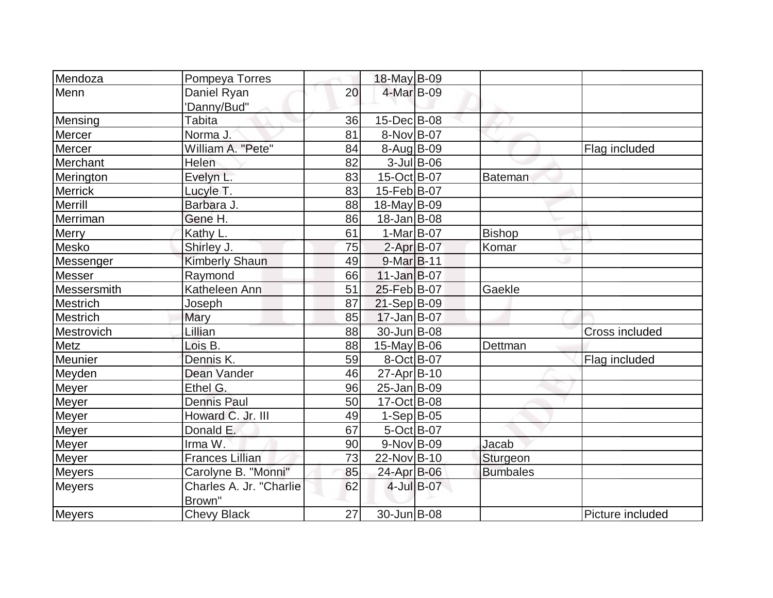| Mendoza         | Pompeya Torres          |    | $18$ -May B-09    |               |                 |                  |
|-----------------|-------------------------|----|-------------------|---------------|-----------------|------------------|
| Menn            | Daniel Ryan             | 20 | 4-Mar B-09        |               |                 |                  |
|                 | 'Danny/Bud"             |    |                   |               |                 |                  |
| Mensing         | <b>Tabita</b>           | 36 | 15-Dec B-08       |               |                 |                  |
| Mercer          | Norma J.                | 81 | 8-Nov B-07        |               |                 |                  |
| Mercer          | William A. "Pete"       | 84 | 8-Aug B-09        |               |                 | Flag included    |
| Merchant        | Helen                   | 82 |                   | $3$ -Jul B-06 |                 |                  |
| Merington       | Evelyn L.               | 83 | 15-Oct B-07       |               | Bateman         |                  |
| <b>Merrick</b>  | Lucyle T.               | 83 | 15-Feb B-07       |               |                 |                  |
| Merrill         | Barbara J.              | 88 | $18$ -May B-09    |               |                 |                  |
| Merriman        | Gene H.                 | 86 | $18 - Jan$ B-08   |               |                 |                  |
| <b>Merry</b>    | Kathy L.                | 61 | $1-Mar$ B-07      |               | <b>Bishop</b>   |                  |
| Mesko           | Shirley J.              | 75 | $2$ -Apr $B$ -07  |               | Komar           |                  |
| Messenger       | <b>Kimberly Shaun</b>   | 49 | 9-Mar B-11        |               |                 |                  |
| Messer          | Raymond                 | 66 | $11$ -Jan $B$ -07 |               |                 |                  |
| Messersmith     | Katheleen Ann           | 51 | 25-Feb B-07       |               | Gaekle          |                  |
| Mestrich        | Joseph                  | 87 | $21-Sep B-09$     |               |                 |                  |
| <b>Mestrich</b> | Mary                    | 85 | 17-Jan B-07       |               |                 |                  |
| Mestrovich      | Lillian                 | 88 | 30-Jun B-08       |               |                 | Cross included   |
| Metz            | Lois B.                 | 88 | $15$ -May B-06    |               | Dettman         |                  |
| Meunier         | Dennis K.               | 59 | 8-Oct B-07        |               |                 | Flag included    |
| Meyden          | Dean Vander             | 46 | $27$ -Apr $ B-10$ |               |                 |                  |
| Meyer           | Ethel G.                | 96 | 25-Jan B-09       |               |                 |                  |
| <b>Meyer</b>    | <b>Dennis Paul</b>      | 50 | 17-Oct B-08       |               |                 |                  |
| <b>Meyer</b>    | Howard C. Jr. III       | 49 | $1-Sep B-05$      |               |                 |                  |
| Meyer           | Donald E.               | 67 | $5-Oct$ B-07      |               |                 |                  |
| Meyer           | Irma W.                 | 90 | $9-Nov$ B-09      |               | Jacab           |                  |
| Meyer           | <b>Frances Lillian</b>  | 73 | 22-Nov B-10       |               | Sturgeon        |                  |
| <b>Meyers</b>   | Carolyne B. "Monni"     | 85 | 24-Apr B-06       |               | <b>Bumbales</b> |                  |
| Meyers          | Charles A. Jr. "Charlie | 62 |                   | 4-Jul B-07    |                 |                  |
|                 | Brown"                  |    |                   |               |                 |                  |
| Meyers          | <b>Chevy Black</b>      | 27 | 30-Jun B-08       |               |                 | Picture included |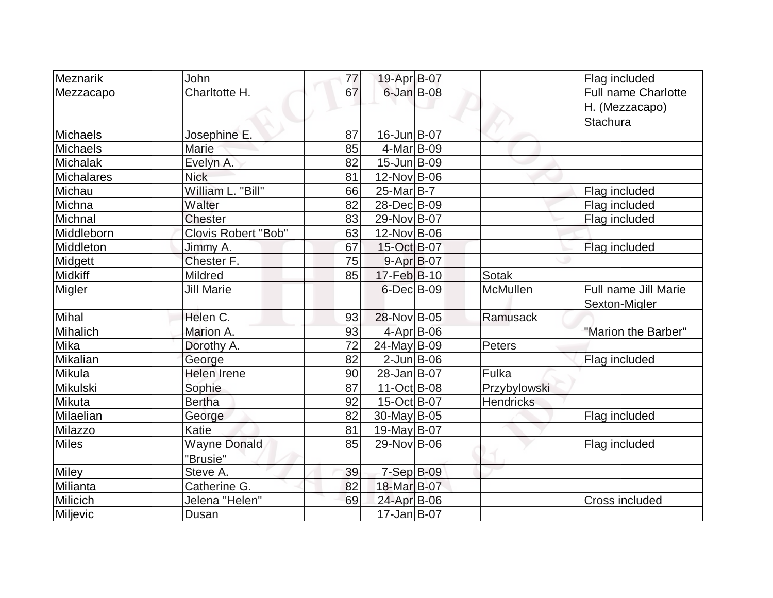| Meznarik          | John                            | 77 | 19-Apr B-07               |                  | Flag included                                            |
|-------------------|---------------------------------|----|---------------------------|------------------|----------------------------------------------------------|
| Mezzacapo         | Charltotte H.                   | 67 | $6$ -Jan $B$ -08          |                  | <b>Full name Charlotte</b><br>H. (Mezzacapo)<br>Stachura |
| <b>Michaels</b>   | Josephine E.                    | 87 | 16-Jun B-07               |                  |                                                          |
| <b>Michaels</b>   | Marie                           | 85 | $4$ -Mar B-09             |                  |                                                          |
| Michalak          | Evelyn A.                       | 82 | 15-Jun B-09               |                  |                                                          |
| <b>Michalares</b> | <b>Nick</b>                     | 81 | 12-Nov B-06               |                  |                                                          |
| Michau            | William L. "Bill"               | 66 | $25$ -Mar $B$ -7          |                  | Flag included                                            |
| Michna            | Walter                          | 82 | 28-Dec B-09               |                  | Flag included                                            |
| Michnal           | <b>Chester</b>                  | 83 | 29-Nov B-07               |                  | Flag included                                            |
| Middleborn        | Clovis Robert "Bob"             | 63 | 12-Nov B-06               |                  |                                                          |
| Middleton         | Jimmy A.                        | 67 | 15-Oct B-07               |                  | Flag included                                            |
| Midgett           | Chester F.                      | 75 | $9-Apr$ B-07              |                  |                                                          |
| Midkiff           | Mildred                         | 85 | 17-Feb B-10               | <b>Sotak</b>     |                                                          |
| <b>Migler</b>     | <b>Jill Marie</b>               |    | $6$ -Dec $B$ -09          | <b>McMullen</b>  | Full name Jill Marie<br>Sexton-Migler                    |
| <b>Mihal</b>      | Helen C.                        | 93 | 28-Nov B-05               | Ramusack         |                                                          |
| Mihalich          | Marion A.                       | 93 | 4-Apr B-06                |                  | "Marion the Barber"                                      |
| Mika              | Dorothy A.                      | 72 | 24-May B-09               | Peters           |                                                          |
| Mikalian          | George                          | 82 | $2$ -Jun $B$ -06          |                  | Flag included                                            |
| Mikula            | <b>Helen Irene</b>              | 90 | 28-Jan B-07               | Fulka            |                                                          |
| Mikulski          | Sophie                          | 87 | 11-Oct B-08               | Przybylowski     |                                                          |
| Mikuta            | <b>Bertha</b>                   | 92 | 15-Oct B-07               | <b>Hendricks</b> |                                                          |
| Milaelian         | George                          | 82 | $\overline{30}$ -May B-05 |                  | Flag included                                            |
| Milazzo           | Katie                           | 81 | 19-May B-07               |                  |                                                          |
| <b>Miles</b>      | <b>Wayne Donald</b><br>"Brusie" | 85 | 29-Nov B-06               |                  | Flag included                                            |
| <b>Miley</b>      | Steve A.                        | 39 | 7-Sep B-09                |                  |                                                          |
| Milianta          | Catherine G.                    | 82 | 18-Mar B-07               |                  |                                                          |
| Milicich          | Jelena "Helen"                  | 69 | 24-Apr B-06               |                  | Cross included                                           |
| Miljevic          | Dusan                           |    | $17 - Jan$ B-07           |                  |                                                          |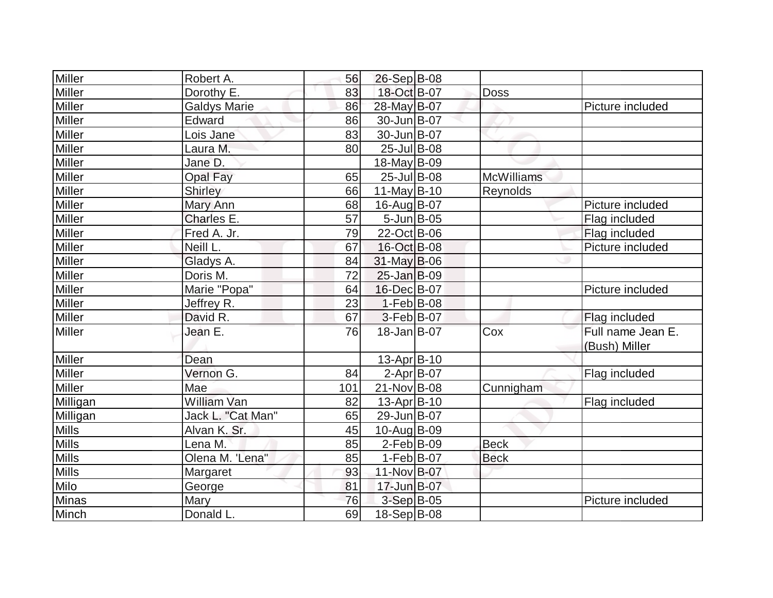| Miller        | Robert A.           | 56  | $26-Sep B-08$     |                   |                                    |
|---------------|---------------------|-----|-------------------|-------------------|------------------------------------|
| <b>Miller</b> | Dorothy E.          | 83  | 18-Oct B-07       | Doss              |                                    |
| <b>Miller</b> | <b>Galdys Marie</b> | 86  | 28-May B-07       |                   | Picture included                   |
| <b>Miller</b> | Edward              | 86  | 30-Jun B-07       |                   |                                    |
| <b>Miller</b> | Lois Jane           | 83  | 30-Jun B-07       |                   |                                    |
| Miller        | Laura M.            | 80  | 25-Jul B-08       |                   |                                    |
| <b>Miller</b> | Jane D.             |     | 18-May B-09       |                   |                                    |
| Miller        | <b>Opal Fay</b>     | 65  | $25$ -Jul B-08    | <b>McWilliams</b> |                                    |
| <b>Miller</b> | <b>Shirley</b>      | 66  | $11$ -May B-10    | Reynolds          |                                    |
| Miller        | Mary Ann            | 68  | 16-Aug B-07       |                   | Picture included                   |
| Miller        | Charles E.          | 57  | $5$ -Jun $B$ -05  |                   | Flag included                      |
| <b>Miller</b> | Fred A. Jr.         | 79  | 22-Oct B-06       |                   | Flag included                      |
| Miller        | Neill L.            | 67  | 16-Oct B-08       |                   | Picture included                   |
| Miller        | Gladys A.           | 84  | $31$ -May B-06    |                   |                                    |
| <b>Miller</b> | Doris M.            | 72  | 25-Jan B-09       |                   |                                    |
| <b>Miller</b> | Marie "Popa"        | 64  | 16-Dec B-07       |                   | Picture included                   |
| <b>Miller</b> | Jeffrey R.          | 23  | $1-Feb B-08$      |                   |                                    |
| Miller        | David R.            | 67  | $3-Feb B-07$      |                   | Flag included                      |
| <b>Miller</b> | Jean E.             | 76  | 18-Jan B-07       | Cox               | Full name Jean E.<br>(Bush) Miller |
| <b>Miller</b> | Dean                |     | 13-Apr B-10       |                   |                                    |
| <b>Miller</b> | Vernon G.           | 84  | $2-Apr B-07$      |                   | Flag included                      |
| <b>Miller</b> | Mae                 | 101 | 21-Nov B-08       | Cunnigham         |                                    |
| Milligan      | <b>William Van</b>  | 82  | $13$ -Apr $ B-10$ |                   | Flag included                      |
| Milligan      | Jack L. "Cat Man"   | 65  | 29-Jun B-07       |                   |                                    |
| <b>Mills</b>  | Alvan K. Sr.        | 45  | 10-Aug B-09       |                   |                                    |
| <b>Mills</b>  | Lena M.             | 85  | $2$ -Feb $ B-09$  | <b>Beck</b>       |                                    |
| <b>Mills</b>  | Olena M. 'Lena"     | 85  | $1-Feb B-07$      | <b>Beck</b>       |                                    |
| <b>Mills</b>  | Margaret            | 93  | 11-Nov B-07       |                   |                                    |
| Milo          | George              | 81  | 17-Jun B-07       |                   |                                    |
| <b>Minas</b>  | Mary                | 76  | 3-Sep B-05        |                   | Picture included                   |
| Minch         | Donald L.           | 69  | 18-Sep B-08       |                   |                                    |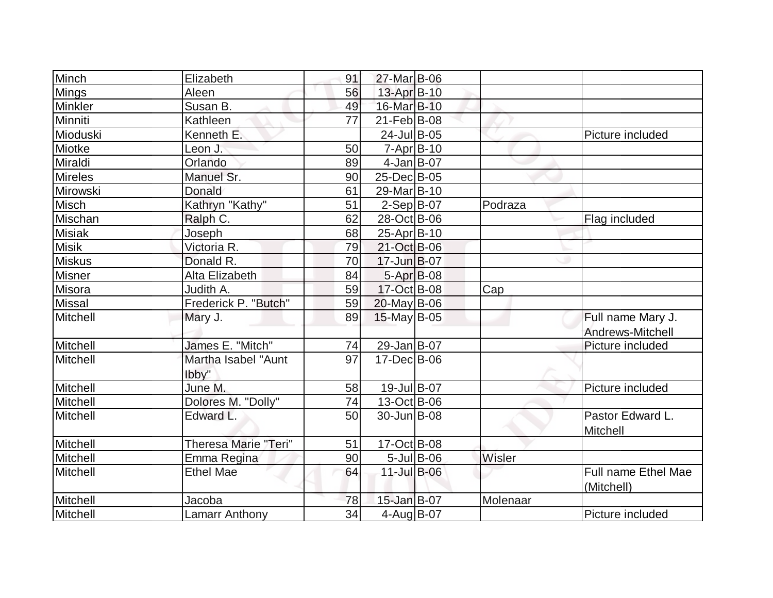| Minch         | Elizabeth                    | 91 | 27-Mar B-06       |                  |          |                                          |
|---------------|------------------------------|----|-------------------|------------------|----------|------------------------------------------|
| <b>Mings</b>  | Aleen                        | 56 | 13-Apr B-10       |                  |          |                                          |
| Minkler       | Susan B.                     | 49 | 16-Mar B-10       |                  |          |                                          |
| Minniti       | Kathleen                     | 77 | $21$ -Feb $ B-08$ |                  |          |                                          |
| Mioduski      | Kenneth E.                   |    | 24-Jul B-05       |                  |          | Picture included                         |
| Miotke        | Leon J.                      | 50 | $7 - Apr$ B-10    |                  |          |                                          |
| Miraldi       | Orlando                      | 89 | $4$ -Jan B-07     |                  |          |                                          |
| Mireles       | Manuel Sr.                   | 90 | 25-Dec B-05       |                  |          |                                          |
| Mirowski      | Donald                       | 61 | 29-Mar B-10       |                  |          |                                          |
| Misch         | Kathryn "Kathy"              | 51 | $2-Sep B-07$      |                  | Podraza  |                                          |
| Mischan       | Ralph C.                     | 62 | 28-Oct B-06       |                  |          | Flag included                            |
| <b>Misiak</b> | Joseph                       | 68 | 25-Apr B-10       |                  |          |                                          |
| <b>Misik</b>  | Victoria R.                  | 79 | 21-Oct B-06       |                  |          |                                          |
| <b>Miskus</b> | Donald R.                    | 70 | 17-Jun B-07       |                  |          |                                          |
| <b>Misner</b> | Alta Elizabeth               | 84 | 5-Apr B-08        |                  |          |                                          |
| Misora        | Judith A.                    | 59 | 17-Oct B-08       |                  | Cap      |                                          |
| <b>Missal</b> | Frederick P. "Butch"         | 59 | $20$ -May B-06    |                  |          |                                          |
| Mitchell      | Mary J.                      | 89 | $15$ -May B-05    |                  |          | Full name Mary J.                        |
|               |                              |    |                   |                  |          | Andrews-Mitchell                         |
| Mitchell      | James E. "Mitch"             | 74 | 29-Jan B-07       |                  |          | Picture included                         |
| Mitchell      | Martha Isabel "Aunt<br>lbby" | 97 | 17-Dec B-06       |                  |          |                                          |
| Mitchell      | June M.                      | 58 | 19-Jul B-07       |                  |          | Picture included                         |
| Mitchell      | Dolores M. "Dolly"           | 74 | $13-Oct$ B-06     |                  |          |                                          |
| Mitchell      | Edward L.                    | 50 | 30-Jun B-08       |                  |          | Pastor Edward L.<br>Mitchell             |
| Mitchell      | <b>Theresa Marie "Teri"</b>  | 51 | $17$ -Oct B-08    |                  |          |                                          |
| Mitchell      | Emma Regina                  | 90 |                   | $5$ -Jul $B$ -06 | Wisler   |                                          |
| Mitchell      | <b>Ethel Mae</b>             | 64 | 11-Jul B-06       |                  |          | <b>Full name Ethel Mae</b><br>(Mitchell) |
| Mitchell      | Jacoba                       | 78 | 15-Jan B-07       |                  | Molenaar |                                          |
| Mitchell      | <b>Lamarr Anthony</b>        | 34 | $4$ -Aug $B$ -07  |                  |          | Picture included                         |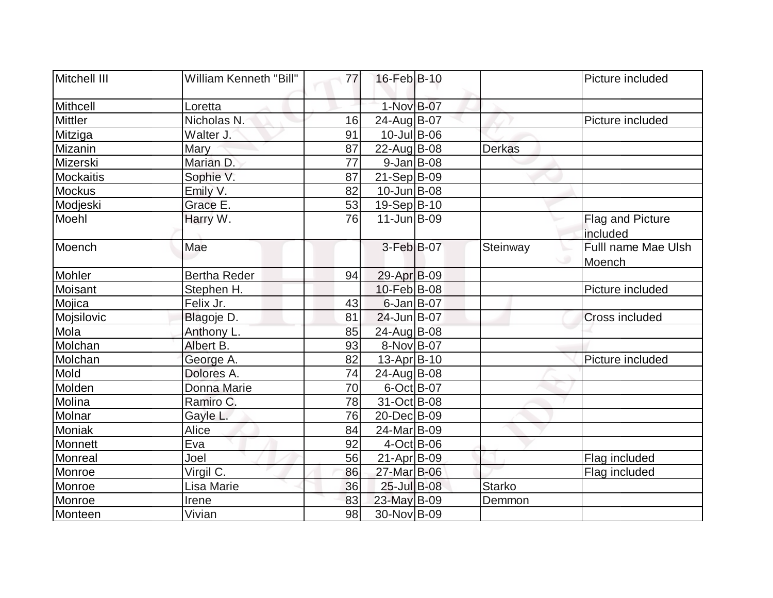| Mitchell III   | <b>William Kenneth "Bill"</b> | 77 | $16$ -Feb $ B-10$ |               | Picture included              |
|----------------|-------------------------------|----|-------------------|---------------|-------------------------------|
| Mithcell       | Loretta                       |    | 1-Nov B-07        |               |                               |
| <b>Mittler</b> | Nicholas N.                   | 16 | 24-Aug B-07       |               | Picture included              |
| Mitziga        | Walter J.                     | 91 | $10$ -Jul B-06    |               |                               |
| Mizanin        | Mary                          | 87 | 22-Aug B-08       | <b>Derkas</b> |                               |
| Mizerski       | Marian D.                     | 77 | $9$ -Jan B-08     |               |                               |
| Mockaitis      | Sophie V.                     | 87 | $21-Sep B-09$     |               |                               |
| Mockus         | Emily V.                      | 82 | 10-Jun B-08       |               |                               |
| Modjeski       | Grace E.                      | 53 | 19-Sep B-10       |               |                               |
| Moehl          | Harry W.                      | 76 | $11$ -Jun $B$ -09 |               | Flag and Picture<br>included  |
| Moench         | Mae                           |    | $3-Feb B-07$      | Steinway      | Fulll name Mae Ulsh<br>Moench |
| Mohler         | <b>Bertha Reder</b>           | 94 | 29-Apr B-09       |               |                               |
| Moisant        | Stephen H.                    |    | 10-Feb B-08       |               | Picture included              |
| Mojica         | Felix Jr.                     | 43 | $6$ -Jan B-07     |               |                               |
| Mojsilovic     | Blagoje D.                    | 81 | 24-Jun B-07       |               | <b>Cross included</b>         |
| Mola           | Anthony L.                    | 85 | 24-Aug B-08       |               |                               |
| Molchan        | Albert B.                     | 93 | 8-Nov B-07        |               |                               |
| Molchan        | George A.                     | 82 | $13$ -Apr $ B-10$ |               | Picture included              |
| Mold           | Dolores A.                    | 74 | 24-Aug B-08       |               |                               |
| Molden         | Donna Marie                   | 70 | 6-Oct B-07        |               |                               |
| Molina         | Ramiro C.                     | 78 | 31-Oct B-08       |               |                               |
| Molnar         | Gayle L.                      | 76 | 20-Dec B-09       |               |                               |
| Moniak         | Alice                         | 84 | 24-Mar B-09       |               |                               |
| Monnett        | Eva                           | 92 | $4-Oct$ B-06      |               |                               |
| Monreal        | Joel                          | 56 | 21-Apr B-09       |               | Flag included                 |
| Monroe         | Virgil C.                     | 86 | 27-Mar B-06       |               | Flag included                 |
| Monroe         | Lisa Marie                    | 36 | 25-Jul B-08       | <b>Starko</b> |                               |
| Monroe         | Irene                         | 83 | 23-May B-09       | Demmon        |                               |
| Monteen        | Vivian                        | 98 | 30-Nov B-09       |               |                               |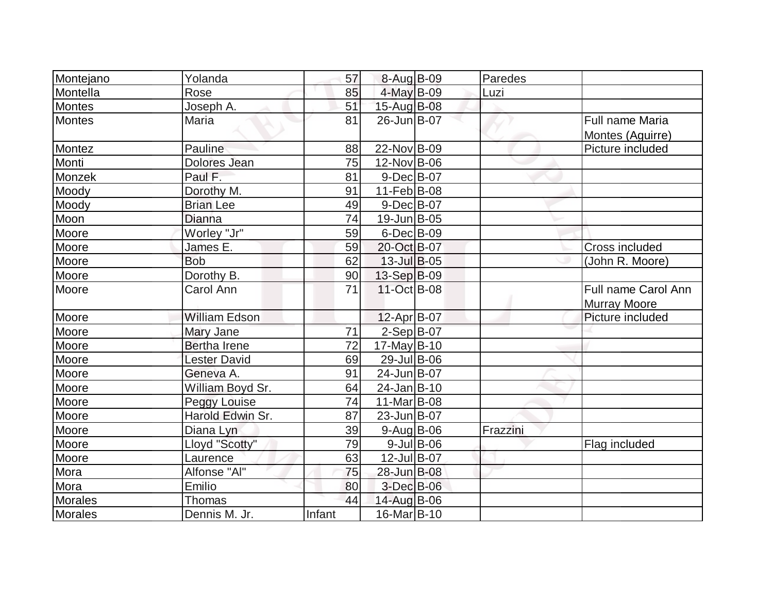| Montejano    | Yolanda              | 57     | 8-Aug B-09        |               | Paredes  |                                            |
|--------------|----------------------|--------|-------------------|---------------|----------|--------------------------------------------|
| Montella     | Rose                 | 85     | 4-May B-09        |               | Luzi     |                                            |
| Montes       | Joseph A.            | 51     | 15-Aug B-08       |               |          |                                            |
| Montes       | Maria                | 81     | 26-Jun B-07       |               |          | Full name Maria<br>Montes (Aguirre)        |
| Montez       | Pauline              | 88     | 22-Nov B-09       |               |          | Picture included                           |
| Monti        | Dolores Jean         | 75     | 12-Nov B-06       |               |          |                                            |
| Monzek       | Paul F.              | 81     | $9-Dec$ B-07      |               |          |                                            |
| Moody        | Dorothy M.           | 91     | $11-Feb B-08$     |               |          |                                            |
| Moody        | <b>Brian Lee</b>     | 49     | $9$ -Dec $B$ -07  |               |          |                                            |
| Moon         | <b>Dianna</b>        | 74     | 19-Jun B-05       |               |          |                                            |
| Moore        | Worley "Jr"          | 59     | $6$ -Dec $B$ -09  |               |          |                                            |
| Moore        | James E.             | 59     | 20-Oct B-07       |               |          | <b>Cross included</b>                      |
| Moore        | <b>Bob</b>           | 62     | $13$ -Jul B-05    |               |          | (John R. Moore)                            |
| Moore        | Dorothy B.           | 90     | 13-Sep B-09       |               |          |                                            |
| Moore        | Carol Ann            | 71     | 11-Oct B-08       |               |          | Full name Carol Ann<br><b>Murray Moore</b> |
| Moore        | <b>William Edson</b> |        | 12-Apr B-07       |               |          | Picture included                           |
| Moore        | Mary Jane            | 71     | $2-Sep$ B-07      |               |          |                                            |
| Moore        | Bertha Irene         | 72     | $17$ -May B-10    |               |          |                                            |
| Moore        | <b>Lester David</b>  | 69     | 29-Jul B-06       |               |          |                                            |
| Moore        | Geneva A.            | 91     | 24-Jun B-07       |               |          |                                            |
| Moore        | William Boyd Sr.     | 64     | $24$ -Jan $B-10$  |               |          |                                            |
| Moore        | Peggy Louise         | 74     | $11$ -Mar $ B-08$ |               |          |                                            |
| Moore        | Harold Edwin Sr.     | 87     | 23-Jun B-07       |               |          |                                            |
| <b>Moore</b> | Diana Lyn            | 39     | $9-Aug B-06$      |               | Frazzini |                                            |
| Moore        | Lloyd "Scotty"       | 79     |                   | $9$ -Jul B-06 |          | Flag included                              |
| Moore        | Laurence             | 63     | 12-Jul B-07       |               |          |                                            |
| Mora         | Alfonse "Al"         | 75     | 28-Jun B-08       |               |          |                                            |
| Mora         | Emilio               | 80     | 3-Dec B-06        |               |          |                                            |
| Morales      | Thomas               | 44     | 14-Aug B-06       |               |          |                                            |
| Morales      | Dennis M. Jr.        | Infant | 16-Mar B-10       |               |          |                                            |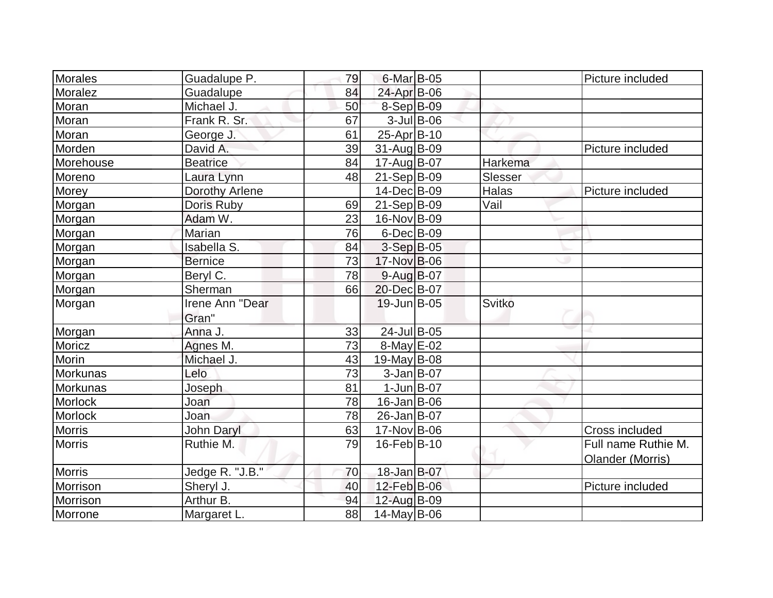| Morales       | Guadalupe P.       | 79              | $6$ -Mar $B$ -05   |               | Picture included    |
|---------------|--------------------|-----------------|--------------------|---------------|---------------------|
| Moralez       | Guadalupe          | 84              | 24-Apr B-06        |               |                     |
| Moran         | Michael J.         | 50              | 8-Sep B-09         |               |                     |
| Moran         | Frank R. Sr.       | 67              | $3$ -Jul B-06      |               |                     |
| Moran         | George J.          | 61              | $25$ -Apr $ B-10$  |               |                     |
| Morden        | David A.           | 39              | 31-Aug B-09        |               | Picture included    |
| Morehouse     | <b>Beatrice</b>    | 84              | 17-Aug B-07        | Harkema       |                     |
| Moreno        | Laura Lynn         | 48              | $21-Sep B-09$      | Slesser       |                     |
| Morey         | Dorothy Arlene     |                 | 14-Dec B-09        | Halas         | Picture included    |
| Morgan        | Doris Ruby         | 69              | $21-Sep B-09$      | Vail          |                     |
| Morgan        | Adam W.            | 23              | 16-Nov B-09        |               |                     |
| Morgan        | Marian             | 76              | $6$ -Dec $B$ -09   |               |                     |
| Morgan        | <b>Isabella S.</b> | 84              | 3-Sep B-05         |               |                     |
| Morgan        | <b>Bernice</b>     | 73              | 17-Nov B-06        |               |                     |
| Morgan        | Beryl C.           | 78              | $9$ -Aug B-07      |               |                     |
| Morgan        | Sherman            | 66              | 20-Dec B-07        |               |                     |
| Morgan        | Irene Ann "Dear    |                 | $19$ -Jun $B$ -05  | <b>Svitko</b> |                     |
|               | Gran"              |                 |                    |               |                     |
| Morgan        | Anna J.            | 33              | 24-Jul B-05        |               |                     |
| Moricz        | Agnes M.           | $\overline{73}$ | $8$ -May $E$ -02   |               |                     |
| Morin         | Michael J.         | 43              | $19$ -May B-08     |               |                     |
| Morkunas      | Lelo               | 73              | $3$ -Jan B-07      |               |                     |
| Morkunas      | Joseph             | 81              | $1$ -Jun $B$ -07   |               |                     |
| Morlock       | Joan               | 78              | $16$ -Jan $ B$ -06 |               |                     |
| Morlock       | Joan               | 78              | 26-Jan B-07        |               |                     |
| <b>Morris</b> | <b>John Daryl</b>  | 63              | 17-Nov B-06        |               | Cross included      |
| <b>Morris</b> | Ruthie M.          | 79              | $16$ -Feb $ B-10$  |               | Full name Ruthie M. |
|               |                    |                 |                    |               | Olander (Morris)    |
| Morris        | Jedge R. "J.B."    | 70              | 18-Jan B-07        |               |                     |
| Morrison      | Sheryl J.          | 40              | 12-Feb B-06        |               | Picture included    |
| Morrison      | Arthur B.          | 94              | 12-Aug B-09        |               |                     |
| Morrone       | Margaret L.        | 88              | 14-May B-06        |               |                     |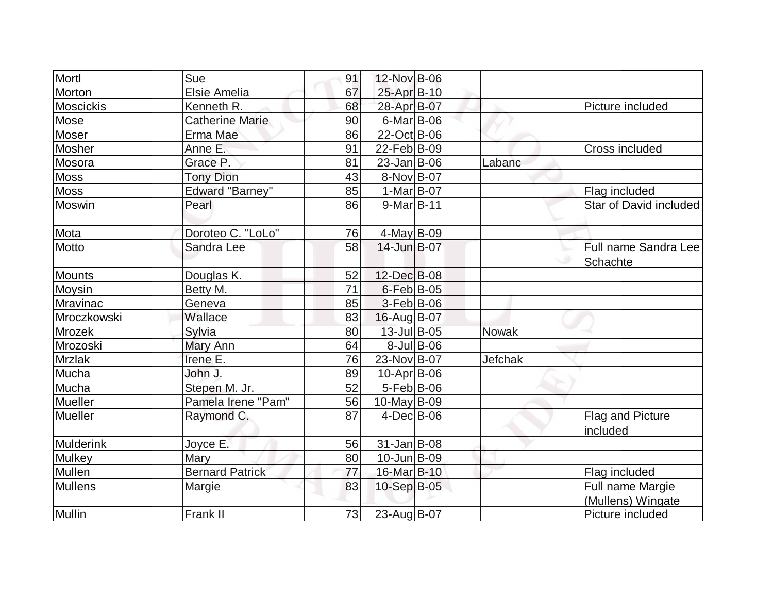| Mortl            | Sue                    | 91 | 12-Nov B-06        |               |         |                                       |
|------------------|------------------------|----|--------------------|---------------|---------|---------------------------------------|
| Morton           | Elsie Amelia           | 67 | 25-Apr B-10        |               |         |                                       |
| <b>Moscickis</b> | Kenneth R.             | 68 | 28-Apr B-07        |               |         | Picture included                      |
| Mose             | <b>Catherine Marie</b> | 90 | $6$ -Mar $B$ -06   |               |         |                                       |
| Moser            | Erma Mae               | 86 | 22-Oct B-06        |               |         |                                       |
| Mosher           | Anne E.                | 91 | 22-Feb B-09        |               |         | Cross included                        |
| Mosora           | Grace P.               | 81 | $23$ -Jan $ B-06$  |               | Labanc  |                                       |
| <b>Moss</b>      | <b>Tony Dion</b>       | 43 | 8-Nov B-07         |               |         |                                       |
| <b>Moss</b>      | <b>Edward "Barney"</b> | 85 | 1-Mar B-07         |               |         | Flag included                         |
| Moswin           | Pearl                  | 86 | $9-Mar$ B-11       |               |         | Star of David included                |
| <b>Mota</b>      | Doroteo C. "LoLo"      | 76 | $4$ -May B-09      |               |         |                                       |
| Motto            | Sandra Lee             | 58 | 14-Jun B-07        |               |         | Full name Sandra Lee<br>Schachte      |
| <b>Mounts</b>    | Douglas K.             | 52 | 12-Dec B-08        |               |         |                                       |
| Moysin           | Betty M.               | 71 | $6$ -Feb $B$ -05   |               |         |                                       |
| Mravinac         | Geneva                 | 85 | $3-Feb B-06$       |               |         |                                       |
| Mroczkowski      | Wallace                | 83 | 16-Aug B-07        |               |         |                                       |
| Mrozek           | Sylvia                 | 80 | 13-Jul B-05        |               | Nowak   |                                       |
| Mrozoski         | Mary Ann               | 64 |                    | $8$ -Jul B-06 |         |                                       |
| <b>Mrzlak</b>    | Irene E.               | 76 | 23-Nov B-07        |               | Jefchak |                                       |
| Mucha            | John J.                | 89 | 10-Apr B-06        |               |         |                                       |
| Mucha            | Stepen M. Jr.          | 52 | $5-Feb$ B-06       |               |         |                                       |
| Mueller          | Pamela Irene "Pam"     | 56 | $10$ -May B-09     |               |         |                                       |
| Mueller          | Raymond C.             | 87 | $4$ -Dec $B$ -06   |               |         | Flag and Picture<br>included          |
| Mulderink        | Joyce E.               | 56 | $31$ -Jan $ B-08 $ |               |         |                                       |
| <b>Mulkey</b>    | Mary                   | 80 | $10$ -Jun $B$ -09  |               |         |                                       |
| Mullen           | <b>Bernard Patrick</b> | 77 | 16-Mar B-10        |               |         | Flag included                         |
| <b>Mullens</b>   | Margie                 | 83 | 10-Sep B-05        |               |         | Full name Margie<br>(Mullens) Wingate |
| <b>Mullin</b>    | Frank II               | 73 | 23-Aug B-07        |               |         | Picture included                      |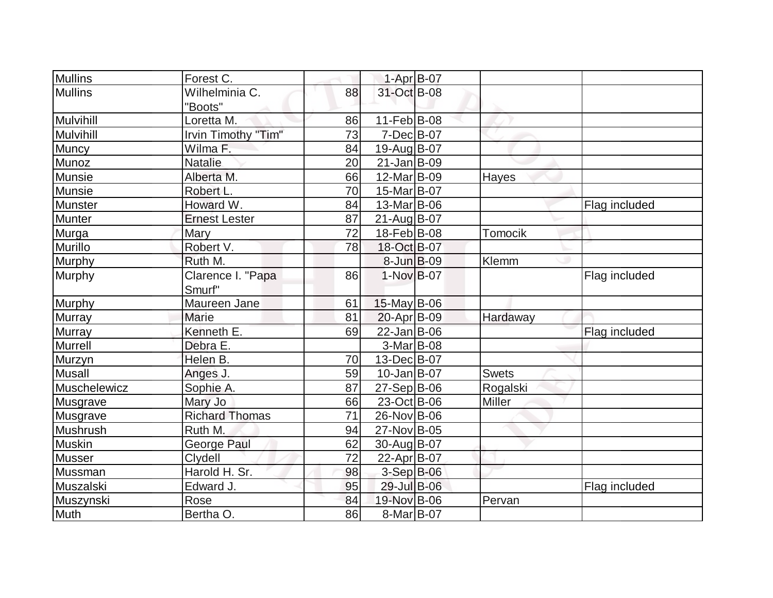| <b>Mullins</b> | Forest C.             |    | 1-Apr B-07        |               |               |
|----------------|-----------------------|----|-------------------|---------------|---------------|
| Mullins        | Wilhelminia C.        | 88 | 31-Oct B-08       |               |               |
|                | "Boots"               |    |                   |               |               |
| Mulvihill      | Loretta M.            | 86 | $11-Feb B-08$     |               |               |
| Mulvihill      | Irvin Timothy "Tim"   | 73 | $7 - Dec$ B-07    |               |               |
| Muncy          | Wilma F.              | 84 | 19-Aug B-07       |               |               |
| Munoz          | <b>Natalie</b>        | 20 | $21$ -Jan $ B-09$ |               |               |
| Munsie         | Alberta M.            | 66 | 12-Mar B-09       | Hayes         |               |
| Munsie         | Robert L.             | 70 | 15-Mar B-07       |               |               |
| Munster        | Howard W.             | 84 | 13-Mar B-06       |               | Flag included |
| Munter         | <b>Ernest Lester</b>  | 87 | 21-Aug B-07       |               |               |
| Murga          | <b>Mary</b>           | 72 | 18-Feb B-08       | Tomocik       |               |
| Murillo        | Robert V.             | 78 | 18-Oct B-07       |               |               |
| <b>Murphy</b>  | Ruth M.               |    | 8-Jun B-09        | Klemm         |               |
| Murphy         | Clarence I. "Papa     | 86 | $1-Nov$ B-07      |               | Flag included |
|                | Smurf"                |    |                   |               |               |
| Murphy         | Maureen Jane          | 61 | $15$ -May B-06    |               |               |
| Murray         | Marie                 | 81 | $20$ -Apr $B$ -09 | Hardaway      |               |
| <b>Murray</b>  | Kenneth E.            | 69 | 22-Jan B-06       |               | Flag included |
| Murrell        | Debra E.              |    | $3-Mar$ B-08      |               |               |
| Murzyn         | Helen B.              | 70 | 13-Dec B-07       |               |               |
| <b>Musall</b>  | Anges J.              | 59 | $10$ -Jan $ B-07$ | <b>Swets</b>  |               |
| Muschelewicz   | Sophie A.             | 87 | 27-Sep B-06       | Rogalski      |               |
| Musgrave       | Mary Jo               | 66 | 23-Oct B-06       | <b>Miller</b> |               |
| Musgrave       | <b>Richard Thomas</b> | 71 | 26-Nov B-06       |               |               |
| Mushrush       | Ruth M.               | 94 | 27-Nov B-05       |               |               |
| Muskin         | George Paul           | 62 | 30-Aug B-07       |               |               |
| <b>Musser</b>  | Clydell               | 72 | 22-Apr B-07       |               |               |
| Mussman        | Harold H. Sr.         | 98 | 3-Sep B-06        |               |               |
| Muszalski      | Edward J.             | 95 | 29-Jul B-06       |               | Flag included |
| Muszynski      | Rose                  | 84 | 19-Nov B-06       | Pervan        |               |
| <b>Muth</b>    | Bertha O.             | 86 | 8-Mar B-07        |               |               |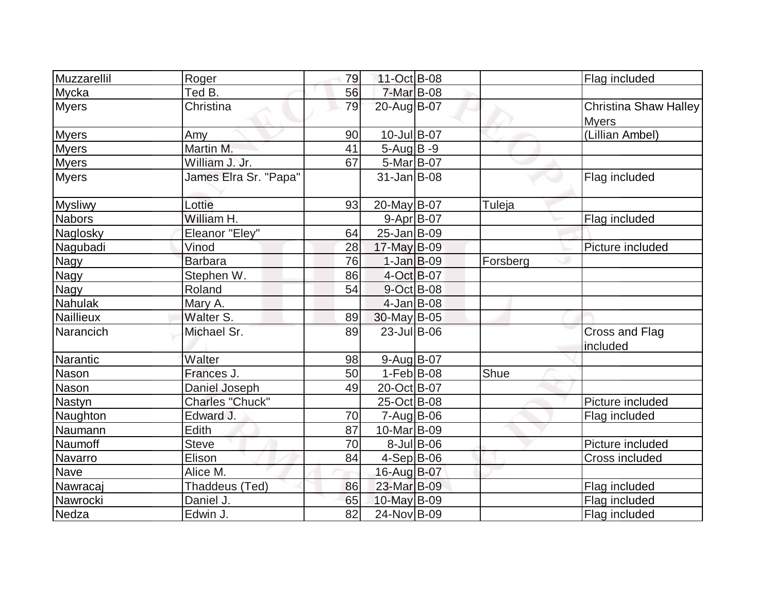| Muzzarellil      | Roger                 | 79 | 11-Oct B-08       |                  |          | Flag included                         |
|------------------|-----------------------|----|-------------------|------------------|----------|---------------------------------------|
| Mycka            | Ted B.                | 56 | 7-Mar B-08        |                  |          |                                       |
| <b>Myers</b>     | Christina             | 79 | 20-Aug B-07       |                  |          | Christina Shaw Halley<br><b>Myers</b> |
| <b>Myers</b>     | Amy                   | 90 | 10-Jul B-07       |                  |          | (Lillian Ambel)                       |
| <b>Myers</b>     | Martin M.             | 41 | $5-Aug B-9$       |                  |          |                                       |
| <b>Myers</b>     | William J. Jr.        | 67 | 5-Mar B-07        |                  |          |                                       |
| <b>Myers</b>     | James Elra Sr. "Papa" |    | $31$ -Jan $ B-08$ |                  |          | Flag included                         |
| <b>Mysliwy</b>   | Lottie                | 93 | 20-May B-07       |                  | Tuleja   |                                       |
| <b>Nabors</b>    | William H.            |    | $9 - Apr$ B-07    |                  |          | Flag included                         |
| Naglosky         | Eleanor "Eley"        | 64 | $25 - Jan$ B-09   |                  |          |                                       |
| Nagubadi         | Vinod                 | 28 | 17-May B-09       |                  |          | Picture included                      |
| <b>Nagy</b>      | <b>Barbara</b>        | 76 | $1-Jan$ $B-09$    |                  | Forsberg |                                       |
| <b>Nagy</b>      | Stephen W.            | 86 | 4-Oct B-07        |                  |          |                                       |
| <b>Nagy</b>      | Roland                | 54 | 9-Oct B-08        |                  |          |                                       |
| Nahulak          | Mary A.               |    | $4$ -Jan B-08     |                  |          |                                       |
| <b>Naillieux</b> | Walter S.             | 89 | 30-May B-05       |                  |          |                                       |
| Narancich        | Michael Sr.           | 89 | 23-Jul B-06       |                  |          | <b>Cross and Flag</b><br>included     |
| Narantic         | Walter                | 98 | $9$ -Aug B-07     |                  |          |                                       |
| <b>Nason</b>     | Frances J.            | 50 | $1-Feb B-08$      |                  | Shue     |                                       |
| Nason            | Daniel Joseph         | 49 | 20-Oct B-07       |                  |          |                                       |
| Nastyn           | Charles "Chuck"       |    | 25-Oct B-08       |                  |          | Picture included                      |
| Naughton         | Edward J.             | 70 | $7 - Aug$ B-06    |                  |          | Flag included                         |
| Naumann          | Edith                 | 87 | 10-Mar B-09       |                  |          |                                       |
| Naumoff          | <b>Steve</b>          | 70 |                   | $8$ -Jul $B$ -06 |          | Picture included                      |
| Navarro          | Elison                | 84 | $4-Sep B-06$      |                  |          | Cross included                        |
| Nave             | Alice M.              |    | 16-Aug B-07       |                  |          |                                       |
| Nawracaj         | Thaddeus (Ted)        | 86 | 23-Mar B-09       |                  |          | Flag included                         |
| Nawrocki         | Daniel J.             | 65 | 10-May B-09       |                  |          | Flag included                         |
| Nedza            | Edwin J.              | 82 | 24-Nov B-09       |                  |          | Flag included                         |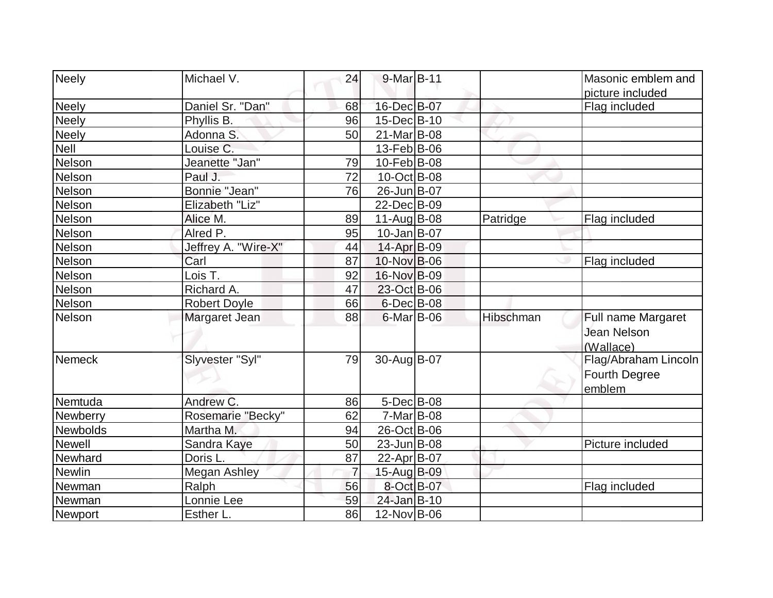| Neely           | Michael V.          | 24              | $9$ -Mar $B$ -11  |           | Masonic emblem and<br>picture included          |
|-----------------|---------------------|-----------------|-------------------|-----------|-------------------------------------------------|
| <b>Neely</b>    | Daniel Sr. "Dan"    | 68              | 16-Dec B-07       |           | Flag included                                   |
| <b>Neely</b>    | Phyllis B.          | 96              | 15-Dec B-10       |           |                                                 |
| <b>Neely</b>    | Adonna S.           | 50              | 21-Mar B-08       |           |                                                 |
| <b>Nell</b>     | Louise C.           |                 | 13-Feb B-06       |           |                                                 |
| Nelson          | Jeanette "Jan"      | 79              | 10-Feb B-08       |           |                                                 |
| Nelson          | Paul J.             | $\overline{72}$ | $10$ -Oct B-08    |           |                                                 |
| Nelson          | Bonnie "Jean"       | 76              | 26-Jun B-07       |           |                                                 |
| Nelson          | Elizabeth "Liz"     |                 | 22-Dec B-09       |           |                                                 |
| Nelson          | Alice M.            | 89              | 11-Aug B-08       | Patridge  | Flag included                                   |
| Nelson          | Alred P.            | 95              | $10$ -Jan $ B-07$ |           |                                                 |
| Nelson          | Jeffrey A. "Wire-X" | 44              | 14-Apr B-09       |           |                                                 |
| Nelson          | Carl                | 87              | 10-Nov B-06       |           | Flag included                                   |
| Nelson          | Lois T.             | 92              | 16-Nov B-09       |           |                                                 |
| Nelson          | Richard A.          | 47              | 23-Oct B-06       |           |                                                 |
| Nelson          | <b>Robert Doyle</b> | 66              | $6$ -Dec $B$ -08  |           |                                                 |
| Nelson          | Margaret Jean       | 88              | $6$ -Mar $ B$ -06 | Hibschman | Full name Margaret                              |
|                 |                     |                 |                   |           | <b>Jean Nelson</b><br>(Wallace)                 |
| <b>Nemeck</b>   | Slyvester "Syl"     | 79              | 30-Aug B-07       |           | Flag/Abraham Lincoln<br>Fourth Degree<br>emblem |
| Nemtuda         | Andrew C.           | 86              | $5$ -Dec $B$ -08  |           |                                                 |
| Newberry        | Rosemarie "Becky"   | 62              | $7-Mar$ B-08      |           |                                                 |
| <b>Newbolds</b> | Martha M.           | 94              | 26-Oct B-06       |           |                                                 |
| <b>Newell</b>   | Sandra Kaye         | 50              | $23$ -Jun $B$ -08 |           | Picture included                                |
| Newhard         | Doris L.            | 87              | 22-Apr B-07       |           |                                                 |
| Newlin          | <b>Megan Ashley</b> | $\overline{7}$  | 15-Aug B-09       |           |                                                 |
| Newman          | Ralph               | 56              | 8-Oct B-07        |           | Flag included                                   |
| Newman          | Lonnie Lee          | 59              | 24-Jan B-10       |           |                                                 |
| Newport         | Esther L.           | 86              | 12-Nov B-06       |           |                                                 |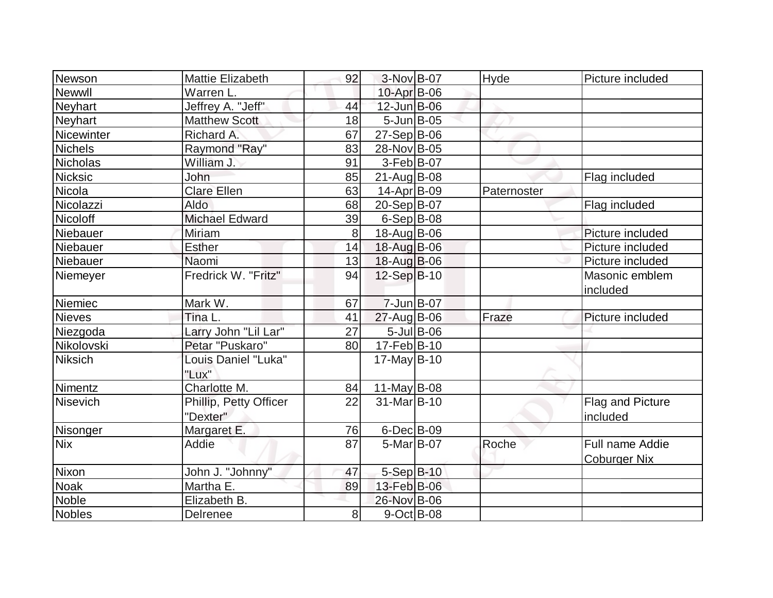| Newson                 | Mattie Elizabeth       | 92 | 3-Nov B-07         | Hyde        | Picture included    |
|------------------------|------------------------|----|--------------------|-------------|---------------------|
| Newwll                 | Warren L.              |    | $10$ -Apr $B$ -06  |             |                     |
| <b>Neyhart</b>         | Jeffrey A. "Jeff"      | 44 | 12-Jun B-06        |             |                     |
| <b>Neyhart</b>         | <b>Matthew Scott</b>   | 18 | $5 - Jun$ $B - 05$ |             |                     |
| Nicewinter             | Richard A.             | 67 | $27-Sep B-06$      |             |                     |
| <b>Nichels</b>         | Raymond "Ray"          | 83 | 28-Nov B-05        |             |                     |
| <b>Nicholas</b>        | William J.             | 91 | $3-Feb B-07$       |             |                     |
| Nicksic                | John                   | 85 | $21$ -Aug $ B-08$  |             | Flag included       |
| Nicola                 | <b>Clare Ellen</b>     | 63 | $14$ -Apr $ B-09 $ | Paternoster |                     |
| Nicolazzi              | <b>Aldo</b>            | 68 | 20-Sep B-07        |             | Flag included       |
| Nicoloff               | Michael Edward         | 39 | $6-Sep B-08$       |             |                     |
| Niebauer               | Miriam                 | 8  | 18-Aug B-06        |             | Picture included    |
| Niebauer               | <b>Esther</b>          | 14 | 18-Aug B-06        |             | Picture included    |
| Niebauer               | Naomi                  | 13 | 18-Aug B-06        |             | Picture included    |
| Niemeyer               | Fredrick W. "Fritz"    | 94 | 12-Sep B-10        |             | Masonic emblem      |
|                        |                        |    |                    |             | included            |
|                        |                        |    |                    |             |                     |
| Niemiec                | Mark W.                | 67 | $7 - Jun$ $B - 07$ |             |                     |
| Nieves                 | Tina L.                | 41 | 27-Aug B-06        | Fraze       | Picture included    |
| Niezgoda               | Larry John "Lil Lar"   | 27 | $5$ -Jul B-06      |             |                     |
| Nikolovski             | Petar "Puskaro"        | 80 | $17 - Feb$ B-10    |             |                     |
| <b>Niksich</b>         | Louis Daniel "Luka"    |    | $17$ -May B-10     |             |                     |
|                        | "Lux"                  |    |                    |             |                     |
| Nimentz                | Charlotte M.           | 84 | 11-May B-08        |             |                     |
| Nisevich               | Phillip, Petty Officer | 22 | 31-Mar B-10        |             | Flag and Picture    |
|                        | "Dexter"               |    |                    |             | included            |
| Nisonger               | Margaret E.            | 76 | $6$ -Dec $B$ -09   |             |                     |
| <b>Nix</b>             | Addie                  | 87 | $5-Mar$ B-07       | Roche       | Full name Addie     |
|                        |                        |    |                    |             | <b>Coburger Nix</b> |
| Nixon                  | John J. "Johnny"       | 47 | 5-Sep B-10         |             |                     |
| <b>Noak</b>            | Martha E.              | 89 | 13-Feb B-06        |             |                     |
| <b>Noble</b><br>Nobles | Elizabeth B.           |    | 26-Nov B-06        |             |                     |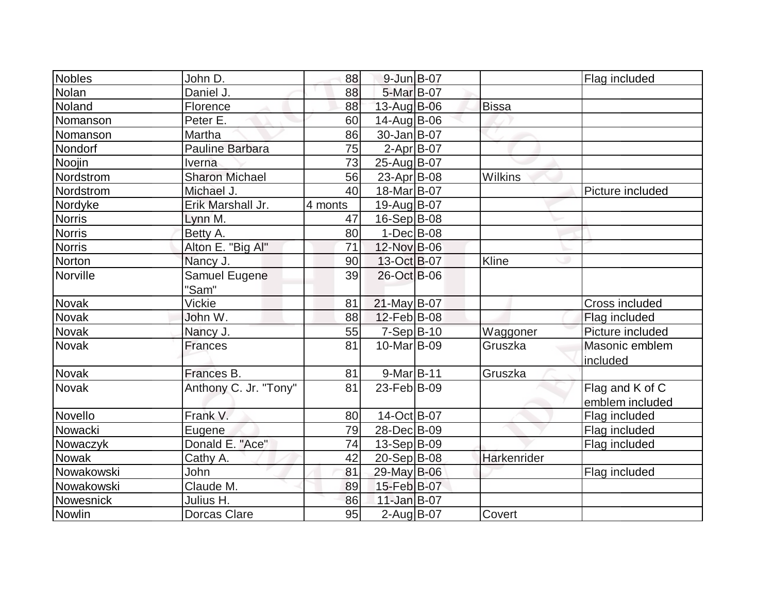| Nobles<br>John D.                     | 88      | 9-Jun B-07             |              | Flag included    |
|---------------------------------------|---------|------------------------|--------------|------------------|
| Nolan<br>Daniel J.                    | 88      | 5-Mar B-07             |              |                  |
| Noland<br>Florence                    | 88      | 13-Aug B-06            | <b>Bissa</b> |                  |
| Peter E.<br>Nomanson                  | 60      | 14-Aug B-06            |              |                  |
| Martha<br>Nomanson                    | 86      | 30-Jan B-07            |              |                  |
| Pauline Barbara<br>Nondorf            | 75      | $2$ -Apr $B$ -07       |              |                  |
| Noojin<br>Iverna                      | 73      | 25-Aug B-07            |              |                  |
| Sharon Michael<br>Nordstrom           | 56      | $23$ -Apr $ B-08 $     | Wilkins      |                  |
| Nordstrom<br>Michael J.               | 40      | 18-Mar B-07            |              | Picture included |
| Erik Marshall Jr.<br>Nordyke          | 4 monts | 19-Aug B-07            |              |                  |
| <b>Norris</b><br>Lynn M.              | 47      | $16-Sep B-08$          |              |                  |
| Betty A.<br><b>Norris</b>             | 80      | $1-Dec B-08$           |              |                  |
| <b>Norris</b><br>Alton E. "Big Al"    | 71      | 12-Nov B-06            |              |                  |
| Norton<br>Nancy J.                    | 90      | 13-Oct B-07            | Kline        |                  |
| Norville<br>Samuel Eugene             | 39      | 26-Oct B-06            |              |                  |
| "Sam"                                 |         |                        |              |                  |
| Vickie<br><b>Novak</b>                | 81      | $21$ -May B-07         |              | Cross included   |
| Novak<br>John W.                      | 88      | $12$ -Feb $ B-08$      |              | Flag included    |
| <b>Novak</b><br>Nancy J.              | 55      | 7-Sep B-10             | Waggoner     | Picture included |
| Novak<br><b>Frances</b>               | 81      | 10-Mar <sub>B-09</sub> | Gruszka      | Masonic emblem   |
|                                       |         |                        |              | included         |
| Novak<br>Frances B.                   | 81      | 9-Mar B-11             | Gruszka      |                  |
| Anthony C. Jr. "Tony"<br><b>Novak</b> | 81      | 23-Feb B-09            |              | Flag and K of C  |
|                                       |         |                        |              | emblem included  |
| Novello<br>Frank V.                   | 80      | 14-Oct B-07            |              | Flag included    |
| Nowacki<br>Eugene                     | 79      | 28-DecB-09             |              | Flag included    |
| Donald E. "Ace"<br>Nowaczyk           | 74      | 13-Sep B-09            |              | Flag included    |
| Cathy A.<br><b>Nowak</b>              | 42      | $20 - Sep$ B-08        | Harkenrider  |                  |
| John<br>Nowakowski                    | 81      | 29-May B-06            |              | Flag included    |
| Claude M.<br>Nowakowski               | 89      | 15-Feb B-07            |              |                  |
| Nowesnick<br>Julius H.                | 86      | 11-Jan B-07            |              |                  |
| Nowlin<br><b>Dorcas Clare</b>         | 95      | 2-Aug B-07             | Covert       |                  |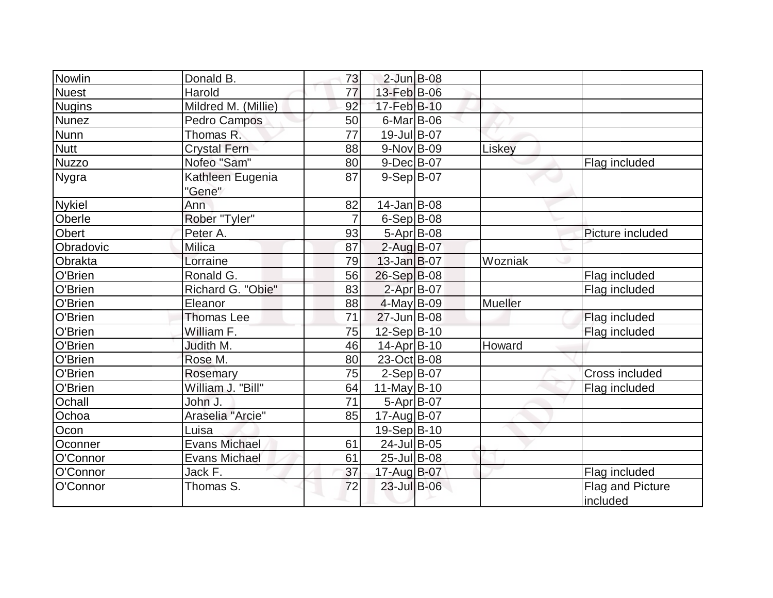| Nowlin        | Donald B.            | 73             | $2$ -Jun B-08     |         |                  |
|---------------|----------------------|----------------|-------------------|---------|------------------|
| <b>Nuest</b>  | Harold               | 77             | 13-Feb B-06       |         |                  |
| <b>Nugins</b> | Mildred M. (Millie)  | 92             | 17-Feb B-10       |         |                  |
| <b>Nunez</b>  | <b>Pedro Campos</b>  | 50             | $6$ -Mar B-06     |         |                  |
| <b>Nunn</b>   | Thomas R.            | 77             | 19-Jul B-07       |         |                  |
| <b>Nutt</b>   | <b>Crystal Fern</b>  | 88             | 9-Nov B-09        | Liskey  |                  |
| <b>Nuzzo</b>  | Nofeo "Sam"          | 80             | $9$ -Dec $B$ -07  |         | Flag included    |
| Nygra         | Kathleen Eugenia     | 87             | $9-Sep B-07$      |         |                  |
|               | "Gene"               |                |                   |         |                  |
| <b>Nykiel</b> | Ann                  | 82             | $14$ -Jan B-08    |         |                  |
| Oberle        | Rober "Tyler"        | $\overline{7}$ | $6-Sep B-08$      |         |                  |
| <b>Obert</b>  | Peter A.             | 93             | 5-Apr B-08        |         | Picture included |
| Obradovic     | Milica               | 87             | $2$ -Aug B-07     |         |                  |
| Obrakta       | Lorraine             | 79             | $13$ -Jan B-07    | Wozniak |                  |
| O'Brien       | Ronald G.            | 56             | 26-Sep B-08       |         | Flag included    |
| O'Brien       | Richard G. "Obie"    | 83             | $2$ -Apr $B$ -07  |         | Flag included    |
| O'Brien       | Eleanor              | 88             | $4$ -May B-09     | Mueller |                  |
| O'Brien       | <b>Thomas Lee</b>    | 71             | 27-Jun B-08       |         | Flag included    |
| O'Brien       | William F.           | 75             | $12-Sep B-10$     |         | Flag included    |
| O'Brien       | Judith M.            | 46             | $14$ -Apr $ B-10$ | Howard  |                  |
| O'Brien       | Rose M.              | 80             | 23-Oct B-08       |         |                  |
| O'Brien       | Rosemary             | 75             | $2-Sep B-07$      |         | Cross included   |
| O'Brien       | William J. "Bill"    | 64             | $11$ -May B-10    |         | Flag included    |
| Ochall        | John J.              | 71             | 5-Apr B-07        |         |                  |
| Ochoa         | Araselia "Arcie"     | 85             | 17-Aug B-07       |         |                  |
| Ocon          | Luisa                |                | $19-Sep B-10$     |         |                  |
| Oconner       | <b>Evans Michael</b> | 61             | 24-Jul B-05       |         |                  |
| O'Connor      | <b>Evans Michael</b> | 61             | 25-Jul B-08       |         |                  |
| O'Connor      | Jack F.              | 37             | 17-Aug B-07       |         | Flag included    |
| O'Connor      | Thomas S.            | 72             | 23-Jul B-06       |         | Flag and Picture |
|               |                      |                |                   |         | included         |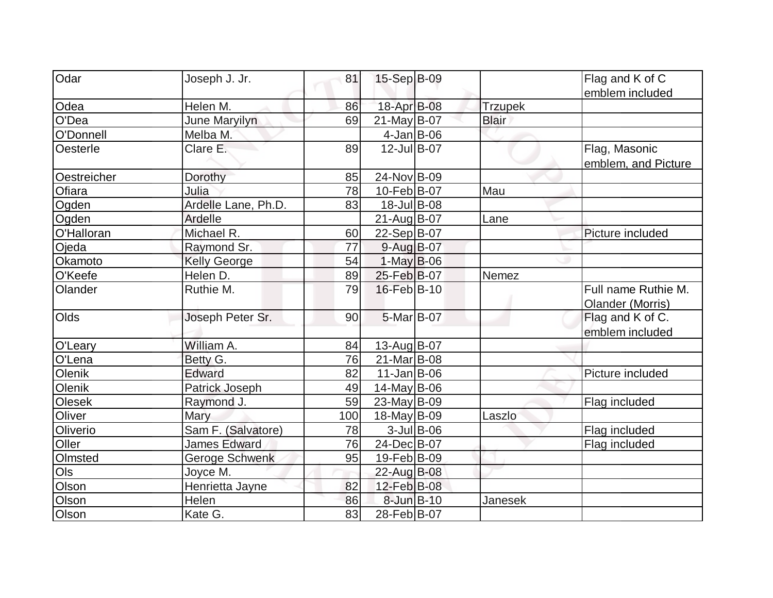| Odar        | Joseph J. Jr.       | 81  | 15-Sep B-09       |               |                | Flag and K of C     |
|-------------|---------------------|-----|-------------------|---------------|----------------|---------------------|
|             |                     |     |                   |               |                | emblem included     |
| Odea        | Helen M.            | 86  | 18-Apr B-08       |               | <b>Trzupek</b> |                     |
| O'Dea       | June Maryilyn       | 69  | $21$ -May B-07    |               | <b>Blair</b>   |                     |
| O'Donnell   | Melba M.            |     | $4$ -Jan $ B$ -06 |               |                |                     |
| Oesterle    | Clare E.            | 89  | 12-Jul B-07       |               |                | Flag, Masonic       |
|             |                     |     |                   |               |                | emblem, and Picture |
| Oestreicher | Dorothy             | 85  | 24-Nov B-09       |               |                |                     |
| Ofiara      | Julia               | 78  | 10-Feb B-07       |               | Mau            |                     |
| Ogden       | Ardelle Lane, Ph.D. | 83  | 18-Jul B-08       |               |                |                     |
| Ogden       | Ardelle             |     | 21-Aug B-07       |               | Lane           |                     |
| O'Halloran  | Michael R.          | 60  | 22-Sep B-07       |               |                | Picture included    |
| Ojeda       | Raymond Sr.         | 77  | $9$ -Aug B-07     |               |                |                     |
| Okamoto     | <b>Kelly George</b> | 54  | $1$ -May B-06     |               |                |                     |
| O'Keefe     | Helen D.            | 89  | 25-Feb B-07       |               | Nemez          |                     |
| Olander     | Ruthie M.           | 79  | 16-Feb B-10       |               |                | Full name Ruthie M. |
|             |                     |     |                   |               |                | Olander (Morris)    |
| Olds        | Joseph Peter Sr.    | 90  | 5-Mar B-07        |               |                | Flag and K of C.    |
|             |                     |     |                   |               |                | emblem included     |
| O'Leary     | William A.          | 84  | 13-Aug B-07       |               |                |                     |
| O'Lena      | Betty G.            | 76  | 21-Mar B-08       |               |                |                     |
| Olenik      | Edward              | 82  | $11$ -Jan $ B-06$ |               |                | Picture included    |
| Olenik      | Patrick Joseph      | 49  | $14$ -May B-06    |               |                |                     |
| Olesek      | Raymond J.          | 59  | 23-May B-09       |               |                | Flag included       |
| Oliver      | Mary                | 100 | $18$ -May B-09    |               | Laszlo         |                     |
| Oliverio    | Sam F. (Salvatore)  | 78  |                   | $3$ -Jul B-06 |                | Flag included       |
| Oller       | <b>James Edward</b> | 76  | 24-Dec B-07       |               |                | Flag included       |
| Olmsted     | Geroge Schwenk      | 95  | 19-Feb B-09       |               |                |                     |
| Ols         | Joyce M.            |     | 22-Aug B-08       |               |                |                     |
| Olson       | Henrietta Jayne     | 82  | 12-Feb B-08       |               |                |                     |
| Olson       | Helen               | 86  | 8-Jun B-10        |               | Janesek        |                     |
| Olson       | Kate G.             | 83  | 28-Feb B-07       |               |                |                     |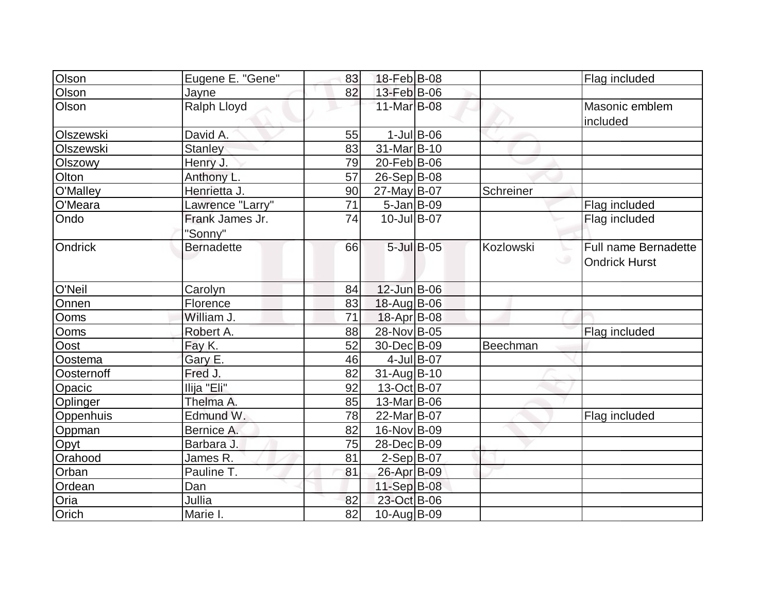| Olson      | Eugene E. "Gene"  | 83 | 18-Feb B-08            |                  |           | Flag included        |
|------------|-------------------|----|------------------------|------------------|-----------|----------------------|
| Olson      | Jayne             | 82 | 13-Feb B-06            |                  |           |                      |
| Olson      | Ralph Lloyd       |    | 11-Mar B-08            |                  |           | Masonic emblem       |
| Olszewski  | David A.          | 55 |                        | $1$ -Jul B-06    |           | included             |
| Olszewski  |                   |    | 31-Mar B-10            |                  |           |                      |
|            | <b>Stanley</b>    | 83 |                        |                  |           |                      |
| Olszowy    | Henry J.          | 79 | 20-Feb B-06            |                  |           |                      |
| Olton      | Anthony L.        | 57 | 26-Sep B-08            |                  |           |                      |
| O'Malley   | Henrietta J.      | 90 | 27-May B-07            |                  | Schreiner |                      |
| O'Meara    | Lawrence "Larry"  | 71 | $5$ -Jan B-09          |                  |           | Flag included        |
| Ondo       | Frank James Jr.   | 74 | $10$ -Jul B-07         |                  |           | Flag included        |
|            | "Sonny"           |    |                        |                  |           |                      |
| Ondrick    | <b>Bernadette</b> | 66 |                        | $5$ -Jul $B$ -05 | Kozlowski | Full name Bernadette |
|            |                   |    |                        |                  |           | <b>Ondrick Hurst</b> |
|            |                   |    |                        |                  |           |                      |
| O'Neil     | Carolyn           | 84 | $12$ -Jun $B$ -06      |                  |           |                      |
| Onnen      | Florence          | 83 | 18-Aug B-06            |                  |           |                      |
| Ooms       | William J.        | 71 | 18-Apr B-08            |                  |           |                      |
| Ooms       | Robert A.         | 88 | 28-Nov B-05            |                  |           | Flag included        |
| Oost       | Fay K.            | 52 | 30-Dec B-09            |                  | Beechman  |                      |
| Oostema    | Gary E.           | 46 | 4-Jul B-07             |                  |           |                      |
| Oosternoff | Fred J.           | 82 | $31$ -Aug $ B-10$      |                  |           |                      |
| Opacic     | Ilija "Eli"       | 92 | 13-Oct B-07            |                  |           |                      |
| Oplinger   | Thelma A.         | 85 | 13-Mar B-06            |                  |           |                      |
| Oppenhuis  | Edmund W.         | 78 | 22-Mar <sub>B-07</sub> |                  |           | Flag included        |
| Oppman     | Bernice A.        | 82 | 16-Nov B-09            |                  |           |                      |
| Opyt       | Barbara J.        | 75 | 28-Dec B-09            |                  |           |                      |
| Orahood    | James R.          | 81 | $2-Sep B-07$           |                  |           |                      |
| Orban      | Pauline T.        | 81 | 26-Apr B-09            |                  |           |                      |
| Ordean     | Dan               |    | $11-Sep B-08$          |                  |           |                      |
| Oria       | Jullia            | 82 | 23-Oct B-06            |                  |           |                      |
| Orich      | Marie I.          | 82 | 10-Aug B-09            |                  |           |                      |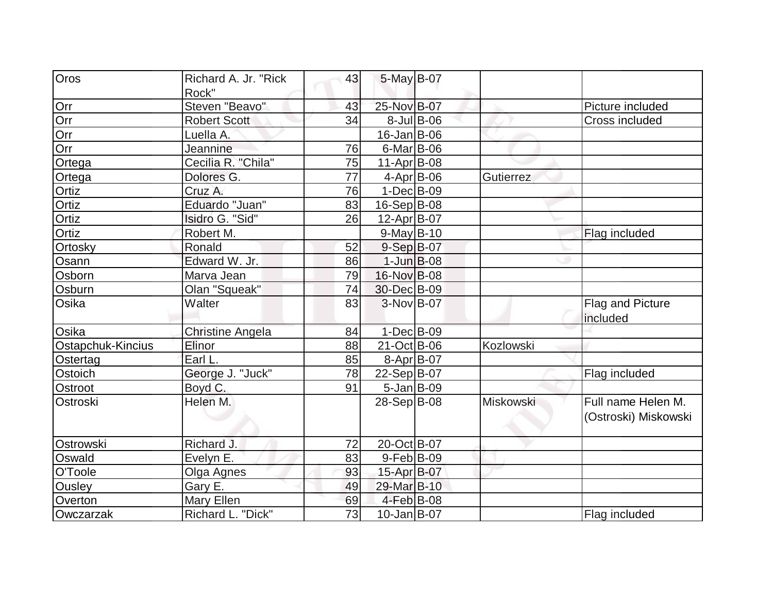| Oros              | Richard A. Jr. "Rick    | 43              | 5-May B-07         |                  |           |                               |
|-------------------|-------------------------|-----------------|--------------------|------------------|-----------|-------------------------------|
| Orr               | Rock"<br>Steven "Beavo" | 43              | 25-Nov B-07        |                  |           | Picture included              |
|                   |                         |                 |                    |                  |           |                               |
| Orr               | <b>Robert Scott</b>     | 34              |                    | $8$ -Jul $B$ -06 |           | <b>Cross included</b>         |
| Orr               | Luella A.               |                 | $16$ -Jan $ B$ -06 |                  |           |                               |
| Orr               | Jeannine                | 76              | $6$ -Mar $B$ -06   |                  |           |                               |
| Ortega            | Cecilia R. "Chila"      | 75              | $11-Apr B-08$      |                  |           |                               |
| Ortega            | Dolores G.              | $\overline{77}$ | $4$ -Apr $B$ -06   |                  | Gutierrez |                               |
| <b>Ortiz</b>      | Cruz A.                 | 76              | $1-Dec$ B-09       |                  |           |                               |
| Ortiz             | Eduardo "Juan"          | 83              | $16-Sep B-08$      |                  |           |                               |
| Ortiz             | Isidro G. "Sid"         | 26              | 12-Apr B-07        |                  |           |                               |
| Ortiz             | Robert M.               |                 | $9$ -May B-10      |                  |           | Flag included                 |
| Ortosky           | Ronald                  | 52              | $9-Sep$ B-07       |                  |           |                               |
| Osann             | Edward W. Jr.           | 86              | $1$ -Jun $B$ -08   |                  |           |                               |
| Osborn            | Marva Jean              | 79              | 16-Nov B-08        |                  |           |                               |
| Osburn            | Olan "Squeak"           | 74              | 30-Dec B-09        |                  |           |                               |
| Osika             | Walter                  | 83              | $3-Nov B-07$       |                  |           | Flag and Picture<br>lincluded |
| Osika             | <b>Christine Angela</b> | 84              | $1-Dec$ B-09       |                  |           |                               |
| Ostapchuk-Kincius | Elinor                  | 88              | $21$ -Oct B-06     |                  | Kozlowski |                               |
| Ostertag          | Earl L.                 | 85              | 8-Apr B-07         |                  |           |                               |
| Ostoich           | George J. "Juck"        | 78              | $22-Sep B-07$      |                  |           | Flag included                 |
| Ostroot           | Boyd C.                 | 91              | $5$ -Jan B-09      |                  |           |                               |
| Ostroski          | Helen M.                |                 | $28-Sep B-08$      |                  | Miskowski | Full name Helen M.            |
|                   |                         |                 |                    |                  |           | (Ostroski) Miskowski          |
| Ostrowski         | Richard J.              | 72              | 20-Oct B-07        |                  |           |                               |
| Oswald            | Evelyn E.               | 83              | $9$ -Feb $ B$ -09  |                  |           |                               |
| O'Toole           | Olga Agnes              | 93              | 15-Apr B-07        |                  |           |                               |
| <b>Ousley</b>     | Gary E.                 | 49              | 29-Mar B-10        |                  |           |                               |
| Overton           | <b>Mary Ellen</b>       | 69              | $4$ -Feb $ B-08$   |                  |           |                               |
| Owczarzak         | Richard L. "Dick"       | 73              | 10-Jan B-07        |                  |           | Flag included                 |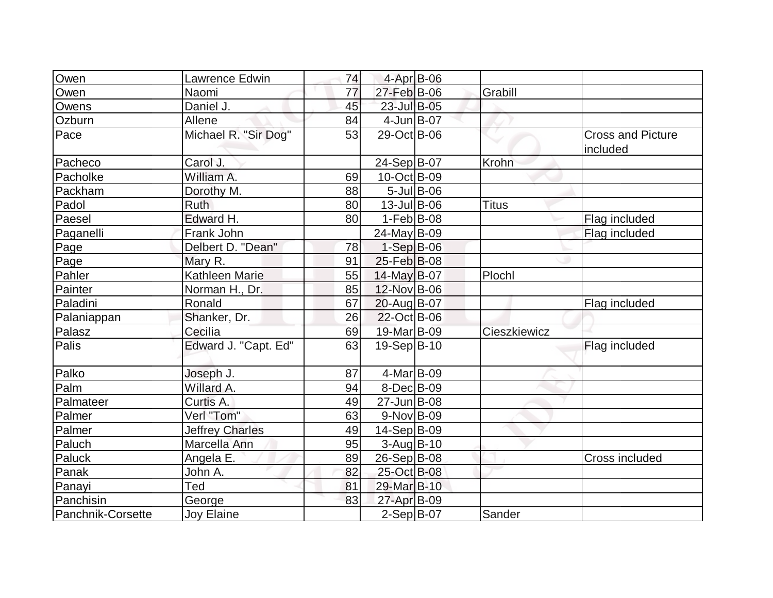| Owen              | Lawrence Edwin         | 74 | 4-Apr B-06       |                  |              |                                      |
|-------------------|------------------------|----|------------------|------------------|--------------|--------------------------------------|
| Owen              | Naomi                  | 77 | 27-Feb B-06      |                  | Grabill      |                                      |
| Owens             | Daniel J.              | 45 | 23-Jul B-05      |                  |              |                                      |
| Ozburn            | Allene                 | 84 | $4$ -Jun $B$ -07 |                  |              |                                      |
| Pace              | Michael R. "Sir Dog"   | 53 | 29-Oct B-06      |                  |              | <b>Cross and Picture</b><br>included |
| Pacheco           | Carol J.               |    | 24-Sep B-07      |                  | Krohn        |                                      |
| Pacholke          | William A.             | 69 | 10-Oct B-09      |                  |              |                                      |
| Packham           | Dorothy M.             | 88 |                  | $5$ -Jul $B$ -06 |              |                                      |
| Padol             | <b>Ruth</b>            | 80 | $13$ -Jul B-06   |                  | <b>Titus</b> |                                      |
| Paesel            | Edward H.              | 80 | $1-Feb B-08$     |                  |              | Flag included                        |
| Paganelli         | Frank John             |    | 24-May B-09      |                  |              | Flag included                        |
| Page              | Delbert D. "Dean"      | 78 | $1-Sep$ B-06     |                  |              |                                      |
| Page              | Mary R.                | 91 | 25-Feb B-08      |                  |              |                                      |
| Pahler            | Kathleen Marie         | 55 | $14$ -May B-07   |                  | Plochl       |                                      |
| Painter           | Norman H., Dr.         | 85 | 12-Nov B-06      |                  |              |                                      |
| Paladini          | Ronald                 | 67 | 20-Aug B-07      |                  |              | Flag included                        |
| Palaniappan       | Shanker, Dr.           | 26 | 22-Oct B-06      |                  |              |                                      |
| Palasz            | Cecilia                | 69 | 19-Mar B-09      |                  | Cieszkiewicz |                                      |
| Palis             | Edward J. "Capt. Ed"   | 63 | $19-Sep B-10$    |                  |              | Flag included                        |
| Palko             | Joseph J.              | 87 | 4-Mar B-09       |                  |              |                                      |
| Palm              | Willard A.             | 94 | $8$ -Dec $B$ -09 |                  |              |                                      |
| Palmateer         | Curtis A.              | 49 | 27-Jun B-08      |                  |              |                                      |
| Palmer            | Verl "Tom"             | 63 | $9-Nov$ B-09     |                  |              |                                      |
| Palmer            | <b>Jeffrey Charles</b> | 49 | 14-Sep B-09      |                  |              |                                      |
| Paluch            | Marcella Ann           | 95 | $3-Aug B-10$     |                  |              |                                      |
| Paluck            | Angela E.              | 89 | 26-Sep B-08      |                  |              | Cross included                       |
| Panak             | John A.                | 82 | 25-Oct B-08      |                  |              |                                      |
| Panayi            | Ted                    | 81 | 29-Mar B-10      |                  |              |                                      |
| Panchisin         | George                 | 83 | 27-Apr B-09      |                  |              |                                      |
| Panchnik-Corsette | <b>Joy Elaine</b>      |    | $2-Sep$ B-07     |                  | Sander       |                                      |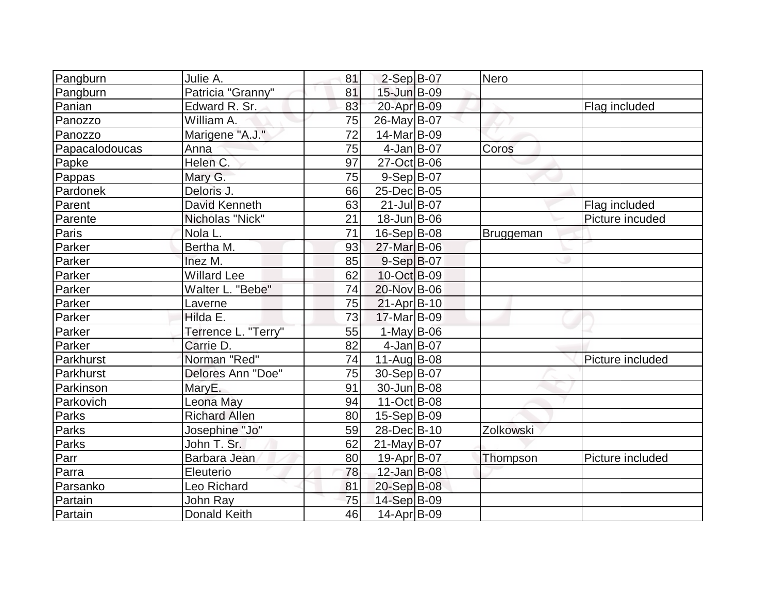| Pangburn       | Julie A.             | 81 | $2-Sep$ B-07       | Nero      |                  |
|----------------|----------------------|----|--------------------|-----------|------------------|
| Pangburn       | Patricia "Granny"    | 81 | 15-Jun B-09        |           |                  |
| Panian         | Edward R. Sr.        | 83 | 20-Apr B-09        |           | Flag included    |
| Panozzo        | William A.           | 75 | 26-May B-07        |           |                  |
| Panozzo        | Marigene "A.J."      | 72 | 14-Mar B-09        |           |                  |
| Papacalodoucas | Anna                 | 75 | $4$ -Jan B-07      | Coros     |                  |
| Papke          | Helen C.             | 97 | 27-Oct B-06        |           |                  |
| Pappas         | Mary G.              | 75 | $9-Sep B-07$       |           |                  |
| Pardonek       | Deloris J.           | 66 | 25-Dec B-05        |           |                  |
| Parent         | <b>David Kenneth</b> | 63 | 21-Jul B-07        |           | Flag included    |
| Parente        | Nicholas "Nick"      | 21 | $18$ -Jun $ B-06$  |           | Picture incuded  |
| Paris          | Nola L.              | 71 | $16-Sep B-08$      | Bruggeman |                  |
| Parker         | Bertha M.            | 93 | 27-Mar B-06        |           |                  |
| Parker         | Inez M.              | 85 | $9-Sep B-07$       |           |                  |
| Parker         | <b>Willard Lee</b>   | 62 | 10-Oct B-09        |           |                  |
| Parker         | Walter L. "Bebe"     | 74 | 20-Nov B-06        |           |                  |
| Parker         | Laverne              | 75 | $21-Apr B-10$      |           |                  |
| Parker         | Hilda E.             | 73 | 17-Mar B-09        |           |                  |
| Parker         | Terrence L. "Terry"  | 55 | $1-May$ B-06       |           |                  |
| Parker         | Carrie D.            | 82 | $4$ -Jan B-07      |           |                  |
| Parkhurst      | Norman "Red"         | 74 | $11$ -Aug B-08     |           | Picture included |
| Parkhurst      | Delores Ann "Doe"    | 75 | 30-Sep B-07        |           |                  |
| Parkinson      | MaryE.               | 91 | 30-Jun B-08        |           |                  |
| Parkovich      | Leona May            | 94 | 11-Oct B-08        |           |                  |
| <b>Parks</b>   | <b>Richard Allen</b> | 80 | $15-Sep B-09$      |           |                  |
| Parks          | Josephine "Jo"       | 59 | 28-Dec B-10        | Zolkowski |                  |
| Parks          | John T. Sr.          | 62 | $21$ -May B-07     |           |                  |
| Parr           | Barbara Jean         | 80 | 19-Apr B-07        | Thompson  | Picture included |
| Parra          | Eleuterio            | 78 | 12-Jan B-08        |           |                  |
| Parsanko       | Leo Richard          | 81 | 20-Sep B-08        |           |                  |
| Partain        | John Ray             | 75 | 14-Sep B-09        |           |                  |
| Partain        | <b>Donald Keith</b>  | 46 | $14$ -Apr $ B-09 $ |           |                  |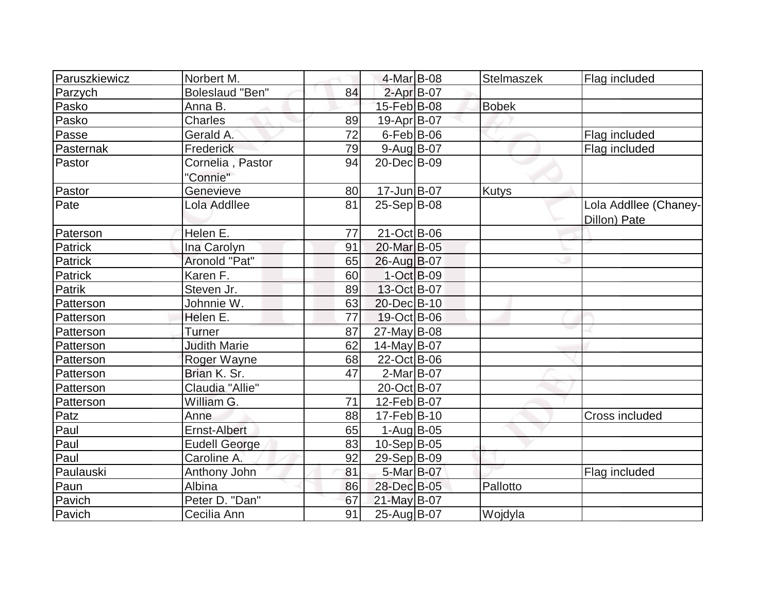| Paruszkiewicz | Norbert M.                   |    | $4$ -Mar $B$ -08  | Stelmaszek   | Flag included                         |
|---------------|------------------------------|----|-------------------|--------------|---------------------------------------|
| Parzych       | <b>Boleslaud "Ben"</b>       | 84 | $2$ -Apr $B$ -07  |              |                                       |
| Pasko         | Anna B.                      |    | 15-Feb B-08       | <b>Bobek</b> |                                       |
| Pasko         | Charles                      | 89 | 19-Apr B-07       |              |                                       |
| Passe         | Gerald A.                    | 72 | $6$ -Feb $ B$ -06 |              | Flag included                         |
| Pasternak     | Frederick                    | 79 | $9$ -Aug $B$ -07  |              | Flag included                         |
| Pastor        | Cornelia, Pastor<br>"Connie" | 94 | 20-Dec B-09       |              |                                       |
| Pastor        | Genevieve                    | 80 | $17$ -Jun $ B-07$ | <b>Kutys</b> |                                       |
| Pate          | Lola Addllee                 | 81 | 25-Sep B-08       |              | Lola Addllee (Chaney-<br>Dillon) Pate |
| Paterson      | Helen E.                     | 77 | $21$ -Oct B-06    |              |                                       |
| Patrick       | Ina Carolyn                  | 91 | 20-Mar B-05       |              |                                       |
| Patrick       | Aronold "Pat"                | 65 | 26-Aug B-07       |              |                                       |
| Patrick       | Karen F.                     | 60 | 1-Oct B-09        |              |                                       |
| Patrik        | Steven Jr.                   | 89 | 13-Oct B-07       |              |                                       |
| Patterson     | Johnnie W.                   | 63 | 20-Dec B-10       |              |                                       |
| Patterson     | Helen E.                     | 77 | 19-Oct B-06       |              |                                       |
| Patterson     | <b>Turner</b>                | 87 | $27$ -May B-08    |              |                                       |
| Patterson     | <b>Judith Marie</b>          | 62 | $14$ -May B-07    |              |                                       |
| Patterson     | Roger Wayne                  | 68 | 22-Oct B-06       |              |                                       |
| Patterson     | Brian K. Sr.                 | 47 | $2-Mar$ B-07      |              |                                       |
| Patterson     | Claudia "Allie"              |    | 20-Oct B-07       |              |                                       |
| Patterson     | William G.                   | 71 | 12-Feb B-07       |              |                                       |
| Patz          | Anne                         | 88 | $17$ -Feb $ B-10$ |              | Cross included                        |
| Paul          | Ernst-Albert                 | 65 | $1-Auq$ B-05      |              |                                       |
| Paul          | <b>Eudell George</b>         | 83 | $10-Sep B-05$     |              |                                       |
| Paul          | Caroline A.                  | 92 | 29-Sep B-09       |              |                                       |
| Paulauski     | Anthony John                 | 81 | 5-Mar B-07        |              | Flag included                         |
| Paun          | Albina                       | 86 | 28-Dec B-05       | Pallotto     |                                       |
| Pavich        | Peter D. "Dan"               | 67 | 21-May B-07       |              |                                       |
| Pavich        | Cecilia Ann                  | 91 | 25-Aug B-07       | Wojdyla      |                                       |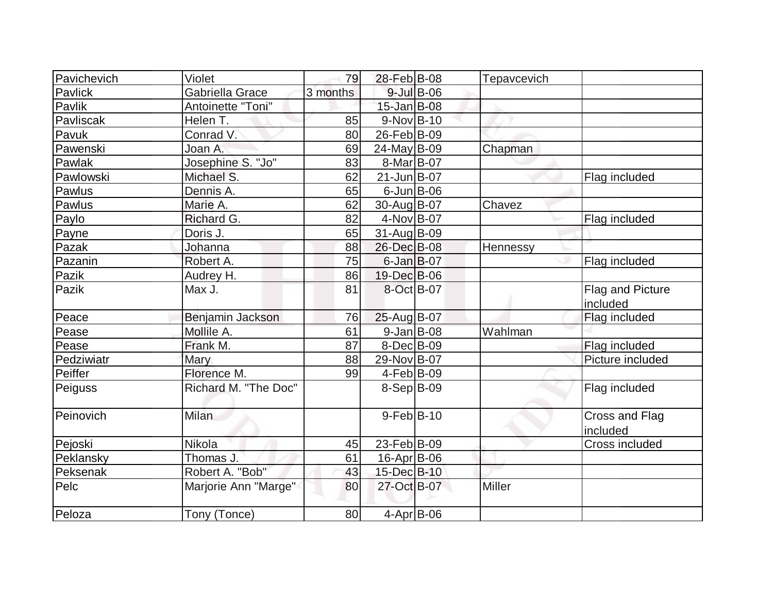| Pavichevich | Violet               | 79       | 28-Feb B-08        |                  | Tepavcevich   |                              |
|-------------|----------------------|----------|--------------------|------------------|---------------|------------------------------|
| Pavlick     | Gabriella Grace      | 3 months |                    | $9$ -Jul $B$ -06 |               |                              |
| Pavlik      | Antoinette "Toni"    |          | $15$ -Jan B-08     |                  |               |                              |
| Pavliscak   | Helen T.             | 85       | $9-Nov B-10$       |                  |               |                              |
| Pavuk       | Conrad V.            | 80       | $26$ -Feb $ B-09 $ |                  |               |                              |
| Pawenski    | Joan A.              | 69       | 24-May B-09        |                  | Chapman       |                              |
| Pawlak      | Josephine S. "Jo"    | 83       | 8-Mar B-07         |                  |               |                              |
| Pawlowski   | Michael S.           | 62       | $21$ -Jun $B$ -07  |                  |               | Flag included                |
| Pawlus      | Dennis A.            | 65       | $6$ -Jun $B$ -06   |                  |               |                              |
| Pawlus      | Marie A.             | 62       | 30-Aug B-07        |                  | Chavez        |                              |
| Paylo       | Richard G.           | 82       | 4-Nov B-07         |                  |               | Flag included                |
| Payne       | Doris J.             | 65       | $31$ -AugB-09      |                  |               |                              |
| Pazak       | Johanna              | 88       | 26-Dec B-08        |                  | Hennessy      |                              |
| Pazanin     | Robert A.            | 75       | $6$ -Jan $B$ -07   |                  |               | Flag included                |
| Pazik       | Audrey H.            | 86       | 19-Dec B-06        |                  |               |                              |
| Pazik       | Max J.               | 81       | 8-Oct B-07         |                  |               | Flag and Picture<br>included |
| Peace       | Benjamin Jackson     | 76       | 25-Aug B-07        |                  |               | Flag included                |
| Pease       | Mollile A.           | 61       | $9$ -Jan B-08      |                  | Wahlman       |                              |
| Pease       | Frank M.             | 87       | $8-Dec$ $B-09$     |                  |               | Flag included                |
| Pedziwiatr  | Mary                 | 88       | 29-Nov B-07        |                  |               | Picture included             |
| Peiffer     | Florence M.          | 99       | $4-Feb B-09$       |                  |               |                              |
| Peiguss     | Richard M. "The Doc" |          | $8-Sep B-09$       |                  |               | Flag included                |
| Peinovich   | Milan                |          | $9$ -Feb $B$ -10   |                  |               | Cross and Flag<br>included   |
| Pejoski     | Nikola               | 45       | $23$ -Feb $ B-09 $ |                  |               | Cross included               |
| Peklansky   | Thomas J.            | 61       | 16-Apr B-06        |                  |               |                              |
| Peksenak    | Robert A. "Bob"      | 43       | 15-Dec B-10        |                  |               |                              |
| Pelc        | Marjorie Ann "Marge" | 80       | 27-Oct B-07        |                  | <b>Miller</b> |                              |
| Peloza      | Tony (Tonce)         | 80       | $4-Apr$ B-06       |                  |               |                              |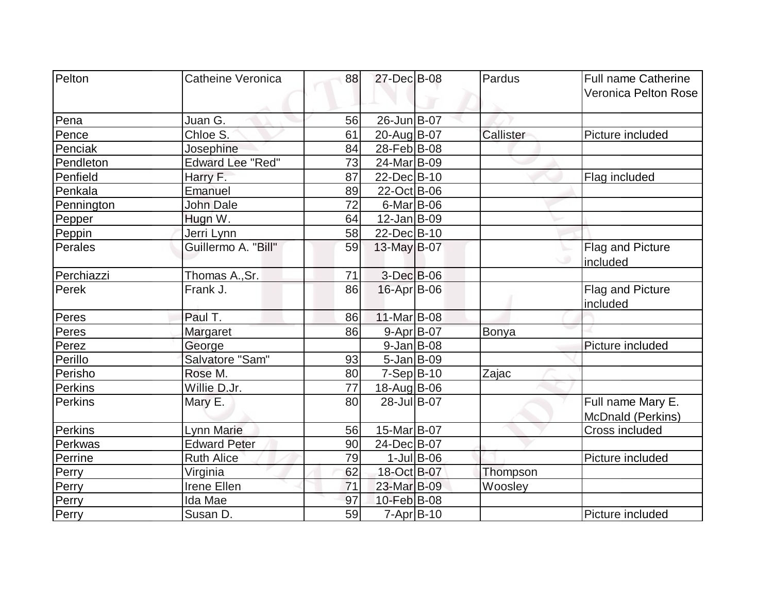| Pelton         | Catheine Veronica       | 88 | 27-Dec B-08            |               | Pardus    | <b>Full name Catherine</b> |
|----------------|-------------------------|----|------------------------|---------------|-----------|----------------------------|
|                |                         |    |                        |               |           | Veronica Pelton Rose       |
| Pena           | Juan G.                 | 56 | 26-Jun B-07            |               |           |                            |
| Pence          | Chloe S.                | 61 | 20-Aug B-07            |               | Callister | Picture included           |
| Penciak        | Josephine               | 84 | 28-Feb <sup>B-08</sup> |               |           |                            |
| Pendleton      | <b>Edward Lee "Red"</b> | 73 | 24-Mar B-09            |               |           |                            |
| Penfield       | Harry F.                | 87 | 22-Dec B-10            |               |           | Flag included              |
| Penkala        | Emanuel                 | 89 | 22-Oct B-06            |               |           |                            |
| Pennington     | <b>John Dale</b>        | 72 | $6$ -Mar $B$ -06       |               |           |                            |
| Pepper         | Hugn W.                 | 64 | $12$ -Jan $ B-09 $     |               |           |                            |
| Peppin         | Jerri Lynn              | 58 | 22-Dec B-10            |               |           |                            |
| <b>Perales</b> | Guillermo A. "Bill"     | 59 | 13-May B-07            |               |           | Flag and Picture           |
|                |                         |    |                        |               |           | included                   |
| Perchiazzi     | Thomas A., Sr.          | 71 | 3-Dec B-06             |               |           |                            |
| Perek          | Frank J.                | 86 | $16$ -Apr $ B$ -06     |               |           | Flag and Picture           |
|                |                         |    |                        |               |           | included                   |
| Peres          | Paul T.                 | 86 | 11-Mar B-08            |               |           |                            |
| Peres          | Margaret                | 86 | 9-Apr B-07             |               | Bonya     |                            |
| Perez          | George                  |    | $9$ -Jan B-08          |               |           | Picture included           |
| Perillo        | Salvatore "Sam"         | 93 | $5$ -Jan B-09          |               |           |                            |
| Perisho        | Rose M.                 | 80 | $7-Sep B-10$           |               | Zajac     |                            |
| <b>Perkins</b> | Willie D.Jr.            | 77 | 18-Aug B-06            |               |           |                            |
| Perkins        | Mary E.                 | 80 | 28-Jul B-07            |               |           | Full name Mary E.          |
|                |                         |    |                        |               |           | McDnald (Perkins)          |
| Perkins        | Lynn Marie              | 56 | 15-Mar B-07            |               |           | Cross included             |
| Perkwas        | <b>Edward Peter</b>     | 90 | 24-Dec B-07            |               |           |                            |
| Perrine        | <b>Ruth Alice</b>       | 79 |                        | $1$ -Jul B-06 |           | Picture included           |
| Perry          | Virginia                | 62 | 18-Oct B-07            |               | Thompson  |                            |
| Perry          | Irene Ellen             | 71 | 23-Mar B-09            |               | Woosley   |                            |
| Perry          | Ida Mae                 | 97 | 10-Feb B-08            |               |           |                            |
| Perry          | Susan D.                | 59 | $7 - Apr$ B-10         |               |           | Picture included           |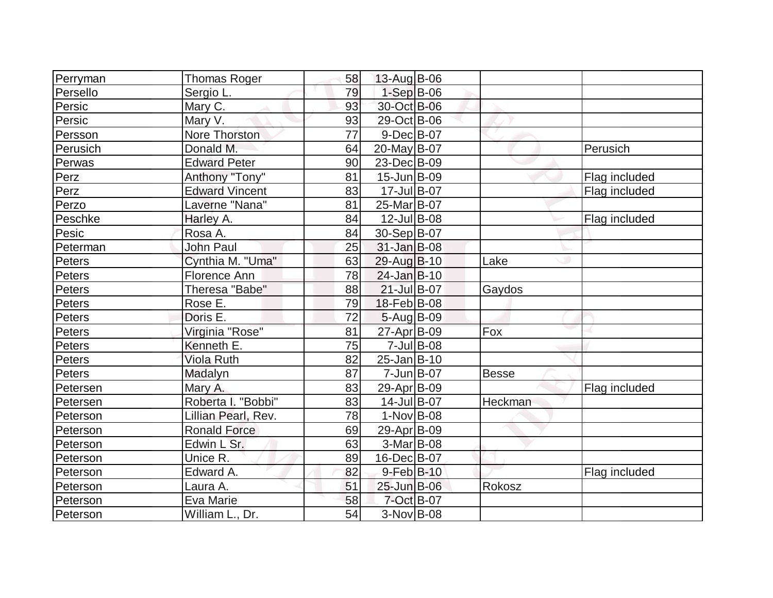| Perryman | <b>Thomas Roger</b>   | 58 | 13-Aug B-06       |              |               |
|----------|-----------------------|----|-------------------|--------------|---------------|
| Persello | Sergio L.             | 79 | $1-Sep$ $B-06$    |              |               |
| Persic   | Mary C.               | 93 | 30-Oct B-06       |              |               |
| Persic   | Mary V.               | 93 | 29-Oct B-06       |              |               |
| Persson  | Nore Thorston         | 77 | $9$ -Dec $B$ -07  |              |               |
| Perusich | Donald M.             | 64 | 20-May B-07       |              | Perusich      |
| Perwas   | <b>Edward Peter</b>   | 90 | 23-Dec B-09       |              |               |
| Perz     | Anthony "Tony"        | 81 | 15-Jun B-09       |              | Flag included |
| Perz     | <b>Edward Vincent</b> | 83 | 17-Jul B-07       |              | Flag included |
| Perzo    | Laverne "Nana"        | 81 | 25-Mar B-07       |              |               |
| Peschke  | Harley A.             | 84 | $12$ -Jul B-08    |              | Flag included |
| Pesic    | Rosa A.               | 84 | 30-Sep B-07       |              |               |
| Peterman | <b>John Paul</b>      | 25 | $31$ -Jan $B$ -08 |              |               |
| Peters   | Cynthia M. "Uma"      | 63 | 29-Aug B-10       | Lake         |               |
| Peters   | Florence Ann          | 78 | $24$ -Jan $B-10$  |              |               |
| Peters   | Theresa "Babe"        | 88 | $21$ -Jul B-07    | Gaydos       |               |
| Peters   | Rose E.               | 79 | 18-Feb B-08       |              |               |
| Peters   | Doris E.              | 72 | $5 - Aug$ B-09    |              |               |
| Peters   | Virginia "Rose"       | 81 | 27-Apr B-09       | Fox          |               |
| Peters   | Kenneth E.            | 75 | $7$ -Jul $ B$ -08 |              |               |
| Peters   | <b>Viola Ruth</b>     | 82 | $25$ -Jan $B$ -10 |              |               |
| Peters   | Madalyn               | 87 | 7-Jun B-07        | <b>Besse</b> |               |
| Petersen | Mary A.               | 83 | 29-Apr B-09       |              | Flag included |
| Petersen | Roberta I. "Bobbi"    | 83 | 14-Jul B-07       | Heckman      |               |
| Peterson | Lillian Pearl, Rev.   | 78 | $1-Nov B-08$      |              |               |
| Peterson | <b>Ronald Force</b>   | 69 | 29-Apr B-09       |              |               |
| Peterson | Edwin L Sr.           | 63 | 3-Mar B-08        |              |               |
| Peterson | Unice R.              | 89 | 16-Dec B-07       |              |               |
| Peterson | Edward A.             | 82 | $9$ -Feb $B$ -10  |              | Flag included |
| Peterson | Laura A.              | 51 | 25-Jun B-06       | Rokosz       |               |
| Peterson | Eva Marie             | 58 | 7-Oct B-07        |              |               |
| Peterson | William L., Dr.       | 54 | 3-Nov B-08        |              |               |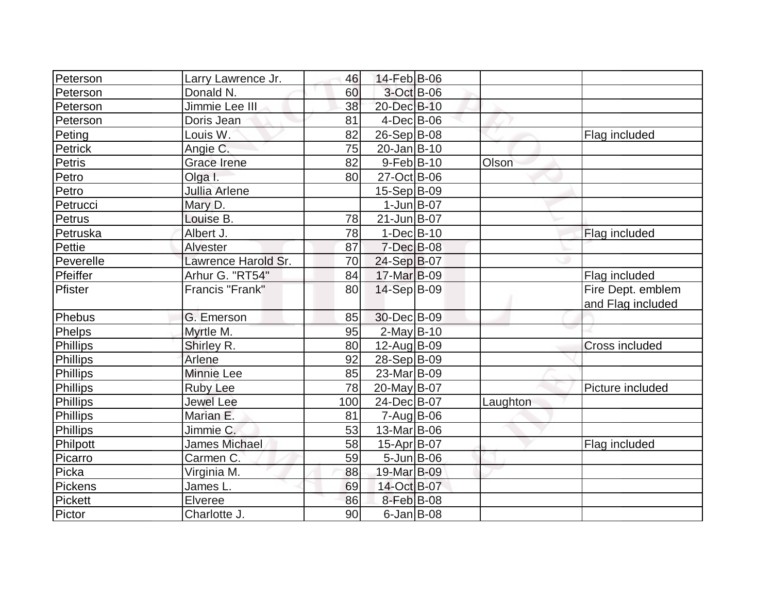| Peterson      | Larry Lawrence Jr.   | 46  | 14-Feb B-06             |          |                                        |
|---------------|----------------------|-----|-------------------------|----------|----------------------------------------|
| Peterson      | Donald N.            | 60  | 3-Oct B-06              |          |                                        |
| Peterson      | Jimmie Lee III       | 38  | 20-Dec B-10             |          |                                        |
| Peterson      | Doris Jean           | 81  | $4$ -Dec $ B$ -06       |          |                                        |
| Peting        | Louis W.             | 82  | $26-Sep B-08$           |          | Flag included                          |
| Petrick       | Angie C.             | 75  | 20-Jan B-10             |          |                                        |
| <b>Petris</b> | <b>Grace Irene</b>   | 82  | $9-Feb B-10$            | Olson    |                                        |
| Petro         | Olga I.              | 80  | 27-Oct B-06             |          |                                        |
| Petro         | Jullia Arlene        |     | 15-Sep B-09             |          |                                        |
| Petrucci      | Mary D.              |     | $1$ -Jun $B$ -07        |          |                                        |
| Petrus        | Louise B.            | 78  | 21-Jun B-07             |          |                                        |
| Petruska      | Albert J.            | 78  | $1-Dec B-10$            |          | Flag included                          |
| Pettie        | <b>Alvester</b>      | 87  | $7$ -Dec $B$ -08        |          |                                        |
| Peverelle     | Lawrence Harold Sr.  | 70  | 24-Sep B-07             |          |                                        |
| Pfeiffer      | Arhur G. "RT54"      | 84  | 17-Mar B-09             |          | Flag included                          |
| Pfister       | Francis "Frank"      | 80  | 14-Sep B-09             |          | Fire Dept. emblem<br>and Flag included |
| Phebus        | G. Emerson           | 85  | 30-Dec B-09             |          |                                        |
| Phelps        | Myrtle M.            | 95  | $2$ -May B-10           |          |                                        |
| Phillips      | Shirley R.           | 80  | 12-Aug B-09             |          | <b>Cross included</b>                  |
| Phillips      | Arlene               | 92  | $28-Sep B-09$           |          |                                        |
| Phillips      | Minnie Lee           | 85  | 23-Mar <sub>B</sub> -09 |          |                                        |
| Phillips      | <b>Ruby Lee</b>      | 78  | 20-May B-07             |          | Picture included                       |
| Phillips      | <b>Jewel Lee</b>     | 100 | 24-Dec B-07             | Laughton |                                        |
| Phillips      | Marian E.            | 81  | 7-Aug B-06              |          |                                        |
| Phillips      | Jimmie C.            | 53  | 13-Mar B-06             |          |                                        |
| Philpott      | <b>James Michael</b> | 58  | 15-Apr B-07             |          | Flag included                          |
| Picarro       | Carmen C.            | 59  | $5 - Jun$ $B - 06$      |          |                                        |
| Picka         | Virginia M.          | 88  | 19-Mar B-09             |          |                                        |
| Pickens       | James L.             | 69  | 14-Oct B-07             |          |                                        |
| Pickett       | Elveree              | 86  | 8-Feb B-08              |          |                                        |
| Pictor        | Charlotte J.         | 90  | $6$ -Jan $B$ -08        |          |                                        |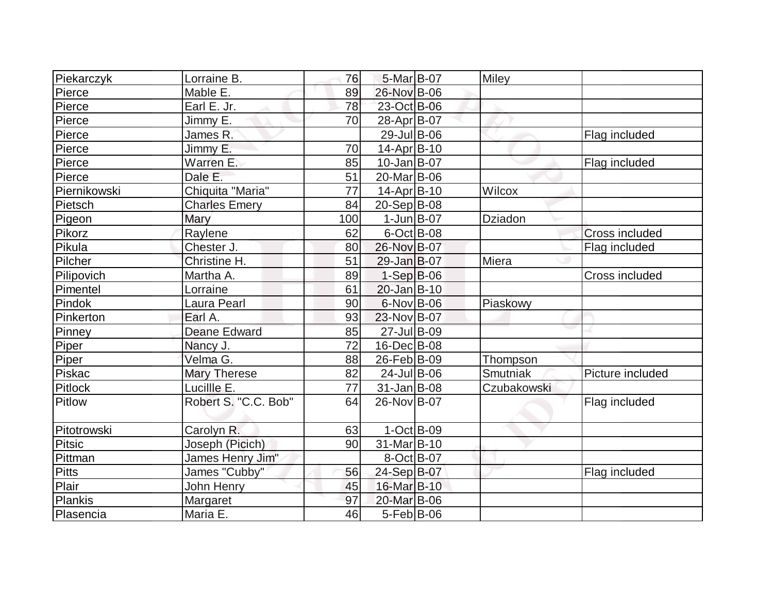| Piekarczyk    | Lorraine B.          | 76  | 5-Mar B-07         | <b>Miley</b> |                  |
|---------------|----------------------|-----|--------------------|--------------|------------------|
| Pierce        | Mable E.             | 89  | 26-Nov B-06        |              |                  |
| Pierce        | Earl E. Jr.          | 78  | 23-Oct B-06        |              |                  |
| Pierce        | Jimmy E.             | 70  | 28-Apr B-07        |              |                  |
| Pierce        | James R.             |     | 29-Jul B-06        |              | Flag included    |
| Pierce        | Jimmy E.             | 70  | $14$ -Apr $ B-10$  |              |                  |
| Pierce        | Warren E.            | 85  | $10$ -Jan $B$ -07  |              | Flag included    |
| Pierce        | Dale E.              | 51  | 20-Mar B-06        |              |                  |
| Piernikowski  | Chiquita "Maria"     | 77  | $14$ -Apr $ B-10$  | Wilcox       |                  |
| Pietsch       | <b>Charles Emery</b> | 84  | $20-Sep B-08$      |              |                  |
| Pigeon        | Mary                 | 100 | $1$ -Jun $B$ -07   | Dziadon      |                  |
| Pikorz        | Raylene              | 62  | $6$ -Oct B-08      |              | Cross included   |
| Pikula        | Chester J.           | 80  | 26-Nov B-07        |              | Flag included    |
| Pilcher       | Christine H.         | 51  | 29-Jan B-07        | Miera        |                  |
| Pilipovich    | Martha A.            | 89  | $1-Sep$ B-06       |              | Cross included   |
| Pimentel      | Lorraine             | 61  | 20-Jan B-10        |              |                  |
| Pindok        | Laura Pearl          | 90  | $6$ -Nov B-06      | Piaskowy     |                  |
| Pinkerton     | Earl A.              | 93  | 23-Nov B-07        |              |                  |
| Pinney        | <b>Deane Edward</b>  | 85  | 27-Jul B-09        |              |                  |
| Piper         | Nancy J.             | 72  | $16$ -Dec $B$ -08  |              |                  |
| Piper         | Velma G.             | 88  | 26-Feb B-09        | Thompson     |                  |
| Piskac        | <b>Mary Therese</b>  | 82  | $24$ -Jul B-06     | Smutniak     | Picture included |
| Pitlock       | Lucillle E.          | 77  | $31$ -Jan $ B-08 $ | Czubakowski  |                  |
| Pitlow        | Robert S. "C.C. Bob" | 64  | 26-Nov B-07        |              | Flag included    |
| Pitotrowski   | Carolyn R.           | 63  | $1-Oct$ B-09       |              |                  |
| <b>Pitsic</b> | Joseph (Picich)      | 90  | 31-Mar B-10        |              |                  |
| Pittman       | James Henry Jim"     |     | 8-Oct B-07         |              |                  |
| Pitts         | James "Cubby"        | 56  | 24-Sep B-07        |              | Flag included    |
| Plair         | John Henry           | 45  | 16-Mar B-10        |              |                  |
| Plankis       | Margaret             | 97  | 20-Mar B-06        |              |                  |
| Plasencia     | Maria E.             | 46  | $5-Feb B-06$       |              |                  |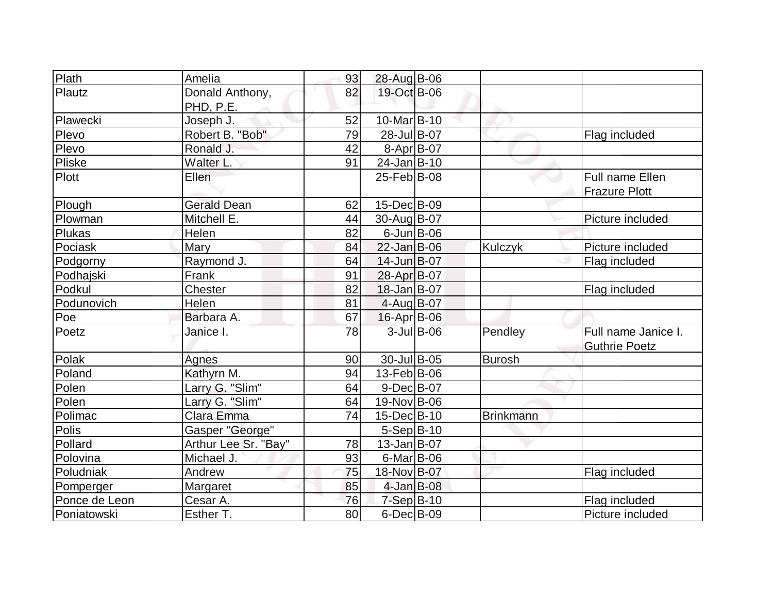| Plath         | Amelia                 | 93 | 28-Aug B-06            |               |                  |                      |
|---------------|------------------------|----|------------------------|---------------|------------------|----------------------|
| Plautz        | Donald Anthony,        | 82 | 19-Oct B-06            |               |                  |                      |
|               | PHD, P.E.              |    |                        |               |                  |                      |
| Plawecki      | Joseph J.              | 52 | 10-Mar <sub>B-10</sub> |               |                  |                      |
| Plevo         | Robert B. "Bob"        | 79 | 28-Jul B-07            |               |                  | Flag included        |
| Plevo         | Ronald J.              | 42 | $8-Apr$ B-07           |               |                  |                      |
| Pliske        | Walter L.              | 91 | $24$ -Jan $B-10$       |               |                  |                      |
| Plott         | Ellen                  |    | 25-Feb B-08            |               |                  | Full name Ellen      |
|               |                        |    |                        |               |                  | <b>Frazure Plott</b> |
| Plough        | <b>Gerald Dean</b>     | 62 | $15$ -Dec $ B$ -09     |               |                  |                      |
| Plowman       | Mitchell E.            | 44 | 30-Aug B-07            |               |                  | Picture included     |
| <b>Plukas</b> | Helen                  | 82 | $6$ -Jun $B$ -06       |               |                  |                      |
| Pociask       | Mary                   | 84 | $22$ -Jan B-06         |               | <b>Kulczyk</b>   | Picture included     |
| Podgorny      | Raymond J.             | 64 | $14$ -Jun $B$ -07      |               |                  | Flag included        |
| Podhajski     | Frank                  | 91 | 28-Apr B-07            |               |                  |                      |
| Podkul        | Chester                | 82 | 18-Jan B-07            |               |                  | Flag included        |
| Podunovich    | Helen                  | 81 | $4$ -Aug B-07          |               |                  |                      |
| Poe           | Barbara A.             | 67 | $16$ -Apr $ B$ -06     |               |                  |                      |
| Poetz         | Janice I.              | 78 |                        | $3$ -Jul B-06 | Pendley          | Full name Janice I.  |
|               |                        |    |                        |               |                  | <b>Guthrie Poetz</b> |
| Polak         | Agnes                  | 90 | 30-Jul B-05            |               | Burosh           |                      |
| Poland        | Kathyrn M.             | 94 | $13$ -Feb $ B$ -06     |               |                  |                      |
| Polen         | Larry G. "Slim"        | 64 | $9-Dec$ B-07           |               |                  |                      |
| Polen         | Larry G. "Slim"        | 64 | 19-Nov B-06            |               |                  |                      |
| Polimac       | Clara Emma             | 74 | 15-Dec B-10            |               | <b>Brinkmann</b> |                      |
| Polis         | <b>Gasper "George"</b> |    | $5-Sep B-10$           |               |                  |                      |
| Pollard       | Arthur Lee Sr. "Bay"   | 78 | $13$ -Jan $ B-07$      |               |                  |                      |
| Polovina      | Michael J.             | 93 | $6$ -Mar $ B$ -06      |               |                  |                      |
| Poludniak     | Andrew                 | 75 | 18-Nov B-07            |               |                  | Flag included        |
| Pomperger     | Margaret               | 85 | $4$ -Jan B-08          |               |                  |                      |
| Ponce de Leon | Cesar A.               | 76 | $7-Sep$ B-10           |               |                  | Flag included        |
| Poniatowski   | Esther T.              | 80 | $6$ -Dec $B$ -09       |               |                  | Picture included     |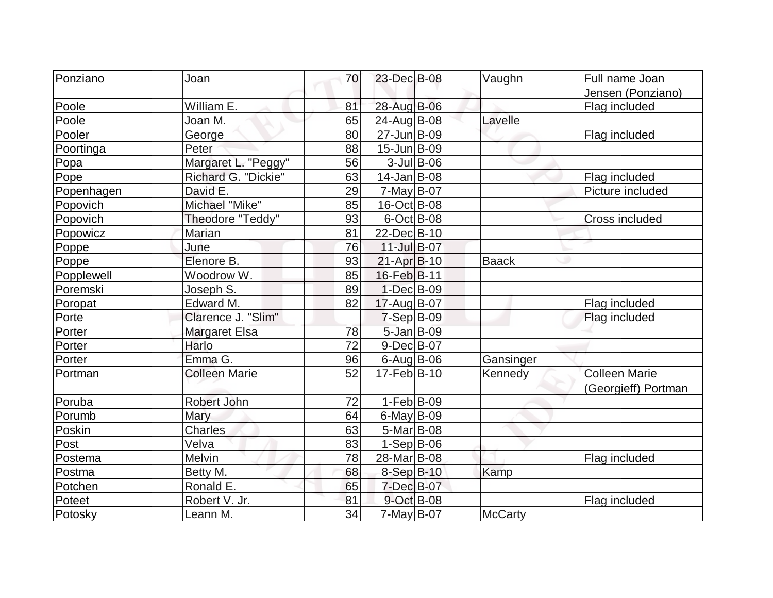| Ponziano   | Joan                 | 70              | 23-Dec B-08            |               | Vaughn         | Full name Joan       |
|------------|----------------------|-----------------|------------------------|---------------|----------------|----------------------|
|            |                      |                 |                        |               |                | Jensen (Ponziano)    |
| Poole      | William E.           | 81              | 28-Aug B-06            |               |                | Flag included        |
| Poole      | Joan M.              | 65              | 24-Aug B-08            |               | Lavelle        |                      |
| Pooler     | George               | 80              | 27-Jun B-09            |               |                | Flag included        |
| Poortinga  | Peter                | 88              | $15$ -Jun $B$ -09      |               |                |                      |
| Popa       | Margaret L. "Peggy"  | 56              |                        | $3$ -Jul B-06 |                |                      |
| Pope       | Richard G. "Dickie"  | 63              | $14$ -Jan $ B-08 $     |               |                | Flag included        |
| Popenhagen | David E.             | 29              | 7-May B-07             |               |                | Picture included     |
| Popovich   | Michael "Mike"       | 85              | 16-Oct B-08            |               |                |                      |
| Popovich   | Theodore "Teddy"     | 93              | $6$ -Oct B-08          |               |                | Cross included       |
| Popowicz   | Marian               | 81              | 22-DecB-10             |               |                |                      |
| Poppe      | June                 | 76              | $11$ -JulB-07          |               |                |                      |
| Poppe      | Elenore B.           | 93              | $21-Apr$ B-10          |               | <b>Baack</b>   |                      |
| Popplewell | Woodrow W.           | 85              | 16-Feb B-11            |               |                |                      |
| Poremski   | Joseph S.            | 89              | $1-Dec$ B-09           |               |                |                      |
| Poropat    | Edward M.            | 82              | 17-Aug B-07            |               |                | Flag included        |
| Porte      | Clarence J. "Slim"   |                 | $7-Sep$ B-09           |               |                | Flag included        |
| Porter     | <b>Margaret Elsa</b> | 78              | $5$ -Jan B-09          |               |                |                      |
| Porter     | Harlo                | $\overline{72}$ | $9-Dec$ B-07           |               |                |                      |
| Porter     | Emma G.              | 96              | $6$ -Aug B-06          |               | Gansinger      |                      |
| Portman    | <b>Colleen Marie</b> | 52              | $17 - \text{Feb}$ B-10 |               | Kennedy        | <b>Colleen Marie</b> |
|            |                      |                 |                        |               |                | (Georgieff) Portman  |
| Poruba     | Robert John          | 72              | $1-Feb B-09$           |               |                |                      |
| Porumb     | Mary                 | 64              | $6$ -May $B$ -09       |               |                |                      |
| Poskin     | Charles              | 63              | $5-Mar$ B-08           |               |                |                      |
| Post       | Velva                | 83              | $1-Sep B-06$           |               |                |                      |
| Postema    | Melvin               | 78              | 28-Mar B-08            |               |                | Flag included        |
| Postma     | Betty M.             | 68              | 8-Sep B-10             |               | Kamp           |                      |
| Potchen    | Ronald E.            | 65              | 7-Dec B-07             |               |                |                      |
| Poteet     | Robert V. Jr.        | 81              | 9-Oct B-08             |               |                | Flag included        |
| Potosky    | Leann M.             | 34              | 7-May B-07             |               | <b>McCarty</b> |                      |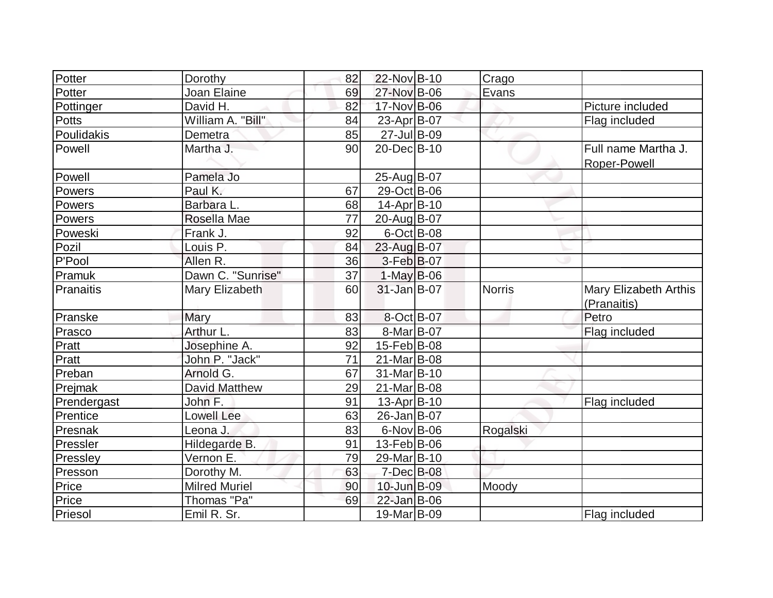| Potter       | Dorothy              | 82 | 22-Nov B-10        | Crago         |                                             |
|--------------|----------------------|----|--------------------|---------------|---------------------------------------------|
| Potter       | Joan Elaine          | 69 | 27-Nov B-06        | Evans         |                                             |
| Pottinger    | David H.             | 82 | 17-Nov B-06        |               | Picture included                            |
| <b>Potts</b> | William A. "Bill"    | 84 | 23-Apr B-07        |               | Flag included                               |
| Poulidakis   | Demetra              | 85 | 27-Jul B-09        |               |                                             |
| Powell       | Martha J.            | 90 | 20-Dec B-10        |               | Full name Martha J.<br>Roper-Powell         |
| Powell       | Pamela Jo            |    | 25-Aug B-07        |               |                                             |
| Powers       | Paul K.              | 67 | 29-Oct B-06        |               |                                             |
| Powers       | Barbara L            | 68 | 14-Apr B-10        |               |                                             |
| Powers       | Rosella Mae          | 77 | 20-Aug B-07        |               |                                             |
| Poweski      | Frank J.             | 92 | $6$ -Oct B-08      |               |                                             |
| Pozil        | Louis P.             | 84 | 23-Aug B-07        |               |                                             |
| P'Pool       | Allen R.             | 36 | $3-Feb B-07$       |               |                                             |
| Pramuk       | Dawn C. "Sunrise"    | 37 | $1-May B-06$       |               |                                             |
| Pranaitis    | Mary Elizabeth       | 60 | $31$ -Jan $B$ -07  | <b>Norris</b> | <b>Mary Elizabeth Arthis</b><br>(Pranaitis) |
| Pranske      | Mary                 | 83 | 8-Oct B-07         |               | Petro                                       |
| Prasco       | Arthur L.            | 83 | 8-Mar B-07         |               | Flag included                               |
| Pratt        | Josephine A.         | 92 | $15$ -Feb $ B$ -08 |               |                                             |
| Pratt        | John P. "Jack"       | 71 | 21-Mar B-08        |               |                                             |
| Preban       | Arnold G.            | 67 | 31-Mar B-10        |               |                                             |
| Prejmak      | <b>David Matthew</b> | 29 | 21-Mar B-08        |               |                                             |
| Prendergast  | John F.              | 91 | $13$ -Apr $ B-10$  |               | Flag included                               |
| Prentice     | <b>Lowell Lee</b>    | 63 | 26-Jan B-07        |               |                                             |
| Presnak      | Leona J.             | 83 | $6$ -Nov $B$ -06   | Rogalski      |                                             |
| Pressler     | Hildegarde B.        | 91 | 13-Feb B-06        |               |                                             |
| Pressley     | Vernon E.            | 79 | 29-Mar B-10        |               |                                             |
| Presson      | Dorothy M.           | 63 | $7$ -Dec $B$ -08   |               |                                             |
| Price        | <b>Milred Muriel</b> | 90 | 10-Jun B-09        | Moody         |                                             |
| Price        | Thomas "Pa"          | 69 | 22-Jan B-06        |               |                                             |
| Priesol      | Emil R. Sr.          |    | 19-Mar B-09        |               | Flag included                               |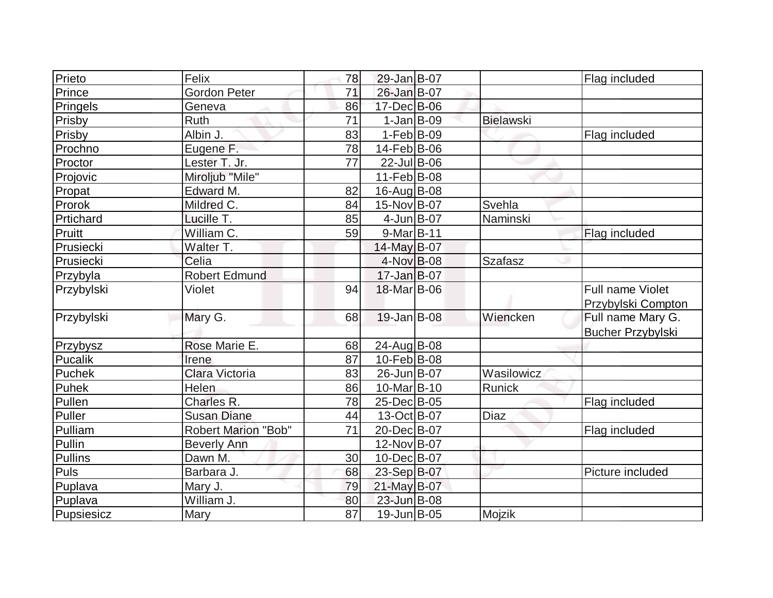| Prieto     | Felix                      | 78              | 29-Jan B-07             |                  | Flag included            |
|------------|----------------------------|-----------------|-------------------------|------------------|--------------------------|
| Prince     | <b>Gordon Peter</b>        | 71              | 26-Jan B-07             |                  |                          |
| Pringels   | Geneva                     | 86              | 17-Dec B-06             |                  |                          |
| Prisby     | Ruth                       | 71              | $1-Jan B-09$            | <b>Bielawski</b> |                          |
| Prisby     | Albin J.                   | 83              | $1-Feb$ B-09            |                  | Flag included            |
| Prochno    | Eugene F.                  | 78              | $14$ -Feb $ B-06$       |                  |                          |
| Proctor    | Lester T. Jr.              | 77              | $22$ -Jul B-06          |                  |                          |
| Projovic   | Miroljub "Mile"            |                 | 11-Feb B-08             |                  |                          |
| Propat     | Edward M.                  | 82              | 16-Aug B-08             |                  |                          |
| Prorok     | Mildred C.                 | 84              | 15-Nov B-07             | Svehla           |                          |
| Prtichard  | Lucille T.                 | 85              | $4$ -Jun $B$ -07        | Naminski         |                          |
| Pruitt     | William C.                 | 59              | $9-Mar$ B-11            |                  | Flag included            |
| Prusiecki  | Walter T.                  |                 | 14-May B-07             |                  |                          |
| Prusiecki  | Celia                      |                 | 4-Nov B-08              | <b>Szafasz</b>   |                          |
| Przybyla   | Robert Edmund              |                 | $17 - Jan$ B-07         |                  |                          |
| Przybylski | Violet                     | 94              | 18-Mar B-06             |                  | Full name Violet         |
|            |                            |                 |                         |                  | Przybylski Compton       |
| Przybylski | Mary G.                    | 68              | 19-Jan B-08             | Wiencken         | Full name Mary G.        |
|            |                            |                 |                         |                  | <b>Bucher Przybylski</b> |
| Przybysz   | Rose Marie E.              | 68              | 24-Aug B-08             |                  |                          |
| Pucalik    | Irene                      | 87              | $10$ -Feb $ B-08$       |                  |                          |
| Puchek     | Clara Victoria             | 83              | 26-Jun B-07             | Wasilowicz       |                          |
| Puhek      | Helen                      | 86              | 10-Mar <sub>B</sub> -10 | Runick           |                          |
| Pullen     | Charles R.                 | 78              | 25-Dec B-05             |                  | Flag included            |
| Puller     | <b>Susan Diane</b>         | 44              | 13-Oct B-07             | <b>Diaz</b>      |                          |
| Pulliam    | <b>Robert Marion "Bob"</b> | 71              | 20-Dec B-07             |                  | Flag included            |
| Pullin     | <b>Beverly Ann</b>         |                 | 12-Nov B-07             |                  |                          |
| Pullins    | Dawn M.                    | 30              | 10-Dec B-07             |                  |                          |
| Puls       | Barbara J.                 | 68              | 23-Sep B-07             |                  | Picture included         |
| Puplava    | Mary J.                    | 79              | $21$ -May B-07          |                  |                          |
| Puplava    | William J.                 | 80              | 23-Jun B-08             |                  |                          |
| Pupsiesicz | <b>Mary</b>                | $\overline{87}$ | 19-Jun B-05             | Mojzik           |                          |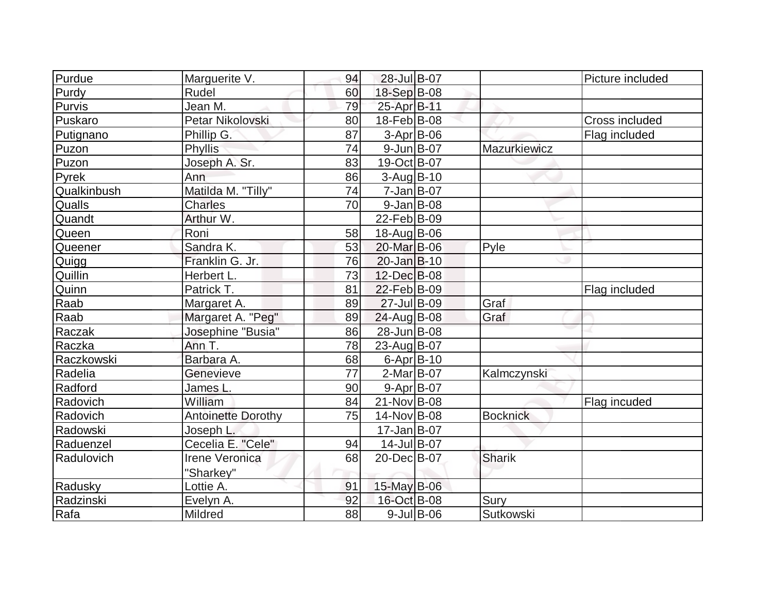| Purdue        | Marguerite V.             | 94 | 28-Jul B-07      |               |                 | Picture included |
|---------------|---------------------------|----|------------------|---------------|-----------------|------------------|
| Purdy         | Rudel                     | 60 | 18-Sep B-08      |               |                 |                  |
| Purvis        | Jean M.                   | 79 | 25-Apr B-11      |               |                 |                  |
| Puskaro       | Petar Nikolovski          | 80 | 18-Feb B-08      |               |                 | Cross included   |
| Putignano     | Phillip G.                | 87 | $3-Apr$ B-06     |               |                 | Flag included    |
| Puzon         | <b>Phyllis</b>            | 74 | $9$ -Jun $B$ -07 |               | Mazurkiewicz    |                  |
| Puzon         | Joseph A. Sr.             | 83 | 19-Oct B-07      |               |                 |                  |
| Pyrek         | Ann                       | 86 | $3-Aug$ $B-10$   |               |                 |                  |
| Qualkinbush   | Matilda M. "Tilly"        | 74 | $7 - Jan$ B-07   |               |                 |                  |
| <b>Qualls</b> | <b>Charles</b>            | 70 | $9$ -Jan B-08    |               |                 |                  |
| Quandt        | Arthur W.                 |    | 22-Feb B-09      |               |                 |                  |
| Queen         | Roni                      | 58 | 18-Aug B-06      |               |                 |                  |
| Queener       | Sandra K.                 | 53 | 20-Mar B-06      |               | Pyle            |                  |
| Quigg         | Franklin G. Jr.           | 76 | $20$ -Jan $B-10$ |               |                 |                  |
| Quillin       | Herbert L.                | 73 | 12-Dec B-08      |               |                 |                  |
| Quinn         | Patrick T.                | 81 | 22-Feb B-09      |               |                 | Flag included    |
| Raab          | Margaret A.               | 89 | 27-Jul B-09      |               | Graf            |                  |
| Raab          | Margaret A. "Peg"         | 89 | $24$ -Aug B-08   |               | Graf            |                  |
| Raczak        | Josephine "Busia"         | 86 | 28-Jun B-08      |               |                 |                  |
| Raczka        | Ann T.                    | 78 | 23-Aug B-07      |               |                 |                  |
| Raczkowski    | Barbara A.                | 68 | $6$ -Apr $ B-10$ |               |                 |                  |
| Radelia       | Genevieve                 | 77 | $2-Mar$ B-07     |               | Kalmczynski     |                  |
| Radford       | James L.                  | 90 | $9-Apr$ B-07     |               |                 |                  |
| Radovich      | William                   | 84 | 21-Nov B-08      |               |                 | Flag incuded     |
| Radovich      | <b>Antoinette Dorothy</b> | 75 | 14-Nov B-08      |               | <b>Bocknick</b> |                  |
| Radowski      | Joseph L.                 |    | $17 - Jan$ B-07  |               |                 |                  |
| Raduenzel     | Cecelia E. "Cele"         | 94 | 14-Jul B-07      |               |                 |                  |
| Radulovich    | Irene Veronica            | 68 | 20-Dec B-07      |               | Sharik          |                  |
|               | "Sharkey"                 |    |                  |               |                 |                  |
| Radusky       | Lottie A.                 | 91 | 15-May B-06      |               |                 |                  |
| Radzinski     | Evelyn A.                 | 92 | 16-Oct B-08      |               | Sury            |                  |
| Rafa          | Mildred                   | 88 |                  | $9$ -Jul B-06 | Sutkowski       |                  |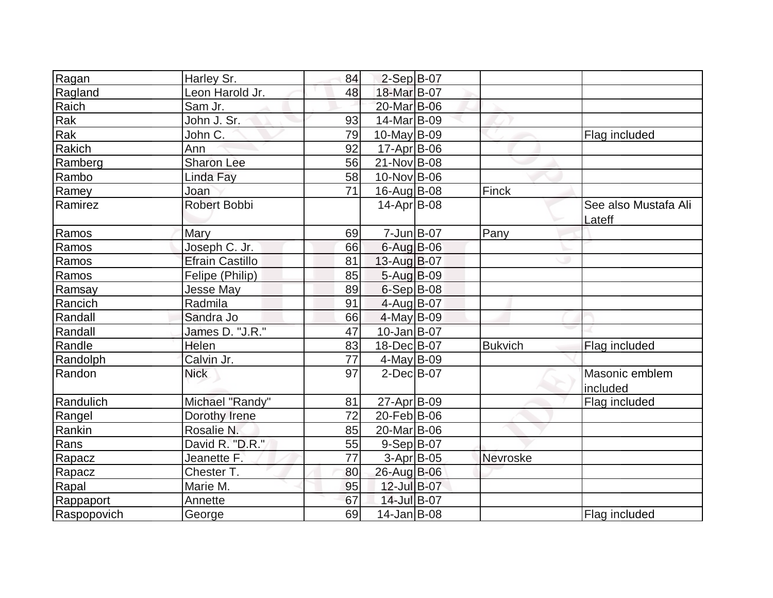| Ragan       | Harley Sr.             | 84              | $2-Sep B-07$       |                |                      |
|-------------|------------------------|-----------------|--------------------|----------------|----------------------|
| Ragland     | Leon Harold Jr.        | 48              | 18-Mar B-07        |                |                      |
| Raich       | Sam Jr.                |                 | 20-Mar B-06        |                |                      |
| Rak         | John J. Sr.            | 93              | 14-Mar B-09        |                |                      |
| Rak         | John C.                | 79              | $10$ -May B-09     |                | Flag included        |
| Rakich      | Ann                    | 92              | $17$ -Apr $ B$ -06 |                |                      |
| Ramberg     | <b>Sharon Lee</b>      | 56              | 21-Nov B-08        |                |                      |
| Rambo       | Linda Fay              | 58              | 10-Nov B-06        |                |                      |
| Ramey       | Joan                   | 71              | 16-Aug B-08        | Finck          |                      |
| Ramirez     | <b>Robert Bobbi</b>    |                 | $14$ -Apr $ B$ -08 |                | See also Mustafa Ali |
|             |                        |                 |                    |                | Lateff               |
| Ramos       | Mary                   | 69              | $7 - Jun$ $B - 07$ | Pany           |                      |
| Ramos       | Joseph C. Jr.          | 66              | 6-Aug B-06         |                |                      |
| Ramos       | <b>Efrain Castillo</b> | 81              | 13-Aug B-07        |                |                      |
| Ramos       | Felipe (Philip)        | 85              | 5-Aug B-09         |                |                      |
| Ramsay      | Jesse May              | 89              | 6-Sep B-08         |                |                      |
| Rancich     | Radmila                | 91              | 4-Aug B-07         |                |                      |
| Randall     | Sandra Jo              | 66              | $4$ -May B-09      |                |                      |
| Randall     | James D. "J.R."        | 47              | $10$ -Jan $ B-07$  |                |                      |
| Randle      | Helen                  | 83              | 18-Dec B-07        | <b>Bukvich</b> | Flag included        |
| Randolph    | Calvin Jr.             | 77              | $4$ -May B-09      |                |                      |
| Randon      | <b>Nick</b>            | 97              | $2$ -Dec $B$ -07   |                | Masonic emblem       |
|             |                        |                 |                    |                | included             |
| Randulich   | Michael "Randy"        | 81              | 27-Apr B-09        |                | Flag included        |
| Rangel      | Dorothy Irene          | $\overline{72}$ | 20-Feb B-06        |                |                      |
| Rankin      | Rosalie N.             | 85              | 20-Mar B-06        |                |                      |
| Rans        | David R. "D.R."        | 55              | $9-Sep B-07$       |                |                      |
| Rapacz      | Jeanette F.            | 77              | 3-Apr B-05         | Nevroske       |                      |
| Rapacz      | Chester T.             | 80              | 26-Aug B-06        |                |                      |
| Rapal       | Marie M.               | 95              | 12-Jul B-07        |                |                      |
| Rappaport   | Annette                | 67              | 14-Jul B-07        |                |                      |
| Raspopovich | George                 | 69              | $14$ -Jan $ B-08$  |                | Flag included        |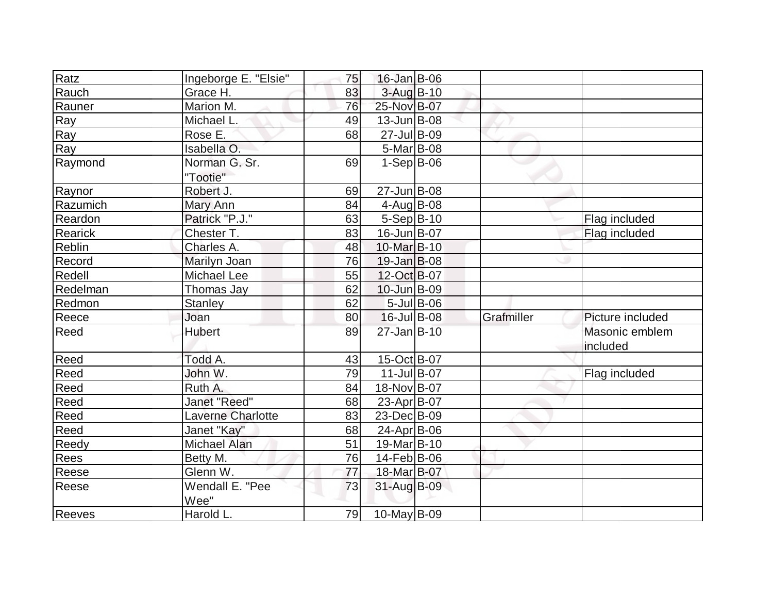| Ratz          |                          |    | 16-Jan B-06       |            |                  |
|---------------|--------------------------|----|-------------------|------------|------------------|
|               | Ingeborge E. "Elsie"     | 75 |                   |            |                  |
| Rauch         | Grace H.                 | 83 | $3$ -Aug B-10     |            |                  |
| Rauner        | Marion M.                | 76 | 25-Nov B-07       |            |                  |
| Ray           | Michael L.               | 49 | $13$ -Jun $B$ -08 |            |                  |
| Ray           | Rose E.                  | 68 | 27-Jul B-09       |            |                  |
| Ray           | Isabella O.              |    | $5-Mar$ B-08      |            |                  |
| Raymond       | Norman G. Sr.            | 69 | $1-Sep B-06$      |            |                  |
|               | "Tootie"                 |    |                   |            |                  |
| Raynor        | Robert J.                | 69 | 27-Jun B-08       |            |                  |
| Razumich      | Mary Ann                 | 84 | 4-Aug B-08        |            |                  |
| Reardon       | Patrick "P.J."           | 63 | $5-Sep B-10$      |            | Flag included    |
| Rearick       | Chester T.               | 83 | 16-Jun B-07       |            | Flag included    |
| <b>Reblin</b> | Charles A.               | 48 | 10-Mar B-10       |            |                  |
| Record        | Marilyn Joan             | 76 | $19$ -Jan B-08    |            |                  |
| Redell        | Michael Lee              | 55 | 12-Oct B-07       |            |                  |
| Redelman      | Thomas Jay               | 62 | 10-Jun B-09       |            |                  |
| Redmon        | <b>Stanley</b>           | 62 | $5$ -Jul B-06     |            |                  |
| Reece         | Joan                     | 80 | 16-Jul B-08       | Grafmiller | Picture included |
| Reed          | <b>Hubert</b>            | 89 | 27-Jan B-10       |            | Masonic emblem   |
|               |                          |    |                   |            | included         |
| Reed          | Todd A.                  | 43 | 15-Oct B-07       |            |                  |
| Reed          | John W.                  | 79 | $11$ -Jul B-07    |            | Flag included    |
| Reed          | Ruth A.                  | 84 | 18-Nov B-07       |            |                  |
| Reed          | Janet "Reed"             | 68 | 23-Apr B-07       |            |                  |
| Reed          | <b>Laverne Charlotte</b> | 83 | 23-Dec B-09       |            |                  |
| Reed          | Janet "Kay"              | 68 | 24-Apr B-06       |            |                  |
| Reedy         | <b>Michael Alan</b>      | 51 | 19-Mar B-10       |            |                  |
| <b>Rees</b>   | Betty M.                 | 76 | 14-Feb B-06       |            |                  |
| Reese         | Glenn W.                 | 77 | 18-Mar B-07       |            |                  |
| Reese         | Wendall E. "Pee          | 73 | 31-Aug B-09       |            |                  |
|               | Wee"                     |    |                   |            |                  |
| Reeves        | Harold L.                | 79 | $10$ -May B-09    |            |                  |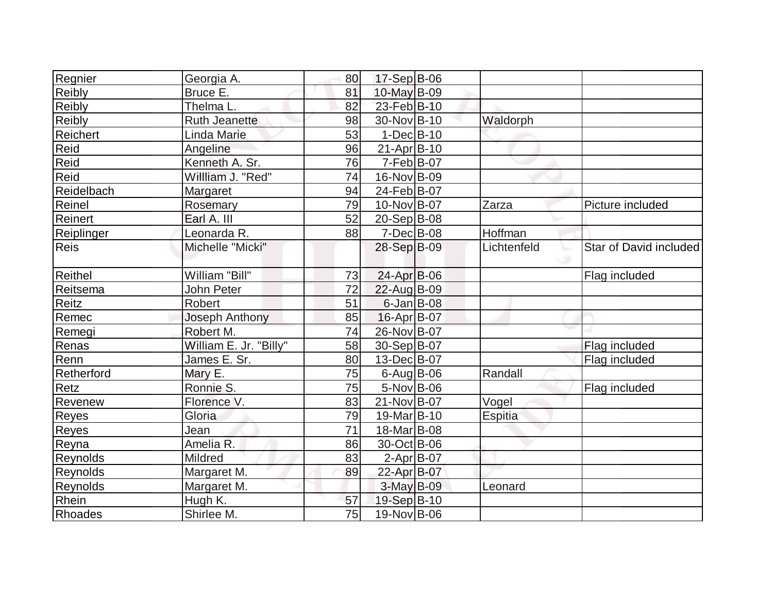| Regnier     | Georgia A.             | 80 | $17-Sep$ B-06    |             |                        |
|-------------|------------------------|----|------------------|-------------|------------------------|
| Reibly      | Bruce E.               | 81 | 10-May B-09      |             |                        |
| Reibly      | Thelma L.              | 82 | 23-Feb B-10      |             |                        |
| Reibly      | <b>Ruth Jeanette</b>   | 98 | 30-Nov B-10      | Waldorph    |                        |
| Reichert    | <b>Linda Marie</b>     | 53 | $1-Dec B-10$     |             |                        |
| Reid        | Angeline               | 96 | $21-Apr B-10$    |             |                        |
| Reid        | Kenneth A. Sr.         | 76 | $7-Feb B-07$     |             |                        |
| Reid        | Willliam J. "Red"      | 74 | 16-Nov B-09      |             |                        |
| Reidelbach  | Margaret               | 94 | 24-Feb B-07      |             |                        |
| Reinel      | Rosemary               | 79 | 10-Nov B-07      | Zarza       | Picture included       |
| Reinert     | Earl A. III            | 52 | $20-Sep B-08$    |             |                        |
| Reiplinger  | Leonarda R.            | 88 | 7-Dec B-08       | Hoffman     |                        |
| <b>Reis</b> | Michelle "Micki"       |    | 28-Sep B-09      | Lichtenfeld | Star of David included |
| Reithel     | William "Bill"         | 73 | 24-Apr B-06      |             | Flag included          |
| Reitsema    | John Peter             | 72 | 22-Aug B-09      |             |                        |
| Reitz       | Robert                 | 51 | $6$ -Jan $B$ -08 |             |                        |
| Remec       | Joseph Anthony         | 85 | 16-Apr B-07      |             |                        |
| Remegi      | Robert M.              | 74 | 26-Nov B-07      |             |                        |
| Renas       | William E. Jr. "Billy" | 58 | 30-Sep B-07      |             | Flag included          |
| Renn        | James E. Sr.           | 80 | 13-Dec B-07      |             | Flag included          |
| Retherford  | Mary E.                | 75 | $6$ -Aug B-06    | Randall     |                        |
| Retz        | Ronnie S.              | 75 | $5-Nov$ B-06     |             | Flag included          |
| Revenew     | Florence V.            | 83 | 21-Nov B-07      | Vogel       |                        |
| Reyes       | Gloria                 | 79 | 19-Mar B-10      | Espitia     |                        |
| Reyes       | Jean                   | 71 | 18-Mar B-08      |             |                        |
| Reyna       | Amelia R.              | 86 | 30-Oct B-06      |             |                        |
| Reynolds    | Mildred                | 83 | $2-Apr B-07$     |             |                        |
| Reynolds    | Margaret M.            | 89 | 22-Apr B-07      |             |                        |
| Reynolds    | Margaret M.            |    | 3-May B-09       | Leonard     |                        |
| Rhein       | Hugh K.                | 57 | 19-Sep B-10      |             |                        |
| Rhoades     | Shirlee M.             | 75 | 19-Nov B-06      |             |                        |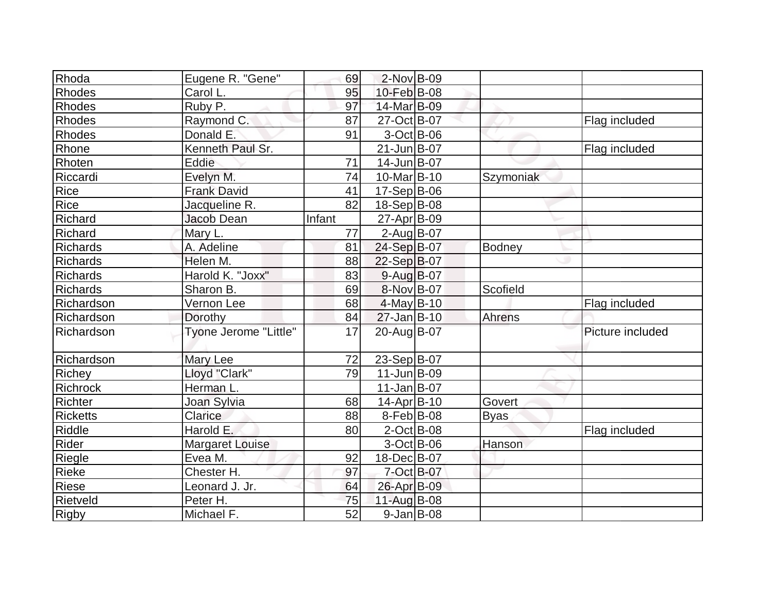| Rhoda             | Eugene R. "Gene"       | 69     | $2$ -Nov B-09           |               |                  |
|-------------------|------------------------|--------|-------------------------|---------------|------------------|
| Rhodes            | Carol L.               | 95     | 10-Feb B-08             |               |                  |
| Rhodes            | Ruby P.                | 97     | 14-Mar B-09             |               |                  |
| Rhodes            | Raymond C.             | 87     | 27-Oct B-07             |               | Flag included    |
| Rhodes            | Donald E.              | 91     | $3-Oct$ B-06            |               |                  |
| Rhone             | Kenneth Paul Sr.       |        | 21-Jun B-07             |               | Flag included    |
| Rhoten            | Eddie                  | 71     | 14-Jun B-07             |               |                  |
| Riccardi          | Evelyn M.              | 74     | 10-Mar <sub>B</sub> -10 | Szymoniak     |                  |
| Rice              | <b>Frank David</b>     | 41     | $17-Sep B-06$           |               |                  |
| Rice              | Jacqueline R.          | 82     | 18-Sep B-08             |               |                  |
| Richard           | Jacob Dean             | Infant | 27-Apr B-09             |               |                  |
| Richard           | Mary L.                | 77     | $2$ -Aug B-07           |               |                  |
| <b>Richards</b>   | A. Adeline             | 81     | 24-Sep B-07             | <b>Bodney</b> |                  |
| <b>Richards</b>   | Helen M.               | 88     | 22-Sep B-07             |               |                  |
| Richards          | Harold K. "Joxx"       | 83     | $9$ -Aug $B$ -07        |               |                  |
| <b>Richards</b>   | Sharon B.              | 69     | 8-Nov B-07              | Scofield      |                  |
| Richardson        | Vernon Lee             | 68     | $4$ -May B-10           |               | Flag included    |
| Richardson        | Dorothy                | 84     | $27$ -Jan B-10          | Ahrens        |                  |
| <b>Richardson</b> | Tyone Jerome "Little"  | 17     | 20-Aug B-07             |               | Picture included |
| Richardson        | <b>Mary Lee</b>        | 72     | 23-Sep B-07             |               |                  |
| Richey            | Lloyd "Clark"          | 79     | $11$ -Jun $B$ -09       |               |                  |
| Richrock          | Herman L.              |        | $11$ -Jan $ B-07$       |               |                  |
| <b>Richter</b>    | Joan Sylvia            | 68     | 14-Apr B-10             | Govert        |                  |
| Ricketts          | Clarice                | 88     | $8-Feb B-08$            | <b>Byas</b>   |                  |
| Riddle            | Harold E.              | 80     | $2$ -Oct B-08           |               | Flag included    |
| Rider             | <b>Margaret Louise</b> |        | $3-Oct$ B-06            | Hanson        |                  |
| Riegle            | Evea M.                | 92     | 18-Dec B-07             |               |                  |
| Rieke             | Chester H.             | 97     | 7-Oct B-07              |               |                  |
| Riese             | Leonard J. Jr.         | 64     | 26-Apr B-09             |               |                  |
| <b>Rietveld</b>   | Peter H.               | 75     | 11-Aug B-08             |               |                  |
| <b>Rigby</b>      | Michael F.             | 52     | $9$ -Jan B-08           |               |                  |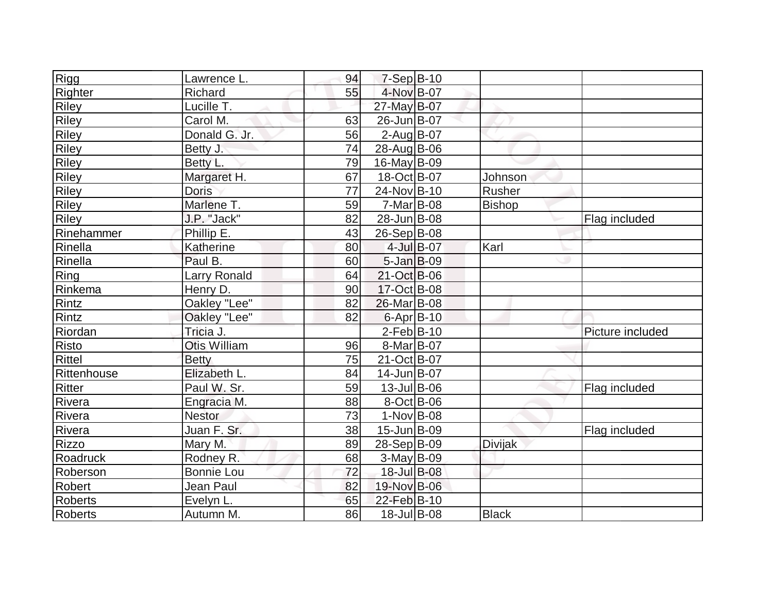| Rigg           | Lawrence L.         | 94 | $7-Sep$ B-10       |            |                |                  |
|----------------|---------------------|----|--------------------|------------|----------------|------------------|
|                | Richard             | 55 | 4-Nov B-07         |            |                |                  |
| Righter        | Lucille T.          |    |                    |            |                |                  |
| Riley          |                     |    | 27-May B-07        |            |                |                  |
| <b>Riley</b>   | Carol M.            | 63 | 26-Jun B-07        |            |                |                  |
| <b>Riley</b>   | Donald G. Jr.       | 56 | $2$ -AugB-07       |            |                |                  |
| <b>Riley</b>   | Betty J.            | 74 | 28-Aug B-06        |            |                |                  |
| Riley          | Betty L.            | 79 | $16$ -May B-09     |            |                |                  |
| <b>Riley</b>   | Margaret H.         | 67 | 18-Oct B-07        |            | Johnson        |                  |
| Riley          | <b>Doris</b>        | 77 | 24-Nov B-10        |            | Rusher         |                  |
| <b>Riley</b>   | Marlene T.          | 59 | $7-Mar$ B-08       |            | <b>Bishop</b>  |                  |
| Riley          | J.P. "Jack"         | 82 | 28-Jun B-08        |            |                | Flag included    |
| Rinehammer     | Phillip E.          | 43 | 26-Sep B-08        |            |                |                  |
| Rinella        | Katherine           | 80 |                    | 4-Jul B-07 | Karl           |                  |
| Rinella        | Paul B.             | 60 | $5 - Jan$ $B - 09$ |            |                |                  |
| Ring           | <b>Larry Ronald</b> | 64 | 21-Oct B-06        |            |                |                  |
| Rinkema        | Henry D.            | 90 | 17-Oct B-08        |            |                |                  |
| Rintz          | Oakley "Lee"        | 82 | 26-Mar B-08        |            |                |                  |
| Rintz          | Oakley "Lee"        | 82 | $6 - Apr$ B-10     |            |                |                  |
| Riordan        | Tricia J.           |    | $2$ -Feb $B$ -10   |            |                | Picture included |
| Risto          | Otis William        | 96 | 8-Mar B-07         |            |                |                  |
| Rittel         | <b>Betty</b>        | 75 | 21-Oct B-07        |            |                |                  |
| Rittenhouse    | Elizabeth L.        | 84 | 14-Jun B-07        |            |                |                  |
| <b>Ritter</b>  | Paul W. Sr.         | 59 | $13$ -Jul B-06     |            |                | Flag included    |
| Rivera         | Engracia M.         | 88 | $8-Oct$ B-06       |            |                |                  |
| Rivera         | <b>Nestor</b>       | 73 | $1-Nov$ B-08       |            |                |                  |
| Rivera         | Juan F. Sr.         | 38 | 15-Jun B-09        |            |                | Flag included    |
| <b>Rizzo</b>   | Mary M.             | 89 | 28-Sep B-09        |            | <b>Divijak</b> |                  |
| Roadruck       | Rodney R.           | 68 | $3-May B-09$       |            |                |                  |
| Roberson       | <b>Bonnie Lou</b>   | 72 | 18-Jul B-08        |            |                |                  |
| Robert         | Jean Paul           | 82 | 19-Nov B-06        |            |                |                  |
| <b>Roberts</b> | Evelyn L.           | 65 | 22-Feb B-10        |            |                |                  |
| Roberts        | Autumn M.           | 86 | 18-Jul B-08        |            | <b>Black</b>   |                  |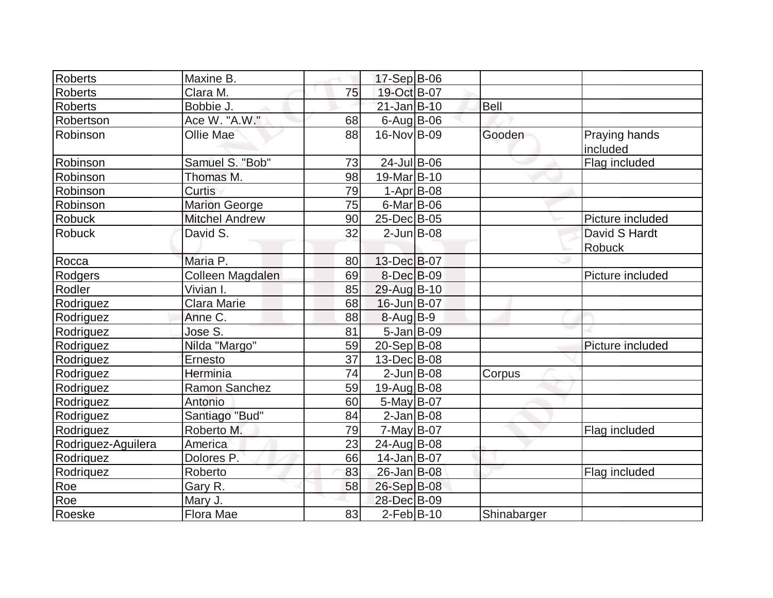| Roberts            | Maxine B.             |    | $17-Sep$ B-06           |              |             |                           |
|--------------------|-----------------------|----|-------------------------|--------------|-------------|---------------------------|
| <b>Roberts</b>     | Clara M.              | 75 | 19-Oct B-07             |              |             |                           |
| <b>Roberts</b>     | Bobbie J.             |    | $21$ -Jan $B-10$        |              | <b>Bell</b> |                           |
| Robertson          | Ace W. "A.W."         | 68 | $6$ -AugB-06            |              |             |                           |
| Robinson           | <b>Ollie Mae</b>      | 88 | 16-Nov B-09             |              | Gooden      | Praying hands<br>included |
| Robinson           | Samuel S. "Bob"       | 73 | $24$ -Jul B-06          |              |             | Flag included             |
| Robinson           | Thomas M.             | 98 | 19-Mar <sub>B</sub> -10 |              |             |                           |
| Robinson           | Curtis                | 79 |                         | $1-Apr$ B-08 |             |                           |
| Robinson           | <b>Marion George</b>  | 75 | $6$ -Mar $ B$ -06       |              |             |                           |
| <b>Robuck</b>      | <b>Mitchel Andrew</b> | 90 | 25-Dec B-05             |              |             | Picture included          |
| <b>Robuck</b>      | David S.              | 32 | $2$ -Jun $B$ -08        |              |             | David S Hardt             |
|                    |                       |    |                         |              |             | <b>Robuck</b>             |
| Rocca              | Maria P.              | 80 | 13-Dec B-07             |              |             |                           |
| Rodgers            | Colleen Magdalen      | 69 | 8-Dec B-09              |              |             | Picture included          |
| Rodler             | Vivian I.             | 85 | 29-Aug B-10             |              |             |                           |
| Rodriguez          | <b>Clara Marie</b>    | 68 | $16$ -Jun $B$ -07       |              |             |                           |
| Rodriguez          | Anne C.               | 88 | $8-Aug B-9$             |              |             |                           |
| Rodriguez          | Jose S.               | 81 | $5$ -Jan B-09           |              |             |                           |
| Rodriguez          | Nilda "Margo"         | 59 | $20-Sep B-08$           |              |             | Picture included          |
| Rodriguez          | Ernesto               | 37 | 13-Dec B-08             |              |             |                           |
| Rodriguez          | Herminia              | 74 | $2$ -Jun $B$ -08        |              | Corpus      |                           |
| Rodriguez          | <b>Ramon Sanchez</b>  | 59 | 19-Aug B-08             |              |             |                           |
| Rodriguez          | Antonio               | 60 | $5$ -May B-07           |              |             |                           |
| Rodriguez          | Santiago "Bud"        | 84 | $2$ -Jan B-08           |              |             |                           |
| Rodriguez          | Roberto M.            | 79 | $7$ -May B-07           |              |             | Flag included             |
| Rodriguez-Aguilera | America               | 23 | $24$ -Aug B-08          |              |             |                           |
| Rodriquez          | Dolores P.            | 66 | 14-Jan B-07             |              |             |                           |
| Rodriquez          | Roberto               | 83 | 26-Jan B-08             |              |             | Flag included             |
| Roe                | Gary R.               | 58 | 26-Sep B-08             |              |             |                           |
| Roe                | Mary J.               |    | 28-Dec B-09             |              |             |                           |
| Roeske             | Flora Mae             | 83 | $2-Feb B-10$            |              | Shinabarger |                           |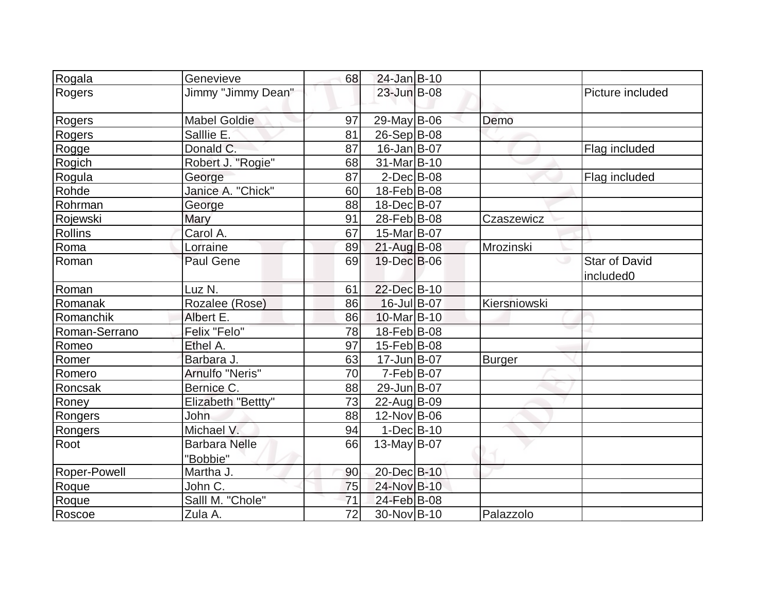| Rogala         | Genevieve                        | 68 | 24-Jan B-10        |               |                                               |
|----------------|----------------------------------|----|--------------------|---------------|-----------------------------------------------|
| Rogers         | Jimmy "Jimmy Dean"               |    | 23-Jun B-08        |               | Picture included                              |
| Rogers         | <b>Mabel Goldie</b>              | 97 | 29-May B-06        | Demo          |                                               |
| Rogers         | Salllie E.                       | 81 | $26-Sep B-08$      |               |                                               |
| Rogge          | Donald C.                        | 87 | $16$ -Jan $ B-07$  |               | Flag included                                 |
| Rogich         | Robert J. "Rogie"                | 68 | 31-Mar B-10        |               |                                               |
| Rogula         | George                           | 87 | $2$ -Dec $B$ -08   |               | Flag included                                 |
| Rohde          | Janice A. "Chick"                | 60 | 18-Feb B-08        |               |                                               |
| Rohrman        | George                           | 88 | 18-Dec B-07        |               |                                               |
| Rojewski       | Mary                             | 91 | 28-Feb B-08        | Czaszewicz    |                                               |
| <b>Rollins</b> | Carol A.                         | 67 | 15-Mar B-07        |               |                                               |
| Roma           | Lorraine                         | 89 | $21$ -Aug B-08     | Mrozinski     |                                               |
| Roman          | <b>Paul Gene</b>                 | 69 | 19-Dec B-06        |               | <b>Star of David</b><br>included <sub>0</sub> |
| Roman          | Luz N.                           | 61 | 22-Dec B-10        |               |                                               |
| Romanak        | Rozalee (Rose)                   | 86 | $16$ -Jul B-07     | Kiersniowski  |                                               |
| Romanchik      | Albert E.                        | 86 | 10-Mar B-10        |               |                                               |
| Roman-Serrano  | Felix "Felo"                     | 78 | 18-Feb B-08        |               |                                               |
| Romeo          | Ethel A.                         | 97 | $15$ -Feb $ B$ -08 |               |                                               |
| Romer          | Barbara J.                       | 63 | 17-Jun B-07        | <b>Burger</b> |                                               |
| Romero         | Arnulfo "Neris"                  | 70 | $7-Feb B-07$       |               |                                               |
| Roncsak        | Bernice C.                       | 88 | 29-Jun B-07        |               |                                               |
| Roney          | Elizabeth "Bettty"               | 73 | 22-Aug B-09        |               |                                               |
| Rongers        | John                             | 88 | 12-Nov B-06        |               |                                               |
| <b>Rongers</b> | Michael V.                       | 94 | $1-Dec$ B-10       |               |                                               |
| Root           | <b>Barbara Nelle</b><br>"Bobbie" | 66 | $13$ -May B-07     |               |                                               |
| Roper-Powell   | Martha J.                        | 90 | 20-Dec B-10        |               |                                               |
| Roque          | John C.                          | 75 | 24-Nov B-10        |               |                                               |
| Roque          | Salll M. "Chole"                 | 71 | 24-Feb B-08        |               |                                               |
| Roscoe         | Zula A.                          | 72 | 30-Nov B-10        | Palazzolo     |                                               |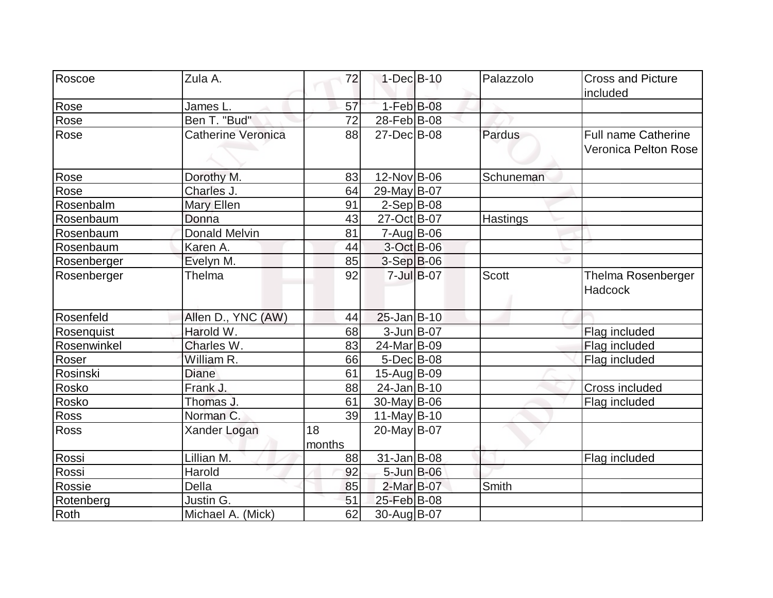| Roscoe<br>Zula A.                 | 72     | $1-Dec$ B-10       |                    | Palazzolo    | <b>Cross and Picture</b>   |
|-----------------------------------|--------|--------------------|--------------------|--------------|----------------------------|
|                                   |        |                    |                    |              | included                   |
| Rose<br>James L.                  | 57     | $1-Feb$ B-08       |                    |              |                            |
| Rose<br>Ben T. "Bud"              | 72     | 28-Feb B-08        |                    |              |                            |
| Catherine Veronica<br>Rose        | 88     | $27 - Dec$ B-08    |                    | Pardus       | <b>Full name Catherine</b> |
|                                   |        |                    |                    |              | Veronica Pelton Rose       |
|                                   |        |                    |                    |              |                            |
| Rose<br>Dorothy M.                | 83     | 12-Nov B-06        |                    | Schuneman    |                            |
| Rose<br>Charles J.                | 64     | 29-May B-07        |                    |              |                            |
| Rosenbalm<br>Mary Ellen           | 91     | $2-Sep B-08$       |                    |              |                            |
| Rosenbaum<br>Donna                | 43     | 27-Oct B-07        |                    | Hastings     |                            |
| <b>Donald Melvin</b><br>Rosenbaum | 81     | $7 - Aug$ B-06     |                    |              |                            |
| Rosenbaum<br>Karen A.             | 44     | 3-Oct B-06         |                    |              |                            |
| Rosenberger<br>Evelyn M.          | 85     | $3-Sep$ B-06       |                    |              |                            |
| Thelma<br>Rosenberger             | 92     |                    | $7 -$ Jul $B - 07$ | <b>Scott</b> | Thelma Rosenberger         |
|                                   |        |                    |                    |              | <b>Hadcock</b>             |
| Rosenfeld<br>Allen D., YNC (AW)   | 44     | $25 - Jan$ B-10    |                    |              |                            |
| Harold W.<br>Rosenquist           | 68     | 3-Jun B-07         |                    |              | Flag included              |
| Charles W.<br>Rosenwinkel         | 83     | 24-Mar B-09        |                    |              | Flag included              |
| Roser<br>William R.               | 66     | $5$ -Dec $B$ -08   |                    |              | Flag included              |
| Diane<br>Rosinski                 | 61     | $15-Aug B-09$      |                    |              |                            |
| Frank J.<br>Rosko                 | 88     | $24$ -Jan $ B-10 $ |                    |              | Cross included             |
| Rosko<br>Thomas J.                | 61     | $30$ -May B-06     |                    |              | Flag included              |
| Norman C.<br>Ross                 | 39     | $11$ -May B-10     |                    |              |                            |
| <b>Ross</b><br>Xander Logan       | 18     | 20-May B-07        |                    |              |                            |
|                                   | months |                    |                    |              |                            |
| Rossi<br>Lillian M.               | 88     | $31$ -Jan $ B-08 $ |                    |              | Flag included              |
| Rossi<br>Harold                   | 92     | $5 - Jun$ $B - 06$ |                    |              |                            |
| Rossie<br>Della                   | 85     | 2-Mar B-07         |                    | Smith        |                            |
| Justin G.<br>Rotenberg            | 51     | 25-Feb B-08        |                    |              |                            |
| Roth<br>Michael A. (Mick)         | 62     | 30-Aug B-07        |                    |              |                            |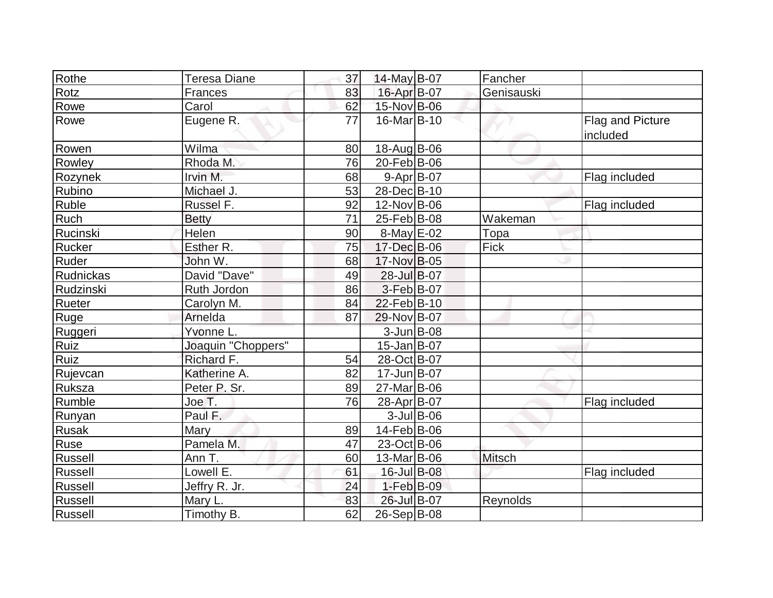| Rothe          | Teresa Diane       | 37 | $14$ -May B-07          | Fancher       |                              |
|----------------|--------------------|----|-------------------------|---------------|------------------------------|
| Rotz           | <b>Frances</b>     | 83 | 16-Apr B-07             | Genisauski    |                              |
| Rowe           | Carol              | 62 | 15-Nov B-06             |               |                              |
| Rowe           | Eugene R.          | 77 | 16-Mar <sub>B</sub> -10 |               | Flag and Picture<br>included |
| Rowen          | Wilma              | 80 | $18-Aug B-06$           |               |                              |
| Rowley         | Rhoda M.           | 76 | 20-Feb B-06             |               |                              |
| Rozynek        | Irvin M.           | 68 | $9 - Apr$ B-07          |               | Flag included                |
| <b>Rubino</b>  | Michael J.         | 53 | 28-Dec B-10             |               |                              |
| Ruble          | Russel F.          | 92 | 12-Nov B-06             |               | Flag included                |
| Ruch           | <b>Betty</b>       | 71 | 25-Feb B-08             | Wakeman       |                              |
| Rucinski       | Helen              | 90 | $8$ -May $E$ -02        | Topa          |                              |
| Rucker         | Esther R.          | 75 | 17-Dec B-06             | Fick          |                              |
| Ruder          | John W.            | 68 | 17-Nov B-05             |               |                              |
| Rudnickas      | David "Dave"       | 49 | 28-Jul B-07             |               |                              |
| Rudzinski      | Ruth Jordon        | 86 | $3-Feb B-07$            |               |                              |
| Rueter         | Carolyn M.         | 84 | 22-Feb B-10             |               |                              |
| Ruge           | Arnelda            | 87 | 29-Nov B-07             |               |                              |
| Ruggeri        | Yvonne L.          |    | 3-Jun B-08              |               |                              |
| Ruiz           | Joaquin "Choppers" |    | $15$ -Jan B-07          |               |                              |
| <b>Ruiz</b>    | Richard F.         | 54 | 28-Oct B-07             |               |                              |
| Rujevcan       | Katherine A.       | 82 | 17-Jun B-07             |               |                              |
| Ruksza         | Peter P. Sr.       | 89 | 27-Mar B-06             |               |                              |
| Rumble         | Joe T.             | 76 | 28-Apr B-07             |               | Flag included                |
| Runyan         | Paul F.            |    | $3$ -Jul B-06           |               |                              |
| <b>Rusak</b>   | Mary               | 89 | $14$ -Feb $ B$ -06      |               |                              |
| Ruse           | Pamela M.          | 47 | 23-Oct B-06             |               |                              |
| <b>Russell</b> | Ann T.             | 60 | 13-Mar B-06             | <b>Mitsch</b> |                              |
| Russell        | Lowell E.          | 61 | 16-Jul B-08             |               | Flag included                |
| Russell        | Jeffry R. Jr.      | 24 | $1-Feb$ B-09            |               |                              |
| <b>Russell</b> | Mary L.            | 83 | 26-Jul B-07             | Reynolds      |                              |
| Russell        | Timothy B.         | 62 | $26-Sep B-08$           |               |                              |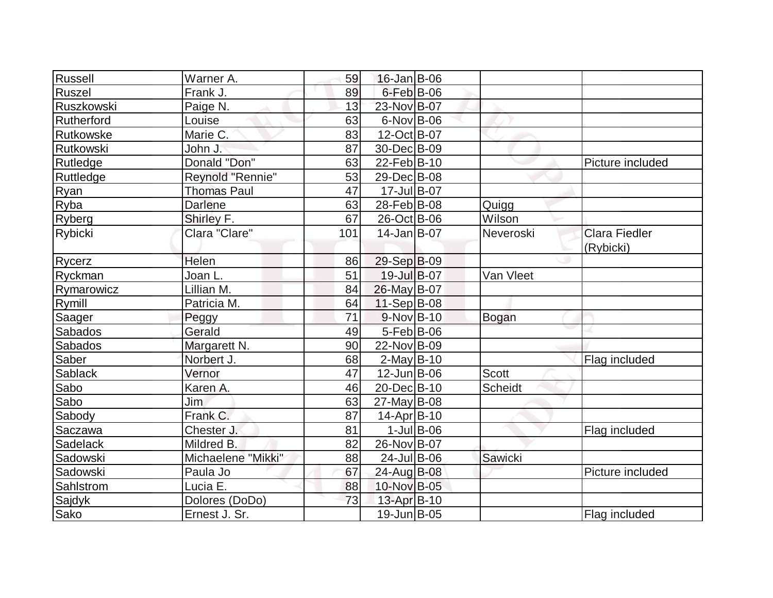| Russell        | Warner A.          | 59  | 16-Jan B-06       |               |                |                      |
|----------------|--------------------|-----|-------------------|---------------|----------------|----------------------|
| Ruszel         | Frank J.           | 89  | $6$ -Feb $B$ -06  |               |                |                      |
| Ruszkowski     | Paige N.           | 13  | 23-Nov B-07       |               |                |                      |
| Rutherford     | Louise             | 63  | $6$ -Nov $ B$ -06 |               |                |                      |
| Rutkowske      | Marie C.           | 83  | 12-Oct B-07       |               |                |                      |
| Rutkowski      | John J.            | 87  | 30-Dec B-09       |               |                |                      |
| Rutledge       | Donald "Don"       | 63  | $22$ -Feb $ B-10$ |               |                | Picture included     |
| Ruttledge      | Reynold "Rennie"   | 53  | 29-Dec B-08       |               |                |                      |
| Ryan           | <b>Thomas Paul</b> | 47  | $17$ -Jul B-07    |               |                |                      |
| Ryba           | <b>Darlene</b>     | 63  | 28-Feb B-08       |               | Quigg          |                      |
| Ryberg         | Shirley F.         | 67  | 26-Oct B-06       |               | Wilson         |                      |
| Rybicki        | Clara "Clare"      | 101 | $14$ -Jan $B$ -07 |               | Neveroski      | <b>Clara Fiedler</b> |
|                |                    |     |                   |               |                | (Rybicki)            |
| Rycerz         | Helen              | 86  | $29-Sep B-09$     |               |                |                      |
| Ryckman        | Joan L.            | 51  | 19-Jul B-07       |               | Van Vleet      |                      |
| Rymarowicz     | Lillian M.         | 84  | 26-May B-07       |               |                |                      |
| Rymill         | Patricia M.        | 64  | $11-Sep B-08$     |               |                |                      |
| Saager         | Peggy              | 71  | $9-Nov$ B-10      |               | Bogan          |                      |
| <b>Sabados</b> | Gerald             | 49  | $5-Feb$ B-06      |               |                |                      |
| Sabados        | Margarett N.       | 90  | 22-Nov B-09       |               |                |                      |
| Saber          | Norbert J.         | 68  | $2$ -May B-10     |               |                | Flag included        |
| Sablack        | Vernor             | 47  | $12$ -Jun $B$ -06 |               | <b>Scott</b>   |                      |
| Sabo           | Karen A.           | 46  | 20-Dec B-10       |               | <b>Scheidt</b> |                      |
| Sabo           | Jim                | 63  | $27$ -May B-08    |               |                |                      |
| Sabody         | Frank C.           | 87  | $14$ -Apr $ B-10$ |               |                |                      |
| Saczawa        | Chester J.         | 81  |                   | $1$ -Jul B-06 |                | Flag included        |
| Sadelack       | Mildred B.         | 82  | 26-Nov B-07       |               |                |                      |
| Sadowski       | Michaelene "Mikki" | 88  | $24$ -Jul B-06    |               | Sawicki        |                      |
| Sadowski       | Paula Jo           | 67  | 24-Aug B-08       |               |                | Picture included     |
| Sahlstrom      | Lucia E.           | 88  | 10-Nov B-05       |               |                |                      |
| Sajdyk         | Dolores (DoDo)     | 73  | 13-Apr B-10       |               |                |                      |
| Sako           | Ernest J. Sr.      |     | 19-Jun B-05       |               |                | Flag included        |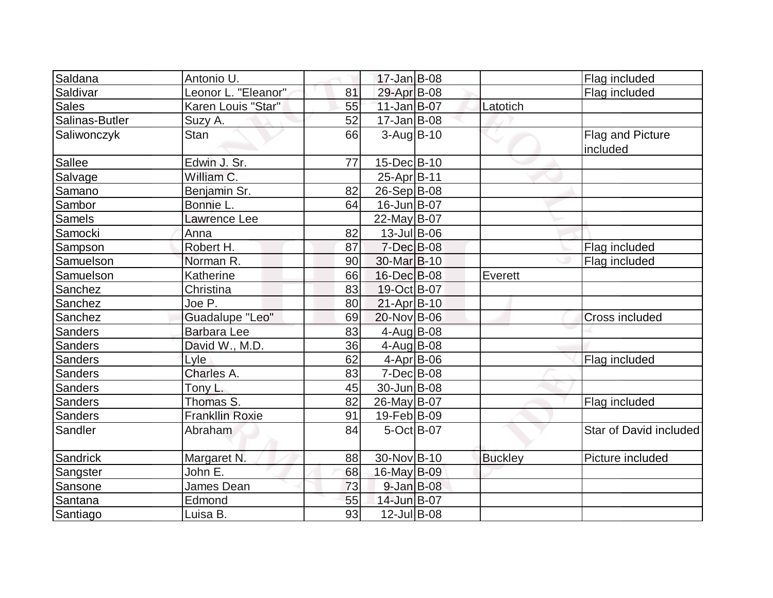| Saldana        | Antonio U.                      |    | $17 - Jan$ B-08         |                |                              |
|----------------|---------------------------------|----|-------------------------|----------------|------------------------------|
|                |                                 |    |                         |                | Flag included                |
| Saldivar       | Leonor L. "Eleanor"             | 81 | 29-Apr B-08             |                | Flag included                |
| <b>Sales</b>   | Karen Louis "Star"              | 55 | $11$ -Jan $B$ -07       | Latotich       |                              |
| Salinas-Butler | Suzy A.                         | 52 | $17 - Jan$ B-08         |                |                              |
| Saliwonczyk    | <b>Stan</b>                     | 66 | $3-Aug B-10$            |                | Flag and Picture<br>included |
| <b>Sallee</b>  | Edwin J. Sr.                    | 77 | 15-Dec B-10             |                |                              |
| Salvage        | $\overline{\text{William C}}$ . |    | 25-Apr B-11             |                |                              |
| Samano         | Benjamin Sr.                    | 82 | 26-Sep B-08             |                |                              |
| Sambor         | Bonnie L.                       | 64 | 16-Jun B-07             |                |                              |
| <b>Samels</b>  | Lawrence Lee                    |    | 22-May B-07             |                |                              |
| Samocki        | Anna                            | 82 | 13-Jul B-06             |                |                              |
| Sampson        | Robert H.                       | 87 | $7$ -Dec $B$ -08        |                | Flag included                |
| Samuelson      | Norman R.                       | 90 | 30-Mar <sub>B</sub> -10 |                | Flag included                |
| Samuelson      | Katherine                       | 66 | 16-Dec B-08             | Everett        |                              |
| Sanchez        | Christina                       | 83 | 19-Oct B-07             |                |                              |
| Sanchez        | Joe P.                          | 80 | $21-Apr$ B-10           |                |                              |
| Sanchez        | Guadalupe "Leo"                 | 69 | 20-Nov B-06             |                | <b>Cross included</b>        |
| Sanders        | Barbara Lee                     | 83 | 4-Aug B-08              |                |                              |
| <b>Sanders</b> | David W., M.D.                  | 36 | $4$ -Aug B-08           |                |                              |
| <b>Sanders</b> | Lyle                            | 62 | $4$ -Apr $ B$ -06       |                | Flag included                |
| Sanders        | Charles A.                      | 83 | $7$ -Dec $B$ -08        |                |                              |
| Sanders        | Tony L.                         | 45 | 30-Jun B-08             |                |                              |
| <b>Sanders</b> | Thomas S.                       | 82 | 26-May B-07             |                | Flag included                |
| <b>Sanders</b> | <b>Frankllin Roxie</b>          | 91 | 19-Feb B-09             |                |                              |
| Sandler        | Abraham                         | 84 | $5-Oct$ B-07            |                | Star of David included       |
| Sandrick       | Margaret N.                     | 88 | 30-Nov B-10             | <b>Buckley</b> | Picture included             |
| Sangster       | John E.                         | 68 | 16-May B-09             |                |                              |
| Sansone        | James Dean                      | 73 | $9$ -Jan B-08           |                |                              |
| Santana        | Edmond                          | 55 | 14-Jun B-07             |                |                              |
| Santiago       | Luisa B.                        | 93 | $12$ -Jul B-08          |                |                              |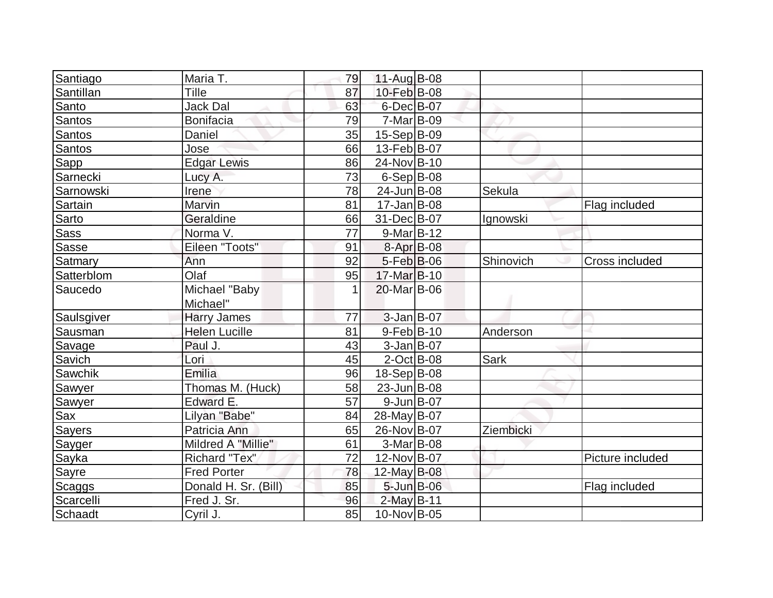| Santiago      | Maria T.             | 79 | $11-Auq$ B-08      |             |                  |
|---------------|----------------------|----|--------------------|-------------|------------------|
| Santillan     | Tille                | 87 | 10-Feb B-08        |             |                  |
| Santo         | <b>Jack Dal</b>      | 63 | 6-Dec B-07         |             |                  |
| <b>Santos</b> | <b>Bonifacia</b>     | 79 | $7-Mar$ B-09       |             |                  |
| Santos        | Daniel               | 35 | 15-Sep B-09        |             |                  |
| <b>Santos</b> | Jose                 | 66 | 13-Feb B-07        |             |                  |
| Sapp          | <b>Edgar Lewis</b>   | 86 | 24-Nov B-10        |             |                  |
| Sarnecki      | Lucy A.              | 73 | $6-Sep B-08$       |             |                  |
| Sarnowski     | Irene                | 78 | 24-Jun B-08        | Sekula      |                  |
| Sartain       | Marvin               | 81 | $17 - Jan$ B-08    |             | Flag included    |
| Sarto         | Geraldine            | 66 | 31-Dec B-07        | Ignowski    |                  |
| Sass          | Norma V.             | 77 | $9-Mar$ B-12       |             |                  |
| Sasse         | Eileen "Toots"       | 91 | 8-Apr B-08         |             |                  |
| Satmary       | Ann                  | 92 | $5-Feb$ B-06       | Shinovich   | Cross included   |
| Satterblom    | Olaf                 | 95 | 17-Mar B-10        |             |                  |
| Saucedo       | Michael "Baby        | 1  | 20-Mar B-06        |             |                  |
|               | Michael"             |    |                    |             |                  |
| Saulsgiver    | <b>Harry James</b>   | 77 | $3$ -Jan B-07      |             |                  |
| Sausman       | <b>Helen Lucille</b> | 81 | $9-Feb$ B-10       | Anderson    |                  |
| Savage        | Paul J.              | 43 | $3$ -Jan B-07      |             |                  |
| Savich        | Lori                 | 45 | $2$ -Oct B-08      | <b>Sark</b> |                  |
| Sawchik       | Emilia               | 96 | 18-Sep B-08        |             |                  |
| Sawyer        | Thomas M. (Huck)     | 58 | 23-Jun B-08        |             |                  |
| Sawyer        | Edward E.            | 57 | $9$ -Jun $B$ -07   |             |                  |
| Sax           | Lilyan "Babe"        | 84 | 28-May B-07        |             |                  |
| <b>Sayers</b> | Patricia Ann         | 65 | 26-Nov B-07        | Ziembicki   |                  |
| Sayger        | Mildred A "Millie"   | 61 | $3-Mar B-08$       |             |                  |
| Sayka         | Richard "Tex"        | 72 | 12-Nov B-07        |             | Picture included |
| Sayre         | <b>Fred Porter</b>   | 78 | 12-May $B-08$      |             |                  |
| Scaggs        | Donald H. Sr. (Bill) | 85 | $5 - Jun$ $B - 06$ |             | Flag included    |
| Scarcelli     | Fred J. Sr.          | 96 | 2-May B-11         |             |                  |
| Schaadt       | Cyril J.             | 85 | 10-Nov B-05        |             |                  |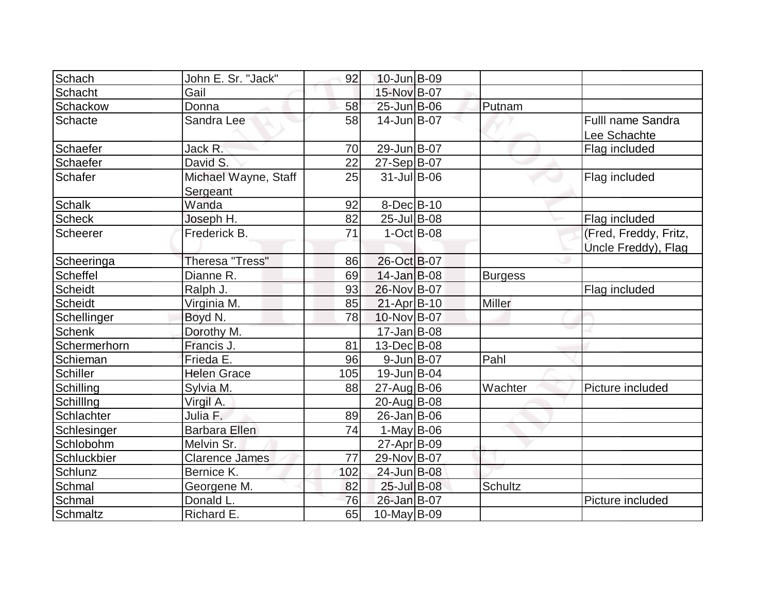| Schach          | John E. Sr. "Jack"               | 92  | 10-Jun B-09       |                |                                          |
|-----------------|----------------------------------|-----|-------------------|----------------|------------------------------------------|
| Schacht         | Gail                             |     | 15-Nov B-07       |                |                                          |
| Schackow        | Donna                            | 58  | 25-Jun B-06       | Putnam         |                                          |
| Schacte         | Sandra Lee                       | 58  | $14$ -Jun $B$ -07 |                | <b>Fulll name Sandra</b><br>Lee Schachte |
| Schaefer        | Jack R.                          | 70  | 29-Jun B-07       |                | Flag included                            |
| Schaefer        | David S.                         | 22  | $27-Sep B-07$     |                |                                          |
| Schafer         | Michael Wayne, Staff<br>Sergeant | 25  | $31$ -Jul B-06    |                | Flag included                            |
| <b>Schalk</b>   | Wanda                            | 92  | $8$ -Dec $B$ -10  |                |                                          |
| <b>Scheck</b>   | Joseph H.                        | 82  | $25$ -Jul B-08    |                | Flag included                            |
| Scheerer        | Frederick B.                     | 71  | $1-Oct$ B-08      |                | (Fred, Freddy, Fritz,                    |
|                 |                                  |     |                   |                | Uncle Freddy), Flag                      |
| Scheeringa      | Theresa "Tress"                  | 86  | 26-Oct B-07       |                |                                          |
| <b>Scheffel</b> | Dianne R.                        | 69  | $14$ -Jan $B$ -08 | <b>Burgess</b> |                                          |
| Scheidt         | Ralph J.                         | 93  | 26-Nov B-07       |                | Flag included                            |
| <b>Scheidt</b>  | Virginia M.                      | 85  | $21-Apr B-10$     | <b>Miller</b>  |                                          |
| Schellinger     | Boyd N.                          | 78  | 10-Nov B-07       |                |                                          |
| <b>Schenk</b>   | Dorothy M.                       |     | $17 - Jan$ B-08   |                |                                          |
| Schermerhorn    | Francis J.                       | 81  | 13-Dec B-08       |                |                                          |
| Schieman        | Frieda E.                        | 96  | $9$ -Jun $B$ -07  | Pahl           |                                          |
| <b>Schiller</b> | <b>Helen Grace</b>               | 105 | 19-Jun B-04       |                |                                          |
| Schilling       | Sylvia M.                        | 88  | $27$ -Aug B-06    | Wachter        | Picture included                         |
| Schilllng       | Virgil A.                        |     | $20$ -Aug B-08    |                |                                          |
| Schlachter      | Julia F.                         | 89  | $26$ -Jan $ B-06$ |                |                                          |
| Schlesinger     | <b>Barbara Ellen</b>             | 74  | $1$ -May B-06     |                |                                          |
| Schlobohm       | Melvin Sr.                       |     | 27-Apr B-09       |                |                                          |
| Schluckbier     | <b>Clarence James</b>            | 77  | 29-Nov B-07       |                |                                          |
| Schlunz         | Bernice K.                       | 102 | 24-Jun B-08       |                |                                          |
| Schmal          | Georgene M.                      | 82  | 25-Jul B-08       | <b>Schultz</b> |                                          |
| Schmal          | Donald L.                        | 76  | 26-Jan B-07       |                | Picture included                         |
| Schmaltz        | Richard E.                       | 65  | 10-May B-09       |                |                                          |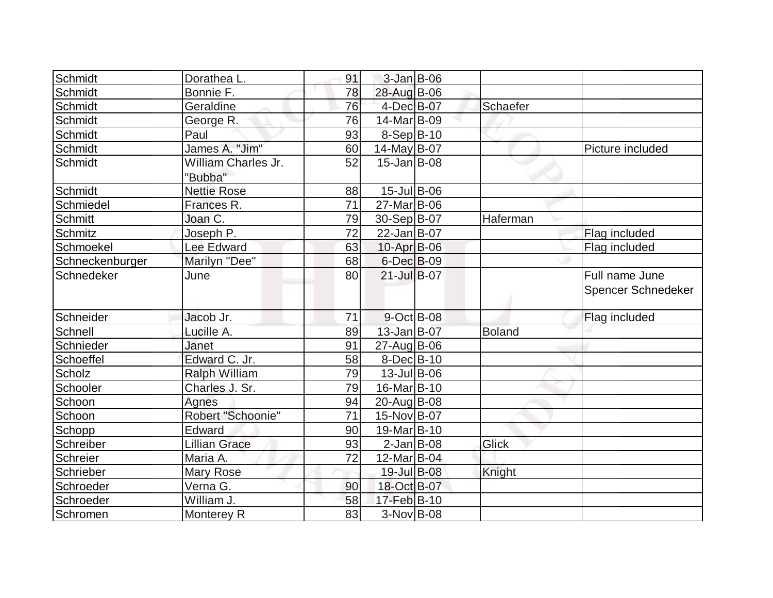| Schmidt         | Dorathea L.          | 91              | 3-Jan B-06         |               |                    |
|-----------------|----------------------|-----------------|--------------------|---------------|--------------------|
| Schmidt         | Bonnie F.            | 78              | 28-Aug B-06        |               |                    |
| Schmidt         | Geraldine            | 76              | 4-Dec B-07         | Schaefer      |                    |
| Schmidt         | George R.            | 76              | 14-Mar B-09        |               |                    |
| Schmidt         | Paul                 | 93              | $8-Sep B-10$       |               |                    |
| Schmidt         | James A. "Jim"       | 60              | $14$ -May B-07     |               | Picture included   |
| Schmidt         | William Charles Jr.  | 52              | $15$ -Jan B-08     |               |                    |
|                 | "Bubba"              |                 |                    |               |                    |
| Schmidt         | <b>Nettie Rose</b>   | 88              | 15-Jul B-06        |               |                    |
| Schmiedel       | Frances R.           | 71              | 27-Mar B-06        |               |                    |
| Schmitt         | Joan C.              | 79              | $30-Sep B-07$      | Haferman      |                    |
| Schmitz         | Joseph P.            | 72              | $22$ -Jan $ B-07$  |               | Flag included      |
| Schmoekel       | Lee Edward           | 63              | 10-Apr B-06        |               | Flag included      |
| Schneckenburger | Marilyn "Dee"        | 68              | $6$ -Dec $B$ -09   |               |                    |
| Schnedeker      | June                 | 80              | 21-Jul B-07        |               | Full name June     |
|                 |                      |                 |                    |               | Spencer Schnedeker |
|                 |                      |                 |                    |               |                    |
| Schneider       | Jacob Jr.            | 71              | $9$ -Oct B-08      |               | Flag included      |
| Schnell         | Lucille A.           | 89              | $13$ -Jan $ B-07$  | <b>Boland</b> |                    |
| Schnieder       | Janet                | 91              | 27-Aug B-06        |               |                    |
| Schoeffel       | Edward C. Jr.        | 58              | $8$ -Dec $B$ -10   |               |                    |
| Scholz          | <b>Ralph William</b> | 79              | $13$ -Jul B-06     |               |                    |
| Schooler        | Charles J. Sr.       | 79              | 16-Mar B-10        |               |                    |
| Schoon          | Agnes                | 94              | 20-Aug B-08        |               |                    |
| Schoon          | Robert "Schoonie"    | $\overline{71}$ | 15-Nov B-07        |               |                    |
| Schopp          | Edward               | 90              | 19-Mar B-10        |               |                    |
| Schreiber       | <b>Lillian Grace</b> | 93              | $2$ -Jan B-08      | Glick         |                    |
| Schreier        | Maria A.             | 72              | $12$ -Mar $ B-04 $ |               |                    |
| Schrieber       | Mary Rose            |                 | 19-Jul B-08        | Knight        |                    |
| Schroeder       | Verna G.             | 90              | 18-Oct B-07        |               |                    |
| Schroeder       | William J.           | 58              | $17 - Feb$ $B-10$  |               |                    |
| Schromen        | Monterey R           | 83              | 3-Nov B-08         |               |                    |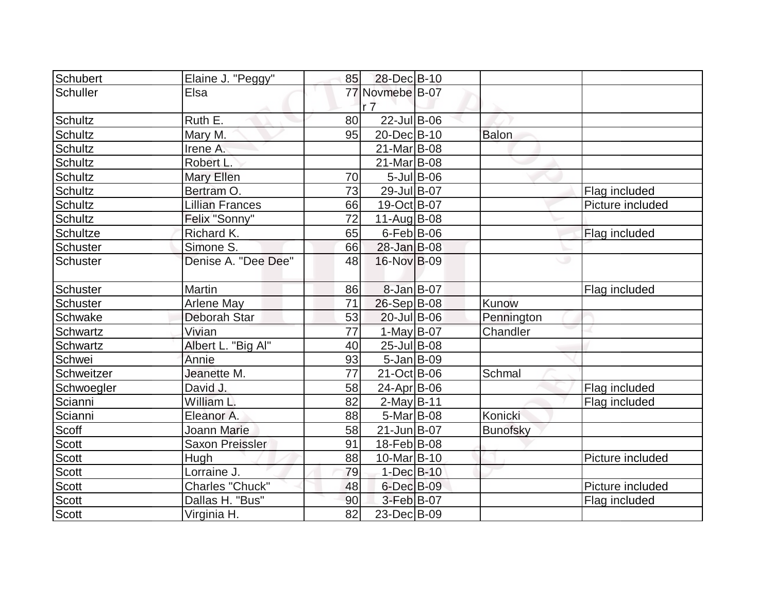| Schubert        | Elaine J. "Peggy"      | 85 | 28-Dec B-10                       |               |                 |                  |
|-----------------|------------------------|----|-----------------------------------|---------------|-----------------|------------------|
| <b>Schuller</b> | Elsa                   |    | 77 Novmebe B-07<br>r <sub>7</sub> |               |                 |                  |
| <b>Schultz</b>  | Ruth E.                | 80 | $22$ -Jul B-06                    |               |                 |                  |
| <b>Schultz</b>  | Mary M.                | 95 | 20-Dec B-10                       |               | <b>Balon</b>    |                  |
| <b>Schultz</b>  | Irene A.               |    | $21$ -Mar $ B-08 $                |               |                 |                  |
| <b>Schultz</b>  | Robert L.              |    | $21$ -Mar $ B-08 $                |               |                 |                  |
| <b>Schultz</b>  | Mary Ellen             | 70 |                                   | $5$ -Jul B-06 |                 |                  |
| <b>Schultz</b>  | Bertram O.             | 73 | 29-Jul B-07                       |               |                 | Flag included    |
| <b>Schultz</b>  | <b>Lillian Frances</b> | 66 | 19-Oct B-07                       |               |                 | Picture included |
| <b>Schultz</b>  | Felix "Sonny"          | 72 | 11-Aug $B-08$                     |               |                 |                  |
| <b>Schultze</b> | Richard K.             | 65 | $6$ -Feb $ B$ -06                 |               |                 | Flag included    |
| Schuster        | Simone S.              | 66 | $28 - Jan$ B-08                   |               |                 |                  |
| <b>Schuster</b> | Denise A. "Dee Dee"    | 48 | 16-Nov B-09                       |               |                 | Ð                |
| <b>Schuster</b> | <b>Martin</b>          | 86 | 8-Jan B-07                        |               |                 | Flag included    |
| <b>Schuster</b> | <b>Arlene May</b>      | 71 | $26-Sep B-08$                     |               | Kunow           |                  |
| Schwake         | Deborah Star           | 53 | $20$ -Jul B-06                    |               | Pennington      |                  |
| <b>Schwartz</b> | Vivian                 | 77 | $1-May B-07$                      |               | Chandler        |                  |
| Schwartz        | Albert L. "Big Al"     | 40 | $25$ -Jul B-08                    |               |                 |                  |
| Schwei          | Annie                  | 93 | $5 - Jan$ B-09                    |               |                 |                  |
| Schweitzer      | Jeanette M.            | 77 | $21$ -Oct B-06                    |               | Schmal          |                  |
| Schwoegler      | David J.               | 58 | $24$ -Apr $ B-06$                 |               |                 | Flag included    |
| Scianni         | William L.             | 82 | $2-May$ B-11                      |               |                 | Flag included    |
| Scianni         | Eleanor A.             | 88 | $5-Mar$ B-08                      |               | Konicki         |                  |
| Scoff           | <b>Joann Marie</b>     | 58 | $21$ -Jun $B$ -07                 |               | <b>Bunofsky</b> |                  |
| <b>Scott</b>    | <b>Saxon Preissler</b> | 91 | $18$ -Feb $ B-08$                 |               |                 |                  |
| <b>Scott</b>    | Hugh                   | 88 | $10$ -Mar $ B-10 $                |               |                 | Picture included |
| <b>Scott</b>    | Lorraine J.            | 79 | $1-Dec$ B-10                      |               |                 |                  |
| <b>Scott</b>    | Charles "Chuck"        | 48 | 6-Dec B-09                        |               |                 | Picture included |
| <b>Scott</b>    | Dallas H. "Bus"        | 90 | 3-Feb B-07                        |               |                 | Flag included    |
| Scott           | Virginia H.            | 82 | 23-Dec B-09                       |               |                 |                  |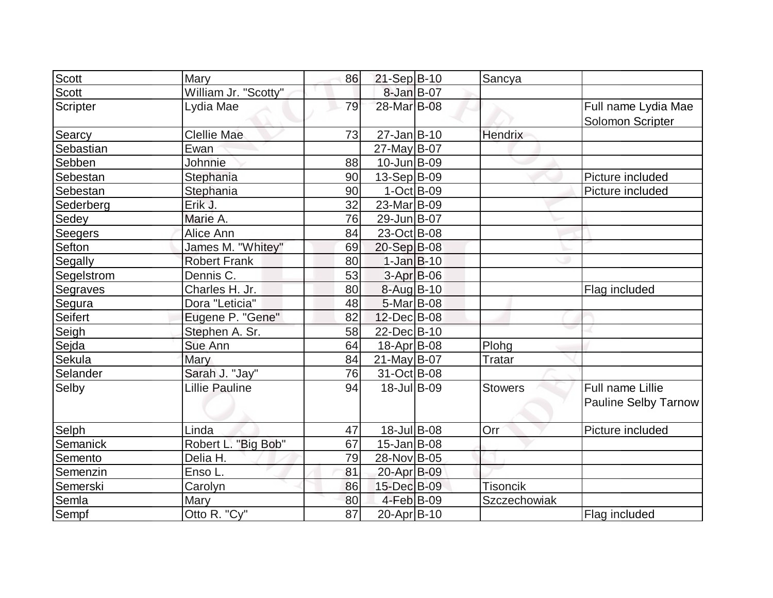| Scott        | Mary                  | 86 | $21-Sep B-10$             | Sancya          |                                                 |
|--------------|-----------------------|----|---------------------------|-----------------|-------------------------------------------------|
| <b>Scott</b> | William Jr. "Scotty"  |    | 8-Jan B-07                |                 |                                                 |
| Scripter     | Lydia Mae             | 79 | 28-Mar B-08               |                 | Full name Lydia Mae<br>Solomon Scripter         |
| Searcy       | <b>Clellie Mae</b>    | 73 | $27 - Jan$ B-10           | Hendrix         |                                                 |
| Sebastian    | Ewan                  |    | 27-May B-07               |                 |                                                 |
| Sebben       | Johnnie               | 88 | $10$ -Jun $ B-09$         |                 |                                                 |
| Sebestan     | Stephania             | 90 | $13-Sep B-09$             |                 | Picture included                                |
| Sebestan     | Stephania             | 90 | $1-Oct$ $B-09$            |                 | Picture included                                |
| Sederberg    | Erik J.               | 32 | 23-Mar B-09               |                 |                                                 |
| Sedey        | Marie A.              | 76 | 29-Jun B-07               |                 |                                                 |
| Seegers      | Alice Ann             | 84 | 23-Oct B-08               |                 |                                                 |
| Sefton       | James M. "Whitey"     | 69 | 20-Sep B-08               |                 |                                                 |
| Segally      | <b>Robert Frank</b>   | 80 | $1-Jan B-10$              |                 |                                                 |
| Segelstrom   | Dennis C.             | 53 | $3-Apr$ B-06              |                 |                                                 |
| Segraves     | Charles H. Jr.        | 80 | 8-Aug B-10                |                 | Flag included                                   |
| Segura       | Dora "Leticia"        | 48 | $5-Mar$ B-08              |                 |                                                 |
| Seifert      | Eugene P. "Gene"      | 82 | $12$ -Dec $ B-08 $        |                 |                                                 |
| Seigh        | Stephen A. Sr.        | 58 | 22-Dec B-10               |                 |                                                 |
| Sejda        | Sue Ann               | 64 | $18$ -Apr $ B$ -08        | Plohg           |                                                 |
| Sekula       | Mary                  | 84 | $21$ -May B-07            | <b>Tratar</b>   |                                                 |
| Selander     | Sarah J. "Jay"        | 76 | $\overline{31}$ -Oct B-08 |                 |                                                 |
| Selby        | <b>Lillie Pauline</b> | 94 | 18-Jul B-09               | <b>Stowers</b>  | Full name Lillie<br><b>Pauline Selby Tarnow</b> |
| Selph        | Linda                 | 47 | 18-Jul B-08               | Orr             | Picture included                                |
| Semanick     | Robert L. "Big Bob"   | 67 | $15$ -Jan $ B$ -08        |                 |                                                 |
| Semento      | Delia H.              | 79 | 28-Nov B-05               |                 |                                                 |
| Semenzin     | Enso L.               | 81 | 20-Apr B-09               |                 |                                                 |
| Semerski     | Carolyn               | 86 | 15-Dec B-09               | <b>Tisoncik</b> |                                                 |
| Semla        | Mary                  | 80 | 4-Feb B-09                | Szczechowiak    |                                                 |
| Sempf        | Otto R. "Cy"          | 87 | 20-Apr B-10               |                 | Flag included                                   |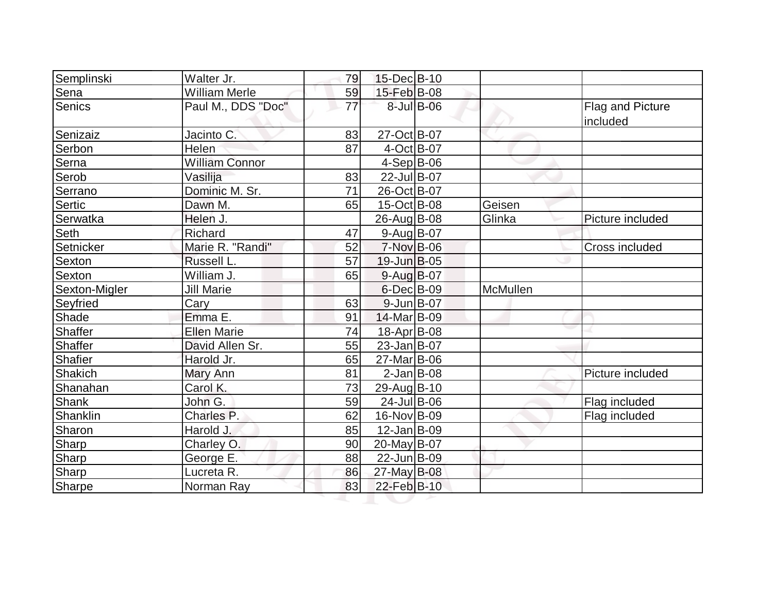| Semplinski    | Walter Jr.            | 79 | 15-Dec B-10        |            |                 |                              |
|---------------|-----------------------|----|--------------------|------------|-----------------|------------------------------|
| Sena          | <b>William Merle</b>  | 59 | 15-Feb B-08        |            |                 |                              |
| Senics        | Paul M., DDS "Doc"    | 77 |                    | 8-Jul B-06 |                 | Flag and Picture<br>included |
| Senizaiz      | Jacinto C.            | 83 | 27-Oct B-07        |            |                 |                              |
| Serbon        | Helen                 | 87 | 4-Oct B-07         |            |                 |                              |
| Serna         | <b>William Connor</b> |    | $4-Sep B-06$       |            |                 |                              |
| Serob         | Vasilija              | 83 | 22-Jul B-07        |            |                 |                              |
| Serrano       | Dominic M. Sr.        | 71 | 26-Oct B-07        |            |                 |                              |
| Sertic        | Dawn M.               | 65 | $15$ -Oct B-08     |            | Geisen          |                              |
| Serwatka      | Helen J.              |    | 26-Aug B-08        |            | Glinka          | Picture included             |
| Seth          | Richard               | 47 | $9$ -Aug $B$ -07   |            |                 |                              |
| Setnicker     | Marie R. "Randi"      | 52 | $7-Nov$ B-06       |            |                 | <b>Cross included</b>        |
| Sexton        | Russell L.            | 57 | $19$ -Jun $B$ -05  |            |                 |                              |
| Sexton        | William J.            | 65 | 9-Aug B-07         |            |                 |                              |
| Sexton-Migler | <b>Jill Marie</b>     |    | $6$ -Dec $B$ -09   |            | <b>McMullen</b> |                              |
| Seyfried      | Cary                  | 63 | $9$ -Jun $B$ -07   |            |                 |                              |
| Shade         | Emma E.               | 91 | 14-Mar B-09        |            |                 |                              |
| Shaffer       | <b>Ellen Marie</b>    | 74 | 18-Apr B-08        |            |                 |                              |
| Shaffer       | David Allen Sr.       | 55 | 23-Jan B-07        |            |                 |                              |
| Shafier       | Harold Jr.            | 65 | 27-Mar B-06        |            |                 |                              |
| Shakich       | Mary Ann              | 81 | $2$ -Jan B-08      |            |                 | Picture included             |
| Shanahan      | Carol K.              | 73 | 29-Aug B-10        |            |                 |                              |
| Shank         | John G.               | 59 | 24-Jul B-06        |            |                 | Flag included                |
| Shanklin      | Charles P.            | 62 | 16-Nov B-09        |            |                 | Flag included                |
| Sharon        | Harold J.             | 85 | $12$ -Jan $ B-09 $ |            |                 |                              |
| Sharp         | Charley O.            | 90 | 20-May B-07        |            |                 |                              |
| Sharp         | George E.             | 88 | 22-Jun B-09        |            |                 |                              |
| Sharp         | Lucreta R.            | 86 | 27-May B-08        |            |                 |                              |
| Sharpe        | Norman Ray            | 83 | 22-Feb B-10        |            |                 |                              |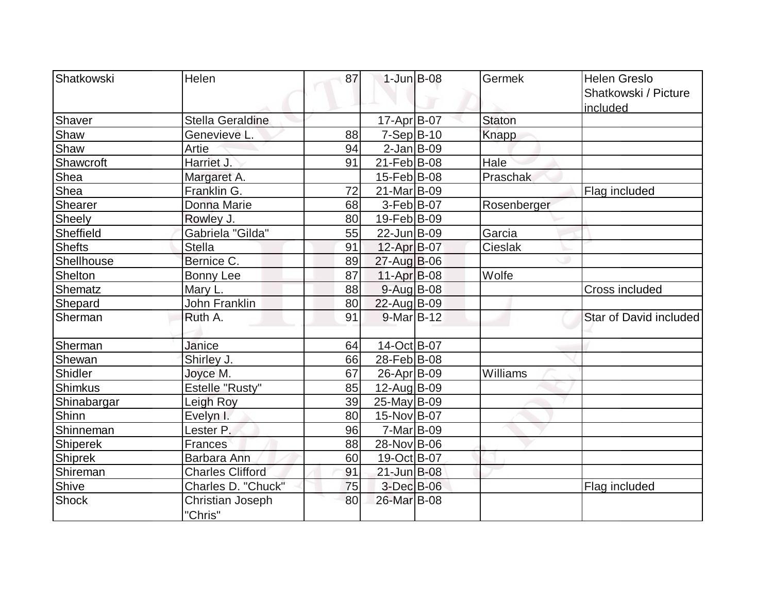| Shatkowski  | Helen                   | 87 | $1$ -Jun $B$ -08   | Germek        | <b>Helen Greslo</b>    |
|-------------|-------------------------|----|--------------------|---------------|------------------------|
|             |                         |    |                    |               | Shatkowski / Picture   |
|             |                         |    |                    |               | included               |
| Shaver      | Stella Geraldine        |    | 17-Apr B-07        | <b>Staton</b> |                        |
| Shaw        | Genevieve L.            | 88 | $7-Sep B-10$       | <b>Knapp</b>  |                        |
| Shaw        | Artie                   | 94 | $2$ -Jan B-09      |               |                        |
| Shawcroft   | Harriet J.              | 91 | $21$ -Feb $ B-08$  | Hale          |                        |
| Shea        | Margaret A.             |    | $15$ -Feb $ B$ -08 | Praschak      |                        |
| Shea        | Franklin G.             | 72 | 21-Mar B-09        |               | Flag included          |
| Shearer     | Donna Marie             | 68 | $3-Feb B-07$       | Rosenberger   |                        |
| Sheely      | Rowley J.               | 80 | 19-Feb B-09        |               |                        |
| Sheffield   | Gabriela "Gilda"        | 55 | 22-Jun B-09        | Garcia        |                        |
| Shefts      | <b>Stella</b>           | 91 | 12-Apr B-07        | Cieslak       |                        |
| Shellhouse  | Bernice C.              | 89 | $27$ -Aug B-06     |               |                        |
| Shelton     | <b>Bonny Lee</b>        | 87 | $11-Apr$ B-08      | Wolfe         |                        |
| Shematz     | Mary L.                 | 88 | $9$ -Aug B-08      |               | <b>Cross included</b>  |
| Shepard     | <b>John Franklin</b>    | 80 | 22-Aug B-09        |               |                        |
| Sherman     | Ruth A.                 | 91 | $9-Mar$ B-12       |               | Star of David included |
|             |                         |    |                    |               |                        |
| Sherman     | Janice                  | 64 | 14-Oct B-07        |               |                        |
| Shewan      | Shirley J.              | 66 | 28-Feb B-08        |               |                        |
| Shidler     | Joyce M.                | 67 | 26-Apr B-09        | Williams      |                        |
| Shimkus     | Estelle "Rusty"         | 85 | 12-Aug B-09        |               |                        |
| Shinabargar | Leigh Roy               | 39 | $25$ -May B-09     |               |                        |
| Shinn       | Evelyn I.               | 80 | 15-Nov B-07        |               |                        |
| Shinneman   | Lester P.               | 96 | $7-Mar$ B-09       |               |                        |
| Shiperek    | <b>Frances</b>          | 88 | 28-Nov B-06        |               |                        |
| Shiprek     | Barbara Ann             | 60 | 19-Oct B-07        |               |                        |
| Shireman    | <b>Charles Clifford</b> | 91 | 21-Jun B-08        |               |                        |
| Shive       | Charles D. "Chuck"      | 75 | $3-Dec$ B-06       |               | Flag included          |
| Shock       | Christian Joseph        | 80 | 26-Mar B-08        |               |                        |
|             | "Chris"                 |    |                    |               |                        |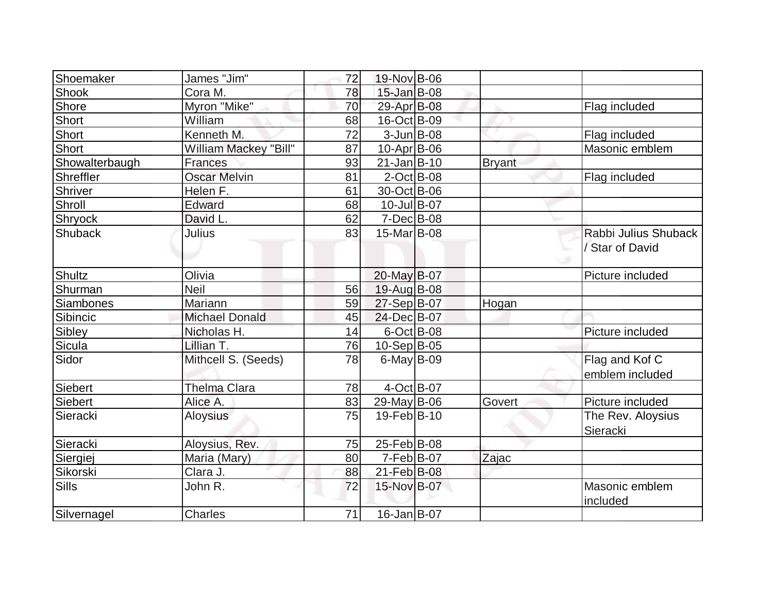| Shoemaker      | James "Jim"           | 72 | 19-Nov B-06        |               |                      |
|----------------|-----------------------|----|--------------------|---------------|----------------------|
| <b>Shook</b>   | Cora M.               | 78 | $15$ -Jan $B$ -08  |               |                      |
| Shore          | Myron "Mike"          | 70 | 29-Apr B-08        |               | Flag included        |
| Short          | William               | 68 | 16-Oct B-09        |               |                      |
| Short          | Kenneth M.            | 72 | $3$ -Jun $B$ -08   |               | Flag included        |
| Short          | William Mackey "Bill" | 87 | $10$ -Apr $ B$ -06 |               | Masonic emblem       |
| Showalterbaugh | <b>Frances</b>        | 93 | $21$ -Jan $ B-10$  | <b>Bryant</b> |                      |
| Shreffler      | <b>Oscar Melvin</b>   | 81 | $2$ -Oct B-08      |               | Flag included        |
| Shriver        | Helen F.              | 61 | 30-Oct B-06        |               |                      |
| Shroll         | Edward                | 68 | 10-Jul B-07        |               |                      |
| Shryock        | David L.              | 62 | $7$ -Dec $B$ -08   |               |                      |
| <b>Shuback</b> | Julius                | 83 | 15-Mar B-08        |               | Rabbi Julius Shuback |
|                |                       |    |                    |               | Star of David        |
|                |                       |    |                    |               |                      |
| Shultz         | Olivia                |    | 20-May B-07        |               | Picture included     |
| Shurman        | <b>Neil</b>           | 56 | 19-Aug B-08        |               |                      |
| Siambones      | Mariann               | 59 | $27-Sep B-07$      | Hogan         |                      |
| Sibincic       | <b>Michael Donald</b> | 45 | 24-Dec B-07        |               |                      |
| Sibley         | Nicholas H.           | 14 | 6-Oct B-08         |               | Picture included     |
| <b>Sicula</b>  | Lillian T.            | 76 | $10-Sep B-05$      |               |                      |
| Sidor          | Mithcell S. (Seeds)   | 78 | $6$ -May B-09      |               | Flag and Kof C       |
|                |                       |    |                    |               | emblem included      |
| Siebert        | <b>Thelma Clara</b>   | 78 | $4-Oct$ B-07       |               |                      |
| <b>Siebert</b> | Alice A.              | 83 | 29-May B-06        | Govert        | Picture included     |
| Sieracki       | <b>Aloysius</b>       | 75 | 19-Feb B-10        |               | The Rev. Aloysius    |
|                |                       |    |                    |               | Sieracki             |
| Sieracki       | Aloysius, Rev.        | 75 | 25-Feb B-08        |               |                      |
| Siergiej       | Maria (Mary)          | 80 | $7-Feb B-07$       | Zajac         |                      |
| Sikorski       | Clara J.              | 88 | 21-Feb B-08        |               |                      |
| Sills          | John R.               | 72 | 15-Nov B-07        |               | Masonic emblem       |
|                |                       |    |                    |               | included             |
| Silvernagel    | Charles               | 71 | 16-Jan B-07        |               |                      |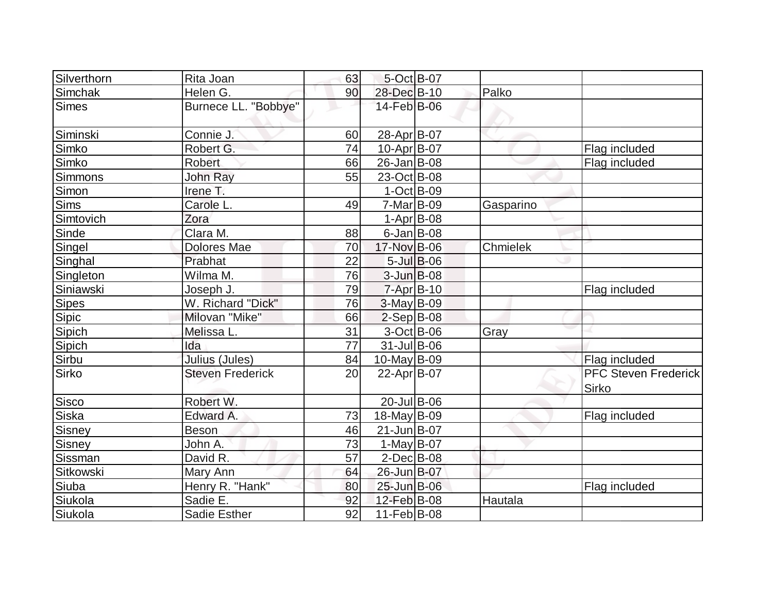| Silverthorn  | Rita Joan               | 63              | 5-Oct B-07       |                  |           |                                             |
|--------------|-------------------------|-----------------|------------------|------------------|-----------|---------------------------------------------|
| Simchak      | Helen G.                | 90              | 28-Dec B-10      |                  | Palko     |                                             |
| Simes        | Burnece LL. "Bobbye"    |                 | 14-Feb B-06      |                  |           |                                             |
| Siminski     | Connie J.               | 60              | 28-Apr B-07      |                  |           |                                             |
| Simko        | Robert G.               | 74              | 10-Apr B-07      |                  |           | Flag included                               |
| Simko        | <b>Robert</b>           | 66              | 26-Jan B-08      |                  |           | Flag included                               |
| Simmons      | John Ray                | 55              | 23-Oct B-08      |                  |           |                                             |
| Simon        | Irene T.                |                 | $1-Oct$ B-09     |                  |           |                                             |
| <b>Sims</b>  | Carole L.               | 49              | $7-Mar$ B-09     |                  | Gasparino |                                             |
| Simtovich    | Zora                    |                 | $1-Apr B-08$     |                  |           |                                             |
| Sinde        | Clara M.                | 88              | $6$ -Jan B-08    |                  |           |                                             |
| Singel       | <b>Dolores Mae</b>      | 70              | 17-Nov B-06      |                  | Chmielek  |                                             |
| Singhal      | Prabhat                 | 22              |                  | $5$ -Jul $B$ -06 |           |                                             |
| Singleton    | Wilma M.                | 76              | $3$ -Jun $B$ -08 |                  |           |                                             |
| Siniawski    | Joseph J.               | 79              | $7 - Apr$ B-10   |                  |           | Flag included                               |
| <b>Sipes</b> | W. Richard "Dick"       | 76              | $3-May B-09$     |                  |           |                                             |
| Sipic        | Milovan "Mike"          | 66              | $2-Sep$ B-08     |                  |           |                                             |
| Sipich       | Melissa L               | 31              | 3-Oct B-06       |                  | Gray      |                                             |
| Sipich       | Ida                     | $\overline{77}$ | $31$ -Jul B-06   |                  |           |                                             |
| Sirbu        | Julius (Jules)          | 84              | $10$ -May B-09   |                  |           | Flag included                               |
| Sirko        | <b>Steven Frederick</b> | 20              | 22-Apr B-07      |                  |           | <b>PFC Steven Frederick</b><br><b>Sirko</b> |
| Sisco        | Robert W.               |                 | $20$ -Jul B-06   |                  |           |                                             |
| Siska        | Edward A.               | 73              | 18-May B-09      |                  |           | Flag included                               |
| Sisney       | <b>Beson</b>            | 46              | 21-JunB-07       |                  |           |                                             |
| Sisney       | John A.                 | 73              | $1-May$ B-07     |                  |           |                                             |
| Sissman      | David R.                | 57              | $2$ -Dec $B$ -08 |                  |           |                                             |
| Sitkowski    | Mary Ann                | 64              | 26-Jun B-07      |                  |           |                                             |
| Siuba        | Henry R. "Hank"         | 80              | 25-Jun B-06      |                  |           | Flag included                               |
| Siukola      | Sadie E.                | 92              | 12-Feb B-08      |                  | Hautala   |                                             |
| Siukola      | Sadie Esther            | 92              | $11-Feb B-08$    |                  |           |                                             |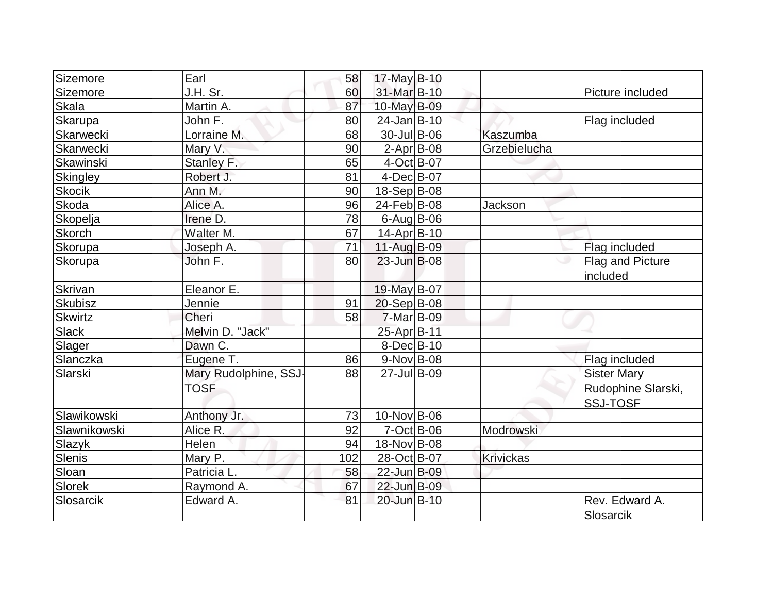| Sizemore         | Earl                  | 58  | $17$ -May B-10    |                  |                             |
|------------------|-----------------------|-----|-------------------|------------------|-----------------------------|
| Sizemore         | J.H. Sr.              | 60  | 31-Mar B-10       |                  | Picture included            |
| <b>Skala</b>     | Martin A.             | 87  | 10-May B-09       |                  |                             |
| <b>Skarupa</b>   | John F.               | 80  | $24$ -Jan $B-10$  |                  | Flag included               |
| Skarwecki        | Lorraine M.           | 68  | $30 -$ Jul B-06   | Kaszumba         |                             |
| <b>Skarwecki</b> | Mary V.               | 90  | $2$ -Apr $ B$ -08 | Grzebielucha     |                             |
| Skawinski        | Stanley F.            | 65  | $4-Oct$ B-07      |                  |                             |
| Skingley         | Robert J.             | 81  | $4$ -Dec $B$ -07  |                  |                             |
| <b>Skocik</b>    | Ann M.                | 90  | 18-Sep B-08       |                  |                             |
| <b>Skoda</b>     | Alice A.              | 96  | 24-Feb B-08       | Jackson          |                             |
| Skopelja         | Irene D.              | 78  | $6$ -Aug $B$ -06  |                  |                             |
| <b>Skorch</b>    | Walter M.             | 67  | $14$ -Apr $ B-10$ |                  |                             |
| Skorupa          | Joseph A.             | 71  | $11-Auq$ B-09     |                  | Flag included               |
| Skorupa          | John F.               | 80  | $23$ -Jun $B$ -08 |                  | Flag and Picture            |
|                  |                       |     |                   |                  | included                    |
| Skrivan          | Eleanor E.            |     | 19-May B-07       |                  |                             |
| Skubisz          | Jennie                | 91  | $20-Sep B-08$     |                  |                             |
| Skwirtz          | Cheri                 | 58  | $7-Mar$ B-09      |                  |                             |
| <b>Slack</b>     | Melvin D. "Jack"      |     | 25-Apr B-11       |                  |                             |
| Slager           | Dawn C.               |     | $8$ -Dec $B$ -10  |                  |                             |
| Slanczka         | Eugene T.             | 86  | $9-Nov$ B-08      |                  | Flag included               |
| Slarski          | Mary Rudolphine, SSJ- | 88  | 27-Jul B-09       |                  | <b>Sister Mary</b>          |
|                  | <b>TOSF</b>           |     |                   |                  | Rudophine Slarski,          |
|                  |                       |     |                   |                  | <b>SSJ-TOSF</b>             |
| Slawikowski      | Anthony Jr.           | 73  | 10-Nov B-06       |                  |                             |
| Slawnikowski     | Alice R.              | 92  | $7-Oct$ B-06      | Modrowski        |                             |
| Slazyk           | Helen                 | 94  | 18-Nov B-08       |                  |                             |
| Slenis           | Mary P.               | 102 | 28-Oct B-07       | <b>Krivickas</b> |                             |
| Sloan            | Patricia L.           | 58  | 22-Jun B-09       |                  |                             |
| Slorek           | Raymond A.            | 67  | 22-Jun B-09       |                  |                             |
| Slosarcik        | Edward A.             | 81  | 20-Jun B-10       |                  | Rev. Edward A.<br>Slosarcik |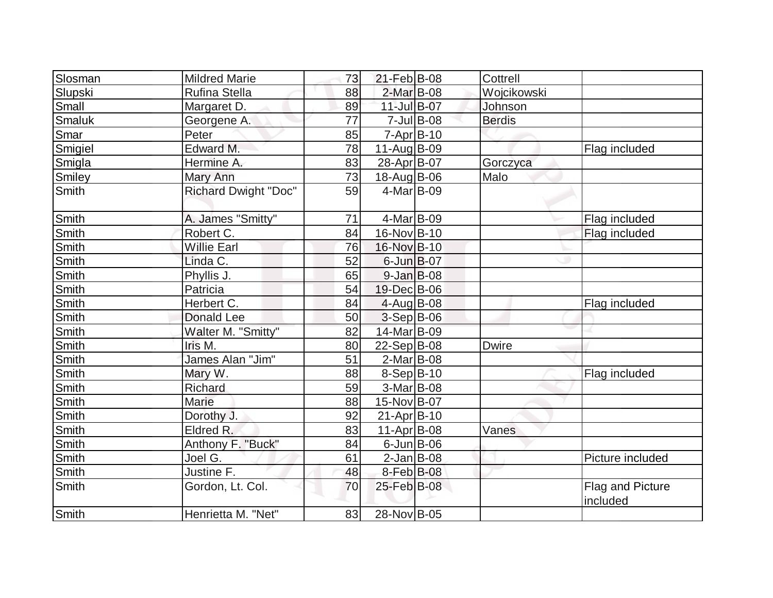| Slosman      | <b>Mildred Marie</b>        | 73 | 21-Feb B-08      |               | Cottrell      |                                     |
|--------------|-----------------------------|----|------------------|---------------|---------------|-------------------------------------|
| Slupski      | <b>Rufina Stella</b>        | 88 | 2-Mar B-08       |               | Wojcikowski   |                                     |
| Small        | Margaret D.                 | 89 | 11-Jul B-07      |               | Johnson       |                                     |
| Smaluk       | Georgene A.                 | 77 |                  | $7$ -Jul B-08 | <b>Berdis</b> |                                     |
| Smar         | Peter                       | 85 | $7 - Apr$ B-10   |               |               |                                     |
| Smigiel      | Edward M.                   | 78 | 11-Aug B-09      |               |               | Flag included                       |
| Smigla       | Hermine A.                  | 83 | 28-Apr B-07      |               | Gorczyca      |                                     |
| Smiley       | Mary Ann                    | 73 | 18-Aug B-06      |               | Malo          |                                     |
| Smith        | <b>Richard Dwight "Doc"</b> | 59 | $4$ -Mar $ B-09$ |               |               |                                     |
| Smith        | A. James "Smitty"           | 71 | $4$ -Mar $ B-09$ |               |               | Flag included                       |
| Smith        | Robert C.                   | 84 | 16-Nov B-10      |               |               | Flag included                       |
| Smith        | <b>Willie Earl</b>          | 76 | 16-Nov B-10      |               |               |                                     |
| Smith        | Linda C.                    | 52 | $6$ -Jun $B$ -07 |               |               |                                     |
| Smith        | Phyllis J.                  | 65 | $9$ -Jan B-08    |               |               |                                     |
| Smith        | Patricia                    | 54 | 19-Dec B-06      |               |               |                                     |
| Smith        | Herbert C.                  | 84 | $4$ -Aug B-08    |               |               | Flag included                       |
| Smith        | <b>Donald Lee</b>           | 50 | $3-Sep$ B-06     |               |               |                                     |
| Smith        | Walter M. "Smitty"          | 82 | 14-Mar B-09      |               |               |                                     |
| Smith        | Iris M.                     | 80 | 22-Sep B-08      |               | <b>Dwire</b>  |                                     |
| Smith        | James Alan "Jim"            | 51 | $2$ -Mar $ B-08$ |               |               |                                     |
| <b>Smith</b> | Mary W.                     | 88 | $8-Sep B-10$     |               |               | Flag included                       |
| Smith        | Richard                     | 59 | $3-Mar$ B-08     |               |               |                                     |
| <b>Smith</b> | Marie                       | 88 | 15-Nov B-07      |               |               |                                     |
| Smith        | Dorothy J.                  | 92 | $21-Apr$ B-10    |               |               |                                     |
| Smith        | Eldred R.                   | 83 | 11-Apr $B$ -08   |               | Vanes         |                                     |
| Smith        | Anthony F. "Buck"           | 84 | $6$ -Jun $B$ -06 |               |               |                                     |
| Smith        | Joel G.                     | 61 | $2$ -Jan B-08    |               |               | Picture included                    |
| Smith        | Justine F.                  | 48 | 8-Feb B-08       |               |               |                                     |
| Smith        | Gordon, Lt. Col.            | 70 | 25-Feb B-08      |               |               | <b>Flag and Picture</b><br>included |
| Smith        | Henrietta M. "Net"          | 83 | 28-Nov B-05      |               |               |                                     |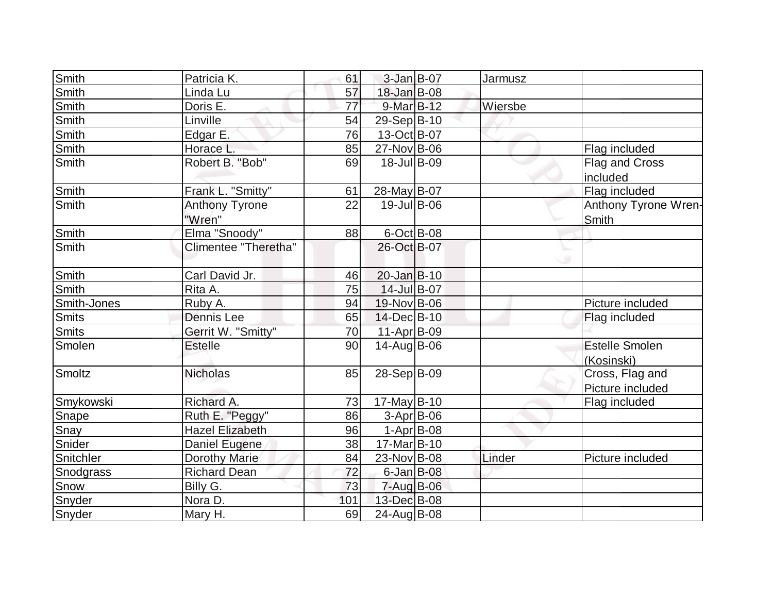| Smith        | Patricia K.                     | 61  | 3-Jan B-07       | Jarmusz |                                     |
|--------------|---------------------------------|-----|------------------|---------|-------------------------------------|
| Smith        | Linda Lu                        | 57  | 18-Jan B-08      |         |                                     |
| <b>Smith</b> | Doris E.                        | 77  | 9-Mar B-12       | Wiersbe |                                     |
| <b>Smith</b> | Linville                        | 54  | 29-Sep B-10      |         |                                     |
| <b>Smith</b> | Edgar E.                        | 76  | 13-Oct B-07      |         |                                     |
| Smith        | Horace L.                       | 85  | 27-Nov B-06      |         | Flag included                       |
| Smith        | Robert B. "Bob"                 | 69  | 18-Jul B-09      |         | Flag and Cross<br>included          |
| <b>Smith</b> | Frank L. "Smitty"               | 61  | 28-May B-07      |         | Flag included                       |
| Smith        | <b>Anthony Tyrone</b><br>"Wren" | 22  | 19-Jul B-06      |         | Anthony Tyrone Wren-<br>Smith       |
| Smith        | Elma "Snoody"                   | 88  | $6$ -Oct B-08    |         |                                     |
| Smith        | Climentee "Theretha"            |     | 26-Oct B-07      |         |                                     |
| <b>Smith</b> | Carl David Jr.                  | 46  | $20$ -Jan $B-10$ |         |                                     |
| Smith        | Rita A.                         | 75  | 14-Jul B-07      |         |                                     |
| Smith-Jones  | Ruby A.                         | 94  | 19-Nov B-06      |         | Picture included                    |
| <b>Smits</b> | Dennis Lee                      | 65  | 14-Dec B-10      |         | Flag included                       |
| <b>Smits</b> | Gerrit W. "Smitty"              | 70  | 11-Apr B-09      |         |                                     |
| Smolen       | <b>Estelle</b>                  | 90  | 14-Aug B-06      |         | <b>Estelle Smolen</b><br>(Kosinski) |
| Smoltz       | <b>Nicholas</b>                 | 85  | 28-Sep B-09      |         | Cross, Flag and<br>Picture included |
| Smykowski    | Richard A.                      | 73  | $17$ -May B-10   |         | Flag included                       |
| Snape        | Ruth E. "Peggy"                 | 86  | $3-Apr$ B-06     |         |                                     |
| Snay         | <b>Hazel Elizabeth</b>          | 96  | $1-Apr$ B-08     |         |                                     |
| Snider       | Daniel Eugene                   | 38  | 17-Mar B-10      |         |                                     |
| Snitchler    | Dorothy Marie                   | 84  | $23$ -Nov B-08   | Linder  | Picture included                    |
| Snodgrass    | <b>Richard Dean</b>             | 72  | $6$ -Jan $B$ -08 |         |                                     |
| Snow         | Billy G.                        | 73  | 7-Aug B-06       |         |                                     |
| Snyder       | Nora D.                         | 101 | 13-Dec B-08      |         |                                     |
| Snyder       | Mary H.                         | 69  | 24-Aug B-08      |         |                                     |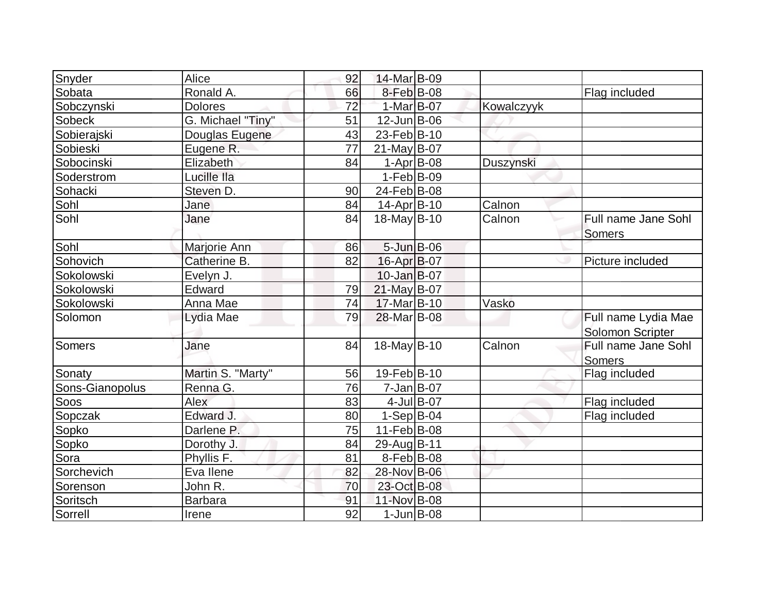| Snyder          | Alice             | 92 | 14-Mar B-09        |               |            |                                         |
|-----------------|-------------------|----|--------------------|---------------|------------|-----------------------------------------|
| Sobata          | Ronald A.         | 66 | 8-Feb B-08         |               |            | Flag included                           |
| Sobczynski      | <b>Dolores</b>    | 72 | 1-Mar B-07         |               | Kowalczyyk |                                         |
| <b>Sobeck</b>   | G. Michael "Tiny" | 51 | $12$ -Jun $B$ -06  |               |            |                                         |
| Sobierajski     | Douglas Eugene    | 43 | 23-Feb B-10        |               |            |                                         |
| Sobieski        | Eugene R.         | 77 | $21$ -May B-07     |               |            |                                         |
| Sobocinski      | Elizabeth         | 84 | $1-Apr$ B-08       |               | Duszynski  |                                         |
| Soderstrom      | Lucille Ila       |    | $1-Feb B-09$       |               |            |                                         |
| Sohacki         | Steven D.         | 90 | 24-Feb B-08        |               |            |                                         |
| Sohl            | Jane              | 84 | $14$ -Apr $ B-10$  |               | Calnon     |                                         |
| Sohl            | Jane              | 84 | 18-May B-10        |               | Calnon     | Full name Jane Sohl<br><b>Somers</b>    |
| Sohl            | Marjorie Ann      | 86 | $5 - Jun$ $B - 06$ |               |            |                                         |
| Sohovich        | Catherine B.      | 82 | 16-Apr B-07        |               |            | Picture included                        |
| Sokolowski      | Evelyn J.         |    | $10$ -Jan $B$ -07  |               |            |                                         |
| Sokolowski      | Edward            | 79 | 21-May B-07        |               |            |                                         |
| Sokolowski      | Anna Mae          | 74 | 17-Mar B-10        |               | Vasko      |                                         |
| Solomon         | Lydia Mae         | 79 | 28-Mar B-08        |               |            | Full name Lydia Mae<br>Solomon Scripter |
| Somers          | Jane              | 84 | 18-May B-10        |               | Calnon     | Full name Jane Sohl<br>Somers           |
| Sonaty          | Martin S. "Marty" | 56 | 19-Feb B-10        |               |            | Flag included                           |
| Sons-Gianopolus | Renna G.          | 76 | $7 - Jan$ B-07     |               |            |                                         |
| Soos            | Alex              | 83 |                    | $4$ -Jul B-07 |            | Flag included                           |
| Sopczak         | Edward J          | 80 | $1-Sep B-04$       |               |            | Flag included                           |
| Sopko           | Darlene P.        | 75 | 11-Feb B-08        |               |            |                                         |
| Sopko           | Dorothy J.        | 84 | 29-Aug B-11        |               |            |                                         |
| Sora            | Phyllis F.        | 81 | $8-Feb B-08$       |               |            |                                         |
| Sorchevich      | Eva llene         | 82 | 28-Nov B-06        |               |            |                                         |
| Sorenson        | John R.           | 70 | 23-Oct B-08        |               |            |                                         |
| Soritsch        | Barbara           | 91 | 11-Nov B-08        |               |            |                                         |
| Sorrell         | Irene             | 92 | $1$ -Jun $B$ -08   |               |            |                                         |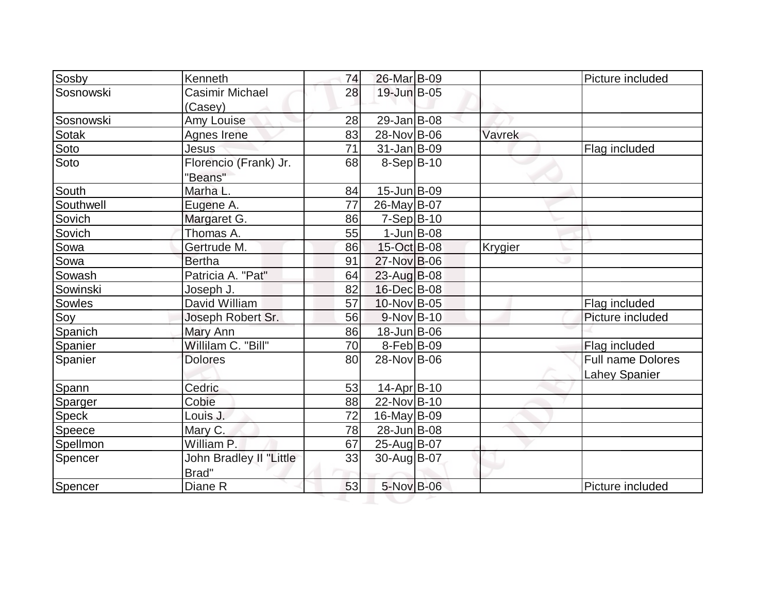| Sosby     | Kenneth                 | 74 | 26-Mar B-09        |                | Picture included     |
|-----------|-------------------------|----|--------------------|----------------|----------------------|
| Sosnowski | Casimir Michael         | 28 | 19-Jun B-05        |                |                      |
|           | (Casey)                 |    |                    |                |                      |
| Sosnowski | Amy Louise              | 28 | $29$ -Jan B-08     |                |                      |
| Sotak     | Agnes Irene             | 83 | 28-Nov B-06        | Vavrek         |                      |
| Soto      | Jesus                   | 71 | $31$ -Jan $B$ -09  |                | Flag included        |
| Soto      | Florencio (Frank) Jr.   | 68 | $8-Sep B-10$       |                |                      |
|           | "Beans"                 |    |                    |                |                      |
| South     | Marha L.                | 84 | $15$ -Jun $B$ -09  |                |                      |
| Southwell | Eugene A.               | 77 | 26-May B-07        |                |                      |
| Sovich    | Margaret G.             | 86 | $7-Sep B-10$       |                |                      |
| Sovich    | Thomas A.               | 55 | $1$ -Jun $B$ -08   |                |                      |
| Sowa      | Gertrude M.             | 86 | 15-Oct B-08        | <b>Krygier</b> |                      |
| Sowa      | <b>Bertha</b>           | 91 | 27-Nov B-06        |                |                      |
| Sowash    | Patricia A. "Pat"       | 64 | 23-Aug B-08        |                |                      |
| Sowinski  | Joseph J.               | 82 | 16-Dec B-08        |                |                      |
| Sowles    | David William           | 57 | 10-Nov B-05        |                | Flag included        |
| Soy       | Joseph Robert Sr.       | 56 | $9-Nov B-10$       |                | Picture included     |
| Spanich   | Mary Ann                | 86 | $18$ -Jun $B$ -06  |                |                      |
| Spanier   | Willilam C. "Bill"      | 70 | $8-Feb B-09$       |                | Flag included        |
| Spanier   | <b>Dolores</b>          | 80 | 28-Nov B-06        |                | Full name Dolores    |
|           |                         |    |                    |                | <b>Lahey Spanier</b> |
| Spann     | Cedric                  | 53 | $14$ -Apr $ B-10 $ |                |                      |
| Sparger   | Cobie                   | 88 | 22-Nov B-10        |                |                      |
| Speck     | Louis J.                | 72 | $16$ -May B-09     |                |                      |
| Speece    | Mary C.                 | 78 | 28-Jun B-08        |                |                      |
| Spellmon  | William P.              | 67 | 25-Aug B-07        |                |                      |
| Spencer   | John Bradley II "Little | 33 | 30-Aug B-07        |                |                      |
|           | Brad"                   |    |                    |                |                      |
| Spencer   | Diane R                 | 53 | 5-Nov B-06         |                | Picture included     |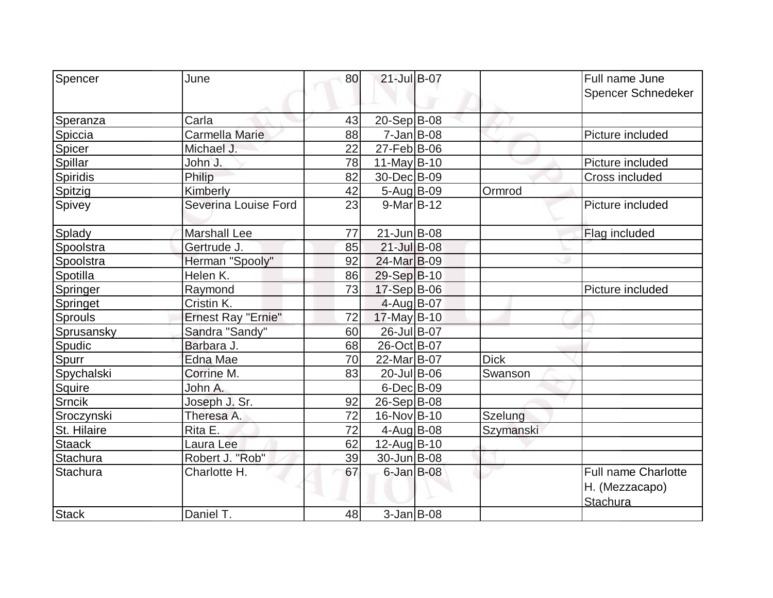| Spencer        | June                      | 80 | $21$ -Jul B-07    |             | Full name June<br>Spencer Schnedeker                     |
|----------------|---------------------------|----|-------------------|-------------|----------------------------------------------------------|
|                |                           |    |                   |             |                                                          |
| Speranza       | Carla                     | 43 | $20-Sep B-08$     |             |                                                          |
| Spiccia        | Carmella Marie            | 88 | $7 - Jan$ B-08    |             | Picture included                                         |
| Spicer         | Michael J.                | 22 | $27$ -Feb $ B-06$ |             |                                                          |
| Spillar        | John J.                   | 78 | 11-May $B-10$     |             | Picture included                                         |
| Spiridis       | Philip                    | 82 | 30-Dec B-09       |             | Cross included                                           |
| Spitzig        | Kimberly                  | 42 | 5-Aug B-09        | Ormrod      |                                                          |
| Spivey         | Severina Louise Ford      | 23 | $9-Mar$ B-12      |             | Picture included                                         |
| Splady         | <b>Marshall Lee</b>       | 77 | $21$ -Jun $B$ -08 |             | Flag included                                            |
| Spoolstra      | Gertrude J.               | 85 | 21-Jul B-08       |             |                                                          |
| Spoolstra      | Herman "Spooly"           | 92 | 24-Mar B-09       |             |                                                          |
| Spotilla       | Helen K.                  | 86 | 29-Sep B-10       |             |                                                          |
| Springer       | Raymond                   | 73 | $17-Sep B-06$     |             | Picture included                                         |
| Springet       | Cristin K.                |    | $4$ -Aug B-07     |             |                                                          |
| <b>Sprouls</b> | <b>Ernest Ray "Ernie"</b> | 72 | 17-May B-10       |             |                                                          |
| Sprusansky     | Sandra "Sandy"            | 60 | 26-Jul B-07       |             |                                                          |
| Spudic         | Barbara J.                | 68 | 26-Oct B-07       |             |                                                          |
| Spurr          | Edna Mae                  | 70 | 22-Mar B-07       | <b>Dick</b> |                                                          |
| Spychalski     | Corrine M.                | 83 | 20-Jul B-06       | Swanson     |                                                          |
| Squire         | John A.                   |    | $6$ -Dec $B$ -09  |             |                                                          |
| <b>Srncik</b>  | Joseph J. Sr.             | 92 | $26-Sep B-08$     |             |                                                          |
| Sroczynski     | Theresa A.                | 72 | 16-Nov B-10       | Szelung     |                                                          |
| St. Hilaire    | Rita E.                   | 72 | $4$ -Aug B-08     | Szymanski   |                                                          |
| <b>Staack</b>  | Laura Lee                 | 62 | 12-Aug B-10       |             |                                                          |
| Stachura       | Robert J. "Rob"           | 39 | 30-Jun B-08       |             |                                                          |
| Stachura       | Charlotte H.              | 67 | $6$ -Jan $B$ -08  |             | <b>Full name Charlotte</b><br>H. (Mezzacapo)<br>Stachura |
| <b>Stack</b>   | Daniel T.                 | 48 | $3$ -Jan B-08     |             |                                                          |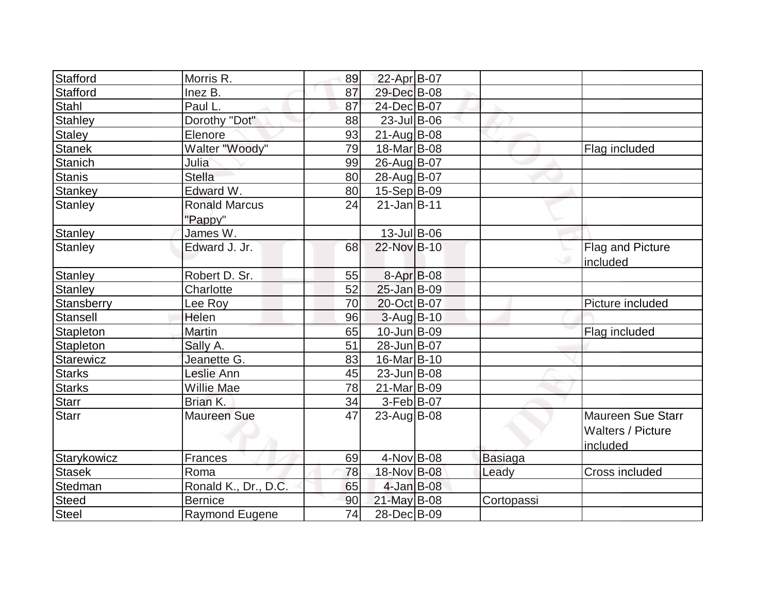| Stafford        | Morris R.                       | 89 | 22-Apr B-07       |                |                                                                  |
|-----------------|---------------------------------|----|-------------------|----------------|------------------------------------------------------------------|
| Stafford        | Inez B.                         | 87 | 29-Dec B-08       |                |                                                                  |
| Stahl           | Paul L.                         | 87 | 24-Dec B-07       |                |                                                                  |
| <b>Stahley</b>  | Dorothy "Dot"                   | 88 | $23$ -Jul B-06    |                |                                                                  |
| <b>Staley</b>   | Elenore                         | 93 | $21$ -Aug $B$ -08 |                |                                                                  |
| <b>Stanek</b>   | Walter "Woody"                  | 79 | 18-Mar B-08       |                | Flag included                                                    |
| <b>Stanich</b>  | Julia                           | 99 | 26-Aug B-07       |                |                                                                  |
| <b>Stanis</b>   | <b>Stella</b>                   | 80 | 28-Aug B-07       |                |                                                                  |
| Stankey         | Edward W.                       | 80 | 15-Sep B-09       |                |                                                                  |
| <b>Stanley</b>  | <b>Ronald Marcus</b><br>"Pappy" | 24 | $21$ -Jan B-11    |                |                                                                  |
| <b>Stanley</b>  | James W.                        |    | $13$ -Jul B-06    |                |                                                                  |
| <b>Stanley</b>  | Edward J. Jr.                   | 68 | 22-Nov B-10       |                | Flag and Picture<br>included                                     |
| <b>Stanley</b>  | Robert D. Sr.                   | 55 | $8 - Apr$ B-08    |                |                                                                  |
| <b>Stanley</b>  | Charlotte                       | 52 | $25$ -Jan $B$ -09 |                |                                                                  |
| Stansberry      | Lee Roy                         | 70 | 20-Oct B-07       |                | Picture included                                                 |
| <b>Stansell</b> | Helen                           | 96 | $3$ -Aug B-10     |                |                                                                  |
| Stapleton       | Martin                          | 65 | 10-Jun B-09       |                | Flag included                                                    |
| Stapleton       | Sally A.                        | 51 | 28-Jun B-07       |                |                                                                  |
| Starewicz       | Jeanette G.                     | 83 | 16-Mar B-10       |                |                                                                  |
| <b>Starks</b>   | Leslie Ann                      | 45 | $23$ -Jun $ B-08$ |                |                                                                  |
| <b>Starks</b>   | <b>Willie Mae</b>               | 78 | 21-Mar B-09       |                |                                                                  |
| Starr           | Brian K.                        | 34 | $3-Feb B-07$      |                |                                                                  |
| <b>Starr</b>    | <b>Maureen Sue</b>              | 47 | $23$ -Aug B-08    |                | <b>Maureen Sue Starr</b><br><b>Walters / Picture</b><br>included |
| Starykowicz     | Frances                         | 69 | $4$ -Nov B-08     | <b>Basiaga</b> |                                                                  |
| <b>Stasek</b>   | Roma                            | 78 | 18-Nov B-08       | Leady          | Cross included                                                   |
| Stedman         | Ronald K., Dr., D.C.            | 65 | $4-Jan$ B-08      |                |                                                                  |
| <b>Steed</b>    | <b>Bernice</b>                  | 90 | 21-May B-08       | Cortopassi     |                                                                  |
| Steel           | Raymond Eugene                  | 74 | 28-Dec B-09       |                |                                                                  |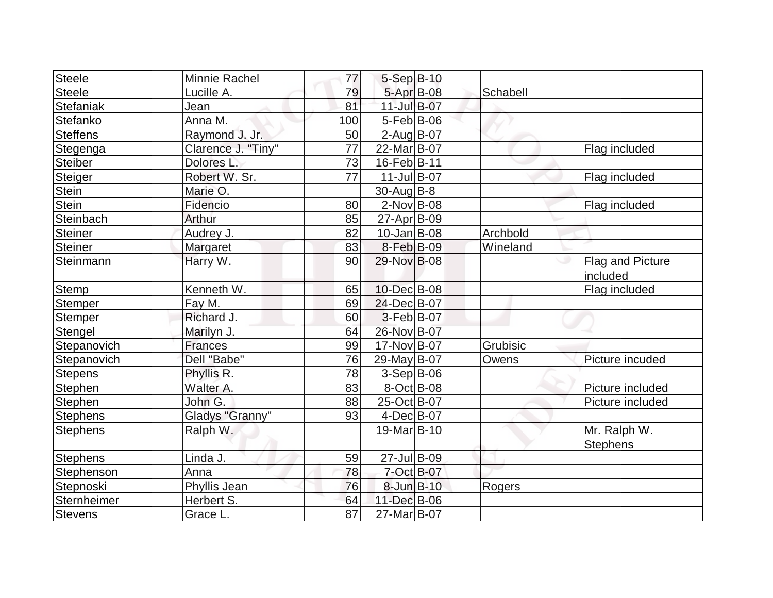| Steele          | Minnie Rachel        | 77              | 5-Sep B-10        |          |                                 |
|-----------------|----------------------|-----------------|-------------------|----------|---------------------------------|
| Steele          | Lucille A.           | 79              | 5-Apr B-08        | Schabell |                                 |
| Stefaniak       | Jean                 | 81              | 11-Jul B-07       |          |                                 |
| Stefanko        | Anna M.              | 100             | $5-Feb B-06$      |          |                                 |
| Steffens        | Raymond J. Jr.       | 50              | $2$ -Aug $B$ -07  |          |                                 |
| Stegenga        | Clarence J. "Tiny"   | 77              | 22-Mar B-07       |          | Flag included                   |
| Steiber         | Dolores <sub>L</sub> | 73              | 16-Feb B-11       |          |                                 |
| Steiger         | Robert W. Sr.        | $\overline{77}$ | 11-Jul B-07       |          | Flag included                   |
| Stein           | Marie O.             |                 | $30$ -Aug $B$ -8  |          |                                 |
| <b>Stein</b>    | Fidencio             | 80              | $2$ -Nov $B$ -08  |          | Flag included                   |
| Steinbach       | Arthur               | 85              | 27-Apr B-09       |          |                                 |
| Steiner         | Audrey J.            | 82              | $10$ -Jan $ B-08$ | Archbold |                                 |
| Steiner         | <b>Margaret</b>      | 83              | 8-Feb B-09        | Wineland |                                 |
| Steinmann       | Harry W.             | 90              | 29-Nov B-08       |          | Flag and Picture<br>included    |
| Stemp           | Kenneth W.           | 65              | 10-Dec B-08       |          | Flag included                   |
| Stemper         | Fay M.               | 69              | 24-Dec B-07       |          |                                 |
| Stemper         | Richard J.           | 60              | 3-Feb B-07        |          |                                 |
| Stengel         | Marilyn J.           | 64              | 26-Nov B-07       |          |                                 |
| Stepanovich     | <b>Frances</b>       | 99              | 17-Nov B-07       | Grubisic |                                 |
| Stepanovich     | Dell "Babe"          | 76              | 29-May B-07       | Owens    | Picture incuded                 |
| <b>Stepens</b>  | Phyllis R.           | 78              | $3-Sep B-06$      |          |                                 |
| Stephen         | Walter A.            | 83              | $8$ -Oct B-08     |          | Picture included                |
| Stephen         | John G.              | 88              | 25-Oct B-07       |          | Picture included                |
| <b>Stephens</b> | Gladys "Granny"      | 93              | $4$ -Dec $B$ -07  |          |                                 |
| <b>Stephens</b> | Ralph W.             |                 | 19-Mar B-10       |          | Mr. Ralph W.<br><b>Stephens</b> |
| <b>Stephens</b> | Linda J.             | 59              | 27-Jul B-09       |          |                                 |
| Stephenson      | Anna                 | 78              | $7 - Oct$ B-07    |          |                                 |
| Stepnoski       | Phyllis Jean         | 76              | $8$ -Jun $B$ -10  | Rogers   |                                 |
| Sternheimer     | Herbert S.           | 64              | 11-Dec B-06       |          |                                 |
| <b>Stevens</b>  | Grace L.             | $\overline{87}$ | 27-Mar B-07       |          |                                 |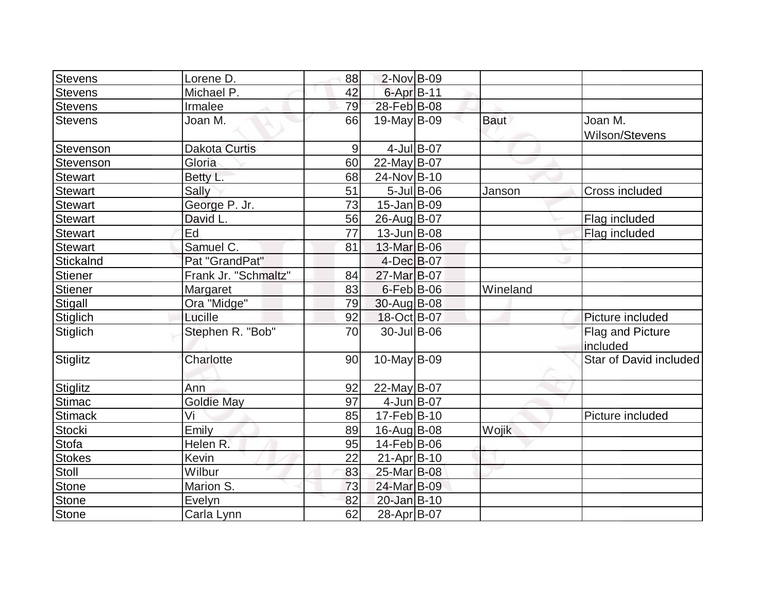| Stevens         | Lorene D.            | 88 | $2$ -Nov B-09     |                  |             |                              |
|-----------------|----------------------|----|-------------------|------------------|-------------|------------------------------|
| <b>Stevens</b>  | Michael P.           | 42 | 6-Apr B-11        |                  |             |                              |
| <b>Stevens</b>  | Irmalee              | 79 | 28-Feb B-08       |                  |             |                              |
| <b>Stevens</b>  | Joan M.              | 66 | $19$ -May B-09    |                  | <b>Baut</b> | Joan M.<br>Wilson/Stevens    |
| Stevenson       | <b>Dakota Curtis</b> | 9  |                   | 4-Jul B-07       |             |                              |
| Stevenson       | Gloria               | 60 | 22-May B-07       |                  |             |                              |
| <b>Stewart</b>  | Betty L.             | 68 | 24-Nov B-10       |                  |             |                              |
| <b>Stewart</b>  | Sally                | 51 |                   | $5$ -Jul $B$ -06 | Janson      | <b>Cross included</b>        |
| <b>Stewart</b>  | George P. Jr.        | 73 | $15$ -Jan $ B-09$ |                  |             |                              |
| <b>Stewart</b>  | David L.             | 56 | 26-Aug B-07       |                  |             | Flag included                |
| <b>Stewart</b>  | Ed                   | 77 | $13$ -Jun $B$ -08 |                  |             | Flag included                |
| <b>Stewart</b>  | Samuel C.            | 81 | 13-Mar B-06       |                  |             |                              |
| Stickalnd       | Pat "GrandPat"       |    | $4$ -Dec $B$ -07  |                  |             |                              |
| <b>Stiener</b>  | Frank Jr. "Schmaltz" | 84 | 27-Mar B-07       |                  |             |                              |
| <b>Stiener</b>  | Margaret             | 83 | $6$ -Feb $B$ -06  |                  | Wineland    |                              |
| Stigall         | Ora "Midge"          | 79 | 30-Aug B-08       |                  |             |                              |
| <b>Stiglich</b> | Lucille              | 92 | 18-Oct B-07       |                  |             | Picture included             |
| Stiglich        | Stephen R. "Bob"     | 70 | 30-Jul B-06       |                  |             | Flag and Picture<br>included |
| Stiglitz        | Charlotte            | 90 | $10$ -May B-09    |                  |             | Star of David included       |
| Stiglitz        | Ann                  | 92 | 22-May B-07       |                  |             |                              |
| <b>Stimac</b>   | <b>Goldie May</b>    | 97 | $4$ -Jun $B$ -07  |                  |             |                              |
| <b>Stimack</b>  | Vi                   | 85 | $17-Feb B-10$     |                  |             | Picture included             |
| <b>Stocki</b>   | Emily                | 89 | 16-Aug B-08       |                  | Wojik       |                              |
| Stofa           | Helen R.             | 95 | 14-Feb B-06       |                  |             |                              |
| <b>Stokes</b>   | Kevin                | 22 | $21-Apr$ B-10     |                  |             |                              |
| Stoll           | Wilbur               | 83 | 25-Mar B-08       |                  |             |                              |
| <b>Stone</b>    | Marion S.            | 73 | 24-Mar B-09       |                  |             |                              |
| <b>Stone</b>    | Evelyn               | 82 | 20-Jan B-10       |                  |             |                              |
| <b>Stone</b>    | Carla Lynn           | 62 | 28-Apr B-07       |                  |             |                              |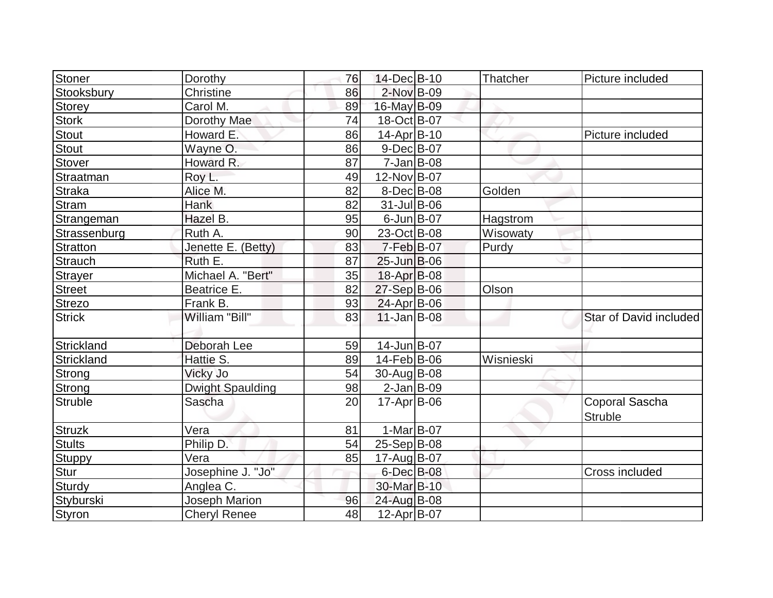| Stoner          | Dorothy                 | 76 | 14-Dec B-10        | Thatcher        | Picture included                 |
|-----------------|-------------------------|----|--------------------|-----------------|----------------------------------|
| Stooksbury      | Christine               | 86 | 2-Nov B-09         |                 |                                  |
| Storey          | Carol M.                | 89 | 16-May B-09        |                 |                                  |
| <b>Stork</b>    | Dorothy Mae             | 74 | 18-Oct B-07        |                 |                                  |
| Stout           | Howard E.               | 86 | $14$ -Apr $ B-10 $ |                 | Picture included                 |
| <b>Stout</b>    | Wayne O.                | 86 | 9-Dec B-07         |                 |                                  |
| <b>Stover</b>   | Howard R.               | 87 | $7$ -Jan B-08      |                 |                                  |
| Straatman       | Roy L.                  | 49 | 12-Nov B-07        |                 |                                  |
| Straka          | Alice M.                | 82 | $8$ -Dec $B$ -08   | Golden          |                                  |
| <b>Stram</b>    | Hank                    | 82 | $31$ -Jul B-06     |                 |                                  |
| Strangeman      | Hazel B.                | 95 | $6$ -Jun $B$ -07   | <b>Hagstrom</b> |                                  |
| Strassenburg    | Ruth A.                 | 90 | 23-Oct B-08        | Wisowaty        |                                  |
| <b>Stratton</b> | Jenette E. (Betty)      | 83 | $7-Feb B-07$       | Purdy           |                                  |
| <b>Strauch</b>  | Ruth E.                 | 87 | $25$ -Jun $B$ -06  |                 |                                  |
| <b>Strayer</b>  | Michael A. "Bert"       | 35 | $18-Apr$ B-08      |                 |                                  |
| <b>Street</b>   | Beatrice E.             | 82 | $27-Sep$ B-06      | Olson           |                                  |
| Strezo          | Frank B.                | 93 | $24$ -Apr $B$ -06  |                 |                                  |
| <b>Strick</b>   | William "Bill"          | 83 | $11$ -Jan $ B-08 $ |                 | Star of David included           |
| Strickland      | Deborah Lee             | 59 | 14-Jun B-07        |                 |                                  |
| Strickland      | Hattie S.               | 89 | $14$ -Feb $ B-06 $ | Wisnieski       |                                  |
| Strong          | Vicky Jo                | 54 | $30$ -Aug B-08     |                 |                                  |
| Strong          | <b>Dwight Spaulding</b> | 98 | $2$ -Jan B-09      |                 |                                  |
| Struble         | Sascha                  | 20 | $17$ -Apr $ B$ -06 |                 | Coporal Sascha<br><b>Struble</b> |
| <b>Struzk</b>   | Vera                    | 81 | $1-Mar$ B-07       |                 |                                  |
| Stults          | Philip D.               | 54 | $25-Sep B-08$      |                 |                                  |
| <b>Stuppy</b>   | Vera                    | 85 | 17-Aug B-07        |                 |                                  |
| Stur            | Josephine J. "Jo"       |    | $6$ -Dec $B$ -08   |                 | Cross included                   |
| Sturdy          | Anglea C.               |    | 30-Mar B-10        |                 |                                  |
| Styburski       | <b>Joseph Marion</b>    | 96 | 24-Aug B-08        |                 |                                  |
| Styron          | <b>Cheryl Renee</b>     | 48 | $12$ -Apr $ B-07 $ |                 |                                  |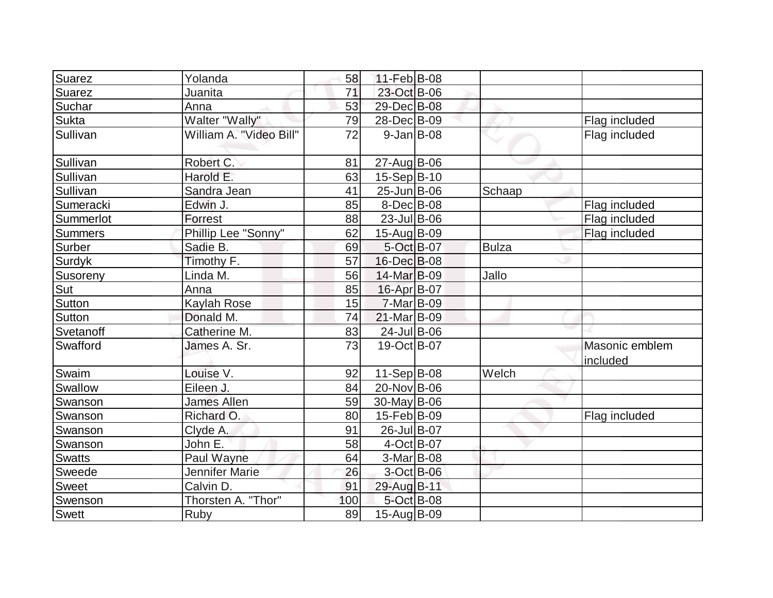| Suarez         | Yolanda                 | 58  | 11-Feb B-08               |              |                            |
|----------------|-------------------------|-----|---------------------------|--------------|----------------------------|
| Suarez         | Juanita                 | 71  | 23-Oct B-06               |              |                            |
| Suchar         | Anna                    | 53  | 29-Dec B-08               |              |                            |
| Sukta          | Walter "Wally"          | 79  | 28-Dec B-09               |              | Flag included              |
| Sullivan       | William A. "Video Bill" | 72  | $9$ -Jan B-08             |              | Flag included              |
| Sullivan       | Robert C.               | 81  | $27$ -Aug B-06            |              |                            |
| Sullivan       | Harold E.               | 63  | $15-Sep B-10$             |              |                            |
| Sullivan       | Sandra Jean             | 41  | 25-Jun B-06               | Schaap       |                            |
| Sumeracki      | Edwin J.                | 85  | $8$ -Dec $B$ -08          |              | Flag included              |
| Summerlot      | Forrest                 | 88  | $\overline{23}$ -Jul B-06 |              | Flag included              |
| <b>Summers</b> | Phillip Lee "Sonny"     | 62  | $15-Aug B-09$             |              | Flag included              |
| Surber         | Sadie B.                | 69  | 5-Oct B-07                | <b>Bulza</b> |                            |
| Surdyk         | Timothy F.              | 57  | 16-Dec B-08               |              |                            |
| Susoreny       | Linda M.                | 56  | 14-Mar B-09               | Jallo        |                            |
| Sut            | Anna                    | 85  | 16-Apr B-07               |              |                            |
| Sutton         | Kaylah Rose             | 15  | 7-Mar B-09                |              |                            |
| <b>Sutton</b>  | Donald M.               | 74  | 21-Mar B-09               |              |                            |
| Svetanoff      | Catherine M.            | 83  | $24$ -Jul B-06            |              |                            |
| Swafford       | James A. Sr.            | 73  | 19-Oct B-07               |              | Masonic emblem<br>included |
| Swaim          | Louise V.               | 92  | $11-Sep B-08$             | Welch        |                            |
| Swallow        | Eileen J.               | 84  | 20-Nov B-06               |              |                            |
| Swanson        | <b>James Allen</b>      | 59  | $30$ -May B-06            |              |                            |
| Swanson        | Richard O.              | 80  | $15$ -Feb $ B-09 $        |              | Flag included              |
| Swanson        | Clyde A.                | 91  | 26-Jul B-07               |              |                            |
| Swanson        | John E.                 | 58  | $\overline{4}$ -Oct B-07  |              |                            |
| <b>Swatts</b>  | Paul Wayne              | 64  | 3-Mar B-08                |              |                            |
| Sweede         | Jennifer Marie          | 26  | $3$ -Oct B-06             |              |                            |
| <b>Sweet</b>   | Calvin D.               | 91  | 29-Aug B-11               |              |                            |
| Swenson        | Thorsten A. "Thor"      | 100 | 5-Oct B-08                |              |                            |
| Swett          | Ruby                    | 89  | 15-Aug B-09               |              |                            |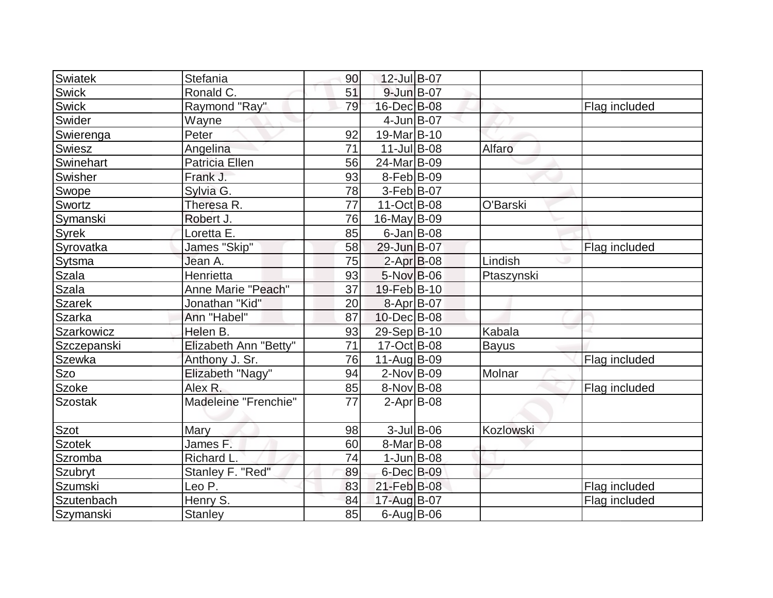| <b>Swiatek</b> | Stefania              | 90              | 12-Jul B-07       |               |              |               |
|----------------|-----------------------|-----------------|-------------------|---------------|--------------|---------------|
| Swick          | Ronald C.             | 51              | 9-Jun B-07        |               |              |               |
| <b>Swick</b>   | Raymond "Ray"         | 79              | 16-Dec B-08       |               |              | Flag included |
| Swider         | Wayne                 |                 | $4$ -Jun $B$ -07  |               |              |               |
| Swierenga      | Peter                 | 92              | 19-Mar B-10       |               |              |               |
| Swiesz         | Angelina              | 71              | $11$ -Jul B-08    |               | Alfaro       |               |
| Swinehart      | <b>Patricia Ellen</b> | 56              | 24-Mar B-09       |               |              |               |
| Swisher        | Frank J.              | 93              | $8-Feb B-09$      |               |              |               |
| Swope          | Sylvia G.             | 78              | $3-Feb B-07$      |               |              |               |
| Swortz         | Theresa R.            | 77              | 11-Oct B-08       |               | O'Barski     |               |
| Symanski       | Robert J.             | 76              | 16-May B-09       |               |              |               |
| Syrek          | Loretta E.            | 85              | $6$ -Jan B-08     |               |              |               |
| Syrovatka      | James "Skip"          | 58              | 29-Jun B-07       |               |              | Flag included |
| Sytsma         | Jean A.               | 75              | $2-Apr B-08$      |               | Lindish      |               |
| Szala          | Henrietta             | 93              | 5-Nov B-06        |               | Ptaszynski   |               |
| <b>Szala</b>   | Anne Marie "Peach"    | 37              | 19-Feb B-10       |               |              |               |
| <b>Szarek</b>  | Jonathan "Kid"        | 20              | 8-Apr B-07        |               |              |               |
| Szarka         | Ann "Habel"           | 87              | 10-Dec B-08       |               |              |               |
| Szarkowicz     | Helen B.              | 93              | 29-Sep B-10       |               | Kabala       |               |
| Szczepanski    | Elizabeth Ann "Betty" | $\overline{71}$ | 17-Oct B-08       |               | <b>Bayus</b> |               |
| <b>Szewka</b>  | Anthony J. Sr.        | 76              | $11-Auq$ B-09     |               |              | Flag included |
| <b>Szo</b>     | Elizabeth "Nagy"      | 94              | $2$ -Nov $ B-09 $ |               | Molnar       |               |
| Szoke          | Alex R.               | 85              | 8-Nov B-08        |               |              | Flag included |
| <b>Szostak</b> | Madeleine "Frenchie"  | 77              | $2-Apr$ B-08      |               |              |               |
| Szot           | Mary                  | 98              |                   | $3$ -Jul B-06 | Kozlowski    |               |
| <b>Szotek</b>  | James F.              | 60              | $8$ -Mar $ B$ -08 |               |              |               |
| Szromba        | Richard L.            | 74              | $1$ -Jun $B$ -08  |               |              |               |
| Szubryt        | Stanley F. "Red"      | 89              | $6$ -Dec $B$ -09  |               |              |               |
| Szumski        | Leo P.                | 83              | 21-Feb B-08       |               |              | Flag included |
| Szutenbach     | Henry S.              | 84              | 17-Aug B-07       |               |              | Flag included |
| Szymanski      | <b>Stanley</b>        | 85              | $6$ -Aug $B$ -06  |               |              |               |
|                |                       |                 |                   |               |              |               |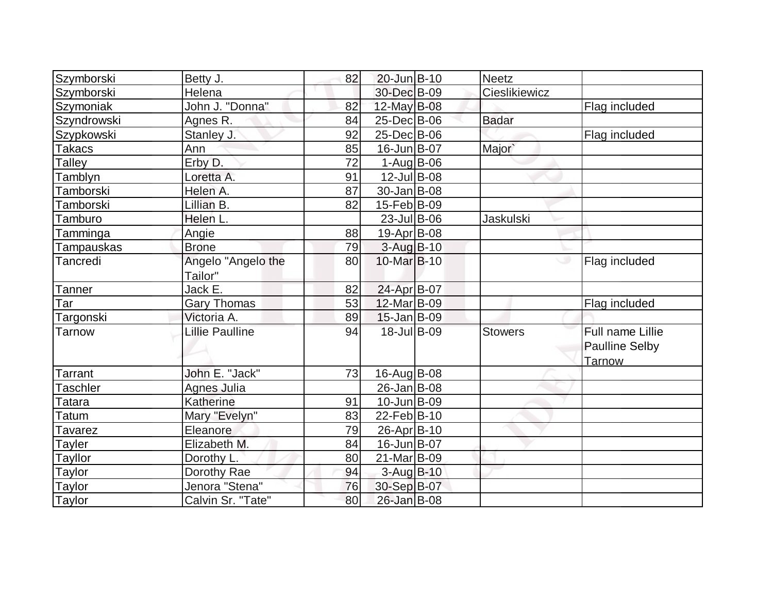| Szymborski        | Betty J.               | 82 | 20-Jun B-10             | <b>Neetz</b>     |                       |
|-------------------|------------------------|----|-------------------------|------------------|-----------------------|
| Szymborski        | Helena                 |    | 30-Dec B-09             | Cieslikiewicz    |                       |
| Szymoniak         | John J. "Donna"        | 82 | 12-May B-08             |                  | Flag included         |
| Szyndrowski       | Agnes R.               | 84 | 25-Dec B-06             | <b>Badar</b>     |                       |
| Szypkowski        | Stanley J.             | 92 | 25-Dec B-06             |                  | Flag included         |
| Takacs            | Ann                    | 85 | 16-Jun B-07             | Major`           |                       |
| Talley            | Erby D.                | 72 | $1-Aug$ B-06            |                  |                       |
| Tamblyn           | Loretta A.             | 91 | 12-Jul B-08             |                  |                       |
| Tamborski         | Helen A.               | 87 | $30 - Jan$ B-08         |                  |                       |
| Tamborski         | Lillian B.             | 82 | 15-Feb B-09             |                  |                       |
| Tamburo           | Helen L.               |    | $23$ -Jul B-06          | <b>Jaskulski</b> |                       |
| <b>Tamminga</b>   | Angie                  | 88 | $19-Apr$ B-08           |                  |                       |
| Tampauskas        | <b>Brone</b>           | 79 | $3-Aug$ $B-10$          |                  |                       |
| Tancredi          | Angelo "Angelo the     | 80 | 10-Mar <sub>B</sub> -10 |                  | Flag included         |
|                   | Tailor"                |    |                         |                  |                       |
| Tanner            | Jack E.                | 82 | 24-Apr B-07             |                  |                       |
| Tar               | <b>Gary Thomas</b>     | 53 | 12-Mar B-09             |                  | Flag included         |
| <u>Targons</u> ki | Victoria A.            | 89 | $15$ -Jan B-09          |                  |                       |
| Tarnow            | <b>Lillie Paulline</b> | 94 | 18-Jul B-09             | <b>Stowers</b>   | Full name Lillie      |
|                   |                        |    |                         |                  | <b>Paulline Selby</b> |
|                   |                        |    |                         |                  | Tarnow                |
| <b>Tarrant</b>    | John E. "Jack"         | 73 | $16$ -Aug $B$ -08       |                  |                       |
| <b>Taschler</b>   | <b>Agnes Julia</b>     |    | $26$ -Jan $B$ -08       |                  |                       |
| Tatara            | Katherine              | 91 | $10$ -Jun $B$ -09       |                  |                       |
| <b>Tatum</b>      | Mary "Evelyn"          | 83 | $22$ -Feb $ B-10$       |                  |                       |
| Tavarez           | Eleanore               | 79 | 26-Apr B-10             |                  |                       |
| Tayler            | Elizabeth M.           | 84 | 16-Jun B-07             |                  |                       |
| <b>Tayllor</b>    | Dorothy L.             | 80 | 21-Mar B-09             |                  |                       |
| Taylor            | Dorothy Rae            | 94 | 3-Aug B-10              |                  |                       |
| <b>Taylor</b>     | Jenora "Stena"         | 76 | 30-Sep B-07             |                  |                       |
| Taylor            | Calvin Sr. "Tate"      | 80 | 26-Jan B-08             |                  |                       |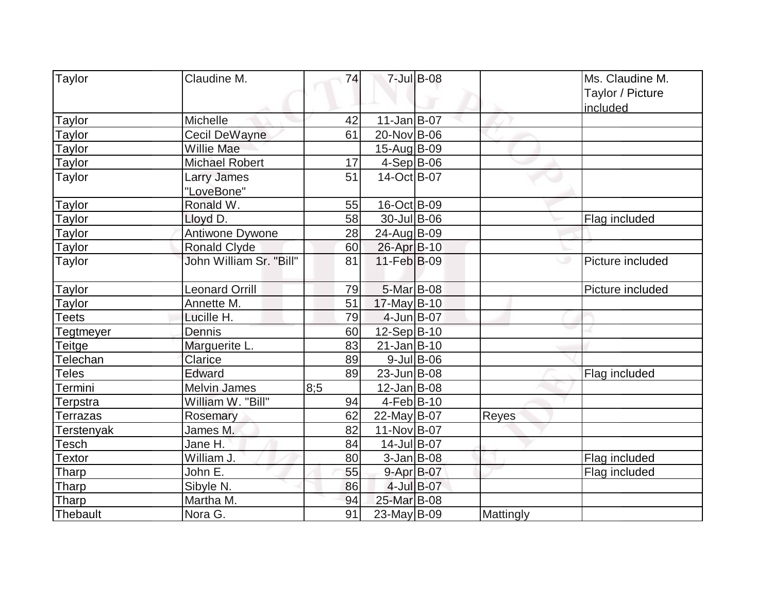| Taylor            | Claudine M.             | 74  |                           | 7-Jul B-08    |           | Ms. Claudine M.<br>Taylor / Picture |
|-------------------|-------------------------|-----|---------------------------|---------------|-----------|-------------------------------------|
| Taylor            | Michelle                | 42  | $11$ -Jan $B$ -07         |               |           | included                            |
| Taylor            | <b>Cecil DeWayne</b>    | 61  | 20-Nov B-06               |               |           |                                     |
| Taylor            | Willie Mae              |     | 15-Aug B-09               |               |           |                                     |
| <b>Taylor</b>     | <b>Michael Robert</b>   | 17  | $4-Sep B-06$              |               |           |                                     |
| Taylor            | Larry James             | 51  | 14-Oct B-07               |               |           |                                     |
|                   | "LoveBone"              |     |                           |               |           |                                     |
| <b>Taylor</b>     | Ronald W.               | 55  | 16-Oct B-09               |               |           |                                     |
| Taylor            | Lloyd D.                | 58  | $\overline{30}$ -Jul B-06 |               |           | Flag included                       |
| Taylor            | Antiwone Dywone         | 28  | 24-Aug B-09               |               |           |                                     |
| <b>Taylor</b>     | <b>Ronald Clyde</b>     | 60  | 26-Apr B-10               |               |           |                                     |
| <b>Taylor</b>     | John William Sr. "Bill" | 81  | $11-Feb B-09$             |               |           | Picture included<br>ی               |
| <b>Taylor</b>     | <b>Leonard Orrill</b>   | 79  | 5-Mar B-08                |               |           | Picture included                    |
| Taylor            | Annette M.              | 51  | $17$ -May B-10            |               |           |                                     |
| <b>Teets</b>      | Lucille H.              | 79  | $4$ -Jun $B$ -07          |               |           |                                     |
| Tegtmeyer         | Dennis                  | 60  | $12-Sep B-10$             |               |           |                                     |
| <b>Teitge</b>     | Marguerite L.           | 83  | $21$ -Jan $ B-10$         |               |           |                                     |
| Telechan          | Clarice                 | 89  |                           | $9$ -Jul B-06 |           |                                     |
| Teles             | Edward                  | 89  | $23$ -Jun $B$ -08         |               |           | Flag included                       |
| Termini           | Melvin James            | 8:5 | $12$ -Jan B-08            |               |           |                                     |
| Terpstra          | William W. "Bill"       | 94  | $4-Feb B-10$              |               |           |                                     |
| Terrazas          | Rosemary                | 62  | $22$ -May B-07            |               | Reyes     |                                     |
| <b>Terstenyak</b> | James M.                | 82  | 11-Nov B-07               |               |           |                                     |
| Tesch             | Jane H.                 | 84  | 14-Jul B-07               |               |           |                                     |
| Textor            | William J.              | 80  | $3$ -Jan B-08             |               |           | Flag included                       |
| <b>Tharp</b>      | John E.                 | 55  | 9-Apr B-07                |               |           | Flag included                       |
| Tharp             | Sibyle N.               | 86  |                           | 4-Jul B-07    |           |                                     |
| Tharp             | Martha M.               | 94  | 25-Mar B-08               |               |           |                                     |
| Thebault          | Nora G.                 | 91  | $23$ -May B-09            |               | Mattingly |                                     |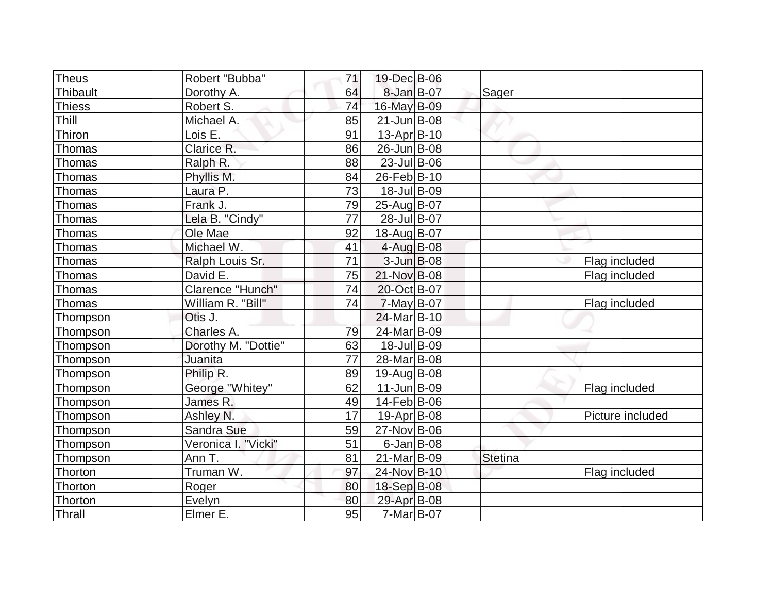| Theus         | Robert "Bubba"      | 71 | 19-Dec B-06       |                |                  |
|---------------|---------------------|----|-------------------|----------------|------------------|
| Thibault      | Dorothy A.          | 64 | $8$ -Jan B-07     | Sager          |                  |
| <b>Thiess</b> | Robert S.           | 74 | 16-May B-09       |                |                  |
| Thill         | Michael A.          | 85 | $21$ -Jun $B$ -08 |                |                  |
| Thiron        | Lois E.             | 91 | $13$ -Apr $ B-10$ |                |                  |
| Thomas        | Clarice R.          | 86 | 26-Jun B-08       |                |                  |
| Thomas        | Ralph R.            | 88 | $23$ -Jul B-06    |                |                  |
| Thomas        | Phyllis M.          | 84 | 26-Feb B-10       |                |                  |
| Thomas        | Laura P.            | 73 | 18-Jul B-09       |                |                  |
| Thomas        | Frank J.            | 79 | 25-Aug B-07       |                |                  |
| Thomas        | Lela B. "Cindy"     | 77 | 28-Jul B-07       |                |                  |
| Thomas        | Ole Mae             | 92 | 18-Aug B-07       |                |                  |
| Thomas        | Michael W.          | 41 | $4$ -Aug B-08     |                |                  |
| Thomas        | Ralph Louis Sr.     | 71 | $3$ -Jun $B$ -08  |                | Flag included    |
| Thomas        | David E.            | 75 | 21-Nov B-08       |                | Flag included    |
| Thomas        | Clarence "Hunch"    | 74 | 20-Oct B-07       |                |                  |
| Thomas        | William R. "Bill"   | 74 | $7$ -May B-07     |                | Flag included    |
| Thompson      | Otis J.             |    | 24-Mar B-10       |                |                  |
| Thompson      | Charles A.          | 79 | 24-Mar B-09       |                |                  |
| Thompson      | Dorothy M. "Dottie" | 63 | 18-Jul B-09       |                |                  |
| Thompson      | Juanita             | 77 | 28-Mar B-08       |                |                  |
| Thompson      | Philip R.           | 89 | $19$ -Aug B-08    |                |                  |
| Thompson      | George "Whitey"     | 62 | $11$ -Jun $B$ -09 |                | Flag included    |
| Thompson      | James R.            | 49 | 14-Feb B-06       |                |                  |
| Thompson      | Ashley N.           | 17 | $19-Apr$ B-08     |                | Picture included |
| Thompson      | Sandra Sue          | 59 | 27-Nov B-06       |                |                  |
| Thompson      | Veronica I. "Vicki" | 51 | $6$ -Jan B-08     |                |                  |
| Thompson      | Ann T.              | 81 | 21-Mar B-09       | <b>Stetina</b> |                  |
| Thorton       | Truman W.           | 97 | 24-Nov B-10       |                | Flag included    |
| Thorton       | Roger               | 80 | 18-Sep B-08       |                |                  |
| Thorton       | Evelyn              | 80 | 29-Apr B-08       |                |                  |
| Thrall        | Elmer E.            | 95 | $7$ -Mar $ B-07$  |                |                  |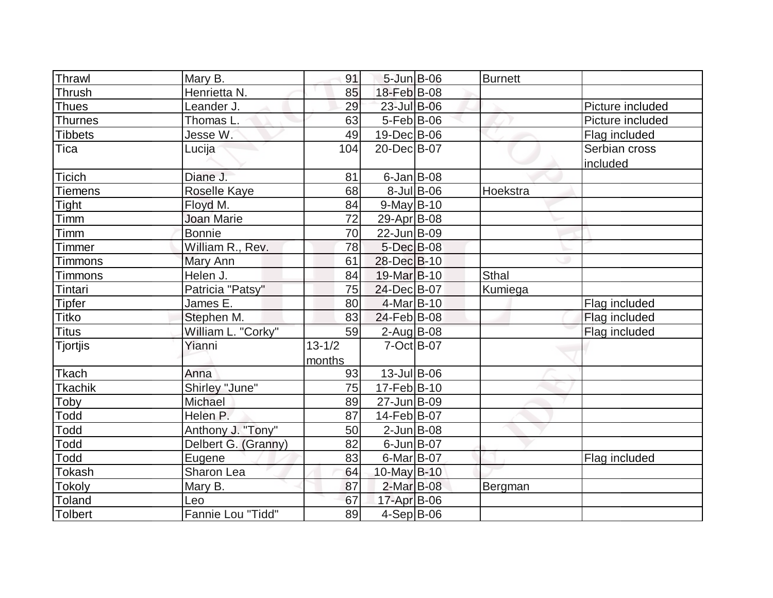| Thrawl          | Mary B.             | 91                   | $5 - Jun$ $B - 06$ |            | <b>Burnett</b> |                           |
|-----------------|---------------------|----------------------|--------------------|------------|----------------|---------------------------|
| Thrush          | Henrietta N.        | 85                   | 18-Feb B-08        |            |                |                           |
| <b>Thues</b>    | Leander J.          | 29                   | 23-Jul B-06        |            |                | Picture included          |
| Thurnes         | Thomas L.           | 63                   | $5-Feb B-06$       |            |                | Picture included          |
| <b>Tibbets</b>  | Jesse W.            | 49                   | 19-Dec B-06        |            |                | Flag included             |
| Tica            | Lucija              | 104                  | 20-Dec B-07        |            |                | Serbian cross<br>included |
| <b>Ticich</b>   | Diane J.            | 81                   | $6$ -Jan B-08      |            |                |                           |
| <b>Tiemens</b>  | <b>Roselle Kaye</b> | 68                   |                    | 8-Jul B-06 | Hoekstra       |                           |
| Tight           | Floyd M.            | 84                   | $9$ -May B-10      |            |                |                           |
| Timm            | <b>Joan Marie</b>   | 72                   | 29-Apr B-08        |            |                |                           |
| <b>Timm</b>     | <b>Bonnie</b>       | 70                   | 22-Jun B-09        |            |                |                           |
| Timmer          | William R., Rev.    | 78                   | $5$ -Dec $B$ -08   |            |                |                           |
| Timmons         | Mary Ann            | 61                   | 28-Dec B-10        |            |                |                           |
| Timmons         | Helen J.            | 84                   | 19-Mar B-10        |            | Sthal          |                           |
| Tintari         | Patricia "Patsy"    | 75                   | 24-Dec B-07        |            | Kumiega        |                           |
| <b>Tipfer</b>   | James E.            | 80                   | $4$ -Mar $ B-10$   |            |                | Flag included             |
| <b>Titko</b>    | Stephen M.          | 83                   | 24-Feb B-08        |            |                | Flag included             |
| <b>Titus</b>    | William L. "Corky"  | 59                   | $2$ -Aug $B$ -08   |            |                | Flag included             |
| <b>Tjortjis</b> | Yianni              | $13 - 1/2$<br>months | $7-Oct$ B-07       |            |                |                           |
| <b>Tkach</b>    | Anna                | 93                   | 13-Jul B-06        |            |                |                           |
| <b>Tkachik</b>  | Shirley "June"      | 75                   | $17-Feb B-10$      |            |                |                           |
| Toby            | <b>Michael</b>      | 89                   | 27-Jun B-09        |            |                |                           |
| Todd            | Helen P.            | 87                   | 14-Feb B-07        |            |                |                           |
| <b>Todd</b>     | Anthony J. "Tony"   | 50                   | $2$ -Jun $B$ -08   |            |                |                           |
| <b>Todd</b>     | Delbert G. (Granny) | 82                   | $6$ -Jun $B$ -07   |            |                |                           |
| Todd            | Eugene              | 83                   | $6$ -Mar $ B$ -07  |            |                | Flag included             |
| <b>Tokash</b>   | Sharon Lea          | 64                   | 10-May B-10        |            |                |                           |
| Tokoly          | Mary B.             | 87                   | 2-Mar B-08         |            | Bergman        |                           |
| Toland          | Leo                 | 67                   | 17-Apr B-06        |            |                |                           |
| Tolbert         | Fannie Lou "Tidd"   | 89                   | 4-Sep B-06         |            |                |                           |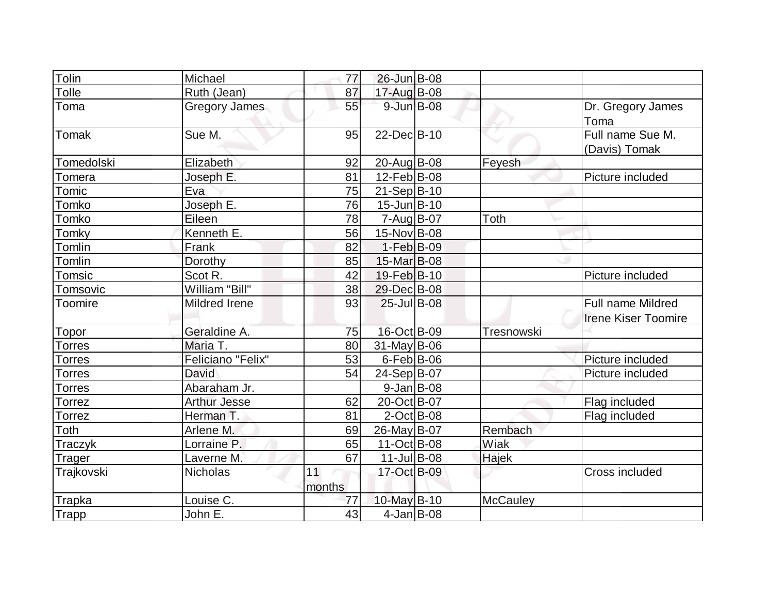| Tolin              | Michael              | 77           | 26-Jun B-08       |                   |                                                 |
|--------------------|----------------------|--------------|-------------------|-------------------|-------------------------------------------------|
| Tolle              | Ruth (Jean)          | 87           | 17-Aug B-08       |                   |                                                 |
| Toma               | <b>Gregory James</b> | 55           | $9$ -Jun $B$ -08  |                   | Dr. Gregory James<br>Toma                       |
| Tomak              | Sue M.               | 95           | 22-Dec B-10       |                   | Full name Sue M.<br>(Davis) Tomak               |
| Tomedolski         | Elizabeth            | 92           | 20-Aug B-08       | Feyesh            |                                                 |
| omera <sup>-</sup> | Joseph E.            | 81           | $12$ -Feb $ B-08$ |                   | Picture included                                |
| Tomic              | Eva                  | 75           | $21-Sep B-10$     |                   |                                                 |
| Tomko              | Joseph E.            | 76           | $15$ -Jun $B$ -10 |                   |                                                 |
| Tomko              | Eileen               | 78           | $7 - Aug$ B-07    | Toth              |                                                 |
| Tomky              | Kenneth E.           | 56           | 15-Nov B-08       |                   |                                                 |
| Tomlin             | Frank                | 82           | $1-Feb B-09$      |                   |                                                 |
| Tomlin             | Dorothy              | 85           | 15-Mar B-08       |                   |                                                 |
| Tomsic             | Scot R.              | 42           | 19-Feb B-10       |                   | Picture included                                |
| Tomsovic           | William "Bill"       | 38           | 29-Dec B-08       |                   |                                                 |
| Toomire            | Mildred Irene        | 93           | 25-Jul B-08       |                   | Full name Mildred<br><b>Irene Kiser Toomire</b> |
| Topor              | Geraldine A.         | 75           | 16-Oct B-09       | <b>Tresnowski</b> |                                                 |
| <b>Forres</b>      | Maria T.             | 80           | $31$ -May B-06    |                   |                                                 |
| Torres             | Feliciano "Felix"    | 53           | $6$ -Feb $B$ -06  |                   | Picture included                                |
| <b>Torres</b>      | David                | 54           | $24-Sep B-07$     |                   | Picture included                                |
| Torres             | Abaraham Jr.         |              | $9$ -Jan B-08     |                   |                                                 |
| Torrez             | <b>Arthur Jesse</b>  | 62           | 20-Oct B-07       |                   | Flag included                                   |
| Torrez             | Herman T.            | 81           | $2$ -Oct B-08     |                   | Flag included                                   |
| Toth               | Arlene M.            | 69           | 26-May B-07       | Rembach           |                                                 |
| Traczyk            | Lorraine P.          | 65           | $11-Oct$ B-08     | Wiak              |                                                 |
| Trager             | Laverne M.           | 67           | $11$ -Jul B-08    | Hajek             |                                                 |
| Trajkovski         | <b>Nicholas</b>      | 11<br>months | 17-Oct B-09       |                   | Cross included                                  |
| Trapka             | Louise C.            | 77           | 10-May B-10       | <b>McCauley</b>   |                                                 |
| Trapp              | John E.              | 43           | $4$ -Jan B-08     |                   |                                                 |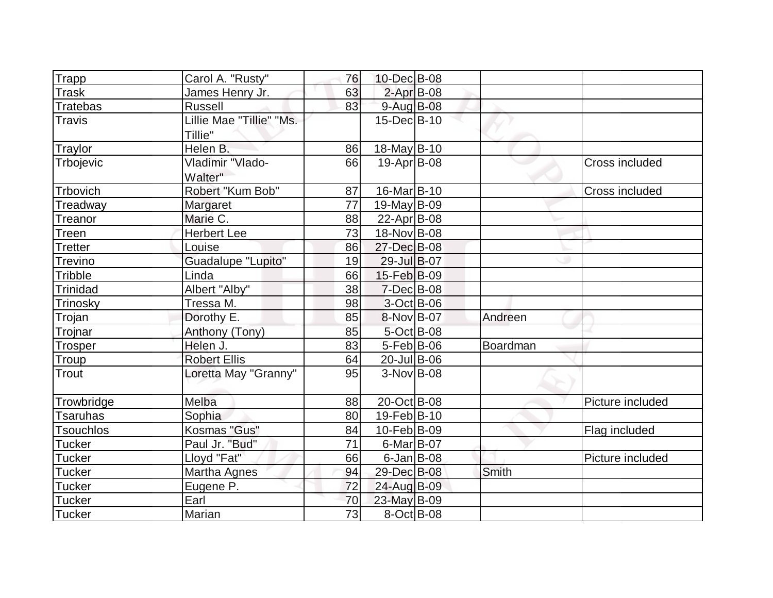| Trapp            | Carol A. "Rusty"          | 76 | 10-Dec B-08        |          |                  |
|------------------|---------------------------|----|--------------------|----------|------------------|
| <b>Trask</b>     | James Henry Jr.           | 63 | $2$ -Apr $B$ -08   |          |                  |
| <b>Tratebas</b>  | <b>Russell</b>            | 83 | 9-Aug B-08         |          |                  |
| <b>Travis</b>    | Lillie Mae "Tillie" "Ms.  |    | $15$ -Dec $B$ -10  |          |                  |
|                  | Tillie"                   |    |                    |          |                  |
| Traylor          | Helen B.                  | 86 | 18-May B-10        |          |                  |
| Trbojevic        | Vladimir "Vlado-          | 66 | $19-Apr$ B-08      |          | Cross included   |
|                  | Walter"                   |    |                    |          |                  |
| Trbovich         | Robert "Kum Bob"          | 87 | 16-Mar B-10        |          | Cross included   |
| Treadway         | Margaret                  | 77 | $19$ -May B-09     |          |                  |
| Treanor          | Marie C.                  | 88 | $22$ -Apr $ B-08 $ |          |                  |
| Treen            | <b>Herbert Lee</b>        | 73 | 18-Nov B-08        |          |                  |
| <b>Tretter</b>   | Louise                    | 86 | 27-Dec B-08        |          |                  |
| Trevino          | <b>Guadalupe "Lupito"</b> | 19 | 29-Jul B-07        |          |                  |
| Tribble          | Linda                     | 66 | 15-Feb B-09        |          |                  |
| Trinidad         | Albert "Alby"             | 38 | $7$ -Dec $B$ -08   |          |                  |
| Trinosky         | Tressa M.                 | 98 | 3-Oct B-06         |          |                  |
| Trojan           | Dorothy E.                | 85 | 8-Nov B-07         | Andreen  |                  |
| Trojnar          | Anthony (Tony)            | 85 | 5-Oct B-08         |          |                  |
| <b>Trosper</b>   | Helen J.                  | 83 | $5-Feb$ B-06       | Boardman |                  |
| Troup            | <b>Robert Ellis</b>       | 64 | $20$ -Jul B-06     |          |                  |
| Trout            | Loretta May "Granny"      | 95 | $3-Nov$ B-08       |          |                  |
|                  |                           |    |                    |          |                  |
| Trowbridge       | Melba                     | 88 | 20-Oct B-08        |          | Picture included |
| <b>Tsaruhas</b>  | Sophia                    | 80 | 19-Feb B-10        |          |                  |
| <b>Tsouchlos</b> | Kosmas "Gus"              | 84 | 10-Feb B-09        |          | Flag included    |
| <b>Tucker</b>    | Paul Jr. "Bud"            | 71 | $6$ -Mar B-07      |          |                  |
| <b>Tucker</b>    | Lloyd "Fat"               | 66 | $6$ -Jan $B$ -08   |          | Picture included |
| <b>Tucker</b>    | Martha Agnes              | 94 | 29-Dec B-08        | Smith    |                  |
| <b>Tucker</b>    | Eugene P.                 | 72 | 24-Aug B-09        |          |                  |
| <b>Tucker</b>    | Earl                      | 70 | 23-May B-09        |          |                  |
| Tucker           | Marian                    | 73 | $8-Oct$ B-08       |          |                  |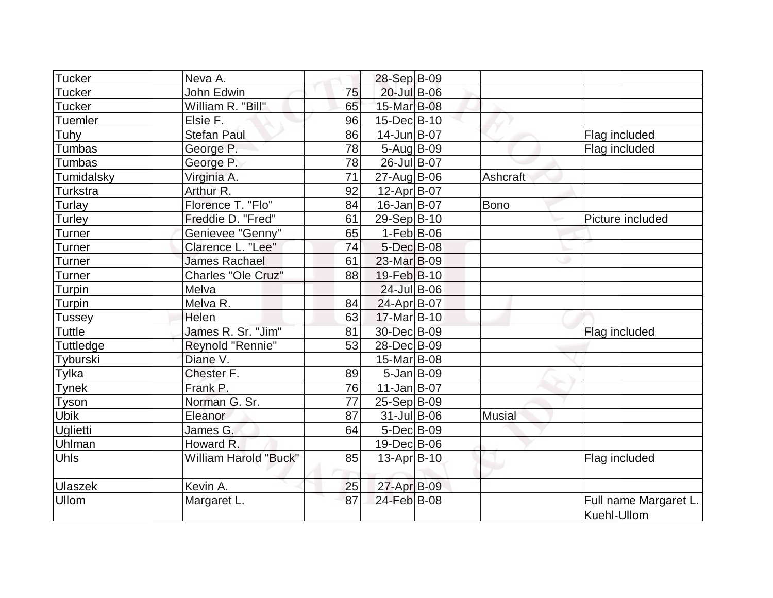| <b>Tucker</b>  | Neva A.                      |                 | 28-Sep B-09             |                 |                                      |
|----------------|------------------------------|-----------------|-------------------------|-----------------|--------------------------------------|
| Tucker         | John Edwin                   | 75              | 20-Jul B-06             |                 |                                      |
| <b>Tucker</b>  | William R. "Bill"            | 65              | 15-Mar B-08             |                 |                                      |
| Tuemler        | Elsie F.                     | 96              | 15-Dec B-10             |                 |                                      |
| Tuhy           | <b>Stefan Paul</b>           | 86              | 14-Jun B-07             |                 | Flag included                        |
| Tumbas         | George P.                    | 78              | $5-Aug B-09$            |                 | Flag included                        |
| Tumbas         | George P.                    | 78              | 26-Jul B-07             |                 |                                      |
| Tumidalsky     | Virginia A.                  | $\overline{71}$ | 27-Aug B-06             | <b>Ashcraft</b> |                                      |
| Turkstra       | Arthur R.                    | 92              | 12-Apr B-07             |                 |                                      |
| Turlay         | Florence T. "Flo"            | 84              | $16$ -Jan B-07          | <b>Bono</b>     |                                      |
| Turley         | Freddie D. "Fred"            | 61              | 29-Sep B-10             |                 | Picture included                     |
| Turner         | Genievee "Genny"             | 65              | $1-Feb B-06$            |                 |                                      |
| Turner         | Clarence L. "Lee"            | 74              | 5-Dec B-08              |                 |                                      |
| Turner         | <b>James Rachael</b>         | 61              | 23-Mar <sub>B</sub> -09 |                 |                                      |
| Turner         | Charles "Ole Cruz"           | 88              | 19-Feb B-10             |                 |                                      |
| Turpin         | Melva                        |                 | $24$ -Jul B-06          |                 |                                      |
| Turpin         | Melva R.                     | 84              | 24-Apr B-07             |                 |                                      |
| Tussey         | Helen                        | 63              | 17-Mar B-10             |                 |                                      |
| Tuttle         | James R. Sr. "Jim"           | 81              | 30-Dec B-09             |                 | Flag included                        |
| Tuttledge      | Reynold "Rennie"             | 53              | 28-Dec B-09             |                 |                                      |
| Tyburski       | Diane V.                     |                 | 15-Mar B-08             |                 |                                      |
| Tylka          | Chester F.                   | 89              | $5$ -Jan B-09           |                 |                                      |
| <b>Tynek</b>   | Frank P.                     | 76              | $11$ -Jan $ B-07$       |                 |                                      |
| Tyson          | Norman G. Sr.                | 77              | $25-Sep B-09$           |                 |                                      |
| <b>Ubik</b>    | Eleanor                      | 87              | $31$ -Jul B-06          | <b>Musial</b>   |                                      |
| Uglietti       | James G.                     | 64              | $5$ -Dec $B$ -09        |                 |                                      |
| Uhlman         | Howard R.                    |                 | 19-Dec B-06             |                 |                                      |
| <b>Uhls</b>    | <b>William Harold "Buck"</b> | 85              | $13$ -Apr $ B-10 $      |                 | Flag included                        |
| <b>Ulaszek</b> | Kevin A.                     | 25              | 27-Apr B-09             |                 |                                      |
| Ullom          | Margaret L.                  | 87              | 24-Feb B-08             |                 | Full name Margaret L.<br>Kuehl-Ullom |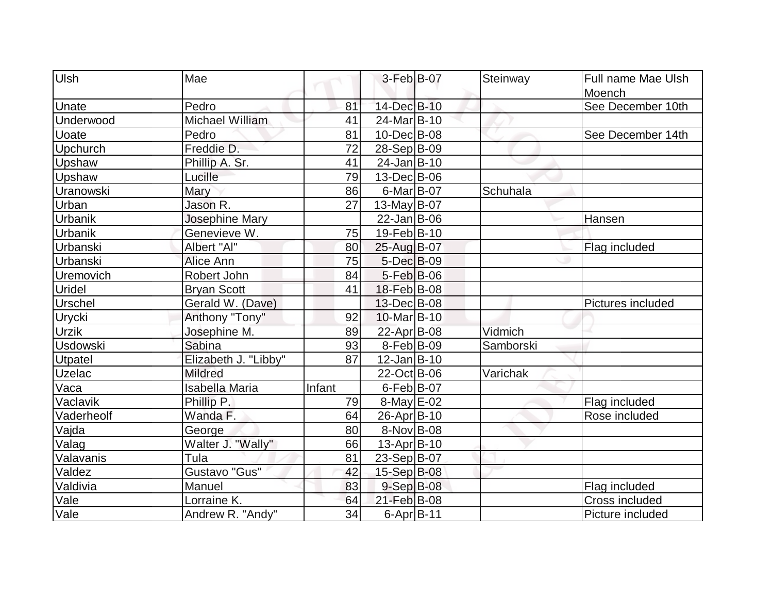| Ulsh             | Mae                    |        | $3-Feb B-07$      | Steinway  | Full name Mae Ulsh |
|------------------|------------------------|--------|-------------------|-----------|--------------------|
|                  |                        |        |                   |           | Moench             |
| Unate            | Pedro                  | 81     | 14-Dec B-10       |           | See December 10th  |
| Underwood        | <b>Michael William</b> | 41     | 24-Mar B-10       |           |                    |
| <b>Uoate</b>     | Pedro                  | 81     | 10-Dec B-08       |           | See December 14th  |
| Upchurch         | Freddie D.             | 72     | 28-Sep B-09       |           |                    |
| Upshaw           | Phillip A. Sr.         | 41     | 24-Jan B-10       |           |                    |
| Upshaw           | Lucille                | 79     | 13-Dec B-06       |           |                    |
| <b>Uranowski</b> | Mary                   | 86     | $6$ -Mar $ B$ -07 | Schuhala  |                    |
| Urban            | Jason R.               | 27     | 13-May $B-07$     |           |                    |
| Urbanik          | Josephine Mary         |        | $22$ -Jan $ B-06$ |           | Hansen             |
| Urbanik          | Genevieve W.           | 75     | 19-Feb B-10       |           |                    |
| Urbanski         | Albert "Al"            | 80     | 25-Aug B-07       |           | Flag included      |
| Urbanski         | Alice Ann              | 75     | 5-Dec B-09        |           |                    |
| Uremovich        | Robert John            | 84     | 5-Feb B-06        |           |                    |
| <b>Uridel</b>    | <b>Bryan Scott</b>     | 41     | 18-Feb B-08       |           |                    |
| <b>Urschel</b>   | Gerald W. (Dave)       |        | 13-Dec B-08       |           | Pictures included  |
| <b>Urycki</b>    | Anthony "Tony"         | 92     | $10$ -Mar $ B-10$ |           |                    |
| <b>Urzik</b>     | Josephine M.           | 89     | 22-Apr B-08       | Vidmich   |                    |
| <b>Usdowski</b>  | Sabina                 | 93     | 8-Feb B-09        | Samborski |                    |
| Utpatel          | Elizabeth J. "Libby"   | 87     | $12$ -Jan $ B-10$ |           |                    |
| <b>Uzelac</b>    | <b>Mildred</b>         |        | 22-Oct B-06       | Varichak  |                    |
| Vaca             | <b>Isabella Maria</b>  | Infant | $6$ -Feb $ B$ -07 |           |                    |
| Vaclavik         | Phillip P.             | 79     | $8$ -May $E$ -02  |           | Flag included      |
| Vaderheolf       | Wanda F.               | 64     | 26-Apr B-10       |           | Rose included      |
| Vajda            | George                 | 80     | 8-Nov B-08        |           |                    |
| Valag            | Walter J. "Wally"      | 66     | $13$ -Apr $ B-10$ |           |                    |
| Valavanis        | Tula                   | 81     | 23-Sep B-07       |           |                    |
| Valdez           | Gustavo "Gus"          | 42     | 15-Sep B-08       |           |                    |
| Valdivia         | Manuel                 | 83     | $9-Sep$ $B-08$    |           | Flag included      |
| Vale             | Lorraine K.            | 64     | 21-Feb B-08       |           | Cross included     |
| Vale             | Andrew R. "Andy"       | 34     | $6$ -Apr $B$ -11  |           | Picture included   |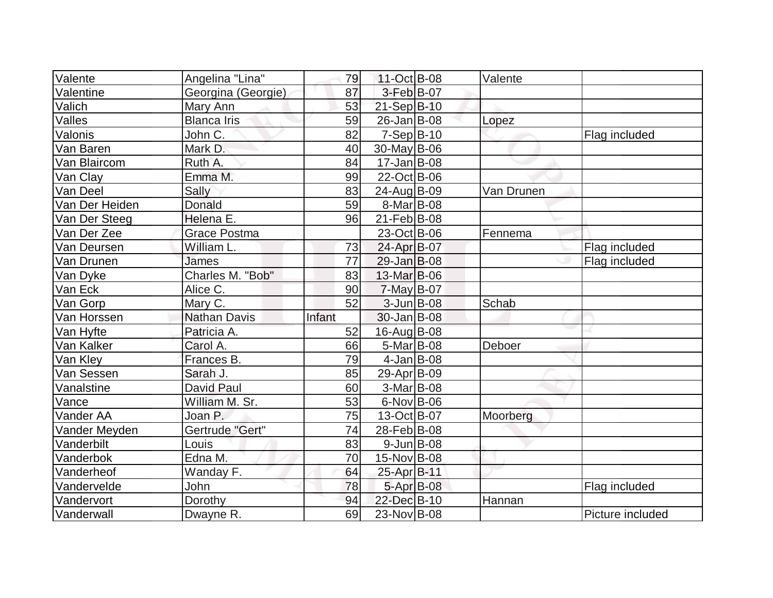| Valente        | Angelina "Lina"     | 79     | 11-Oct B-08       | Valente    |                  |
|----------------|---------------------|--------|-------------------|------------|------------------|
| Valentine      | Georgina (Georgie)  | 87     | 3-Feb B-07        |            |                  |
| Valich         | Mary Ann            | 53     | 21-Sep B-10       |            |                  |
| Valles         | <b>Blanca Iris</b>  | 59     | $26$ -Jan $ B-08$ | Lopez      |                  |
| Valonis        | John C.             | 82     | $7-Sep B-10$      |            | Flag included    |
| Van Baren      | Mark D.             | 40     | 30-May B-06       |            |                  |
| Van Blaircom   | Ruth A.             | 84     | $17 - Jan$ B-08   |            |                  |
| Van Clay       | Emma M.             | 99     | 22-Oct B-06       |            |                  |
| Van Deel       | Sally               | 83     | 24-Aug B-09       | Van Drunen |                  |
| Van Der Heiden | Donald              | 59     | 8-Mar B-08        |            |                  |
| Van Der Steeg  | Helena E.           | 96     | 21-Feb B-08       |            |                  |
| Van Der Zee    | <b>Grace Postma</b> |        | 23-Oct B-06       | Fennema    |                  |
| Van Deursen    | William L.          | 73     | 24-Apr B-07       |            | Flag included    |
| Van Drunen     | James               | 77     | 29-Jan B-08       |            | Flag included    |
| Van Dyke       | Charles M. "Bob"    | 83     | 13-Mar B-06       |            |                  |
| Van Eck        | Alice C.            | 90     | $7$ -May B-07     |            |                  |
| Van Gorp       | Mary C.             | 52     | $3$ -Jun $B$ -08  | Schab      |                  |
| Van Horssen    | <b>Nathan Davis</b> | Infant | 30-Jan B-08       |            |                  |
| Van Hyfte      | Patricia A.         | 52     | 16-Aug B-08       |            |                  |
| Van Kalker     | Carol A.            | 66     | 5-Mar B-08        | Deboer     |                  |
| Van Kley       | Frances B.          | 79     | $4$ -Jan B-08     |            |                  |
| Van Sessen     | Sarah J.            | 85     | 29-Apr B-09       |            |                  |
| Vanalstine     | <b>David Paul</b>   | 60     | 3-Mar B-08        |            |                  |
| Vance          | William M. Sr.      | 53     | $6$ -Nov $B$ -06  |            |                  |
| Vander AA      | Joan P.             | 75     | 13-Oct B-07       | Moorberg   |                  |
| Vander Meyden  | Gertrude "Gert"     | 74     | 28-Feb B-08       |            |                  |
| Vanderbilt     | Louis               | 83     | $9$ -Jun $B$ -08  |            |                  |
| Vanderbok      | Edna M.             | 70     | 15-Nov B-08       |            |                  |
| Vanderheof     | Wanday F.           | 64     | 25-Apr B-11       |            |                  |
| Vandervelde    | John                | 78     | 5-Apr B-08        |            | Flag included    |
| Vandervort     | Dorothy             | 94     | 22-Dec B-10       | Hannan     |                  |
| Vanderwall     | Dwayne R.           | 69     | 23-Nov B-08       |            | Picture included |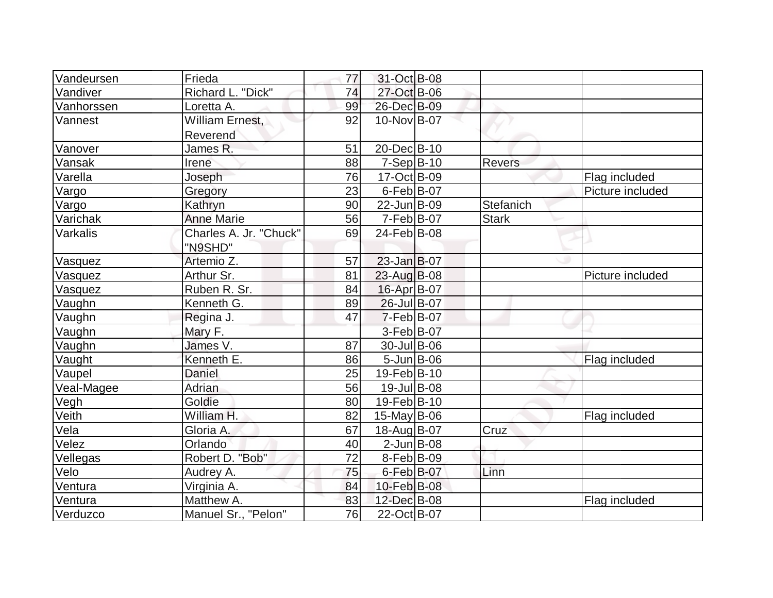| Vandeursen | Frieda                 | 77 | 31-Oct B-08               |              |                  |
|------------|------------------------|----|---------------------------|--------------|------------------|
| Vandiver   | Richard L. "Dick"      | 74 | 27-Oct B-06               |              |                  |
| Vanhorssen | Loretta A.             | 99 | 26-Dec B-09               |              |                  |
| Vannest    | William Ernest,        | 92 | 10-Nov B-07               |              |                  |
|            | Reverend               |    |                           |              |                  |
| Vanover    | James R.               | 51 | 20-Dec B-10               |              |                  |
| Vansak     | Irene                  | 88 | $7-Sep B-10$              | Revers       |                  |
| Varella    | Joseph                 | 76 | $\overline{17}$ -Oct B-09 |              | Flag included    |
| Vargo      | Gregory                | 23 | $6$ -Feb $ B$ -07         |              | Picture included |
| Vargo      | Kathryn                | 90 | 22-Jun B-09               | Stefanich    |                  |
| Varichak   | <b>Anne Marie</b>      | 56 | $7-Feb B-07$              | <b>Stark</b> |                  |
| Varkalis   | Charles A. Jr. "Chuck" | 69 | 24-Feb B-08               |              |                  |
|            | "N9SHD"                |    |                           |              |                  |
| Vasquez    | Artemio Z.             | 57 | $23$ -Jan $B$ -07         |              |                  |
| Vasquez    | Arthur Sr.             | 81 | 23-Aug B-08               |              | Picture included |
| Vasquez    | Ruben R. Sr.           | 84 | 16-Apr B-07               |              |                  |
| Vaughn     | Kenneth G.             | 89 | 26-Jul B-07               |              |                  |
| Vaughn     | Regina J.              | 47 | $7-Feb B-07$              |              |                  |
| Vaughn     | Mary F.                |    | $3-Feb B-07$              |              |                  |
| Vaughn     | James $\sqrt{ }$ .     | 87 | 30-Jul B-06               |              |                  |
| Vaught     | Kenneth E.             | 86 | $5 - Jun$ $B - 06$        |              | Flag included    |
| Vaupel     | Daniel                 | 25 | 19-Feb B-10               |              |                  |
| Veal-Magee | <b>Adrian</b>          | 56 | $19$ -Jul B-08            |              |                  |
| Vegh       | Goldie                 | 80 | 19-Feb B-10               |              |                  |
| Veith      | William H.             | 82 | $15$ -May B-06            |              | Flag included    |
| Vela       | Gloria A.              | 67 | 18-Aug B-07               | Cruz         |                  |
| Velez      | Orlando                | 40 | $2$ -Jun $B$ -08          |              |                  |
| Vellegas   | Robert D. "Bob"        | 72 | $8-Feb B-09$              |              |                  |
| Velo       | Audrey A.              | 75 | 6-Feb B-07                | Linn         |                  |
| Ventura    | Virginia A.            | 84 | 10-Feb B-08               |              |                  |
| Ventura    | Matthew A.             | 83 | 12-Dec B-08               |              | Flag included    |
| Verduzco   | Manuel Sr., "Pelon"    | 76 | 22-Oct B-07               |              |                  |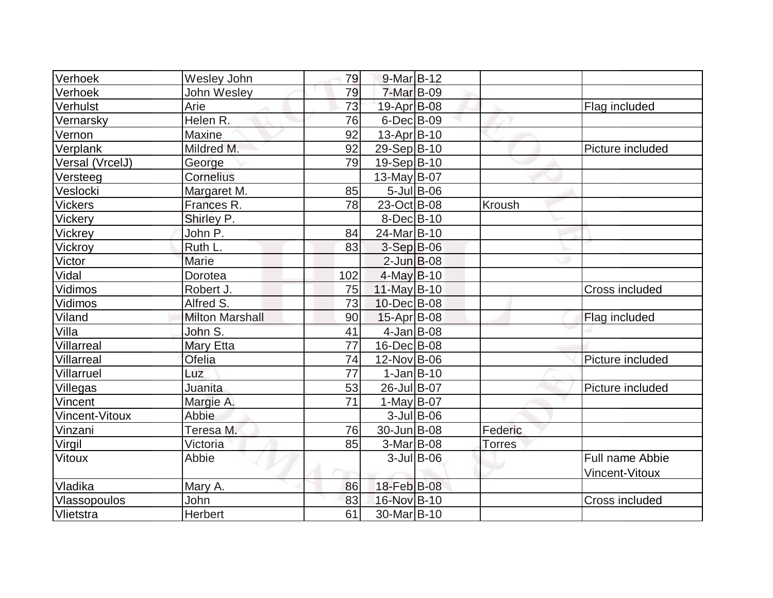| Verhoek         | Wesley John            | 79  | $9$ -Mar $B$ -12   |               |                  |
|-----------------|------------------------|-----|--------------------|---------------|------------------|
| Verhoek         | John Wesley            | 79  | 7-Mar B-09         |               |                  |
| Verhulst        | Arie                   | 73  | 19-Apr B-08        |               | Flag included    |
| Vernarsky       | Helen R.               | 76  | $6$ -Dec $B$ -09   |               |                  |
| Vernon          | Maxine                 | 92  | $13$ -Apr $ B-10$  |               |                  |
| Verplank        | Mildred M.             | 92  | 29-Sep B-10        |               | Picture included |
| Versal (VrcelJ) | George                 | 79  | 19-Sep B-10        |               |                  |
| Versteeg        | Cornelius              |     | 13-May $B-07$      |               |                  |
| Veslocki        | Margaret M.            | 85  | $5$ -Jul $B$ -06   |               |                  |
| <b>Vickers</b>  | Frances R.             | 78  | 23-Oct B-08        | Kroush        |                  |
| Vickery         | Shirley P.             |     | $8$ -Dec $B$ -10   |               |                  |
| Vickrey         | John P.                | 84  | 24-Mar B-10        |               |                  |
| Vickroy         | Ruth L.                | 83  | 3-Sep B-06         |               |                  |
| Victor          | Marie                  |     | $2$ -Jun $B$ -08   |               |                  |
| Vidal           | Dorotea                | 102 | $4$ -May B-10      |               |                  |
| Vidimos         | Robert J.              | 75  | 11-May B-10        |               | Cross included   |
| Vidimos         | Alfred S.              | 73  | 10-Dec B-08        |               |                  |
| Viland          | <b>Milton Marshall</b> | 90  | $15$ -Apr $ B$ -08 |               | Flag included    |
| Villa           | John S.                | 41  | $4$ -Jan B-08      |               |                  |
| Villarreal      | Mary Etta              | 77  | 16-Dec B-08        |               |                  |
| Villarreal      | Ofelia                 | 74  | 12-Nov B-06        |               | Picture included |
| Villarruel      | Luz                    | 77  | $1-Jan B-10$       |               |                  |
| Villegas        | Juanita                | 53  | 26-Jul B-07        |               | Picture included |
| Vincent         | Margie A.              | 71  | $1-May B-07$       |               |                  |
| Vincent-Vitoux  | Abbie                  |     | $3$ -Jul B-06      |               |                  |
| Vinzani         | Teresa <sub>M.</sub>   | 76  | 30-Jun B-08        | Federic       |                  |
| Virgil          | Victoria               | 85  | $3-Mar$ B-08       | <b>Torres</b> |                  |
| <b>Vitoux</b>   | Abbie                  |     | $3$ -Jul B-06      |               | Full name Abbie  |
|                 |                        |     |                    |               | Vincent-Vitoux   |
| Vladika         | Mary A.                | 86  | 18-Feb B-08        |               |                  |
| Vlassopoulos    | John                   | 83  | 16-Nov B-10        |               | Cross included   |
| Vlietstra       | Herbert                | 61  | 30-Mar B-10        |               |                  |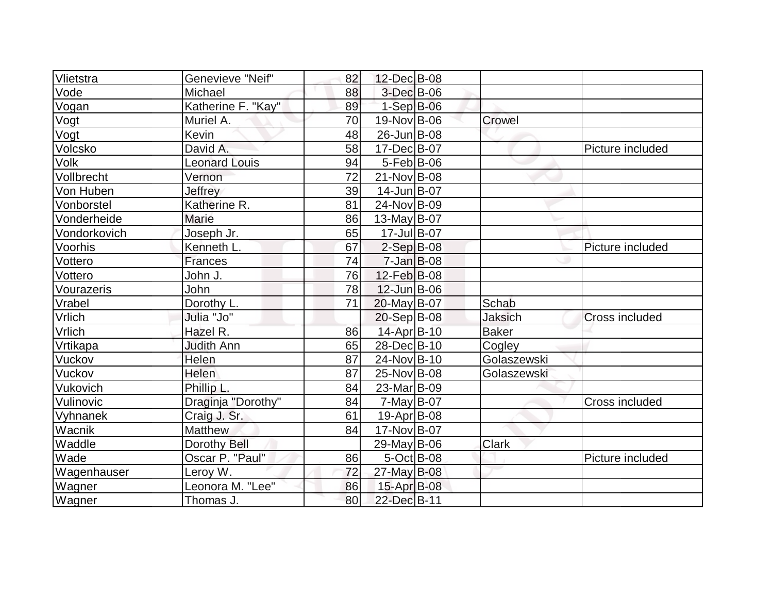| Vlietstra    | Genevieve "Neif"     | 82 | 12-Dec B-08       |                |                  |
|--------------|----------------------|----|-------------------|----------------|------------------|
| Vode         | Michael              | 88 | $3$ -Dec $B$ -06  |                |                  |
| Vogan        | Katherine F. "Kay"   | 89 | $1-Sep$ B-06      |                |                  |
| Vogt         | Muriel A.            | 70 | 19-Nov B-06       | Crowel         |                  |
| Vogt         | Kevin                | 48 | 26-Jun B-08       |                |                  |
| Volcsko      | David A.             | 58 | 17-Dec B-07       |                | Picture included |
| Volk         | <b>Leonard Louis</b> | 94 | $5-Feb$ B-06      |                |                  |
| Vollbrecht   | Vernon               | 72 | 21-Nov B-08       |                |                  |
| Von Huben    | Jeffrey              | 39 | 14-Jun B-07       |                |                  |
| Vonborstel   | Katherine R.         | 81 | 24-Nov B-09       |                |                  |
| Vonderheide  | <b>Marie</b>         | 86 | 13-May $B-07$     |                |                  |
| Vondorkovich | Joseph Jr.           | 65 | 17-Jul B-07       |                |                  |
| Voorhis      | Kenneth L.           | 67 | $2-Sep B-08$      |                | Picture included |
| Vottero      | Frances              | 74 | $7$ -Jan $B$ -08  |                |                  |
| Vottero      | John J.              | 76 | 12-Feb B-08       |                |                  |
| Vourazeris   | John                 | 78 | $12$ -Jun $B$ -06 |                |                  |
| Vrabel       | Dorothy L.           | 71 | 20-May B-07       | Schab          |                  |
| Vrlich       | Julia "Jo"           |    | 20-Sep B-08       | <b>Jaksich</b> | Cross included   |
| Vrlich       | Hazel R.             | 86 | 14-Apr B-10       | <b>Baker</b>   |                  |
| Vrtikapa     | <b>Judith Ann</b>    | 65 | 28-Dec B-10       | Cogley         |                  |
| Vuckov       | Helen                | 87 | 24-Nov B-10       | Golaszewski    |                  |
| Vuckov       | Helen                | 87 | 25-Nov B-08       | Golaszewski    |                  |
| Vukovich     | Phillip L.           | 84 | 23-Mar B-09       |                |                  |
| Vulinovic    | Draginja "Dorothy"   | 84 | $7$ -May B-07     |                | Cross included   |
| Vyhnanek     | Craig J. Sr.         | 61 | $19-Apr$ B-08     |                |                  |
| Wacnik       | Matthew              | 84 | 17-Nov B-07       |                |                  |
| Waddle       | Dorothy Bell         |    | $29$ -May B-06    | Clark          |                  |
| Wade         | Oscar P. "Paul"      | 86 | $5$ -Oct B-08     |                | Picture included |
| Wagenhauser  | Leroy W.             | 72 | 27-May B-08       |                |                  |
| Wagner       | Leonora M. "Lee"     | 86 | 15-Apr B-08       |                |                  |
| Wagner       | Thomas J.            | 80 | 22-Dec B-11       |                |                  |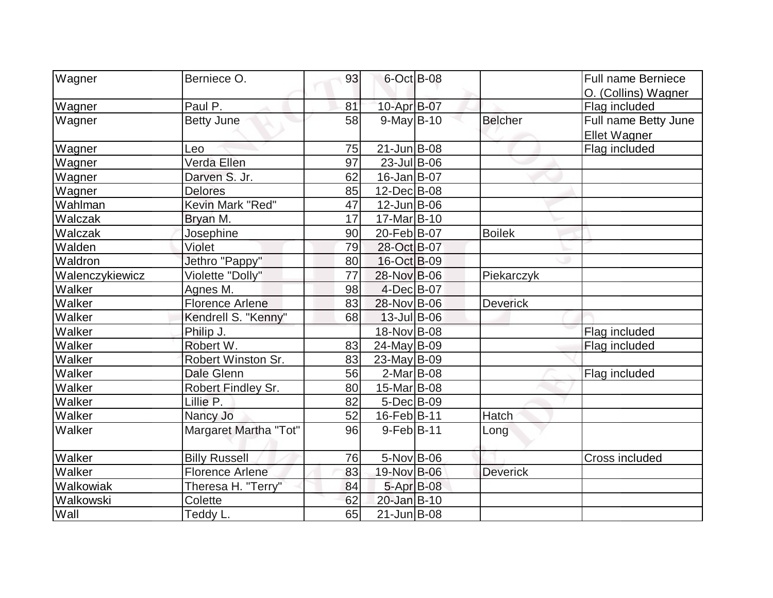| Wagner          | Berniece O.            | 93 | 6-Oct B-08        |                 | <b>Full name Berniece</b> |
|-----------------|------------------------|----|-------------------|-----------------|---------------------------|
|                 |                        |    |                   |                 | O. (Collins) Wagner       |
| Wagner          | Paul P.                | 81 | 10-Apr B-07       |                 | Flag included             |
| Wagner          | <b>Betty June</b>      | 58 | $9-May B-10$      | <b>Belcher</b>  | Full name Betty June      |
|                 |                        |    |                   |                 | <b>Ellet Wagner</b>       |
| Wagner          | Leo                    | 75 | $21$ -Jun $ B-08$ |                 | Flag included             |
| Wagner          | Verda Ellen            | 97 | $23$ -Jul B-06    |                 |                           |
| Wagner          | Darven S. Jr.          | 62 | 16-Jan B-07       |                 |                           |
| Wagner          | <b>Delores</b>         | 85 | 12-Dec B-08       |                 |                           |
| Wahlman         | Kevin Mark "Red"       | 47 | $12$ -Jun $B$ -06 |                 |                           |
| Walczak         | Bryan M.               | 17 | 17-Mar B-10       |                 |                           |
| Walczak         | Josephine              | 90 | 20-Feb B-07       | <b>Boilek</b>   |                           |
| Walden          | Violet                 | 79 | 28-Oct B-07       |                 |                           |
| Waldron         | Jethro "Pappy"         | 80 | 16-Oct B-09       |                 |                           |
| Walenczykiewicz | Violette "Dolly"       | 77 | 28-Nov B-06       | Piekarczyk      |                           |
| Walker          | Agnes M.               | 98 | $4$ -Dec $B$ -07  |                 |                           |
| Walker          | <b>Florence Arlene</b> | 83 | 28-Nov B-06       | <b>Deverick</b> |                           |
| Walker          | Kendrell S. "Kenny"    | 68 | 13-Jul B-06       |                 |                           |
| Walker          | Philip J.              |    | 18-Nov B-08       |                 | Flag included             |
| Walker          | Robert W.              | 83 | 24-May B-09       |                 | Flag included             |
| Walker          | Robert Winston Sr.     | 83 | 23-May B-09       |                 |                           |
| Walker          | Dale Glenn             | 56 | $2$ -Mar $ B-08$  |                 | Flag included             |
| Walker          | Robert Findley Sr.     | 80 | 15-Mar B-08       |                 |                           |
| Walker          | Lillie P.              | 82 | $5$ -Dec $B$ -09  |                 |                           |
| Walker          | Nancy Jo               | 52 | 16-Feb B-11       | Hatch           |                           |
| Walker          | Margaret Martha "Tot"  | 96 | $9-Feb B-11$      | Long            |                           |
| Walker          | <b>Billy Russell</b>   | 76 | 5-Nov B-06        |                 | Cross included            |
| Walker          | <b>Florence Arlene</b> | 83 | 19-Nov B-06       | <b>Deverick</b> |                           |
| Walkowiak       | Theresa H. "Terry"     | 84 | 5-Apr B-08        |                 |                           |
| Walkowski       | Colette                | 62 | 20-Jan B-10       |                 |                           |
| Wall            | Teddy L.               | 65 | $21$ -Jun $B$ -08 |                 |                           |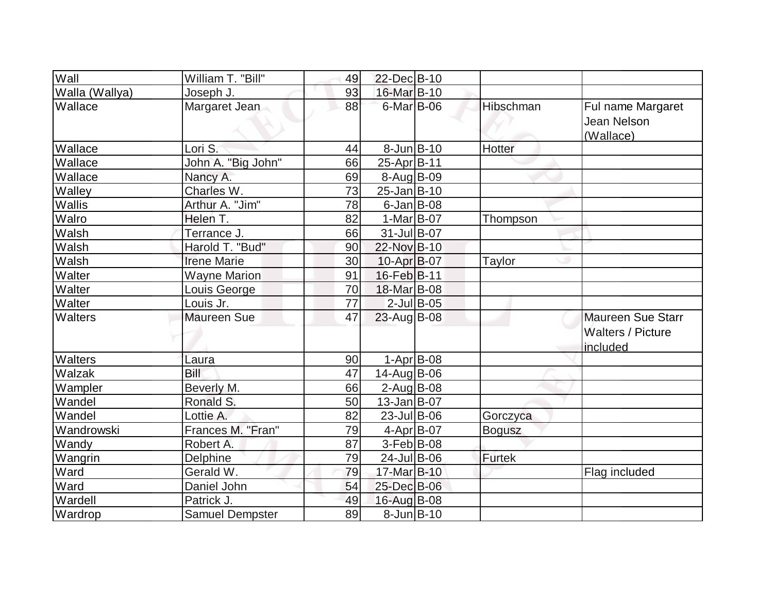| Wall           | William T. "Bill"   | 49              | 22-Dec B-10       |               |               |                                                                  |
|----------------|---------------------|-----------------|-------------------|---------------|---------------|------------------------------------------------------------------|
| Walla (Wallya) | Joseph J.           | 93              | 16-Mar B-10       |               |               |                                                                  |
| Wallace        | Margaret Jean       | 88              | 6-Mar B-06        |               | Hibschman     | Ful name Margaret<br>Jean Nelson<br>(Wallace)                    |
| Wallace        | Lori S.             | 44              | $8$ -Jun $ B-10$  |               | Hotter        |                                                                  |
| Wallace        | John A. "Big John"  | 66              | 25-Apr B-11       |               |               |                                                                  |
| Wallace        | Nancy A.            | 69              | 8-Aug B-09        |               |               |                                                                  |
| Walley         | Charles W.          | 73              | $25 - Jan$ B-10   |               |               |                                                                  |
| Wallis         | Arthur A. "Jim"     | 78              | $6$ -Jan $B$ -08  |               |               |                                                                  |
| Walro          | Helen T.            | 82              | $1-Mar$ B-07      |               | Thompson      |                                                                  |
| Walsh          | Terrance J.         | 66              | $31$ -Jul B-07    |               |               |                                                                  |
| Walsh          | Harold T. "Bud"     | 90              | 22-Nov B-10       |               |               |                                                                  |
| Walsh          | <b>Irene Marie</b>  | 30              | 10-Apr B-07       |               | Taylor        |                                                                  |
| Walter         | <b>Wayne Marion</b> | 91              | 16-Feb B-11       |               |               |                                                                  |
| Walter         | Louis George        | 70              | 18-Mar B-08       |               |               |                                                                  |
| Walter         | Louis Jr.           | $\overline{77}$ |                   | $2$ -Jul B-05 |               |                                                                  |
| Walters        | <b>Maureen Sue</b>  | 47              | $23$ -Aug B-08    |               |               | <b>Maureen Sue Starr</b><br><b>Walters / Picture</b><br>included |
| Walters        | Laura               | 90              |                   | $1-Apr$ B-08  |               |                                                                  |
| Walzak         | Bill                | 47              | 14-Aug B-06       |               |               |                                                                  |
| Wampler        | Beverly M.          | 66              | $2$ -Aug $B$ -08  |               |               |                                                                  |
| Wandel         | Ronald S.           | 50              | $13$ -Jan $ B-07$ |               |               |                                                                  |
| Wandel         | Lottie A.           | 82              | $23$ -Jul B-06    |               | Gorczyca      |                                                                  |
| Wandrowski     | Frances M. "Fran"   | 79              | $4-Apr$ B-07      |               | <b>Bogusz</b> |                                                                  |
| Wandy          | Robert A.           | 87              | $3-Feb B-08$      |               |               |                                                                  |
| Wangrin        | Delphine            | 79              | 24-Jul B-06       |               | <b>Furtek</b> |                                                                  |
| Ward           | Gerald W.           | 79              | 17-Mar B-10       |               |               | Flag included                                                    |
| Ward           | Daniel John         | 54              | 25-Dec B-06       |               |               |                                                                  |
| Wardell        | Patrick J.          | 49              | 16-Aug B-08       |               |               |                                                                  |
| Wardrop        | Samuel Dempster     | 89              | $8$ -Jun $B$ -10  |               |               |                                                                  |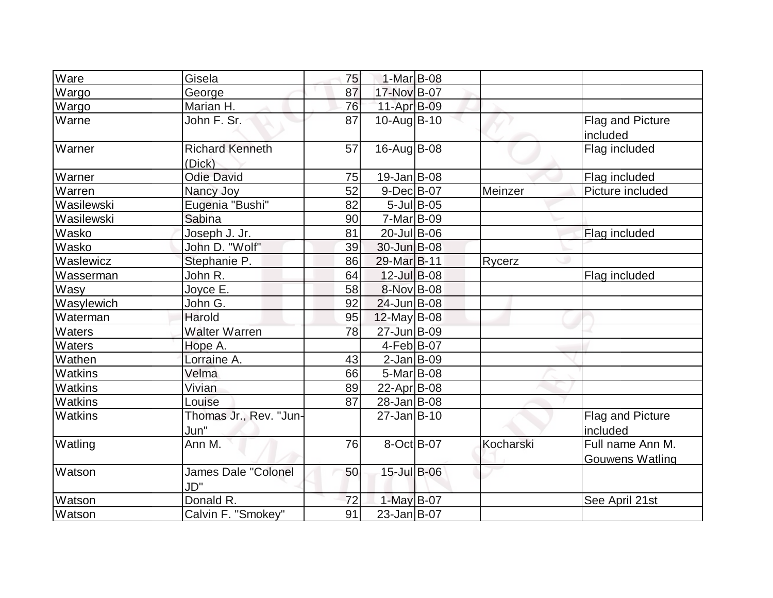| Ware           | Gisela                            | 75 | $1-Mar$ B-08       |               |           |                                            |
|----------------|-----------------------------------|----|--------------------|---------------|-----------|--------------------------------------------|
| Wargo          | George                            | 87 | 17-Nov B-07        |               |           |                                            |
| Wargo          | Marian H.                         | 76 | $11-Apr$ B-09      |               |           |                                            |
| Warne          | John F. Sr.                       | 87 | $10$ -Aug $B$ -10  |               |           | Flag and Picture<br>included               |
| Warner         | <b>Richard Kenneth</b><br>(Dick)  | 57 | 16-Aug B-08        |               |           | Flag included                              |
| Warner         | <b>Odie David</b>                 | 75 | $19$ -Jan $ B$ -08 |               |           | Flag included                              |
| Warren         | Nancy Joy                         | 52 | $9$ -Dec $B$ -07   |               | Meinzer   | Picture included                           |
| Wasilewski     | Eugenia "Bushi"                   | 82 |                    | $5$ -Jul B-05 |           |                                            |
| Wasilewski     | Sabina                            | 90 | $7-Mar$ B-09       |               |           |                                            |
| Wasko          | Joseph J. Jr.                     | 81 | 20-Jul B-06        |               |           | Flag included                              |
| Wasko          | John D. "Wolf"                    | 39 | 30-Jun B-08        |               |           |                                            |
| Waslewicz      | Stephanie P.                      | 86 | 29-Mar B-11        |               | Rycerz    |                                            |
| Wasserman      | John R.                           | 64 | 12-Jul B-08        |               |           | Flag included                              |
| Wasy           | Joyce E.                          | 58 | 8-Nov B-08         |               |           |                                            |
| Wasylewich     | John G.                           | 92 | 24-Jun B-08        |               |           |                                            |
| Waterman       | Harold                            | 95 | $12$ -May B-08     |               |           |                                            |
| Waters         | <b>Walter Warren</b>              | 78 | 27-Jun B-09        |               |           |                                            |
| Waters         | Hope A.                           |    | $4-Feb B-07$       |               |           |                                            |
| Wathen         | Lorraine A.                       | 43 | $2$ -Jan B-09      |               |           |                                            |
| Watkins        | Velma                             | 66 | 5-Mar B-08         |               |           |                                            |
| Watkins        | Vivian                            | 89 | 22-Apr $ B-08 $    |               |           |                                            |
| <b>Watkins</b> | Louise                            | 87 | 28-Jan B-08        |               |           |                                            |
| Watkins        | Thomas Jr., Rev. "Jun-<br>Jun"    |    | $27$ -Jan B-10     |               |           | Flag and Picture<br>included               |
| Watling        | Ann M.                            | 76 | 8-Oct B-07         |               | Kocharski | Full name Ann M.<br><b>Gouwens Watling</b> |
| Watson         | <b>James Dale "Colonel</b><br>JD" | 50 | 15-Jul B-06        |               |           |                                            |
| Watson         | Donald R.                         | 72 | 1-May B-07         |               |           | See April 21st                             |
| Watson         | Calvin F. "Smokey"                | 91 | $23$ -Jan B-07     |               |           |                                            |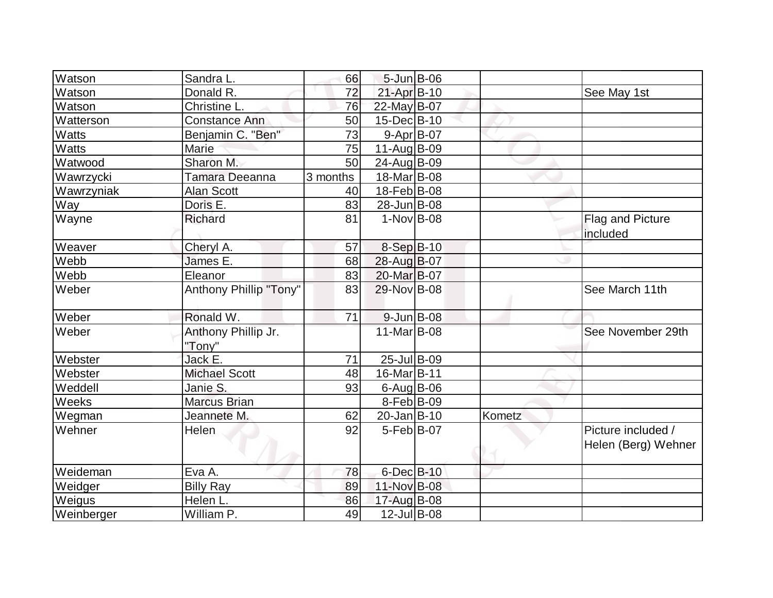| Watson       | Sandra L.                     | 66       | 5-Jun B-06       |        |                                           |
|--------------|-------------------------------|----------|------------------|--------|-------------------------------------------|
| Watson       | Donald R.                     | 72       | 21-Apr B-10      |        | See May 1st                               |
| Watson       | Christine L.                  | 76       | 22-May B-07      |        |                                           |
| Watterson    | <b>Constance Ann</b>          | 50       | 15-Dec B-10      |        |                                           |
| <b>Watts</b> | Benjamin C. "Ben"             | 73       | $9 - Apr$ B-07   |        |                                           |
| <b>Watts</b> | Marie                         | 75       | 11-Aug B-09      |        |                                           |
| Watwood      | Sharon M.                     | 50       | 24-Aug B-09      |        |                                           |
| Wawrzycki    | Tamara Deeanna                | 3 months | 18-Mar B-08      |        |                                           |
| Wawrzyniak   | <b>Alan Scott</b>             | 40       | 18-Feb B-08      |        |                                           |
| Way          | Doris E.                      | 83       | 28-Jun B-08      |        |                                           |
| Wayne        | <b>Richard</b>                | 81       | $1-Nov$ B-08     |        | Flag and Picture<br>included              |
| Weaver       | Cheryl A.                     | 57       | 8-Sep B-10       |        |                                           |
| Webb         | James E.                      | 68       | 28-Aug B-07      |        |                                           |
| Webb         | Eleanor                       | 83       | 20-Mar B-07      |        |                                           |
| Weber        | Anthony Phillip "Tony"        | 83       | 29-Nov B-08      |        | See March 11th                            |
| Weber        | Ronald W.                     | 71       | $9$ -Jun $B$ -08 |        |                                           |
| Weber        | Anthony Phillip Jr.<br>"Tony" |          | 11-Mar B-08      |        | See November 29th                         |
| Webster      | Jack E.                       | 71       | $25$ -Jul B-09   |        |                                           |
| Webster      | <b>Michael Scott</b>          | 48       | 16-Mar B-11      |        |                                           |
| Weddell      | Janie S.                      | 93       | $6$ -Aug $B$ -06 |        |                                           |
| Weeks        | <b>Marcus Brian</b>           |          | $8-Feb B-09$     |        |                                           |
| Wegman       | Jeannete M.                   | 62       | $20$ -Jan $B-10$ | Kometz |                                           |
| Wehner       | Helen                         | 92       | $5-Feb B-07$     |        | Picture included /<br>Helen (Berg) Wehner |
| Weideman     | Eva A.                        | 78       | 6-Dec B-10       |        |                                           |
| Weidger      | <b>Billy Ray</b>              | 89       | 11-Nov B-08      |        |                                           |
| Weigus       | Helen L.                      | 86       | 17-Aug B-08      |        |                                           |
| Weinberger   | William P.                    | 49       | 12-Jul B-08      |        |                                           |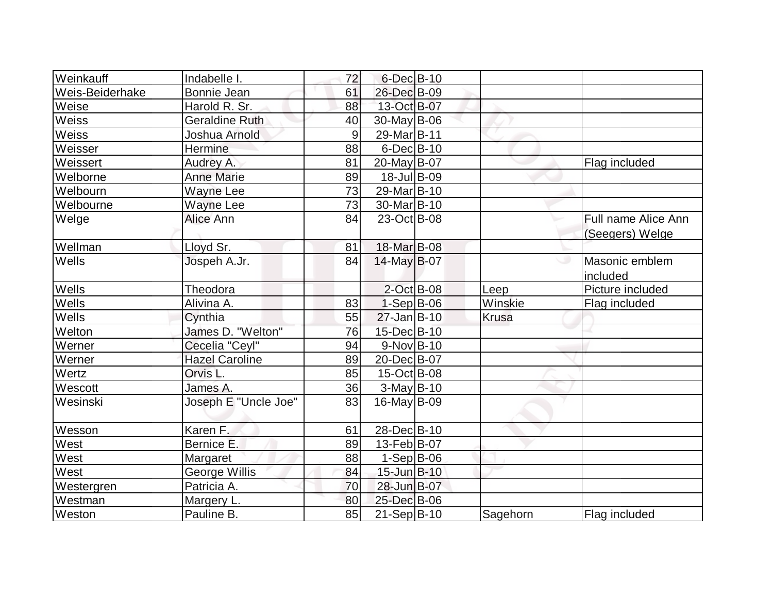| Weinkauff       | Indabelle I.          | 72 | $6$ -Dec $B$ -10 |              |                                        |
|-----------------|-----------------------|----|------------------|--------------|----------------------------------------|
| Weis-Beiderhake | Bonnie Jean           | 61 | 26-Dec B-09      |              |                                        |
| Weise           | Harold R. Sr.         | 88 | 13-Oct B-07      |              |                                        |
| Weiss           | <b>Geraldine Ruth</b> | 40 | 30-May B-06      |              |                                        |
| Weiss           | Joshua Arnold         | 9  | 29-Mar B-11      |              |                                        |
| Weisser         | Hermine               | 88 | $6$ -Dec $B$ -10 |              |                                        |
| Weissert        | Audrey A.             | 81 | 20-May B-07      |              | Flag included                          |
| Welborne        | <b>Anne Marie</b>     | 89 | 18-Jul B-09      |              |                                        |
| Welbourn        | <b>Wayne Lee</b>      | 73 | 29-Mar B-10      |              |                                        |
| Welbourne       | <b>Wayne Lee</b>      | 73 | 30-Mar B-10      |              |                                        |
| Welge           | Alice Ann             | 84 | 23-Oct B-08      |              | Full name Alice Ann<br>(Seegers) Welge |
| Wellman         | Lloyd Sr.             | 81 | 18-Mar B-08      |              |                                        |
| Wells           | Jospeh A.Jr.          | 84 | $14$ -May B-07   |              | Masonic emblem<br>included             |
| Wells           | Theodora              |    | 2-Oct B-08       | Leep         | Picture included                       |
| Wells           | Alivina A.            | 83 | $1-Sep B-06$     | Winskie      | Flag included                          |
| Wells           | Cynthia               | 55 | $27$ -Jan B-10   | <b>Krusa</b> |                                        |
| Welton          | James D. "Welton"     | 76 | 15-Dec B-10      |              |                                        |
| Werner          | Cecelia "Ceyl"        | 94 | $9-Nov B-10$     |              |                                        |
| Werner          | <b>Hazel Caroline</b> | 89 | 20-Dec B-07      |              |                                        |
| Wertz           | Orvis L.              | 85 | 15-Oct B-08      |              |                                        |
| Wescott         | James A.              | 36 | $3-May$ B-10     |              |                                        |
| Wesinski        | Joseph E "Uncle Joe"  | 83 | $16$ -May B-09   |              |                                        |
| Wesson          | Karen F.              | 61 | 28-DecB-10       |              |                                        |
| West            | Bernice E.            | 89 | 13-Feb B-07      |              |                                        |
| West            | Margaret              | 88 | $1-Sep B-06$     |              |                                        |
| West            | George Willis         | 84 | 15-Jun B-10      |              |                                        |
| Westergren      | Patricia A.           | 70 | 28-Jun B-07      |              |                                        |
| Westman         | Margery L.            | 80 | 25-Dec B-06      |              |                                        |
| Weston          | Pauline B.            | 85 | $21-Sep B-10$    | Sagehorn     | Flag included                          |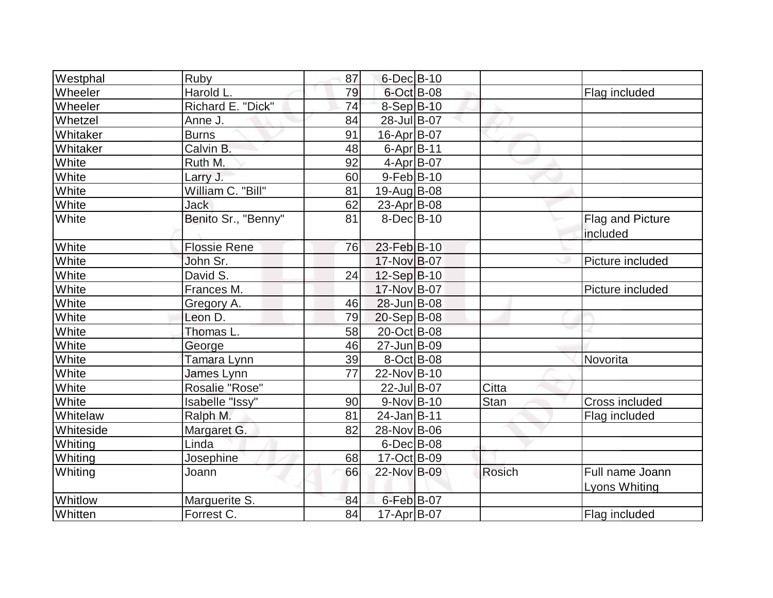| Westphal  | Ruby                | 87 | $6$ -Dec $B$ -10   |        |                                         |
|-----------|---------------------|----|--------------------|--------|-----------------------------------------|
| Wheeler   | Harold L.           | 79 | $6$ -Oct B-08      |        | Flag included                           |
| Wheeler   | Richard E. "Dick"   | 74 | 8-Sep B-10         |        |                                         |
| Whetzel   | Anne J.             | 84 | 28-Jul B-07        |        |                                         |
| Whitaker  | <b>Burns</b>        | 91 | $16$ -Apr $ B$ -07 |        |                                         |
| Whitaker  | Calvin B.           | 48 | $6$ -Apr $B$ -11   |        |                                         |
| White     | Ruth M.             | 92 | $4-Apr$ B-07       |        |                                         |
| White     | Larry J.            | 60 | $9-Feb B-10$       |        |                                         |
| White     | William C. "Bill"   | 81 | 19-Aug B-08        |        |                                         |
| White     | <b>Jack</b>         | 62 | 23-Apr B-08        |        |                                         |
| White     | Benito Sr., "Benny" | 81 | $8$ -Dec $B$ -10   |        | <b>Flag and Picture</b><br>included     |
| White     | <b>Flossie Rene</b> | 76 | 23-Feb B-10        |        |                                         |
| White     | John Sr.            |    | 17-Nov B-07        |        | Picture included                        |
| White     | David S.            | 24 | 12-Sep B-10        |        |                                         |
| White     | Frances M.          |    | 17-Nov B-07        |        | Picture included                        |
| White     | Gregory A.          | 46 | 28-Jun B-08        |        |                                         |
| White     | Leon D.             | 79 | $20-Sep B-08$      |        |                                         |
| White     | Thomas L.           | 58 | 20-Oct B-08        |        |                                         |
| White     | George              | 46 | 27-Jun B-09        |        |                                         |
| White     | Tamara Lynn         | 39 | 8-Oct B-08         |        | Novorita                                |
| White     | James Lynn          | 77 | 22-Nov B-10        |        |                                         |
| White     | Rosalie "Rose"      |    | 22-Jul B-07        | Citta  |                                         |
| White     | Isabelle "Issy"     | 90 | $9-Nov B-10$       | Stan   | Cross included                          |
| Whitelaw  | Ralph M.            | 81 | $24$ -Jan B-11     |        | Flag included                           |
| Whiteside | Margaret G.         | 82 | 28-Nov B-06        |        |                                         |
| Whiting   | Linda               |    | $6$ -Dec $B$ -08   |        |                                         |
| Whiting   | Josephine           | 68 | 17-Oct B-09        |        |                                         |
| Whiting   | Joann               | 66 | 22-Nov B-09        | Rosich | Full name Joann<br><b>Lyons Whiting</b> |
| Whitlow   | Marguerite S.       | 84 | $6$ -Feb $B$ -07   |        |                                         |
| Whitten   | Forrest C.          | 84 | $17$ -Apr $ B-07$  |        | Flag included                           |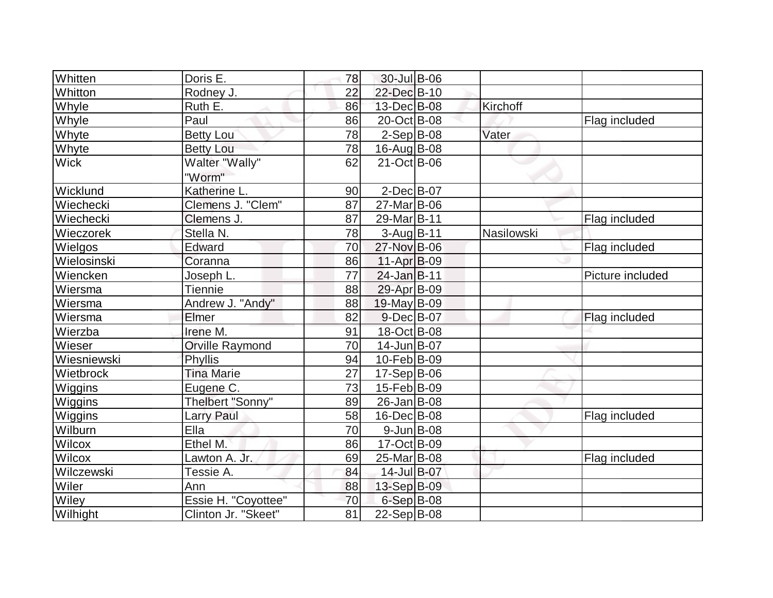| Whitten        | Doris E.                | 78              | 30-Jul B-06       |            |                  |
|----------------|-------------------------|-----------------|-------------------|------------|------------------|
| Whitton        | Rodney J.               | 22              | 22-Dec B-10       |            |                  |
| <b>Whyle</b>   | Ruth E.                 | 86              | 13-Dec B-08       | Kirchoff   |                  |
| Whyle          | Paul                    | 86              | 20-Oct B-08       |            | Flag included    |
| Whyte          | <b>Betty Lou</b>        | 78              | $2-Sep B-08$      | Vater      |                  |
| Whyte          | <b>Betty Lou</b>        | 78              | $16$ -Aug $B$ -08 |            |                  |
| <b>Wick</b>    | Walter "Wally"          | 62              | 21-Oct B-06       |            |                  |
|                | "Worm"                  |                 |                   |            |                  |
| Wicklund       | Katherine L.            | 90              | $2$ -Dec $B$ -07  |            |                  |
| Wiechecki      | Clemens J. "Clem"       | 87              | 27-Mar B-06       |            |                  |
| Wiechecki      | Clemens J.              | 87              | 29-Mar B-11       |            | Flag included    |
| Wieczorek      | Stella N.               | 78              | 3-Aug B-11        | Nasilowski |                  |
| Wielgos        | Edward                  | 70              | 27-Nov B-06       |            | Flag included    |
| Wielosinski    | Coranna                 | 86              | $11-Apr$ B-09     |            |                  |
| Wiencken       | Joseph L.               | 77              | $24$ -Jan B-11    |            | Picture included |
| Wiersma        | <b>Tiennie</b>          | 88              | 29-Apr B-09       |            |                  |
| Wiersma        | Andrew J. "Andy"        | 88              | 19-May B-09       |            |                  |
| Wiersma        | Elmer                   | 82              | $9$ -Dec $B$ -07  |            | Flag included    |
| Wierzba        | Irene M.                | 91              | 18-Oct B-08       |            |                  |
| Wieser         | <b>Orville Raymond</b>  | $\overline{70}$ | 14-Jun B-07       |            |                  |
| Wiesniewski    | Phyllis                 | 94              | 10-Feb B-09       |            |                  |
| Wietbrock      | <b>Tina Marie</b>       | 27              | $17-Sep B-06$     |            |                  |
| Wiggins        | Eugene C.               | 73              | 15-Feb B-09       |            |                  |
| Wiggins        | <b>Thelbert "Sonny"</b> | 89              | 26-Jan B-08       |            |                  |
| <b>Wiggins</b> | <b>Larry Paul</b>       | 58              | 16-Dec B-08       |            | Flag included    |
| Wilburn        | Ella                    | 70              | $9$ -Jun B-08     |            |                  |
| Wilcox         | Ethel M.                | 86              | 17-Oct B-09       |            |                  |
| Wilcox         | Lawton A. Jr.           | 69              | 25-Mar B-08       |            | Flag included    |
| Wilczewski     | Tessie A.               | 84              | 14-Jul B-07       |            |                  |
| Wiler          | Ann                     | 88              | 13-Sep B-09       |            |                  |
| Wiley          | Essie H. "Coyottee"     | 70              | $6-Sep$ B-08      |            |                  |
| Wilhight       | Clinton Jr. "Skeet"     | 81              | 22-Sep B-08       |            |                  |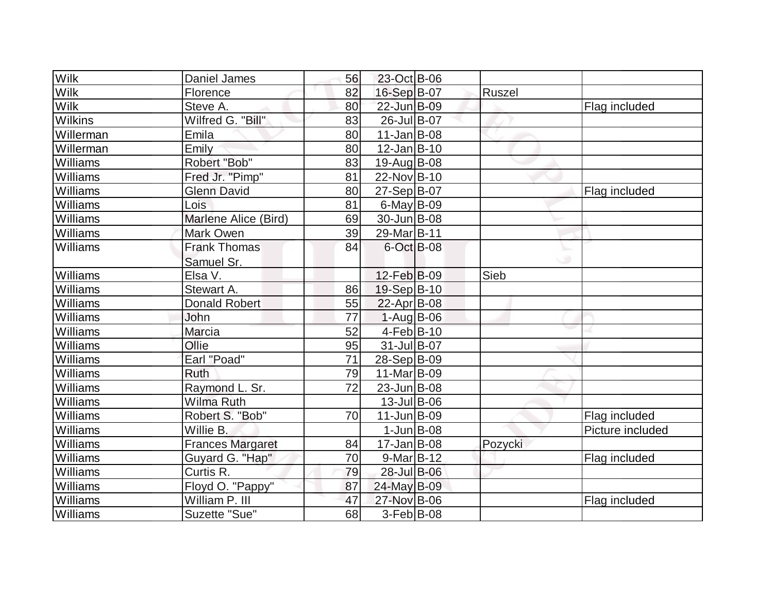| <b>Wilk</b>    | Daniel James            | 56 | 23-Oct B-06        |         |                  |
|----------------|-------------------------|----|--------------------|---------|------------------|
| <b>Wilk</b>    | Florence                | 82 | 16-Sep B-07        | Ruszel  |                  |
| <b>Wilk</b>    | Steve A.                | 80 | 22-Jun B-09        |         | Flag included    |
| <b>Wilkins</b> | Wilfred G. "Bill"       | 83 | 26-Jul B-07        |         |                  |
| Willerman      | Emila                   | 80 | $11$ -Jan $B$ -08  |         |                  |
| Willerman      | Emily                   | 80 | $12$ -Jan $B-10$   |         |                  |
| Williams       | Robert "Bob"            | 83 | $19$ -Aug B-08     |         |                  |
| Williams       | Fred Jr. "Pimp"         | 81 | $22$ -Nov $ B-10$  |         |                  |
| Williams       | <b>Glenn David</b>      | 80 | 27-Sep B-07        |         | Flag included    |
| Williams       | Lois                    | 81 | $6$ -May $B$ -09   |         |                  |
| Williams       | Marlene Alice (Bird)    | 69 | $30$ -Jun $ B-08 $ |         |                  |
| Williams       | Mark Owen               | 39 | 29-Mar B-11        |         |                  |
| Williams       | <b>Frank Thomas</b>     | 84 | 6-Oct B-08         |         |                  |
|                | Samuel Sr.              |    |                    |         |                  |
| Williams       | Elsa V.                 |    | 12-Feb B-09        | Sieb    |                  |
| Williams       | Stewart A.              | 86 | 19-Sep B-10        |         |                  |
| Williams       | Donald Robert           | 55 | $22$ -Apr $B$ -08  |         |                  |
| Williams       | John                    | 77 | 1-Aug B-06         |         |                  |
| Williams       | Marcia                  | 52 | $4-Feb B-10$       |         |                  |
| Williams       | Ollie                   | 95 | $31$ -JulB-07      |         |                  |
| Williams       | Earl "Poad"             | 71 | $28-Sep B-09$      |         |                  |
| Williams       | <b>Ruth</b>             | 79 | $11-Mar$ B-09      |         |                  |
| Williams       | Raymond L. Sr.          | 72 | $23$ -Jun $ B-08 $ |         |                  |
| Williams       | Wilma Ruth              |    | $13$ -Jul B-06     |         |                  |
| Williams       | Robert S. "Bob"         | 70 | $11$ -Jun $B$ -09  |         | Flag included    |
| Williams       | Willie B.               |    | $1$ -Jun $B$ -08   |         | Picture included |
| Williams       | <b>Frances Margaret</b> | 84 | $17 - Jan$ B-08    | Pozycki |                  |
| Williams       | Guyard G. "Hap"         | 70 | $9-Mar$ B-12       |         | Flag included    |
| Williams       | Curtis R.               | 79 | 28-Jul B-06        |         |                  |
| Williams       | Floyd O. "Pappy"        | 87 | 24-May B-09        |         |                  |
| Williams       | William P. III          | 47 | 27-Nov B-06        |         | Flag included    |
| Williams       | Suzette "Sue"           | 68 | $3-Feb B-08$       |         |                  |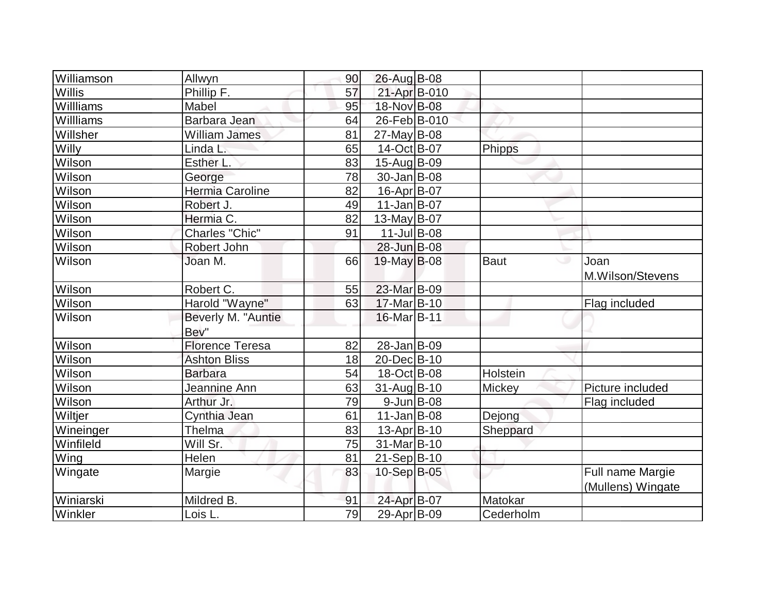| Williamson | Allwyn                 | 90 | 26-Aug B-08        |             |                                       |
|------------|------------------------|----|--------------------|-------------|---------------------------------------|
| Willis     | Phillip F.             | 57 | 21-Apr B-010       |             |                                       |
| Willliams  | Mabel                  | 95 | 18-Nov B-08        |             |                                       |
| Willliams  | Barbara Jean           | 64 | 26-Feb B-010       |             |                                       |
| Willsher   | William James          | 81 | $27$ -May B-08     |             |                                       |
| Willy      | Linda L.               | 65 | 14-Oct B-07        | Phipps      |                                       |
| Wilson     | Esther L.              | 83 | 15-Aug B-09        |             |                                       |
| Wilson     | George                 | 78 | $30 - Jan$ B-08    |             |                                       |
| Wilson     | Hermia Caroline        | 82 | 16-Apr B-07        |             |                                       |
| Wilson     | Robert J.              | 49 | $11$ -Jan B-07     |             |                                       |
| Wilson     | Hermia C.              | 82 | $13$ -May B-07     |             |                                       |
| Wilson     | Charles "Chic"         | 91 | $11$ -Jul B-08     |             |                                       |
| Wilson     | Robert John            |    | 28-Jun B-08        |             |                                       |
| Wilson     | Joan M.                | 66 | $19$ -May B-08     | <b>Baut</b> | Joan<br>ت<br>M.Wilson/Stevens         |
| Wilson     | Robert C.              | 55 | 23-Mar B-09        |             |                                       |
| Wilson     | Harold "Wayne"         | 63 | 17-Mar B-10        |             | Flag included                         |
| Wilson     | Beverly M. "Auntie     |    | $16$ -Mar $ B-11 $ |             |                                       |
|            | Bev"                   |    |                    |             |                                       |
| Wilson     | <b>Florence Teresa</b> | 82 | 28-Jan B-09        |             |                                       |
| Wilson     | <b>Ashton Bliss</b>    | 18 | 20-Dec B-10        |             |                                       |
| Wilson     | <b>Barbara</b>         | 54 | $18$ -Oct B-08     | Holstein    |                                       |
| Wilson     | Jeannine Ann           | 63 | 31-Aug B-10        | Mickey      | Picture included                      |
| Wilson     | Arthur Jr.             | 79 | $9$ -Jun $B$ -08   |             | Flag included                         |
| Wiltjer    | Cynthia Jean           | 61 | $11$ -Jan $ B-08$  | Dejong      |                                       |
| Wineinger  | Thelma                 | 83 | 13-Apr B-10        | Sheppard    |                                       |
| Winfileld  | Will Sr.               | 75 | 31-Mar B-10        |             |                                       |
| Wing       | Helen                  | 81 | 21-Sep B-10        |             |                                       |
| Wingate    | Margie                 | 83 | 10-Sep B-05        |             | Full name Margie<br>(Mullens) Wingate |
| Winiarski  | Mildred B.             | 91 | 24-Apr B-07        | Matokar     |                                       |
| Winkler    | Lois L.                | 79 | 29-Apr B-09        | Cederholm   |                                       |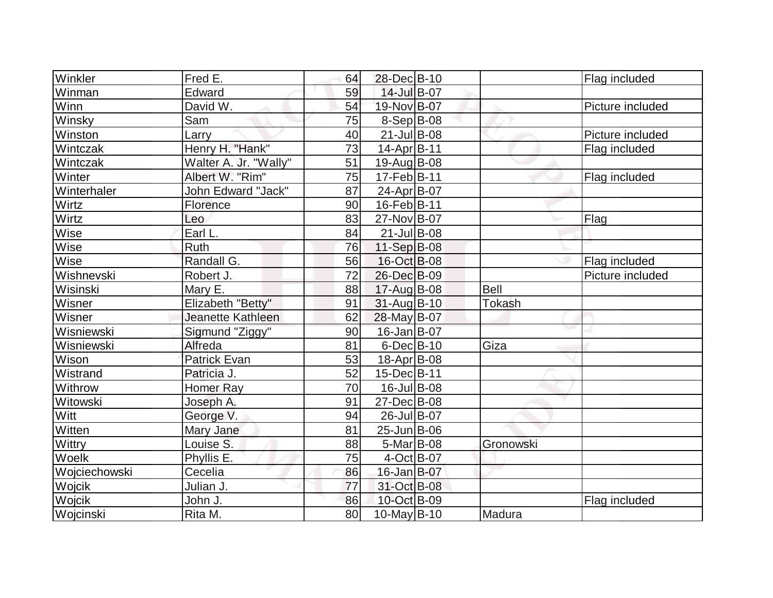| Winkler       | Fred E.               | 64 | 28-Dec B-10               |               | Flag included    |
|---------------|-----------------------|----|---------------------------|---------------|------------------|
| Winman        | Edward                | 59 | 14-Jul B-07               |               |                  |
| Winn          | David W.              | 54 | 19-Nov B-07               |               | Picture included |
| Winsky        | Sam                   | 75 | $8-Sep B-08$              |               |                  |
| Winston       | Larry                 | 40 | $21$ -Jul B-08            |               | Picture included |
| Wintczak      | Henry H. "Hank"       | 73 | 14-Apr B-11               |               | Flag included    |
| Wintczak      | Walter A. Jr. "Wally" | 51 | 19-Aug B-08               |               |                  |
| Winter        | Albert W. "Rim"       | 75 | $17-Feb B-11$             |               | Flag included    |
| Winterhaler   | John Edward "Jack"    | 87 | 24-Apr B-07               |               |                  |
| Wirtz         | Florence              | 90 | 16-Feb B-11               |               |                  |
| Wirtz         | Leo                   | 83 | 27-Nov B-07               |               | Flag             |
| Wise          | Earl L.               | 84 | $21$ -Jul B-08            |               |                  |
| Wise          | Ruth                  | 76 | 11-Sep $B$ -08            |               |                  |
| Wise          | Randall G.            | 56 | 16-Oct B-08               |               | Flag included    |
| Wishnevski    | Robert J.             | 72 | 26-Dec B-09               |               | Picture included |
| Wisinski      | Mary E.               | 88 | 17-Aug B-08               | <b>Bell</b>   |                  |
| Wisner        | Elizabeth "Betty"     | 91 | $31$ -Aug B-10            | <b>Tokash</b> |                  |
| Wisner        | Jeanette Kathleen     | 62 | 28-May B-07               |               |                  |
| Wisniewski    | Sigmund "Ziggy"       | 90 | 16-Jan B-07               |               |                  |
| Wisniewski    | Alfreda               | 81 | $6$ -Dec $B$ -10          | Giza          |                  |
| Wison         | Patrick Evan          | 53 | $18-Apr$ B-08             |               |                  |
| Wistrand      | Patricia J.           | 52 | 15-Dec B-11               |               |                  |
| Withrow       | <b>Homer Ray</b>      | 70 | 16-Jul B-08               |               |                  |
| Witowski      | Joseph A.             | 91 | 27-Dec B-08               |               |                  |
| Witt          | George V.             | 94 | 26-Jul B-07               |               |                  |
| Witten        | Mary Jane             | 81 | 25-Jun B-06               |               |                  |
| Wittry        | Louise S.             | 88 | $5-Mar$ B-08              | Gronowski     |                  |
| Woelk         | Phyllis E.            | 75 | $4-Oct$ B-07              |               |                  |
| Wojciechowski | Cecelia               | 86 | 16-Jan B-07               |               |                  |
| Wojcik        | Julian J.             | 77 | 31-Oct B-08               |               |                  |
| Wojcik        | John J.               | 86 | 10-Oct B-09               |               | Flag included    |
| Wojcinski     | Rita M.               | 80 | $\overline{10}$ -May B-10 | Madura        |                  |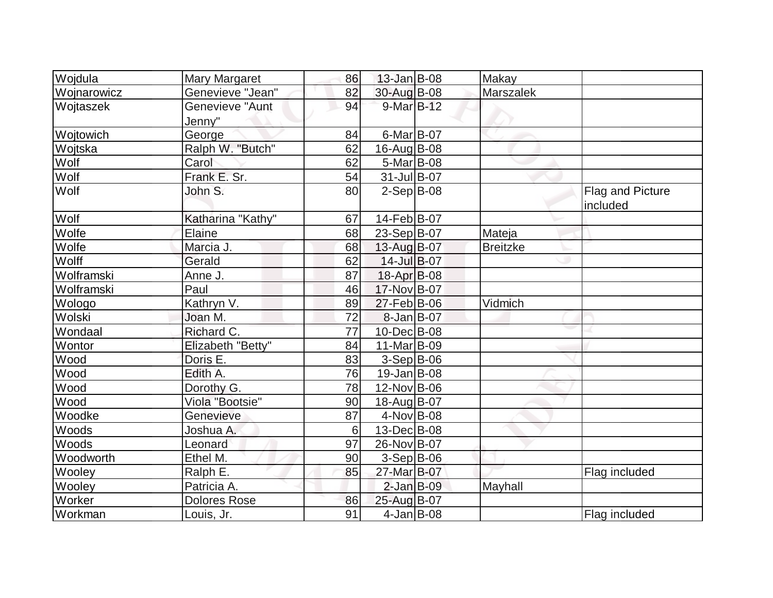| Wojdula     | Mary Margaret       | 86 | 13-Jan B-08       | Makay           |                  |
|-------------|---------------------|----|-------------------|-----------------|------------------|
| Wojnarowicz | Genevieve "Jean"    | 82 | 30-Aug B-08       | Marszalek       |                  |
| Wojtaszek   | Genevieve "Aunt     | 94 | 9-Mar B-12        |                 |                  |
|             | Jenny"              |    |                   |                 |                  |
| Wojtowich   | George              | 84 | $6$ -Mar $B$ -07  |                 |                  |
| Wojtska     | Ralph W. "Butch"    | 62 | 16-Aug B-08       |                 |                  |
| Wolf        | Carol               | 62 | 5-Mar B-08        |                 |                  |
| Wolf        | Frank E. Sr.        | 54 | $31$ -Jul B-07    |                 |                  |
| Wolf        | John S.             | 80 | $2-Sep B-08$      |                 | Flag and Picture |
|             |                     |    |                   |                 | included         |
| Wolf        | Katharina "Kathy"   | 67 | 14-Feb B-07       |                 |                  |
| Wolfe       | Elaine              | 68 | 23-Sep B-07       | Mateja          |                  |
| Wolfe       | Marcia J.           | 68 | 13-Aug B-07       | <b>Breitzke</b> |                  |
| Wolff       | Gerald              | 62 | 14-Jul B-07       |                 |                  |
| Wolframski  | Anne J.             | 87 | 18-Apr B-08       |                 |                  |
| Wolframski  | Paul                | 46 | 17-Nov B-07       |                 |                  |
| Wologo      | Kathryn V.          | 89 | 27-Feb B-06       | Vidmich         |                  |
| Wolski      | Joan M.             | 72 | $8$ -Jan $B$ -07  |                 |                  |
| Wondaal     | Richard C.          | 77 | 10-Dec B-08       |                 |                  |
| Wontor      | Elizabeth "Betty"   | 84 | 11-Mar B-09       |                 |                  |
| Wood        | Doris E.            | 83 | $3-Sep B-06$      |                 |                  |
| Wood        | Edith A.            | 76 | $19$ -Jan B-08    |                 |                  |
| Wood        | Dorothy G.          | 78 | 12-Nov B-06       |                 |                  |
| Wood        | Viola "Bootsie"     | 90 | 18-Aug B-07       |                 |                  |
| Woodke      | Genevieve           | 87 | $4$ -Nov $ B$ -08 |                 |                  |
| Woods       | Joshua A.           | 6  | 13-Dec B-08       |                 |                  |
| Woods       | Leonard             | 97 | 26-Nov B-07       |                 |                  |
| Woodworth   | Ethel M.            | 90 | $3-Sep B-06$      |                 |                  |
| Wooley      | Ralph E.            | 85 | 27-Mar B-07       |                 | Flag included    |
| Wooley      | Patricia A.         |    | $2$ -Jan B-09     | Mayhall         |                  |
| Worker      | <b>Dolores Rose</b> | 86 | 25-Aug B-07       |                 |                  |
| Workman     | Louis, Jr.          | 91 | $4$ -Jan B-08     |                 | Flag included    |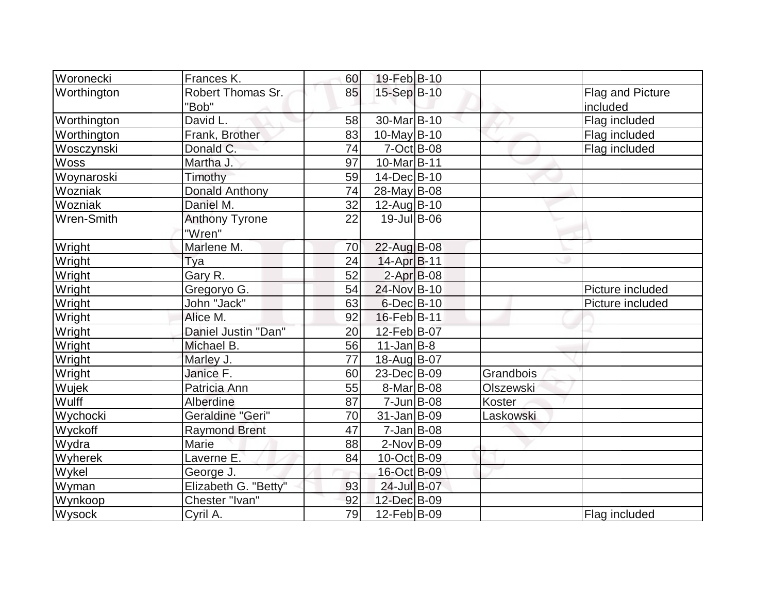| Woronecki         | Frances K.              | 60 | 19-Feb B-10             |           |                  |
|-------------------|-------------------------|----|-------------------------|-----------|------------------|
| Worthington       | Robert Thomas Sr.       | 85 | 15-Sep B-10             |           | Flag and Picture |
|                   | "Bob"                   |    |                         |           | included         |
| Worthington       | David L.                | 58 | 30-Mar <sub>B</sub> -10 |           | Flag included    |
| Worthington       | Frank, Brother          | 83 | $10$ -May B-10          |           | Flag included    |
| Wosczynski        | Donald C.               | 74 | $7-Oct$ B-08            |           | Flag included    |
| Woss              | Martha J.               | 97 | 10-Mar B-11             |           |                  |
| Woynaroski        | Timothy                 | 59 | 14-Dec B-10             |           |                  |
| Wozniak           | Donald Anthony          | 74 | 28-May B-08             |           |                  |
| Wozniak           | Daniel M.               | 32 | 12-Aug B-10             |           |                  |
| <b>Wren-Smith</b> | <b>Anthony Tyrone</b>   | 22 | 19-Jul B-06             |           |                  |
|                   | "Wren"                  |    |                         |           |                  |
| Wright            | Marlene M.              | 70 | 22-Aug B-08             |           |                  |
| Wright            | <b>Tya</b>              | 24 | 14-Apr B-11             |           |                  |
| Wright            | Gary R.                 | 52 | $2-Apr$ B-08            |           |                  |
| Wright            | Gregoryo G.             | 54 | 24-Nov B-10             |           | Picture included |
| Wright            | John "Jack"             | 63 | $6$ -Dec $B$ -10        |           | Picture included |
| Wright            | Alice M.                | 92 | 16-Feb B-11             |           |                  |
| Wright            | Daniel Justin "Dan"     | 20 | 12-Feb B-07             |           |                  |
| Wright            | Michael B.              | 56 | $11$ -Jan $ B-8 $       |           |                  |
| Wright            | Marley J.               | 77 | 18-Aug B-07             |           |                  |
| Wright            | Janice F.               | 60 | 23-Dec B-09             | Grandbois |                  |
| Wujek             | Patricia Ann            | 55 | 8-Mar B-08              | Olszewski |                  |
| Wulff             | Alberdine               | 87 | $7 - Jun$ $B-08$        | Koster    |                  |
| Wychocki          | <b>Geraldine "Geri"</b> | 70 | $31$ -Jan $ B-09$       | Laskowski |                  |
| Wyckoff           | <b>Raymond Brent</b>    | 47 | $7 - Jan$ B-08          |           |                  |
| Wydra             | Marie                   | 88 | $2$ -Nov $B$ -09        |           |                  |
| Wyherek           | Laverne E.              | 84 | 10-Oct B-09             |           |                  |
| Wykel             | George J.               |    | 16-Oct B-09             |           |                  |
| Wyman             | Elizabeth G. "Betty"    | 93 | 24-Jul B-07             |           |                  |
| Wynkoop           | Chester "Ivan"          | 92 | 12-Dec B-09             |           |                  |
| Wysock            | Cyril A.                | 79 | $12$ -Feb $ B-09 $      |           | Flag included    |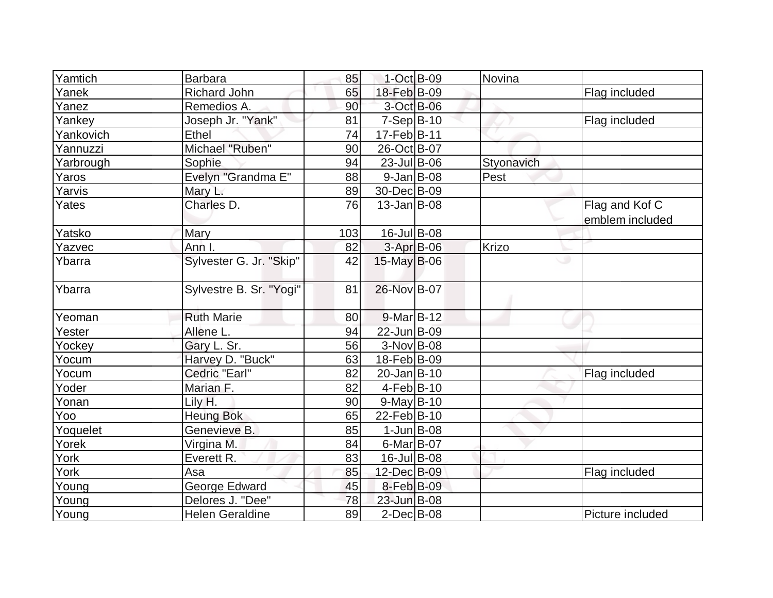| Yamtich   | <b>Barbara</b>          | 85  | $1$ -Oct B-09     | Novina     |                  |
|-----------|-------------------------|-----|-------------------|------------|------------------|
| Yanek     | <b>Richard John</b>     | 65  | 18-Feb B-09       |            | Flag included    |
| Yanez     | Remedios A.             | 90  | 3-Oct B-06        |            |                  |
| Yankey    | Joseph Jr. "Yank"       | 81  | $7-Sep B-10$      |            | Flag included    |
| Yankovich | Ethel                   | 74  | 17-Feb B-11       |            |                  |
| Yannuzzi  | Michael "Ruben"         | 90  | 26-Oct B-07       |            |                  |
| Yarbrough | Sophie                  | 94  | $23$ -Jul B-06    | Styonavich |                  |
| Yaros     | Evelyn "Grandma E"      | 88  | $9$ -Jan B-08     | Pest       |                  |
| Yarvis    | Mary L.                 | 89  | 30-Dec B-09       |            |                  |
| Yates     | Charles D.              | 76  | $13$ -Jan $ B-08$ |            | Flag and Kof C   |
|           |                         |     |                   |            | emblem included  |
| Yatsko    | Mary                    | 103 | $16$ -Jul B-08    |            |                  |
| Yazvec    | Ann I.                  | 82  | $3-Apr$ B-06      | Krizo      |                  |
| Ybarra    | Sylvester G. Jr. "Skip" | 42  | $15$ -May B-06    | ری         |                  |
| Ybarra    | Sylvestre B. Sr. "Yogi" | 81  | 26-Nov B-07       |            |                  |
| Yeoman    | <b>Ruth Marie</b>       | 80  | 9-Mar B-12        |            |                  |
| Yester    | Allene L.               | 94  | 22-Jun B-09       |            |                  |
| Yockey    | Gary L. Sr.             | 56  | $3-Nov B-08$      |            |                  |
| Yocum     | Harvey D. "Buck"        | 63  | 18-Feb B-09       |            |                  |
| Yocum     | Cedric "Earl"           | 82  | 20-Jan B-10       |            | Flag included    |
| Yoder     | Marian F.               | 82  | $4-Feb B-10$      |            |                  |
| Yonan     | Lily H.                 | 90  | $9-May B-10$      |            |                  |
| Yoo       | <b>Heung Bok</b>        | 65  | 22-Feb B-10       |            |                  |
| Yoquelet  | Genevieve B.            | 85  | $1$ -Jun $B$ -08  |            |                  |
| Yorek     | Virgina M.              | 84  | $6$ -Mar $ B$ -07 |            |                  |
| York      | Everett R.              | 83  | $16$ -Jul B-08    |            |                  |
| York      | Asa                     | 85  | 12-Dec B-09       |            | Flag included    |
| Young     | <b>George Edward</b>    | 45  | 8-Feb B-09        |            |                  |
| Young     | Delores J. "Dee"        | 78  | 23-Jun B-08       |            |                  |
| Young     | <b>Helen Geraldine</b>  | 89  | $2$ -Dec $B$ -08  |            | Picture included |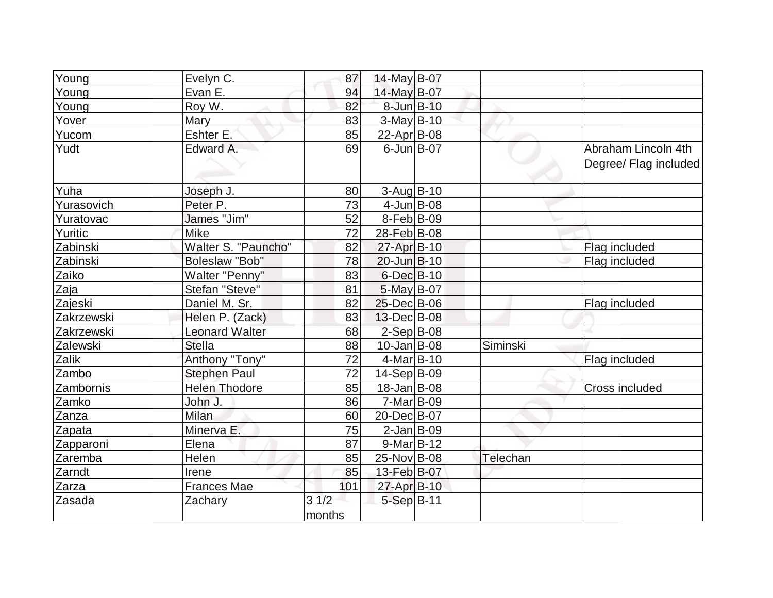| Young      | Evelyn C.             | 87             | 14-May B-07        |          |                                              |
|------------|-----------------------|----------------|--------------------|----------|----------------------------------------------|
| Young      | Evan <sub>E.</sub>    | 94             | 14-May B-07        |          |                                              |
| Young      | Roy W.                | 82             | 8-Jun B-10         |          |                                              |
| Yover      | Mary                  | 83             | 3-May B-10         |          |                                              |
| Yucom      | Eshter E.             | 85             | 22-Apr B-08        |          |                                              |
| Yudt       | Edward A.             | 69             | $6$ -Jun $B$ -07   |          | Abraham Lincoln 4th<br>Degree/ Flag included |
| Yuha       | Joseph J.             | 80             | $3$ -Aug $B$ -10   |          |                                              |
| Yurasovich | Peter <sub>P.</sub>   | 73             | $4$ -Jun $B$ -08   |          |                                              |
| Yuratovac  | James "Jim"           | 52             | $8-Feb B-09$       |          |                                              |
| Yuritic    | <b>Mike</b>           | 72             | 28-Feb B-08        |          |                                              |
| Zabinski   | Walter S. "Pauncho"   | 82             | 27-Apr B-10        |          | Flag included                                |
| Zabinski   | <b>Boleslaw "Bob"</b> | 78             | 20-Jun B-10        |          | Flag included                                |
| Zaiko      | Walter "Penny"        | 83             | $6$ -Dec $B$ -10   |          |                                              |
| Zaja       | Stefan "Steve"        | 81             | 5-May B-07         |          |                                              |
| Zajeski    | Daniel M. Sr.         | 82             | 25-Dec B-06        |          | Flag included                                |
| Zakrzewski | Helen P. (Zack)       | 83             | $13$ -Dec $ B$ -08 |          |                                              |
| Zakrzewski | <b>Leonard Walter</b> | 68             | $2-Sep B-08$       |          |                                              |
| Zalewski   | <b>Stella</b>         | 88             | $10$ -Jan $ B-08$  | Siminski |                                              |
| Zalik      | Anthony "Tony"        | 72             | $4$ -Mar $ B-10$   |          | Flag included                                |
| Zambo      | <b>Stephen Paul</b>   | 72             | $14-Sep B-09$      |          |                                              |
| Zambornis  | <b>Helen Thodore</b>  | 85             | $18 - Jan$ B-08    |          | Cross included                               |
| Zamko      | John J.               | 86             | $7-Mar$ B-09       |          |                                              |
| Zanza      | <b>Milan</b>          | 60             | 20-Dec B-07        |          |                                              |
| Zapata     | Minerva E.            | 75             | $2$ -Jan B-09      |          |                                              |
| Zapparoni  | Elena                 | 87             | $9-Mar$ B-12       |          |                                              |
| Zaremba    | Helen                 | 85             | 25-Nov B-08        | Telechan |                                              |
| Zarndt     | Irene                 | 85             | 13-Feb B-07        |          |                                              |
| Zarza      | <b>Frances Mae</b>    | 101            | 27-Apr B-10        |          |                                              |
| Zasada     | Zachary               | 31/2<br>months | 5-Sep B-11         |          |                                              |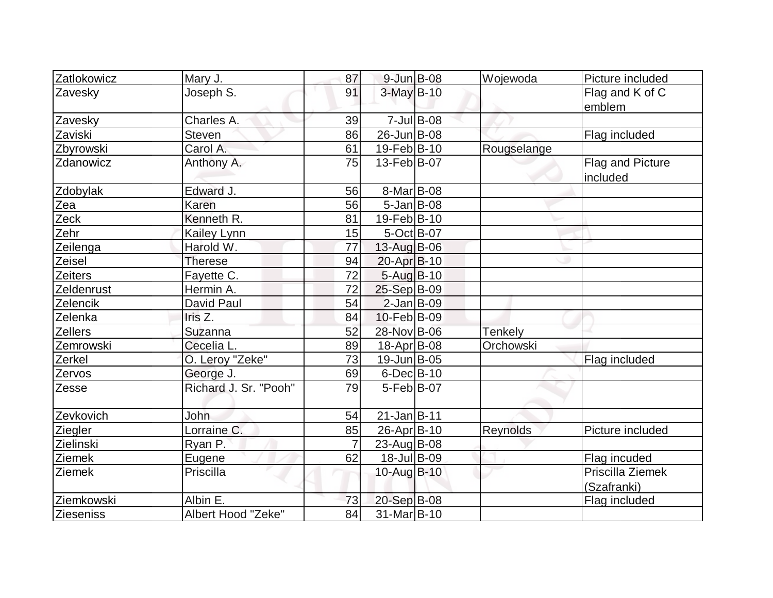| Zatlokowicz    | Mary J.               | 87 | $9$ -Jun $B$ -08   |               | Wojewoda       | Picture included                |
|----------------|-----------------------|----|--------------------|---------------|----------------|---------------------------------|
| Zavesky        | Joseph S.             | 91 | 3-May B-10         |               |                | Flag and K of C<br>emblem       |
| Zavesky        | Charles A.            | 39 |                    | $7$ -Jul B-08 |                |                                 |
| Zaviski        | Steven                | 86 | 26-Jun B-08        |               |                | Flag included                   |
| Zbyrowski      | Carol A.              | 61 | 19-Feb B-10        |               | Rougselange    |                                 |
| Zdanowicz      | Anthony A.            | 75 | $13$ -Feb $ B-07$  |               |                | Flag and Picture<br>included    |
| Zdobylak       | Edward J.             | 56 | 8-Mar B-08         |               |                |                                 |
| Zea            | Karen                 | 56 | $5$ -Jan B-08      |               |                |                                 |
| Zeck           | Kenneth R.            | 81 | 19-Feb B-10        |               |                |                                 |
| Zehr           | <b>Kailey Lynn</b>    | 15 | $5-Oct$ B-07       |               |                |                                 |
| Zeilenga       | Harold W.             | 77 | $13$ -Aug B-06     |               |                |                                 |
| Zeisel         | <b>Therese</b>        | 94 | 20-Apr B-10        |               |                |                                 |
| <b>Zeiters</b> | Fayette C.            | 72 | $5 - Aug$ B-10     |               |                |                                 |
| Zeldenrust     | Hermin A.             | 72 | 25-Sep B-09        |               |                |                                 |
| Zelencik       | David Paul            | 54 | $2$ -Jan B-09      |               |                |                                 |
| Zelenka        | Iris Z.               | 84 | 10-Feb B-09        |               |                |                                 |
| <b>Zellers</b> | Suzanna               | 52 | 28-Nov B-06        |               | <b>Tenkely</b> |                                 |
| Zemrowski      | Cecelia L.            | 89 | 18-Apr B-08        |               | Orchowski      |                                 |
| Zerkel         | O. Leroy "Zeke"       | 73 | 19-Jun B-05        |               |                | Flag included                   |
| Zervos         | George J.             | 69 | $6$ -Dec $B$ -10   |               |                |                                 |
| Zesse          | Richard J. Sr. "Pooh" | 79 | $5-Feb B-07$       |               |                |                                 |
| Zevkovich      | John                  | 54 | $21$ -Jan $B-11$   |               |                |                                 |
| Ziegler        | Lorraine C.           | 85 | 26-Apr B-10        |               | Reynolds       | Picture included                |
| Zielinski      | Ryan P.               |    | $23$ -Aug $ B$ -08 |               |                |                                 |
| Ziemek         | Eugene                | 62 | 18-Jul B-09        |               |                | Flag incuded                    |
| Ziemek         | Priscilla             |    | 10-Aug B-10        |               |                | Priscilla Ziemek<br>(Szafranki) |
| Ziemkowski     | Albin E.              | 73 | 20-Sep B-08        |               |                | Flag included                   |
| Zieseniss      | Albert Hood "Zeke"    | 84 | 31-Mar B-10        |               |                |                                 |